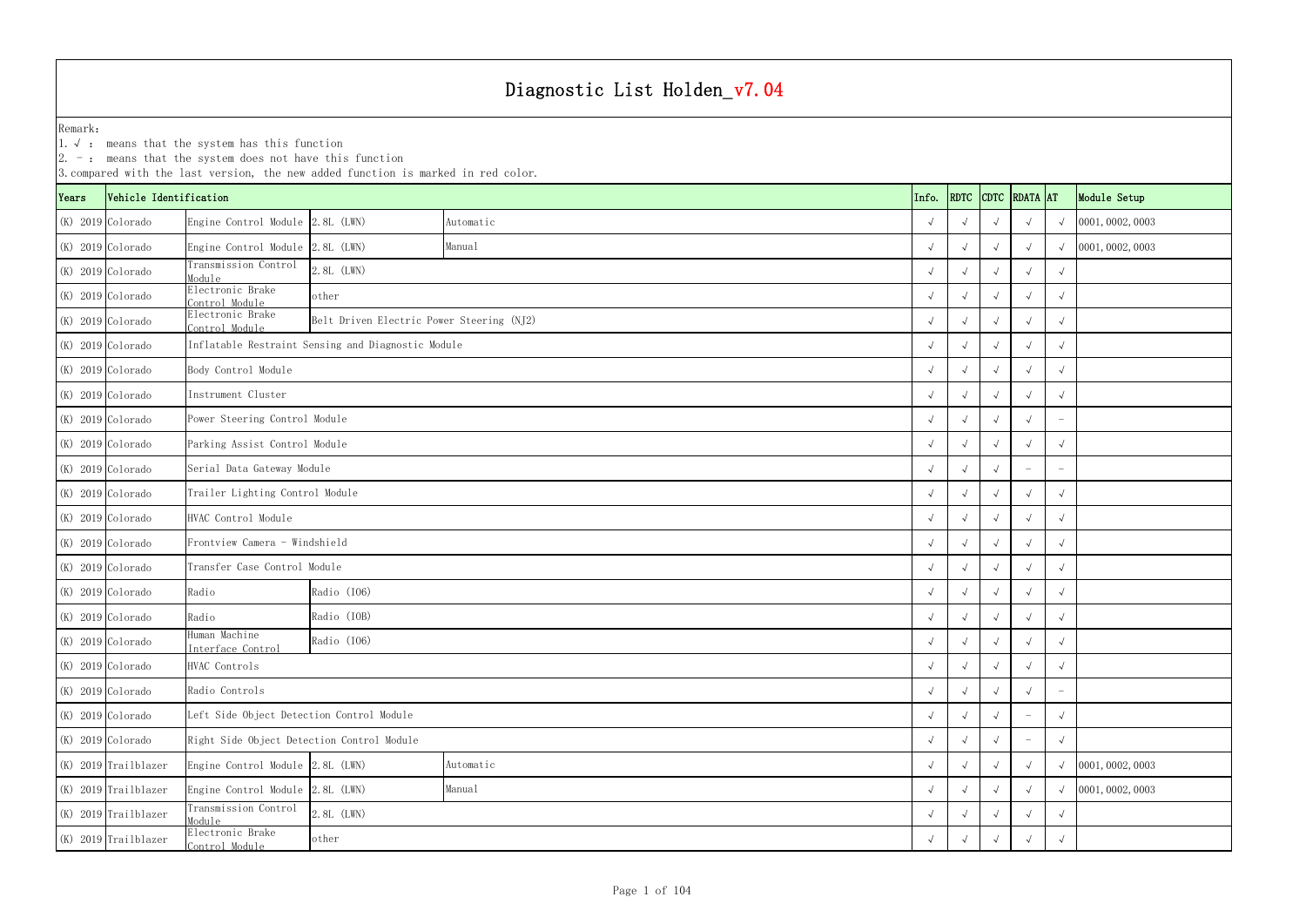|                   |                        | $\vert 2.$ -: means that the system does not have this function | 3. compared with the last version, the new added function is marked in red color. |           |  |            |  |  |                    |            |                  |
|-------------------|------------------------|-----------------------------------------------------------------|-----------------------------------------------------------------------------------|-----------|--|------------|--|--|--------------------|------------|------------------|
| Years             | Vehicle Identification |                                                                 |                                                                                   |           |  | Info.      |  |  | RDTC CDTC RDATA AT |            | Module Setup     |
|                   | $(K)$ 2019 Colorado    | Engine Control Module 2.8L (LWN)                                |                                                                                   | Automatic |  | $\sqrt{ }$ |  |  |                    |            | 0001, 0002, 0003 |
|                   | $(K)$ 2019 Colorado    | Engine Control Module 2.8L (LWN)                                |                                                                                   | Manual    |  | $\sqrt{ }$ |  |  |                    |            | 0001, 0002, 0003 |
|                   | $(K)$ 2019 Colorado    | Transmission Control<br>Module                                  | 2.8L (LWN)                                                                        |           |  | $\sqrt{ }$ |  |  |                    |            |                  |
|                   | $(K)$ 2019 Colorado    | Electronic Brake<br>Control Module                              | other                                                                             |           |  |            |  |  |                    |            |                  |
|                   | $(K)$ 2019 Colorado    | Electronic Brake<br>Control Module                              | Belt Driven Electric Power Steering (NJ2)                                         |           |  |            |  |  |                    |            |                  |
|                   | (K) 2019 Colorado      |                                                                 | Inflatable Restraint Sensing and Diagnostic Module                                |           |  |            |  |  |                    |            |                  |
|                   | $(K)$ 2019 Colorado    | Body Control Module                                             |                                                                                   |           |  |            |  |  |                    |            |                  |
|                   | $(K)$ 2019 Colorado    | Instrument Cluster                                              |                                                                                   |           |  | $\sqrt{ }$ |  |  |                    |            |                  |
|                   | $(K)$ 2019 Colorado    | Power Steering Control Module                                   |                                                                                   |           |  | $\sqrt{ }$ |  |  |                    |            |                  |
|                   | $(K)$ 2019 Colorado    | Parking Assist Control Module                                   |                                                                                   |           |  | $\sqrt{ }$ |  |  |                    |            |                  |
|                   | $(K)$ 2019 Colorado    | Serial Data Gateway Module                                      |                                                                                   |           |  | $\sqrt{ }$ |  |  |                    |            |                  |
|                   | $(K)$ 2019 Colorado    | Trailer Lighting Control Module                                 |                                                                                   |           |  |            |  |  |                    |            |                  |
|                   | $(K)$ 2019 Colorado    | HVAC Control Module                                             |                                                                                   |           |  |            |  |  |                    |            |                  |
|                   | $(K)$ 2019 Colorado    | Frontview Camera - Windshield                                   |                                                                                   |           |  |            |  |  |                    |            |                  |
|                   | $(K)$ 2019 Colorado    | Transfer Case Control Module                                    |                                                                                   |           |  |            |  |  |                    |            |                  |
|                   | $(K)$ 2019 Colorado    | Radio                                                           | Radio (I06)                                                                       |           |  |            |  |  |                    |            |                  |
|                   | $(K)$ 2019 Colorado    | Radio                                                           | Radio (IOB)                                                                       |           |  |            |  |  |                    |            |                  |
|                   | (K) 2019 Colorado      | Human Machine<br>Interface Control                              | Radio (106)                                                                       |           |  |            |  |  |                    |            |                  |
| (K) 2019 Colorado |                        | HVAC Controls                                                   |                                                                                   |           |  | $\sqrt{ }$ |  |  |                    |            |                  |
| (K) 2019 Colorado |                        | Radio Controls                                                  |                                                                                   |           |  | $\sqrt{ }$ |  |  |                    |            |                  |
| (K) 2019 Colorado |                        |                                                                 | Left Side Object Detection Control Module                                         |           |  |            |  |  |                    |            |                  |
|                   | (K) 2019 Colorado      |                                                                 | Right Side Object Detection Control Module                                        |           |  |            |  |  |                    | $\sqrt{ }$ |                  |
|                   | $(K)$ 2019 Trailblazer |                                                                 | Engine Control Module 2.8L (LWN)<br>Automatic                                     |           |  |            |  |  |                    |            | 0001, 0002, 0003 |
|                   | (K) 2019 Trailblazer   |                                                                 | Engine Control Module 2.8L (LWN)<br>Manual                                        |           |  |            |  |  |                    |            | 0001, 0002, 0003 |
|                   | (K) 2019 Trailblazer   | Transmission Control<br>2.8L (LWN)<br>Module                    |                                                                                   |           |  |            |  |  |                    |            |                  |
|                   | $(K)$ 2019 Trailblazer | Electronic Brake<br>Control Module                              | other                                                                             |           |  |            |  |  |                    |            |                  |

1.√ : means that the system has this function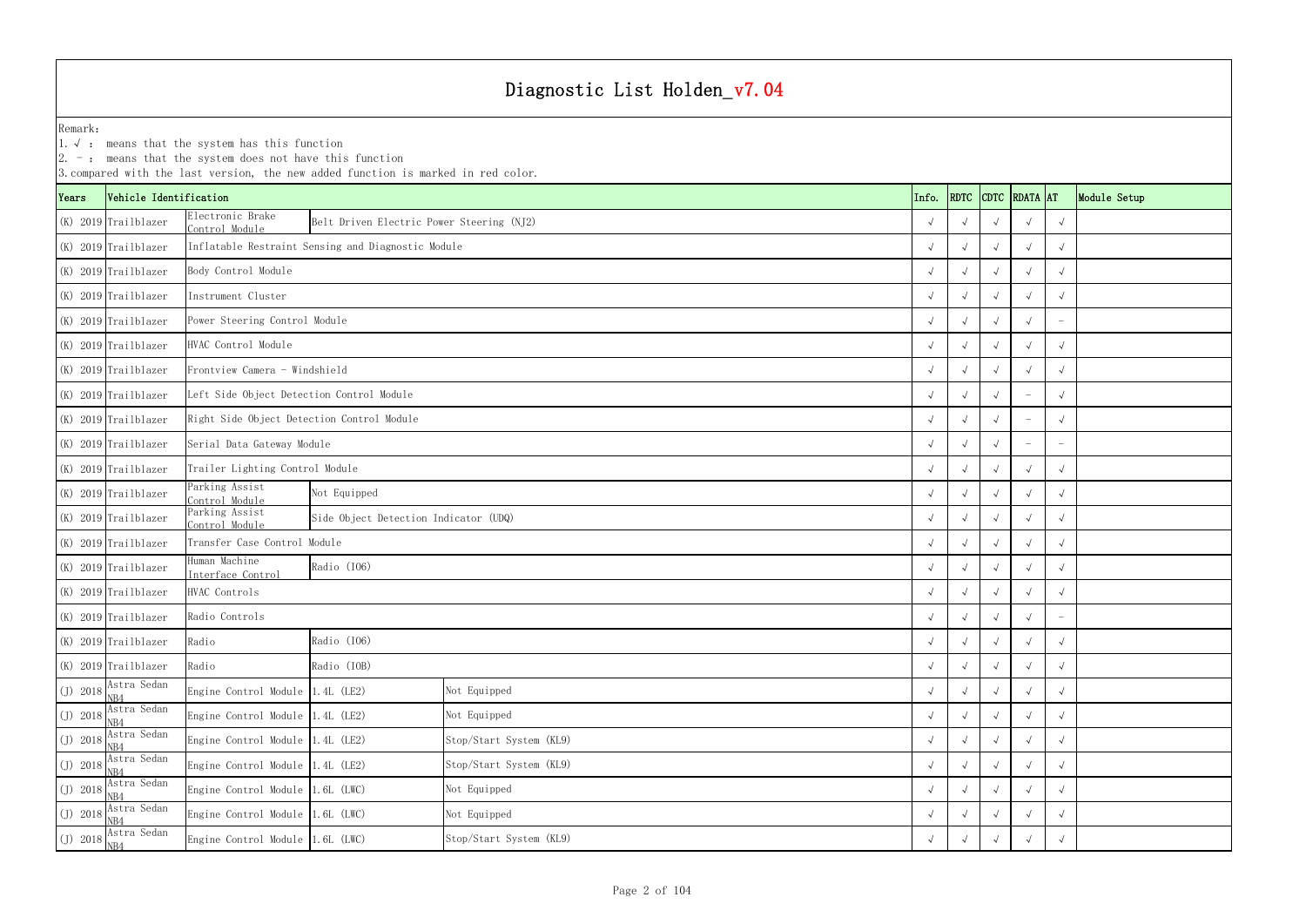YearsVehicle Identification **Info.** RDTC Remark:1.  $\sqrt{ }$ : means that the system has this function 2. -: means that the system does not have this function 3.compared with the last version, the new added function is marked in red color. (K) 2019 Trailblazer Electronic Brake Control Module <sup>√</sup> √√√√ Belt Driven Electric Power Steering (NJ2) (K) 2019 Trailblazer √ √√√√ Inflatable Restraint Sensing and Diagnostic Module (K) 2019 Trailblazer √ √√√√ (K) 2019 Trailblazer √ √√√√ (K) 2019 Trailblazer √ √√√ - Power Steering Control Module (K) 2019 Trailblazer √ √√√√ (K) 2019 Trailblazer √ √√√√ Frontview Camera - Windshield(K) 2019 Trailblazer √ √√ - √ Left Side Object Detection Control Module (K) 2019 Trailblazer √ √√ - √ Right Side Object Detection Control Module (K) 2019 Trailblazer √ √√ - - Serial Data Gateway Module (K) 2019 Trailblazer √ √√√√ Trailer Lighting Control Module (K) 2019 Trailblazer Parking Assist<br>Control Module <sup>√</sup> √√√√  $(K)$  2019 Trailblazer  $\begin{matrix} \text{Parking Assistant} \\ \text{Control Module} \end{matrix}$  <sup>√</sup> √√√√ Side Object Detection Indicator (UDQ) (K) 2019 Trailblazer √ √√√√ Transfer Case Control Module (K) 2019 Trailblazer Human Machine <sup>√</sup> √√√√ (K) 2019 Trailblazer √ √√√√ (K) 2019 Trailblazer √ √√√ - (K) 2019 Trailblazer Radio √ √√√√ (K) 2019 Trailblazer Radio √ √√√√  $(I)$  2018 Astra Sedan Engine Control Module 1.4L (LE2) <sup>√</sup> √√√√  $(J)$  2018 Astra Sedan Engine Control Module 1.4L (LE2) <sup>√</sup> √√√√  $(I)$  2018 Astra Sedan Engine Control Module 1.4L (LE2) <sup>√</sup> √√√√  $(I)$  2018 Astra Sedan Engine Control Module 1.4L (LE2) <sup>√</sup> √√√√ (J) 2018  $\frac{\text{Astra Sedan}}{\text{NR4}}$  Engine Control Module 1.6L (LWC) <sup>√</sup> √√√√ (J) 2018  $\frac{\text{Astra Sedan}}{\text{NR4}}$  Engine Control Module 1.6L (LWC) <sup>√</sup> √√√√ HVAC Controls Radio Controls Not Equipped Not Equipped Stop/Start System (KL9) Stop/Start System (KL9) Not Equipped Not Equipped Body Control Module Instrument ClusterHVAC Control Module Radio (IO6) Radio (IOB) Radio (IO6) Not Equipped

 $(J)$  2018 Astra Sedan

|                      | ans that the system does not have this function | with the last version, the new added function is marked in red color. |                         |       |                          |            |                          |                                 |              |
|----------------------|-------------------------------------------------|-----------------------------------------------------------------------|-------------------------|-------|--------------------------|------------|--------------------------|---------------------------------|--------------|
| hicle Identification |                                                 |                                                                       |                         | Info. |                          |            | RDTC CDTC RDATA AT       |                                 | Module Setup |
| ailblazer            | Electronic Brake<br>Control Module              | Belt Driven Electric Power Steering (NJ2)                             |                         |       | $\sqrt{ }$<br>$\sqrt{ }$ |            | $\sqrt{ }$               | $\sqrt{ }$                      |              |
| ailblazer            |                                                 | Inflatable Restraint Sensing and Diagnostic Module                    |                         |       | $\sqrt{ }$<br>$\sqrt{ }$ |            | $\sqrt{ }$               | $\sim$                          |              |
| ailblazer            | Body Control Module                             |                                                                       |                         |       | $\sqrt{ }$<br>$\sqrt{ }$ |            | $\sqrt{ }$               | $\sim$                          |              |
| ailblazer            | Instrument Cluster                              |                                                                       |                         |       | $\sqrt{ }$<br>$\sqrt{ }$ |            | $\sqrt{ }$               |                                 |              |
| ailblazer            | Power Steering Control Module                   |                                                                       |                         |       | $\sqrt{ }$               |            |                          |                                 |              |
| ailblazer            | HVAC Control Module                             |                                                                       |                         |       | $\sqrt{ }$<br>$\sqrt{ }$ |            | $\sqrt{ }$               | $\sqrt{ }$                      |              |
| ailblazer            | Frontview Camera - Windshield                   |                                                                       |                         |       | $\sqrt{ }$<br>$\sqrt{ }$ | $\sqrt{ }$ | $\sqrt{ }$               | $\sqrt{ }$                      |              |
| ailblazer            | Left Side Object Detection Control Module       |                                                                       |                         |       | $\sqrt{ }$<br>$\sqrt{ }$ |            | $\overline{\phantom{a}}$ | $\sqrt{ }$                      |              |
| ailblazer            | Right Side Object Detection Control Module      |                                                                       |                         |       | $\sqrt{ }$<br>$\sqrt{ }$ |            |                          | $\sqrt{ }$                      |              |
| ailblazer            | Serial Data Gateway Module                      |                                                                       |                         |       | $\sqrt{ }$<br>$\sqrt{ }$ |            |                          | $\hspace{0.1mm}-\hspace{0.1mm}$ |              |
| ailblazer            | Trailer Lighting Control Module                 |                                                                       |                         |       | $\sqrt{ }$<br>$\sqrt{ }$ |            | $\sqrt{ }$               | $\sqrt{ }$                      |              |
| ailblazer            | Parking Assist<br>Control Module                | Not Equipped                                                          |                         |       | $\sqrt{ }$<br>$\sqrt{ }$ |            | $\sqrt{ }$               | $\sqrt{ }$                      |              |
| ailblazer            | Parking Assist<br>Control Module                | Side Object Detection Indicator (UDQ)                                 |                         |       | $\sqrt{ }$<br>$\sqrt{ }$ |            |                          | $\sqrt{ }$                      |              |
| ailblazer            | Transfer Case Control Module                    |                                                                       |                         |       | $\sqrt{ }$<br>$\sqrt{ }$ |            | $\sqrt{ }$               | $\sqrt{ }$                      |              |
| ailblazer            | Human Machine<br>Interface Control              | Radio (I06)                                                           |                         |       | $\sqrt{ }$<br>$\sqrt{ }$ | $\sqrt{ }$ | $\sqrt{ }$               | $\sim$                          |              |
| ailblazer            | HVAC Controls                                   |                                                                       |                         |       | $\sqrt{ }$<br>$\sqrt{ }$ |            | $\sqrt{ }$               | $\sqrt{ }$                      |              |
| ailblazer            | Radio Controls                                  |                                                                       |                         |       | $\sqrt{ }$<br>$\sqrt{ }$ |            | $\sqrt{ }$               | $\overline{\phantom{0}}$        |              |
| ailblazer            | Radio                                           | Radio (I06)                                                           |                         |       | $\sqrt{ }$<br>$\sqrt{ }$ | $\sqrt{ }$ | $\sqrt{ }$               | $\sqrt{ }$                      |              |
| ailblazer            | Radio                                           | Radio (IOB)                                                           |                         |       | $\sqrt{ }$<br>$\sqrt{ }$ | $\sqrt{ }$ | $\sqrt{ }$               | $\sqrt{ }$                      |              |
| tra Sedan            | Engine Control Module                           | 1.4L (LE2)                                                            | Not Equipped            |       | $\sqrt{ }$<br>$\sqrt{ }$ | $\sqrt{ }$ | $\sqrt{ }$               | $\sqrt{ }$                      |              |
| tra Sedan            | Engine Control Module 1.4L (LE2)                |                                                                       | Not Equipped            |       | $\sqrt{ }$<br>$\sqrt{ }$ |            | $\sqrt{ }$               | $\sqrt{ }$                      |              |
| tra Sedan            | Engine Control Module 1.4L (LE2)                |                                                                       | Stop/Start System (KL9) |       | $\sqrt{ }$<br>$\sqrt{ }$ | $\sqrt{ }$ | $\sqrt{ }$               | $\sqrt{ }$                      |              |
| tra Sedan            | Engine Control Module 1.4L (LE2)                |                                                                       | Stop/Start System (KL9) |       | $\sqrt{ }$<br>$\sqrt{ }$ | $\sqrt{ }$ | $\sqrt{ }$               | $\sqrt{ }$                      |              |
| tra Sedan            | Engine Control Module 1.6L (LWC)                |                                                                       | Not Equipped            |       | $\sqrt{ }$<br>$\sqrt{ }$ | $\sqrt{ }$ | $\sqrt{ }$               | $\sqrt{ }$                      |              |
| tra Sedan            | Engine Control Module 1.6L (LWC)                |                                                                       | Not Equipped            |       | $\sqrt{ }$<br>$\sqrt{ }$ |            |                          | $\sqrt{ }$                      |              |
| tra Sedan            | Engine Control Module 1.6L (LWC)                |                                                                       | Stop/Start System (KL9) |       | $\sqrt{ }$<br>$\sqrt{ }$ | $\sqrt{ }$ | $\sqrt{ }$               | $\sqrt{ }$                      |              |
|                      |                                                 |                                                                       |                         |       |                          |            |                          |                                 |              |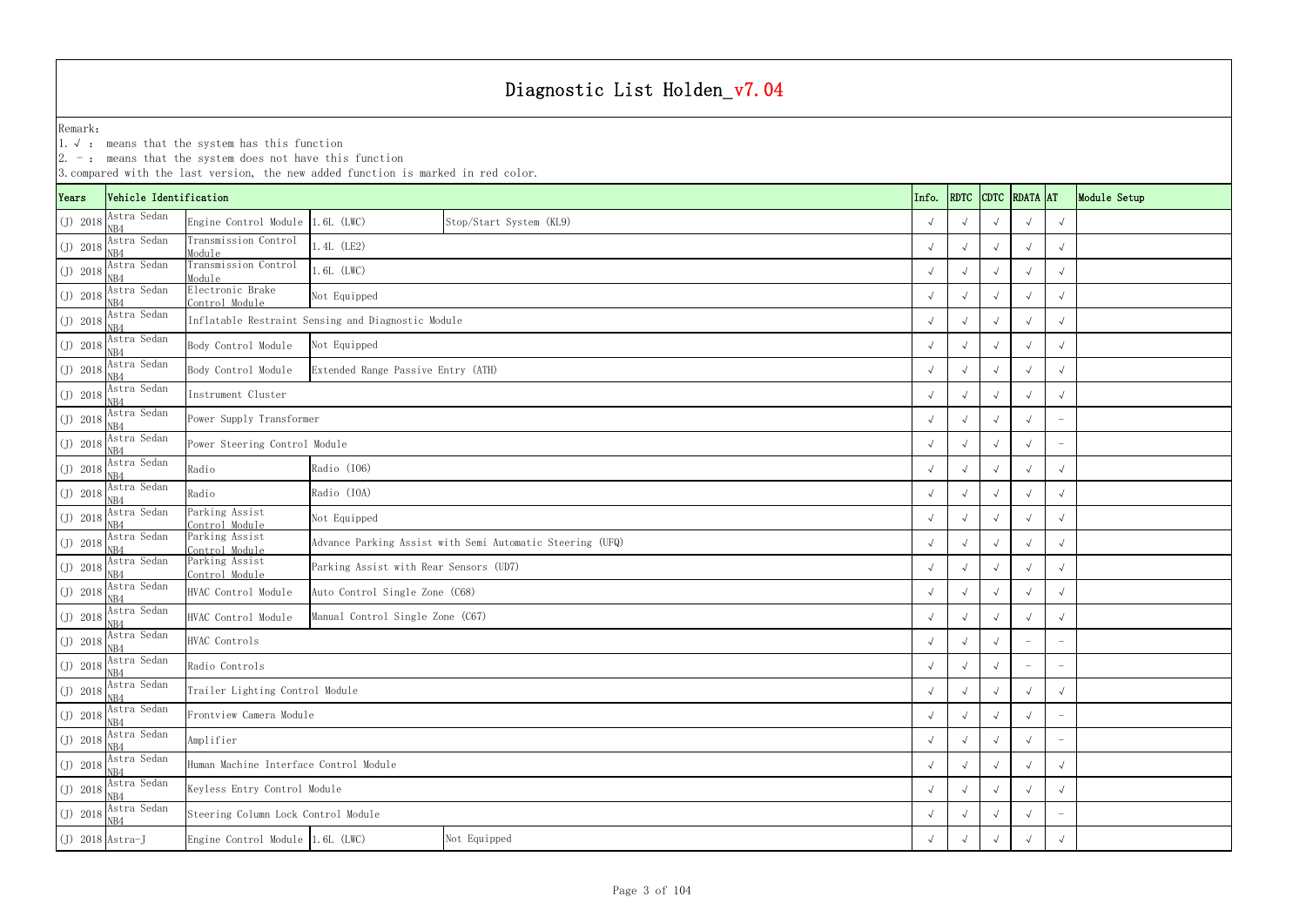|                    | $ 2.$ -: means that the system does not have this function<br>3. compared with the last version, the new added function is marked in red color.<br>Vehicle Identification<br>RDTC CDTC RDATA AT<br>Info. |                                                             |                                                    |                                                           |  |            |            |            |            |                          |              |  |  |
|--------------------|----------------------------------------------------------------------------------------------------------------------------------------------------------------------------------------------------------|-------------------------------------------------------------|----------------------------------------------------|-----------------------------------------------------------|--|------------|------------|------------|------------|--------------------------|--------------|--|--|
| Years              |                                                                                                                                                                                                          | Stop/Start System (KL9)<br>Engine Control Module 1.6L (LWC) |                                                    |                                                           |  |            |            |            |            |                          | Module Setup |  |  |
| $(J)$ 2018         | Astra Sedan<br>NB4                                                                                                                                                                                       |                                                             |                                                    |                                                           |  |            |            |            |            | $\sqrt{ }$               |              |  |  |
| $(J)$ 2018         | Astra Sedan<br>NB4                                                                                                                                                                                       | Transmission Control<br>Module                              | 1.4L (LE2)                                         |                                                           |  |            | $\sqrt{ }$ |            |            | $\sqrt{ }$               |              |  |  |
| $(J)$ 2018         | Astra Sedan<br>N <sub>B</sub> 4                                                                                                                                                                          | Transmission Control<br>Module                              | 1.6L (LWC)                                         |                                                           |  |            |            |            |            | $\sqrt{ }$               |              |  |  |
| $(J)$ 2018         | Astra Sedan<br>N <sub>R4</sub>                                                                                                                                                                           | Electronic Brake<br>Control Module                          | Not Equipped                                       |                                                           |  |            |            |            |            | $\sqrt{ }$               |              |  |  |
| $(J)$ 2018         | Astra Sedan<br>NB4                                                                                                                                                                                       |                                                             | Inflatable Restraint Sensing and Diagnostic Module |                                                           |  |            |            |            |            | $\sqrt{ }$               |              |  |  |
| $(J)$ 2018         | Astra Sedan<br>NB4                                                                                                                                                                                       | Body Control Module                                         | Not Equipped                                       |                                                           |  |            | $\sqrt{ }$ |            |            | $\sqrt{ }$               |              |  |  |
| $(J)$ 2018         | Astra Sedan<br>NB4                                                                                                                                                                                       | Body Control Module                                         | Extended Range Passive Entry (ATH)                 |                                                           |  |            | $\sqrt{ }$ |            |            | $\sqrt{ }$               |              |  |  |
| $(J)$ 2018         | Astra Sedan<br>NB4                                                                                                                                                                                       | Instrument Cluster                                          |                                                    |                                                           |  |            |            |            |            | $\sqrt{ }$               |              |  |  |
| $(J)$ 2018         | Astra Sedan<br>N <sub>B4</sub>                                                                                                                                                                           | Power Supply Transformer                                    |                                                    |                                                           |  |            |            |            |            |                          |              |  |  |
| $(J)$ 2018         | Astra Sedan<br>NB4                                                                                                                                                                                       | Power Steering Control Module                               |                                                    |                                                           |  |            | $\sqrt{ }$ |            |            |                          |              |  |  |
| $(J)$ 2018         | Astra Sedan<br>N <sub>B</sub> 4                                                                                                                                                                          | Radio                                                       | Radio (I06)                                        |                                                           |  |            |            |            |            | $\sqrt{ }$               |              |  |  |
| $(J)$ 2018         | Astra Sedan<br>NB4                                                                                                                                                                                       | Radio                                                       | Radio (IOA)                                        |                                                           |  |            |            |            |            | $\sqrt{ }$               |              |  |  |
| $(J)$ 2018         | Astra Sedan<br>NB4                                                                                                                                                                                       | Parking Assist<br>Control Module                            | Not Equipped                                       |                                                           |  |            |            |            |            | $\sqrt{ }$               |              |  |  |
| $(J)$ 2018         | Astra Sedan<br>NB4                                                                                                                                                                                       | Parking Assist<br>Control Module                            |                                                    | Advance Parking Assist with Semi Automatic Steering (UFQ) |  |            |            |            |            | $\sqrt{ }$               |              |  |  |
| $(J)$ 2018         | Astra Sedan<br>NB4                                                                                                                                                                                       | Parking Assist<br>Control Module                            | Parking Assist with Rear Sensors (UD7)             |                                                           |  |            |            |            |            | $\sqrt{ }$               |              |  |  |
| $(J)$ 2018         | Astra Sedan<br>NB4                                                                                                                                                                                       | HVAC Control Module                                         | Auto Control Single Zone (C68)                     |                                                           |  |            |            |            |            | $\sqrt{ }$               |              |  |  |
| $(J)$ 2018         | Astra Sedan<br>NB4                                                                                                                                                                                       | HVAC Control Module                                         | Manual Control Single Zone (C67)                   |                                                           |  |            |            |            |            | $\sqrt{ }$               |              |  |  |
|                    | (J) $\overline{2018}$ $\overline{\text{Astra Sedan}}$<br>NB4                                                                                                                                             | HVAC Controls                                               |                                                    |                                                           |  | $\sqrt{ }$ | $\sqrt{ }$ | $\sqrt{ }$ |            | $\overline{\phantom{m}}$ |              |  |  |
| $(J)$ 2018         | Astra Sedan<br>NB4                                                                                                                                                                                       | Radio Controls                                              |                                                    |                                                           |  |            | $\sqrt{ }$ |            |            |                          |              |  |  |
| $(J)$ 2018         | Astra Sedan<br>NB4                                                                                                                                                                                       | Trailer Lighting Control Module                             |                                                    |                                                           |  |            |            | $\sqrt{ }$ |            | $\sqrt{ }$               |              |  |  |
| $(J)$ 2018         | Astra Sedan<br>NB4                                                                                                                                                                                       | Frontview Camera Module                                     |                                                    |                                                           |  |            |            |            |            |                          |              |  |  |
| $(J)$ 2018         | Astra Sedan<br>NB4                                                                                                                                                                                       | Amplifier                                                   |                                                    |                                                           |  |            |            | $\sqrt{ }$ | $\sqrt{ }$ | $\overline{\phantom{0}}$ |              |  |  |
| $(J)$ 2018         | Astra Sedan                                                                                                                                                                                              | Human Machine Interface Control Module                      |                                                    |                                                           |  |            |            |            |            | $\sqrt{ }$               |              |  |  |
| $(J)$ 2018         | Astra Sedan<br>NB4                                                                                                                                                                                       | Keyless Entry Control Module                                |                                                    |                                                           |  |            |            |            |            | $\sqrt{ }$               |              |  |  |
| $(J)$ 2018         | Astra Sedan<br>N <sub>B4</sub>                                                                                                                                                                           | Steering Column Lock Control Module                         |                                                    |                                                           |  |            |            |            |            |                          |              |  |  |
| $(J)$ 2018 Astra-J |                                                                                                                                                                                                          | Not Equipped<br>Engine Control Module 1.6L (LWC)            |                                                    |                                                           |  |            |            |            |            | $\sqrt{ }$               |              |  |  |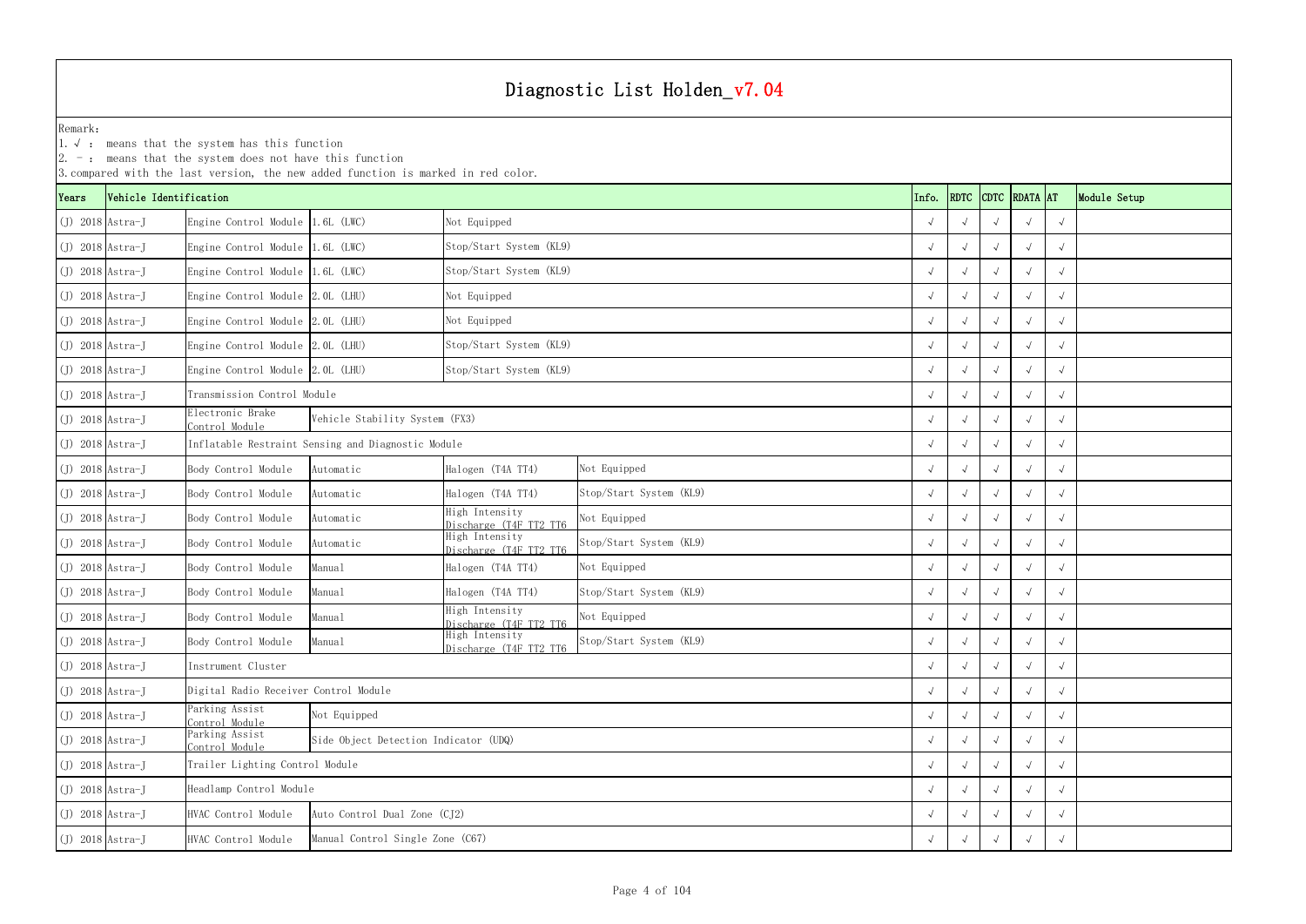|                    | $ 2.$ -: means that the system does not have this function<br>3. compared with the last version, the new added function is marked in red color.<br>CDTC RDATA AT<br>Vehicle Identification |                                       |                                                    |                                          |                         |  |       |             |  |  |            |              |
|--------------------|--------------------------------------------------------------------------------------------------------------------------------------------------------------------------------------------|---------------------------------------|----------------------------------------------------|------------------------------------------|-------------------------|--|-------|-------------|--|--|------------|--------------|
| Years              |                                                                                                                                                                                            |                                       |                                                    |                                          |                         |  | Info. | <b>RDTC</b> |  |  |            | Module Setup |
| $(J)$ 2018 Astra-J |                                                                                                                                                                                            | Engine Control Module 1.6L (LWC)      |                                                    | Not Equipped                             |                         |  |       |             |  |  |            |              |
| $(J)$ 2018 Astra-J |                                                                                                                                                                                            | Engine Control Module 1.6L (LWC)      |                                                    | Stop/Start System (KL9)                  |                         |  |       |             |  |  |            |              |
| $(J)$ 2018 Astra-J |                                                                                                                                                                                            | Engine Control Module 1.6L (LWC)      |                                                    | Stop/Start System (KL9)                  |                         |  |       |             |  |  |            |              |
| $(J)$ 2018 Astra-J |                                                                                                                                                                                            | Engine Control Module 2.0L (LHU)      |                                                    | Not Equipped                             |                         |  |       |             |  |  |            |              |
| $(J)$ 2018 Astra-J |                                                                                                                                                                                            | Engine Control Module 2.0L (LHU)      |                                                    | Not Equipped                             |                         |  |       |             |  |  |            |              |
| $(J)$ 2018 Astra-J |                                                                                                                                                                                            | Engine Control Module 2.0L (LHU)      |                                                    | Stop/Start System (KL9)                  |                         |  |       |             |  |  |            |              |
| $(J)$ 2018 Astra-J |                                                                                                                                                                                            | Engine Control Module 2.0L (LHU)      |                                                    | Stop/Start System (KL9)                  |                         |  |       |             |  |  |            |              |
| $(J)$ 2018 Astra-J |                                                                                                                                                                                            | Transmission Control Module           |                                                    |                                          |                         |  |       |             |  |  |            |              |
| $(J)$ 2018 Astra-J |                                                                                                                                                                                            | Electronic Brake<br>Control Module    | Vehicle Stability System (FX3)                     |                                          |                         |  |       |             |  |  |            |              |
| $(J)$ 2018 Astra-J |                                                                                                                                                                                            |                                       | Inflatable Restraint Sensing and Diagnostic Module |                                          |                         |  |       |             |  |  |            |              |
| $(J)$ 2018 Astra-J |                                                                                                                                                                                            | Body Control Module                   | Automatic                                          | Halogen (T4A TT4)                        | Not Equipped            |  |       |             |  |  |            |              |
| $(J)$ 2018 Astra-J |                                                                                                                                                                                            | Body Control Module                   | Automatic                                          | Halogen (T4A TT4)                        | Stop/Start System (KL9) |  |       |             |  |  |            |              |
| $(J)$ 2018 Astra-J |                                                                                                                                                                                            | Body Control Module                   | Automatic                                          | High Intensity<br>Discharge (T4F TT2 TT6 | Not Equipped            |  |       |             |  |  |            |              |
| $(J)$ 2018 Astra-J |                                                                                                                                                                                            | Body Control Module                   | Automatic                                          | High Intensity<br>Discharge (T4F TT2 TT6 | Stop/Start System (KL9) |  |       |             |  |  |            |              |
| $(J)$ 2018 Astra-J |                                                                                                                                                                                            | Body Control Module                   | Manual                                             | Halogen (T4A TT4)                        | Not Equipped            |  |       |             |  |  |            |              |
| $(J)$ 2018 Astra-J |                                                                                                                                                                                            | Body Control Module                   | Manual                                             | Halogen (T4A TT4)                        | Stop/Start System (KL9) |  |       |             |  |  |            |              |
| $(J)$ 2018 Astra-J |                                                                                                                                                                                            | Body Control Module                   | Manual                                             | High Intensity<br>Discharge (T4F TT2 TT6 | Not Equipped            |  |       |             |  |  |            |              |
| $(J)$ 2018 Astra-J |                                                                                                                                                                                            | Body Control Module                   | Manual                                             | High Intensity<br>Discharge (T4F TT2 TT6 | Stop/Start System (KL9) |  |       |             |  |  | $\sqrt{ }$ |              |
| $(J)$ 2018 Astra-J |                                                                                                                                                                                            | Instrument Cluster                    |                                                    |                                          |                         |  |       |             |  |  |            |              |
| $(J)$ 2018 Astra-J |                                                                                                                                                                                            | Digital Radio Receiver Control Module |                                                    |                                          |                         |  |       |             |  |  | $\sqrt{ }$ |              |
| $(J)$ 2018 Astra-J |                                                                                                                                                                                            | Parking Assist<br>Control Module      | Not Equipped                                       |                                          |                         |  |       |             |  |  |            |              |
| $(J)$ 2018 Astra-J |                                                                                                                                                                                            | Parking Assist<br>Control Module      | Side Object Detection Indicator (UDQ)              |                                          |                         |  |       |             |  |  | $\sqrt{ }$ |              |
| $(J)$ 2018 Astra-J |                                                                                                                                                                                            | Trailer Lighting Control Module       |                                                    |                                          |                         |  |       |             |  |  |            |              |
| $(J)$ 2018 Astra-J |                                                                                                                                                                                            | Headlamp Control Module               |                                                    |                                          |                         |  |       |             |  |  | $\sqrt{ }$ |              |
|                    | HVAC Control Module<br>Auto Control Dual Zone (CJ2)<br>$(J)$ 2018 Astra-J                                                                                                                  |                                       |                                                    |                                          |                         |  |       |             |  |  |            |              |
| $(J)$ 2018 Astra-J |                                                                                                                                                                                            | HVAC Control Module                   | Manual Control Single Zone (C67)                   |                                          |                         |  |       |             |  |  |            |              |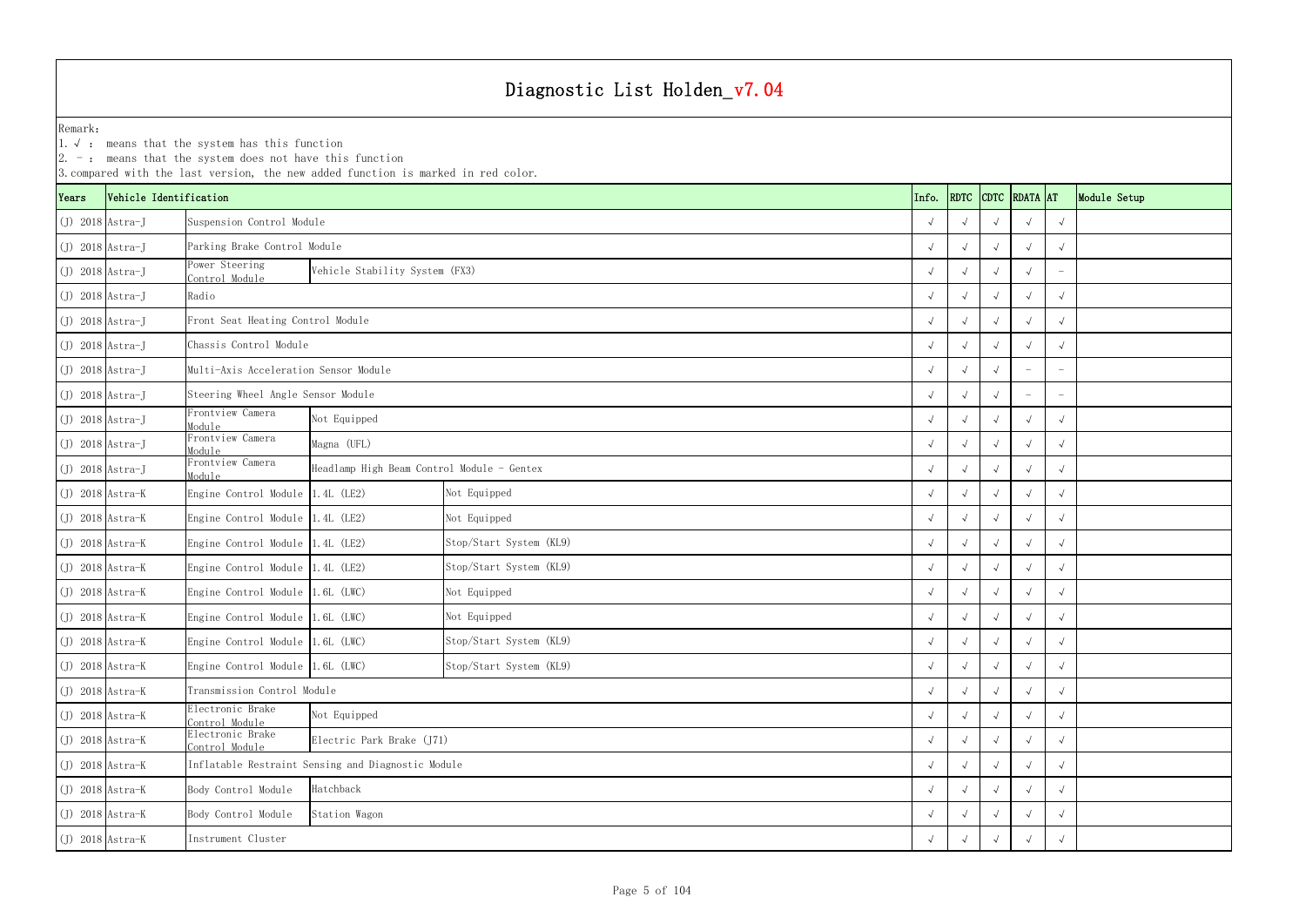YearsVehicle Identification **Info.** RDTC Remark:1.  $\sqrt{ }$ : means that the system has this function 2. -: means that the system does not have this function 3.compared with the last version, the new added function is marked in red color. (J) 2018 Astra-J √ √√√√ Suspension Control Module (J) 2018 Astra-J √ √√√√ Parking Brake Control Module (J) 2018 Astra-J<br>
Control Module <sup>√</sup> √√√ - Vehicle Stability System (FX3) (J) 2018 Astra-J √ √√√√ (J) 2018 Astra-J √ √√√√ Front Seat Heating Control Module (J) 2018 Astra-J √ √√√√ Chassis Control Module(J) 2018 Astra-J √ √√ - - Multi-Axis Acceleration Sensor Module(J) 2018 Astra-J √ √√ - - Steering Wheel Angle Sensor Module (J) 2018 Astra-J<br>
Module <sup>√</sup> √√√√ (J) 2018 Astra-J<br>
Module <sup>√</sup> √√√√ (J) 2018 Astra-J Frontview Camera Module <sup>√</sup> √√√√ Headlamp High Beam Control Module - Gentex (J) 2018 Astra-K Engine Control Module 1.4L (LE2) √ √√√√ (J) 2018 Astra-K Engine Control Module 1.4L (LE2) √ √√√√ (J) 2018 Astra-K Engine Control Module 1.4L (LE2) √ √√√√ Stop/Start System (KL9) (J) 2018 Astra-K Engine Control Module 1.4L (LE2) √ √√√√ Stop/Start System (KL9) (J) 2018 Astra-K Engine Control Module 1.6L (LWC) √ √√√√ (J) 2018 Astra-K Engine Control Module 1.6L (LWC) √ √√√√ (J) 2018 Astra-K Engine Control Module 1.6L (LWC) √ √√√√ Stop/Start System (KL9) (J) 2018 Astra-K Engine Control Module 1.6L (LWC) √ √√√√ Stop/Start System (KL9) (J) 2018 Astra-K √ √√√√ Transmission Control Module (J) 2018 Astra-K Electronic Brake Control Moduleαπειοι βίας επιβρασίας του προσωπικού του προσωπικού του προσωπικού του προσωπικού του στο στον καταστημικό στ<br>Προσωπικού του προσωπικού του προσωπικού του προσωπικού του προσωπικού του προσωπικού του προσωπικού του στο (J) 2018 Astra-K<br>
Control Module απειος βρασιεύες Park Brake (J71)<br>e interval park Brake (J71) (J) 2018 Astra-K √ √√√√ Inflatable Restraint Sensing and Diagnostic Module (J) 2018 Astra-K Body Control Module √ √√√√ (J) 2018 Astra-K Body Control Module √ √√√√ (J) 2018 Astra-K √ √√√√ Not Equipped Not Equipped Not Equipped Not Equipped Instrument Cluster RadioNot Equipped Electric Park Brake (J71) Hatchback Station Wagon Not Equipped Magna (UFL)

| <b>DTC</b>           | RDATA AT             |                      | Module Setup |
|----------------------|----------------------|----------------------|--------------|
| $\sqrt{ }$           | $\checkmark$         | $\checkmark$         |              |
| $\sqrt{ }$           | $\checkmark$         | $\sqrt{ }$           |              |
| $\sqrt{ }$           | $\checkmark$         |                      |              |
| $\sqrt{ }$           | $\checkmark$         | $\checkmark$         |              |
| $\sqrt{ }$           | $\checkmark$         | $\checkmark$         |              |
| $\sqrt{ }$           | $\checkmark$         | $\checkmark$         |              |
| $\sqrt{ }$           |                      |                      |              |
| $\sqrt{ }$           |                      |                      |              |
| $\sqrt{ }$           | $\checkmark$         | $\checkmark$         |              |
| $\sqrt{ }$           | $\checkmark$         | $\checkmark$         |              |
| $\sqrt{ }$           | $\checkmark$         | $\sqrt{}$            |              |
| $\sqrt{ }$           | $\checkmark$         | $\checkmark$         |              |
| $\sqrt{ }$           | $\checkmark$         | $\sqrt{ }$           |              |
| $\sqrt{ }$           | $\checkmark$         | $\checkmark$         |              |
| $\sqrt{ }$           | $\checkmark$         | $\sqrt{ }$           |              |
| $\sqrt{ }$           | $\checkmark$         | $\checkmark$         |              |
| $\sqrt{ }$           | $\checkmark$         | $\checkmark$         |              |
| $\checkmark$         | $\checkmark$         | $\sqrt{\phantom{a}}$ |              |
| $\sqrt{2}$           | $\checkmark$         | $\sqrt{ }$           |              |
| $\sqrt{\phantom{a}}$ | $\sqrt{}$            | $\checkmark$         |              |
| $\sqrt{ }$           | $\sqrt{2}$           | $\sqrt{\phantom{a}}$ |              |
| $\sqrt{2}$           | $\sqrt{2}$           | $\sqrt{2}$           |              |
| $\sqrt{ }$           | $\sqrt{2}$           | $\sqrt{2}$           |              |
| $\sqrt{ }$           | $\sqrt{2}$           | $\sqrt{2}$           |              |
| $\sqrt{ }$           | $\sqrt{\phantom{a}}$ | $\sqrt{ }$           |              |
| $\sqrt{2}$           | $\sqrt{2}$           | $\sqrt{2}$           |              |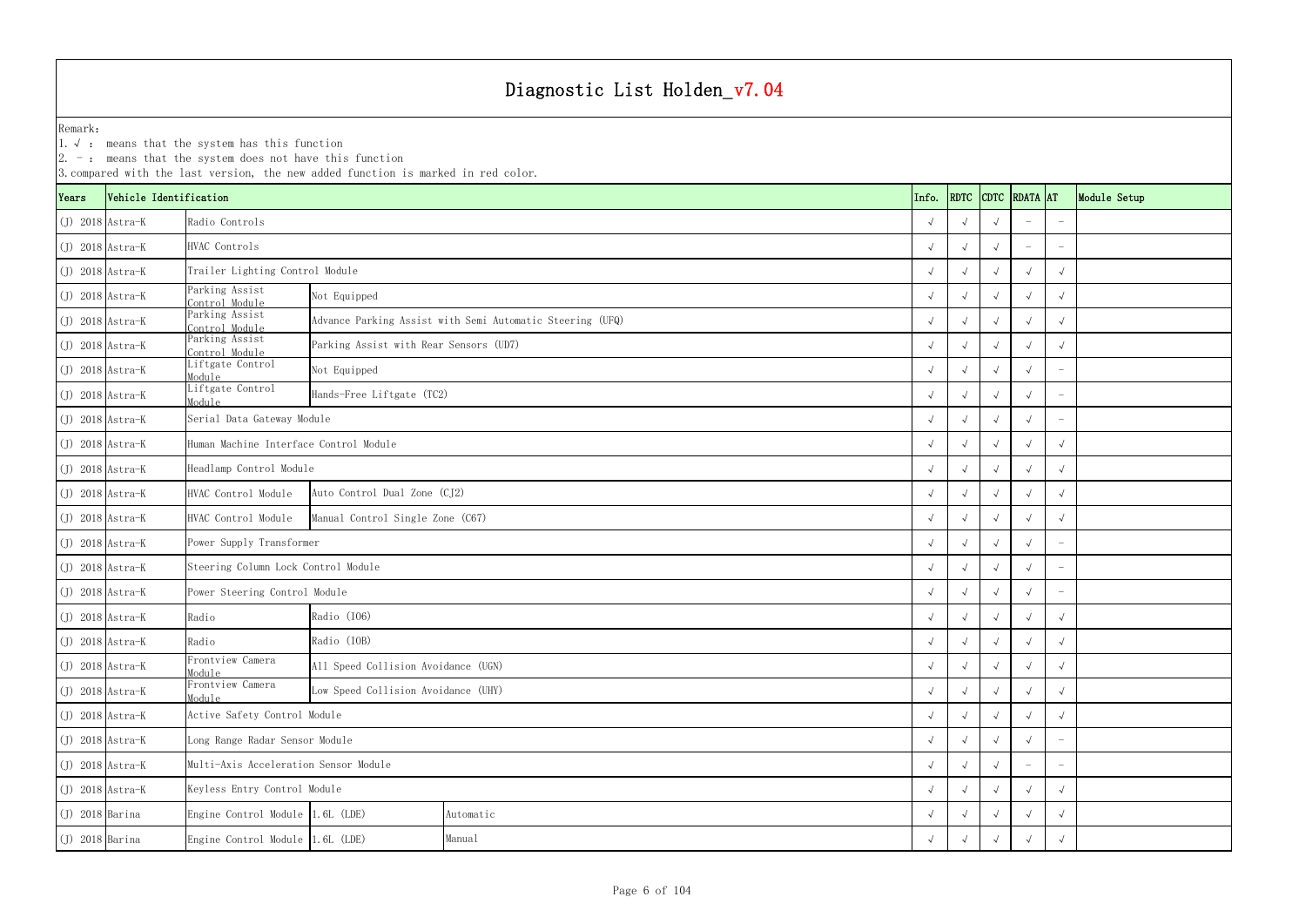1.√ : means that the system has this function

|                    |                        | $\vert 2.$ -: means that the system does not have this function                               | 3. compared with the last version, the new added function is marked in red color. |           |  |       |                          |            |                    |                          |              |
|--------------------|------------------------|-----------------------------------------------------------------------------------------------|-----------------------------------------------------------------------------------|-----------|--|-------|--------------------------|------------|--------------------|--------------------------|--------------|
| Years              | Vehicle Identification |                                                                                               |                                                                                   |           |  | Info. |                          |            | RDTC CDTC RDATA AT |                          | Module Setup |
| $(J)$ 2018 Astra-K |                        | Radio Controls                                                                                |                                                                                   |           |  |       |                          |            |                    |                          |              |
| $(J)$ 2018 Astra-K |                        | HVAC Controls                                                                                 |                                                                                   |           |  |       |                          |            |                    |                          |              |
| $(J)$ 2018 Astra-K |                        | Trailer Lighting Control Module                                                               |                                                                                   |           |  |       |                          |            |                    | $\sqrt{ }$               |              |
| $(J)$ 2018 Astra-K |                        | Parking Assist<br>Control Module                                                              | Not Equipped                                                                      |           |  |       |                          |            |                    | $\sqrt{ }$               |              |
| $(J)$ 2018 Astra-K |                        | Parking Assist<br>Advance Parking Assist with Semi Automatic Steering (UFQ)<br>Control Module |                                                                                   |           |  |       |                          |            |                    |                          |              |
| $(J)$ 2018 Astra-K |                        | Parking Assist<br>Control Module                                                              | Parking Assist with Rear Sensors (UD7)                                            |           |  |       |                          |            |                    |                          |              |
| $J)$ 2018 Astra-K  |                        | Liftgate Control<br>Module                                                                    | Not Equipped                                                                      |           |  |       |                          |            |                    |                          |              |
| $(J)$ 2018 Astra-K |                        | Liftgate Control<br>Module                                                                    | Hands-Free Liftgate (TC2)                                                         |           |  |       |                          |            |                    |                          |              |
| $(J)$ 2018 Astra-K |                        | Serial Data Gateway Module                                                                    |                                                                                   |           |  |       |                          |            |                    | $\overline{\phantom{a}}$ |              |
| $(J)$ 2018 Astra-K |                        | Human Machine Interface Control Module                                                        |                                                                                   |           |  |       |                          |            |                    | $\sqrt{ }$               |              |
| $(J)$ 2018 Astra-K |                        | Headlamp Control Module                                                                       |                                                                                   |           |  |       |                          | $\sqrt{ }$ |                    | $\sqrt{ }$               |              |
| $(J)$ 2018 Astra-K |                        | HVAC Control Module                                                                           | Auto Control Dual Zone (CJ2)                                                      |           |  |       |                          | $\sqrt{ }$ |                    | $\sqrt{ }$               |              |
| $(J)$ 2018 Astra-K |                        | HVAC Control Module                                                                           | Manual Control Single Zone (C67)                                                  |           |  |       |                          |            |                    | $\sqrt{ }$               |              |
| $(J)$ 2018 Astra-K |                        | Power Supply Transformer                                                                      |                                                                                   |           |  |       |                          |            |                    |                          |              |
| $J)$ 2018 Astra-K  |                        | Steering Column Lock Control Module                                                           |                                                                                   |           |  |       |                          |            |                    |                          |              |
| $(J)$ 2018 Astra-K |                        | Power Steering Control Module                                                                 |                                                                                   |           |  |       |                          |            |                    |                          |              |
| $(J)$ 2018 Astra-K |                        | Radio                                                                                         | Radio (I06)                                                                       |           |  |       |                          |            |                    | $\sqrt{ }$               |              |
| $(J)$ 2018 Astra-K |                        | Radio                                                                                         | Radio (IOB)                                                                       |           |  |       |                          |            |                    | $\sqrt{ }$               |              |
| $(J)$ 2018 Astra-K |                        | Frontview Camera<br>Module                                                                    | All Speed Collision Avoidance (UGN)                                               |           |  |       |                          | $\sqrt{ }$ |                    | $\sqrt{ }$               |              |
| $(J)$ 2018 Astra-K |                        | Frontview Camera<br>Module                                                                    | Low Speed Collision Avoidance (UHY)                                               |           |  |       | $\overline{\mathcal{A}}$ | $\sqrt{ }$ | $\sqrt{ }$         | $\sqrt{ }$               |              |
| $(J)$ 2018 Astra-K |                        | Active Safety Control Module                                                                  |                                                                                   |           |  |       |                          |            |                    | $\sqrt{ }$               |              |
| $(J)$ 2018 Astra-K |                        | Long Range Radar Sensor Module                                                                |                                                                                   |           |  |       |                          | $\sqrt{ }$ |                    |                          |              |
| $(J)$ 2018 Astra-K |                        | Multi-Axis Acceleration Sensor Module                                                         |                                                                                   |           |  |       | $\mathbf{\hat{v}}$       | $\sqrt{ }$ |                    |                          |              |
| $(J)$ 2018 Astra-K |                        | Keyless Entry Control Module                                                                  |                                                                                   |           |  |       | $\sim$                   | $\sqrt{ }$ | $\sqrt{ }$         | $\sqrt{ }$               |              |
| $(J)$ 2018 Barina  |                        | Engine Control Module 1.6L (LDE)                                                              |                                                                                   | Automatic |  |       |                          | $\sqrt{ }$ |                    | $\sqrt{ }$               |              |
| $(J)$ 2018 Barina  |                        |                                                                                               | Manual<br>Engine Control Module 1.6L (LDE)                                        |           |  |       |                          |            |                    |                          |              |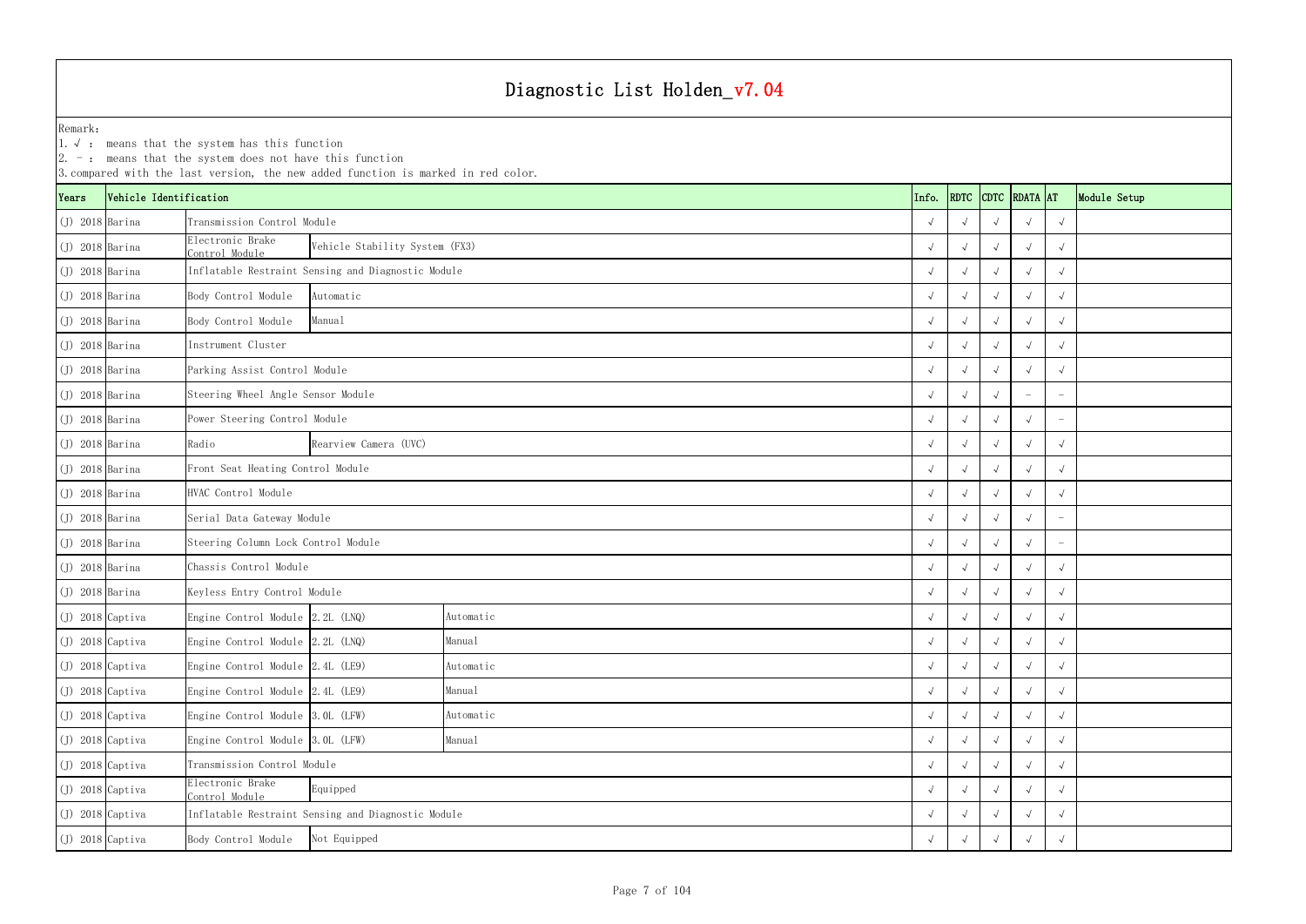1.√ : means that the system has this function

|                    |                        | $ 2. -$ : means that the system does not have this function | 3. compared with the last version, the new added function is marked in red color. |           |  |            |                    |            |            |                          |              |
|--------------------|------------------------|-------------------------------------------------------------|-----------------------------------------------------------------------------------|-----------|--|------------|--------------------|------------|------------|--------------------------|--------------|
| Years              | Vehicle Identification |                                                             |                                                                                   |           |  | Info.      | RDTC CDTC RDATA AT |            |            |                          | Module Setup |
| $(J)$ 2018 Barina  |                        | Transmission Control Module                                 |                                                                                   |           |  |            |                    |            |            | $\sqrt{ }$               |              |
| $(J)$ 2018 Barina  |                        | Electronic Brake<br>Control Module                          | Vehicle Stability System (FX3)                                                    |           |  |            |                    |            |            | $\sqrt{ }$               |              |
| $(J)$ 2018 Barina  |                        |                                                             | Inflatable Restraint Sensing and Diagnostic Module                                |           |  |            |                    |            |            | $\sqrt{ }$               |              |
| $(J)$ 2018 Barina  |                        | Body Control Module                                         | Automatic                                                                         |           |  |            |                    |            |            |                          |              |
| $(J)$ 2018 Barina  |                        | Body Control Module                                         | Manual                                                                            |           |  |            |                    |            |            | $\sqrt{ }$               |              |
| $(J)$ 2018 Barina  |                        | Instrument Cluster                                          |                                                                                   |           |  |            |                    |            |            | $\sqrt{ }$               |              |
| $(J)$ 2018 Barina  |                        | Parking Assist Control Module                               |                                                                                   |           |  |            |                    |            |            | $\sqrt{ }$               |              |
| $(J)$ 2018 Barina  |                        | Steering Wheel Angle Sensor Module                          |                                                                                   |           |  |            |                    |            |            | $\overline{\phantom{m}}$ |              |
| $(J)$ 2018 Barina  |                        | Power Steering Control Module                               |                                                                                   |           |  |            |                    |            |            |                          |              |
| $(J)$ 2018 Barina  |                        | Radio                                                       | Rearview Camera (UVC)                                                             |           |  |            |                    |            |            | $\sqrt{ }$               |              |
| $(J)$ 2018 Barina  |                        | Front Seat Heating Control Module                           |                                                                                   |           |  |            |                    |            |            | $\sqrt{ }$               |              |
| $(J)$ 2018 Barina  |                        | HVAC Control Module                                         |                                                                                   |           |  |            |                    |            |            | $\sqrt{ }$               |              |
| $(J)$ 2018 Barina  |                        | Serial Data Gateway Module                                  |                                                                                   |           |  |            |                    |            |            |                          |              |
| $(J)$ 2018 Barina  |                        | Steering Column Lock Control Module                         |                                                                                   |           |  |            |                    |            |            |                          |              |
| $(J)$ 2018 Barina  |                        | Chassis Control Module                                      |                                                                                   |           |  |            | $\sqrt{ }$         |            |            | $\sqrt{ }$               |              |
| $(J)$ 2018 Barina  |                        | Keyless Entry Control Module                                |                                                                                   |           |  |            |                    |            |            | $\sqrt{ }$               |              |
| $(J)$ 2018 Captiva |                        | Engine Control Module 2.2L (LNQ)                            |                                                                                   | Automatic |  |            |                    |            |            | $\sqrt{ }$               |              |
| $(J)$ 2018 Captiva |                        | Engine Control Module 2.2L (LNQ)                            |                                                                                   | Manual    |  | $\sqrt{ }$ | $\sqrt{ }$         | $\sqrt{ }$ | $\sqrt{ }$ | $\sqrt{ }$               |              |
| $(J)$ 2018 Captiva |                        | Engine Control Module 2.4L (LE9)                            |                                                                                   | Automatic |  |            | $\sqrt{ }$         |            |            | $\sqrt{ }$               |              |
| $J)$ 2018 Captiva  |                        | Engine Control Module 2.4L (LE9)                            |                                                                                   | Manual    |  |            |                    |            |            | $\sqrt{ }$               |              |
| $(J)$ 2018 Captiva |                        | Engine Control Module 3.0L (LFW)                            |                                                                                   | Automatic |  |            |                    |            |            | $\sqrt{ }$               |              |
| $(J)$ 2018 Captiva |                        | Engine Control Module 3.0L (LFW)                            |                                                                                   | Manual    |  | $\sqrt{ }$ | $\sqrt{ }$         |            |            | $\sqrt{ }$               |              |
| $(J)$ 2018 Captiva |                        | Transmission Control Module                                 |                                                                                   |           |  | $\sqrt{ }$ | $\sqrt{ }$         | $\sqrt{ }$ |            | $\sqrt{ }$               |              |
| $(J)$ 2018 Captiva |                        | Electronic Brake<br>Equipped<br>Control Module              |                                                                                   |           |  |            |                    |            |            | $\sqrt{ }$               |              |
| $(J)$ 2018 Captiva |                        | Inflatable Restraint Sensing and Diagnostic Module          |                                                                                   |           |  |            |                    |            |            | $\sqrt{ }$               |              |
| (J) 2018 Captiva   |                        | Body Control Module                                         |                                                                                   |           |  |            |                    | $\sqrt{ }$ |            |                          |              |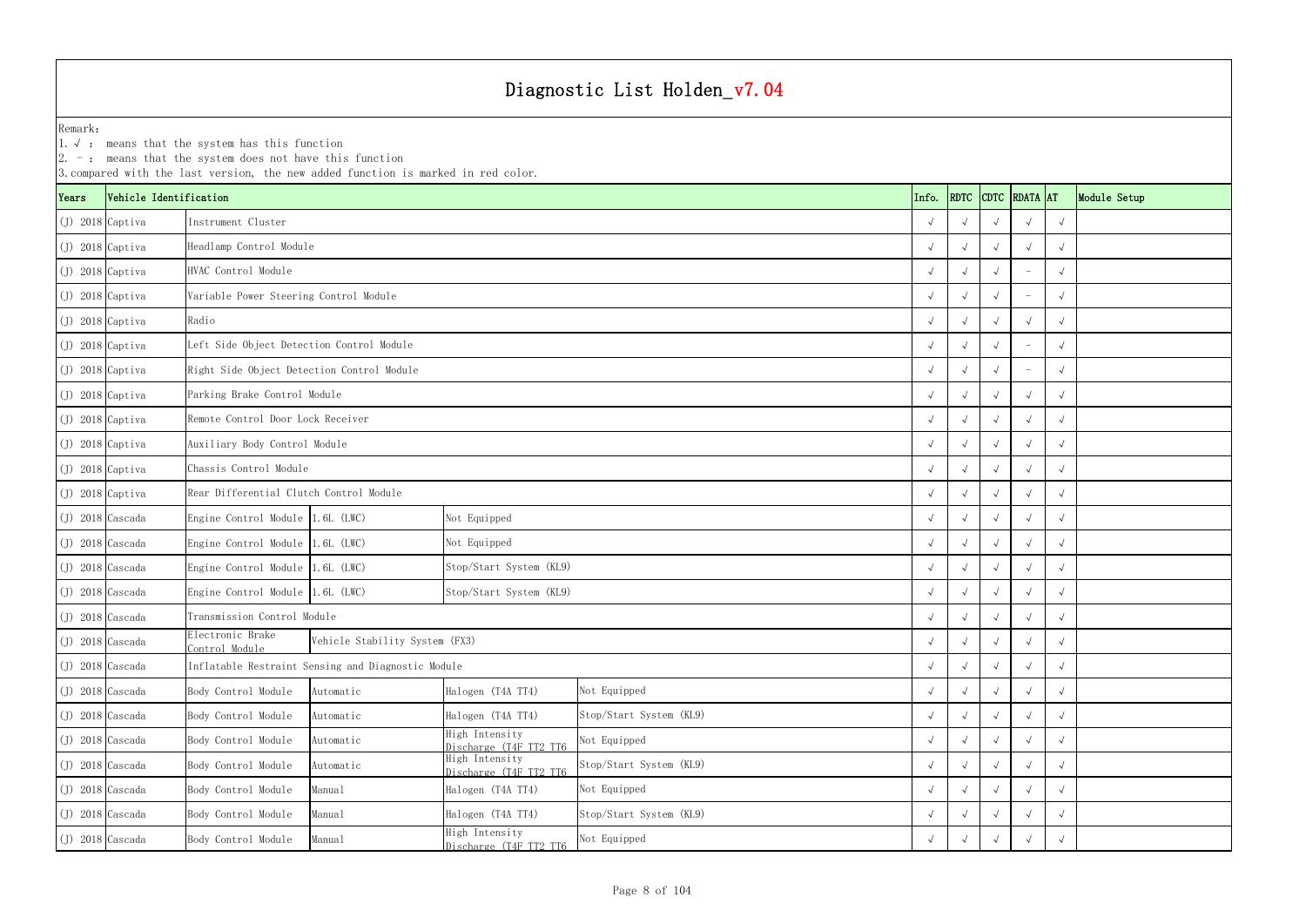YearsVehicle Identification **Info.** RDTC Remark:1.  $\sqrt{ }$ : means that the system has this function 2. -: means that the system does not have this function 3.compared with the last version, the new added function is marked in red color. (J) 2018 Captiva √ √√√√ (J) 2018 Captiva √ √√√√ Headlamp Control Module (J) 2018 Captiva √ √√ - √ (J) 2018 Captiva √ √√ - √ Variable Power Steering Control Module (J) 2018 Captiva √ √√√√ (J) 2018 Captiva √ √√ - √ Left Side Object Detection Control Module (J) 2018 Captiva √ √√ - √ Right Side Object Detection Control Module (J) 2018 Captiva √ √√√√ Parking Brake Control Module (J) 2018 Captiva √ √√√√ Remote Control Door Lock Receiver (J) 2018 Captiva √ √√√√ Auxiliary Body Control Module (J) 2018 Captiva √ √√√√ Chassis Control Module (J) 2018 Captiva √ √√√√ Rear Differential Clutch Control Module (J) 2018 Cascada Engine Control Module 1.6L (LWC) √ √√√√ (J) 2018 Cascada Engine Control Module 1.6L (LWC) √ √√√√ (J) 2018 Cascada Engine Control Module 1.6L (LWC) √ √√√√ Stop/Start System (KL9) (J) 2018 Cascada Engine Control Module 1.6L (LWC) √ √√√√ Stop/Start System (KL9) (J) 2018 Cascada √ √√√√ Transmission Control Module (J) 2018 Cascada Electronic Brake Control Module <sup>√</sup> √√√√ Vehicle Stability System (FX3) (J) 2018 Cascada √ √√√√ Inflatable Restraint Sensing and Diagnostic Module (J) 2018 Cascada Body Control Module Automatic Halogen (T4A TT4) √ √√√√ (J) 2018 Cascada Body Control Module Automatic Halogen (T4A TT4) √ √√√√ Stop/Start System (KL9) (J) 2018 Cascada Body Control Module Automatic High Intensity Not Equipped √ √ √ √ √ √ (J) 2018 Cascada Body Control Module Automatic High Intensity Discharge (T4F TT2 TT6 <sup>√</sup> √√√√ (J) 2018 Cascada Body Control Module Manual Halogen (T4A TT4) √ √√√√ (J) 2018 Cascada Body Control Module Manual Halogen (T4A TT4) √ √√√√ Stop/Start System (KL9) Not Equipped Not Equipped Not Equipped Stop/Start System (KL9) Not Equipped Instrument ClusterHVAC Control ModuleRadio Not Equipped

|                    |                        | 2. $-$ : means that the system does not have this function                                | 3. compared with the last version, the new added function is marked in red color. |                                          |                         |       |            |            |                    |            |              |  |
|--------------------|------------------------|-------------------------------------------------------------------------------------------|-----------------------------------------------------------------------------------|------------------------------------------|-------------------------|-------|------------|------------|--------------------|------------|--------------|--|
| ears)              | Vehicle Identification |                                                                                           |                                                                                   |                                          |                         | Info. |            |            | RDTC CDTC RDATA AT |            | Module Setup |  |
| (J) 2018 Captiva   |                        | Instrument Cluster                                                                        |                                                                                   |                                          |                         |       | $\sqrt{ }$ |            |                    |            |              |  |
| (J) 2018 Captiva   |                        | Headlamp Control Module                                                                   |                                                                                   |                                          |                         |       | $\sqrt{ }$ |            |                    | $\sqrt{ }$ |              |  |
| (J) 2018 Captiva   |                        | HVAC Control Module                                                                       |                                                                                   |                                          |                         |       | $\sqrt{ }$ |            |                    |            |              |  |
| (J) 2018 Captiva   |                        | Variable Power Steering Control Module                                                    |                                                                                   |                                          |                         |       | $\sqrt{ }$ |            |                    |            |              |  |
| (J) 2018 Captiva   |                        | Radio                                                                                     |                                                                                   |                                          |                         |       |            |            |                    |            |              |  |
| (J) 2018 Captiva   |                        | Left Side Object Detection Control Module                                                 |                                                                                   |                                          |                         |       |            |            |                    |            |              |  |
| (J) 2018 Captiva   |                        | Right Side Object Detection Control Module                                                |                                                                                   |                                          |                         |       | $\sqrt{ }$ |            |                    |            |              |  |
| (J) 2018 Captiva   |                        | Parking Brake Control Module                                                              |                                                                                   |                                          |                         |       | $\sqrt{ }$ |            |                    |            |              |  |
| (J) 2018 Captiva   |                        | Remote Control Door Lock Receiver                                                         |                                                                                   |                                          |                         |       | $\sqrt{ }$ |            |                    |            |              |  |
| (J) 2018 Captiva   |                        | Auxiliary Body Control Module                                                             |                                                                                   |                                          |                         |       | $\sqrt{ }$ |            |                    |            |              |  |
| (J) 2018 Captiva   |                        | Chassis Control Module                                                                    |                                                                                   |                                          |                         |       | $\sqrt{ }$ |            |                    |            |              |  |
| (J) 2018 Captiva   |                        | Rear Differential Clutch Control Module                                                   |                                                                                   |                                          |                         |       | $\sqrt{ }$ |            |                    |            |              |  |
| (J) 2018 Cascada   |                        | Engine Control Module 1.6L (LWC)                                                          |                                                                                   | Not Equipped                             |                         |       | $\sqrt{ }$ |            |                    |            |              |  |
| (J) 2018 Cascada   |                        | Engine Control Module 1.6L (LWC)                                                          |                                                                                   | Not Equipped                             |                         |       |            |            |                    |            |              |  |
| (J) 2018 Cascada   |                        | Engine Control Module 1.6L (LWC)                                                          |                                                                                   | Stop/Start System (KL9)                  |                         |       | $\sqrt{ }$ |            |                    |            |              |  |
| (J) 2018 Cascada   |                        | Engine Control Module 1.6L (LWC)                                                          |                                                                                   | Stop/Start System (KL9)                  |                         |       | $\sqrt{ }$ |            |                    |            |              |  |
| $(J)$ 2018 Cascada |                        | Transmission Control Module                                                               |                                                                                   |                                          |                         |       | $\sqrt{ }$ |            |                    |            |              |  |
| $(J)$ 2018 Cascada |                        | Electronic Brake<br>Control Module                                                        | Vehicle Stability System (FX3)                                                    |                                          |                         |       | $\sqrt{ }$ | $\sqrt{ }$ |                    | $\sqrt{ }$ | $\sqrt{ }$   |  |
| (J) 2018 Cascada   |                        |                                                                                           | Inflatable Restraint Sensing and Diagnostic Module                                |                                          |                         |       | $\sqrt{ }$ | $\sqrt{ }$ | $\sqrt{ }$         |            |              |  |
| (J) 2018 Cascada   |                        | Body Control Module                                                                       | Automatic                                                                         | Halogen (T4A TT4)                        | Not Equipped            |       | $\sqrt{ }$ |            |                    |            | $\sqrt{ }$   |  |
| (J) 2018 Cascada   |                        | Body Control Module                                                                       | Automatic                                                                         | Halogen (T4A TT4)                        | Stop/Start System (KL9) |       | $\sqrt{ }$ | $\sqrt{ }$ |                    |            |              |  |
| (J) 2018 Cascada   |                        | Body Control Module                                                                       | Automatic                                                                         | High Intensity<br>Discharge (T4F TT2 TT6 | Not Equipped            |       | $\sqrt{ }$ | $\sqrt{ }$ |                    | $\sqrt{ }$ | $\sqrt{ }$   |  |
| (J) 2018 Cascada   |                        | Body Control Module                                                                       | Automatic                                                                         | High Intensity<br>Discharge (T4F TT2 TT6 | Stop/Start System (KL9) |       | $\sqrt{ }$ | $\sqrt{ }$ |                    |            |              |  |
| (J) 2018 Cascada   |                        | Body Control Module                                                                       | Manual                                                                            | Halogen (T4A TT4)                        | Not Equipped            |       | $\sqrt{ }$ |            |                    |            |              |  |
| (J) 2018 Cascada   |                        | Body Control Module                                                                       | Manual                                                                            | Halogen (T4A TT4)                        | Stop/Start System (KL9) |       | $\sqrt{ }$ |            |                    |            |              |  |
| (J) 2018 Cascada   |                        | High Intensity<br>Not Equipped<br>Body Control Module<br>Manual<br>Discharge (T4F TT2 TT6 |                                                                                   |                                          |                         |       |            |            |                    |            |              |  |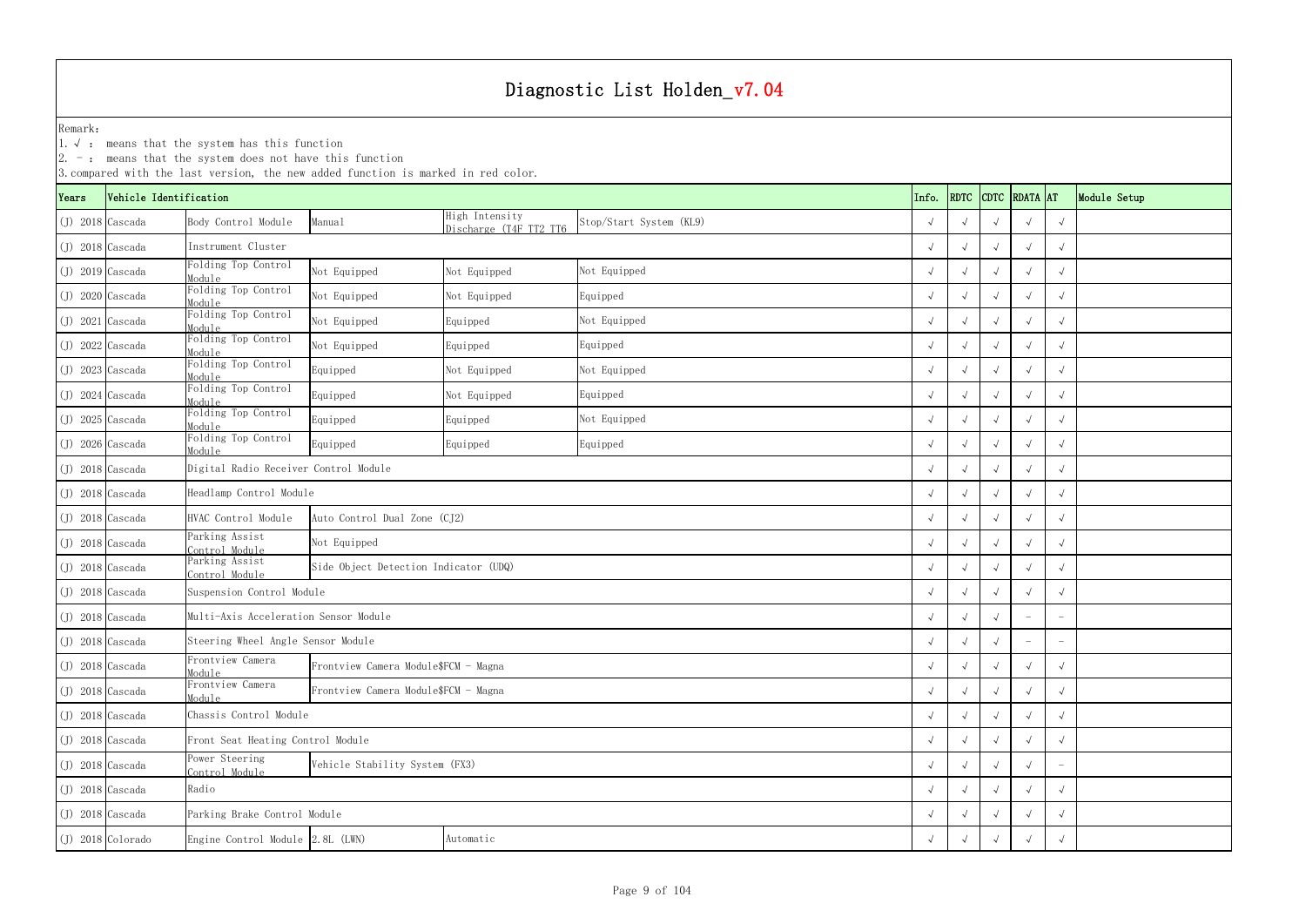|                    |                                                                                          | $ 2. -$ : means that the system does not have this function | 3. compared with the last version, the new added function is marked in red color. |                                          |                         |            |            |            |               |                          |              |
|--------------------|------------------------------------------------------------------------------------------|-------------------------------------------------------------|-----------------------------------------------------------------------------------|------------------------------------------|-------------------------|------------|------------|------------|---------------|--------------------------|--------------|
| Years              | Vehicle Identification                                                                   |                                                             |                                                                                   |                                          |                         | Info.      | RDTC       |            | CDTC RDATA AT |                          | Module Setup |
| $(J)$ 2018 Cascada |                                                                                          | Body Control Module                                         | Manual                                                                            | High Intensity<br>Discharge (T4F TT2 TT6 | Stop/Start System (KL9) |            |            |            |               | $\sqrt{ }$               |              |
| $(J)$ 2018 Cascada |                                                                                          | Instrument Cluster                                          |                                                                                   |                                          |                         |            |            |            | $\sqrt{ }$    | $\sqrt{ }$               |              |
| $(J)$ 2019 Cascada |                                                                                          | Folding Top Control<br>Module                               | Not Equipped                                                                      | Not Equipped                             | Not Equipped            |            |            |            |               | $\sqrt{ }$               |              |
| $(J)$ 2020 Cascada |                                                                                          | olding Top Control<br>Module                                | Not Equipped                                                                      | Not Equipped                             | Equipped                |            |            |            |               | $\sqrt{ }$               |              |
| $(J)$ 2021 Cascada |                                                                                          | olding Top Control<br>Module                                | Not Equipped                                                                      | Equipped                                 | Not Equipped            |            |            |            |               | $\sqrt{ }$               |              |
| $(J)$ 2022 Cascada |                                                                                          | <b>Colding Top Control</b><br><i>Module</i>                 | Not Equipped                                                                      | Equipped                                 | Equipped                |            | $\sqrt{ }$ |            |               | $\sqrt{ }$               |              |
| $(J)$ 2023 Cascada |                                                                                          | Folding Top Control<br>Module                               | Equipped                                                                          | Not Equipped                             | Not Equipped            |            |            |            |               | $\sqrt{ }$               |              |
| $(J)$ 2024 Cascada |                                                                                          | <b>Colding Top Control</b><br>Module                        | Equipped                                                                          | Not Equipped                             | Equipped                |            |            |            |               | $\sqrt{ }$               |              |
| $(J)$ 2025 Cascada |                                                                                          | olding Top Control<br>Module                                | Equipped                                                                          | Equipped                                 | Not Equipped            |            |            |            | $\sqrt{ }$    | $\sqrt{ }$               |              |
| $(J)$ 2026 Cascada |                                                                                          | <b>Colding Top Control</b><br>Module                        | Equipped                                                                          | Equipped                                 | Equipped                |            |            |            | $\sqrt{ }$    | $\sqrt{ }$               |              |
| $(J)$ 2018 Cascada |                                                                                          | Digital Radio Receiver Control Module                       |                                                                                   |                                          |                         |            |            |            |               | $\sqrt{ }$               |              |
| $(J)$ 2018 Cascada |                                                                                          | Headlamp Control Module                                     |                                                                                   |                                          |                         |            |            |            |               | $\sqrt{ }$               |              |
| $(J)$ 2018 Cascada |                                                                                          | HVAC Control Module                                         | Auto Control Dual Zone (CJ2)                                                      |                                          |                         |            |            |            |               | $\sqrt{ }$               |              |
| $(J)$ 2018 Cascada |                                                                                          | Parking Assist<br>Control Module                            | Not Equipped                                                                      |                                          |                         |            | $\sqrt{ }$ |            |               | $\sqrt{ }$               |              |
| $(J)$ 2018 Cascada |                                                                                          | Parking Assist<br>Control Module                            | Side Object Detection Indicator (UDQ)                                             |                                          |                         |            | $\sqrt{ }$ |            |               | $\sqrt{ }$               |              |
| $(J)$ 2018 Cascada |                                                                                          | Suspension Control Module                                   |                                                                                   |                                          |                         |            |            |            |               | $\sqrt{ }$               |              |
| $(J)$ 2018 Cascada |                                                                                          | Multi-Axis Acceleration Sensor Module                       |                                                                                   |                                          |                         |            |            |            |               | $\overline{\phantom{0}}$ |              |
| $(J)$ 2018 Cascada |                                                                                          | Steering Wheel Angle Sensor Module                          |                                                                                   |                                          |                         | $\sqrt{ }$ | $\sqrt{ }$ | $\sqrt{ }$ |               | $\overline{\phantom{m}}$ |              |
| $(J)$ 2018 Cascada |                                                                                          | Frontview Camera<br>Module                                  | Frontview Camera Module\$FCM - Magna                                              |                                          |                         |            | $\sqrt{ }$ |            |               | $\sqrt{ }$               |              |
| $(J)$ 2018 Cascada |                                                                                          | Frontview Camera<br>Module                                  | Frontview Camera Module\$FCM - Magna                                              |                                          |                         |            |            |            |               | $\sqrt{ }$               |              |
| $(J)$ 2018 Cascada |                                                                                          | Chassis Control Module                                      |                                                                                   |                                          |                         |            |            |            |               | $\sqrt{ }$               |              |
| $(J)$ 2018 Cascada |                                                                                          | Front Seat Heating Control Module                           |                                                                                   |                                          |                         |            | $\sqrt{ }$ | $\sqrt{ }$ |               | $\sqrt{ }$               |              |
|                    | Power Steering<br>Vehicle Stability System (FX3)<br>$(J)$ 2018 Cascada<br>Control Module |                                                             |                                                                                   |                                          |                         |            | $\sqrt{ }$ | $\sqrt{ }$ |               | $\overline{\phantom{a}}$ |              |
|                    | Radio<br>$(J)$ 2018 Cascada                                                              |                                                             |                                                                                   |                                          |                         |            |            |            |               | $\sqrt{ }$               |              |
|                    | Parking Brake Control Module<br>$(J)$ 2018 Cascada                                       |                                                             |                                                                                   |                                          |                         |            |            |            |               | $\sqrt{ }$               |              |
|                    | (J) 2018 Colorado<br>Engine Control Module 2.8L (LWN)<br>Automatic                       |                                                             |                                                                                   |                                          |                         |            |            |            |               | $\sqrt{ }$               |              |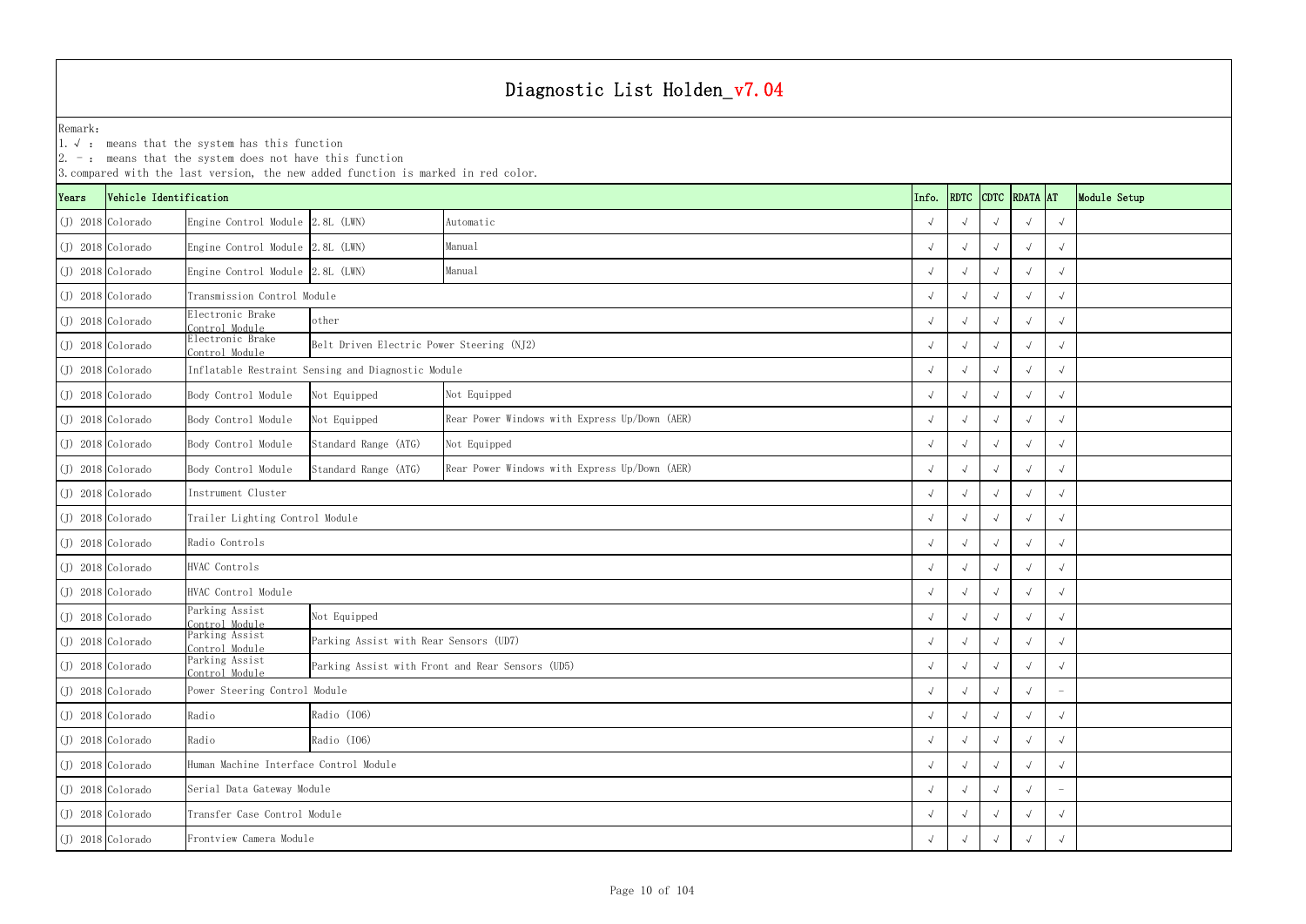1.√ : means that the system has this function

|                     |                                                       | $ 2. -$ : means that the system does not have this function                     | 3. compared with the last version, the new added function is marked in red color. |                                                  |  |       |            |  |                    |            |              |
|---------------------|-------------------------------------------------------|---------------------------------------------------------------------------------|-----------------------------------------------------------------------------------|--------------------------------------------------|--|-------|------------|--|--------------------|------------|--------------|
| Years               | Vehicle Identification                                |                                                                                 |                                                                                   |                                                  |  | Info. |            |  | RDTC CDTC RDATA AT |            | Module Setup |
|                     | $(J)$ 2018 Colorado                                   | Engine Control Module 2.8L (LWN)                                                |                                                                                   | Automatic                                        |  |       |            |  |                    | $\sqrt{ }$ |              |
|                     | $(J)$ 2018 Colorado                                   | Engine Control Module 2.8L (LWN)                                                |                                                                                   | Manual                                           |  |       |            |  |                    |            |              |
| $(J)$ 2018 Colorado |                                                       | Engine Control Module 2.8L (LWN)                                                |                                                                                   | Manual                                           |  |       |            |  |                    | $\sqrt{ }$ |              |
|                     | $(J)$ 2018 Colorado                                   | Transmission Control Module                                                     |                                                                                   |                                                  |  |       |            |  |                    |            |              |
|                     | $(J)$ 2018 Colorado                                   | Electronic Brake<br>other<br>Control Module                                     |                                                                                   |                                                  |  |       |            |  |                    | $\sqrt{ }$ |              |
|                     | $(J)$ 2018 Colorado                                   | Electronic Brake<br>Belt Driven Electric Power Steering (NJ2)<br>Control Module |                                                                                   |                                                  |  |       |            |  |                    |            |              |
|                     | $(J)$ 2018 Colorado                                   |                                                                                 | Inflatable Restraint Sensing and Diagnostic Module                                |                                                  |  |       |            |  |                    | $\sqrt{ }$ |              |
|                     | $(J)$ 2018 Colorado                                   | Body Control Module                                                             | Not Equipped                                                                      | Not Equipped                                     |  |       |            |  |                    |            |              |
|                     | $(J)$ 2018 Colorado                                   | Body Control Module                                                             | Not Equipped                                                                      | Rear Power Windows with Express Up/Down (AER)    |  |       |            |  |                    | $\sqrt{ }$ |              |
|                     | $(J)$ 2018 Colorado                                   | Body Control Module                                                             | Standard Range (ATG)                                                              | Not Equipped                                     |  |       |            |  |                    | $\sqrt{ }$ |              |
| $(J)$ 2018 Colorado |                                                       | Body Control Module                                                             | Standard Range (ATG)                                                              | Rear Power Windows with Express Up/Down (AER)    |  |       |            |  |                    | $\sqrt{ }$ |              |
|                     | $(J)$ 2018 Colorado                                   | Instrument Cluster                                                              |                                                                                   |                                                  |  |       |            |  |                    |            |              |
|                     | $(J)$ 2018 Colorado                                   | Trailer Lighting Control Module                                                 |                                                                                   |                                                  |  |       |            |  |                    |            |              |
|                     | $(J)$ 2018 Colorado                                   | Radio Controls                                                                  |                                                                                   |                                                  |  |       |            |  |                    |            |              |
|                     | $(J)$ 2018 Colorado                                   | HVAC Controls                                                                   |                                                                                   |                                                  |  |       |            |  |                    | $\sqrt{ }$ |              |
|                     | $(J)$ 2018 Colorado                                   | HVAC Control Module                                                             |                                                                                   |                                                  |  |       |            |  |                    | $\sqrt{ }$ |              |
|                     | $(J)$ 2018 Colorado                                   | Parking Assist<br>Control Module                                                | Not Equipped                                                                      |                                                  |  |       |            |  |                    | $\sqrt{ }$ |              |
|                     | (J) 2018 Colorado                                     | Parking Assist<br>Control Module                                                | Parking Assist with Rear Sensors (UD7)                                            |                                                  |  |       | $\sqrt{ }$ |  | $\sqrt{ }$         | $\sqrt{ }$ |              |
|                     | $(J)$ 2018 Colorado                                   | Parking Assist<br>Control Module                                                |                                                                                   | Parking Assist with Front and Rear Sensors (UD5) |  |       | $\sqrt{ }$ |  |                    |            |              |
|                     | $(J)$ 2018 Colorado                                   | Power Steering Control Module                                                   |                                                                                   |                                                  |  |       |            |  |                    |            |              |
|                     | (J) 2018 Colorado                                     | Radio                                                                           | Radio (I06)                                                                       |                                                  |  |       |            |  |                    | $\sqrt{ }$ |              |
|                     | $(J)$ 2018 Colorado                                   | Radio (I06)<br>Radio                                                            |                                                                                   |                                                  |  |       | $\sqrt{ }$ |  | $\sqrt{ }$         | $\sqrt{ }$ |              |
|                     | (J) 2018 Colorado                                     | Human Machine Interface Control Module                                          |                                                                                   |                                                  |  |       | $\sqrt{ }$ |  |                    | $\sqrt{ }$ |              |
|                     | Serial Data Gateway Module<br>$(J)$ 2018 Colorado     |                                                                                 |                                                                                   |                                                  |  |       |            |  |                    |            |              |
|                     | Transfer Case Control Module<br>$(J)$ 2018 Colorado   |                                                                                 |                                                                                   |                                                  |  |       |            |  |                    | $\sqrt{ }$ |              |
|                     | Frontview Camera Module<br>$(J)$ 2018 $\alpha$ lorado |                                                                                 |                                                                                   |                                                  |  |       |            |  |                    | $\sqrt{ }$ |              |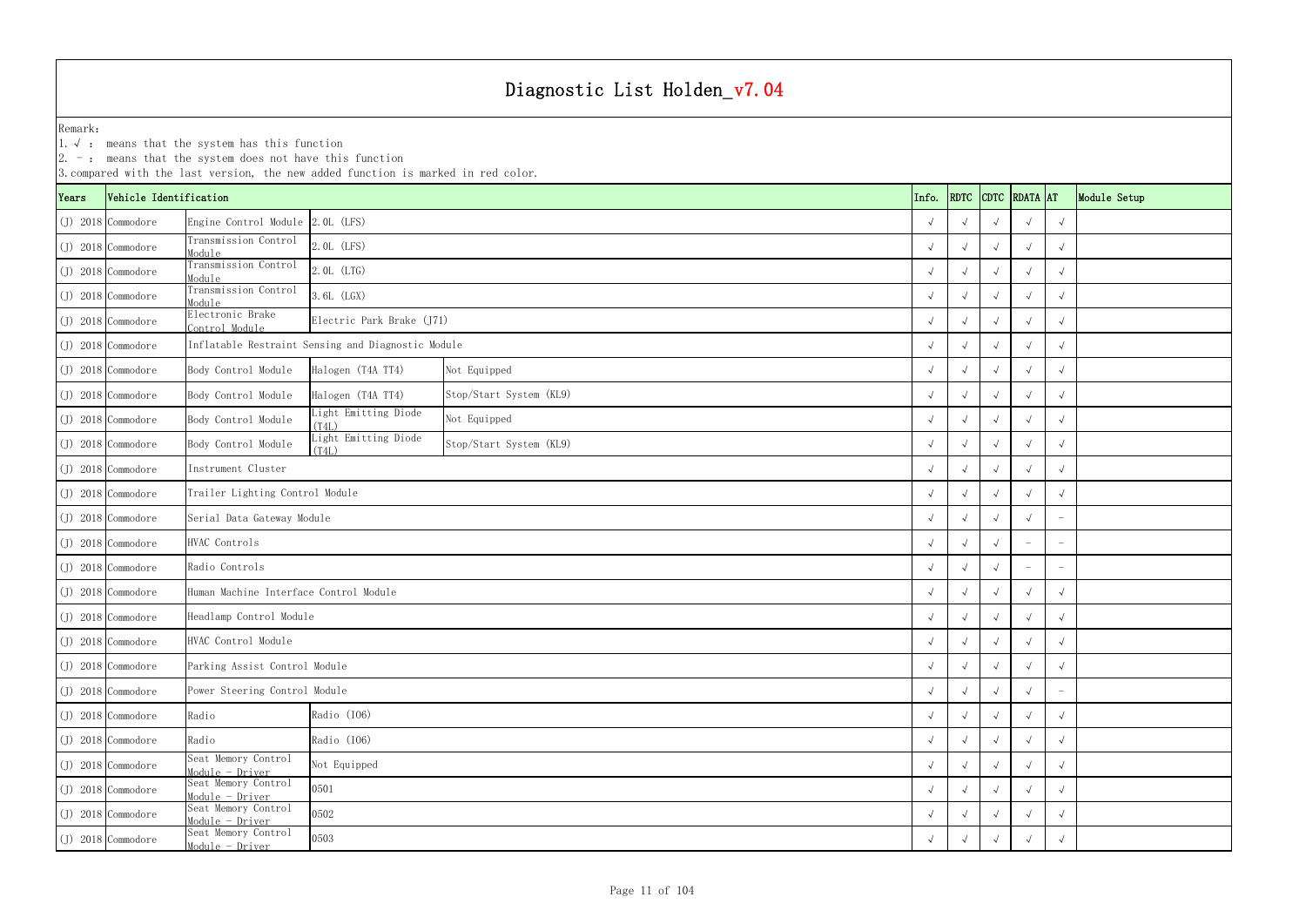|       |                        | $ 2. -$ : means that the system does not have this function | 3. compared with the last version, the new added function is marked in red color. |                         |  |            |                    |            |               |                   |              |
|-------|------------------------|-------------------------------------------------------------|-----------------------------------------------------------------------------------|-------------------------|--|------------|--------------------|------------|---------------|-------------------|--------------|
| Years | Vehicle Identification |                                                             |                                                                                   |                         |  | Info.      | RDTC               |            | CDTC RDATA AT |                   | Module Setup |
|       | $(J)$ 2018 Commodore   | Engine Control Module 2.0L (LFS)                            |                                                                                   |                         |  |            |                    |            |               | $\sqrt{ }$        |              |
|       | $(J)$ 2018 Commodore   | Transmission Control<br>Module                              | 2.0L (LFS)                                                                        |                         |  |            | $\sqrt{ }$         |            |               |                   |              |
|       | $(J)$ 2018 Commodore   | Transmission Control<br>Module                              | $2.0L$ (LTG)                                                                      |                         |  |            |                    |            |               | $\sqrt{ }$        |              |
|       | $(J)$ 2018 Commodore   | Transmission Control<br>Module                              | $6L$ (LGX)                                                                        |                         |  |            |                    |            |               |                   |              |
|       | $(J)$ 2018 Commodore   | Electronic Brake<br>Control Module                          | Electric Park Brake (J71)                                                         |                         |  |            |                    |            |               | $\sqrt{ }$        |              |
|       | $(J)$ 2018 Commodore   | Inflatable Restraint Sensing and Diagnostic Module          |                                                                                   |                         |  |            |                    |            |               |                   |              |
|       | $(J)$ 2018 Commodore   | Body Control Module                                         | Halogen (T4A TT4)                                                                 | Not Equipped            |  |            |                    |            |               | $\sqrt{ }$        |              |
|       | $(J)$ 2018 Commodore   | Body Control Module                                         | Halogen (T4A TT4)                                                                 | Stop/Start System (KL9) |  |            |                    |            |               |                   |              |
|       | $(J)$ 2018 Commodore   | Body Control Module                                         | Light Emitting Diode<br>(T4L)                                                     | Not Equipped            |  |            |                    |            |               | $\sqrt{ }$        |              |
|       | $(J)$ 2018 Commodore   | Body Control Module                                         | Light Emitting Diode<br>(T4L)                                                     | Stop/Start System (KL9) |  |            |                    |            |               | $\sqrt{ }$        |              |
|       | $(J)$ 2018 Commodore   | Instrument Cluster                                          |                                                                                   |                         |  |            |                    |            |               | $\sqrt{ }$        |              |
|       | $(J)$ 2018 Commodore   | Trailer Lighting Control Module                             |                                                                                   |                         |  |            |                    |            |               |                   |              |
|       | $(J)$ 2018 Commodore   | Serial Data Gateway Module                                  |                                                                                   |                         |  |            |                    |            |               |                   |              |
|       | $(J)$ 2018 Commodore   | HVAC Controls                                               |                                                                                   |                         |  |            | $\sqrt{ }$         |            |               |                   |              |
|       | $(J)$ 2018 Commodore   | Radio Controls                                              |                                                                                   |                         |  |            |                    |            |               |                   |              |
|       | $(J)$ 2018 Commodore   | Human Machine Interface Control Module                      |                                                                                   |                         |  |            |                    |            |               | $\sqrt{ }$        |              |
|       | $(J)$ 2018 Commodore   | Headlamp Control Module                                     |                                                                                   |                         |  |            |                    |            |               | $\sqrt{ }$        |              |
|       | $(J)$ 2018 Commodore   | HVAC Control Module                                         |                                                                                   |                         |  | $\sqrt{ }$ | $\sqrt{ }$         | $\sqrt{ }$ | $\sqrt{ }$    | $\sqrt{ }$        |              |
|       | $(J)$ 2018 Commodore   | Parking Assist Control Module                               |                                                                                   |                         |  | $\sqrt{ }$ | $\sim$             |            |               | $\sqrt{ }$        |              |
|       | $(J)$ 2018 Commodore   | Power Steering Control Module                               |                                                                                   |                         |  |            | $\sim$             |            |               | $\qquad \qquad -$ |              |
|       | $(J)$ 2018 Commodore   | Radio                                                       | Radio (I06)                                                                       |                         |  | $\sqrt{ }$ | $\sim$             |            |               | $\sqrt{ }$        |              |
|       | $(J)$ 2018 Commodore   | Radio                                                       | Radio (I06)                                                                       |                         |  | $\sqrt{ }$ | $\sqrt{ }$         | $\sqrt{ }$ | $\sqrt{ }$    | $\sqrt{ }$        |              |
|       | $(J)$ 2018 Commodore   | Seat Memory Control<br>Module - Driver                      | Not Equipped                                                                      |                         |  | $\sqrt{ }$ | $\rightsquigarrow$ | $\sqrt{ }$ |               | $\sqrt{ }$        |              |
|       | $(J)$ 2018 Commodore   | Seat Memory Control<br>Module - Driver                      | 0501                                                                              |                         |  |            |                    |            |               | $\sqrt{ }$        |              |
|       | $(J)$ 2018 Commodore   | Seat Memory Control<br>0502<br>Module - Driver              |                                                                                   |                         |  |            |                    |            |               | $\sqrt{ }$        |              |
|       | (J) 2018 Commodore     | Seat Memory Control<br>Module - Driver                      | 0503                                                                              |                         |  |            | $\sqrt{ }$         |            |               |                   |              |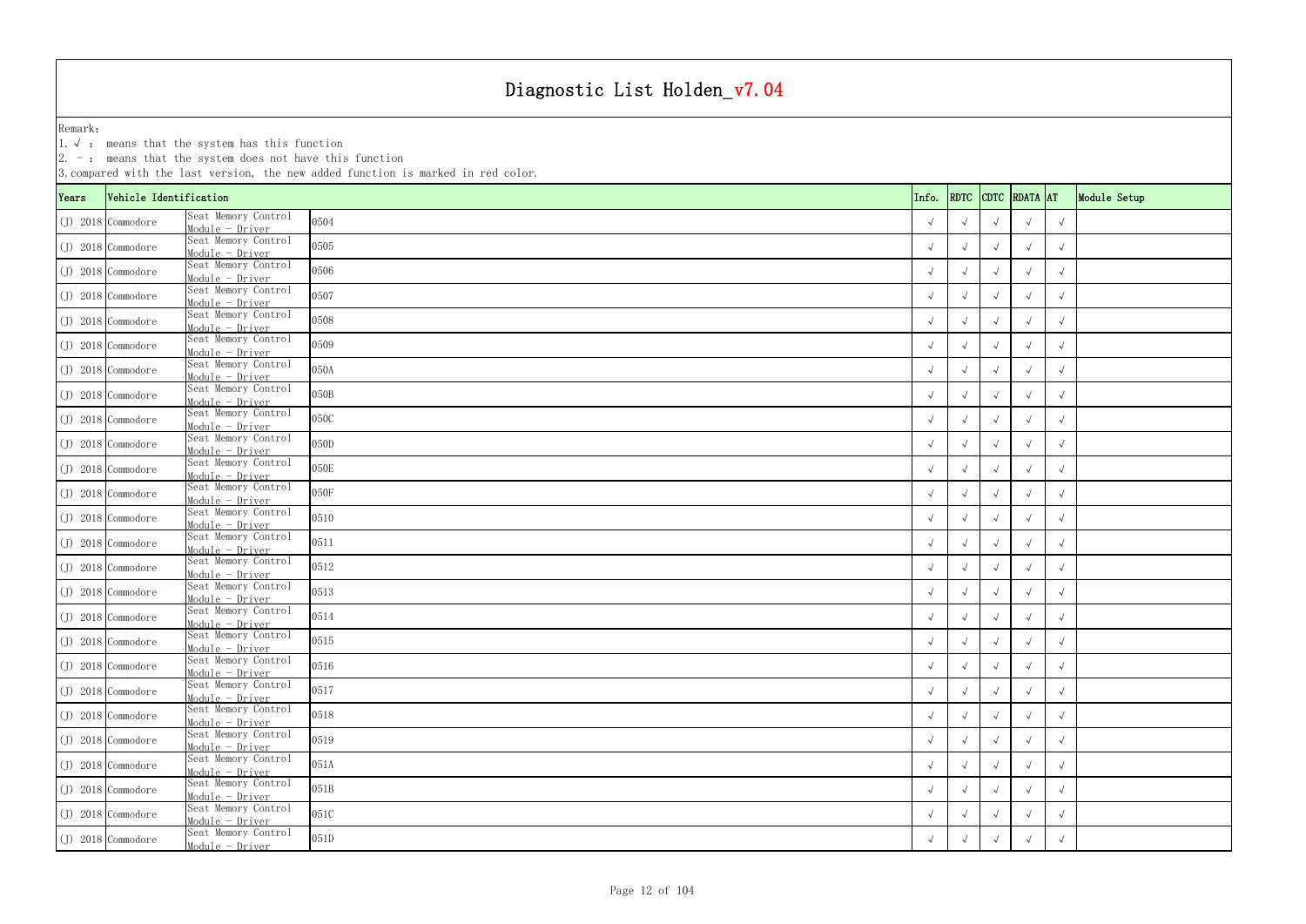|       |                        | $ 2. -$ : means that the system does not have this function | 3. compared with the last version, the new added function is marked in red color. |            |                    |            |                    |            |              |
|-------|------------------------|-------------------------------------------------------------|-----------------------------------------------------------------------------------|------------|--------------------|------------|--------------------|------------|--------------|
| Years | Vehicle Identification |                                                             |                                                                                   | Info.      |                    |            | RDTC CDTC RDATA AT |            | Module Setup |
|       | $(J)$ 2018 Commodore   | Seat Memory Control<br>$Module - Driver$                    | 0504                                                                              |            |                    |            |                    |            |              |
|       | $(J)$ 2018 Commodore   | Seat Memory Control<br>Module - Driver                      | 0505                                                                              |            |                    |            | $\sqrt{ }$         | $\sqrt{ }$ |              |
|       | $(J)$ 2018 Commodore   | Seat Memory Control<br>Module - Driver                      | 0506                                                                              |            |                    |            |                    | $\sqrt{}$  |              |
|       | (J) 2018 Commodore     | Seat Memory Control<br>Module - Driver                      | 0507                                                                              |            |                    |            |                    | $\sqrt{ }$ |              |
|       | $(J)$ 2018 Commodore   | Seat Memory Control<br>Module - Driver                      | 0508                                                                              |            |                    |            |                    |            |              |
|       | $(J)$ 2018 Commodore   | Seat Memory Control<br>Module - Driver                      | 0509                                                                              |            |                    |            |                    | $\sqrt{ }$ |              |
|       | (J) 2018 Commodore     | Seat Memory Control<br>Module - Driver                      | 050A                                                                              |            | $\sqrt{ }$         |            |                    |            |              |
|       | $(J)$ 2018 Commodore   | Seat Memory Control<br>Module - Driver                      | 050B                                                                              |            |                    |            |                    | $\sqrt{ }$ |              |
|       | $(J)$ 2018 Commodore   | Seat Memory Control<br>Module - Driver                      | 050C                                                                              |            |                    |            |                    |            |              |
|       | $(J)$ 2018 Commodore   | Seat Memory Control<br>Module - Driver                      | 050D                                                                              |            |                    |            |                    | $\sqrt{ }$ |              |
|       | $(J)$ 2018 Commodore   | Seat Memory Control<br>Module - Driver                      | 050E                                                                              |            |                    |            |                    | $\sqrt{ }$ |              |
|       | $(J)$ 2018 Commodore   | Seat Memory Control<br>Module - Driver                      | 050F                                                                              |            |                    |            |                    | $\sqrt{ }$ |              |
|       | $(J)$ 2018 Commodore   | Seat Memory Control<br>Module - Driver                      | 0510                                                                              |            |                    |            |                    | $\sqrt{ }$ |              |
|       | $(J)$ 2018 Commodore   | Seat Memory Control<br>Module - Driver                      | 0511                                                                              |            |                    |            |                    | $\sqrt{ }$ |              |
|       | $(J)$ 2018 Commodore   | Seat Memory Control<br>Module - Driver                      | 0512                                                                              |            | $\sqrt{ }$         |            |                    |            |              |
|       | $(J)$ 2018 Commodore   | Seat Memory Control<br>Module - Driver                      | 0513                                                                              |            |                    |            |                    | $\sqrt{ }$ |              |
|       | $(J)$ 2018 Commodore   | Seat Memory Control<br>Module - Driver                      | 0514                                                                              |            |                    |            |                    | $\sqrt{}$  |              |
|       | $(J)$ 2018 Commodore   | Seat Memory Control<br>Module - Driver                      | 0515                                                                              | $\sqrt{ }$ | $\sqrt{ }$         | $\sqrt{ }$ | $\sqrt{ }$         | $\sqrt{ }$ |              |
|       | $(J)$ 2018 Commodore   | Seat Memory Control<br>Module - Driver                      | 0516                                                                              |            | $\sqrt{ }$         |            |                    | $\sqrt{ }$ |              |
|       | $(J)$ 2018 Commodore   | Seat Memory Control<br>Module - Driver                      | 0517                                                                              |            | $\rightsquigarrow$ |            |                    | $\sqrt{ }$ |              |
|       | $(J)$ 2018 Commodore   | Seat Memory Control<br>Module - Driver                      | 0518                                                                              |            | $\sqrt{ }$         |            |                    | $\sqrt{ }$ |              |
|       | $(J)$ 2018 Commodore   | Seat Memory Control<br>Module - Driver                      | 0519                                                                              | $\sqrt{ }$ | $\rightsquigarrow$ |            | $\sqrt{ }$         | $\sqrt{ }$ |              |
|       | $(J)$ 2018 Commodore   | Seat Memory Control<br>Module - Driver                      | 051A                                                                              | $\sqrt{ }$ | $\sqrt{ }$         | $\sqrt{ }$ |                    | $\sqrt{ }$ |              |
|       | $(J)$ 2018 Commodore   | Seat Memory Control<br>Module - Driver                      | 051B                                                                              |            |                    |            |                    | $\sqrt{ }$ |              |
|       | $(J)$ 2018 Commodore   | Seat Memory Control<br>Module - Driver                      | 051C                                                                              |            |                    |            |                    | $\sqrt{}$  |              |
|       | (J) 2018 Commodore     | Seat Memory Control<br>Module - Driver                      | 051D                                                                              |            |                    |            |                    | $\sqrt{ }$ |              |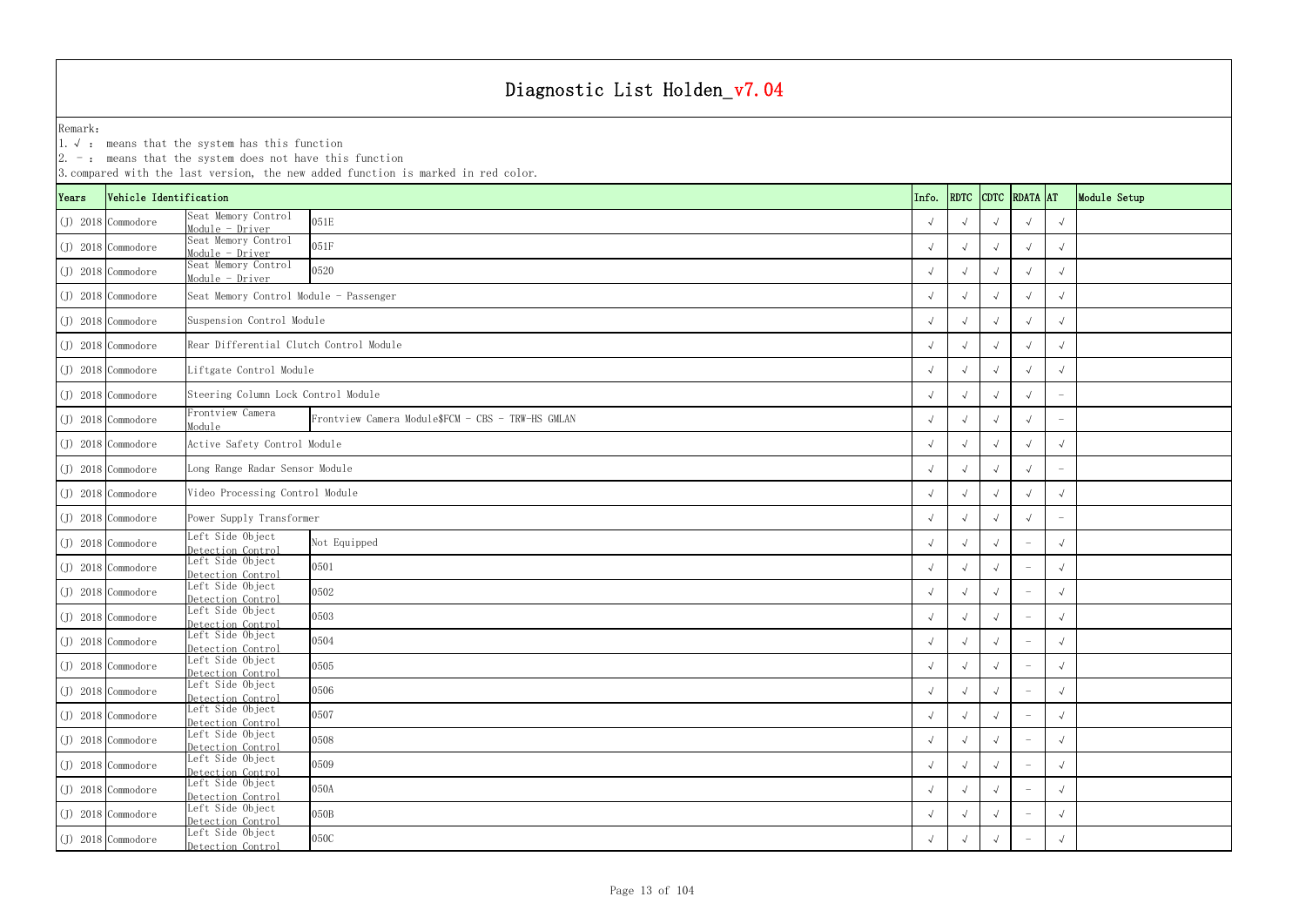| Years | Vehicle Identification |                                          | 3. compared with the last version, the new added function is marked in red color. | Info.      |                    |            | RDTC CDTC RDATA AT |                                 | Module Setup |
|-------|------------------------|------------------------------------------|-----------------------------------------------------------------------------------|------------|--------------------|------------|--------------------|---------------------------------|--------------|
|       | (J) 2018 Commodore     | Seat Memory Control<br>Module - Driver   | 051E                                                                              | $\sqrt{ }$ |                    |            |                    | $\sqrt{ }$                      |              |
|       | $(J)$ 2018 Commodore   | Seat Memory Control<br>Module - Driver   | 051F                                                                              | $\sqrt{ }$ |                    |            |                    | $\sqrt{ }$                      |              |
|       | $(J)$ 2018 Commodore   | Seat Memory Control<br>$Module - Driver$ | 0520                                                                              |            |                    |            |                    | $\sqrt{ }$                      |              |
|       | $(J)$ 2018 Commodore   | Seat Memory Control Module - Passenger   |                                                                                   |            |                    |            |                    | $\sqrt{ }$                      |              |
|       | (J) 2018 Commodore     | Suspension Control Module                |                                                                                   |            |                    |            |                    |                                 |              |
|       | (J) 2018 Commodore     | Rear Differential Clutch Control Module  |                                                                                   | $\sqrt{ }$ |                    |            |                    | $\sqrt{ }$                      |              |
|       | (J) 2018 Commodore     | Liftgate Control Module                  |                                                                                   | $\sqrt{ }$ |                    |            |                    | $\sqrt{ }$                      |              |
|       | (J) 2018 Commodore     | Steering Column Lock Control Module      |                                                                                   | $\sqrt{ }$ |                    |            |                    |                                 |              |
|       | (J) 2018 Commodore     | Frontview Camera<br>Module               | Frontview Camera Module\$FCM - CBS - TRW-HS GMLAN                                 | $\sqrt{ }$ |                    |            |                    |                                 |              |
|       | (J) 2018 Commodore     | Active Safety Control Module             |                                                                                   | $\sqrt{ }$ |                    |            |                    | $\sqrt{ }$                      |              |
|       | (J) 2018 Commodore     | Long Range Radar Sensor Module           |                                                                                   | $\sqrt{ }$ |                    |            |                    | $\hspace{0.1mm}-\hspace{0.1mm}$ |              |
|       | $(J)$ 2018 Commodore   | Video Processing Control Module          |                                                                                   |            |                    |            |                    | $\sqrt{ }$                      |              |
|       | (J) 2018 Commodore     | Power Supply Transformer                 |                                                                                   |            |                    |            |                    |                                 |              |
|       | (J) 2018 Commodore     | Left Side Object<br>Detection Control    | Not Equipped                                                                      | $\sqrt{ }$ |                    |            |                    | $\sqrt{ }$                      |              |
|       | (J) 2018 Commodore     | Left Side Object<br>Detection Control    | 0501                                                                              |            |                    |            |                    | $\sqrt{ }$                      |              |
|       | (J) 2018 Commodore     | Left Side Object<br>Detection Control    | 0502                                                                              |            |                    |            |                    | $\sqrt{ }$                      |              |
|       | (J) 2018 Commodore     | Left Side Object<br>Detection Control    | 0503                                                                              |            |                    |            |                    | $\sqrt{ }$                      |              |
|       | $(J)$ 2018 Commodore   | Left Side Object<br>Detection Control    | 0504                                                                              | $\sqrt{ }$ | $\sqrt{ }$         |            |                    | $\sqrt{ }$                      |              |
|       | (J) 2018 Commodore     | Left Side Object<br>Detection Control    | 0505                                                                              | $\sqrt{ }$ | $\sqrt{ }$         |            |                    | $\sqrt{ }$                      |              |
|       | (J) 2018 Commodore     | Left Side Object<br>Detection Control    | 0506                                                                              | $\sqrt{ }$ | $\sqrt{}$          |            |                    | $\sqrt{ }$                      |              |
|       | (J) 2018 Commodore     | Left Side Object<br>Detection Control    | 0507                                                                              | $\sqrt{ }$ | $\mathbf{\hat{v}}$ |            |                    | $\sqrt{ }$                      |              |
|       | (J) 2018 Commodore     | Left Side Object<br>Detection Control    | 0508                                                                              | $\sqrt{ }$ | $\mathbf{\hat{v}}$ | $\sqrt{ }$ |                    | $\sqrt{ }$                      |              |
|       | $(J)$ 2018 Commodore   | Left Side Object<br>Detection Control    | 0509                                                                              | $\sqrt{ }$ | $\sqrt{ }$         | $\sqrt{ }$ |                    | $\sqrt{ }$                      |              |
|       | $(J)$ 2018 Commodore   | Left Side Object<br>Detection Control    | 050A                                                                              | $\sqrt{ }$ | $\sqrt{}$          |            |                    | $\sqrt{ }$                      |              |
|       | (J) 2018 Commodore     | Left Side Object<br>Detection Control    | 050B                                                                              |            |                    |            |                    | $\sqrt{ }$                      |              |
|       | $(J)$ 2018 Commodore   | Left Side Object<br>Detection Control    | 050C                                                                              | $\sqrt{ }$ |                    |            |                    | $\sqrt{ }$                      |              |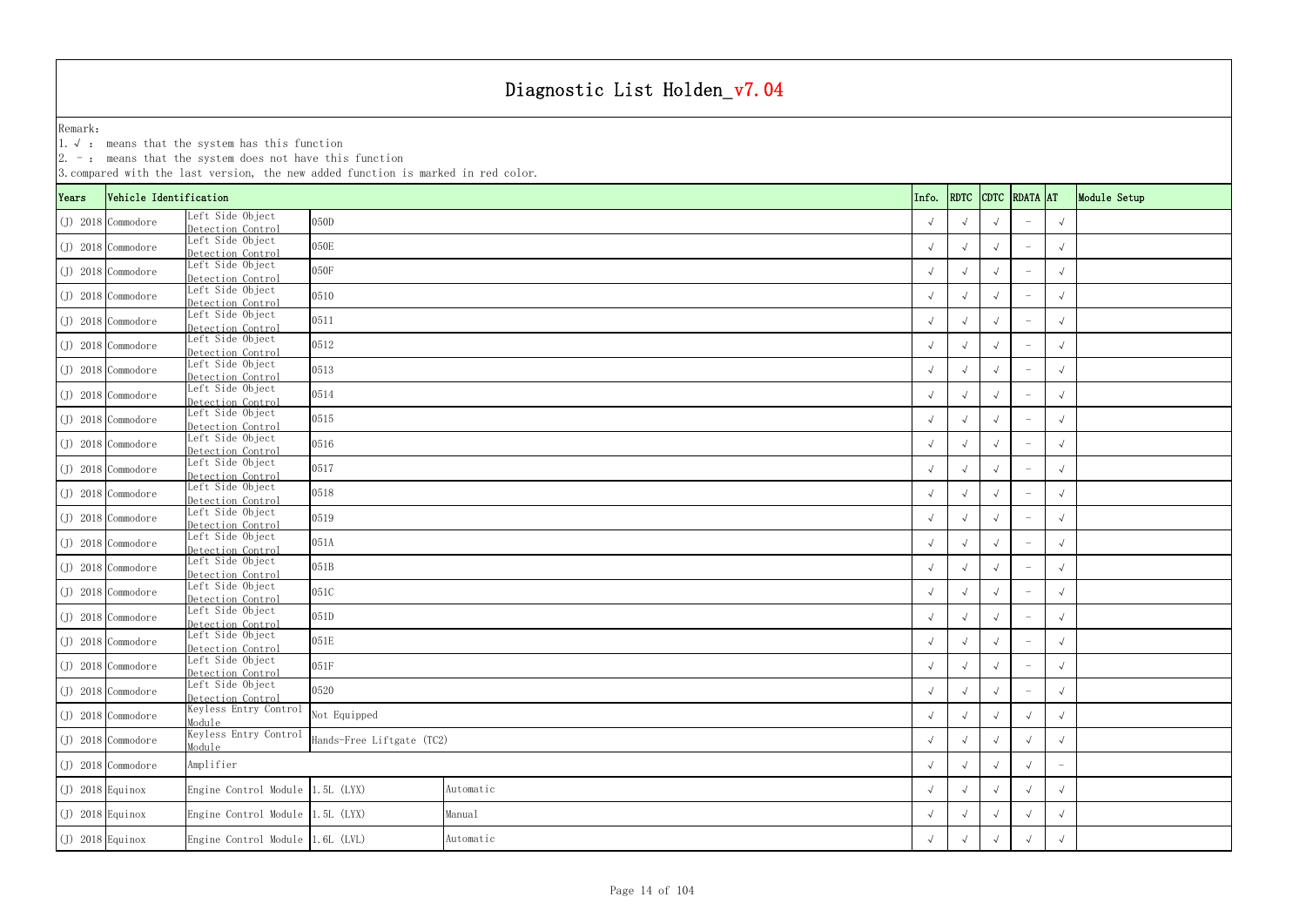|                    | $ 2. -$ : means that the system does not have this function<br>3. compared with the last version, the new added function is marked in red color. |                                              |                                               |  |           |  |  |            |                    |            |                                 |            |                       |               |                                 |              |  |
|--------------------|--------------------------------------------------------------------------------------------------------------------------------------------------|----------------------------------------------|-----------------------------------------------|--|-----------|--|--|------------|--------------------|------------|---------------------------------|------------|-----------------------|---------------|---------------------------------|--------------|--|
| Years              |                                                                                                                                                  | Vehicle Identification<br>Left Side Object   |                                               |  |           |  |  |            |                    |            | Info.                           | RDTC       |                       | CDTC RDATA AT |                                 | Module Setup |  |
|                    | $(J)$ 2018 Commodore                                                                                                                             | Detection Control                            | 050D                                          |  |           |  |  |            |                    |            |                                 |            |                       |               |                                 | $\sqrt{ }$   |  |
|                    | $(J)$ 2018 Commodore                                                                                                                             | Left Side Object<br>Detection Control        | 050E                                          |  |           |  |  |            |                    |            |                                 |            | $\sqrt{ }$            |               |                                 | $\sqrt{ }$   |  |
|                    | $(J)$ 2018 Commodore                                                                                                                             | Left Side Object<br>Detection Control        | 050F                                          |  |           |  |  |            |                    |            |                                 |            |                       |               | $\overline{\phantom{a}}$        | $\sqrt{ }$   |  |
|                    | $(J)$ 2018 Commodore                                                                                                                             | Left Side Object<br>Detection Control        | 0510                                          |  |           |  |  |            |                    |            |                                 |            |                       |               |                                 | $\sqrt{ }$   |  |
|                    | $(J)$ 2018 Commodore                                                                                                                             | Left Side Object<br>Detection Control        | 0511                                          |  |           |  |  |            |                    |            |                                 |            |                       |               |                                 | $\sqrt{ }$   |  |
|                    | $(J)$ 2018 Commodore                                                                                                                             | Left Side Object<br>Detection Control        | 0512                                          |  |           |  |  |            |                    |            |                                 |            | $\sqrt{ }$            |               |                                 | $\sqrt{ }$   |  |
|                    | $(J)$ 2018 Commodore                                                                                                                             | Left Side Object<br>Detection Control        | 0513                                          |  |           |  |  |            |                    |            |                                 |            |                       | $\sqrt{ }$    |                                 |              |  |
|                    | $(J)$ 2018 Commodore                                                                                                                             | Left Side Object<br>Detection Control        | 0514                                          |  |           |  |  |            |                    |            |                                 |            |                       | $\sqrt{ }$    |                                 |              |  |
|                    | $(J)$ 2018 Commodore                                                                                                                             | eft Side Object<br>Det <u>ection Control</u> | 0515                                          |  |           |  |  |            |                    |            |                                 |            |                       |               |                                 | $\sqrt{ }$   |  |
|                    | $(J)$ 2018 Commodore                                                                                                                             | Left Side Object<br>Detection Control        | 0516                                          |  |           |  |  |            |                    |            |                                 |            | $\overline{\sqrt{2}}$ |               |                                 | $\sqrt{ }$   |  |
|                    | $(J)$ 2018 Commodore                                                                                                                             | Left Side Object<br>Detection Control        | 0517                                          |  |           |  |  |            |                    |            |                                 |            |                       |               | $\overline{\phantom{a}}$        | $\sqrt{ }$   |  |
|                    | $(J)$ 2018 Commodore                                                                                                                             | Left Side Object<br>Detection Control        | 0518                                          |  |           |  |  |            |                    |            |                                 |            |                       |               |                                 | $\sqrt{ }$   |  |
|                    | $(J)$ 2018 Commodore                                                                                                                             | Left Side Object<br>Detection Control        | 0519                                          |  |           |  |  |            |                    |            |                                 |            |                       |               |                                 | $\sqrt{ }$   |  |
|                    | $(J)$ 2018 Commodore                                                                                                                             | Left Side Object<br>Detection Control        | 051A                                          |  |           |  |  |            |                    |            |                                 |            | $\sqrt{ }$            |               |                                 | $\sqrt{ }$   |  |
|                    | $(J)$ 2018 Commodore                                                                                                                             | Left Side Object<br>Detection Control        | 051B                                          |  |           |  |  |            |                    |            |                                 |            | $\sqrt{ }$            |               | $\overline{\phantom{a}}$        | $\sqrt{ }$   |  |
|                    | $(J)$ 2018 Commodore                                                                                                                             | Left Side Object<br>Detection Control        | 051C                                          |  |           |  |  |            |                    |            |                                 |            |                       |               |                                 | $\sqrt{ }$   |  |
|                    | $(J)$ 2018 Commodore                                                                                                                             | Left Side Object<br>Detection Control        | 051D                                          |  |           |  |  |            |                    |            |                                 |            |                       |               |                                 | $\sqrt{ }$   |  |
|                    | $(J)$ 2018 Commodore                                                                                                                             | Left Side Object<br>Detection Control        | 051E                                          |  |           |  |  |            |                    |            |                                 | $\sqrt{ }$ | $\sqrt{ }$            | $\sqrt{ }$    | $\hspace{0.1mm}-\hspace{0.1mm}$ | $\sqrt{ }$   |  |
|                    | $(J)$ 2018 Commodore                                                                                                                             | Left Side Object<br>Detection Control        | 051F                                          |  |           |  |  |            |                    |            |                                 |            | $\sqrt{ }$            | $\sqrt{ }$    | $\overline{\phantom{a}}$        | $\sqrt{ }$   |  |
|                    | $(J)$ 2018 Commodore                                                                                                                             | Left Side Object<br>Detection Control        | 0520                                          |  |           |  |  |            |                    |            |                                 |            | $\sqrt{ }$            | $\sqrt{ }$    | $\hspace{0.1mm}-\hspace{0.1mm}$ | $\sqrt{ }$   |  |
|                    | $(J)$ 2018 Commodore                                                                                                                             | Keyless Entry Control<br>Module              | Not Equipped                                  |  |           |  |  |            | $\rightsquigarrow$ | $\sqrt{ }$ | $\sqrt{ }$                      | $\sqrt{ }$ |                       |               |                                 |              |  |
|                    | $(J)$ 2018 Commodore                                                                                                                             | Keyless Entry Control<br>Module              | Hands-Free Liftgate (TC2)                     |  |           |  |  |            | $\sqrt{ }$         | $\sqrt{ }$ | $\sqrt{ }$                      | $\sqrt{ }$ |                       |               |                                 |              |  |
|                    | $(J)$ 2018 Commodore                                                                                                                             | Amplifier                                    |                                               |  |           |  |  | $\sqrt{ }$ | $\sqrt{ }$         | $\sqrt{ }$ | $\hspace{0.1mm}-\hspace{0.1mm}$ |            |                       |               |                                 |              |  |
| $(J)$ 2018 Equinox |                                                                                                                                                  | Engine Control Module $1.5L$ (LYX)           |                                               |  | Automatic |  |  |            |                    |            |                                 |            |                       |               |                                 | $\sqrt{ }$   |  |
| $(J)$ 2018 Equinox |                                                                                                                                                  | Engine Control Module 1.5L (LYX)             |                                               |  | Manual    |  |  |            |                    |            |                                 |            |                       |               |                                 | $\sqrt{ }$   |  |
| $(J)$ 2018 Equinox |                                                                                                                                                  |                                              | Engine Control Module 1.6L (LVL)<br>Automatic |  |           |  |  |            |                    |            | $\sqrt{ }$                      | $\sqrt{ }$ |                       | $\sqrt{ }$    |                                 |              |  |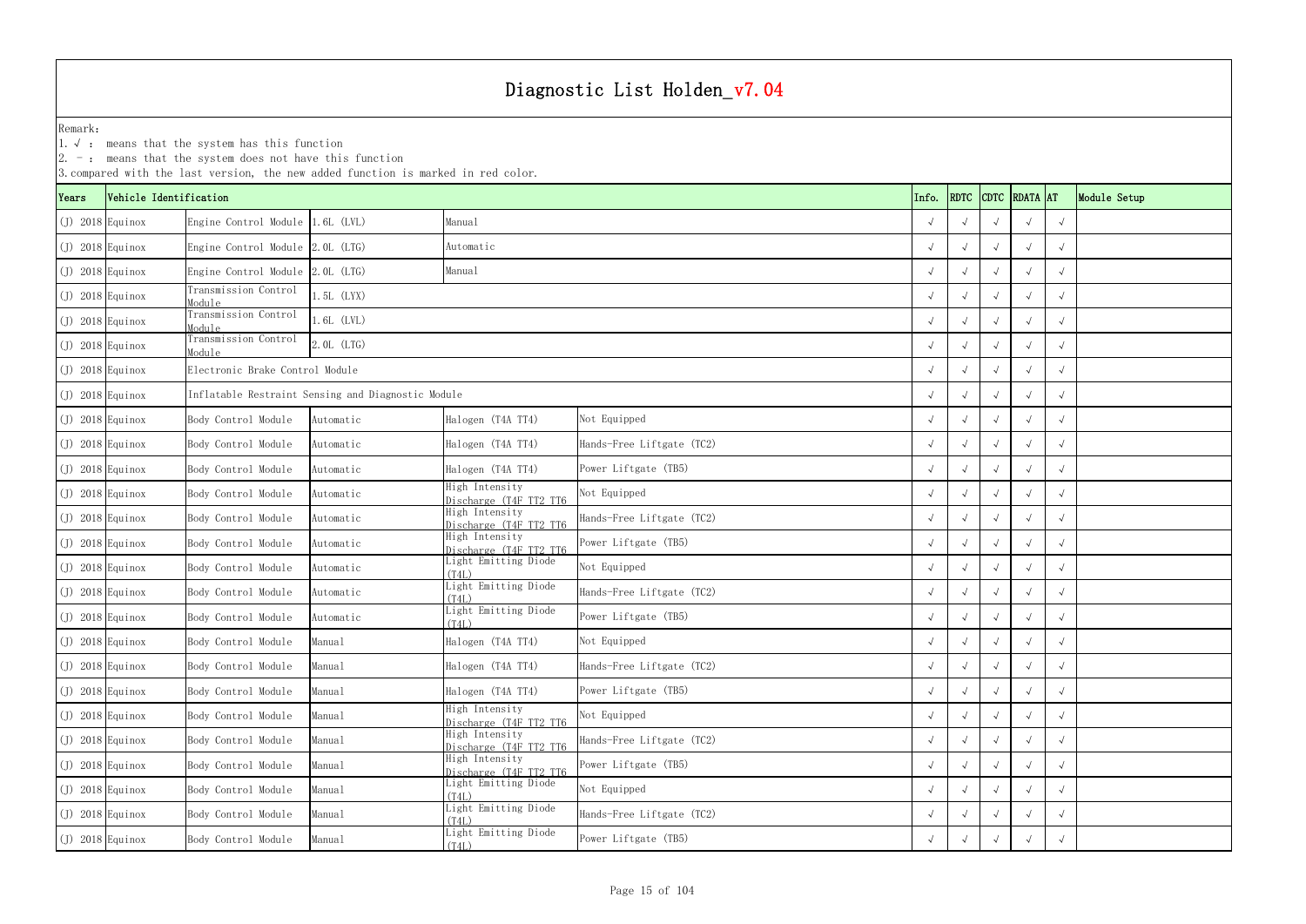1.√ : means that the system has this function

|                    | $ 2. -$ : means that the system does not have this function<br>3. compared with the last version, the new added function is marked in red color.<br>CDTC RDATA AT<br>Vehicle Identification |                                                    |              |                                          |                           |       |            |  |  |            |              |  |  |
|--------------------|---------------------------------------------------------------------------------------------------------------------------------------------------------------------------------------------|----------------------------------------------------|--------------|------------------------------------------|---------------------------|-------|------------|--|--|------------|--------------|--|--|
| Years              |                                                                                                                                                                                             |                                                    |              |                                          |                           | Info. | RDTC       |  |  |            | Module Setup |  |  |
| $(J)$ 2018 Equinox |                                                                                                                                                                                             | Engine Control Module 1.6L (LVL)                   |              | Manual                                   |                           |       |            |  |  |            |              |  |  |
| $(J)$ 2018 Equinox |                                                                                                                                                                                             | Engine Control Module 2.0L (LTG)                   |              | Automatic                                |                           |       |            |  |  |            |              |  |  |
| $J)$ 2018 Equinox  |                                                                                                                                                                                             | Engine Control Module 2.0L (LTG)                   |              | Manual                                   |                           |       |            |  |  |            |              |  |  |
| $(J)$ 2018 Equinox |                                                                                                                                                                                             | Transmission Control<br>Module                     | $1.5L$ (LYX) |                                          |                           |       |            |  |  |            |              |  |  |
| $J)$ 2018 Equinox  |                                                                                                                                                                                             | Transmission Control<br>Module                     | $.6L$ (LVL)  |                                          |                           |       |            |  |  |            |              |  |  |
| $(J)$ 2018 Equinox |                                                                                                                                                                                             | Transmission Control<br>Module                     | 2.0L (LTG)   |                                          |                           |       |            |  |  |            |              |  |  |
| $(J)$ 2018 Equinox |                                                                                                                                                                                             | Electronic Brake Control Module                    |              |                                          |                           |       | $\sqrt{ }$ |  |  |            |              |  |  |
| $J)$ 2018 Equinox  |                                                                                                                                                                                             | Inflatable Restraint Sensing and Diagnostic Module |              |                                          |                           |       |            |  |  |            |              |  |  |
| $(J)$ 2018 Equinox |                                                                                                                                                                                             | Body Control Module                                | Automatic    | Halogen (T4A TT4)                        | Not Equipped              |       |            |  |  |            |              |  |  |
| $(J)$ 2018 Equinox |                                                                                                                                                                                             | Body Control Module                                | Automatic    | Halogen (T4A TT4)                        | Hands-Free Liftgate (TC2) |       |            |  |  |            |              |  |  |
| $(J)$ 2018 Equinox |                                                                                                                                                                                             | Body Control Module                                | Automatic    | Halogen (T4A TT4)                        | Power Liftgate (TB5)      |       |            |  |  |            |              |  |  |
| $J)$ 2018 Equinox  |                                                                                                                                                                                             | Body Control Module                                | Automatic    | High Intensity<br>Discharge (T4F TT2 TT6 | Not Equipped              |       |            |  |  | $\sqrt{ }$ |              |  |  |
| $(J)$ 2018 Equinox |                                                                                                                                                                                             | Body Control Module                                | Automatic    | High Intensity<br>Discharge (T4F TT2 TT6 | Hands-Free Liftgate (TC2) |       |            |  |  |            |              |  |  |
| $(J)$ 2018 Equinox |                                                                                                                                                                                             | Body Control Module                                | Automatic    | High Intensity<br>Discharge (T4F TT2 TT6 | Power Liftgate (TB5)      |       |            |  |  |            |              |  |  |
| $(J)$ 2018 Equinox |                                                                                                                                                                                             | Body Control Module                                | Automatic    | Light Emitting Diode<br>(T4L)            | Not Equipped              |       | $\sqrt{ }$ |  |  |            |              |  |  |
| $(J)$ 2018 Equinox |                                                                                                                                                                                             | Body Control Module                                | Automatic    | Light Emitting Diode<br>(T4L)            | Hands-Free Liftgate (TC2) |       |            |  |  | $\sqrt{}$  |              |  |  |
| $(J)$ 2018 Equinox |                                                                                                                                                                                             | Body Control Module                                | Automatic    | Light Emitting Diode<br>(T4L)            | Power Liftgate (TB5)      |       |            |  |  |            |              |  |  |
| $(J)$ 2018 Equinox |                                                                                                                                                                                             | Body Control Module                                | Manual       | Halogen (T4A TT4)                        | Not Equipped              |       |            |  |  | $\sqrt{ }$ |              |  |  |
| $(J)$ 2018 Equinox |                                                                                                                                                                                             | Body Control Module                                | Manual       | Halogen (T4A TT4)                        | Hands-Free Liftgate (TC2) |       | $\sqrt{ }$ |  |  |            |              |  |  |
| $(J)$ 2018 Equinox |                                                                                                                                                                                             | Body Control Module                                | Manual       | Halogen (T4A TT4)                        | Power Liftgate (TB5)      |       |            |  |  | $\sqrt{ }$ |              |  |  |
| $(J)$ 2018 Equinox |                                                                                                                                                                                             | Body Control Module                                | Manual       | High Intensity<br>Discharge (T4F TT2 TT6 | Not Equipped              |       |            |  |  | $\sqrt{}$  |              |  |  |
| $(J)$ 2018 Equinox |                                                                                                                                                                                             | Body Control Module                                | Manual       | High Intensity<br>Discharge (T4F TT2 TT6 | Hands-Free Liftgate (TC2) |       |            |  |  | $\sqrt{ }$ |              |  |  |
| $(J)$ 2018 Equinox |                                                                                                                                                                                             | Body Control Module                                | Manual       | High Intensity<br>Discharge (T4F TT2 TT6 | Power Liftgate (TB5)      |       | $\sqrt{ }$ |  |  | $\sqrt{ }$ |              |  |  |
| $(J)$ 2018 Equinox |                                                                                                                                                                                             | Body Control Module                                | Manual       | Light Emitting Diode<br>(T4L)            | Not Equipped              |       |            |  |  | $\sqrt{ }$ |              |  |  |
| $(J)$ 2018 Equinox |                                                                                                                                                                                             | Body Control Module                                | Manual       | Light Emitting Diode<br>(T4L)            | Hands-Free Liftgate (TC2) |       |            |  |  |            |              |  |  |
| $(J)$ 2018 Equinox |                                                                                                                                                                                             | Body Control Module                                | Manual       | Light Emitting Diode<br>(T4L)            | Power Liftgate (TB5)      |       |            |  |  |            |              |  |  |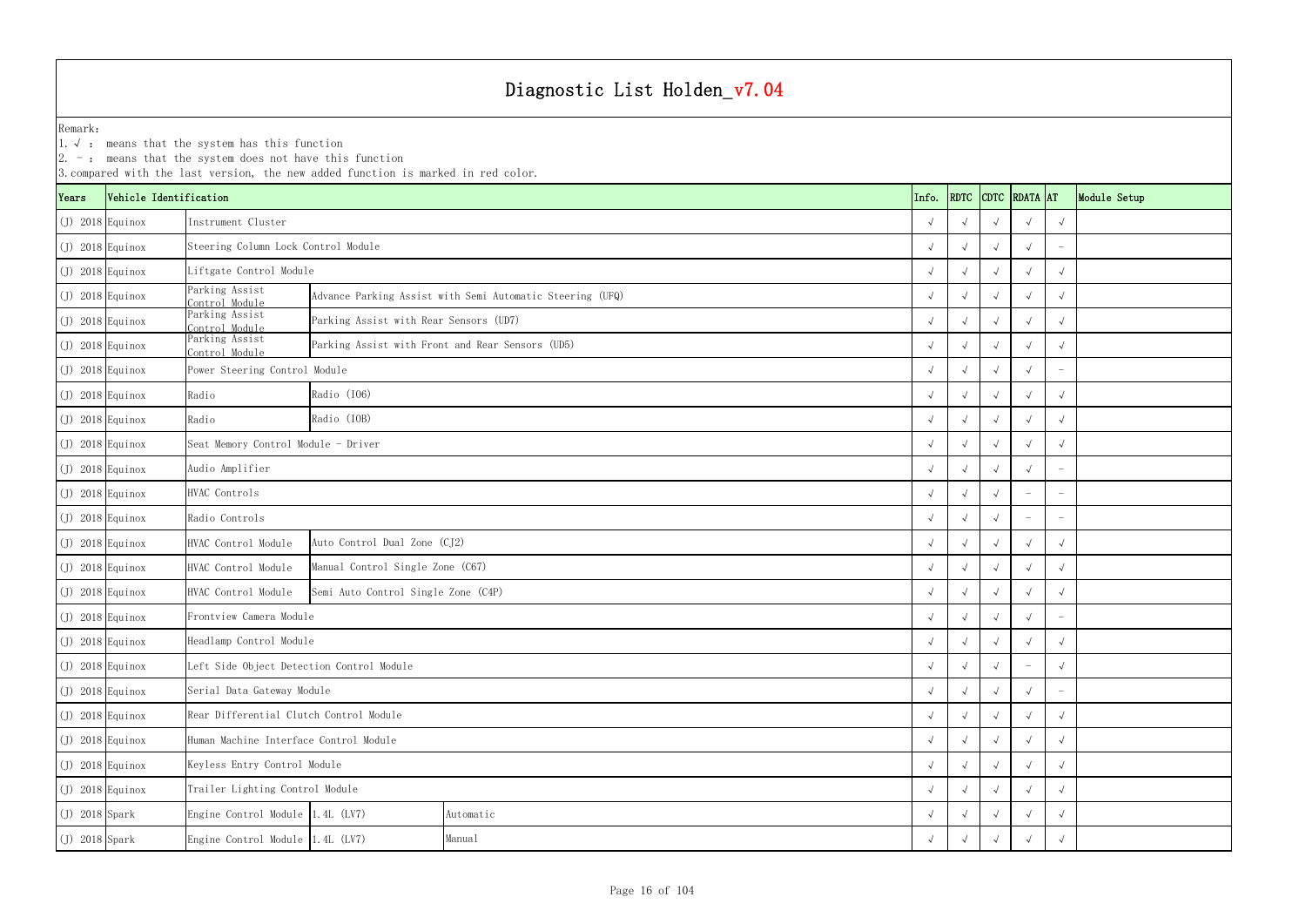1.√ : means that the system has this function

|                    | $ 2.$ -: means that the system does not have this function<br>3. compared with the last version, the new added function is marked in red color.<br>RDTC CDTC RDATA AT |                                           |                                                  |                                                           |            |       |            |            |                          |                          |              |  |
|--------------------|-----------------------------------------------------------------------------------------------------------------------------------------------------------------------|-------------------------------------------|--------------------------------------------------|-----------------------------------------------------------|------------|-------|------------|------------|--------------------------|--------------------------|--------------|--|
| Years              | Vehicle Identification                                                                                                                                                |                                           |                                                  |                                                           |            | Info. |            |            |                          |                          | Module Setup |  |
| $(J)$ 2018 Equinox |                                                                                                                                                                       | Instrument Cluster                        |                                                  |                                                           |            |       |            |            |                          | $\sqrt{ }$               |              |  |
| $(J)$ 2018 Equinox |                                                                                                                                                                       | Steering Column Lock Control Module       |                                                  |                                                           |            |       |            |            |                          |                          |              |  |
| $(J)$ 2018 Equinox |                                                                                                                                                                       | Liftgate Control Module                   |                                                  |                                                           |            |       |            |            |                          | $\sqrt{ }$               |              |  |
| $(J)$ 2018 Equinox |                                                                                                                                                                       | Parking Assist<br>Control Module          |                                                  | Advance Parking Assist with Semi Automatic Steering (UFQ) |            |       |            |            |                          |                          |              |  |
| $(J)$ 2018 Equinox |                                                                                                                                                                       | Parking Assist<br>Control Module          | Parking Assist with Rear Sensors (UD7)           |                                                           |            |       |            |            |                          | $\sqrt{ }$               |              |  |
| $(J)$ 2018 Equinox |                                                                                                                                                                       | Parking Assist<br>Control Module          | Parking Assist with Front and Rear Sensors (UD5) |                                                           |            |       |            |            |                          |                          |              |  |
| $(J)$ 2018 Equinox |                                                                                                                                                                       | Power Steering Control Module             |                                                  |                                                           |            |       |            |            |                          |                          |              |  |
| $(J)$ 2018 Equinox |                                                                                                                                                                       | Radio                                     | Radio (I06)                                      |                                                           |            |       |            |            |                          | $\sqrt{ }$               |              |  |
| $(J)$ 2018 Equinox |                                                                                                                                                                       | Radio                                     | Radio (IOB)                                      |                                                           |            |       |            |            |                          | $\sqrt{ }$               |              |  |
| $(J)$ 2018 Equinox |                                                                                                                                                                       | Seat Memory Control Module - Driver       |                                                  |                                                           |            |       |            | $\sqrt{ }$ |                          |                          |              |  |
| $(J)$ 2018 Equinox |                                                                                                                                                                       | Audio Amplifier                           |                                                  |                                                           |            |       |            |            |                          |                          |              |  |
| $(J)$ 2018 Equinox |                                                                                                                                                                       | HVAC Controls                             |                                                  |                                                           |            |       |            |            |                          |                          |              |  |
| $(J)$ 2018 Equinox |                                                                                                                                                                       | Radio Controls                            |                                                  |                                                           |            |       |            |            |                          |                          |              |  |
| $(J)$ 2018 Equinox |                                                                                                                                                                       | HVAC Control Module                       | Auto Control Dual Zone (CJ2)                     |                                                           |            |       |            |            |                          |                          |              |  |
| $(J)$ 2018 Equinox |                                                                                                                                                                       | HVAC Control Module                       | Manual Control Single Zone (C67)                 |                                                           |            |       |            |            |                          | $\sqrt{ }$               |              |  |
| $(J)$ 2018 Equinox |                                                                                                                                                                       | HVAC Control Module                       | Semi Auto Control Single Zone (C4P)              |                                                           |            |       |            |            |                          | $\sqrt{ }$               |              |  |
| $(J)$ 2018 Equinox |                                                                                                                                                                       | Frontview Camera Module                   |                                                  |                                                           |            |       |            |            |                          |                          |              |  |
| $(J)$ 2018 Equinox |                                                                                                                                                                       | Headlamp Control Module                   |                                                  |                                                           |            |       | $\sqrt{ }$ | $\sqrt{ }$ | $\sqrt{ }$               | $\sqrt{ }$               |              |  |
| $(J)$ 2018 Equinox |                                                                                                                                                                       | Left Side Object Detection Control Module |                                                  |                                                           |            |       | $\sqrt{ }$ |            | $\overline{\phantom{a}}$ |                          |              |  |
| $(J)$ 2018 Equinox |                                                                                                                                                                       | Serial Data Gateway Module                |                                                  |                                                           |            |       |            |            |                          | $\overline{\phantom{a}}$ |              |  |
| $(J)$ 2018 Equinox |                                                                                                                                                                       | Rear Differential Clutch Control Module   |                                                  |                                                           |            |       |            | $\sqrt{ }$ |                          |                          |              |  |
| $(J)$ 2018 Equinox |                                                                                                                                                                       | Human Machine Interface Control Module    |                                                  |                                                           | $\sqrt{ }$ |       | $\sqrt{ }$ | $\sqrt{ }$ |                          |                          |              |  |
| $(J)$ 2018 Equinox |                                                                                                                                                                       | Keyless Entry Control Module              |                                                  |                                                           |            |       | $\sqrt{ }$ |            |                          | $\sqrt{ }$               |              |  |
| $(J)$ 2018 Equinox |                                                                                                                                                                       | Trailer Lighting Control Module           |                                                  |                                                           |            |       |            |            |                          | $\sqrt{ }$               |              |  |
| $(J)$ 2018 Spark   |                                                                                                                                                                       | Engine Control Module 1.4L (LV7)          |                                                  | Automatic                                                 |            |       |            |            |                          | $\sqrt{ }$               |              |  |
| $(J)$ 2018 Spark   |                                                                                                                                                                       |                                           | Engine Control Module 1.4L (LV7)<br>Manual       |                                                           |            |       |            |            |                          | $\sqrt{ }$               |              |  |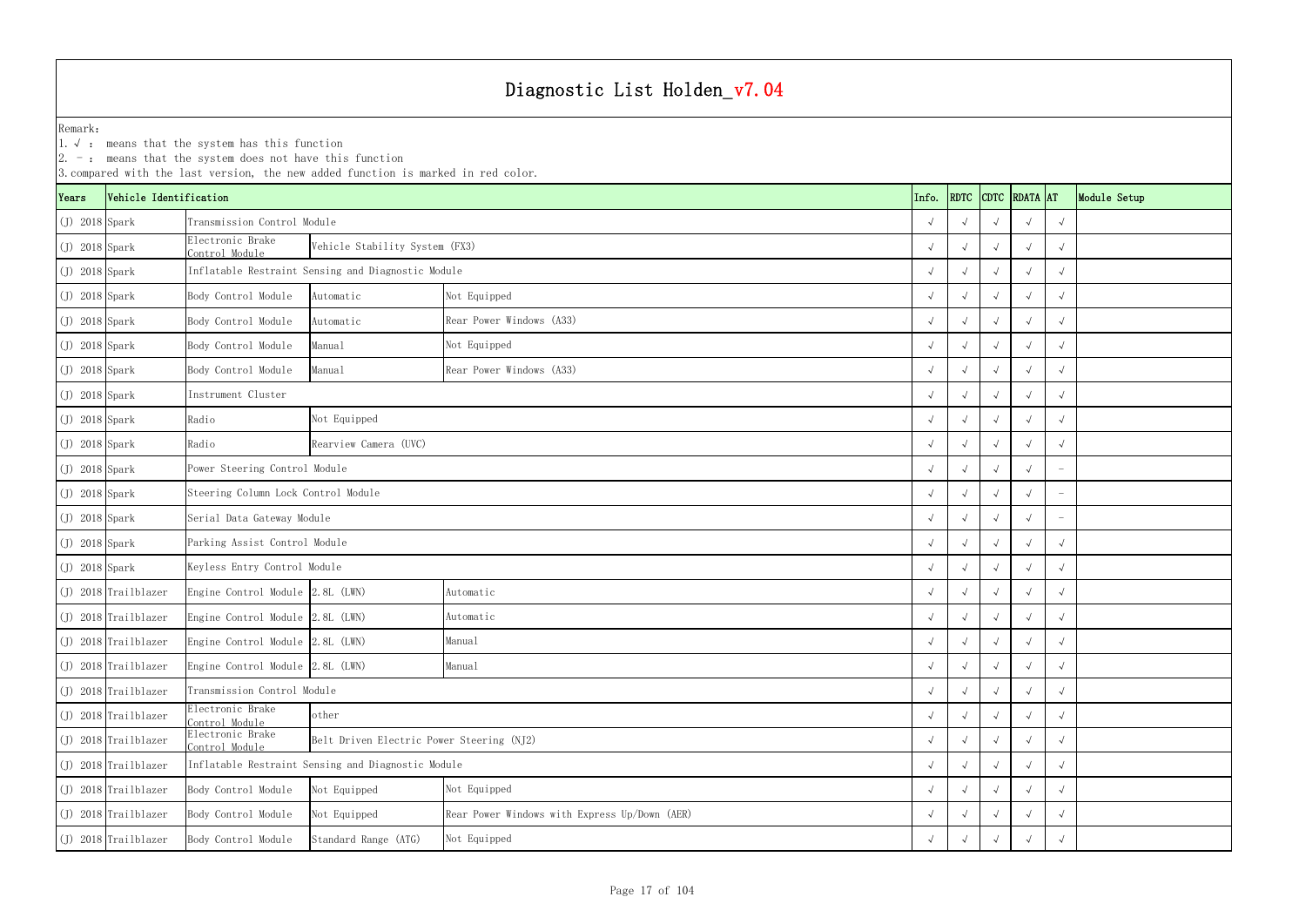1.√ : means that the system has this function

|                  | $ 2. -$ : means that the system does not have this function<br>3. compared with the last version, the new added function is marked in red color.<br>CDTC RDATA AT |                                     |                                                    |                                               |            |             |  |            |            |              |  |  |
|------------------|-------------------------------------------------------------------------------------------------------------------------------------------------------------------|-------------------------------------|----------------------------------------------------|-----------------------------------------------|------------|-------------|--|------------|------------|--------------|--|--|
| Years            | Vehicle Identification                                                                                                                                            |                                     |                                                    |                                               | Info.      | <b>RDTC</b> |  |            |            | Module Setup |  |  |
| $(J)$ 2018 Spark |                                                                                                                                                                   | Transmission Control Module         |                                                    |                                               |            |             |  |            |            |              |  |  |
| $(J)$ 2018 Spark |                                                                                                                                                                   | Electronic Brake<br>Control Module  | Vehicle Stability System (FX3)                     |                                               |            |             |  |            |            |              |  |  |
| $(J)$ 2018 Spark |                                                                                                                                                                   |                                     | Inflatable Restraint Sensing and Diagnostic Module |                                               |            |             |  |            |            |              |  |  |
| $(J)$ 2018 Spark |                                                                                                                                                                   | Body Control Module                 | Automatic                                          | Not Equipped                                  |            |             |  |            |            |              |  |  |
| $(J)$ 2018 Spark |                                                                                                                                                                   | Body Control Module                 | Automatic                                          | Rear Power Windows (A33)                      |            |             |  |            |            |              |  |  |
| $(J)$ 2018 Spark |                                                                                                                                                                   | Body Control Module                 | Manual                                             | Not Equipped                                  |            |             |  |            |            |              |  |  |
| $(J)$ 2018 Spark |                                                                                                                                                                   | Body Control Module                 | Rear Power Windows (A33)                           |                                               |            |             |  |            |            |              |  |  |
| $(J)$ 2018 Spark |                                                                                                                                                                   | Instrument Cluster                  |                                                    |                                               |            |             |  |            |            |              |  |  |
| $(J)$ 2018 Spark |                                                                                                                                                                   | Radio                               | Not Equipped<br>Rearview Camera (UVC)              |                                               |            |             |  |            |            |              |  |  |
| $(J)$ 2018 Spark |                                                                                                                                                                   | Radio                               |                                                    |                                               |            |             |  |            |            |              |  |  |
| $(J)$ 2018 Spark |                                                                                                                                                                   |                                     | Power Steering Control Module                      |                                               |            |             |  |            |            |              |  |  |
| $(J)$ 2018 Spark |                                                                                                                                                                   | Steering Column Lock Control Module |                                                    |                                               |            |             |  |            |            |              |  |  |
| $(J)$ 2018 Spark |                                                                                                                                                                   | Serial Data Gateway Module          |                                                    |                                               |            |             |  |            |            |              |  |  |
| $(J)$ 2018 Spark |                                                                                                                                                                   | Parking Assist Control Module       |                                                    |                                               |            |             |  |            |            |              |  |  |
| $(J)$ 2018 Spark |                                                                                                                                                                   | Keyless Entry Control Module        |                                                    |                                               |            |             |  |            |            |              |  |  |
|                  | (J) 2018 Trailblazer                                                                                                                                              | Engine Control Module 2.8L (LWN)    |                                                    | Automatic                                     |            |             |  |            |            |              |  |  |
|                  | (J) 2018 Trailblazer                                                                                                                                              | Engine Control Module 2.8L (LWN)    |                                                    | Automatic                                     |            |             |  |            |            |              |  |  |
|                  | $(J)$ 2018 Trailblazer                                                                                                                                            | Engine Control Module 2.8L (LWN)    |                                                    | Manual                                        | $\sqrt{ }$ |             |  | $\sqrt{ }$ | $\sqrt{ }$ |              |  |  |
|                  | (J) 2018 Trailblazer                                                                                                                                              | Engine Control Module 2.8L (LWN)    |                                                    | Manual                                        |            | $\sqrt{ }$  |  |            |            |              |  |  |
|                  | $(J)$ 2018 Trailblazer                                                                                                                                            | Transmission Control Module         |                                                    |                                               |            |             |  |            | $\sqrt{ }$ |              |  |  |
|                  | (J) 2018 Trailblazer                                                                                                                                              | Electronic Brake<br>Control Module  |                                                    |                                               |            |             |  |            |            |              |  |  |
|                  | $(J)$ 2018 Trailblazer                                                                                                                                            | Electronic Brake<br>Control Module  | Belt Driven Electric Power Steering (NJ2)          |                                               |            |             |  | $\sqrt{ }$ |            |              |  |  |
|                  | $(J)$ 2018 Trailblazer                                                                                                                                            |                                     | Inflatable Restraint Sensing and Diagnostic Module |                                               |            |             |  |            |            |              |  |  |
|                  | (J) 2018 Trailblazer                                                                                                                                              | Body Control Module                 | Not Equipped                                       | Not Equipped                                  |            |             |  |            | $\sqrt{ }$ |              |  |  |
|                  | (J) 2018 Trailblazer                                                                                                                                              | Body Control Module                 | Not Equipped                                       | Rear Power Windows with Express Up/Down (AER) |            |             |  |            |            |              |  |  |
|                  | (J) 2018 Trailblazer                                                                                                                                              | Body Control Module                 | Not Equipped<br>Standard Range (ATG)               |                                               |            |             |  |            |            |              |  |  |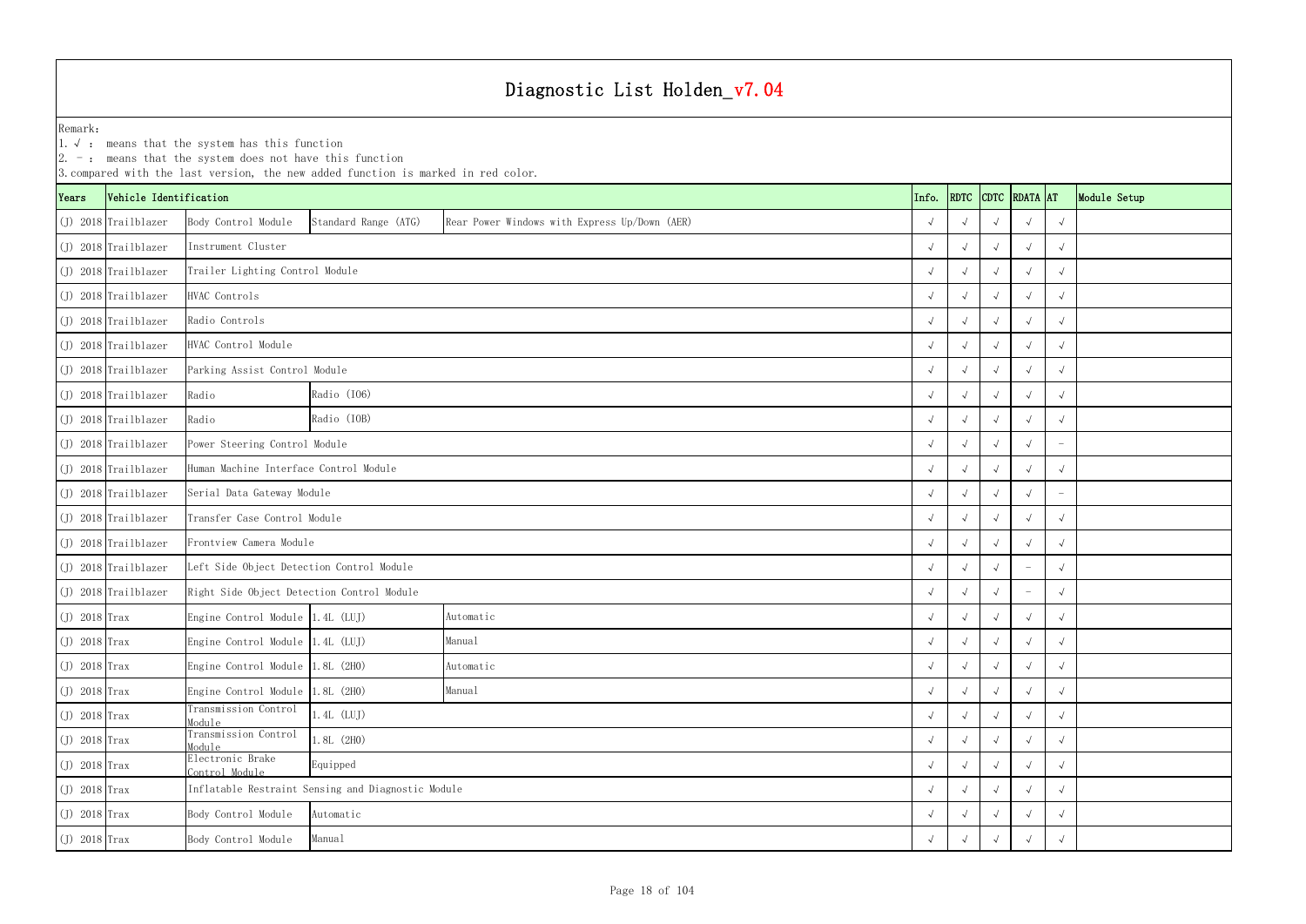YearsVehicle Identification **Info.** RDTC Remark:1.  $\sqrt{ }$ : means that the system has this function 2. -: means that the system does not have this function 3.compared with the last version, the new added function is marked in red color. (J) 2018 Trailblazer Body Control Module Standard Range (ATG) √ √√√√ Rear Power Windows with Express Up/Down (AER) (J) 2018 Trailblazer √ √√√√ (J) 2018 Trailblazer √ √√√√ Trailer Lighting Control Module (J) 2018 Trailblazer √ √√√√ (J) 2018 Trailblazer √ √√√√ (J) 2018 Trailblazer √ √√√√ (J) 2018 Trailblazer √ √√√√ Parking Assist Control Module (J) 2018 Trailblazer Radio √ √√√√ (J) 2018 Trailblazer Radio √ √√√√ (J) 2018 Trailblazer √ √√√ - Power Steering Control Module (J) 2018 Trailblazer √ √√√√ Human Machine Interface Control Module (J) 2018 Trailblazer √ √√√ - Serial Data Gateway Module (J) 2018 Trailblazer √ √√√√ Transfer Case Control Module (J) 2018 Trailblazer √ √√√√ Frontview Camera Module (J) 2018 Trailblazer √ √√ - √ Left Side Object Detection Control Module (J) 2018 Trailblazer √ √√ - √ Right Side Object Detection Control Module (J) 2018 Trax Engine Control Module 1.4L (LUJ) √ √√√√ (J) 2018 Trax Engine Control Module 1.4L (LUJ) √ √√√√ (J) 2018 Trax Engine Control Module 1.8L (2H0) √ √√√√ (J) 2018 Trax Engine Control Module 1.8L (2H0) √ √√√√ (J) 2018 Trax Transmission Control<br>Module  $\theta$  and  $\theta$  and  $\theta$  and  $\theta$  and  $\theta$  and  $\theta$  and  $\theta$  and  $\theta$  and  $\theta$  and  $\theta$  and  $\theta$  and  $\theta$  and  $\theta$  and  $\theta$  and  $\theta$  and  $\theta$  and  $\theta$  and  $\theta$  and  $\theta$  and  $\theta$  and  $\theta$  and  $\theta$  and  $\theta$  and  $\theta$  and  $\theta$  (J) 2018 Trax Transmission Control<br>Module  $\frac{1}{2}$  (2H0)  $\frac{1}{2}$  (2H0) (J) 2018 Trax Electronic Brake<br>
Control Module απειοδιαστηματικό προσωπικό της προσωπικής από την προσωπική από την προσωπική από την προσωπική από την απόστη<br>Θεότητα της προσωπικής απόστηκαν της προσωπικής απόστηκαν της προσωπικής απόστηκαν της προσωπικής απόστηκαν (J) 2018 Trax √ √√√√ Inflatable Restraint Sensing and Diagnostic Module (J) 2018 Trax Body Control Module √ √√√√ 1.8L (2H0) Equipped Automatic Instrument ClusterHVAC ControlsRadio Controls HVAC Control Module Radio (IO6) Radio (IOB) Automatic Manual Automatic Manual 1.4L (LUJ)

(J) 2018 Trax Body Control Module √ √√√√

Manual

| <b>DTC</b>           | RDATA AT             |              | Module Setup |
|----------------------|----------------------|--------------|--------------|
| $\sqrt{ }$           | $\checkmark$         | $\checkmark$ |              |
| $\sqrt{ }$           | $\checkmark$         | $\sqrt{ }$   |              |
| $\sqrt{ }$           | $\checkmark$         | $\checkmark$ |              |
| $\sqrt{ }$           | $\checkmark$         | $\checkmark$ |              |
| $\sqrt{ }$           | $\checkmark$         | $\checkmark$ |              |
| $\sqrt{ }$           | $\checkmark$         | $\checkmark$ |              |
| $\sqrt{ }$           | $\checkmark$         | $\checkmark$ |              |
| $\sqrt{ }$           | $\checkmark$         | $\checkmark$ |              |
| $\sqrt{ }$           | $\checkmark$         | $\sqrt{}$    |              |
| $\sqrt{ }$           | $\checkmark$         |              |              |
| $\sqrt{ }$           | $\checkmark$         | $\sqrt{}$    |              |
| $\sqrt{ }$           | $\checkmark$         |              |              |
| $\sqrt{ }$           | $\checkmark$         | $\checkmark$ |              |
| $\sqrt{ }$           | $\checkmark$         | $\checkmark$ |              |
| $\sqrt{ }$           |                      | $\checkmark$ |              |
| $\sqrt{ }$           |                      | $\sqrt{}$    |              |
| $\sqrt{ }$           | $\sqrt{}$            | $\sqrt{}$    |              |
| $\checkmark$         | $\sqrt{\phantom{a}}$ | $\sqrt{ }$   |              |
| $\sqrt{\phantom{a}}$ | $\sqrt{\phantom{a}}$ | $\sqrt{2}$   |              |
| $\sqrt{ }$           | $\sqrt{\phantom{a}}$ | $\sqrt{}$    |              |
| $\sqrt{2}$           | $\sqrt{2}$           | $\sqrt{2}$   |              |
| $\sqrt{ }$           | $\sqrt{2}$           | $\sqrt{2}$   |              |
| $\sqrt{2}$           | $\sqrt{2}$           | $\sqrt{2}$   |              |
| $\sqrt{ }$           | $\sqrt{2}$           | $\sqrt{2}$   |              |
| $\sqrt{ }$           | $\sqrt{2}$           | $\sqrt{2}$   |              |
| $\sqrt{2}$           | $\sqrt{2}$           | $\sqrt{2}$   |              |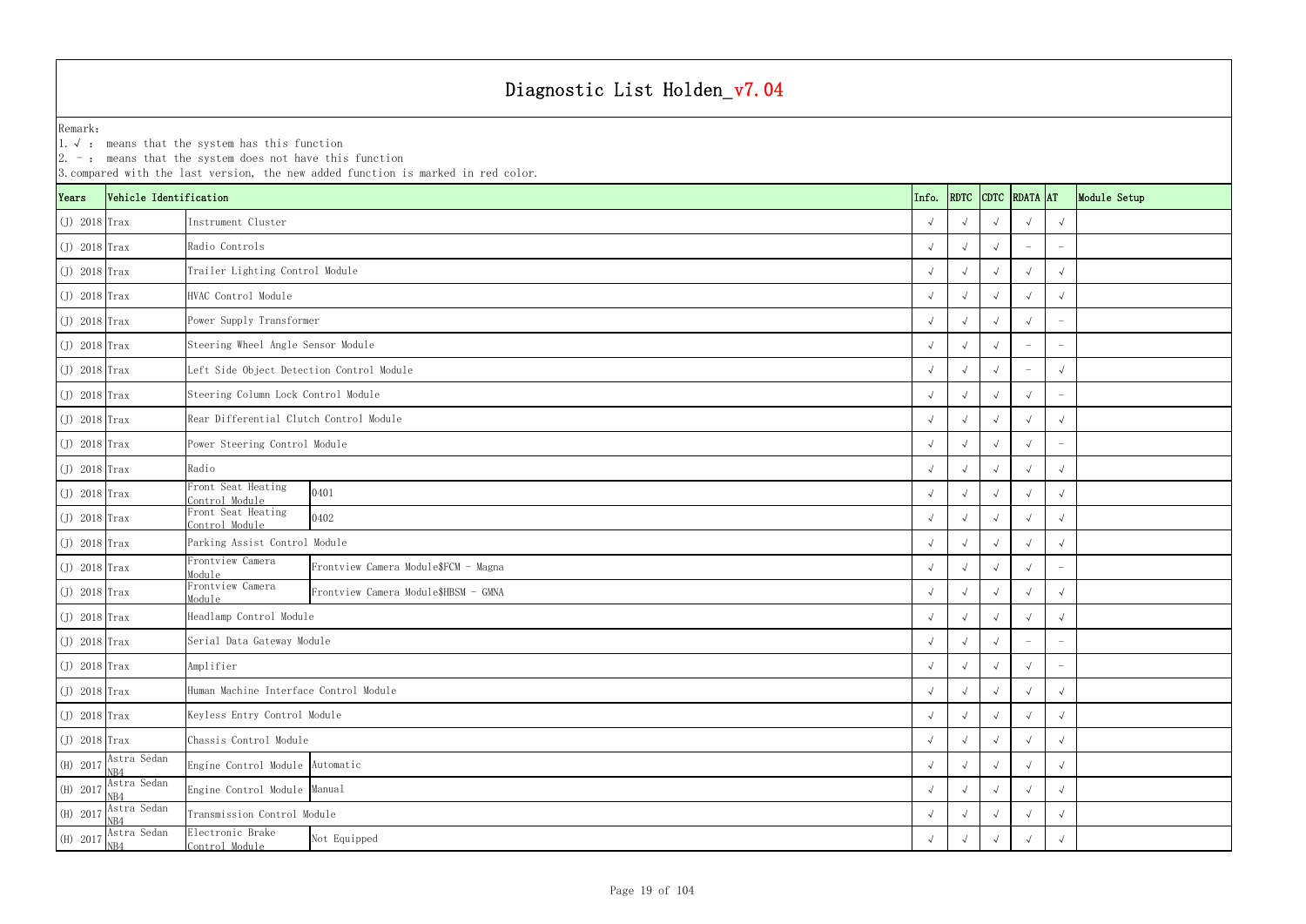1.√ : means that the system has this function

|                 | $ 2. -$ : means that the system does not have this function<br>3. compared with the last version, the new added function is marked in red color.<br>RDTC CDTC RDATA AT |                                                                    |            |                         |            |                          |                          |              |  |  |  |  |  |
|-----------------|------------------------------------------------------------------------------------------------------------------------------------------------------------------------|--------------------------------------------------------------------|------------|-------------------------|------------|--------------------------|--------------------------|--------------|--|--|--|--|--|
| Years           | Vehicle Identification                                                                                                                                                 |                                                                    | Info.      |                         |            |                          |                          | Module Setup |  |  |  |  |  |
| $(J)$ 2018 Trax |                                                                                                                                                                        | Instrument Cluster                                                 |            |                         |            |                          | $\sqrt{ }$               |              |  |  |  |  |  |
| $(J)$ 2018 Trax |                                                                                                                                                                        | Radio Controls                                                     |            | $\sqrt{ }$              |            |                          |                          |              |  |  |  |  |  |
| $J)$ 2018 Trax  |                                                                                                                                                                        | Trailer Lighting Control Module                                    |            |                         |            |                          | $\sqrt{ }$               |              |  |  |  |  |  |
| $(J)$ 2018 Trax |                                                                                                                                                                        | HVAC Control Module                                                |            |                         |            |                          | $\sqrt{ }$               |              |  |  |  |  |  |
| $(J)$ 2018 Trax |                                                                                                                                                                        | Power Supply Transformer                                           |            |                         |            |                          |                          |              |  |  |  |  |  |
| $(J)$ 2018 Trax |                                                                                                                                                                        | Steering Wheel Angle Sensor Module                                 |            | $\sqrt{ }$              |            |                          |                          |              |  |  |  |  |  |
| $(J)$ 2018 Trax |                                                                                                                                                                        | Left Side Object Detection Control Module                          |            | $\sqrt{ }$              |            |                          | $\sqrt{ }$               |              |  |  |  |  |  |
| $J)$ 2018 Trax  |                                                                                                                                                                        | Steering Column Lock Control Module                                |            |                         |            |                          | $\overline{\phantom{0}}$ |              |  |  |  |  |  |
| $(J)$ 2018 Trax |                                                                                                                                                                        | Rear Differential Clutch Control Module                            |            |                         |            |                          | $\sqrt{ }$               |              |  |  |  |  |  |
| $(J)$ 2018 Trax |                                                                                                                                                                        | Power Steering Control Module                                      |            | $\sqrt{ }$              |            |                          |                          |              |  |  |  |  |  |
| $(J)$ 2018 Trax |                                                                                                                                                                        | Radio                                                              |            |                         |            |                          | $\sqrt{ }$               |              |  |  |  |  |  |
| $J)$ 2018 Trax  |                                                                                                                                                                        | Front Seat Heating<br>0401<br>Control Module                       |            |                         |            |                          | $\sqrt{ }$               |              |  |  |  |  |  |
| $(J)$ 2018 Trax |                                                                                                                                                                        | Front Seat Heating<br>0402<br>Control Module                       |            |                         |            |                          | $\sqrt{ }$               |              |  |  |  |  |  |
| $(J)$ 2018 Trax |                                                                                                                                                                        | Parking Assist Control Module                                      |            |                         |            |                          | $\sqrt{ }$               |              |  |  |  |  |  |
| $(J)$ 2018 Trax |                                                                                                                                                                        | Frontview Camera<br>Frontview Camera Module\$FCM - Magna<br>Module |            | $\sim$                  |            |                          |                          |              |  |  |  |  |  |
| $(J)$ 2018 Trax |                                                                                                                                                                        | Frontview Camera<br>Frontview Camera Module\$HBSM - GMNA<br>Module |            |                         |            |                          | $\sqrt{ }$               |              |  |  |  |  |  |
| $J)$ 2018 Trax  |                                                                                                                                                                        | Headlamp Control Module                                            |            |                         |            |                          | $\sqrt{ }$               |              |  |  |  |  |  |
| $J)$ 2018 Trax  |                                                                                                                                                                        | Serial Data Gateway Module                                         | $\sqrt{ }$ | $\sqrt{ }$              | $\sqrt{ }$ | $\overline{\phantom{a}}$ | $\overline{\phantom{m}}$ |              |  |  |  |  |  |
| $(J)$ 2018 Trax |                                                                                                                                                                        | Amplifier                                                          |            | $\sqrt{ }$              | $\sqrt{ }$ |                          |                          |              |  |  |  |  |  |
| $(J)$ 2018 Trax |                                                                                                                                                                        | Human Machine Interface Control Module                             |            | $\sqrt{ }$              | $\sqrt{ }$ | $\sqrt{ }$               | $\sqrt{ }$               |              |  |  |  |  |  |
| $(J)$ 2018 Trax |                                                                                                                                                                        | Keyless Entry Control Module                                       |            | $\sqrt{ }$              |            |                          | $\sqrt{ }$               |              |  |  |  |  |  |
| $(J)$ 2018 Trax |                                                                                                                                                                        | Chassis Control Module                                             |            | $\sqrt{ }$              | $\sqrt{ }$ | $\sqrt{ }$               | $\sqrt{ }$               |              |  |  |  |  |  |
| (H) 2017        | Astra Sedan<br>NB4                                                                                                                                                     | Engine Control Module Automatic                                    |            | $\sqrt{ }$              | $\sqrt{ }$ |                          | $\sqrt{ }$               |              |  |  |  |  |  |
| (H) 2017        | Astra Sedan<br>NB4                                                                                                                                                     | Engine Control Module Manual                                       |            | $\overline{\mathbf{v}}$ |            |                          | $\sqrt{ }$               |              |  |  |  |  |  |
| (H) 2017        | Astra Sedan<br>NB4                                                                                                                                                     | Transmission Control Module                                        |            |                         |            |                          | $\sqrt{ }$               |              |  |  |  |  |  |
| (H) 2017        | Astra Sedan<br>NB4                                                                                                                                                     | Electronic Brake<br>Not Equipped<br>Control Module                 |            |                         |            |                          | $\sqrt{ }$               |              |  |  |  |  |  |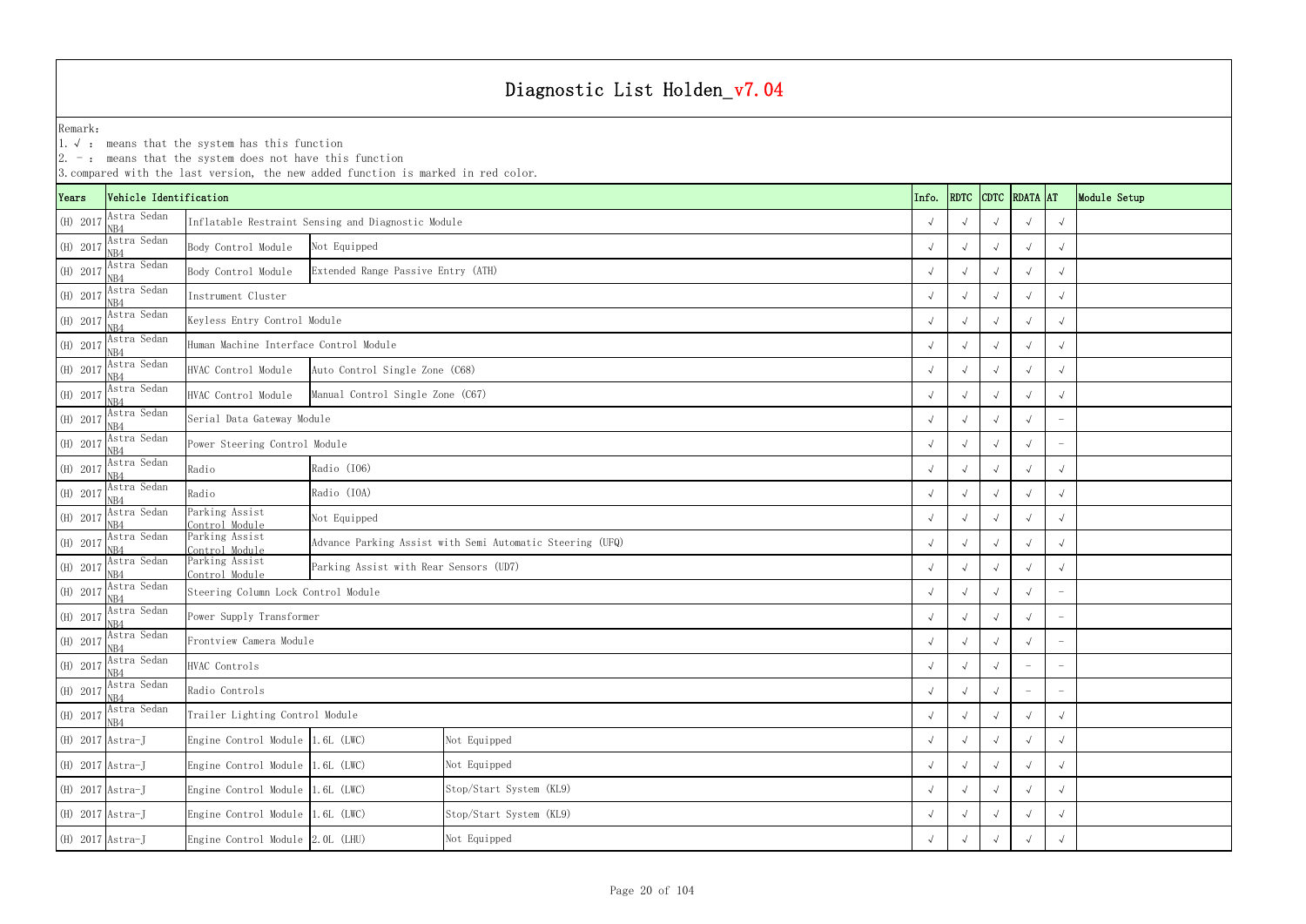|                    | $ 2. -$ : means that the system does not have this function<br>3. compared with the last version, the new added function is marked in red color.<br>CDTC RDATA AT |                                        |                                                             |                                                           |  |            |                       |            |                          |                                 |              |  |
|--------------------|-------------------------------------------------------------------------------------------------------------------------------------------------------------------|----------------------------------------|-------------------------------------------------------------|-----------------------------------------------------------|--|------------|-----------------------|------------|--------------------------|---------------------------------|--------------|--|
| Years              | Vehicle Identification                                                                                                                                            |                                        |                                                             |                                                           |  | Info.      | <b>RDTC</b>           |            |                          |                                 | Module Setup |  |
| (H) 2017           | Astra Sedan<br>NB4                                                                                                                                                |                                        | Inflatable Restraint Sensing and Diagnostic Module          |                                                           |  |            |                       |            | $\sqrt{ }$               | $\sqrt{ }$                      |              |  |
| (H) 2017           | Astra Sedan<br>NB4                                                                                                                                                | Body Control Module                    | Not Equipped                                                |                                                           |  |            | $\sqrt{ }$            | $\sqrt{ }$ | $\sqrt{ }$               | $\sqrt{ }$                      |              |  |
| (H) 2017           | Astra Sedan<br>NR4                                                                                                                                                | Body Control Module                    | Extended Range Passive Entry (ATH)                          |                                                           |  |            |                       |            | $\sqrt{ }$               | $\sqrt{ }$                      |              |  |
| (H) 2017           | Astra Sedan<br>NB4                                                                                                                                                | Instrument Cluster                     |                                                             |                                                           |  |            |                       |            |                          | $\sqrt{ }$                      |              |  |
| (H) 2017           | Astra Sedan<br>NB4                                                                                                                                                | Keyless Entry Control Module           |                                                             |                                                           |  |            |                       |            |                          | $\sqrt{ }$                      |              |  |
| (H) 2017           | Astra Sedan<br>VR4                                                                                                                                                | Human Machine Interface Control Module |                                                             |                                                           |  |            | $\sqrt{ }$            |            |                          | $\sqrt{ }$                      |              |  |
| (H) 2017           | Astra Sedan                                                                                                                                                       | HVAC Control Module                    | Auto Control Single Zone (C68)                              |                                                           |  |            |                       |            |                          | $\sqrt{ }$                      |              |  |
| (H) 2017           | Astra Sedan<br>NB4                                                                                                                                                | HVAC Control Module                    | Manual Control Single Zone (C67)                            |                                                           |  |            |                       |            |                          | $\sqrt{ }$                      |              |  |
| (H) 2017           | Astra Sedan<br>NB4                                                                                                                                                | Serial Data Gateway Module             |                                                             |                                                           |  |            |                       |            | $\sqrt{ }$               | $\overline{\phantom{a}}$        |              |  |
| (H) 2017           | Astra Sedan<br>VR4                                                                                                                                                | Power Steering Control Module          |                                                             |                                                           |  |            | $\sqrt{ }$            | $\sqrt{ }$ | $\sqrt{ }$               | $\overline{\phantom{a}}$        |              |  |
| (H) 2017           | Astra Sedan<br>NB4                                                                                                                                                | Radio                                  | Radio (I06)                                                 |                                                           |  |            |                       |            | $\sqrt{ }$               | $\sqrt{ }$                      |              |  |
| (H) 2017           | Astra Sedan<br>NB4                                                                                                                                                | Radio                                  | Radio (IOA)                                                 |                                                           |  |            |                       |            |                          | $\sqrt{ }$                      |              |  |
| $(H)$ 2017         | Astra Sedan<br>NB4                                                                                                                                                | Parking Assist<br>Control Module       | Not Equipped                                                |                                                           |  |            |                       |            |                          | $\sqrt{ }$                      |              |  |
| (H) 2017           | Astra Sedan<br>NB4                                                                                                                                                | Parking Assist<br>Control Module       |                                                             | Advance Parking Assist with Semi Automatic Steering (UFQ) |  |            | $\sqrt{ }$            |            |                          | $\sqrt{ }$                      |              |  |
| (H) 2017           | Astra Sedan<br>NB4                                                                                                                                                | Parking Assist<br>Control Module       | Parking Assist with Rear Sensors (UD7)                      |                                                           |  |            | $\sqrt{ }$            |            |                          | $\sqrt{ }$                      |              |  |
| (H) 2017           | Astra Sedan<br>NB4                                                                                                                                                | Steering Column Lock Control Module    |                                                             |                                                           |  |            |                       |            |                          | $\overline{\phantom{m}}$        |              |  |
| (H) 2017           | Astra Sedan<br>NB4                                                                                                                                                | Power Supply Transformer               |                                                             |                                                           |  |            |                       |            | $\sqrt{ }$               | $\overline{\phantom{0}}$        |              |  |
|                    | (H) 2017 $\frac{\text{Astra Sedan}}{\text{NB4}}$                                                                                                                  | Frontview Camera Module                |                                                             |                                                           |  | $\sqrt{ }$ | $\sqrt{ }$            | $\sqrt{ }$ | $\sqrt{ }$               | $\hspace{0.1mm}-\hspace{0.1mm}$ |              |  |
| (H) 2017           | Astra Sedan<br>NB4                                                                                                                                                | HVAC Controls                          |                                                             |                                                           |  |            | $\sqrt{ }$            | $\sqrt{ }$ | $\overline{\phantom{0}}$ | $\overline{\phantom{a}}$        |              |  |
| (H) 2017           | Astra Sedan<br>NB4                                                                                                                                                | Radio Controls                         |                                                             |                                                           |  |            | $\sqrt{ }$            | $\sqrt{ }$ |                          | $\overline{\phantom{a}}$        |              |  |
| (H) 2017           | Astra Sedan<br>NB4                                                                                                                                                | Trailer Lighting Control Module        |                                                             |                                                           |  |            | $\overline{\sqrt{2}}$ |            | $\sqrt{ }$               | $\sqrt{ }$                      |              |  |
| $(H)$ 2017 Astra-J |                                                                                                                                                                   |                                        | Engine Control Module 1.6L (LWC)<br>Not Equipped            |                                                           |  |            | $\sqrt{ }$            | $\sqrt{ }$ | $\sqrt{ }$               | $\sqrt{ }$                      |              |  |
| $(H)$ 2017 Astra-J |                                                                                                                                                                   |                                        | Engine Control Module 1.6L (LWC)<br>Not Equipped            |                                                           |  |            | $\sqrt{ }$            | $\sqrt{ }$ | $\sqrt{ }$               | $\sqrt{ }$                      |              |  |
| $(H)$ 2017 Astra-J |                                                                                                                                                                   |                                        | Stop/Start System (KL9)<br>Engine Control Module 1.6L (LWC) |                                                           |  |            |                       |            |                          | $\sqrt{ }$                      |              |  |
| $(H)$ 2017 Astra-J |                                                                                                                                                                   | Engine Control Module 1.6L (LWC)       |                                                             | Stop/Start System (KL9)                                   |  |            |                       |            |                          | $\sqrt{ }$                      |              |  |
| $(H)$ 2017 Astra-J |                                                                                                                                                                   |                                        | Engine Control Module 2.0L (LHU)<br>Not Equipped            |                                                           |  |            |                       |            |                          | $\sqrt{ }$                      |              |  |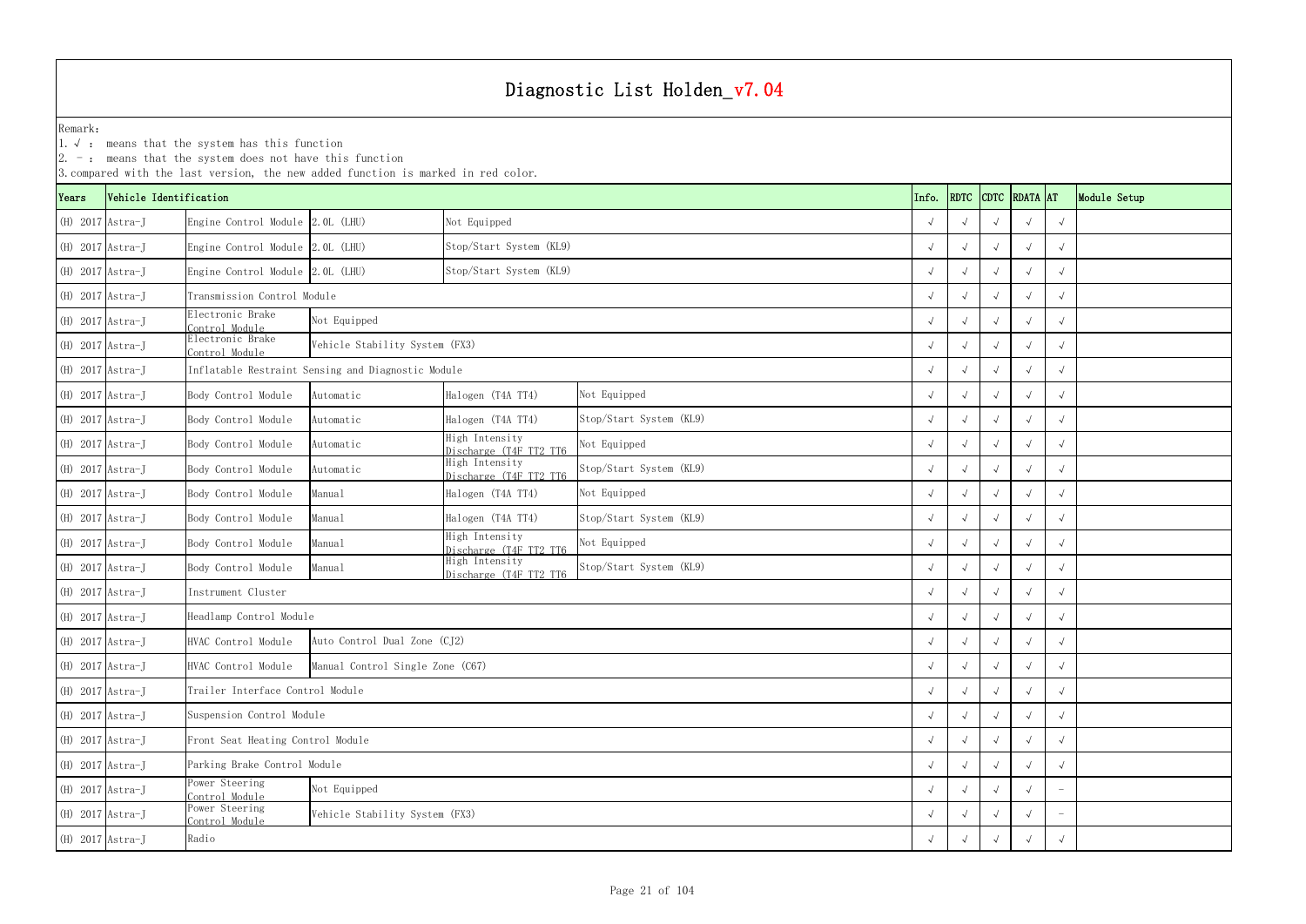1.√ : means that the system has this function

|                    | $ 2. -$ : means that the system does not have this function<br>3. compared with the last version, the new added function is marked in red color. |                                                                   |                                                    |                                          |                         |            |             |  |               |            |              |  |
|--------------------|--------------------------------------------------------------------------------------------------------------------------------------------------|-------------------------------------------------------------------|----------------------------------------------------|------------------------------------------|-------------------------|------------|-------------|--|---------------|------------|--------------|--|
| Years              | Vehicle Identification                                                                                                                           |                                                                   |                                                    |                                          |                         | Info.      | <b>RDTC</b> |  | CDTC RDATA AT |            | Module Setup |  |
| $(H)$ 2017 Astra-J |                                                                                                                                                  | Engine Control Module 2.0L (LHU)                                  |                                                    | Not Equipped                             |                         |            |             |  |               | $\sqrt{ }$ |              |  |
| (H) 2017 Astra-J   |                                                                                                                                                  | Engine Control Module 2.0L (LHU)                                  |                                                    | Stop/Start System (KL9)                  |                         |            |             |  |               |            |              |  |
| $(H)$ 2017 Astra-J |                                                                                                                                                  | Engine Control Module 2.0L (LHU)                                  |                                                    | Stop/Start System (KL9)                  |                         |            |             |  |               | $\sqrt{}$  |              |  |
| $(H)$ 2017 Astra-J |                                                                                                                                                  | Transmission Control Module                                       |                                                    |                                          |                         |            |             |  |               |            |              |  |
| $(H)$ 2017 Astra-J |                                                                                                                                                  | Clectronic Brake<br>Control Module                                | Not Equipped                                       |                                          |                         |            |             |  |               |            |              |  |
| $(H)$ 2017 Astra-J |                                                                                                                                                  | Electronic Brake<br>Control Module                                | Vehicle Stability System (FX3)                     |                                          |                         |            |             |  |               |            |              |  |
| $(H)$ 2017 Astra-J |                                                                                                                                                  |                                                                   | Inflatable Restraint Sensing and Diagnostic Module |                                          |                         |            |             |  |               | $\sqrt{}$  |              |  |
| $(H)$ 2017 Astra-J |                                                                                                                                                  | Body Control Module                                               | Automatic                                          | Halogen (T4A TT4)                        | Not Equipped            |            |             |  |               |            |              |  |
| $(H)$ 2017 Astra-J |                                                                                                                                                  | Body Control Module                                               | Automatic                                          | Halogen (T4A TT4)                        | Stop/Start System (KL9) |            |             |  |               | $\sqrt{ }$ |              |  |
| $(H)$ 2017 Astra-J |                                                                                                                                                  | Body Control Module                                               | Automatic                                          | High Intensity<br>Discharge (T4F TT2 TT6 | Not Equipped            |            |             |  |               |            |              |  |
| (H) 2017 Astra-J   |                                                                                                                                                  | Body Control Module                                               | Automatic                                          | High Intensity<br>Discharge (T4F TT2 TT6 | Stop/Start System (KL9) |            |             |  |               | $\sqrt{ }$ |              |  |
| $(H)$ 2017 Astra-J |                                                                                                                                                  | Body Control Module                                               | Manual                                             | Halogen (T4A TT4)                        | Not Equipped            |            |             |  |               |            |              |  |
| $(H)$ 2017 Astra-J |                                                                                                                                                  | Body Control Module                                               | Manual                                             | Halogen (T4A TT4)                        | Stop/Start System (KL9) |            |             |  |               |            |              |  |
| $(H)$ 2017 Astra-J |                                                                                                                                                  | Body Control Module                                               | Manual                                             | High Intensity<br>Discharge (T4F TT2 TT6 | Not Equipped            |            |             |  |               |            |              |  |
| $(H)$ 2017 Astra-J |                                                                                                                                                  | Body Control Module                                               | Manual                                             | High Intensity<br>Discharge (T4F TT2 TT6 | Stop/Start System (KL9) |            |             |  |               |            |              |  |
| $(H)$ 2017 Astra-J |                                                                                                                                                  | Instrument Cluster                                                |                                                    |                                          |                         |            |             |  |               |            |              |  |
| (H) 2017 Astra-J   |                                                                                                                                                  | Headlamp Control Module                                           |                                                    |                                          |                         |            |             |  |               |            |              |  |
| (H) 2017 Astra-J   |                                                                                                                                                  | HVAC Control Module                                               | Auto Control Dual Zone (CJ2)                       |                                          |                         | $\sqrt{ }$ |             |  | $\sqrt{ }$    | $\sqrt{ }$ |              |  |
| $(H)$ 2017 Astra-J |                                                                                                                                                  | HVAC Control Module                                               | Manual Control Single Zone (C67)                   |                                          |                         |            | $\sim$      |  |               |            |              |  |
| $(H)$ 2017 Astra-J |                                                                                                                                                  | Trailer Interface Control Module                                  |                                                    |                                          |                         |            |             |  |               | $\sqrt{ }$ |              |  |
| (H) 2017 Astra-J   |                                                                                                                                                  | Suspension Control Module                                         |                                                    |                                          |                         |            |             |  |               |            |              |  |
| $(H)$ 2017 Astra-J |                                                                                                                                                  | Front Seat Heating Control Module                                 |                                                    |                                          |                         |            |             |  |               | $\sqrt{ }$ |              |  |
| (H) 2017 Astra-J   |                                                                                                                                                  | Parking Brake Control Module                                      |                                                    |                                          |                         |            |             |  |               |            |              |  |
| (H) 2017 Astra-J   |                                                                                                                                                  | Power Steering<br>Not Equipped<br>Control Module                  |                                                    |                                          |                         |            |             |  |               |            |              |  |
| $(H)$ 2017 Astra-J |                                                                                                                                                  | Ower Steering<br>Vehicle Stability System (FX3)<br>Control Module |                                                    |                                          |                         |            |             |  |               |            |              |  |
| $(H)$ 2017 Astra-J |                                                                                                                                                  | Radio                                                             |                                                    |                                          |                         |            |             |  |               |            |              |  |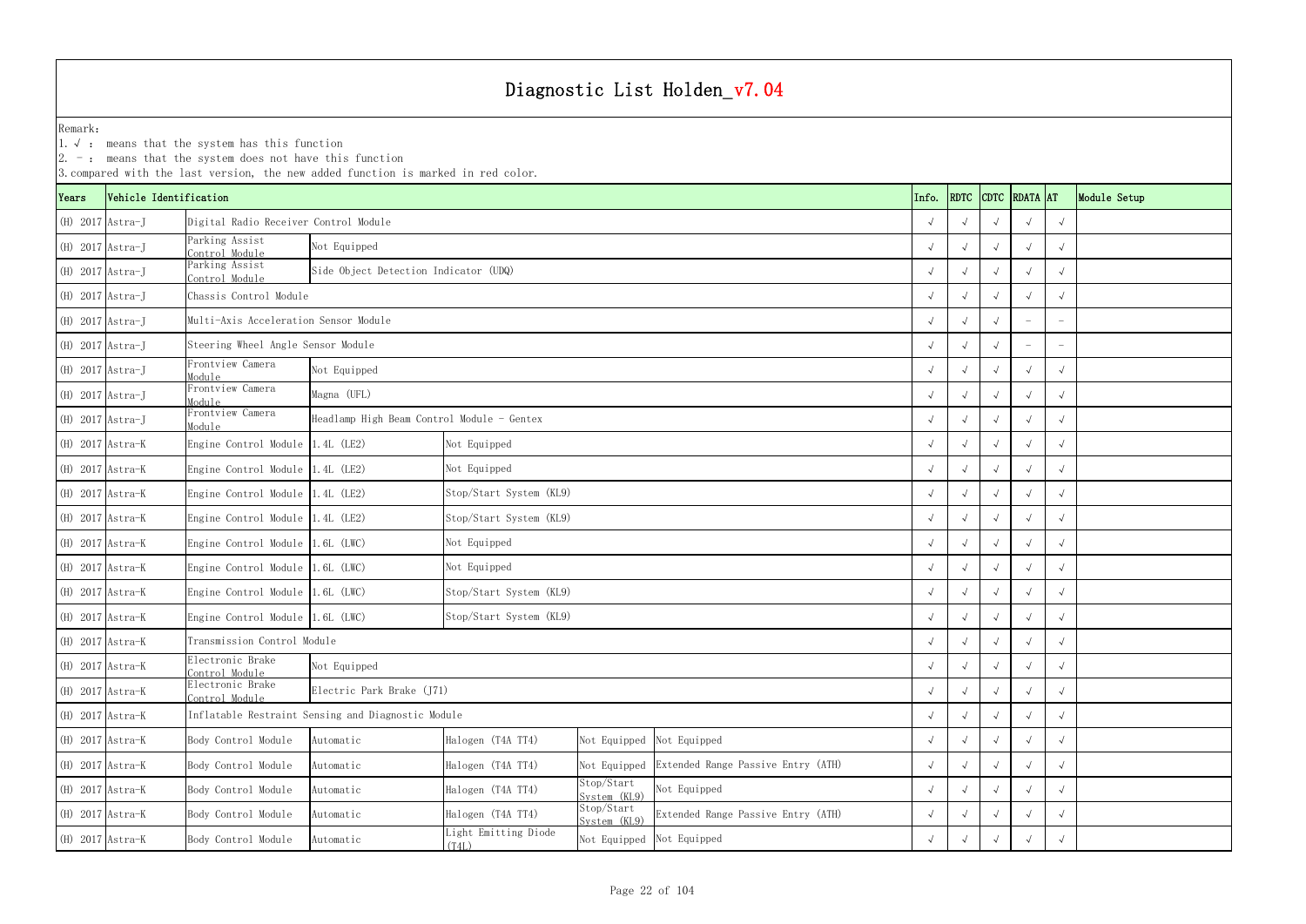|                    | $ 2. -$ : means that the system does not have this function<br>3. compared with the last version, the new added function is marked in red color. |                                       |                                                    |                                                                         |                            |                                    |               |  |              |            |            |  |
|--------------------|--------------------------------------------------------------------------------------------------------------------------------------------------|---------------------------------------|----------------------------------------------------|-------------------------------------------------------------------------|----------------------------|------------------------------------|---------------|--|--------------|------------|------------|--|
| Years              | Vehicle Identification                                                                                                                           |                                       |                                                    | Info.                                                                   | <b>RDTC</b>                |                                    | CDTC RDATA AT |  | Module Setup |            |            |  |
| $(H)$ 2017 Astra-J |                                                                                                                                                  | Digital Radio Receiver Control Module |                                                    |                                                                         |                            |                                    |               |  |              |            |            |  |
| $(H)$ 2017 Astra-J |                                                                                                                                                  | Parking Assist<br>Control Module      | Not Equipped                                       |                                                                         |                            |                                    |               |  |              |            |            |  |
| $(H)$ 2017 Astra-J |                                                                                                                                                  | Parking Assist<br>Control Module      | Side Object Detection Indicator (UDQ)              |                                                                         |                            |                                    |               |  |              |            |            |  |
| (H) 2017 Astra-J   |                                                                                                                                                  | Chassis Control Module                |                                                    |                                                                         |                            |                                    |               |  |              |            |            |  |
| $(H)$ 2017 Astra-J |                                                                                                                                                  | Multi-Axis Acceleration Sensor Module |                                                    |                                                                         |                            |                                    |               |  |              |            |            |  |
| $(H)$ 2017 Astra-J |                                                                                                                                                  | Steering Wheel Angle Sensor Module    |                                                    |                                                                         |                            |                                    |               |  |              |            |            |  |
| $(H)$ 2017 Astra-J |                                                                                                                                                  | Frontview Camera<br>Module            | Not Equipped                                       |                                                                         |                            |                                    |               |  |              |            |            |  |
| $(H)$ 2017 Astra-J |                                                                                                                                                  | Frontview Camera<br>Module            | Magna (UFL)                                        |                                                                         |                            |                                    |               |  |              |            |            |  |
| (H) 2017 Astra-J   |                                                                                                                                                  | Frontview Camera<br>Module            |                                                    | Headlamp High Beam Control Module - Gentex                              |                            |                                    |               |  |              |            |            |  |
| (H) 2017 Astra-K   |                                                                                                                                                  | Engine Control Module 1.4L (LE2)      |                                                    | Not Equipped                                                            |                            |                                    |               |  |              |            |            |  |
| (H) 2017 Astra-K   |                                                                                                                                                  | Engine Control Module 1.4L (LE2)      |                                                    | Not Equipped                                                            |                            |                                    |               |  |              |            |            |  |
| (H) 2017 Astra-K   |                                                                                                                                                  | Engine Control Module 1.4L (LE2)      |                                                    | Stop/Start System (KL9)                                                 |                            |                                    |               |  |              |            |            |  |
| (H) 2017 Astra-K   |                                                                                                                                                  | Engine Control Module 1.4L (LE2)      |                                                    | Stop/Start System (KL9)                                                 |                            |                                    |               |  |              |            |            |  |
| (H) 2017 Astra-K   |                                                                                                                                                  | Engine Control Module 1.6L (LWC)      |                                                    | Not Equipped                                                            |                            |                                    |               |  |              |            |            |  |
| (H) 2017 Astra-K   |                                                                                                                                                  | Engine Control Module 1.6L (LWC)      |                                                    | Not Equipped                                                            |                            |                                    |               |  |              |            |            |  |
| (H) 2017 Astra-K   |                                                                                                                                                  | Engine Control Module 1.6L (LWC)      |                                                    | Stop/Start System (KL9)                                                 |                            |                                    |               |  |              |            |            |  |
| (H) 2017 Astra-K   |                                                                                                                                                  | Engine Control Module 1.6L (LWC)      |                                                    | Stop/Start System (KL9)                                                 |                            |                                    |               |  |              |            |            |  |
| (H) 2017 Astra-K   |                                                                                                                                                  | Transmission Control Module           |                                                    |                                                                         |                            |                                    | $\sqrt{ }$    |  |              | $\sqrt{ }$ | $\sqrt{ }$ |  |
| (H) 2017 Astra-K   |                                                                                                                                                  | Electronic Brake<br>Control Module    | Not Equipped                                       |                                                                         |                            |                                    |               |  |              |            |            |  |
| (H) 2017 Astra-K   |                                                                                                                                                  | Electronic Brake<br>Control Module    | Electric Park Brake (J71)                          |                                                                         |                            |                                    |               |  |              |            | $\sqrt{ }$ |  |
| (H) 2017 Astra-K   |                                                                                                                                                  |                                       | Inflatable Restraint Sensing and Diagnostic Module |                                                                         |                            |                                    |               |  |              |            |            |  |
| (H) 2017 Astra-K   |                                                                                                                                                  | Body Control Module                   | Automatic                                          | Halogen (T4A TT4)<br>Not Equipped Not Equipped                          |                            |                                    |               |  |              |            | $\sqrt{ }$ |  |
| (H) 2017 Astra-K   |                                                                                                                                                  | Body Control Module                   | Automatic                                          | Extended Range Passive Entry (ATH)<br>Halogen (T4A TT4)<br>Not Equipped |                            |                                    |               |  |              |            |            |  |
| (H) 2017 Astra-K   |                                                                                                                                                  | Body Control Module                   | Automatic                                          | Halogen (T4A TT4)                                                       | Stop/Start<br>System (KL9) | Not Equipped                       |               |  |              |            | $\sqrt{ }$ |  |
| (H) 2017 Astra-K   |                                                                                                                                                  | Body Control Module                   | Automatic                                          | Halogen (T4A TT4)                                                       | Stop/Start<br>System (KL9) | Extended Range Passive Entry (ATH) |               |  |              |            |            |  |
| (H) 2017 Astra-K   |                                                                                                                                                  | Body Control Module                   | Automatic                                          | Light Emitting Diode<br>Not Equipped Not Equipped<br>(T4L)              |                            |                                    |               |  |              |            | $\sqrt{ }$ |  |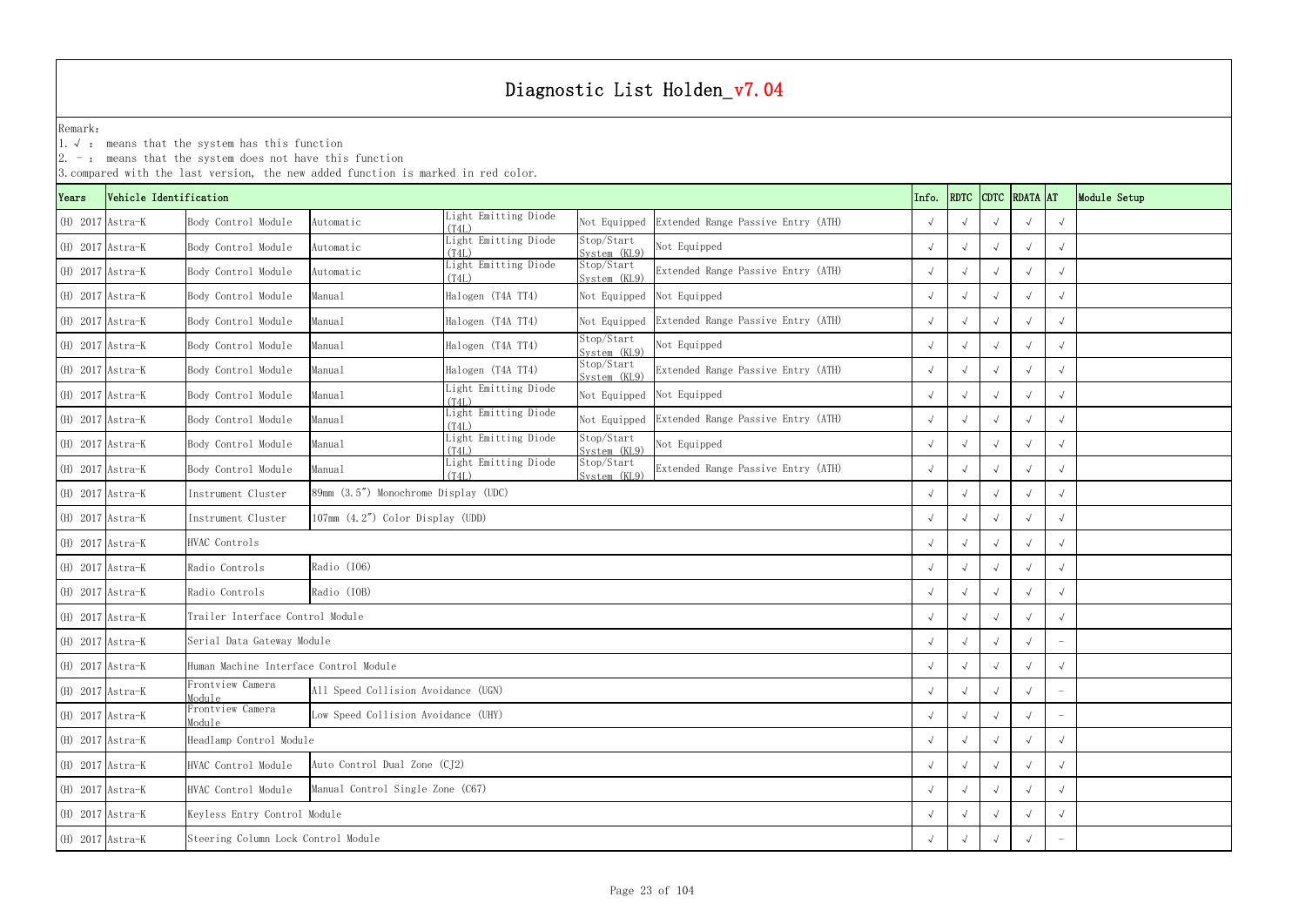|                    |                        | $ 2. -$ : means that the system does not have this function | 3. compared with the last version, the new added function is marked in red color. |                               |                            |                                    |       |             |            |               |            |              |
|--------------------|------------------------|-------------------------------------------------------------|-----------------------------------------------------------------------------------|-------------------------------|----------------------------|------------------------------------|-------|-------------|------------|---------------|------------|--------------|
| Years              | Vehicle Identification |                                                             |                                                                                   |                               |                            |                                    | Info. | <b>RDTC</b> |            | CDTC RDATA AT |            | Module Setup |
| (H) 2017 Astra-K   |                        | Body Control Module                                         | Automatic                                                                         | Light Emitting Diode<br>(T4L) | Not Equipped               | Extended Range Passive Entry (ATH) |       |             |            |               | $\sqrt{ }$ |              |
| $(H)$ 2017 Astra-K |                        | Body Control Module                                         | Automatic                                                                         | Light Emitting Diode<br>(T4L) | Stop/Start<br>System (KL9) | Not Equipped                       |       |             |            |               |            |              |
| $(H)$ 2017 Astra-K |                        | Body Control Module                                         | Automatic                                                                         | Light Emitting Diode<br>(T4L) | Stop/Start<br>System (KL9) | Extended Range Passive Entry (ATH) |       |             |            |               | $\sqrt{ }$ |              |
| $(H)$ 2017 Astra-K |                        | Body Control Module                                         | Manual                                                                            | Halogen (T4A TT4)             | Not Equipped               | Not Equipped                       |       |             |            |               |            |              |
| (H) 2017 Astra-K   |                        | Body Control Module                                         | Manual                                                                            | Halogen (T4A TT4)             | Not Equipped               | Extended Range Passive Entry (ATH) |       |             |            |               | $\sqrt{ }$ |              |
| $(H)$ 2017 Astra-K |                        | Body Control Module                                         | Manual                                                                            | Halogen (T4A TT4)             | Stop/Start<br>System (KL9) | Not Equipped                       |       |             |            |               |            |              |
| (H) 2017 Astra-K   |                        | Body Control Module                                         | Manual                                                                            | Halogen (T4A TT4)             | Stop/Start<br>System (KL9) | Extended Range Passive Entry (ATH) |       |             |            |               | $\sqrt{ }$ |              |
| $(H)$ 2017 Astra-K |                        | Body Control Module                                         | Manual                                                                            | Light Emitting Diode<br>(T4L) | Not Equipped               | Not Equipped                       |       |             |            |               |            |              |
| $(H)$ 2017 Astra-K |                        | Body Control Module                                         | Manual                                                                            | Light Emitting Diode<br>(T4L) | Not Equipped               | Extended Range Passive Entry (ATH) |       |             |            |               | $\sqrt{ }$ |              |
| $(H)$ 2017 Astra-K |                        | Body Control Module                                         | Manual                                                                            | Light Emitting Diode<br>(T4L) | Stop/Start<br>System (KL9) | Not Equipped                       |       |             |            |               | $\sqrt{ }$ |              |
| $(H)$ 2017 Astra-K |                        | Body Control Module                                         | Manual                                                                            | Light Emitting Diode<br>(T4L) | Stop/Start<br>System (KL9) | Extended Range Passive Entry (ATH) |       |             |            |               | $\sqrt{ }$ |              |
| $(H)$ 2017 Astra-K |                        | Instrument Cluster                                          | 89mm (3.5") Monochrome Display (UDC)                                              |                               |                            |                                    |       |             |            |               |            |              |
| $(H)$ 2017 Astra-K |                        | Instrument Cluster                                          | 107mm (4.2") Color Display (UDD)                                                  |                               |                            |                                    |       |             |            |               | $\sqrt{ }$ |              |
| $(H)$ 2017 Astra-K |                        | HVAC Controls                                               |                                                                                   |                               |                            |                                    |       |             |            |               |            |              |
| (H) 2017 Astra-K   |                        | Radio Controls                                              | Radio (I06)                                                                       |                               |                            |                                    |       |             |            |               | $\sqrt{ }$ |              |
| (H) 2017 Astra-K   |                        | Radio Controls                                              | Radio (IOB)                                                                       |                               |                            |                                    |       |             |            |               | $\sqrt{ }$ |              |
| (H) 2017 Astra-K   |                        | Trailer Interface Control Module                            |                                                                                   |                               |                            |                                    |       |             |            |               | $\sqrt{ }$ |              |
| (H) 2017 Astra-K   |                        | Serial Data Gateway Module                                  |                                                                                   |                               |                            |                                    |       | $\sqrt{ }$  | $\sqrt{ }$ | $\sqrt{ }$    |            |              |
| (H) 2017 Astra-K   |                        | Human Machine Interface Control Module                      |                                                                                   |                               |                            |                                    |       |             |            |               |            |              |
| (H) 2017 Astra-K   |                        | Frontview Camera<br>Module                                  | All Speed Collision Avoidance (UGN)                                               |                               |                            |                                    |       |             |            |               |            |              |
| (H) 2017 Astra-K   |                        | Frontview Camera<br>Module                                  | Low Speed Collision Avoidance (UHY)                                               |                               |                            |                                    |       |             |            |               |            |              |
| (H) 2017 Astra-K   |                        | Headlamp Control Module                                     |                                                                                   |                               |                            |                                    |       |             | $\sqrt{ }$ |               | $\sqrt{ }$ |              |
| (H) 2017 Astra-K   |                        | Auto Control Dual Zone (CJ2)<br>HVAC Control Module         |                                                                                   |                               |                            |                                    |       |             |            |               | $\sqrt{ }$ |              |
| (H) 2017 Astra-K   |                        | HVAC Control Module                                         | Manual Control Single Zone (C67)                                                  |                               |                            |                                    |       |             |            |               |            |              |
| (H) 2017 Astra-K   |                        |                                                             | Keyless Entry Control Module                                                      |                               |                            |                                    |       |             |            |               | $\sqrt{ }$ |              |
| (H) 2017 Astra-K   |                        |                                                             | Steering Column Lock Control Module                                               |                               |                            |                                    |       |             |            |               |            |              |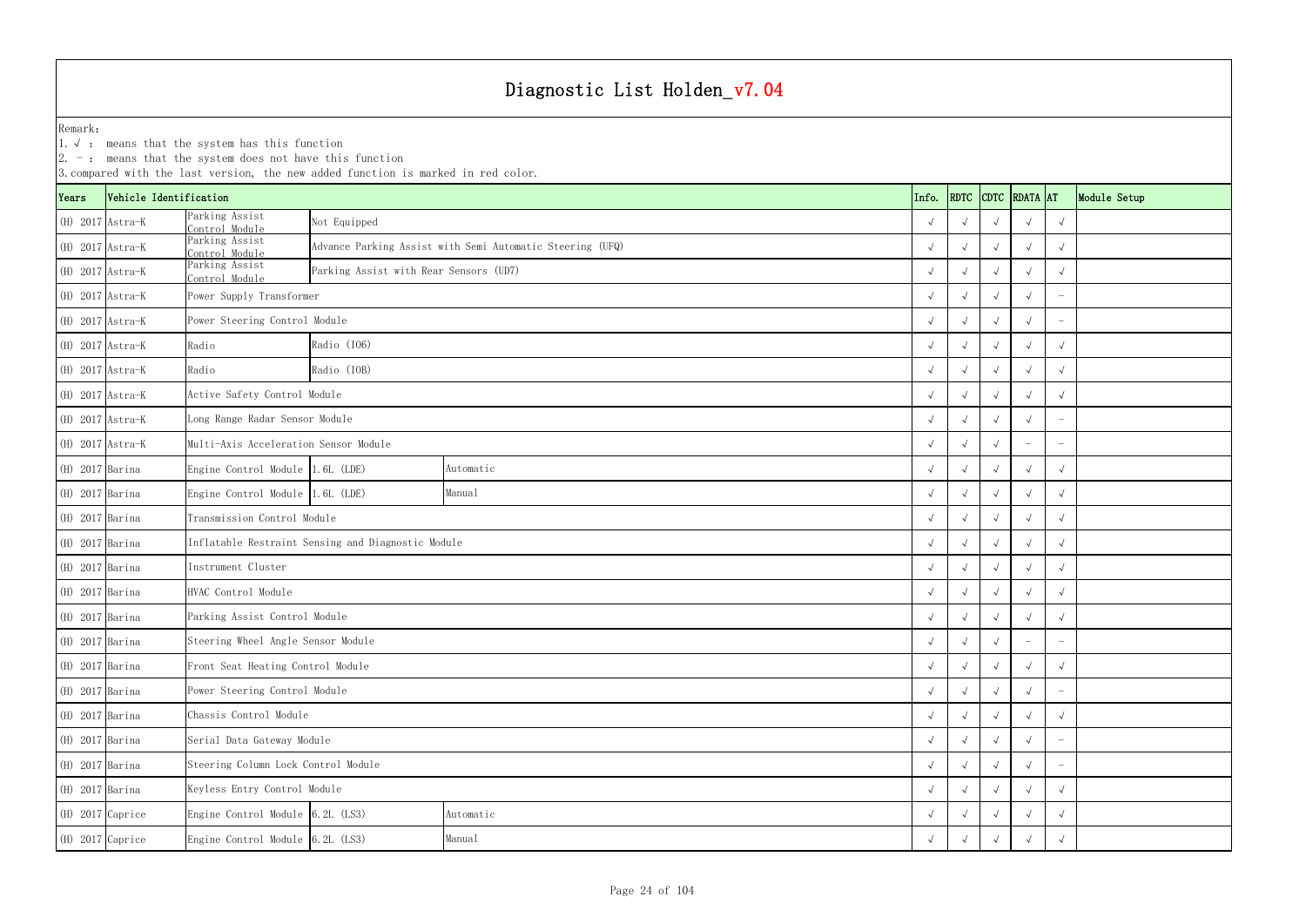|                    | $ 2. -$ : means that the system does not have this function<br>3. compared with the last version, the new added function is marked in red color.<br>CDTC RDATA AT |                                     |                                                    |                                                           |       |            |            |  |                          |              |  |  |  |
|--------------------|-------------------------------------------------------------------------------------------------------------------------------------------------------------------|-------------------------------------|----------------------------------------------------|-----------------------------------------------------------|-------|------------|------------|--|--------------------------|--------------|--|--|--|
| Years              | Vehicle Identification                                                                                                                                            |                                     |                                                    |                                                           | Info. | RDTC       |            |  |                          | Module Setup |  |  |  |
| $(H)$ 2017 Astra-K |                                                                                                                                                                   | Parking Assist<br>Control Module    | Not Equipped                                       |                                                           |       |            |            |  |                          | $\sqrt{ }$   |  |  |  |
| (H) 2017 Astra-K   |                                                                                                                                                                   | Parking Assist<br>Control Module    |                                                    | Advance Parking Assist with Semi Automatic Steering (UFQ) |       |            |            |  |                          |              |  |  |  |
| (H) 2017 Astra-K   |                                                                                                                                                                   | Parking Assist<br>Control Module    | Parking Assist with Rear Sensors (UD7)             |                                                           |       |            |            |  |                          | $\sqrt{}$    |  |  |  |
| (H) 2017 Astra-K   |                                                                                                                                                                   | Power Supply Transformer            |                                                    |                                                           |       |            |            |  |                          |              |  |  |  |
| (H) 2017 Astra-K   |                                                                                                                                                                   | Power Steering Control Module       |                                                    |                                                           |       |            |            |  |                          |              |  |  |  |
| $(H)$ 2017 Astra-K |                                                                                                                                                                   | Radio                               | Radio (I06)                                        |                                                           |       |            |            |  |                          |              |  |  |  |
| $(H)$ 2017 Astra-K |                                                                                                                                                                   | Radio                               | Radio (IOB)                                        |                                                           |       |            |            |  |                          | $\sqrt{ }$   |  |  |  |
| $(H)$ 2017 Astra-K |                                                                                                                                                                   | Active Safety Control Module        |                                                    |                                                           |       |            |            |  |                          |              |  |  |  |
| $(H)$ 2017 Astra-K |                                                                                                                                                                   |                                     | Long Range Radar Sensor Module                     |                                                           |       |            |            |  |                          |              |  |  |  |
| (H) 2017 Astra-K   |                                                                                                                                                                   |                                     | Multi-Axis Acceleration Sensor Module              |                                                           |       |            |            |  |                          |              |  |  |  |
| (H) 2017 Barina    |                                                                                                                                                                   | Engine Control Module 1.6L (LDE)    |                                                    | Automatic                                                 |       |            |            |  |                          | $\sqrt{ }$   |  |  |  |
| $(H)$ 2017 Barina  |                                                                                                                                                                   | Engine Control Module 1.6L (LDE)    |                                                    | Manual                                                    |       |            |            |  |                          |              |  |  |  |
| $(H)$ 2017 Barina  |                                                                                                                                                                   | Transmission Control Module         |                                                    |                                                           |       |            |            |  |                          |              |  |  |  |
| $(H)$ 2017 Barina  |                                                                                                                                                                   |                                     | Inflatable Restraint Sensing and Diagnostic Module |                                                           |       |            |            |  |                          |              |  |  |  |
| (H) 2017 Barina    |                                                                                                                                                                   | Instrument Cluster                  |                                                    |                                                           |       |            |            |  |                          |              |  |  |  |
| $(H)$ 2017 Barina  |                                                                                                                                                                   | HVAC Control Module                 |                                                    |                                                           |       |            |            |  |                          |              |  |  |  |
| $(H)$ 2017 Barina  |                                                                                                                                                                   | Parking Assist Control Module       |                                                    |                                                           |       |            |            |  |                          |              |  |  |  |
| (H) 2017 Barina    |                                                                                                                                                                   | Steering Wheel Angle Sensor Module  |                                                    |                                                           |       | $\sqrt{ }$ | $\sqrt{ }$ |  | $\overline{\phantom{a}}$ | -            |  |  |  |
| $(H)$ 2017 Barina  |                                                                                                                                                                   | Front Seat Heating Control Module   |                                                    |                                                           |       |            | $\sqrt{ }$ |  |                          |              |  |  |  |
| (H) 2017 Barina    |                                                                                                                                                                   | Power Steering Control Module       |                                                    |                                                           |       |            |            |  |                          |              |  |  |  |
| $(H)$ 2017 Barina  |                                                                                                                                                                   | Chassis Control Module              |                                                    |                                                           |       |            |            |  |                          |              |  |  |  |
| (H) 2017 Barina    |                                                                                                                                                                   | Serial Data Gateway Module          |                                                    |                                                           |       |            |            |  | $\sqrt{ }$               |              |  |  |  |
| (H) 2017 Barina    |                                                                                                                                                                   | Steering Column Lock Control Module |                                                    |                                                           |       |            |            |  |                          |              |  |  |  |
| (H) 2017 Barina    |                                                                                                                                                                   | Keyless Entry Control Module        |                                                    |                                                           |       |            |            |  |                          | $\sqrt{ }$   |  |  |  |
| (H) 2017 Caprice   |                                                                                                                                                                   | Engine Control Module $6.2L$ (LS3)  |                                                    | Automatic                                                 |       |            |            |  |                          |              |  |  |  |
| $(H)$ 2017 Caprice |                                                                                                                                                                   |                                     | Engine Control Module 6.2L (LS3)<br>Manual         |                                                           |       |            |            |  |                          |              |  |  |  |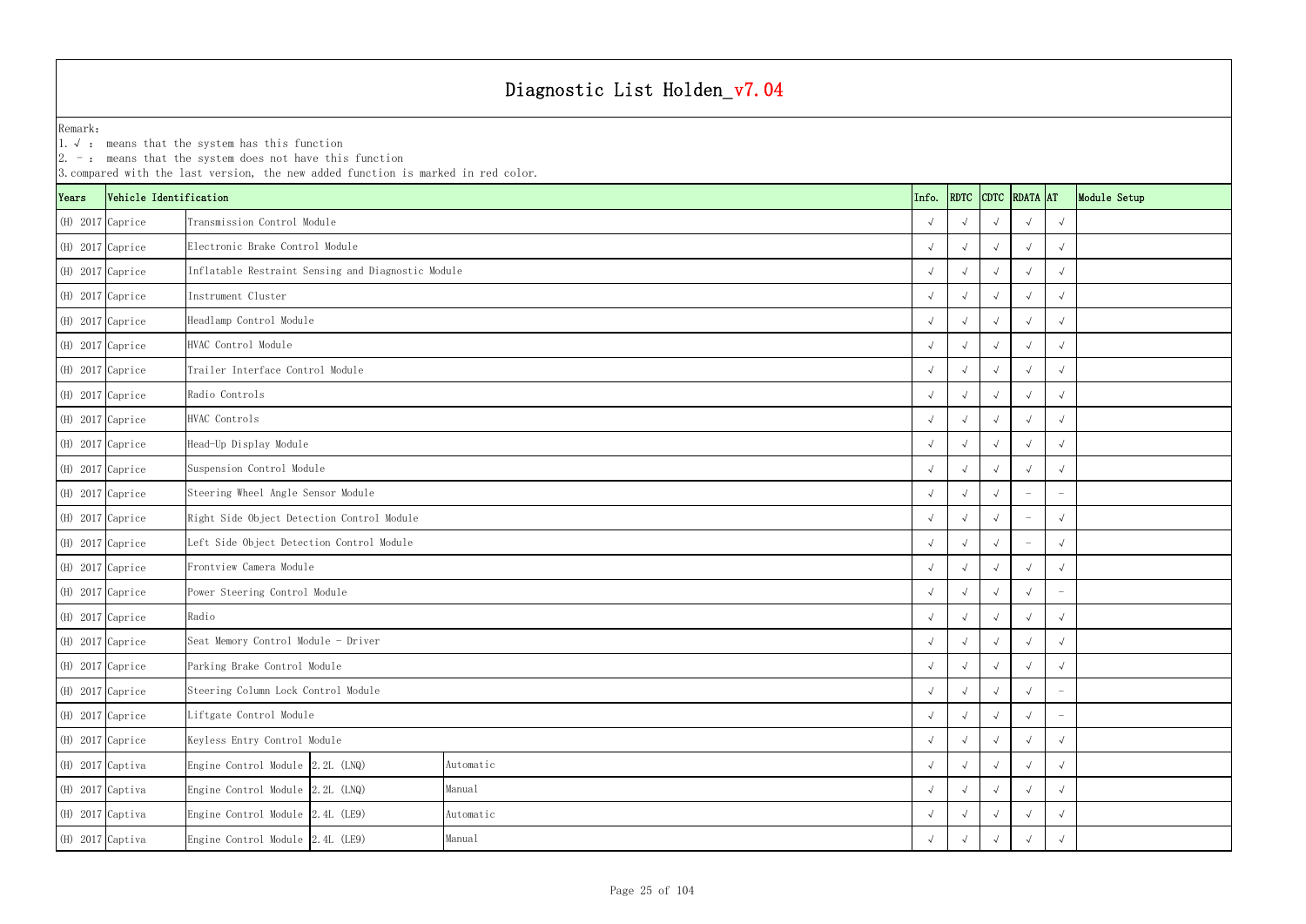| $ 2. -$ : means that the system does not have this function<br>3. compared with the last version, the new added function is marked in red color. |                        |                                                    |            |            |            |                    |            |               |            |              |  |
|--------------------------------------------------------------------------------------------------------------------------------------------------|------------------------|----------------------------------------------------|------------|------------|------------|--------------------|------------|---------------|------------|--------------|--|
| Years                                                                                                                                            | Vehicle Identification |                                                    |            |            | Info.      | RDTC               |            | CDTC RDATA AT |            | Module Setup |  |
| (H) 2017 Caprice                                                                                                                                 |                        | Transmission Control Module                        |            |            |            |                    |            |               | $\sqrt{ }$ |              |  |
| $(H)$ 2017 Caprice                                                                                                                               |                        | Electronic Brake Control Module                    |            |            |            | $\sqrt{ }$         |            |               |            |              |  |
| $(H)$ 2017 Caprice                                                                                                                               |                        | Inflatable Restraint Sensing and Diagnostic Module |            |            |            |                    |            |               | $\sqrt{ }$ |              |  |
| $(H)$ 2017 Caprice                                                                                                                               |                        | Instrument Cluster                                 |            |            |            |                    |            |               |            |              |  |
| (H) 2017 Caprice                                                                                                                                 |                        | Headlamp Control Module                            |            |            |            |                    |            |               | $\sqrt{ }$ |              |  |
| (H) 2017 Caprice                                                                                                                                 |                        | HVAC Control Module                                |            |            |            | $\sqrt{ }$         |            |               |            |              |  |
| $(H)$ 2017 Caprice                                                                                                                               |                        | Trailer Interface Control Module                   |            |            |            |                    |            |               | $\sqrt{ }$ |              |  |
| $(H)$ 2017 Caprice                                                                                                                               |                        | Radio Controls                                     |            |            |            |                    |            |               |            |              |  |
| (H) 2017 Caprice                                                                                                                                 |                        | HVAC Controls                                      |            |            |            |                    |            |               | $\sqrt{ }$ |              |  |
| $(H)$ 2017 Caprice                                                                                                                               |                        | Head-Up Display Module                             |            |            |            | $\sim$             |            |               | $\sqrt{ }$ |              |  |
| $(H)$ 2017 Caprice                                                                                                                               |                        | Suspension Control Module                          |            |            |            |                    |            |               | $\sqrt{ }$ |              |  |
| (H) 2017 Caprice                                                                                                                                 |                        | Steering Wheel Angle Sensor Module                 |            |            |            |                    |            |               |            |              |  |
| (H) 2017 Caprice                                                                                                                                 |                        | Right Side Object Detection Control Module         |            |            |            |                    |            |               | $\sqrt{ }$ |              |  |
| $(H)$ 2017 Caprice                                                                                                                               |                        | Left Side Object Detection Control Module          |            |            |            | $\sqrt{ }$         |            |               |            |              |  |
| (H) 2017 Caprice                                                                                                                                 |                        | Frontview Camera Module                            |            |            |            |                    |            |               | $\sqrt{ }$ |              |  |
| (H) 2017 Caprice                                                                                                                                 |                        | Power Steering Control Module                      |            |            |            |                    |            |               |            |              |  |
| (H) 2017 Caprice                                                                                                                                 |                        | Radio                                              |            |            |            |                    |            |               | $\sqrt{ }$ |              |  |
| (H) 2017 Caprice                                                                                                                                 |                        | Seat Memory Control Module - Driver                |            |            | $\sqrt{ }$ | $\sqrt{ }$         | $\sqrt{ }$ | $\sqrt{ }$    | $\sqrt{ }$ |              |  |
| $(H)$ 2017 Caprice                                                                                                                               |                        | Parking Brake Control Module                       |            |            | $\sqrt{ }$ | $\sqrt{ }$         |            |               | $\sqrt{ }$ |              |  |
| (H) 2017 Caprice                                                                                                                                 |                        | Steering Column Lock Control Module                |            |            |            |                    |            |               |            |              |  |
| (H) 2017 Caprice                                                                                                                                 |                        | Liftgate Control Module                            | $\sqrt{ }$ | $\sim$     |            |                    |            |               |            |              |  |
| $(H)$ 2017 Caprice                                                                                                                               |                        | Keyless Entry Control Module                       |            |            |            |                    |            | $\sqrt{ }$    | $\sqrt{ }$ |              |  |
| (H) 2017 Captiva                                                                                                                                 |                        | Engine Control Module 2.2L (LNQ)                   | Automatic  |            | $\sqrt{ }$ | $\rightsquigarrow$ |            |               | $\sqrt{ }$ |              |  |
| $(H)$ 2017 Captiva                                                                                                                               |                        | Engine Control Module 2.2L (LNQ)                   | Manual     |            |            |                    |            |               | $\sqrt{ }$ |              |  |
| $(H)$ 2017 Captiva                                                                                                                               |                        | Engine Control Module 2.4L (LE9)<br>Automatic      |            |            |            |                    |            |               | $\sqrt{ }$ |              |  |
| $(H)$ 2017 Captiva                                                                                                                               |                        | Engine Control Module 2.4L (LE9)                   | $\sqrt{ }$ | $\sqrt{ }$ |            |                    |            |               |            |              |  |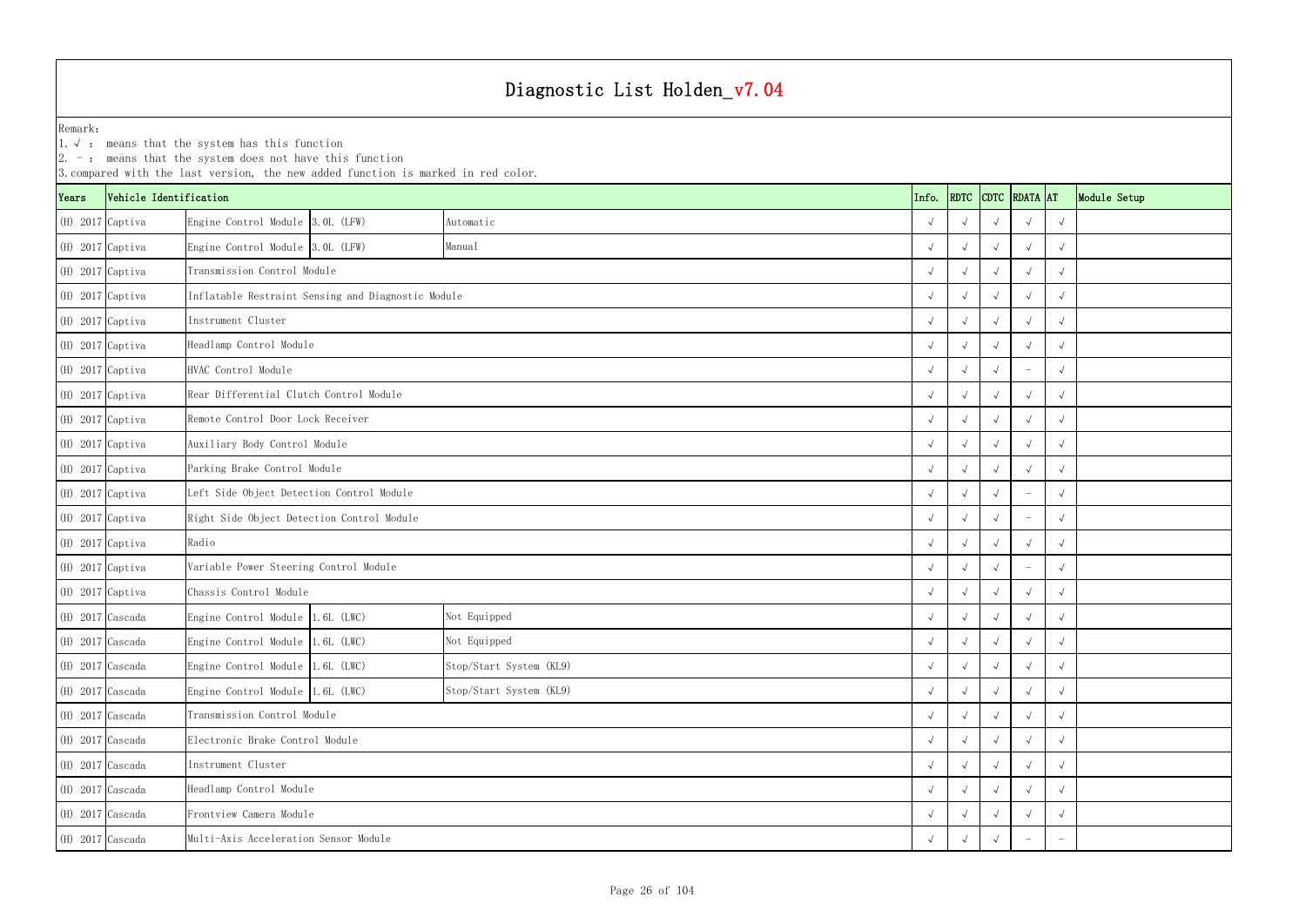YearsVehicle Identification **Info.** RDTC Remark:1.  $\sqrt{ }$ : means that the system has this function 2. -: means that the system does not have this function 3.compared with the last version, the new added function is marked in red color. (H) 2017 Captiva Engine Control Module 3.0L (LFW) √ √√√√ (H) 2017 Captiva Engine Control Module 3.0L (LFW) √ √√√√ (H) 2017 Captiva √ √√√√ Transmission Control Module(H) 2017 Captiva √ √√√√ Inflatable Restraint Sensing and Diagnostic Module (H) 2017 Captiva √ √√√√ (H) 2017 Captiva √ √√√√ Headlamp Control Module (H) 2017 Captiva √ √√ - √ (H) 2017 Captiva √ √√√√ Rear Differential Clutch Control Module (H) 2017 Captiva √ √√√√ Remote Control Door Lock Receiver (H) 2017 Captiva √ √√√√ Auxiliary Body Control Module (H) 2017 Captiva √ √√√√ Parking Brake Control Module (H) 2017 Captiva √ √√ - √ Left Side Object Detection Control Module (H) 2017 Captiva √ √√ - √ Right Side Object Detection Control Module (H) 2017 Captiva √ √√√√ (H) 2017 Captiva √ √√ - √ Variable Power Steering Control Module (H) 2017 Captiva √ √√√√ Chassis Control Module (H) 2017 Cascada Engine Control Module 1.6L (LWC) √ √√√√ (H) 2017 Cascada Engine Control Module 1.6L (LWC) √ √√√√ (H) 2017 Cascada Engine Control Module 1.6L (LWC) √ √√√√ Stop/Start System (KL9) (H) 2017 Cascada Engine Control Module 1.6L (LWC) √ √√√√ (H) 2017 Cascada √ √√√√ Transmission Control Module (H) 2017 Cascada √ √√√√ Electronic Brake Control Module (H) 2017 Cascada √ √√√√ (H) 2017 Cascada √ √√√√ Headlamp Control Module (H) 2017 Cascada √ √√√√ Frontview Camera Module Radio Instrument Cluster Stop/Start System (KL9) Not Equipped Not Equipped Instrument Cluster HVAC Control ModuleManualAutomatic

|                  | 2. $-$ : means that the system does not have this function<br>3. compared with the last version, the new added function is marked in red color. |                                            |                                                    |                         |  |            |            |            |                    |            |              |  |
|------------------|-------------------------------------------------------------------------------------------------------------------------------------------------|--------------------------------------------|----------------------------------------------------|-------------------------|--|------------|------------|------------|--------------------|------------|--------------|--|
| <i>l</i> ears    | Vehicle Identification                                                                                                                          |                                            |                                                    |                         |  | Info.      | RDTC       |            | CDTC RDATA AT      |            | Module Setup |  |
| (H) 2017 Captiva |                                                                                                                                                 | Engine Control Module 3.0L (LFW)           |                                                    | Automatic               |  | $\sqrt{ }$ |            |            |                    |            |              |  |
| (H) 2017 Captiva |                                                                                                                                                 | Engine Control Module 3.0L (LFW)           |                                                    | Manual                  |  | $\sqrt{ }$ |            |            |                    | $\sqrt{ }$ |              |  |
| (H) 2017 Captiva |                                                                                                                                                 | Transmission Control Module                |                                                    |                         |  | $\sqrt{ }$ |            |            |                    | $\sqrt{ }$ |              |  |
| (H) 2017 Captiva |                                                                                                                                                 |                                            | Inflatable Restraint Sensing and Diagnostic Module |                         |  | $\sqrt{ }$ |            |            |                    |            |              |  |
| (H) 2017 Captiva |                                                                                                                                                 | Instrument Cluster                         |                                                    |                         |  | $\sqrt{ }$ |            |            |                    |            |              |  |
| (H) 2017 Captiva |                                                                                                                                                 | Headlamp Control Module                    |                                                    |                         |  | $\sqrt{ }$ |            |            |                    |            |              |  |
| (H) 2017 Captiva |                                                                                                                                                 | HVAC Control Module                        |                                                    |                         |  | $\sqrt{ }$ |            |            |                    | $\sqrt{ }$ |              |  |
| (H) 2017 Captiva |                                                                                                                                                 | Rear Differential Clutch Control Module    |                                                    |                         |  | $\sqrt{ }$ |            |            |                    | $\sqrt{ }$ |              |  |
| (H) 2017 Captiva |                                                                                                                                                 | Remote Control Door Lock Receiver          |                                                    |                         |  | $\sqrt{ }$ |            |            |                    | $\sqrt{ }$ |              |  |
| (H) 2017 Captiva |                                                                                                                                                 | Auxiliary Body Control Module              |                                                    |                         |  | $\sqrt{ }$ |            |            |                    | $\sqrt{ }$ |              |  |
| (H) 2017 Captiva |                                                                                                                                                 | Parking Brake Control Module               |                                                    |                         |  | $\sqrt{ }$ |            |            |                    | $\sqrt{ }$ |              |  |
| (H) 2017 Captiva |                                                                                                                                                 | Left Side Object Detection Control Module  |                                                    |                         |  | $\sqrt{ }$ |            |            |                    |            |              |  |
| (H) 2017 Captiva |                                                                                                                                                 | Right Side Object Detection Control Module |                                                    |                         |  | $\sqrt{ }$ |            |            |                    |            |              |  |
| (H) 2017 Captiva |                                                                                                                                                 | Radio                                      |                                                    |                         |  | $\sqrt{ }$ |            |            |                    | $\sqrt{ }$ |              |  |
| (H) 2017 Captiva |                                                                                                                                                 | Variable Power Steering Control Module     |                                                    |                         |  | $\sqrt{ }$ | $\sqrt{ }$ |            |                    | $\sqrt{ }$ |              |  |
| (H) 2017 Captiva |                                                                                                                                                 | Chassis Control Module                     |                                                    |                         |  | $\sqrt{ }$ |            |            |                    | $\sqrt{ }$ |              |  |
| (H) 2017 Cascada |                                                                                                                                                 | Engine Control Module 1.6L (LWC)           |                                                    | Not Equipped            |  | $\sqrt{ }$ |            |            |                    | $\sqrt{ }$ |              |  |
| (H) 2017 Cascada |                                                                                                                                                 | Engine Control Module 1.6L (LWC)           |                                                    | Not Equipped            |  | $\sqrt{ }$ | $\sqrt{ }$ | $\sqrt{ }$ | $\sqrt{ }$         | $\sqrt{ }$ |              |  |
| (H) 2017 Cascada |                                                                                                                                                 | Engine Control Module 1.6L (LWC)           |                                                    | Stop/Start System (KL9) |  | $\sqrt{ }$ | $\sqrt{ }$ | $\sqrt{ }$ |                    |            |              |  |
| (H) 2017 Cascada |                                                                                                                                                 | Engine Control Module 1.6L (LWC)           |                                                    | Stop/Start System (KL9) |  | $\sqrt{ }$ |            |            | $\sqrt{ }$         | $\sqrt{ }$ |              |  |
| (H) 2017 Cascada |                                                                                                                                                 | Transmission Control Module                |                                                    |                         |  |            |            |            | $\rightsquigarrow$ | $\sqrt{ }$ |              |  |
| (H) 2017 Cascada |                                                                                                                                                 | Electronic Brake Control Module            |                                                    |                         |  |            |            |            |                    | $\sqrt{ }$ |              |  |
| (H) 2017 Cascada |                                                                                                                                                 | Instrument Cluster                         |                                                    |                         |  |            |            |            |                    | $\sqrt{ }$ |              |  |
| (H) 2017 Cascada |                                                                                                                                                 | Headlamp Control Module                    |                                                    |                         |  |            |            |            |                    |            |              |  |
| (H) 2017 Cascada |                                                                                                                                                 | Frontview Camera Module                    |                                                    |                         |  |            |            |            |                    |            |              |  |
| (H) 2017 Cascada |                                                                                                                                                 | Multi-Axis Acceleration Sensor Module      | $\sqrt{ }$                                         |                         |  |            |            |            |                    |            |              |  |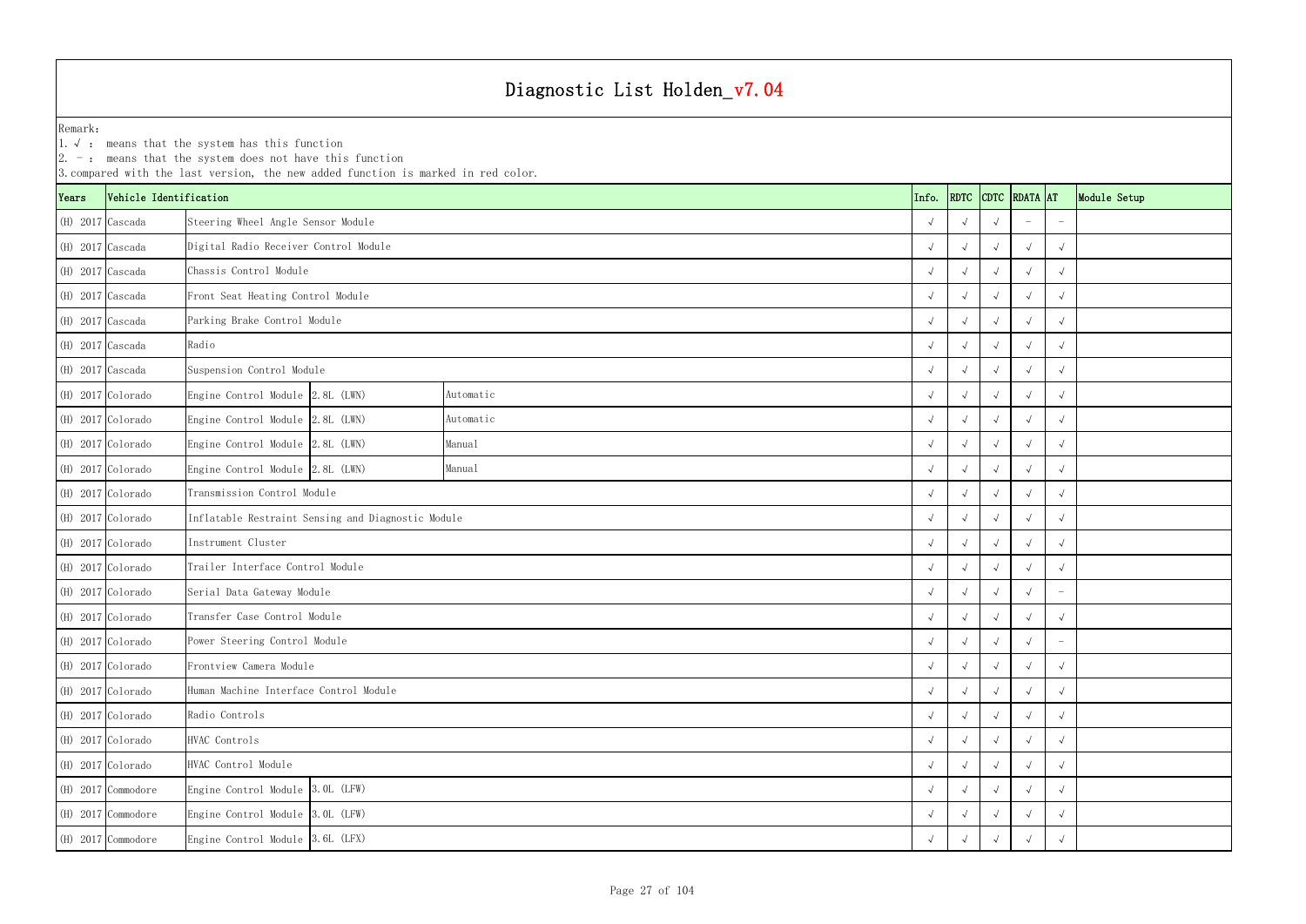YearsVehicle Identification **Info.** RDTC Remark:1.  $\sqrt{ }$ : means that the system has this function 2. -: means that the system does not have this function 3.compared with the last version, the new added function is marked in red color. (H) 2017 Cascada √ √√ - - Steering Wheel Angle Sensor Module (H) 2017 Cascada √ √√√√ Digital Radio Receiver Control Module (H) 2017 Cascada √ √√√√ Chassis Control Module(H) 2017 Cascada √ √√√√ Front Seat Heating Control Module (H) 2017 Cascada √ √√√√ Parking Brake Control Module (H) 2017 Cascada √ √√√√ (H) 2017 Cascada √ √√√√ Suspension Control Module (H) 2017 Colorado Engine Control Module 2.8L (LWN) √ √√√√ (H) 2017 Colorado Engine Control Module 2.8L (LWN) √ √√√√ (H) 2017 Colorado Engine Control Module 2.8L (LWN) √ √√√√ (H) 2017 Colorado Engine Control Module 2.8L (LWN) √ √√√√ (H) 2017 Colorado √ √√√√ Transmission Control Module (H) 2017 Colorado √ √√√√ Inflatable Restraint Sensing and Diagnostic Module (H) 2017 Colorado √ √√√√ (H) 2017 Colorado √ √√√√ Trailer Interface Control Module (H) 2017 Colorado √ √√√ - Serial Data Gateway Module (H) 2017 Colorado √ √√√√ Transfer Case Control Module (H) 2017 Colorado √ √√√ - Power Steering Control Module (H) 2017 Colorado √ √√√√ Frontview Camera Module (H) 2017 Colorado √ √√√√ Human Machine Interface Control Module (H) 2017 Colorado √ √√√√ (H) 2017 Colorado √ √√√√ (H) 2017 Colorado √ √√√√ HVAC Control Module (H) 2017 Commodore Engine Control Module √ √√√√ (H) 2017 Commodore Engine Control Module 3.0L (LFW)  $\sqrt{2}$ (H) 2017 Commodore Engine Control Module √ √√√√ 3.6L (LFX) Radio Instrument Cluster Radio Controls HVAC Controls Manual Manual Automatic Automatic 3.0L (LFW) 3.0L (LFW)

| <b>DTC</b>           | RDATA AT     |              | Module Setup |
|----------------------|--------------|--------------|--------------|
| $\sqrt{ }$           |              |              |              |
| $\sqrt{ }$           | $\checkmark$ | $\sqrt{}$    |              |
| $\sqrt{ }$           | $\checkmark$ | $\checkmark$ |              |
| $\sqrt{ }$           | $\checkmark$ | $\sqrt{ }$   |              |
| $\sqrt{ }$           | $\checkmark$ | $\checkmark$ |              |
| $\sqrt{ }$           | $\checkmark$ | $\sqrt{ }$   |              |
| $\sqrt{ }$           | $\checkmark$ | $\sqrt{ }$   |              |
| $\sqrt{ }$           | $\checkmark$ | $\sqrt{ }$   |              |
| $\sqrt{ }$           | $\checkmark$ | $\sqrt{ }$   |              |
| $\sqrt{ }$           | $\checkmark$ | $\checkmark$ |              |
| $\sqrt{ }$           | $\checkmark$ | $\sqrt{ }$   |              |
| $\sqrt{ }$           | $\sqrt{ }$   | $\checkmark$ |              |
| $\sqrt{ }$           | $\checkmark$ | $\checkmark$ |              |
| $\sqrt{ }$           | $\checkmark$ | $\checkmark$ |              |
| $\sqrt{ }$           | $\checkmark$ | $\sqrt{ }$   |              |
| $\sqrt{ }$           | $\checkmark$ |              |              |
| $\sqrt{ }$           | $\checkmark$ | $\sqrt{}$    |              |
| $\sqrt{ }$           | $\sqrt{ }$   |              |              |
| $\sqrt{2}$           | $\sqrt{2}$   | $\sqrt{2}$   |              |
| $\sqrt{\phantom{a}}$ | $\sqrt{ }$   | $\sqrt{2}$   |              |
| $\sqrt{\phantom{a}}$ | $\sqrt{2}$   | $\sqrt{2}$   |              |
| $\sqrt{ }$           | $\sqrt{2}$   | $\sqrt{2}$   |              |
| $\sqrt{ }$           | $\sqrt{2}$   | $\sqrt{2}$   |              |
| $\sqrt{2}$           | $\sqrt{2}$   | $\sqrt{2}$   |              |
| $\sqrt{2}$           | $\sqrt{2}$   | $\sqrt{2}$   |              |
| $\sqrt{2}$           | $\sqrt{2}$   | $\sqrt{ }$   |              |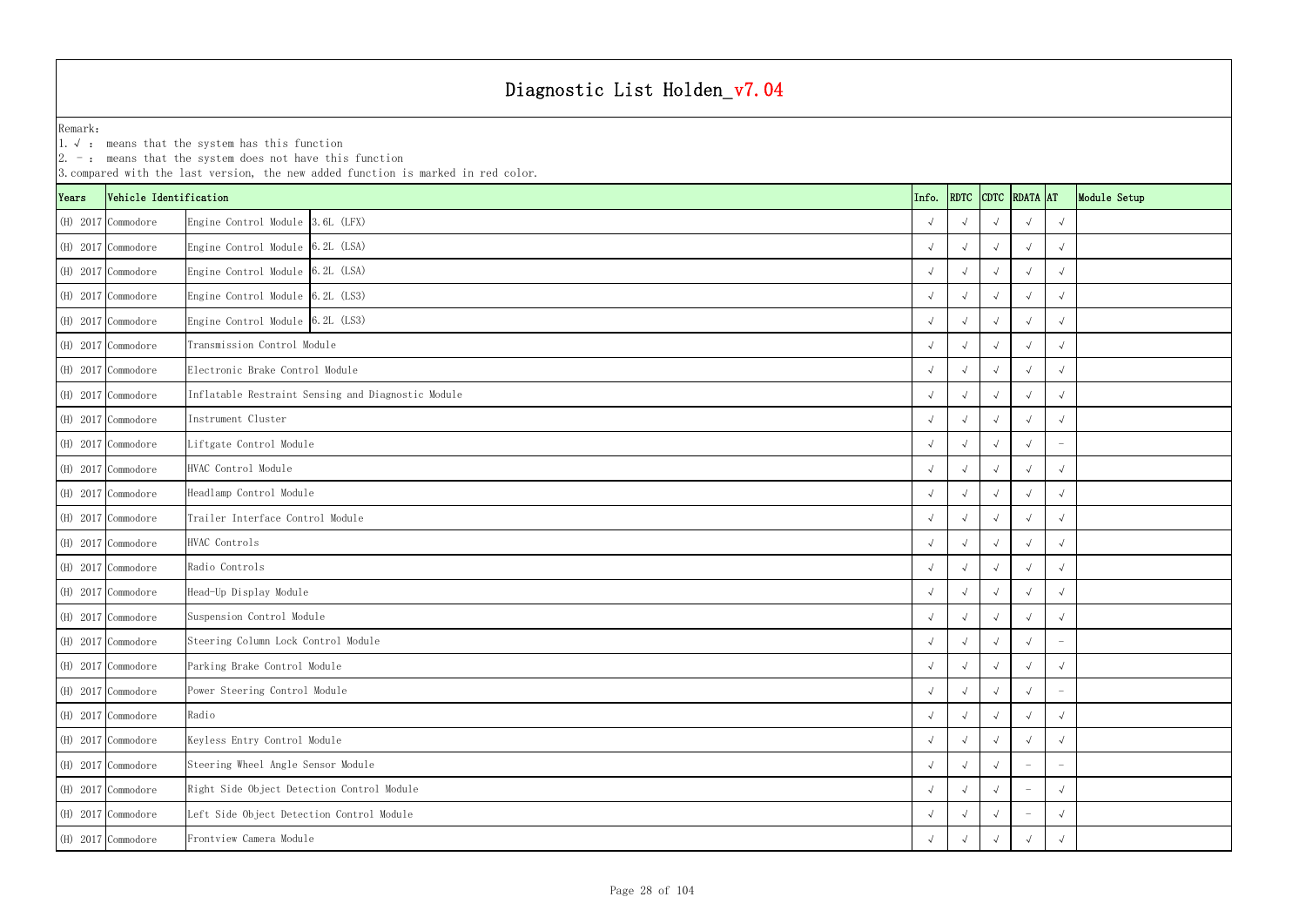1.√ : means that the system has this function

| $ 2. -$ : means that the system does not have this function<br>3. compared with the last version, the new added function is marked in red color. |                        |                                                    |       |                    |            |                    |                                 |              |  |  |  |  |
|--------------------------------------------------------------------------------------------------------------------------------------------------|------------------------|----------------------------------------------------|-------|--------------------|------------|--------------------|---------------------------------|--------------|--|--|--|--|
| Years                                                                                                                                            | Vehicle Identification |                                                    | Info. |                    |            | RDTC CDTC RDATA AT |                                 | Module Setup |  |  |  |  |
|                                                                                                                                                  | (H) 2017 Commodore     | Engine Control Module 3.6L (LFX)                   |       |                    |            |                    |                                 |              |  |  |  |  |
|                                                                                                                                                  | (H) 2017 Commodore     | Engine Control Module 6.2L (LSA)                   |       |                    |            |                    | $\sqrt{ }$                      |              |  |  |  |  |
|                                                                                                                                                  | (H) 2017 Commodore     | Engine Control Module 6.2L (LSA)                   |       |                    |            |                    | $\sqrt{ }$                      |              |  |  |  |  |
|                                                                                                                                                  | (H) 2017 Commodore     | Engine Control Module 6.2L (LS3)                   |       |                    |            |                    | $\sqrt{ }$                      |              |  |  |  |  |
|                                                                                                                                                  | (H) 2017 Commodore     | Engine Control Module 6.2L (LS3)                   |       |                    |            |                    | $\sqrt{ }$                      |              |  |  |  |  |
|                                                                                                                                                  | (H) 2017 Commodore     | Transmission Control Module                        |       |                    |            |                    |                                 |              |  |  |  |  |
|                                                                                                                                                  | (H) 2017 Commodore     | Electronic Brake Control Module                    |       | $\sqrt{ }$         |            |                    | $\sqrt{ }$                      |              |  |  |  |  |
|                                                                                                                                                  | (H) 2017 Commodore     | Inflatable Restraint Sensing and Diagnostic Module |       |                    |            |                    | $\sqrt{ }$                      |              |  |  |  |  |
|                                                                                                                                                  | (H) 2017 Commodore     | Instrument Cluster                                 |       |                    |            |                    | $\sqrt{ }$                      |              |  |  |  |  |
|                                                                                                                                                  | $(H)$ 2017 Commodore   | Liftgate Control Module                            |       |                    |            |                    |                                 |              |  |  |  |  |
|                                                                                                                                                  | $(H)$ 2017 Commodore   | HVAC Control Module                                |       |                    |            |                    | $\sqrt{ }$                      |              |  |  |  |  |
|                                                                                                                                                  | (H) 2017 Commodore     | Headlamp Control Module                            |       |                    |            | $\sqrt{ }$         | $\sqrt{ }$                      |              |  |  |  |  |
|                                                                                                                                                  | (H) 2017 Commodore     | Trailer Interface Control Module                   |       |                    |            |                    | $\sqrt{ }$                      |              |  |  |  |  |
|                                                                                                                                                  | (H) 2017 Commodore     | HVAC Controls                                      |       |                    |            |                    |                                 |              |  |  |  |  |
|                                                                                                                                                  | (H) 2017 Commodore     | Radio Controls                                     |       |                    |            |                    | $\sqrt{ }$                      |              |  |  |  |  |
|                                                                                                                                                  | (H) 2017 Commodore     | Head-Up Display Module                             |       |                    |            |                    | $\sqrt{ }$                      |              |  |  |  |  |
|                                                                                                                                                  | (H) 2017 Commodore     | Suspension Control Module                          |       |                    |            |                    |                                 |              |  |  |  |  |
|                                                                                                                                                  | (H) 2017 Commodore     | Steering Column Lock Control Module                |       | $\sqrt{ }$         | $\sqrt{ }$ | $\sqrt{ }$         | $\hspace{0.1mm}-\hspace{0.1mm}$ |              |  |  |  |  |
|                                                                                                                                                  | (H) 2017 Commodore     | Parking Brake Control Module                       |       | $\sqrt{ }$         | $\sim$     | $\sqrt{ }$         | $\sqrt{ }$                      |              |  |  |  |  |
|                                                                                                                                                  | (H) 2017 Commodore     | Power Steering Control Module                      |       | $\rightsquigarrow$ |            |                    | $\overline{\phantom{m}}$        |              |  |  |  |  |
|                                                                                                                                                  | (H) 2017 Commodore     | Radio                                              |       |                    |            |                    | $\sqrt{ }$                      |              |  |  |  |  |
|                                                                                                                                                  | (H) 2017 Commodore     | Keyless Entry Control Module                       |       | $\sim$             |            | $\sqrt{ }$         | $\sqrt{ }$                      |              |  |  |  |  |
|                                                                                                                                                  | (H) 2017 Commodore     | Steering Wheel Angle Sensor Module                 |       | $\sqrt{ }$         |            |                    | $\overline{\phantom{a}}$        |              |  |  |  |  |
|                                                                                                                                                  | (H) 2017 Commodore     | Right Side Object Detection Control Module         |       |                    |            |                    | $\sqrt{ }$                      |              |  |  |  |  |
|                                                                                                                                                  | (H) 2017 Commodore     | Left Side Object Detection Control Module          |       |                    |            |                    | $\sqrt{ }$                      |              |  |  |  |  |
|                                                                                                                                                  | (H) 2017 Commodore     | Frontview Camera Module                            |       |                    |            |                    | $\sqrt{ }$                      |              |  |  |  |  |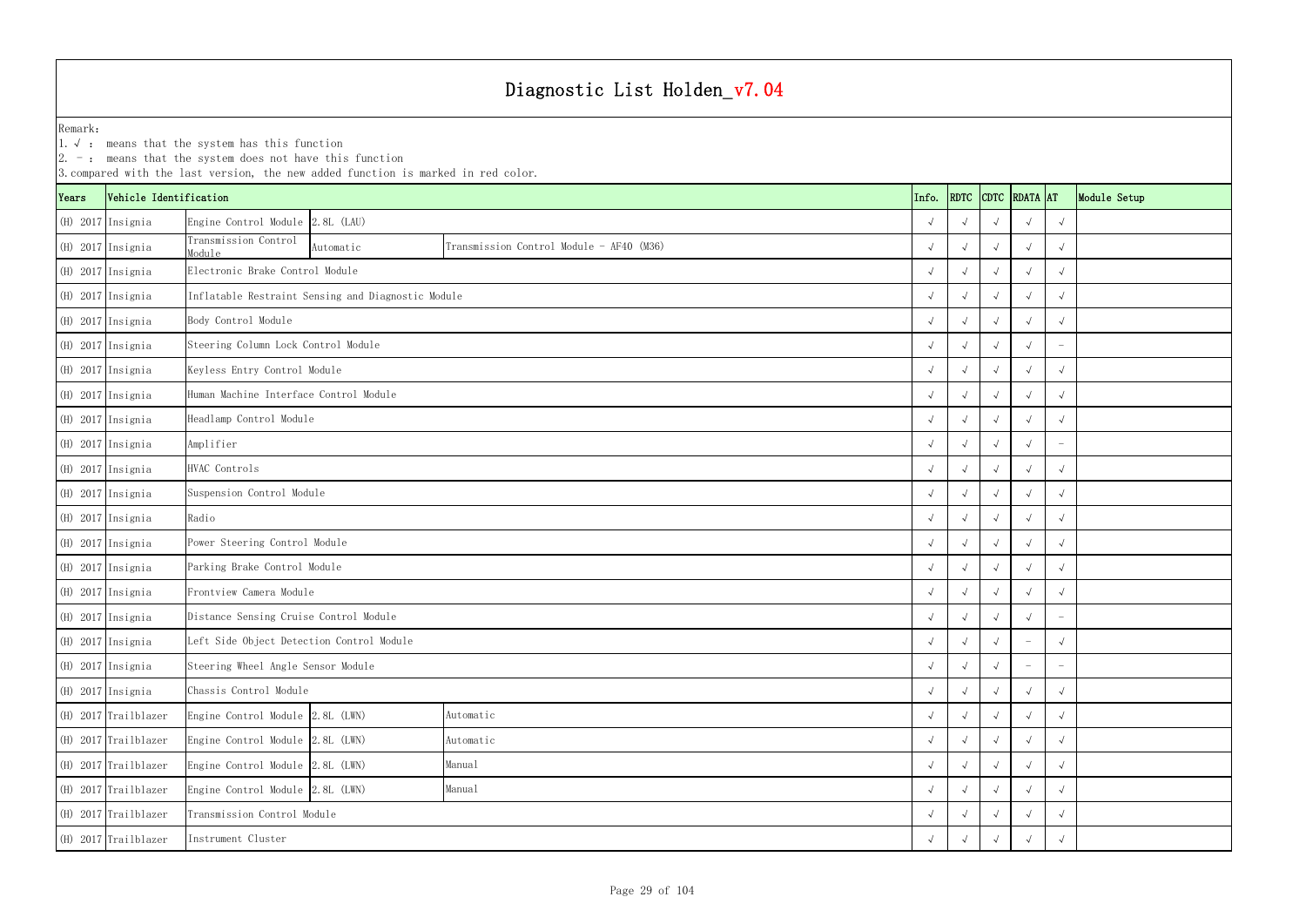|       |                        | $ 2. -$ : means that the system does not have this function | 3. compared with the last version, the new added function is marked in red color. |                                          |  |            |                       |            |                                 |                                 |              |
|-------|------------------------|-------------------------------------------------------------|-----------------------------------------------------------------------------------|------------------------------------------|--|------------|-----------------------|------------|---------------------------------|---------------------------------|--------------|
| Years | Vehicle Identification |                                                             |                                                                                   |                                          |  | Info.      | <b>RDTC</b>           |            | CDTC RDATA AT                   |                                 | Module Setup |
|       | (H) 2017 Insignia      | Engine Control Module 2.8L (LAU)                            |                                                                                   |                                          |  |            |                       |            |                                 | $\sqrt{ }$                      |              |
|       | (H) 2017 Insignia      | Transmission Control<br>Module                              | Automatic                                                                         | Transmission Control Module - AF40 (M36) |  |            | $\overline{\sqrt{2}}$ | $\sqrt{ }$ | $\sqrt{ }$                      | $\sqrt{ }$                      |              |
|       | (H) 2017 Insignia      |                                                             | Electronic Brake Control Module                                                   |                                          |  |            |                       |            |                                 |                                 |              |
|       | (H) 2017 Insignia      |                                                             | Inflatable Restraint Sensing and Diagnostic Module                                |                                          |  |            |                       |            |                                 |                                 |              |
|       | (H) 2017 Insignia      | Body Control Module                                         |                                                                                   |                                          |  |            |                       |            |                                 | $\sqrt{ }$                      |              |
|       | (H) 2017 Insignia      | Steering Column Lock Control Module                         |                                                                                   |                                          |  |            | $\sqrt{ }$            |            |                                 |                                 |              |
|       | (H) 2017 Insignia      | Keyless Entry Control Module                                |                                                                                   |                                          |  |            |                       |            |                                 | $\sqrt{ }$                      |              |
|       | (H) 2017 Insignia      | Human Machine Interface Control Module                      |                                                                                   |                                          |  |            |                       |            |                                 | $\sqrt{ }$                      |              |
|       | (H) 2017 Insignia      | Headlamp Control Module                                     |                                                                                   |                                          |  |            |                       |            | $\sqrt{ }$                      | $\sqrt{ }$                      |              |
|       | (H) 2017 Insignia      | Amplifier                                                   |                                                                                   |                                          |  |            | $\overline{\sqrt{2}}$ |            | $\sqrt{ }$                      | $\overline{\phantom{a}}$        |              |
|       | (H) 2017 Insignia      | HVAC Controls                                               |                                                                                   |                                          |  |            |                       |            |                                 | $\sqrt{ }$                      |              |
|       | (H) 2017 Insignia      | Suspension Control Module                                   |                                                                                   |                                          |  |            |                       |            |                                 | $\sqrt{ }$                      |              |
|       | (H) 2017 Insignia      | Radio                                                       |                                                                                   |                                          |  |            |                       |            |                                 | $\sqrt{ }$                      |              |
|       | (H) 2017 Insignia      | Power Steering Control Module                               |                                                                                   |                                          |  |            | $\sqrt{ }$            |            |                                 | $\sqrt{ }$                      |              |
|       | (H) 2017 Insignia      | Parking Brake Control Module                                |                                                                                   |                                          |  |            | $\sqrt{ }$            |            |                                 | $\sqrt{ }$                      |              |
|       | (H) 2017 Insignia      | Frontview Camera Module                                     |                                                                                   |                                          |  |            |                       |            |                                 | $\sqrt{ }$                      |              |
|       | (H) 2017 Insignia      | Distance Sensing Cruise Control Module                      |                                                                                   |                                          |  |            |                       |            |                                 | $\overline{\phantom{a}}$        |              |
|       | (H) 2017 Insignia      | Left Side Object Detection Control Module                   |                                                                                   |                                          |  | $\sqrt{ }$ | $\sqrt{ }$            | $\sqrt{ }$ | $\hspace{0.1mm}-\hspace{0.1mm}$ | $\sqrt{ }$                      |              |
|       | (H) 2017 Insignia      | Steering Wheel Angle Sensor Module                          |                                                                                   |                                          |  |            | $\sqrt{ }$            | $\sqrt{ }$ | $\overline{\phantom{a}}$        | $\hspace{0.1mm}-\hspace{0.1mm}$ |              |
|       | (H) 2017 Insignia      | Chassis Control Module                                      |                                                                                   |                                          |  |            | $\sqrt{ }$            | $\sqrt{ }$ | $\sqrt{ }$                      | $\sqrt{ }$                      |              |
|       | (H) 2017 Trailblazer   | Engine Control Module 2.8L (LWN)                            |                                                                                   | Automatic                                |  |            | $\overline{\sqrt{2}}$ |            | $\sqrt{ }$                      | $\sqrt{ }$                      |              |
|       | (H) 2017 Trailblazer   | Engine Control Module 2.8L (LWN)                            |                                                                                   | Automatic                                |  |            | $\sqrt{ }$            | $\sqrt{ }$ | $\sqrt{ }$                      | $\sqrt{ }$                      |              |
|       | $(H)$ 2017 Trailblazer | Engine Control Module 2.8L (LWN)                            |                                                                                   | Manual                                   |  |            | $\sqrt{ }$            | $\sqrt{ }$ | $\sqrt{ }$                      | $\sqrt{ }$                      |              |
|       | (H) 2017 Trailblazer   | Engine Control Module 2.8L (LWN)                            |                                                                                   | Manual                                   |  |            |                       |            |                                 | $\sqrt{ }$                      |              |
|       | (H) 2017 Trailblazer   | Transmission Control Module                                 |                                                                                   |                                          |  |            |                       |            |                                 | $\sqrt{ }$                      |              |
|       | (H) 2017 Trailblazer   | Instrument Cluster                                          |                                                                                   |                                          |  |            |                       |            |                                 | $\sqrt{ }$                      |              |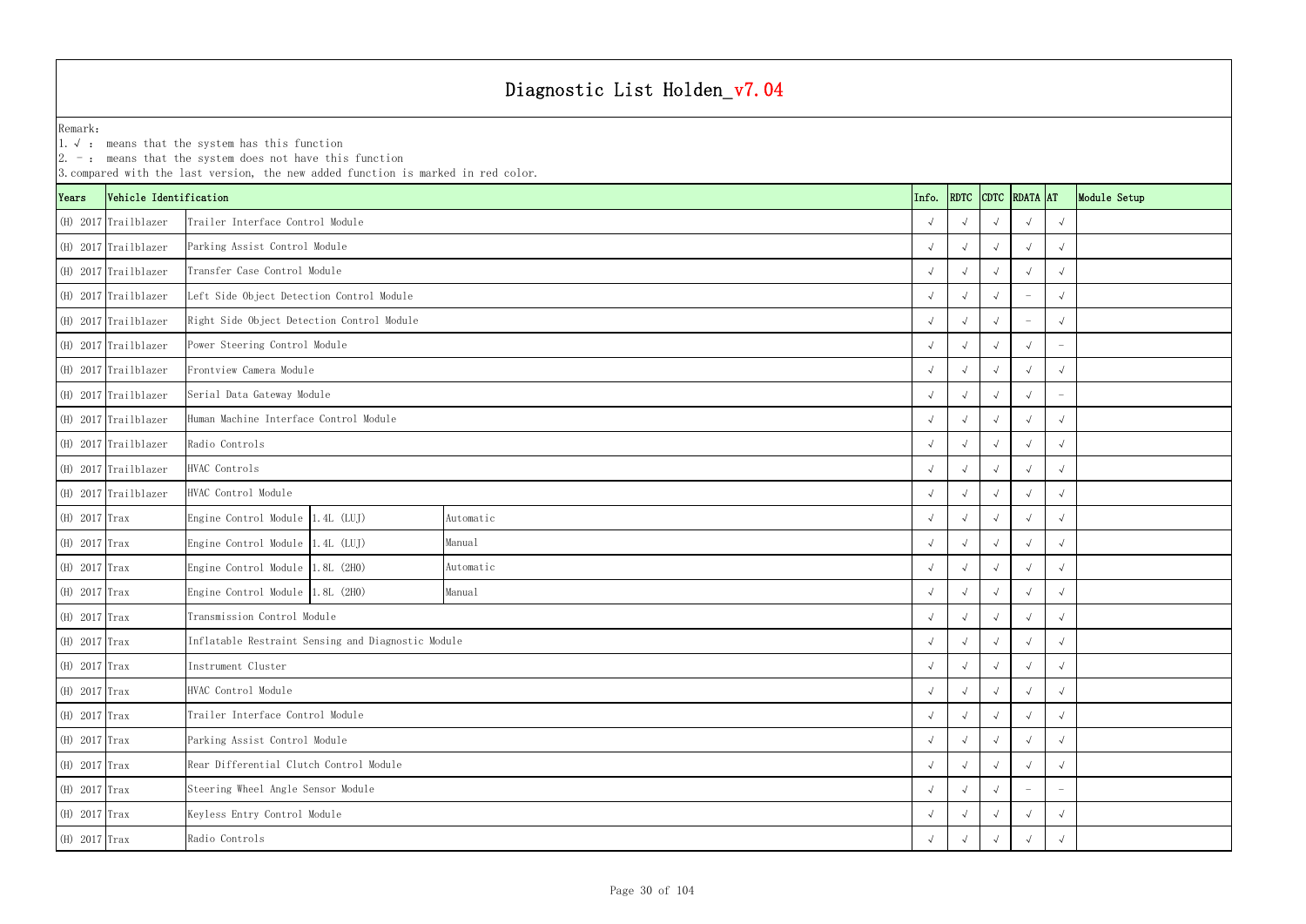YearsVehicle Identification **Info.** RDTC Remark:1.  $\sqrt{ }$ : means that the system has this function 2. -: means that the system does not have this function 3.compared with the last version, the new added function is marked in red color. (H) 2017 Trailblazer √ √√√√ Trailer Interface Control Module(H) 2017 Trailblazer √ √√√√ Parking Assist Control Module (H) 2017 Trailblazer √ √√√√ Transfer Case Control Module(H) 2017 Trailblazer √ √√ - √ Left Side Object Detection Control Module (H) 2017 Trailblazer √ √√ - √ Right Side Object Detection Control Module (H) 2017 Trailblazer √ √√√ - Power Steering Control Module (H) 2017 Trailblazer √ √√√√ Frontview Camera Module (H) 2017 Trailblazer √ √√√ - Serial Data Gateway Module (H) 2017 Trailblazer √ √√√√ Human Machine Interface Control Module (H) 2017 Trailblazer √ √√√√ (H) 2017 Trailblazer √ √√√√ (H) 2017 Trailblazer √ √√√√ (H) 2017 Trax Engine Control Module 1.4L (LUJ) √ √√√√ (H) 2017 Trax Engine Control Module 1.4L (LUJ) √ √√√√ (H) 2017 Trax Engine Control Module 1.8L (2H0) √ √√√√ (H) 2017 Trax Engine Control Module 1.8L (2H0) √ √√√√ (H) 2017 Trax √ √√√√ Transmission Control Module (H) 2017 Trax √ √√√√ Inflatable Restraint Sensing and Diagnostic Module (H) 2017 Trax √ √√√√ (H) 2017 Trax √ √√√√ HVAC Control Module (H) 2017 Trax √ √√√√ Trailer Interface Control Module (H) 2017 Trax √ √√√√ Parking Assist Control Module (H) 2017 Trax √ √√√√ Rear Differential Clutch Control Module (H) 2017 Trax √ √√ - - Steering Wheel Angle Sensor Module (H) 2017 Trax √ √√√√ Keyless Entry Control Module (H) 2017 Trax √ √√√√ Manual Automatic Manual Automatic Radio Controls HVAC Controls HVAC Control Module Instrument Cluster Radio Controls

| <b>DTC</b>           | RDATA AT             |              | Module Setup |
|----------------------|----------------------|--------------|--------------|
| $\sqrt{ }$           | $\checkmark$         | $\checkmark$ |              |
| $\sqrt{ }$           | $\checkmark$         | $\sqrt{ }$   |              |
| $\sqrt{ }$           | $\checkmark$         | $\checkmark$ |              |
| $\sqrt{ }$           |                      | $\checkmark$ |              |
| $\sqrt{ }$           |                      | $\sqrt{ }$   |              |
| $\sqrt{ }$           | $\checkmark$         |              |              |
| $\sqrt{ }$           | $\checkmark$         | $\checkmark$ |              |
| $\sqrt{ }$           | $\checkmark$         |              |              |
| $\sqrt{ }$           | $\checkmark$         | $\checkmark$ |              |
| $\sqrt{ }$           | $\checkmark$         | $\checkmark$ |              |
| $\sqrt{ }$           | $\checkmark$         | $\sqrt{ }$   |              |
| $\sqrt{ }$           | $\checkmark$         | $\checkmark$ |              |
| $\sqrt{ }$           | $\checkmark$         | $\checkmark$ |              |
| $\sqrt{ }$           | $\checkmark$         | $\checkmark$ |              |
| $\sqrt{ }$           | $\checkmark$         | $\checkmark$ |              |
| $\sqrt{ }$           | $\checkmark$         | $\sqrt{}$    |              |
| $\sqrt{ }$           | $\checkmark$         | $\sqrt{}$    |              |
| $\checkmark$         | $\sqrt{\phantom{a}}$ | $\sqrt{ }$   |              |
| $\sqrt{\phantom{a}}$ | $\sqrt{2}$           | $\sqrt{2}$   |              |
| $\sqrt{ }$           | $\sqrt{\phantom{a}}$ | $\sqrt{}$    |              |
| $\sqrt{2}$           | $\sqrt{2}$           | $\sqrt{2}$   |              |
| $\sqrt{ }$           | $\sqrt{2}$           | $\sqrt{2}$   |              |
| $\sqrt{2}$           | $\sqrt{2}$           | $\sqrt{2}$   |              |
| $\sqrt{ }$           |                      |              |              |
| $\sqrt{2}$           | $\sqrt{2}$           | $\sqrt{2}$   |              |
| $\sqrt{2}$           | $\sqrt{2}$           | $\sqrt{2}$   |              |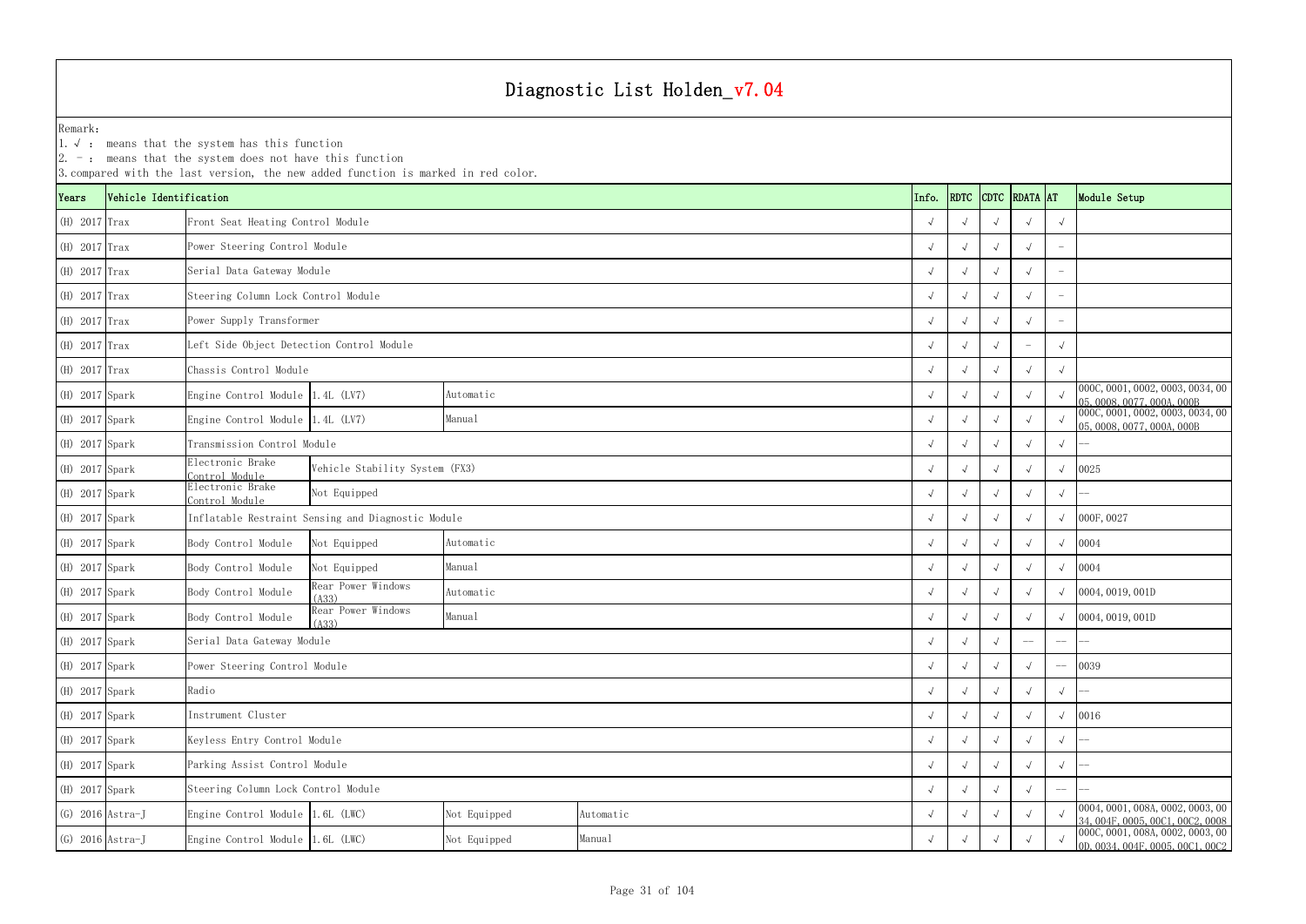YearsVehicle Identification **Info. RDTC** CONTECT CONTECT CONTECT AT MODEL AT MODEL AT MODEL AT MODEL AT MODEL CONTECT CONTECT CONTECT CONTECT CONTECT CONTECT CONTECT CONTECT CONTECT CONTECT CONTECT CONTECT CONTECT CONTECT CONTE Remark:1.√ : means that the system has this function  $2. -:$  means that the system does not have this function 3.compared with the last version, the new added function is marked in red color. (H) 2017 Trax √ √√√√ Front Seat Heating Control Module (H) 2017 Trax √ √√√ - Power Steering Control Module (H) 2017 Trax √ √√√ - Serial Data Gateway Module (H) 2017 Trax √ √√√ - Steering Column Lock Control Module (H) 2017 Trax √ √√√ - Power Supply Transformer (H) 2017 Trax √ √√ - √ Left Side Object Detection Control Module (H) 2017 Trax √ √√√√ Chassis Control Module (H) 2017 Spark Engine Control Module 1.4L (LV7) Automatic Automatic Automatic √ √ √ √ √ 000C,0001,0002,0003,0034,00<br>Automatic √ √ √ √ 05,0008,0077,000A,000B (H) 2017 Spark Engine Control Module 1.4L (LV7) Manual Manual Manual Manual (H) 2017 Spark → √ √ √ √ 000C,0001,0002,0003,0034,00 √ √ √ √ ∞ 000C,0001,0002,0003,0034,00 (H) 2017 Spark √ √ √ √ √ -- Transmission Control Module (H) 2017 Spark Electronic Brake Control Module(H) 2017 Spark Electronic Brake Control ModuleAutomatic Manual AutomaticManualNot Equipped Vehicle Stability System (FX3) Inflatable Restraint Sensing and Diagnostic Module Serial Data Gateway Module AutomaticManual

| (H) 2017 Spark |                    | Electronic Brake<br>Control Module  | Vehicle Stability System (FX3)                     |              |           |  |            |            | $\sqrt{ }$ | $\sqrt{ }$ | $\sqrt{ }$  | 0025                                                                 |
|----------------|--------------------|-------------------------------------|----------------------------------------------------|--------------|-----------|--|------------|------------|------------|------------|-------------|----------------------------------------------------------------------|
| (H) 2017 Spark |                    | Electronic Brake<br>Control Module  | Not Equipped                                       |              |           |  |            |            | $\sqrt{ }$ |            | $\sqrt{ }$  |                                                                      |
| (H) 2017 Spark |                    |                                     | Inflatable Restraint Sensing and Diagnostic Module |              |           |  | $\sqrt{ }$ |            | $\sqrt{ }$ | $\sqrt{ }$ | $\sqrt{ }$  | 000F, 0027                                                           |
| (H) 2017 Spark |                    | Body Control Module                 | Not Equipped                                       | Automatic    |           |  | $\sqrt{ }$ |            | $\sqrt{ }$ | $\sqrt{ }$ | $\sqrt{ }$  | 0004                                                                 |
| (H) 2017 Spark |                    | Body Control Module                 | Not Equipped                                       | Manual       |           |  | $\sqrt{ }$ |            |            |            | $\sqrt{ }$  | 0004                                                                 |
| (H) 2017 Spark |                    | Body Control Module                 | Rear Power Windows<br>(A33)                        | Automatic    |           |  | $\sqrt{ }$ |            | $\sqrt{ }$ | $\sqrt{ }$ |             | 0004, 0019, 001D                                                     |
| (H) 2017 Spark |                    | Body Control Module                 | Rear Power Windows<br>(A33)                        | Manual       |           |  | $\sqrt{ }$ |            | $\sqrt{ }$ | $\sqrt{ }$ |             | 0004, 0019, 001D                                                     |
| (H) 2017 Spark |                    | Serial Data Gateway Module          |                                                    |              |           |  | $\sqrt{ }$ |            |            | $--$       | $-\!-\!$    |                                                                      |
| (H) 2017 Spark |                    | Power Steering Control Module       |                                                    |              |           |  | $\sqrt{ }$ | $\sqrt{ }$ | $\sqrt{ }$ | $\sqrt{ }$ | $-\!$ $\!-$ | 0039                                                                 |
| (H) 2017 Spark |                    | Radio                               |                                                    |              |           |  | $\sqrt{ }$ | $\sqrt{ }$ | $\sqrt{ }$ | $\sqrt{ }$ | $\sqrt{ }$  |                                                                      |
| (H) 2017 Spark |                    | Instrument Cluster                  |                                                    |              |           |  | $\sqrt{ }$ |            |            |            | $\sqrt{ }$  | 0016                                                                 |
| (H) 2017 Spark |                    | Keyless Entry Control Module        |                                                    |              |           |  | $\sqrt{ }$ |            | $\sqrt{ }$ | $\sqrt{ }$ | $\sqrt{ }$  |                                                                      |
| (H) 2017 Spark |                    | Parking Assist Control Module       |                                                    |              |           |  | $\sqrt{ }$ | $\sqrt{ }$ | $\sqrt{ }$ | $\sqrt{ }$ | $\sqrt{ }$  |                                                                      |
| (H) 2017 Spark |                    | Steering Column Lock Control Module |                                                    |              |           |  | $\sqrt{ }$ |            | $\sqrt{ }$ | $\sqrt{ }$ | $-\!-\!$    |                                                                      |
|                | $(G)$ 2016 Astra-J | Engine Control Module 1.6L (LWC)    |                                                    | Not Equipped | Automatic |  | $\sqrt{ }$ |            | $\sqrt{ }$ | $\sqrt{ }$ |             | 0004, 0001, 008A, 0002, 0003, 00<br>34, 004F, 0005, 00C1, 00C2, 0008 |
|                | $(G)$ 2016 Astra-J | Engine Control Module 1.6L (LWC)    |                                                    | Not Equipped | Manual    |  | $\sqrt{ }$ |            | $\sqrt{ }$ |            |             | 000C, 0001, 008A, 0002, 0003, 00<br>0D, 0034, 004F, 0005, 00C1, 00C2 |

| <b>DTC</b>   | <b>RDATA</b> | <b>AT</b>  | Module Setup                                                                                             |
|--------------|--------------|------------|----------------------------------------------------------------------------------------------------------|
| $\sqrt{ }$   | $\sqrt{}$    | $\sqrt{ }$ |                                                                                                          |
| $\sqrt{ }$   | $\sqrt{}$    |            |                                                                                                          |
| $\sqrt{ }$   | $\sqrt{ }$   |            |                                                                                                          |
| $\sqrt{ }$   | $\sqrt{}$    |            |                                                                                                          |
| $\sqrt{ }$   | $\sqrt{}$    |            |                                                                                                          |
| $\sqrt{ }$   |              | $\sqrt{ }$ |                                                                                                          |
| $\checkmark$ | $\sqrt{ }$   | $\sqrt{ }$ |                                                                                                          |
| $\sqrt{ }$   | $\sqrt{ }$   | $\sqrt{ }$ | 000C, 0001, 0002, 0003, 0034, 00                                                                         |
| $\sqrt{ }$   | $\sqrt{ }$   | $\sqrt{ }$ | $\frac{05,0008,0077,000A,000B}{000C,0001,0002,0003,0034,00}$<br>05, 0008, 0077, 000A, 000B               |
| $\sqrt{ }$   | $\sqrt{ }$   | $\sqrt{ }$ |                                                                                                          |
| $\sqrt{ }$   | $\sqrt{ }$   | $\sqrt{}$  | 0025                                                                                                     |
| $\sqrt{ }$   | $\sqrt{}$    | $\sqrt{ }$ |                                                                                                          |
| $\sqrt{ }$   | $\sqrt{}$    | $\sqrt{}$  | 000F, 0027                                                                                               |
| $\sqrt{ }$   | $\sqrt{ }$   | $\sqrt{ }$ | 0004                                                                                                     |
| $\sqrt{ }$   | $\sqrt{ }$   | $\sqrt{ }$ | 0004                                                                                                     |
| $\sqrt{ }$   | $\sqrt{ }$   | $\sqrt{ }$ | 0004, 0019, 001D                                                                                         |
| $\sqrt{ }$   | $\sqrt{}$    | $\sqrt{ }$ | 0004, 0019, 001D                                                                                         |
| $\checkmark$ |              |            |                                                                                                          |
| $\sqrt{}$    | $\sqrt{ }$   |            | 0039                                                                                                     |
| $\sqrt{ }$   | $\sqrt{}$    | $\sqrt{ }$ |                                                                                                          |
| $\sqrt{2}$   | $\sqrt{}$    | $\sqrt{}$  | 0016                                                                                                     |
| $\checkmark$ | $\sqrt{}$    | $\sqrt{}$  |                                                                                                          |
| $\sqrt{ }$   | $\sqrt{}$    | $\sqrt{}$  |                                                                                                          |
| $\sqrt{}$    | $\sqrt{}$    |            |                                                                                                          |
| $\sqrt{}$    | $\sqrt{}$    | $\sqrt{ }$ | 0004, 0001, 008A, 0002, 0003, 00                                                                         |
| $\sqrt{ }$   | $\sqrt{ }$   | $\sqrt{ }$ | 34, 004F, 0005, 00C1, 00C2, 0008<br>000C, 0001, 008A, 0002, 0003, 00<br>0D, 0034, 004F, 0005, 00C1, 00C2 |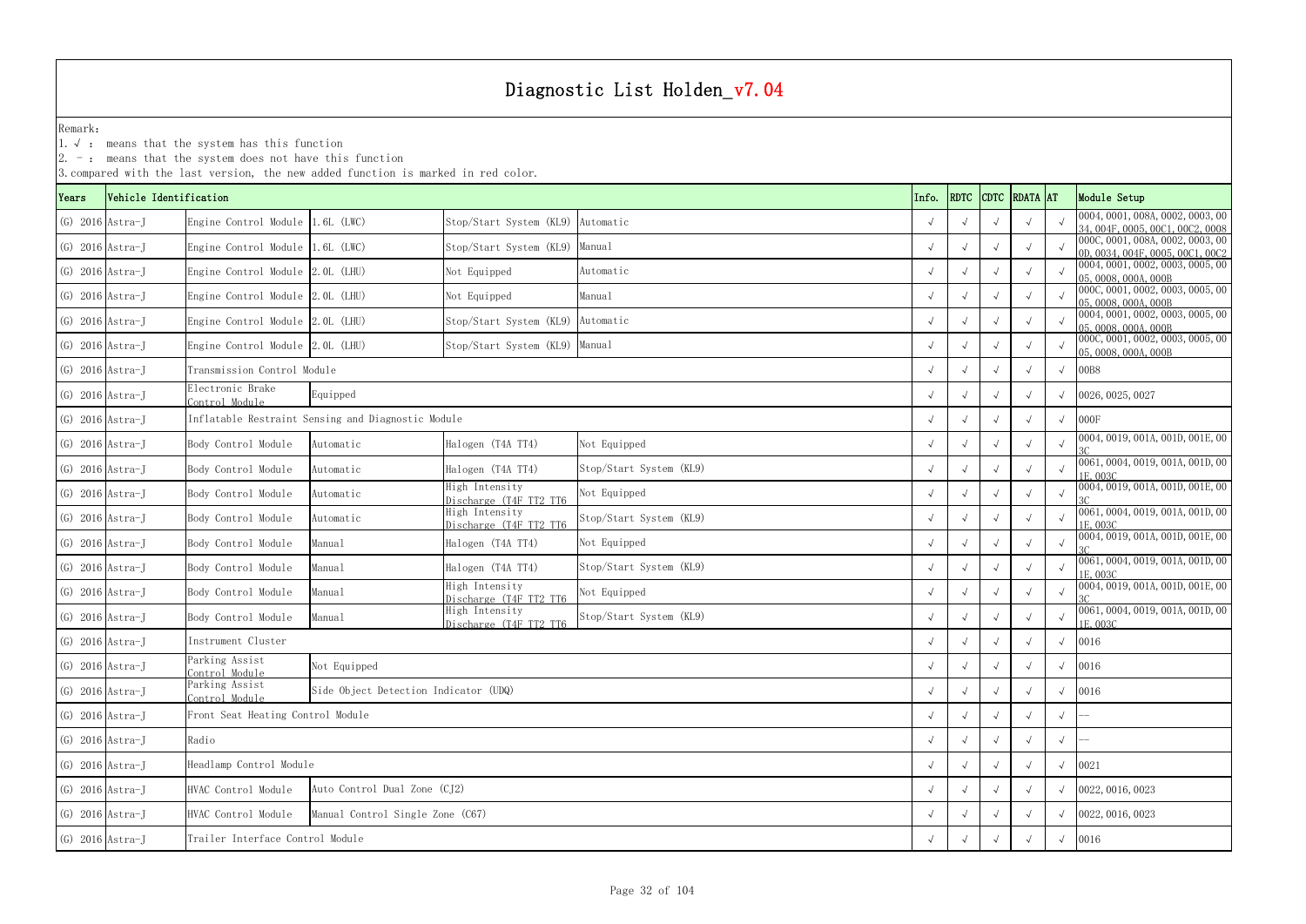1.√ : means that the system has this function

|       |                        |                                                         | 3. compared with the last version, the new added function is marked in red color. |                                          |                         |       |            |             |                 |            |                                                                      |
|-------|------------------------|---------------------------------------------------------|-----------------------------------------------------------------------------------|------------------------------------------|-------------------------|-------|------------|-------------|-----------------|------------|----------------------------------------------------------------------|
| Years | Vehicle Identification |                                                         |                                                                                   |                                          |                         | Info. | RDTC       | <b>CDTC</b> | <b>RDATA</b> AT |            | Module Setup                                                         |
|       | $(G)$ 2016 Astra-J     | Engine Control Module 1.6L (LWC)                        |                                                                                   | Stop/Start System (KL9)                  | Automatic               |       | $\sqrt{ }$ |             |                 |            | 0004, 0001, 008A, 0002, 0003, 00<br>34.004F,0005,00C1,00C2,0008      |
|       | $(G)$ 2016 Astra-J     | Engine Control Module 1.6L (LWC)                        |                                                                                   | Stop/Start System (KL9)                  | Manual                  |       |            |             |                 |            | 000C, 0001, 008A, 0002, 0003, 00<br>0D. 0034. 004F. 0005. 00C1. 00C2 |
|       | $(G)$ 2016 Astra-J     | Engine Control Module 2.0L (LHU)                        |                                                                                   | Not Equipped                             | Automatic               |       |            |             |                 |            | 0004, 0001, 0002, 0003, 0005, 00<br>05, 0008, 000A, 000B             |
|       | $(G)$ 2016 Astra-J     | Engine Control Module 2.0L (LHU)                        |                                                                                   | Not Equipped                             | Manual                  |       | $\sqrt{ }$ |             |                 |            | 000C, 0001, 0002, 0003, 0005, 00<br>05, 0008, 000A, 000B             |
|       | $(G)$ 2016 Astra-J     | Engine Control Module 2.0L (LHU)                        |                                                                                   | Stop/Start System (KL9) Automatic        |                         |       |            |             |                 |            | 0004, 0001, 0002, 0003, 0005, 00<br>05, 0008, 000A, 000B             |
|       | $(G)$ 2016 Astra-J     | Engine Control Module 2.0L (LHU)                        |                                                                                   | Stop/Start System (KL9)                  | Manual                  |       |            |             |                 |            | 000C, 0001, 0002, 0003, 0005, 00<br>05, 0008, 000A, 000B             |
|       | $(G)$ 2016 Astra-J     | Transmission Control Module                             |                                                                                   |                                          |                         |       |            |             |                 |            | 00B8                                                                 |
|       | $(G)$ 2016 Astra-J     | Electronic Brake<br>Control Module                      | Equipped                                                                          |                                          |                         |       |            |             |                 |            | 0026, 0025, 0027                                                     |
|       | $(G)$ 2016 Astra-J     |                                                         | Inflatable Restraint Sensing and Diagnostic Module                                |                                          |                         |       |            |             |                 | $\sqrt{ }$ | 000F                                                                 |
|       | $(G)$ 2016 Astra-J     | Body Control Module                                     | Automatic                                                                         | Halogen (T4A TT4)                        | Not Equipped            |       | $\sqrt{ }$ |             |                 |            | 0004, 0019, 001A, 001D, 001E, 00                                     |
|       | $(G)$ 2016 Astra-J     | Body Control Module                                     | Automatic                                                                         | Halogen (T4A TT4)                        | Stop/Start System (KL9) |       |            |             |                 |            | 0061, 0004, 0019, 001A, 001D, 00<br>1E, 003C                         |
|       | $(G)$ 2016 Astra-J     | Body Control Module                                     | Automatic                                                                         | High Intensity<br>Discharge (T4F TT2 TT6 | Not Equipped            |       | $\sqrt{ }$ |             |                 |            | 0004, 0019, 001A, 001D, 001E, 00                                     |
|       | $(G)$ 2016 Astra-J     | Body Control Module                                     | Automatic                                                                         | High Intensity<br>Discharge (T4F TT2 TT6 | Stop/Start System (KL9) |       |            |             |                 |            | 0061, 0004, 0019, 001A, 001D, 00<br>1E, 003C                         |
|       | $(G)$ 2016 Astra-J     | Body Control Module                                     | Manual                                                                            | Halogen (T4A TT4)                        | Not Equipped            |       |            |             |                 | $\sqrt{ }$ | 0004, 0019, 001A, 001D, 001E, 00                                     |
|       | $(G)$ 2016 Astra-J     | Body Control Module                                     | Manual                                                                            | Halogen (T4A TT4)                        | Stop/Start System (KL9) |       |            |             |                 |            | 0061, 0004, 0019, 001A, 001D, 00<br>1E, 003C                         |
|       | $(G)$ 2016 Astra-J     | Body Control Module                                     | Manual                                                                            | High Intensity<br>Discharge (T4F TT2 TT6 | Not Equipped            |       | $\sqrt{ }$ |             |                 |            | 0004, 0019, 001A, 001D, 001E, 00                                     |
|       | $(G)$ 2016 Astra-J     | Body Control Module                                     | Manual                                                                            | High Intensity<br>Discharge (T4F TT2 TT6 | Stop/Start System (KL9) |       |            |             |                 |            | 0061, 0004, 0019, 001A, 001D, 00<br>1E, 003C                         |
|       | $(G)$ 2016 Astra-J     | Instrument Cluster                                      |                                                                                   |                                          |                         |       |            |             |                 | $\sqrt{ }$ | 0016                                                                 |
|       | $(G)$ 2016 Astra-J     | Parking Assist<br>Control Module                        | Not Equipped                                                                      |                                          |                         |       | $\sqrt{ }$ |             |                 | $\sqrt{ }$ | 0016                                                                 |
|       | $(G)$ 2016 Astra-J     | Parking Assist<br>Control Module                        | Side Object Detection Indicator (UDQ)                                             |                                          |                         |       | $\sqrt{ }$ |             |                 | $\sqrt{ }$ | 0016                                                                 |
|       | $(G)$ 2016 Astra-J     |                                                         | Front Seat Heating Control Module                                                 |                                          |                         |       |            |             |                 | $\sqrt{ }$ |                                                                      |
|       | $(G)$ 2016 Astra-J     | Radio                                                   |                                                                                   |                                          |                         |       |            |             |                 | $\sqrt{ }$ |                                                                      |
|       | $(G)$ 2016 Astra-J     | Headlamp Control Module                                 |                                                                                   |                                          |                         |       |            |             |                 | $\sqrt{ }$ | 0021                                                                 |
|       | $(G)$ 2016 Astra-J     | Auto Control Dual Zone (CJ2)<br>HVAC Control Module     |                                                                                   |                                          |                         |       |            |             |                 |            | 0022, 0016, 0023                                                     |
|       | $(G)$ 2016 Astra-J     | Manual Control Single Zone (C67)<br>HVAC Control Module |                                                                                   |                                          |                         |       |            |             |                 |            | $\sqrt{0022,0016,0023}$                                              |
|       | $(G)$ 2016 Astra-J     |                                                         | Trailer Interface Control Module                                                  |                                          |                         |       |            |             |                 |            | $\sqrt{0016}$                                                        |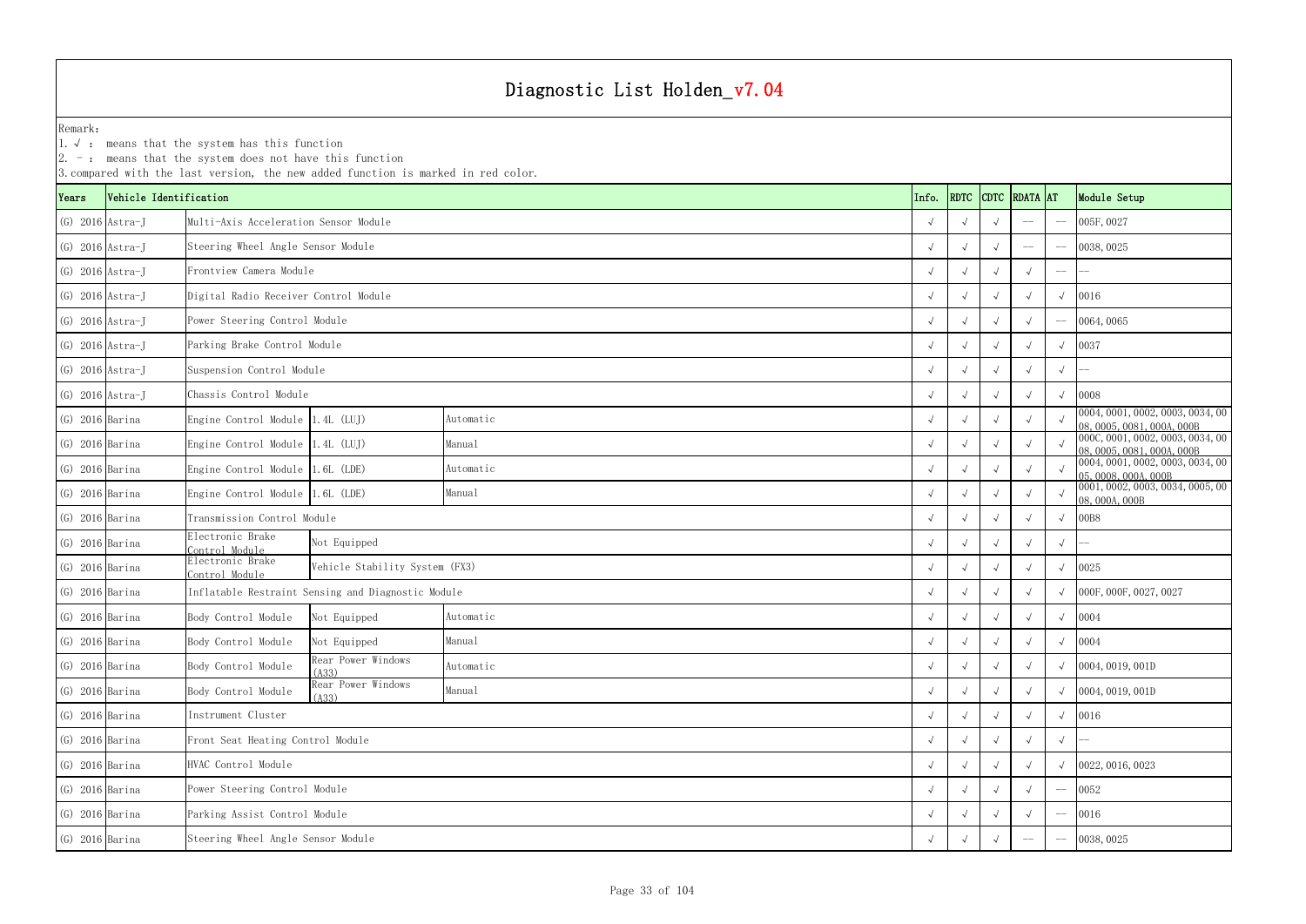YearsVehicle Identification **Info.** RDTC Remark:1.  $\sqrt{ }$ : means that the system has this function 2. -: means that the system does not have this function 3.compared with the last version, the new added function is marked in red color. (G) 2016 Astra-J √ √ √ -- -- 005F,0027 Multi-Axis Acceleration Sensor Module(G) 2016 Astra-J √ √ √ -- -- 0038,0025 Steering Wheel Angle Sensor Module (G) 2016 Astra-J √ √ √ √ -- -- Frontview Camera Module(G) 2016 Astra-J √ √ √ √ √ 0016 Digital Radio Receiver Control Module (G) 2016 Astra-J √ √ √ √ -- 0064,0065 Power Steering Control Module (G) 2016 Astra-J √ √ √ √ √ 0037 Parking Brake Control Module (G) 2016 Astra-J √ √ √ √ √ -- Suspension Control Module (G) 2016 Astra-J √ √ √ √ √ 0008 Chassis Control Module(G) 2016 Barina Engine Control Module 1.4L (LUJ) Automatic Automatic (C) 2016 Barina → √ √ √ √ ∞ 0004,0001,0002,0003,0034,00 ∧ ∞ 08,0005,0081,000A,000B (G) 2016 Barina Engine Control Module 1.4L (LUJ) Manual Manual Manual (G) 2016 Barina → √ √ √ √ ∞ 000C,0001,0002,0003,0034,00 √ √ √ ∞ 000C,0001,0002,0003,0034,00 (G) 2016 Barina Engine Control Module 1.6L (LDE) Automatic Automatic (C) 2016 Barina → √ √ √ √ ∞ 0004,0001,0002,0003,0034,00 → 05,0008,000A,000B (G) 2016 Barina Engine Control Module 1.6L (LDE) Manual Manual Manual (C) 2016 Barina → √ √ √ √ ∞ 0001,0002,0003,0034,0005,00 √ √ √ ∞ 08,000A,000B (G) 2016 Barina √ √ √ √ √ 00B8 Transmission Control Module (G) 2016 Barina Electronic Brake Control Module <sup>√</sup> <sup>√</sup> <sup>√</sup> <sup>√</sup> <sup>√</sup> -- (G) 2016 Barina Electronic Brake Control Module <sup>√</sup> <sup>√</sup> <sup>√</sup> <sup>√</sup> <sup>√</sup> <sup>0025</sup> Vehicle Stability System (FX3) (G) 2016 Barina √ √ √ √ √ 000F,000F,0027,0027 Inflatable Restraint Sensing and Diagnostic Module (G) 2016 Barina and Body Control Module Not Equipped Automatic  $\sqrt{2}$ (G) 2016 Barina Body Control Module Not Equipped Manual  $\sqrt{2}$ (G) 2016 Barina Body Control Module  $\begin{array}{|l|c|c|c|c|}\n\hline\n\text{Rad} & \text{Normal} & \text{Normal} & \text{Normal} & \text{Normal} & \text{Normal} & \text{Normal} & \text{Normal} & \text{Normal} & \text{Normal} & \text{Normal} & \text{Normal} & \text{Normal} & \text{Normal} & \text{Normal} & \text{Normal} & \text{Normal} & \text{Normal} & \text{Normal} & \text{Normal} & \text{Normal} & \text{Normal} & \text{Normal} & \text{Normal} & \text{Normal} & \text{Normal} & \text{Normal} &$ (G) 2016 Barina Body Control Module Rear Power Windows Manual Manual  $\begin{array}{c|c} \begin{array}{c} \downarrow\\ \end{array} & \begin{array}{c} \downarrow\\ \end{array} & \begin{array}{c} \downarrow\\ \end{array} & \begin{array}{c} \end{array} & \begin{array}{c} \downarrow\\ \end{array} & \begin{array}{c} \end{array} & \begin{array}{c} \downarrow\\ \end{array} & \begin{array}{c} \end{array} & \begin{array}{c} \end{array} & \begin{array}{$ (G) 2016 Barina √ √ √ √ √ 0016 (G) 2016 Barina √ √ √ √ √ -- Front Seat Heating Control Module (G) 2016 Barina √ √ √ √ √ 0022,0016,0023 (G) 2016 Barina √ √ √ √ -- 0052 Power Steering Control Module (G) 2016 Barina √ √ √ √ -- 0016 Parking Assist Control Module (G) 2016 Barina √ √ √ -- -- 0038,0025 Steering Wheel Angle Sensor Module Automatic Manual Automatic Manual Automatic Manual Automatic Manual Instrument Cluster HVAC Control Module Not Equipped

| <b>RDATA</b> |                          | Module Setup                                                   |
|--------------|--------------------------|----------------------------------------------------------------|
|              |                          | 005F, 0027                                                     |
|              | $\overline{\phantom{0}}$ | 0038,0025                                                      |
| $\sqrt{ }$   | $\overline{\phantom{0}}$ |                                                                |
| $\sqrt{}$    | $\sqrt{ }$               | 0016                                                           |
| $\sqrt{ }$   | $-$                      | 0064,0065                                                      |
| $\sqrt{ }$   | $\sqrt{ }$               | 0037                                                           |
| $\sqrt{ }$   | $\sqrt{ }$               |                                                                |
| $\sqrt{ }$   | $\sqrt{ }$               | 0008                                                           |
| $\sqrt{ }$   | $\sqrt{ }$               | 0004, 0001, 0002, 0003, 0034, 00<br>08,0005,0081,000A,000B     |
| $\sqrt{}$    | $\sqrt{ }$               | 000C, 0001, 0002, 0003, 0034, 00<br>08, 0005, 0081, 000A, 000B |
| $\sqrt{}$    | $\sqrt{}$                | 0004, 0001, 0002, 0003, 0034, 00<br>05,0008,000A,000B          |
| $\sqrt{ }$   | $\sqrt{}$                | 0001, 0002, 0003, 0034, 0005, 00<br>08,000A,000B               |
| $\sqrt{}$    | $\sqrt{ }$               | 00B8                                                           |
| $\sqrt{ }$   | $\sqrt{}$                |                                                                |
| $\sqrt{}$    | $\sqrt{ }$               | 0025                                                           |
| $\sqrt{ }$   | $\sqrt{ }$               | 000F, 000F, 0027, 0027                                         |
| $\sqrt{}$    | $\sqrt{ }$               | 0004                                                           |
| $\sqrt{}$    | $\sqrt{ }$               | 0004                                                           |
| $\sqrt{}$    | $\sqrt{ }$               | 0004, 0019, 001D                                               |
| $\sqrt{}$    | $\sqrt{ }$               | 0004, 0019, 001D                                               |
| $\sqrt{}$    | $\sqrt{ }$               | 0016                                                           |
| $\checkmark$ | $\sqrt{}$                |                                                                |
| √            | $\sqrt{}$                | 0022, 0016, 0023                                               |
| √            |                          | 0052                                                           |
| $\sqrt{}$    |                          | 0016                                                           |
|              |                          | 0038,0025                                                      |
|              |                          | <b>AT</b>                                                      |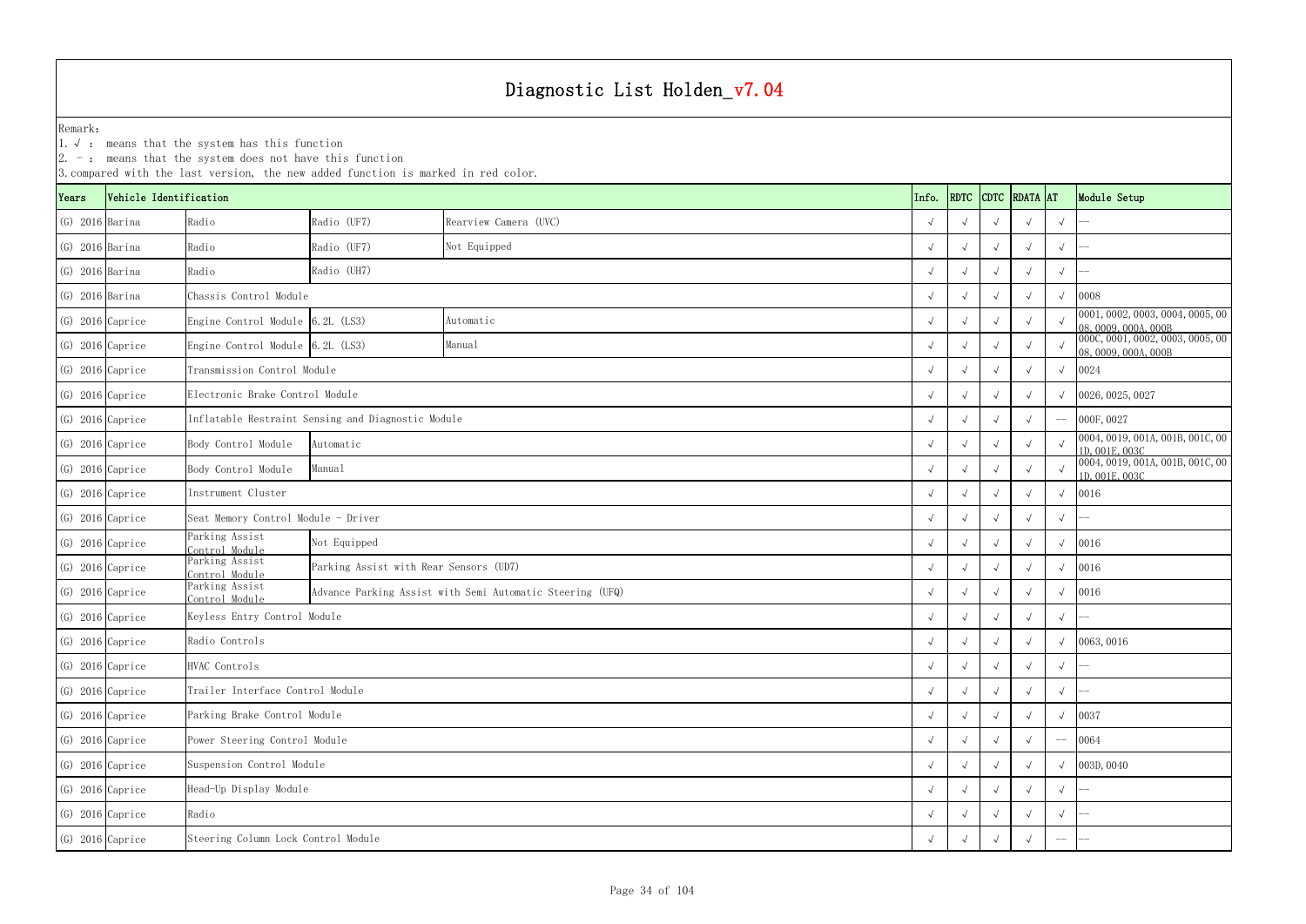1.√ : means that the system has this function

|                    |                        |                                     | 3. compared with the last version, the new added function is marked in red color. |                                                           |  |       |             |            |               |            |                                                          |
|--------------------|------------------------|-------------------------------------|-----------------------------------------------------------------------------------|-----------------------------------------------------------|--|-------|-------------|------------|---------------|------------|----------------------------------------------------------|
| Years              | Vehicle Identification |                                     |                                                                                   |                                                           |  | Info. | <b>RDTC</b> |            | CDTC RDATA AT |            | Module Setup                                             |
| $(G)$ 2016 Barina  |                        | Radio                               | Radio (UF7)                                                                       | Rearview Camera (UVC)                                     |  |       | $\sqrt{ }$  |            |               | $\sqrt{ }$ |                                                          |
| $(G)$ 2016 Barina  |                        | Radio                               | Radio (UF7)                                                                       | Not Equipped                                              |  |       | $\sqrt{ }$  |            |               | $\sqrt{ }$ |                                                          |
| $(G)$ 2016 Barina  |                        | Radio                               | Radio (UH7)                                                                       |                                                           |  |       |             |            |               | $\sqrt{ }$ |                                                          |
| $(G)$ 2016 Barina  |                        | Chassis Control Module              |                                                                                   |                                                           |  |       |             |            | $\sqrt{ }$    | 0008       |                                                          |
| $(G)$ 2016 Caprice |                        | Engine Control Module 6.2L (LS3)    |                                                                                   | Automatic                                                 |  |       |             |            |               |            | 0001, 0002, 0003, 0004, 0005, 00<br>08, 0009, 000A, 000B |
| $(G)$ 2016 Caprice |                        | Engine Control Module 6.2L (LS3)    |                                                                                   | Manual                                                    |  |       |             |            |               |            | 000C, 0001, 0002, 0003, 0005, 00<br>08,0009,000A,000B    |
| $(G)$ 2016 Caprice |                        | Transmission Control Module         |                                                                                   |                                                           |  |       |             |            |               | $\sqrt{ }$ | 0024                                                     |
| $(G)$ 2016 Caprice |                        | Electronic Brake Control Module     |                                                                                   |                                                           |  |       |             |            |               |            | 0026, 0025, 0027                                         |
| $(G)$ 2016 Caprice |                        |                                     | Inflatable Restraint Sensing and Diagnostic Module                                |                                                           |  |       | $\sqrt{ }$  |            |               |            | 000F, 0027                                               |
| $(G)$ 2016 Caprice |                        | Body Control Module                 | Automatic                                                                         |                                                           |  |       |             |            |               |            | 0004, 0019, 001A, 001B, 001C, 00<br>1D, 001E, 003C       |
| $(G)$ 2016 Caprice |                        | Body Control Module                 | Manual                                                                            |                                                           |  |       |             |            |               |            | 0004, 0019, 001A, 001B, 001C, 00<br>1D, 001E, 003C       |
|                    | $(G)$ 2016 Caprice     | Instrument Cluster                  |                                                                                   |                                                           |  |       |             |            |               | $\sqrt{ }$ | 0016                                                     |
| $(G)$ 2016 Caprice |                        | Seat Memory Control Module - Driver |                                                                                   |                                                           |  |       | $\sqrt{ }$  |            |               | $\sqrt{ }$ |                                                          |
| $(G)$ 2016 Caprice |                        | Parking Assist<br>Control Module    | Not Equipped                                                                      |                                                           |  |       |             |            |               | $\sqrt{ }$ | 0016                                                     |
| $(G)$ 2016 Caprice |                        | Parking Assist<br>Control Module    | Parking Assist with Rear Sensors (UD7)                                            |                                                           |  |       |             |            |               |            | 0016                                                     |
|                    | $(G)$ 2016 Caprice     | Parking Assist<br>Control Module    |                                                                                   | Advance Parking Assist with Semi Automatic Steering (UFQ) |  |       |             |            |               |            | 0016                                                     |
| $(G)$ 2016 Caprice |                        | Keyless Entry Control Module        |                                                                                   |                                                           |  |       |             |            |               | $\sqrt{ }$ |                                                          |
| $(G)$ 2016 Caprice |                        | Radio Controls                      |                                                                                   |                                                           |  |       | $\sqrt{ }$  | $\sqrt{ }$ |               |            | $\sqrt{0063,0016}$                                       |
|                    | $(G)$ 2016 Caprice     | HVAC Controls                       |                                                                                   |                                                           |  |       | $\sqrt{ }$  | $\sqrt{ }$ | $\sqrt{ }$    | $\sqrt{ }$ |                                                          |
|                    | $(G)$ 2016 Caprice     | Trailer Interface Control Module    |                                                                                   |                                                           |  |       |             |            |               | $\sqrt{ }$ |                                                          |
| $(G)$ 2016 Caprice |                        | Parking Brake Control Module        |                                                                                   |                                                           |  |       |             |            |               | $\sqrt{ }$ | 0037                                                     |
| $(G)$ 2016 Caprice |                        | Power Steering Control Module       |                                                                                   |                                                           |  |       |             |            |               | $-\!-\!$   | 0064                                                     |
|                    | $(G)$ 2016 Caprice     | Suspension Control Module           |                                                                                   |                                                           |  |       |             |            |               | $\sqrt{ }$ | 003D, 0040                                               |
|                    | $(G)$ 2016 Caprice     | Head-Up Display Module              |                                                                                   |                                                           |  |       | $\sqrt{ }$  |            |               |            |                                                          |
|                    | $(G)$ 2016 Caprice     | Radio                               |                                                                                   |                                                           |  |       |             |            |               | $\sqrt{ }$ |                                                          |
|                    | $(G)$ 2016 Caprice     | Steering Column Lock Control Module |                                                                                   |                                                           |  |       | $\sqrt{ }$  |            |               | $-\!-\!$   |                                                          |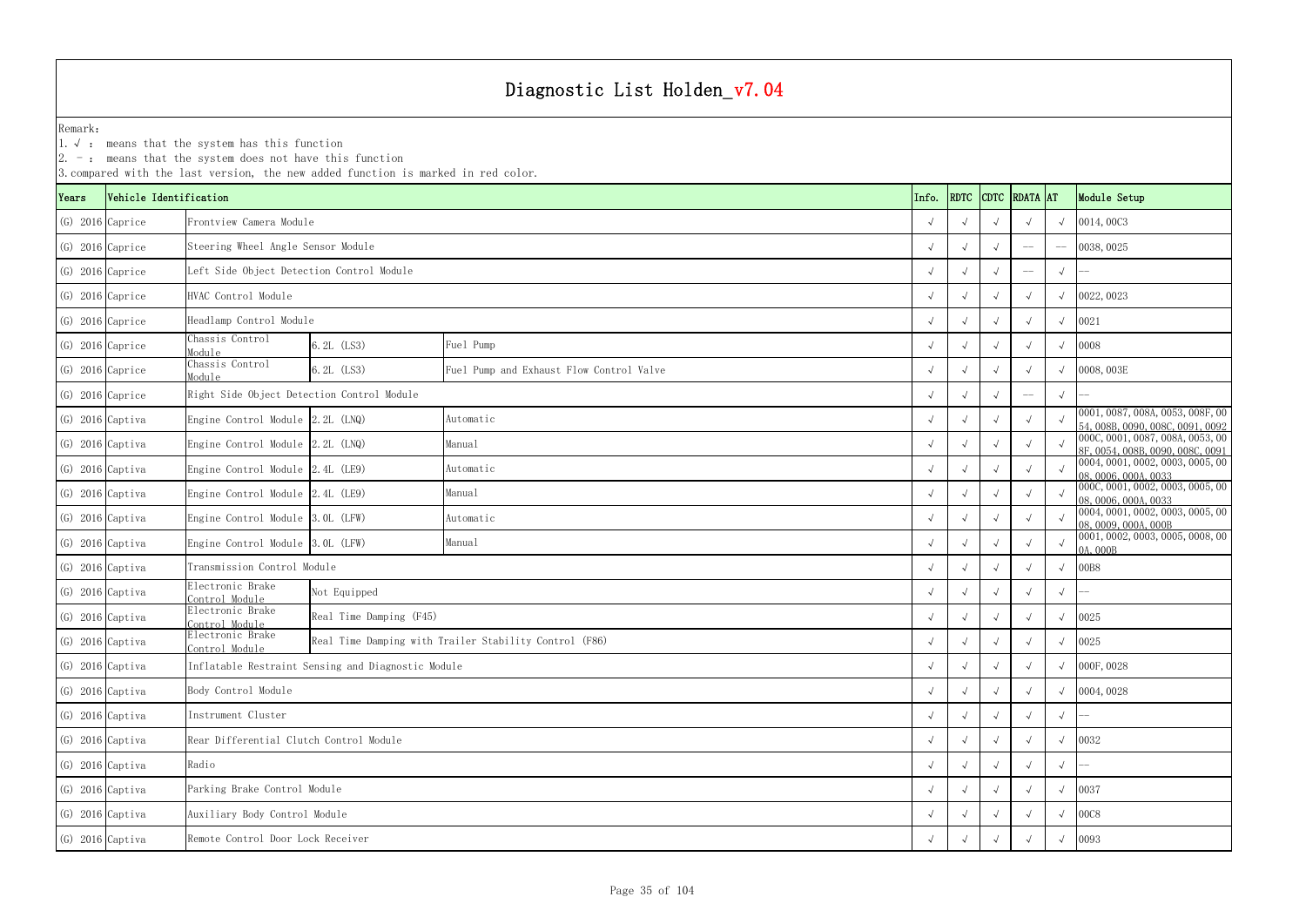YearsVehicle Identification **Info.** RDTC Remark:1.  $\sqrt{ }$ : means that the system has this function 2. -: means that the system does not have this function 3.compared with the last version, the new added function is marked in red color. (G) 2016 Caprice √ √ √ √ √ 0014,00C3 Frontview Camera Module(G) 2016 Caprice √ √ √ -- -- 0038,0025 Steering Wheel Angle Sensor Module (G) 2016 Caprice √ √ √ -- √ -- Left Side Object Detection Control Module (G) 2016 Caprice √ √ √ √ √ 0022,0023 (G) 2016 Caprice √ √ √ √ √ 0021 Headlamp Control Module (G) 2016 Caprice Chassis Control Module $\frac{1}{2}$  6.2L (LS3) Fuel Pump (G) 2016 Caprice Chassis Control Module 6.2L (LS3) <sup>√</sup> <sup>√</sup> <sup>√</sup> <sup>√</sup> <sup>√</sup> 0008,003E Fuel Pump and Exhaust Flow Control Valve (G) 2016 Caprice √ √ √ -- √ -- Right Side Object Detection Control Module (G) 2016 Captiva Engine Control Module 2.2L (LNQ) Automatic Automatic (C) 2016 Captiva Engine Control Module 2.2L (LNQ) Automatic (C) 2016 Captiva 54,008B,0090,008C,0091,0092 (G) 2016 Captiva Engine Control Module 2.2L (LNQ) Manual Manual Manual Manual Manual (G) 2016 Captiva (G) 2016 Captiva Engine Control Module 2.2L (LNQ) Manual Manual (G) 2016 Captiva (G) 2016 Captiva (G) 87,0087,0080,0091 (G) 2016 Captiva Engine Control Module 2.4L (LE9) Automatic Automatic (C) 2016 Captiva → √ √ √ √ ∞ 0004,0001,0002,0003,0005,00 ∧ 0004,0001,0002,0003,0005,00 ∧ √ √ √ ∞ 08,0006,0004,0033 (G) 2016 Captiva Engine Control Module 2.4L (LE9) Manual Manual Manual (C) 2016 Captiva (C) 2016 Captiva Engine Control Module 2.4L (LE9) Manual (C) 2016 O (C) 000, 0006,000,000,0003,0005,000 000,000,000 000,000,000 000,0 (G) 2016 Captiva Engine Control Module 3.0L (LFW) Automatic Automatic (C) 2016 Captiva → √ √ √ √ ∞ 0004,0001,0002,0003,0005,00 ∧ 0005,00 ∧ 0005,00 ∴ √ √ √ ∞ 08,0009,000A,000B (G) 2016 Captiva Engine Control Module 3.0L (LFW) Manual Manual Manual (C) 2016 Captiva Control Module 3.0L (LFW) Manual Manual (C) 2016 Captiva (C) 2016 Captiva Busine Control Module 3.0L (LFW) Manual Manual (C) 2016 OB (G) 2016 Captiva √ √ √ √ √ 00B8 Transmission Control Module (G) 2016 Captiva Electronic Brake Control Module <sup>√</sup> <sup>√</sup> <sup>√</sup> <sup>√</sup> <sup>√</sup> -- (G) 2016 Captiva Electronic Brake Control Module <sup>√</sup> <sup>√</sup> <sup>√</sup> <sup>√</sup> <sup>√</sup> <sup>0025</sup> Real Time Damping (F45) (G) 2016 Captiva Electronic Brake Control Moduleake Real Time Damping with Trailer Stability Control (F86) (Control (F86) (Control (F86) (Control (F86) (Control (F86) (Control (F86) (Control (F86) (Control (F86) (Control (F86) (Control (F86) (Control (F86) (Control (F8 (G) 2016 Captiva √ √ √ √ √ 000F,0028 Inflatable Restraint Sensing and Diagnostic Module (G) 2016 Captiva √ √ √ √ √ 0004,0028 (G) 2016 Captiva √ √ √ √ √ -- (G) 2016 Captiva √ √ √ √ √ 0032 Rear Differential Clutch Control Module (G) 2016 Captiva √ √ √ √ √ -- HVAC Control ModuleBody Control Module Instrument Cluster Not Equipped Fuel Pump Automatic Manual Automatic Manual Automatic Manual Radio

|                  |                        | $2.$ -: means that the system does not have this function | 3. compared with the last version, the new added function is marked in red color. |                                                        |  |            |            |  |               |            |                                                                      |
|------------------|------------------------|-----------------------------------------------------------|-----------------------------------------------------------------------------------|--------------------------------------------------------|--|------------|------------|--|---------------|------------|----------------------------------------------------------------------|
| ears)            | Vehicle Identification |                                                           |                                                                                   |                                                        |  | Info.      | RDTC       |  | CDTC RDATA AT |            | Module Setup                                                         |
| (G) 2016 Caprice |                        | Frontview Camera Module                                   |                                                                                   |                                                        |  |            |            |  |               | $\sqrt{ }$ | 0014,00C3                                                            |
| (G) 2016 Caprice |                        | Steering Wheel Angle Sensor Module                        |                                                                                   |                                                        |  |            |            |  |               |            | 0038, 0025                                                           |
| (G) 2016 Caprice |                        |                                                           | Left Side Object Detection Control Module                                         |                                                        |  |            |            |  |               | $\sqrt{ }$ |                                                                      |
| (G) 2016 Caprice |                        | HVAC Control Module                                       |                                                                                   |                                                        |  |            |            |  |               |            | 0022, 0023                                                           |
| (G) 2016 Caprice |                        | Headlamp Control Module                                   |                                                                                   |                                                        |  | $\sqrt{ }$ |            |  |               | $\sqrt{ }$ | 0021                                                                 |
| (G) 2016 Caprice |                        | Chassis Control<br>Module                                 | 6.2L (LS3)                                                                        | Fuel Pump                                              |  |            |            |  |               | $\sqrt{ }$ | 0008                                                                 |
| (G) 2016 Caprice |                        | Chassis Control<br>Module                                 | 6.2L (LS3)                                                                        | Fuel Pump and Exhaust Flow Control Valve               |  | $\sqrt{ }$ |            |  |               |            | 0008,003E                                                            |
| (G) 2016 Caprice |                        | Right Side Object Detection Control Module                |                                                                                   |                                                        |  |            |            |  |               | $\sqrt{ }$ |                                                                      |
| (G) 2016 Captiva |                        | Engine Control Module 2.2L (LNQ)                          |                                                                                   | Automatic                                              |  |            |            |  |               |            | 0001, 0087, 008A, 0053, 008F, 00<br>54, 008B, 0090, 008C, 0091, 0092 |
| (G) 2016 Captiva |                        | Engine Control Module 2.2L (LNQ)                          |                                                                                   | Manual                                                 |  |            |            |  |               |            | 000C, 0001, 0087, 008A, 0053, 00<br>8F, 0054, 008B, 0090, 008C, 0091 |
| (G) 2016 Captiva |                        | Engine Control Module 2.4L (LE9)                          |                                                                                   | Automatic                                              |  |            |            |  |               |            | 0004, 0001, 0002, 0003, 0005, 00<br>08,0006,000A,0033                |
| (G) 2016 Captiva |                        | Engine Control Module 2.4L (LE9)                          |                                                                                   | Manual                                                 |  |            |            |  |               |            | 000C, 0001, 0002, 0003, 0005, 00<br>08, 0006, 000A, 0033             |
| (G) 2016 Captiva |                        | Engine Control Module 3.0L (LFW)                          |                                                                                   | Automatic                                              |  |            |            |  |               |            | 0004, 0001, 0002, 0003, 0005, 00<br>08, 0009, 000A, 000B             |
| (G) 2016 Captiva |                        | Engine Control Module 3.0L (LFW)                          |                                                                                   | Manual                                                 |  |            |            |  |               |            | 0001, 0002, 0003, 0005, 0008, 00<br>0A, 000B                         |
| (G) 2016 Captiva |                        | Transmission Control Module                               |                                                                                   |                                                        |  | $\sqrt{ }$ |            |  |               |            | 00B8                                                                 |
| (G) 2016 Captiva |                        | Electronic Brake<br>Control Module                        | Not Equipped                                                                      |                                                        |  |            |            |  |               | $\sqrt{ }$ |                                                                      |
| (G) 2016 Captiva |                        | Electronic Brake<br>Control Module                        | Real Time Damping (F45)                                                           |                                                        |  | $\sqrt{ }$ |            |  |               |            | 0025                                                                 |
| (G) 2016 Captiva |                        | Electronic Brake<br>Control Module                        |                                                                                   | Real Time Damping with Trailer Stability Control (F86) |  | $\sqrt{ }$ | $\sqrt{ }$ |  |               | $\sqrt{ }$ | 0025                                                                 |
|                  | (G) 2016 Captiva       |                                                           | Inflatable Restraint Sensing and Diagnostic Module                                |                                                        |  | $\sqrt{ }$ |            |  |               |            | 000F, 0028                                                           |
|                  | (G) 2016 Captiva       | Body Control Module                                       |                                                                                   |                                                        |  |            |            |  |               |            | 0004, 0028                                                           |
|                  | (G) 2016 Captiva       | Instrument Cluster                                        |                                                                                   |                                                        |  |            |            |  |               | $\sqrt{ }$ |                                                                      |
| (G) 2016 Captiva |                        | Rear Differential Clutch Control Module                   |                                                                                   |                                                        |  |            |            |  |               | $\sqrt{ }$ | 0032                                                                 |
|                  | (G) 2016 Captiva       | Radio                                                     |                                                                                   |                                                        |  |            |            |  |               | $\sqrt{ }$ |                                                                      |
|                  | (G) 2016 Captiva       | Parking Brake Control Module                              |                                                                                   |                                                        |  |            |            |  |               |            | 0037                                                                 |
|                  | (G) 2016 Captiva       | Auxiliary Body Control Module                             |                                                                                   |                                                        |  |            |            |  |               |            | 00C8                                                                 |
|                  | (G) 2016 Captiva       |                                                           | Remote Control Door Lock Receiver                                                 |                                                        |  |            |            |  |               | $\sqrt{ }$ | 0093                                                                 |
|                  |                        |                                                           |                                                                                   |                                                        |  |            |            |  |               |            |                                                                      |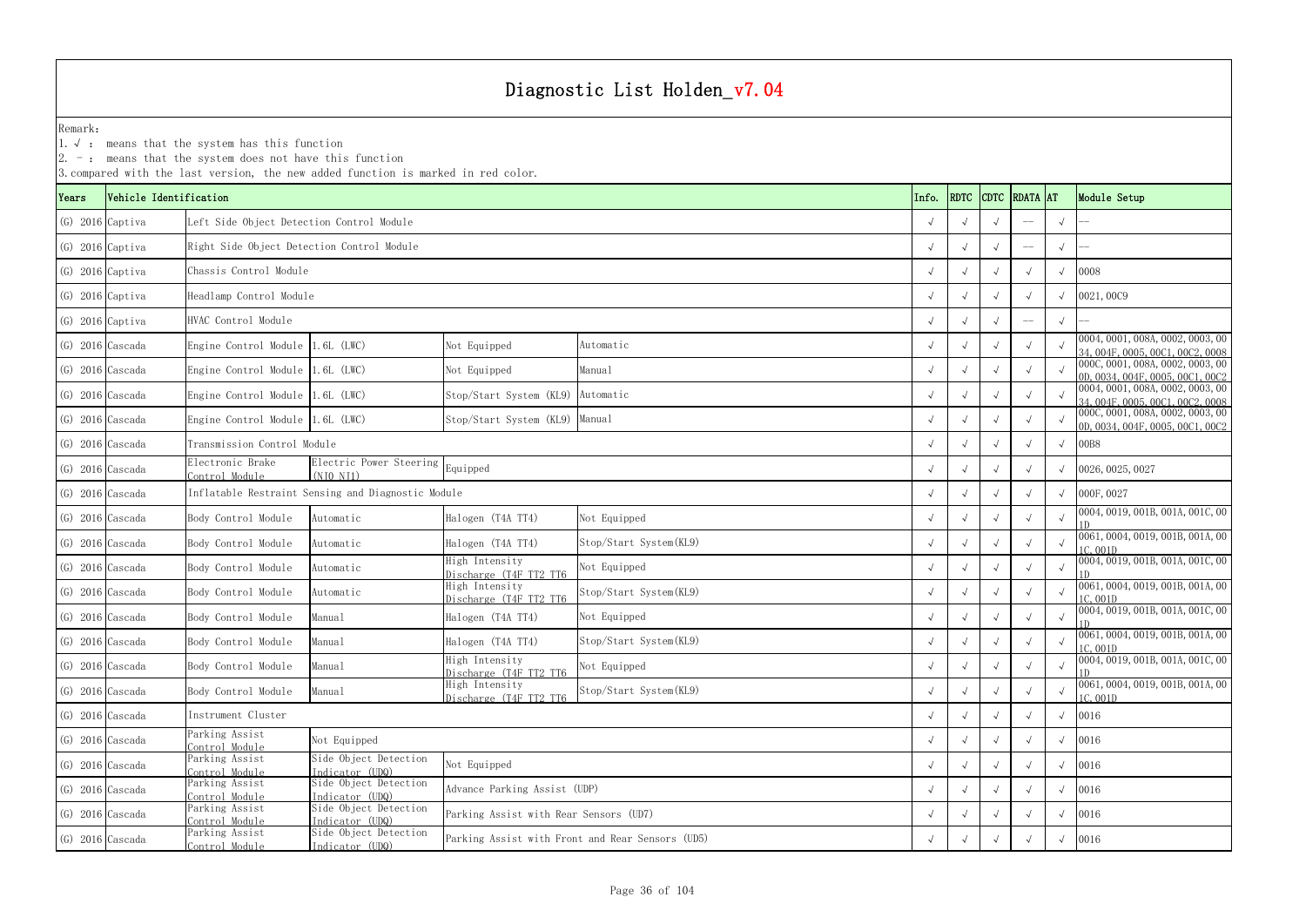YearsVehicle Identification **Info.** RDTC Remark:1. √ : means that the system has this function  $2. -:$  means that the system does not have this function 3.compared with the last version, the new added function is marked in red color. (G) 2016 Captiva √ √ √ -- √ -- Left Side Object Detection Control Module (G) 2016 Captiva √ √ √ -- √ -- Right Side Object Detection Control Module (G) 2016 Captiva √ √ √ √ √ 0008 Chassis Control Module(G) 2016 Captiva √ √ √ √ √ 0021,00C9 Headlamp Control Module (G) 2016 Captiva √ √ √ -- √ -- (G) 2016 Cascada Engine Control Module 1.6L (LWC) Not Equipped Automatic √ √ √ √ √ 0004,0001,008A,0002,0003,00 √ √ √ √ ∞ 34,004F,0005,00C1,00C2,0008 (G) 2016 Cascada Engine Control Module 1.6L (LWC) Not Equipped <sup>√</sup> √√√√ 000C,0001,008A,0002,0003,00 0D,0034,004F,0005,00C1,00C2 (G) 2016 Cascada Engine Control Module 1.6L (LWC) Stop/Start System (KL9) Automatic √ √ √ √ √ 0004,0001,008A,0002,0003,00 √ √ √ ∞ 34,004F,0005,00C1,00C2,0008 (G) 2016 Cascada Engine Control Module 1.6L (LWC) Stop/Start System (KL9) Manual √ √ √ √ ∞ 000C,0001,008A,0002,0003,00 √ √ √ ∞ 000C,0001,008A,0002,0003,0002,0003,00 √ √ ∞ 00,0034,0005,00 ∪ 0D,0034,0005,00 ∪ 0D,0034,0005,0 (G) 2016 Cascada √ √ √ √ √ 00B8 Transmission Control Module (G) 2016 Cascada Electronic Brake Control Modulee Electric Power Steering Equipped<br>e (NJ0 NJ1) √ √ √ 0026,0025,0027 (G) 2016 Cascada √ √ √ √ √ 000F,0027 Inflatable Restraint Sensing and Diagnostic Module (G) 2016 Cascada Body Control Module Automatic Halogen (T4A TT4) Not Equipped  $\begin{array}{c|c} \begin{array}{cc} \sqrt{\phantom{a}} & \sqrt{\phantom{a}} & \sqrt{\phantom{a}} & \sqrt{\phantom{a}} & \sqrt{\phantom{a}} & \sqrt{\phantom{a}} & \sqrt{\phantom{a}} & \sqrt{\phantom{a}} & \sqrt{\phantom{a}} & \sqrt{\phantom{a}} & \sqrt{\phantom{a}} & \sqrt{\phantom{a}} & \sqrt{\phantom{a}} & \sqrt{\phantom{a}} &$ (G) 2016 Cascada Body Control Module Automatic Halogen (T4A TT4) Stop/Start System(KL9) √ √ √ √ 0061,0004,0019,001B,001A,00 (G) 2016 Cascada Body Control Module Automatic High Intensity Not Equipped  $\begin{array}{c|c} \begin{array}{c} \sim & \end{array} & \begin{array}{c} \sim & \end{array} & \begin{array}{c} \sim & \end{array} & \begin{array}{c} \sim & \end{array} & \begin{array}{c} \sim & \end{array} & \begin{array}{c} \sim & \end{array} & \begin{array}{c} \sim & \end{array} & \begin{array}{c} \sim & \end{array} & \begin{array}{c} \$ (G) 2016 Cascada Body Control Module Automatic High Intensity Discharge (T4F TT2 TT6 <sup>√</sup> √√√√ 0061,0004,0019,001B,001A,00 1C,001D (G) 2016 Cascada Body Control Module Manual Halogen (T4A TT4) <sup>√</sup> √√√√ 0004,0019,001B,001A,001C,00 1D(G) 2016 Cascada Body Control Module Manual Halogen (T4A TT4) Stop/Start System(KL9) √ √ √ √ 0061,0004,0019,001B,001A,00 (G) 2016 Cascada Body Control Module Manual High Intensity Not Equipped  $\begin{array}{c|c} \sim & \sim & \sim & \sim & \sim & \sim \end{array}$   $\begin{array}{c|c} \sim & \sim & \sim & \sim & \sim & \sim & \sim \end{array}$  0004, 0019, 0018, 0014, 0016, 0016, 0016, 0016, 0016, 0016, 0016, 0018, 0016, (G) 2016 Cascada Body Control Module Manual High Intensity Discharge (T4F TT2 TT6 <sup>√</sup> √√√√ 0061,0004,0019,001B,001A,00 1C,001D (G) 2016 Cascada √ √ √ √ √ 0016 (G) 2016 Cascada Parking Assist Control Module $\frac{c}{\rm e}$  Not Equipped  $\sqrt{2}$  /  $\sqrt{2}$  /  $\sqrt{2}$  /  $\sqrt{2}$  /  $\sqrt{2}$  /  $\sqrt{2}$  /  $\sqrt{2}$  /  $\sqrt{2}$  /  $\sqrt{2}$  /  $\sqrt{2}$  /  $\sqrt{2}$  /  $\sqrt{2}$  /  $\sqrt{2}$  /  $\sqrt{2}$  /  $\sqrt{2}$  /  $\sqrt{2}$  /  $\sqrt{2}$  /  $\sqrt{2}$  /  $\sqrt{2}$  /  $\sqrt{2}$ (G) 2016 Cascada Parking Assist Control Modulet Side Object Detection Not Equipped<br>e Indicator (UDQ) Not Equipped (G) 2016 Cascada Parking Assist Control Modulet Side Object Detection Advance Parking Assist (UDP)<br>e Indicator (UDQ) → Movance Parking Assist (UDP) → Movance of Advance Parking Assist (UDP) → Movance of Advance Parking Assist (UDP) → Movance of Advance Parking Assist (G) 2016 Cascada Parking Assist Control Modulet Side Object Detection Parking Assist with Rear Sensors (UD7)<br>e Indicator (UDQ) → V √ √ √ √ 10016 (G) 2016 Cascada Parking Assist<br>Control Module t Side Object Detection Parking Assist with Front and Rear Sensors (UD5)<br>e Indicator (UDQ) → √ √ √ √ √ 0016 HVAC Control Module Instrument Cluster Equipped Not Equipped Advance Parking Assist (UDP) Not Equipped Automatic ManualAutomaticStop/Start System(KL9) Not Equipped Stop/Start System(KL9) Not Equipped Stop/Start System(KL9) Not Equipped Stop/Start System(KL9) Not Equipped Manual

| <b>RDATA</b> |              | Module Setup                                                         |
|--------------|--------------|----------------------------------------------------------------------|
|              | $\sqrt{}$    |                                                                      |
|              | $\sqrt{}$    |                                                                      |
| $\sqrt{}$    | $\sqrt{}$    | 0008                                                                 |
| $\sqrt{}$    | $\sqrt{}$    | 0021,00C9                                                            |
|              | $\sqrt{ }$   |                                                                      |
| $\sqrt{}$    | $\sqrt{ }$   | 0004, 0001, 008A, 0002, 0003, 00<br>34, 004F, 0005, 00C1, 00C2, 0008 |
| $\sqrt{}$    | $\sqrt{ }$   | 000C, 0001, 008A, 0002, 0003, 00<br>0D, 0034, 004F, 0005, 00C1, 00C2 |
| $\sqrt{}$    | $\sqrt{ }$   | 0004, 0001, 008A, 0002, 0003, 00<br>34, 004F, 0005, 00C1, 00C2, 0008 |
| $\sqrt{}$    | $\sqrt{ }$   | 000C, 0001, 008A, 0002, 0003, 00<br>0D, 0034, 004F, 0005, 00C1, 00C2 |
| $\sqrt{}$    | $\sqrt{ }$   | 00B8                                                                 |
| $\sqrt{}$    | $\sqrt{}$    | 0026, 0025, 0027                                                     |
| $\sqrt{}$    | $\sqrt{ }$   | 000F, 0027                                                           |
| $\sqrt{}$    | $\sqrt{ }$   | 0004, 0019, 001B, 001A, 001C, 00                                     |
| $\sqrt{}$    | $\sqrt{ }$   | 0061, 0004, 0019, 001B, 001A, 00<br>1C,001D                          |
| $\sqrt{}$    | $\sqrt{}$    | 0004, 0019, 001B, 001A, 001C, 00<br>1D                               |
| $\sqrt{ }$   | $\sqrt{ }$   | 0061, 0004, 0019, 001B, 001A, 00<br>1C, 001D                         |
| $\sqrt{}$    | $\sqrt{ }$   | 0004, 0019, 001B, 001A, 001C, 00<br>1D                               |
| $\sqrt{}$    | $\sqrt{}$    | 0061, 0004, 0019, 001B, 001A, 00<br>1C 001D                          |
| $\sqrt{}$    | $\sqrt{ }$   | 0004, 0019, 001B, 001A, 001C, 00<br>1D                               |
| $\sqrt{}$    | $\sqrt{}$    | 0061, 0004, 0019, 001B, 001A, 00<br>1C,001D                          |
| $\sqrt{}$    | $\checkmark$ | 0016                                                                 |
| $\checkmark$ | $\checkmark$ | 0016                                                                 |
| $\sqrt{}$    | $\sqrt{}$    | 0016                                                                 |
| $\sqrt{}$    | $\sqrt{}$    | 0016                                                                 |
| $\sqrt{}$    | $\sqrt{ }$   | 0016                                                                 |
| $\sqrt{}$    | $\sqrt{ }$   | 0016                                                                 |
|              |              | <b>AT</b>                                                            |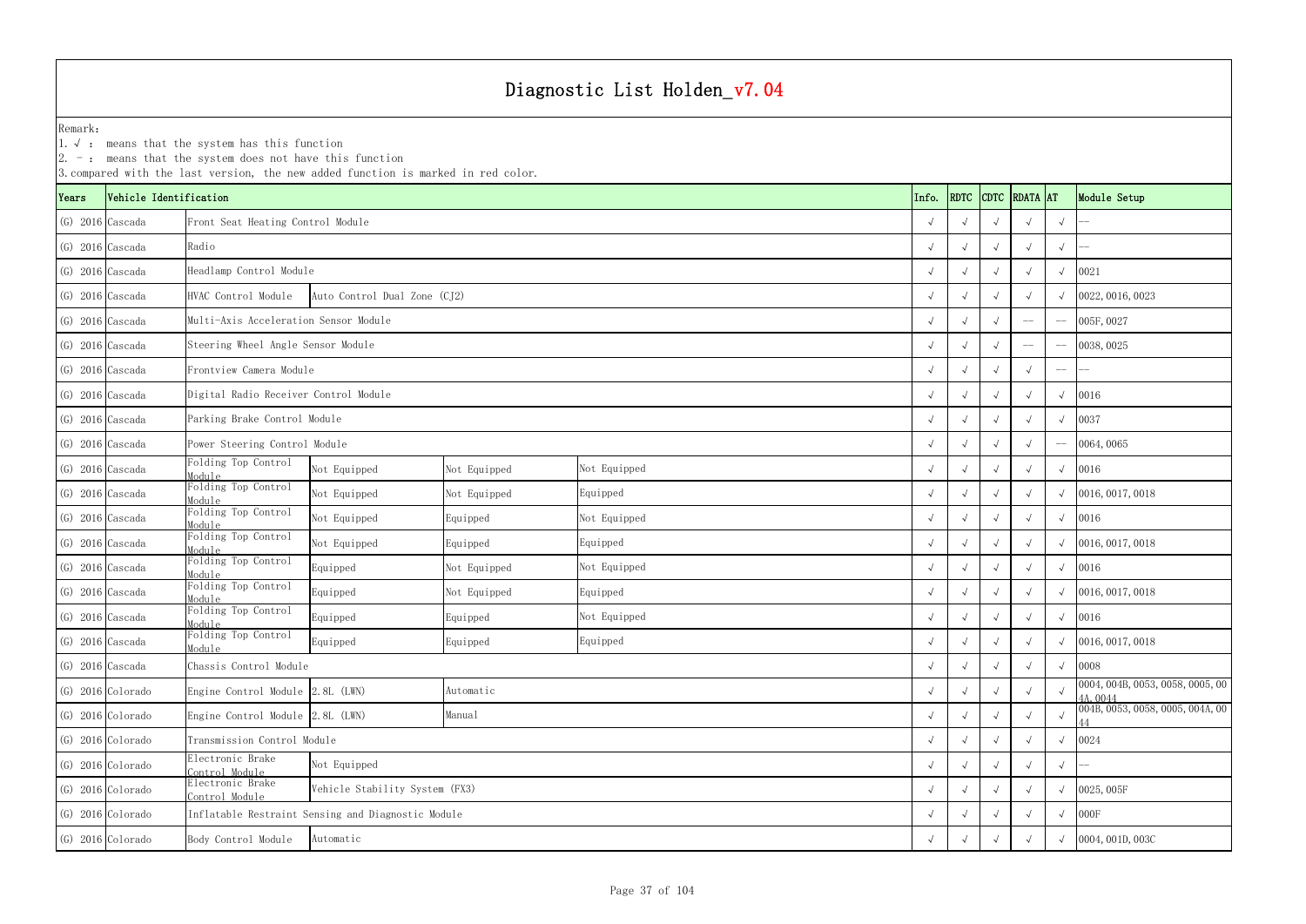1.√ : means that the system has this function

|                    |                        | $-$ : means that the system does not have this function | 3. compared with the last version, the new added function is marked in red color. |              |              |  |            |      |            |               |            |                                              |
|--------------------|------------------------|---------------------------------------------------------|-----------------------------------------------------------------------------------|--------------|--------------|--|------------|------|------------|---------------|------------|----------------------------------------------|
| Years              | Vehicle Identification |                                                         |                                                                                   |              |              |  | Info.      | RDTC |            | CDTC RDATA AT |            | Module Setup                                 |
| $(G)$ 2016 Cascada |                        | Front Seat Heating Control Module                       |                                                                                   |              |              |  |            |      |            |               | $\sqrt{ }$ |                                              |
| $(G)$ 2016 Cascada |                        | Radio                                                   |                                                                                   |              |              |  |            |      |            |               | $\sqrt{ }$ |                                              |
|                    | $(G)$ 2016 Cascada     | Headlamp Control Module                                 |                                                                                   |              |              |  |            |      |            |               | $\sqrt{ }$ | 0021                                         |
|                    | $(G)$ 2016 Cascada     | HVAC Control Module                                     | Auto Control Dual Zone (CJ2)                                                      |              |              |  | $\sqrt{ }$ |      |            |               |            | 0022, 0016, 0023                             |
| $(G)$ 2016 Cascada |                        | Multi-Axis Acceleration Sensor Module                   |                                                                                   |              |              |  |            |      |            | $-\!$ $\!-$   | $-\! -$    | 005F, 0027                                   |
| $(G)$ 2016 Cascada |                        | Steering Wheel Angle Sensor Module                      |                                                                                   |              |              |  |            |      |            |               |            | 0038, 0025                                   |
| $(G)$ 2016 Cascada |                        | Frontview Camera Module                                 |                                                                                   |              |              |  |            |      |            |               | $--$       |                                              |
| $(G)$ 2016 Cascada |                        | Digital Radio Receiver Control Module                   |                                                                                   |              |              |  |            |      |            |               | $\sqrt{ }$ | 0016                                         |
| $(G)$ 2016 Cascada |                        | Parking Brake Control Module                            |                                                                                   |              |              |  |            |      |            |               | $\sqrt{ }$ | 0037                                         |
| $(G)$ 2016 Cascada |                        | Power Steering Control Module                           |                                                                                   |              |              |  |            |      |            |               | $-\!-\!$   | 0064,0065                                    |
|                    | $(G)$ 2016 Cascada     | Folding Top Control<br>Module                           | Not Equipped                                                                      | Not Equipped | Not Equipped |  | $\sqrt{ }$ |      |            |               | $\sqrt{ }$ | 0016                                         |
|                    | $(G)$ 2016 Cascada     | Folding Top Control<br>Module                           | Not Equipped                                                                      | Not Equipped | Equipped     |  | $\sqrt{ }$ |      |            |               |            | $\sqrt{0016, 0017, 0018}$                    |
|                    | $(G)$ 2016 Cascada     | Folding Top Control<br>Module                           | Not Equipped                                                                      | Equipped     | Not Equipped |  | $\sqrt{ }$ |      |            |               |            | $\sqrt{0016}$                                |
| $(G)$ 2016 Cascada |                        | Folding Top Control<br>Module                           | Not Equipped                                                                      | Equipped     | Equipped     |  |            |      |            |               | $\sqrt{ }$ | 0016, 0017, 0018                             |
|                    | $(G)$ 2016 Cascada     | Folding Top Control<br>Module                           | Equipped                                                                          | Not Equipped | Not Equipped |  | $\sqrt{ }$ |      |            |               |            | $\sqrt{0016}$                                |
|                    | $(G)$ 2016 Cascada     | Folding Top Control<br>Module                           | Equipped                                                                          | Not Equipped | Equipped     |  |            |      |            |               |            | $\sqrt{0016, 0017, 0018}$                    |
| $(G)$ 2016 Cascada |                        | Folding Top Control<br>Module                           | Equipped                                                                          | Equipped     | Not Equipped |  |            |      |            |               |            | $\sqrt{0016}$                                |
| $(G)$ 2016 Cascada |                        | Folding Top Control<br>Module                           | Equipped                                                                          | Equipped     | Equipped     |  | $\sqrt{ }$ |      |            |               | $\sqrt{ }$ | 0016, 0017, 0018                             |
| $(G)$ 2016 Cascada |                        | Chassis Control Module                                  |                                                                                   |              |              |  | $\sqrt{ }$ |      |            |               | $\sqrt{ }$ | 0008                                         |
|                    | (G) 2016 Colorado      | Engine Control Module 2.8L (LWN)                        |                                                                                   | Automatic    |              |  | $\sqrt{ }$ |      |            |               | $\sqrt{ }$ | 0004, 004B, 0053, 0058, 0005, 00<br>4A, 0044 |
|                    | (G) 2016 Colorado      | Engine Control Module 2.8L (LWN)                        |                                                                                   | Manual       |              |  | $\sqrt{ }$ |      |            |               | $\sqrt{ }$ | 004B, 0053, 0058, 0005, 004A, 00             |
|                    | (G) 2016 Colorado      | Transmission Control Module                             |                                                                                   |              |              |  |            |      |            |               | $\sqrt{ }$ | 0024                                         |
|                    | (G) 2016 Colorado      | Electronic Brake<br>Control Module                      | Not Equipped                                                                      |              |              |  |            |      |            |               | $\sqrt{ }$ |                                              |
|                    | (G) 2016 Colorado      | Electronic Brake<br>Control Module                      | Vehicle Stability System (FX3)                                                    |              |              |  |            |      |            |               | $\sqrt{ }$ | 0025,005F                                    |
|                    | $(G)$ 2016 Colorado    |                                                         | Inflatable Restraint Sensing and Diagnostic Module                                |              |              |  |            |      | $\sqrt{ }$ |               |            | $\sqrt{000F}$                                |
|                    | (G) 2016 Colorado      | Body Control Module                                     | Automatic                                                                         |              |              |  |            |      |            |               | $\sqrt{ }$ | 0004, 001D, 003C                             |
|                    |                        |                                                         |                                                                                   |              |              |  |            |      |            |               |            |                                              |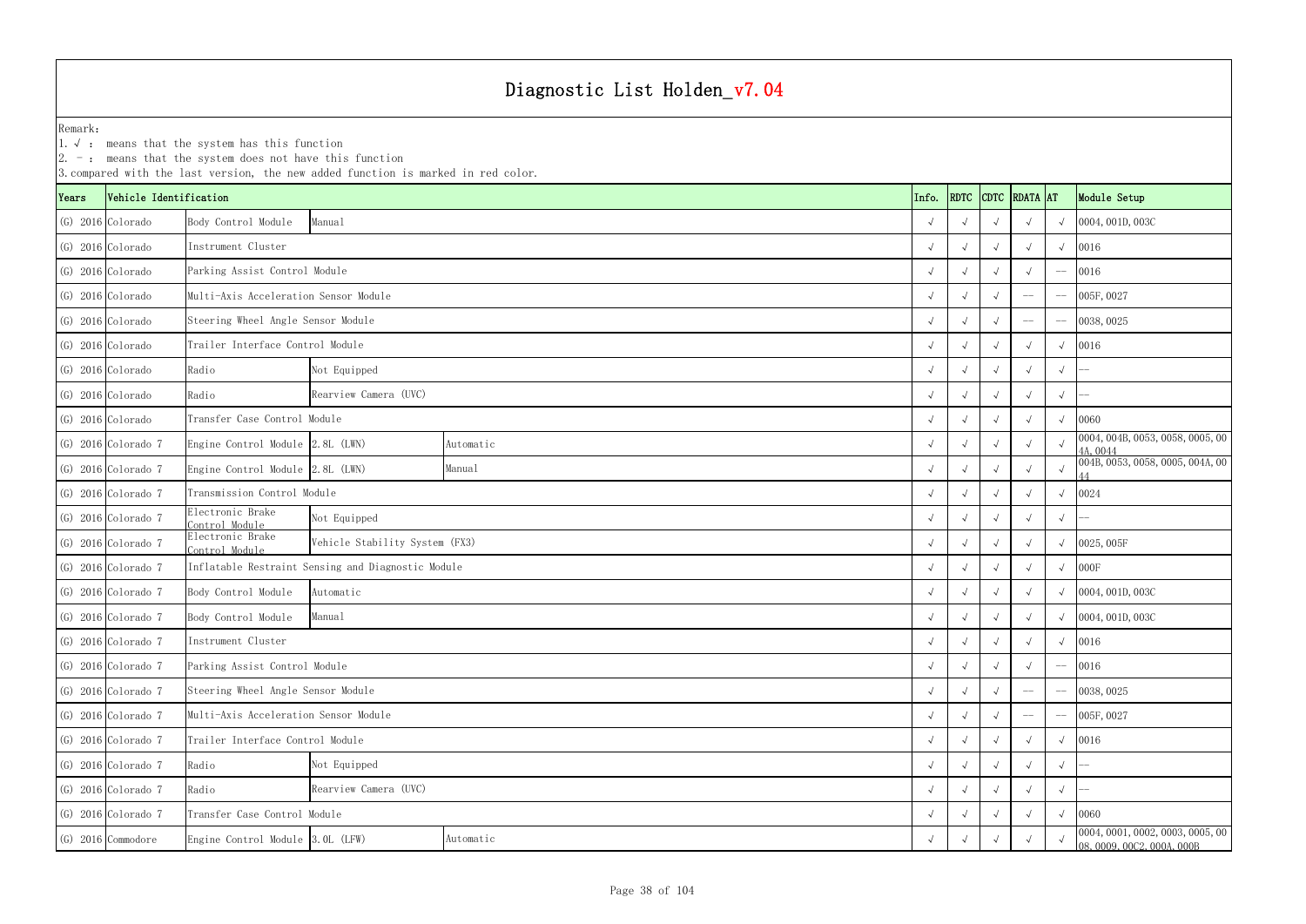|                     |                        | $ 2. -$ : means that the system does not have this function | 3. compared with the last version, the new added function is marked in red color. |           |  |       |            |  |                    |            |                                                                |
|---------------------|------------------------|-------------------------------------------------------------|-----------------------------------------------------------------------------------|-----------|--|-------|------------|--|--------------------|------------|----------------------------------------------------------------|
| Years               | Vehicle Identification |                                                             |                                                                                   |           |  | Info. |            |  | RDTC CDTC RDATA AT |            | Module Setup                                                   |
|                     | (G) 2016 Colorado      | Body Control Module                                         | Manual                                                                            |           |  |       |            |  |                    |            | 0004, 001D, 003C                                               |
|                     | $(G)$ 2016 Colorado    | Instrument Cluster                                          |                                                                                   |           |  |       |            |  |                    | $\sqrt{ }$ | 0016                                                           |
| $(G)$ 2016 Colorado |                        | Parking Assist Control Module                               |                                                                                   |           |  |       |            |  |                    |            | 0016                                                           |
| $(G)$ 2016 Colorado |                        | Multi-Axis Acceleration Sensor Module                       |                                                                                   |           |  |       |            |  | $-\! -$            |            | 005F, 0027                                                     |
|                     | $(G)$ 2016 Colorado    | Steering Wheel Angle Sensor Module                          |                                                                                   |           |  |       |            |  | $-\!-\!$           |            | 0038, 0025                                                     |
|                     | $(G)$ 2016 Colorado    | Trailer Interface Control Module                            |                                                                                   |           |  |       |            |  |                    | $\sqrt{ }$ | 0016                                                           |
|                     | $(G)$ 2016 Colorado    | Radio                                                       | Not Equipped                                                                      |           |  |       | $\sqrt{ }$ |  |                    |            |                                                                |
|                     | $(G)$ 2016 Colorado    | Radio                                                       | Rearview Camera (UVC)                                                             |           |  |       |            |  |                    | $\sqrt{ }$ |                                                                |
|                     | $(G)$ 2016 Colorado    | Transfer Case Control Module                                |                                                                                   |           |  |       |            |  |                    |            | 0060                                                           |
|                     | $(G)$ 2016 Colorado 7  | Engine Control Module 2.8L (LWN)                            |                                                                                   | Automatic |  |       |            |  |                    |            | 0004, 004B, 0053, 0058, 0005, 00<br>4A, 0044                   |
|                     | $(G)$ 2016 Colorado 7  | Engine Control Module 2.8L (LWN)                            |                                                                                   | Manual    |  |       |            |  |                    |            | 004B, 0053, 0058, 0005, 004A, 00                               |
|                     | $(G)$ 2016 Colorado 7  | Transmission Control Module                                 |                                                                                   |           |  |       |            |  |                    |            | 0024                                                           |
|                     | $(G)$ 2016 Colorado 7  | Clectronic Brake<br>Control Module                          | Not Equipped                                                                      |           |  |       |            |  |                    |            |                                                                |
|                     | $(G)$ 2016 Colorado 7  | Electronic Brake<br>Control Module                          | Vehicle Stability System (FX3)                                                    |           |  |       |            |  |                    |            | 0025, 005F                                                     |
|                     | $(G)$ 2016 Colorado 7  |                                                             | Inflatable Restraint Sensing and Diagnostic Module                                |           |  |       |            |  |                    |            | 000F                                                           |
|                     | $(G)$ 2016 Colorado 7  | Body Control Module                                         | Automatic                                                                         |           |  |       |            |  |                    |            | 0004, 001D, 003C                                               |
|                     | $(G)$ 2016 Colorado 7  | Body Control Module                                         | Manual                                                                            |           |  |       |            |  |                    |            | 0004, 001D, 003C                                               |
|                     | $(G)$ 2016 Colorado 7  | Instrument Cluster                                          |                                                                                   |           |  |       |            |  |                    |            | $\sqrt{0016}$                                                  |
|                     | $(G)$ 2016 Colorado 7  | Parking Assist Control Module                               |                                                                                   |           |  |       | $\sqrt{ }$ |  |                    |            | 0016                                                           |
|                     | $(G)$ 2016 Colorado 7  | Steering Wheel Angle Sensor Module                          |                                                                                   |           |  |       |            |  | $-\!-\!$           |            | 0038, 0025                                                     |
|                     | $(G)$ 2016 Colorado 7  |                                                             | Multi-Axis Acceleration Sensor Module                                             |           |  |       |            |  |                    |            | 005F, 0027                                                     |
|                     | $(G)$ 2016 Colorado 7  |                                                             | Trailer Interface Control Module                                                  |           |  |       |            |  |                    |            | 0016                                                           |
|                     | $(G)$ 2016 Colorado 7  | Radio                                                       | Not Equipped                                                                      |           |  |       |            |  |                    | $\sqrt{ }$ |                                                                |
|                     | $(G)$ 2016 Colorado 7  | Radio                                                       | Rearview Camera (UVC)                                                             |           |  |       |            |  |                    | $\sqrt{ }$ |                                                                |
|                     | $(G)$ 2016 Colorado 7  | Transfer Case Control Module                                |                                                                                   |           |  |       |            |  |                    |            | 0060                                                           |
|                     | $(G)$ 2016 Commodore   |                                                             | Engine Control Module 3.0L (LFW)<br>Automatic                                     |           |  |       |            |  |                    |            | 0004, 0001, 0002, 0003, 0005, 00<br>08, 0009, 00C2, 000A, 000B |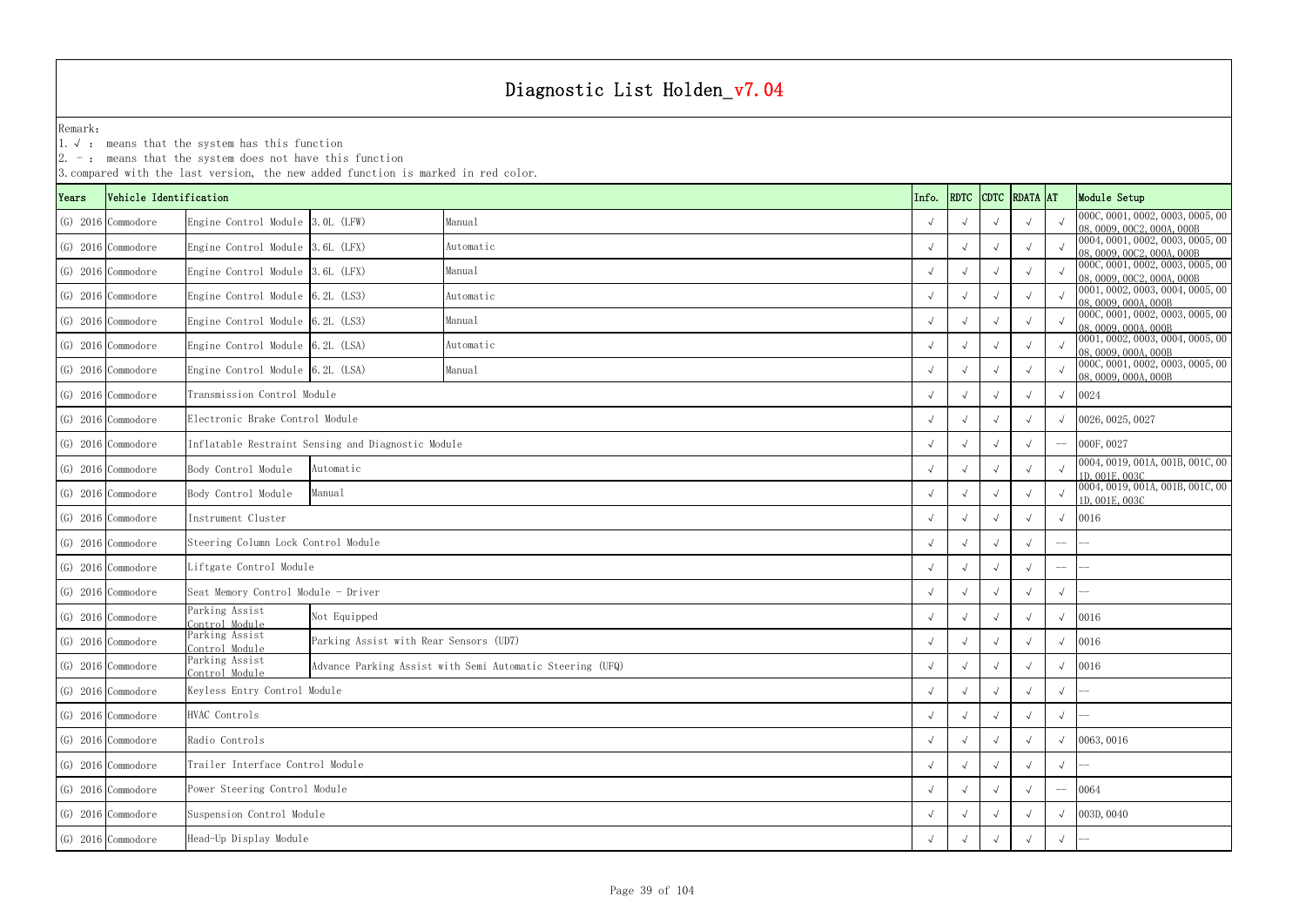1.√ : means that the system has this function

|       |                        |                                     | 3. compared with the last version, the new added function is marked in red color. |                                                           |  |            |      |  |               |            |                                                                    |
|-------|------------------------|-------------------------------------|-----------------------------------------------------------------------------------|-----------------------------------------------------------|--|------------|------|--|---------------|------------|--------------------------------------------------------------------|
| Years | Vehicle Identification |                                     |                                                                                   |                                                           |  | Info.      | RDTC |  | CDTC RDATA AT |            | Module Setup                                                       |
|       | $(G)$ 2016 Commodore   | Engine Control Module 3.0L (LFW)    |                                                                                   | Manual                                                    |  | $\sqrt{ }$ |      |  |               |            | 000C, 0001, 0002, 0003, 0005, 00<br>08, 0009, 00C2, 000A, 000B     |
|       | $(G)$ 2016 Commodore   | Engine Control Module 3.6L (LFX)    |                                                                                   | Automatic                                                 |  |            |      |  |               |            | 0004, 0001, 0002, 0003, 0005, 00<br>08, 0009, 00C2, 000A, 000B     |
|       | $(G)$ 2016 Commodore   | Engine Control Module 3.6L (LFX)    |                                                                                   | Manual                                                    |  |            |      |  |               |            | 000C, 0001, 0002, 0003, 0005, 00<br>08, 0009, 00C2, 000A, 000B     |
|       | $(G)$ 2016 Commodore   | Engine Control Module $6.2L$ (LS3)  |                                                                                   | Automatic                                                 |  | $\sqrt{ }$ |      |  |               |            | 0001, 0002, 0003, 0004, 0005, 00<br>08, 0009, 000A, 000B           |
|       | $(G)$ 2016 Commodore   | Engine Control Module $6.2L$ (LS3)  |                                                                                   | Manual                                                    |  | $\sqrt{ }$ |      |  |               |            | 000C, 0001, 0002, 0003, 0005, 00<br>08,0009,000A,000B              |
|       | $(G)$ 2016 Commodore   | Engine Control Module 6.2L (LSA)    |                                                                                   | Automatic                                                 |  |            |      |  |               |            | $\overline{0001, 0002, 0003, 0004, 0005, 00}$<br>08,0009,000A,000B |
|       | $(G)$ 2016 Commodore   | Engine Control Module 6.2L (LSA)    |                                                                                   | Manual                                                    |  |            |      |  |               |            | 000C, 0001, 0002, 0003, 0005, 00<br>08,0009,000A,000B              |
|       | $(G)$ 2016 Commodore   | Transmission Control Module         |                                                                                   |                                                           |  |            |      |  |               | $\sqrt{ }$ | 0024                                                               |
|       | $(G)$ 2016 Commodore   | Electronic Brake Control Module     |                                                                                   |                                                           |  |            |      |  |               |            | 0026, 0025, 0027                                                   |
|       | $(G)$ 2016 Commodore   |                                     | Inflatable Restraint Sensing and Diagnostic Module                                |                                                           |  | $\sqrt{ }$ |      |  |               |            | $-$ 000F, 0027                                                     |
|       | $(G)$ 2016 Commodore   | Body Control Module                 | Automatic                                                                         |                                                           |  |            |      |  |               |            | 0004, 0019, 001A, 001B, 001C, 00<br>1D, 001E, 003C                 |
|       | $(G)$ 2016 Commodore   | Body Control Module                 | Manual                                                                            |                                                           |  | $\sqrt{ }$ |      |  |               |            | 0004, 0019, 001A, 001B, 001C, 00<br>1D, 001E, 003C                 |
|       | $(G)$ 2016 Commodore   | Instrument Cluster                  |                                                                                   |                                                           |  | $\sqrt{ }$ |      |  |               |            | $\sqrt{0016}$                                                      |
|       | $(G)$ 2016 Commodore   | Steering Column Lock Control Module |                                                                                   |                                                           |  | $\sqrt{ }$ |      |  |               | $-\!-\!$   |                                                                    |
|       | $(G)$ 2016 Commodore   | iftgate Control Module              |                                                                                   |                                                           |  |            |      |  |               | $--$       |                                                                    |
|       | $(G)$ 2016 Commodore   | Seat Memory Control Module - Driver |                                                                                   |                                                           |  |            |      |  |               | $\sqrt{ }$ |                                                                    |
|       | (G) 2016 Commodore     | Parking Assist<br>Control Module    | Not Equipped                                                                      |                                                           |  |            |      |  |               | $\sqrt{ }$ | 0016                                                               |
|       | $(G)$ 2016 Commodore   | Parking Assist<br>Control Module    | Parking Assist with Rear Sensors (UD7)                                            |                                                           |  |            |      |  |               | $\sqrt{ }$ | 0016                                                               |
|       | (G) 2016 Commodore     | Parking Assist<br>Control Module    |                                                                                   | Advance Parking Assist with Semi Automatic Steering (UFQ) |  | $\sqrt{ }$ |      |  |               | $\sqrt{ }$ | 0016                                                               |
|       | $(G)$ 2016 Commodore   | Keyless Entry Control Module        |                                                                                   |                                                           |  | $\sqrt{ }$ |      |  |               | $\sqrt{ }$ |                                                                    |
|       | $(G)$ 2016 Commodore   | HVAC Controls                       |                                                                                   |                                                           |  |            |      |  |               | $\sqrt{ }$ |                                                                    |
|       | (G) 2016 Commodore     | Radio Controls                      |                                                                                   |                                                           |  |            |      |  |               |            | $\sqrt{0063,0016}$                                                 |
|       | $(G)$ 2016 Commodore   | Trailer Interface Control Module    |                                                                                   |                                                           |  |            |      |  |               | $\sqrt{ }$ |                                                                    |
|       | $(G)$ 2016 Commodore   | Power Steering Control Module       |                                                                                   |                                                           |  |            |      |  |               | $-\! -$    | 0064                                                               |
|       | $(G)$ 2016 Commodore   | Suspension Control Module           |                                                                                   |                                                           |  |            |      |  |               | $\sqrt{ }$ | 003D, 0040                                                         |
|       | $(G)$ 2016 Commodore   | Head-Up Display Module              |                                                                                   |                                                           |  |            |      |  |               | $\sqrt{ }$ |                                                                    |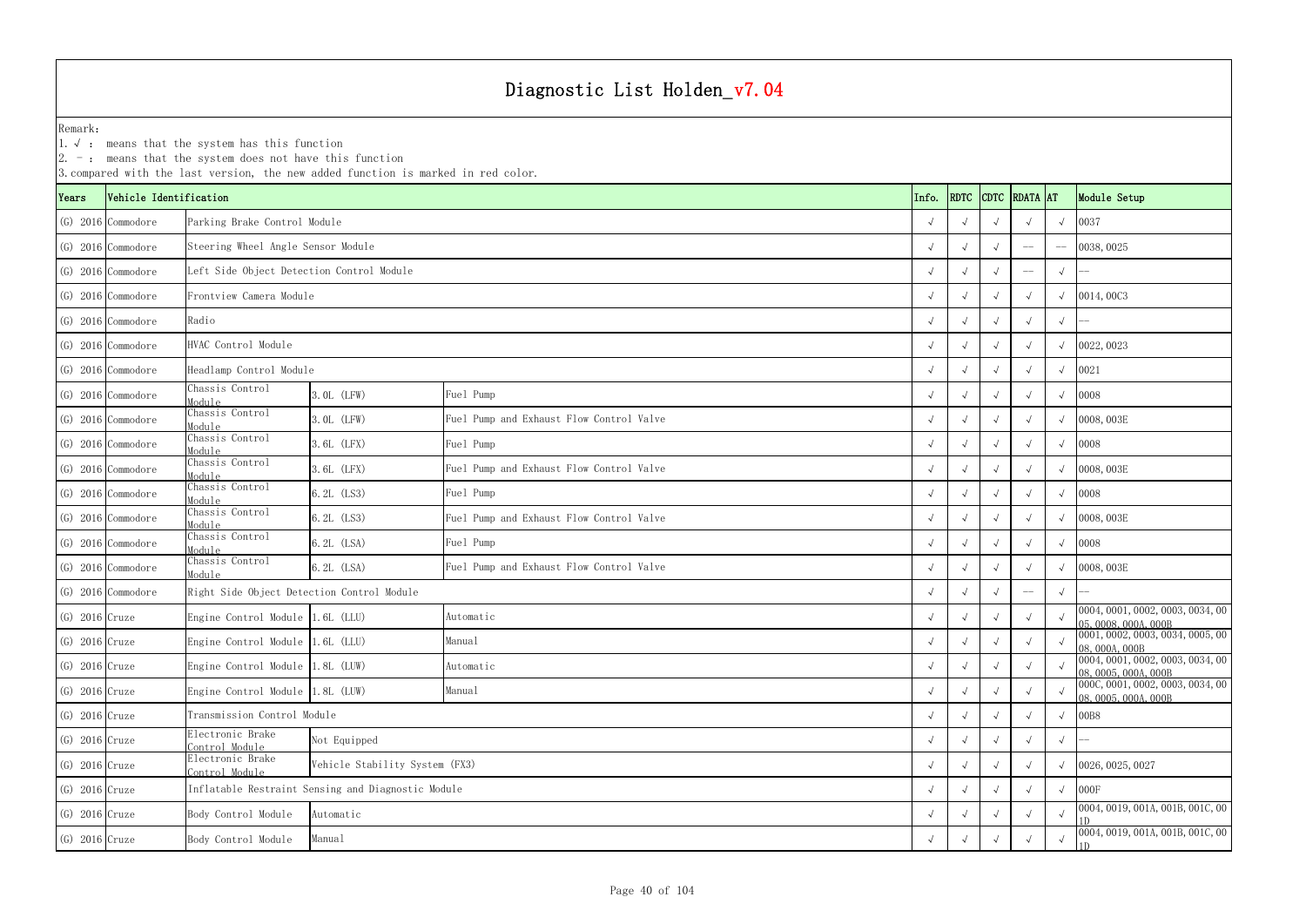YearsVehicle Identification **Info.** RDTC Remark:1.  $\sqrt{ }$ : means that the system has this function 2. -: means that the system does not have this function 3.compared with the last version, the new added function is marked in red color. (G) 2016 Commodore √ √ √ √ √ 0037 Parking Brake Control Module (G) 2016 Commodore √ √ √ -- -- 0038,0025 Steering Wheel Angle Sensor Module (G) 2016 Commodore √ √ √ -- √ -- Left Side Object Detection Control Module (G) 2016 Commodore √ √ √ √ √ 0014,00C3 Frontview Camera Module(G) 2016 Commodore √ √ √ √ √ -- (G) 2016 Commodore √ √ √ √ √ 0022,0023 HVAC Control Module (G) 2016 Commodore √ √ √ √ √ 0021 Headlamp Control Module (G) 2016 Commodore Chassis Control Module $\frac{1}{2}$  3.0L (LFW) Fuel Pump (G) 2016 Commodore Chassis Control Module 3.0L (LFW) <sup>√</sup> <sup>√</sup> <sup>√</sup> <sup>√</sup> <sup>√</sup> 0008,003E Fuel Pump and Exhaust Flow Control Valve (G) 2016 Commodore Chassis Control Module $\frac{1}{2}$  3.6L (LFX) Fuel Pump (G) 2016 Commodore Chassis Control Module 3.6L (LFX) <sup>√</sup> <sup>√</sup> <sup>√</sup> <sup>√</sup> <sup>√</sup> 0008,003E Fuel Pump and Exhaust Flow Control Valve (G) 2016 Commodore Chassis Control Module $\frac{1}{6}$  6.2L (LS3)  $\left[\text{Field~Pump}\right]$ (G) 2016 Commodore Chassis Control Module 6.2L (LS3) <sup>√</sup> <sup>√</sup> <sup>√</sup> <sup>√</sup> <sup>√</sup> 0008,003E Fuel Pump and Exhaust Flow Control Valve (G) 2016 Commodore Chassis Control Module $\frac{1}{6}$  (6.2L (LSA)  $\left[\text{Field~Pump}\right]$ (G) 2016 Commodore Chassis Control Module 6.2L (LSA) <sup>√</sup> <sup>√</sup> <sup>√</sup> <sup>√</sup> <sup>√</sup> 0008,003E Fuel Pump and Exhaust Flow Control Valve (G) 2016 Commodore √ √ √ -- √ -- Right Side Object Detection Control Module (G) 2016 Cruze Engine Control Module 1.6L (LLU) Automatic Automatic  $\begin{array}{c|c} \begin{array}{cc} \sqrt{\phantom{a}} & \sqrt{\phantom{a}} & \sqrt{\phantom{a}} & \sqrt{\phantom{a}} & \sqrt{\phantom{a}} & \sqrt{\phantom{a}} & \sqrt{\phantom{a}} & \sqrt{\phantom{a}} & \sqrt{\phantom{a}} & \sqrt{\phantom{a}} & \sqrt{\phantom{a}} & \sqrt{\phantom{a}} & \sqrt{\phantom{a}} & \sqrt{\phantom{a}} & \sqrt{\phantom{a}} &$ (G) 2016 Cruze Engine Control Module 1.6L (LLU) Manual Manual Manual (C) 2016 Cruze Engine Control Module 1.6L (LLU) Manual (C) 2016 Cruze  $\sqrt{2}$  √ √ √ √ ∞ 0001,0002,0003,0034,0005,00 (G) 2016 Cruze Engine Control Module 1.8L (LUW) Automatic Automatic  $\begin{array}{c|c} \begin{array}{cc} \sqrt{\phantom{a}} & \sqrt{\phantom{a}} & \sqrt{\phantom{a}} & \sqrt{\phantom{a}} & \sqrt{\phantom{a}} & \sqrt{\phantom{a}} & \sqrt{\phantom{a}} & \sqrt{\phantom{a}} & \sqrt{\phantom{a}} & \sqrt{\phantom{a}} & \sqrt{\phantom{a}} & \sqrt{\phantom{a}} & \sqrt{\phantom{a}} & \sqrt{\phantom{a}} & \sqrt{\phantom{a}} &$ (G) 2016 Cruze Engine Control Module 1.8L (LUW) Manual Manual Manual (G) 2016 Cruze Engine Control Module 1.8L (LUW) Manual (G) 2016 Cruze  $\frac{1}{\sqrt{2}}$  √ √ √ √ ∞ 000C,0001,0002,0003,0034,00 (G) 2016 Cruze √ √ √ √ √ 00B8 Transmission Control Module (G) 2016 Cruze Electronic Brake Control Module <sup>√</sup> <sup>√</sup> <sup>√</sup> <sup>√</sup> <sup>√</sup> -- (G) 2016 Cruze Electronic Brake Control Module <sup>√</sup> <sup>√</sup> <sup>√</sup> <sup>√</sup> <sup>√</sup> 0026,0025,0027 Vehicle Stability System (FX3) (G) 2016 Cruze √ √ √ √ √ 000F Inflatable Restraint Sensing and Diagnostic Module (G) 2016 Cruze Body Control Module <sup>√</sup> √√√√ 0004,0019,001A,001B,001C,00 1D(G) 2016 Cruze Body Control Module Manual Manual (G) 2016 Cruze Body Control Module Manual Manual (G) 2016 Cruze Body Control Module Manual (G) 2016 Cruze Body Control Module Manual (G) 2016, 0004, 0018, 0010, 0018, 0010, Radio Not Equipped Fuel Pump Fuel Pump Fuel Pump Fuel Pump Automatic Manual Automatic Manual Automatic Manual

| DTC                  | <b>RDATA</b> AT |              | Module Setup                                                                                |
|----------------------|-----------------|--------------|---------------------------------------------------------------------------------------------|
| $\sqrt{ }$           | $\sqrt{}$       | $\sqrt{ }$   | 0037                                                                                        |
| $\sqrt{ }$           |                 |              | 0038,0025                                                                                   |
| $\sqrt{ }$           |                 | $\sqrt{ }$   |                                                                                             |
| $\sqrt{ }$           | $\sqrt{}$       | $\sqrt{ }$   | 0014,00C3                                                                                   |
| $\sqrt{ }$           | $\sqrt{}$       | $\sqrt{ }$   |                                                                                             |
| $\sqrt{ }$           | $\sqrt{}$       | $\sqrt{ }$   | 0022, 0023                                                                                  |
| $\sqrt{ }$           | $\sqrt{}$       | $\sqrt{ }$   | 0021                                                                                        |
| $\sqrt{ }$           | $\sqrt{ }$      | $\sqrt{}$    | 0008                                                                                        |
| $\sqrt{ }$           | $\sqrt{ }$      | $\sqrt{ }$   | 0008, 003E                                                                                  |
| $\sqrt{\phantom{a}}$ | $\sqrt{ }$      | $\sqrt{}$    | 0008                                                                                        |
| $\sqrt{ }$           | $\sqrt{}$       | $\sqrt{ }$   | 0008,003E                                                                                   |
| $\checkmark$         | $\sqrt{}$       | $\sqrt{}$    | 0008                                                                                        |
| $\sqrt{ }$           | $\sqrt{}$       | $\sqrt{}$    | 0008, 003E                                                                                  |
| $\sqrt{ }$           | $\sqrt{}$       | $\sqrt{ }$   | 0008                                                                                        |
| $\sqrt{ }$           | $\sqrt{}$       | $\sqrt{ }$   | 0008, 003E                                                                                  |
| $\sqrt{ }$           |                 | $\sqrt{}$    |                                                                                             |
| $\sqrt{ }$           | $\sqrt{ }$      | $\sqrt{ }$   | 0004, 0001, 0002, 0003, 0034, 00<br>05,0008,000A,000B                                       |
| $\sqrt{ }$           | $\sqrt{ }$      | $\sqrt{}$    | 0001, 0002, 0003, 0034, 0005, 00<br>08, 000A, 000B                                          |
| $\sqrt{}$            | $\sqrt{}$       | $\checkmark$ | 0004, 0001, 0002, 0003, 0034, 00<br>$\frac{08,0005,000A,000B}{000C,0001,0002,0003,0034,00}$ |
| $\sqrt{ }$           | $\sqrt{ }$      | $\sqrt{ }$   | 08,0005,000A,000B                                                                           |
| $\sqrt{ }$           | $\sqrt{ }$      | $\sqrt{}$    | 00B8                                                                                        |
| $\sqrt{ }$           | $\sqrt{ }$      | $\sqrt{ }$   |                                                                                             |
| $\sqrt{ }$           | $\sqrt{}$       | $\sqrt{ }$   | 0026, 0025, 0027                                                                            |
| $\checkmark$         | $\sqrt{}$       | $\sqrt{ }$   | 000F                                                                                        |
| $\checkmark$         | $\sqrt{}$       | $\sqrt{}$    | 0004, 0019, 001A, 001B, 001C, 00<br>1 <sub>D</sub>                                          |
| $\sqrt{2}$           | $\checkmark$    | $\sqrt{}$    | 0004, 0019, 001A, 001B, 001C, 00<br>1D                                                      |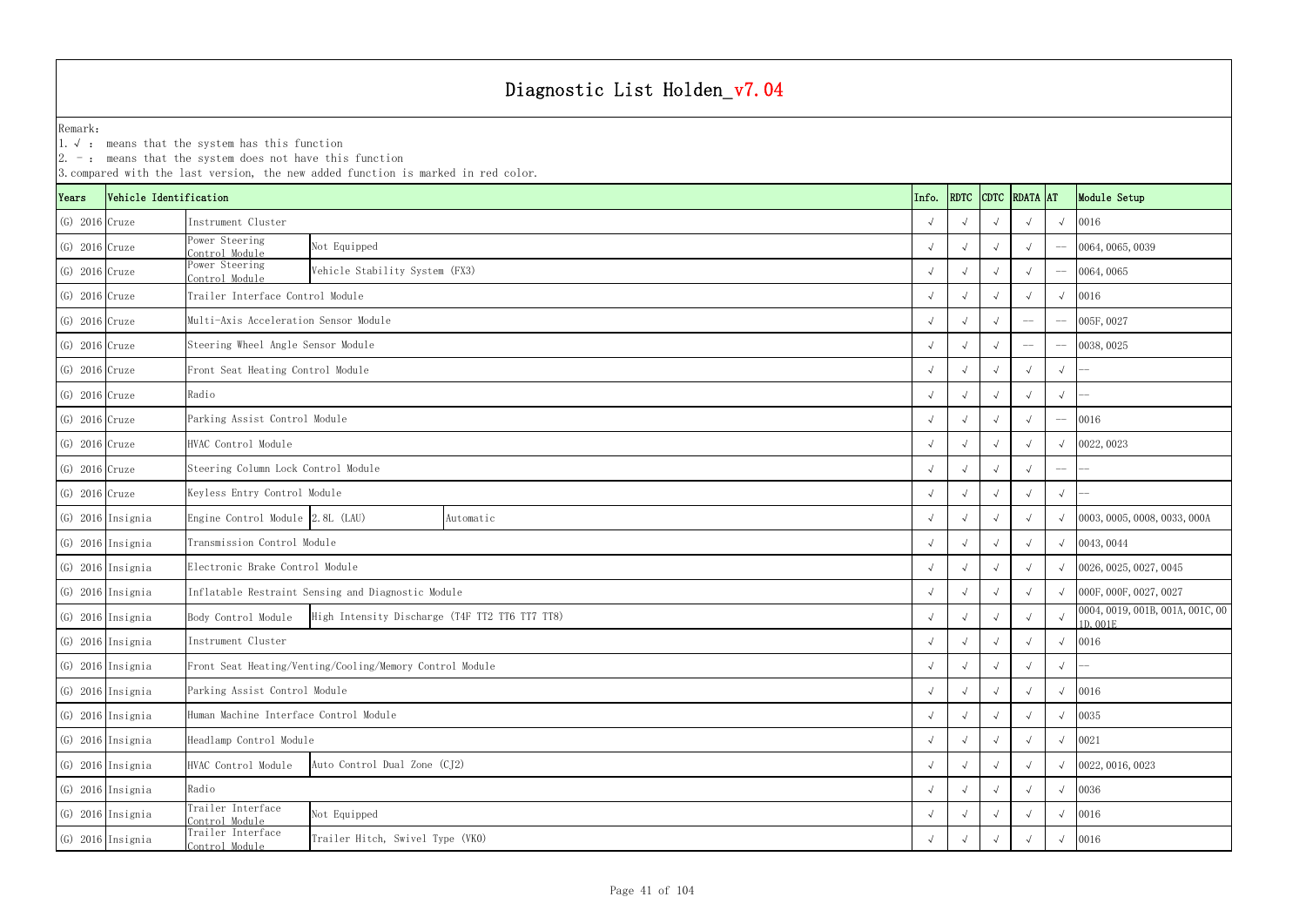|                  |                        | $ 2. -$ : means that the system does not have this function | 3. compared with the last version, the new added function is marked in red color. |           |  |            |            |             |             |            |                                              |
|------------------|------------------------|-------------------------------------------------------------|-----------------------------------------------------------------------------------|-----------|--|------------|------------|-------------|-------------|------------|----------------------------------------------|
| Years            | Vehicle Identification |                                                             |                                                                                   |           |  | Info.      | RDTC       | <b>CDTC</b> | RDATA AT    |            | Module Setup                                 |
| $(G)$ 2016 Cruze |                        | Instrument Cluster                                          |                                                                                   |           |  |            |            |             |             | $\sqrt{ }$ | 0016                                         |
| $(G)$ 2016 Cruze |                        | Power Steering<br>Control Module                            | Not Equipped                                                                      |           |  |            |            |             |             |            | 0064, 0065, 0039                             |
| $(G)$ 2016 Cruze |                        | Power Steering<br>Control Module                            | Vehicle Stability System (FX3)                                                    |           |  |            |            |             |             |            | 0064,0065                                    |
| $(G)$ 2016 Cruze |                        | Trailer Interface Control Module                            |                                                                                   |           |  |            |            |             |             | $\sqrt{ }$ | 0016                                         |
| $(G)$ 2016 Cruze |                        | Multi-Axis Acceleration Sensor Module                       |                                                                                   |           |  |            |            |             |             |            | 005F, 0027                                   |
| $(G)$ 2016 Cruze |                        | Steering Wheel Angle Sensor Module                          |                                                                                   |           |  | $\sqrt{ }$ |            |             | $-\!$ $\!-$ |            | $- 0038,0025$                                |
| $(G)$ 2016 Cruze |                        | Front Seat Heating Control Module                           |                                                                                   |           |  |            |            |             |             | $\sqrt{ }$ |                                              |
| $(G)$ 2016 Cruze |                        | Radio                                                       |                                                                                   |           |  |            |            |             |             | $\sqrt{ }$ |                                              |
| $(G)$ 2016 Cruze |                        | Parking Assist Control Module                               |                                                                                   |           |  |            |            |             |             |            | 0016                                         |
| $(G)$ 2016 Cruze |                        | HVAC Control Module                                         |                                                                                   |           |  |            |            |             |             |            | $\sqrt{0022,0023}$                           |
| $(G)$ 2016 Cruze |                        | Steering Column Lock Control Module                         |                                                                                   |           |  |            |            |             |             | $--$       |                                              |
| $(G)$ 2016 Cruze |                        | Keyless Entry Control Module                                |                                                                                   |           |  |            |            |             |             | $\sqrt{ }$ |                                              |
|                  | (G) 2016 Insignia      | Engine Control Module 2.8L (LAU)                            |                                                                                   | Automatic |  |            |            |             |             | $\sqrt{ }$ | 0003, 0005, 0008, 0033, 000A                 |
|                  | $(G)$ 2016 Insignia    | Transmission Control Module                                 |                                                                                   |           |  | $\sqrt{ }$ |            |             |             |            | $\sqrt{0043,0044}$                           |
|                  | $(G)$ 2016 Insignia    | Electronic Brake Control Module                             |                                                                                   |           |  |            |            |             |             | $\sqrt{ }$ | 0026, 0025, 0027, 0045                       |
|                  | (G) 2016 Insignia      |                                                             | Inflatable Restraint Sensing and Diagnostic Module                                |           |  |            |            |             |             | $\sqrt{ }$ | 000F, 000F, 0027, 0027                       |
|                  | $(G)$ 2016 Insignia    | Body Control Module                                         | High Intensity Discharge (T4F TT2 TT6 TT7 TT8)                                    |           |  | $\sqrt{ }$ |            |             |             |            | 0004, 0019, 001B, 001A, 001C, 00<br>1D, 001E |
|                  | (G) 2016 Insignia      | Instrument Cluster                                          |                                                                                   |           |  | $\sqrt{ }$ | $\sqrt{ }$ | $\sqrt{ }$  |             | $\sqrt{ }$ | 0016                                         |
|                  | (G) 2016 Insignia      |                                                             | Front Seat Heating/Venting/Cooling/Memory Control Module                          |           |  | $\sqrt{ }$ |            |             |             | $\sqrt{ }$ |                                              |
|                  | $(G)$ 2016 Insignia    | Parking Assist Control Module                               |                                                                                   |           |  | $\sqrt{ }$ |            |             |             | $\sqrt{ }$ | 0016                                         |
|                  | $(G)$ 2016 Insignia    |                                                             | Human Machine Interface Control Module                                            |           |  |            |            |             |             |            | 0035                                         |
|                  | (G) 2016 Insignia      | Headlamp Control Module                                     | $\sqrt{ }$                                                                        |           |  |            | $\sqrt{ }$ | 0021        |             |            |                                              |
|                  | (G) 2016 Insignia      | HVAC Control Module                                         | Auto Control Dual Zone (CJ2)                                                      |           |  |            |            |             |             | $\sqrt{ }$ | 0022, 0016, 0023                             |
|                  | $(G)$ 2016 Insignia    | Radio                                                       |                                                                                   |           |  |            | $\sqrt{ }$ | 0036        |             |            |                                              |
|                  | $(G)$ 2016 Insignia    | Trailer Interface<br>Control Module                         | Not Equipped                                                                      |           |  | $\sqrt{ }$ |            |             |             | $\sqrt{ }$ | 0016                                         |
|                  | $(G)$ 2016 Insignia    | Trailer Interface<br>Control Module                         | Trailer Hitch, Swivel Type (VKO)                                                  |           |  | $\sqrt{ }$ |            |             |             | $\sqrt{ }$ | 0016                                         |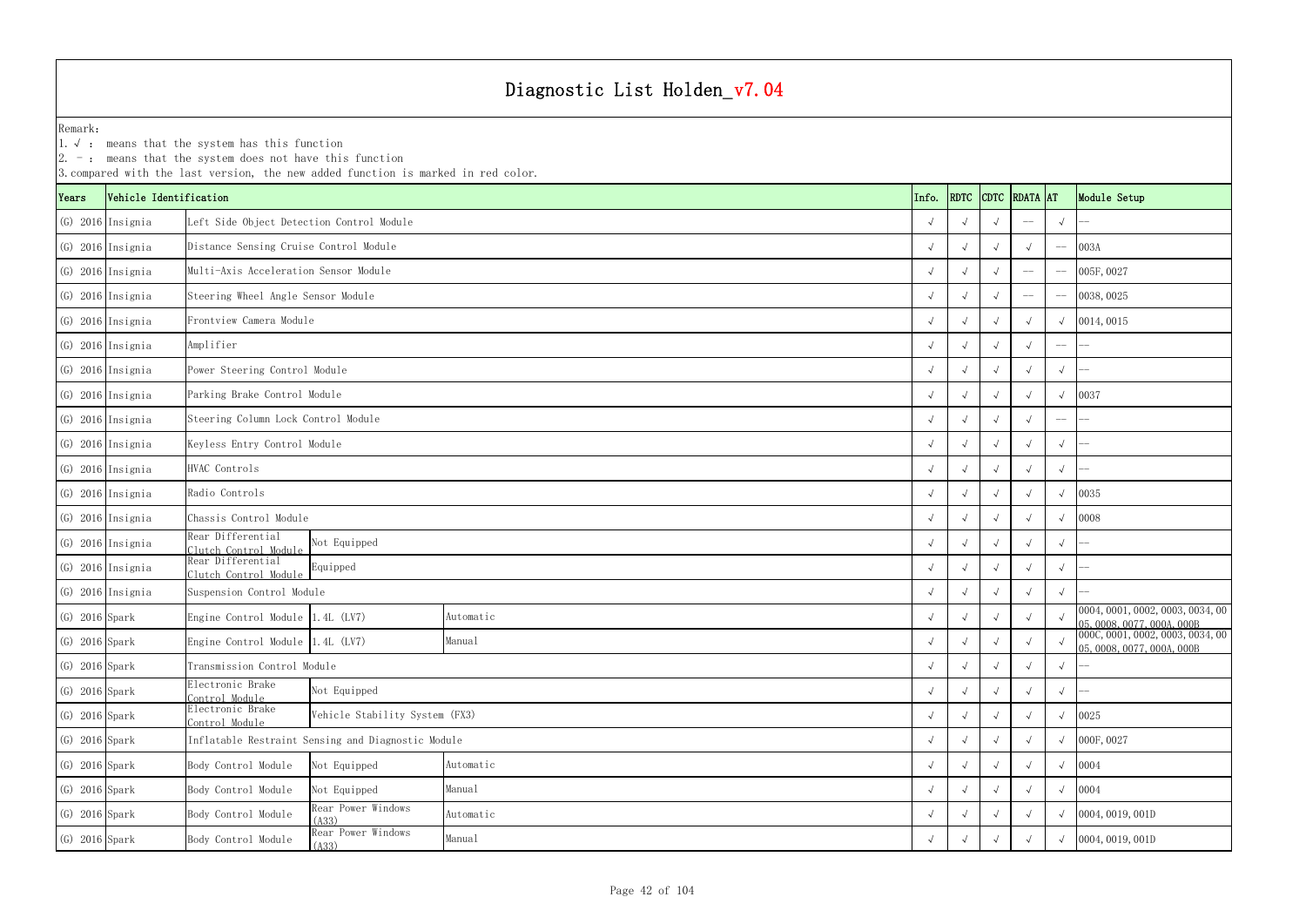YearsVehicle Identification **Info.** RDTC Remark:1.  $\sqrt{ }$ : means that the system has this function 2. -: means that the system does not have this function 3.compared with the last version, the new added function is marked in red color. (G) 2016 Insignia √ √ √ -- √ -- Left Side Object Detection Control Module (G) 2016 Insignia √ √ √ √ -- 003A Distance Sensing Cruise Control Module (G) 2016 Insignia √ √ √ -- -- 005F,0027 Multi-Axis Acceleration Sensor Module(G) 2016 Insignia √ √ √ -- -- 0038,0025 Steering Wheel Angle Sensor Module (G) 2016 Insignia √ √ √ √ √ 0014,0015 Frontview Camera Module(G) 2016 Insignia √ √ √ √ -- -- (G) 2016 Insignia √ √ √ √ √ -- Power Steering Control Module (G) 2016 Insignia √ √ √ √ √ 0037 Parking Brake Control Module (G) 2016 Insignia √ √ √ √ -- -- Steering Column Lock Control Module (G) 2016 Insignia √ √ √ √ √ -- Keyless Entry Control Module (G) 2016 Insignia √ √ √ √ √ -- (G) 2016 Insignia √ √ √ √ √ 0035 (G) 2016 Insignia √ √ √ √ √ 0008 Chassis Control Module (G) 2016 Insignia Rear Differential Clutch Control Module <sup>√</sup> <sup>√</sup> <sup>√</sup> <sup>√</sup> <sup>√</sup> --  $\begin{array}{cc} \text{(G)} & 2016 \end{array}$ Insignia  $\begin{array}{cc} \text{Real} & \text{Differentiation} \\ \text{Clutch Control Module} \end{array}$  <sup>√</sup> <sup>√</sup> <sup>√</sup> <sup>√</sup> <sup>√</sup> -- (G) 2016 Insignia √ √ √ √ √ -- Suspension Control Module (G) 2016 Spark Engine Control Module 1.4L (LV7) Automatic Automatic (C) 2016 Spark √ √ √ √ √ ∞ 0004,0001,0002,0003,0034,00 ∧ 0004,0001,0002,0003,000 ∧ 000,000 ∧ 000 ∧ 000 ∧ 000 ∧ 000 ∧ 000 ∧ 000 ∧ 000 ∧ 000 ∧ 000 ∧ 000 ∧ (G) 2016 Spark Engine Control Module 1.4L (LV7) Manual Manual Manual Manual (G) 2016 Spark √ √ √ √ √ 000C,0001,0002,0003,0034,00 √ √ √ √ ∞ 000C,0001,0002,0003,0034,00 (G) 2016 Spark √ √ √ √ √ -- Transmission Control Module (G) 2016 Spark Electronic Brake Control Module <sup>√</sup> <sup>√</sup> <sup>√</sup> <sup>√</sup> <sup>√</sup> -- (G) 2016 Spark Electronic Brake Control Module <sup>√</sup> <sup>√</sup> <sup>√</sup> <sup>√</sup> <sup>√</sup> <sup>0025</sup> Vehicle Stability System (FX3) (G) 2016 Spark √ √ √ √ √ 000F,0027 Inflatable Restraint Sensing and Diagnostic Module (G) 2016 Spark Body Control Module Not Equipped √ √ √ √ √ 0004 (G) 2016 Spark Body Control Module Not Equipped Manual  $\sqrt{2}$ (G) 2016 Spark Body Control Module Rear Power Windows Automatic  $\begin{array}{c|c} \begin{array}{c} \downarrow \end{array} & \begin{array}{c} \downarrow \end{array} & \begin{array}{c} \downarrow \end{array} & \begin{array}{c} \downarrow \end{array} & \begin{array}{c} \downarrow \end{array} & \begin{array}{c} \downarrow \end{array} & \begin{array}{c} \downarrow \end{array} & \begin{array}{c} \downarrow \end{array} & \begin{array}{c} \downarrow \end{array} & \begin{$ Amplifier HVAC Controls Radio Controls Automatic Manual Automatic Manual Not Equipped Equipped Not Equipped Automatic

| RDTC<br>CDTC RDATA AT<br>Module Setup<br>Vehicle Identification<br>Info.<br>ears<br>(G) 2016 Insignia<br>Left Side Object Detection Control Module<br>$\sqrt{ }$<br>Distance Sensing Cruise Control Module<br>(G) 2016 Insignia<br>003A<br>$\sqrt{ }$<br>$-\!-\!$<br>Multi-Axis Acceleration Sensor Module<br>(G) 2016 Insignia<br>005F, 0027<br>$\sqrt{ }$<br>Steering Wheel Angle Sensor Module<br>(G) 2016 Insignia<br>0038, 0025<br>$\sqrt{ }$<br>(G) 2016 Insignia<br>Frontview Camera Module<br>0014,0015<br>$\sqrt{ }$<br>$\sqrt{ }$<br>(G) 2016 Insignia<br>Amplifier<br>$\sqrt{ }$<br>$-\!-\!$<br>(G) 2016 Insignia<br>Power Steering Control Module<br>$\sqrt{ }$<br>$\sqrt{ }$<br>Parking Brake Control Module<br>0037<br>(G) 2016 Insignia<br>$\sqrt{ }$<br>Steering Column Lock Control Module<br>(G) 2016 Insignia<br>$\sqrt{ }$<br>$-\!-\!$<br>(G) 2016 Insignia<br>Keyless Entry Control Module<br>$\sqrt{ }$<br>$\sqrt{ }$<br>(G) 2016 Insignia<br>HVAC Controls<br>$\sqrt{ }$<br>$\sqrt{ }$<br>Radio Controls<br>0035<br>(G) 2016 Insignia<br>$\sqrt{ }$<br>0008<br>(G) 2016 Insignia<br>Chassis Control Module<br>$\sqrt{ }$<br>Rear Differential<br>(G) 2016 Insignia<br>Not Equipped<br>$\sqrt{ }$<br>$\sqrt{ }$<br>$\sqrt{ }$<br>Clutch Control Module<br>Rear Differential<br>(G) 2016 Insignia<br>Clutch Control Module Equipped<br>$\sqrt{ }$<br>$\sqrt{ }$<br>Suspension Control Module<br>(G) 2016 Insignia<br>$\sqrt{ }$<br>0004, 0001, 0002, 0003, 0034, 00<br>(G) 2016 Spark<br>Engine Control Module 1.4L (LV7)<br>Automatic<br>$\sqrt{ }$<br>05, 0008, 0077, 000A, 000B<br>000C, 0001, 0002, 0003, 0034, 00<br>(G) 2016 Spark<br>Engine Control Module 1.4L (LV7)<br>Manual<br>$\sqrt{ }$<br>$\sqrt{ }$<br>$\sqrt{ }$<br>05, 0008, 0077, 000A, 000B<br>$(G)$ 2016 Spark<br>Transmission Control Module<br>$\sqrt{ }$<br>$\sqrt{ }$<br>Electronic Brake<br>Not Equipped<br>$(G)$ 2016 Spark<br>$\sqrt{ }$<br>$\sqrt{ }$<br>Control Module<br>Electronic Brake<br>Vehicle Stability System (FX3)<br>0025<br>$(G)$ 2016 Spark<br>$\sqrt{ }$<br>Control Module<br>Inflatable Restraint Sensing and Diagnostic Module<br>000F, 0027<br>(G) 2016 Spark<br>$\sqrt{ }$<br>$\sqrt{ }$<br>$(G)$ 2016 Spark<br>Automatic<br>Body Control Module<br>0004<br>Not Equipped<br>$\sqrt{ }$<br>$(G)$ 2016 Spark<br>0004<br>Body Control Module<br>Manual<br>Not Equipped<br>$\sqrt{ }$<br>Rear Power Windows<br>$(G)$ 2016 Spark<br>Body Control Module<br>Automatic<br>0004, 0019, 001D<br>$\sqrt{ }$<br>$\sqrt{ }$<br>(A33)<br>Rear Power Windows<br>Manual<br>$(G)$ 2016 Spark<br>0004, 0019, 001D<br>Body Control Module<br>$\sqrt{ }$<br>$\sqrt{ }$<br>$\sqrt{ }$<br>(A33) |  | $2.$ – $\,$ means that the system does not have this function | 3. compared with the last version, the new added function is marked in red color. |  |  |  |  |  |  |  |
|------------------------------------------------------------------------------------------------------------------------------------------------------------------------------------------------------------------------------------------------------------------------------------------------------------------------------------------------------------------------------------------------------------------------------------------------------------------------------------------------------------------------------------------------------------------------------------------------------------------------------------------------------------------------------------------------------------------------------------------------------------------------------------------------------------------------------------------------------------------------------------------------------------------------------------------------------------------------------------------------------------------------------------------------------------------------------------------------------------------------------------------------------------------------------------------------------------------------------------------------------------------------------------------------------------------------------------------------------------------------------------------------------------------------------------------------------------------------------------------------------------------------------------------------------------------------------------------------------------------------------------------------------------------------------------------------------------------------------------------------------------------------------------------------------------------------------------------------------------------------------------------------------------------------------------------------------------------------------------------------------------------------------------------------------------------------------------------------------------------------------------------------------------------------------------------------------------------------------------------------------------------------------------------------------------------------------------------------------------------------------------------------------------------------------------------------------------------------------------------------------------------------------------------------------------------------------------------------------------------------------------------------------------------------------------------------|--|---------------------------------------------------------------|-----------------------------------------------------------------------------------|--|--|--|--|--|--|--|
|                                                                                                                                                                                                                                                                                                                                                                                                                                                                                                                                                                                                                                                                                                                                                                                                                                                                                                                                                                                                                                                                                                                                                                                                                                                                                                                                                                                                                                                                                                                                                                                                                                                                                                                                                                                                                                                                                                                                                                                                                                                                                                                                                                                                                                                                                                                                                                                                                                                                                                                                                                                                                                                                                                |  |                                                               |                                                                                   |  |  |  |  |  |  |  |
|                                                                                                                                                                                                                                                                                                                                                                                                                                                                                                                                                                                                                                                                                                                                                                                                                                                                                                                                                                                                                                                                                                                                                                                                                                                                                                                                                                                                                                                                                                                                                                                                                                                                                                                                                                                                                                                                                                                                                                                                                                                                                                                                                                                                                                                                                                                                                                                                                                                                                                                                                                                                                                                                                                |  |                                                               |                                                                                   |  |  |  |  |  |  |  |
|                                                                                                                                                                                                                                                                                                                                                                                                                                                                                                                                                                                                                                                                                                                                                                                                                                                                                                                                                                                                                                                                                                                                                                                                                                                                                                                                                                                                                                                                                                                                                                                                                                                                                                                                                                                                                                                                                                                                                                                                                                                                                                                                                                                                                                                                                                                                                                                                                                                                                                                                                                                                                                                                                                |  |                                                               |                                                                                   |  |  |  |  |  |  |  |
|                                                                                                                                                                                                                                                                                                                                                                                                                                                                                                                                                                                                                                                                                                                                                                                                                                                                                                                                                                                                                                                                                                                                                                                                                                                                                                                                                                                                                                                                                                                                                                                                                                                                                                                                                                                                                                                                                                                                                                                                                                                                                                                                                                                                                                                                                                                                                                                                                                                                                                                                                                                                                                                                                                |  |                                                               |                                                                                   |  |  |  |  |  |  |  |
|                                                                                                                                                                                                                                                                                                                                                                                                                                                                                                                                                                                                                                                                                                                                                                                                                                                                                                                                                                                                                                                                                                                                                                                                                                                                                                                                                                                                                                                                                                                                                                                                                                                                                                                                                                                                                                                                                                                                                                                                                                                                                                                                                                                                                                                                                                                                                                                                                                                                                                                                                                                                                                                                                                |  |                                                               |                                                                                   |  |  |  |  |  |  |  |
|                                                                                                                                                                                                                                                                                                                                                                                                                                                                                                                                                                                                                                                                                                                                                                                                                                                                                                                                                                                                                                                                                                                                                                                                                                                                                                                                                                                                                                                                                                                                                                                                                                                                                                                                                                                                                                                                                                                                                                                                                                                                                                                                                                                                                                                                                                                                                                                                                                                                                                                                                                                                                                                                                                |  |                                                               |                                                                                   |  |  |  |  |  |  |  |
|                                                                                                                                                                                                                                                                                                                                                                                                                                                                                                                                                                                                                                                                                                                                                                                                                                                                                                                                                                                                                                                                                                                                                                                                                                                                                                                                                                                                                                                                                                                                                                                                                                                                                                                                                                                                                                                                                                                                                                                                                                                                                                                                                                                                                                                                                                                                                                                                                                                                                                                                                                                                                                                                                                |  |                                                               |                                                                                   |  |  |  |  |  |  |  |
|                                                                                                                                                                                                                                                                                                                                                                                                                                                                                                                                                                                                                                                                                                                                                                                                                                                                                                                                                                                                                                                                                                                                                                                                                                                                                                                                                                                                                                                                                                                                                                                                                                                                                                                                                                                                                                                                                                                                                                                                                                                                                                                                                                                                                                                                                                                                                                                                                                                                                                                                                                                                                                                                                                |  |                                                               |                                                                                   |  |  |  |  |  |  |  |
|                                                                                                                                                                                                                                                                                                                                                                                                                                                                                                                                                                                                                                                                                                                                                                                                                                                                                                                                                                                                                                                                                                                                                                                                                                                                                                                                                                                                                                                                                                                                                                                                                                                                                                                                                                                                                                                                                                                                                                                                                                                                                                                                                                                                                                                                                                                                                                                                                                                                                                                                                                                                                                                                                                |  |                                                               |                                                                                   |  |  |  |  |  |  |  |
|                                                                                                                                                                                                                                                                                                                                                                                                                                                                                                                                                                                                                                                                                                                                                                                                                                                                                                                                                                                                                                                                                                                                                                                                                                                                                                                                                                                                                                                                                                                                                                                                                                                                                                                                                                                                                                                                                                                                                                                                                                                                                                                                                                                                                                                                                                                                                                                                                                                                                                                                                                                                                                                                                                |  |                                                               |                                                                                   |  |  |  |  |  |  |  |
|                                                                                                                                                                                                                                                                                                                                                                                                                                                                                                                                                                                                                                                                                                                                                                                                                                                                                                                                                                                                                                                                                                                                                                                                                                                                                                                                                                                                                                                                                                                                                                                                                                                                                                                                                                                                                                                                                                                                                                                                                                                                                                                                                                                                                                                                                                                                                                                                                                                                                                                                                                                                                                                                                                |  |                                                               |                                                                                   |  |  |  |  |  |  |  |
|                                                                                                                                                                                                                                                                                                                                                                                                                                                                                                                                                                                                                                                                                                                                                                                                                                                                                                                                                                                                                                                                                                                                                                                                                                                                                                                                                                                                                                                                                                                                                                                                                                                                                                                                                                                                                                                                                                                                                                                                                                                                                                                                                                                                                                                                                                                                                                                                                                                                                                                                                                                                                                                                                                |  |                                                               |                                                                                   |  |  |  |  |  |  |  |
|                                                                                                                                                                                                                                                                                                                                                                                                                                                                                                                                                                                                                                                                                                                                                                                                                                                                                                                                                                                                                                                                                                                                                                                                                                                                                                                                                                                                                                                                                                                                                                                                                                                                                                                                                                                                                                                                                                                                                                                                                                                                                                                                                                                                                                                                                                                                                                                                                                                                                                                                                                                                                                                                                                |  |                                                               |                                                                                   |  |  |  |  |  |  |  |
|                                                                                                                                                                                                                                                                                                                                                                                                                                                                                                                                                                                                                                                                                                                                                                                                                                                                                                                                                                                                                                                                                                                                                                                                                                                                                                                                                                                                                                                                                                                                                                                                                                                                                                                                                                                                                                                                                                                                                                                                                                                                                                                                                                                                                                                                                                                                                                                                                                                                                                                                                                                                                                                                                                |  |                                                               |                                                                                   |  |  |  |  |  |  |  |
|                                                                                                                                                                                                                                                                                                                                                                                                                                                                                                                                                                                                                                                                                                                                                                                                                                                                                                                                                                                                                                                                                                                                                                                                                                                                                                                                                                                                                                                                                                                                                                                                                                                                                                                                                                                                                                                                                                                                                                                                                                                                                                                                                                                                                                                                                                                                                                                                                                                                                                                                                                                                                                                                                                |  |                                                               |                                                                                   |  |  |  |  |  |  |  |
|                                                                                                                                                                                                                                                                                                                                                                                                                                                                                                                                                                                                                                                                                                                                                                                                                                                                                                                                                                                                                                                                                                                                                                                                                                                                                                                                                                                                                                                                                                                                                                                                                                                                                                                                                                                                                                                                                                                                                                                                                                                                                                                                                                                                                                                                                                                                                                                                                                                                                                                                                                                                                                                                                                |  |                                                               |                                                                                   |  |  |  |  |  |  |  |
|                                                                                                                                                                                                                                                                                                                                                                                                                                                                                                                                                                                                                                                                                                                                                                                                                                                                                                                                                                                                                                                                                                                                                                                                                                                                                                                                                                                                                                                                                                                                                                                                                                                                                                                                                                                                                                                                                                                                                                                                                                                                                                                                                                                                                                                                                                                                                                                                                                                                                                                                                                                                                                                                                                |  |                                                               |                                                                                   |  |  |  |  |  |  |  |
|                                                                                                                                                                                                                                                                                                                                                                                                                                                                                                                                                                                                                                                                                                                                                                                                                                                                                                                                                                                                                                                                                                                                                                                                                                                                                                                                                                                                                                                                                                                                                                                                                                                                                                                                                                                                                                                                                                                                                                                                                                                                                                                                                                                                                                                                                                                                                                                                                                                                                                                                                                                                                                                                                                |  |                                                               |                                                                                   |  |  |  |  |  |  |  |
|                                                                                                                                                                                                                                                                                                                                                                                                                                                                                                                                                                                                                                                                                                                                                                                                                                                                                                                                                                                                                                                                                                                                                                                                                                                                                                                                                                                                                                                                                                                                                                                                                                                                                                                                                                                                                                                                                                                                                                                                                                                                                                                                                                                                                                                                                                                                                                                                                                                                                                                                                                                                                                                                                                |  |                                                               |                                                                                   |  |  |  |  |  |  |  |
|                                                                                                                                                                                                                                                                                                                                                                                                                                                                                                                                                                                                                                                                                                                                                                                                                                                                                                                                                                                                                                                                                                                                                                                                                                                                                                                                                                                                                                                                                                                                                                                                                                                                                                                                                                                                                                                                                                                                                                                                                                                                                                                                                                                                                                                                                                                                                                                                                                                                                                                                                                                                                                                                                                |  |                                                               |                                                                                   |  |  |  |  |  |  |  |
|                                                                                                                                                                                                                                                                                                                                                                                                                                                                                                                                                                                                                                                                                                                                                                                                                                                                                                                                                                                                                                                                                                                                                                                                                                                                                                                                                                                                                                                                                                                                                                                                                                                                                                                                                                                                                                                                                                                                                                                                                                                                                                                                                                                                                                                                                                                                                                                                                                                                                                                                                                                                                                                                                                |  |                                                               |                                                                                   |  |  |  |  |  |  |  |
|                                                                                                                                                                                                                                                                                                                                                                                                                                                                                                                                                                                                                                                                                                                                                                                                                                                                                                                                                                                                                                                                                                                                                                                                                                                                                                                                                                                                                                                                                                                                                                                                                                                                                                                                                                                                                                                                                                                                                                                                                                                                                                                                                                                                                                                                                                                                                                                                                                                                                                                                                                                                                                                                                                |  |                                                               |                                                                                   |  |  |  |  |  |  |  |
|                                                                                                                                                                                                                                                                                                                                                                                                                                                                                                                                                                                                                                                                                                                                                                                                                                                                                                                                                                                                                                                                                                                                                                                                                                                                                                                                                                                                                                                                                                                                                                                                                                                                                                                                                                                                                                                                                                                                                                                                                                                                                                                                                                                                                                                                                                                                                                                                                                                                                                                                                                                                                                                                                                |  |                                                               |                                                                                   |  |  |  |  |  |  |  |
|                                                                                                                                                                                                                                                                                                                                                                                                                                                                                                                                                                                                                                                                                                                                                                                                                                                                                                                                                                                                                                                                                                                                                                                                                                                                                                                                                                                                                                                                                                                                                                                                                                                                                                                                                                                                                                                                                                                                                                                                                                                                                                                                                                                                                                                                                                                                                                                                                                                                                                                                                                                                                                                                                                |  |                                                               |                                                                                   |  |  |  |  |  |  |  |
|                                                                                                                                                                                                                                                                                                                                                                                                                                                                                                                                                                                                                                                                                                                                                                                                                                                                                                                                                                                                                                                                                                                                                                                                                                                                                                                                                                                                                                                                                                                                                                                                                                                                                                                                                                                                                                                                                                                                                                                                                                                                                                                                                                                                                                                                                                                                                                                                                                                                                                                                                                                                                                                                                                |  |                                                               |                                                                                   |  |  |  |  |  |  |  |
|                                                                                                                                                                                                                                                                                                                                                                                                                                                                                                                                                                                                                                                                                                                                                                                                                                                                                                                                                                                                                                                                                                                                                                                                                                                                                                                                                                                                                                                                                                                                                                                                                                                                                                                                                                                                                                                                                                                                                                                                                                                                                                                                                                                                                                                                                                                                                                                                                                                                                                                                                                                                                                                                                                |  |                                                               |                                                                                   |  |  |  |  |  |  |  |
|                                                                                                                                                                                                                                                                                                                                                                                                                                                                                                                                                                                                                                                                                                                                                                                                                                                                                                                                                                                                                                                                                                                                                                                                                                                                                                                                                                                                                                                                                                                                                                                                                                                                                                                                                                                                                                                                                                                                                                                                                                                                                                                                                                                                                                                                                                                                                                                                                                                                                                                                                                                                                                                                                                |  |                                                               |                                                                                   |  |  |  |  |  |  |  |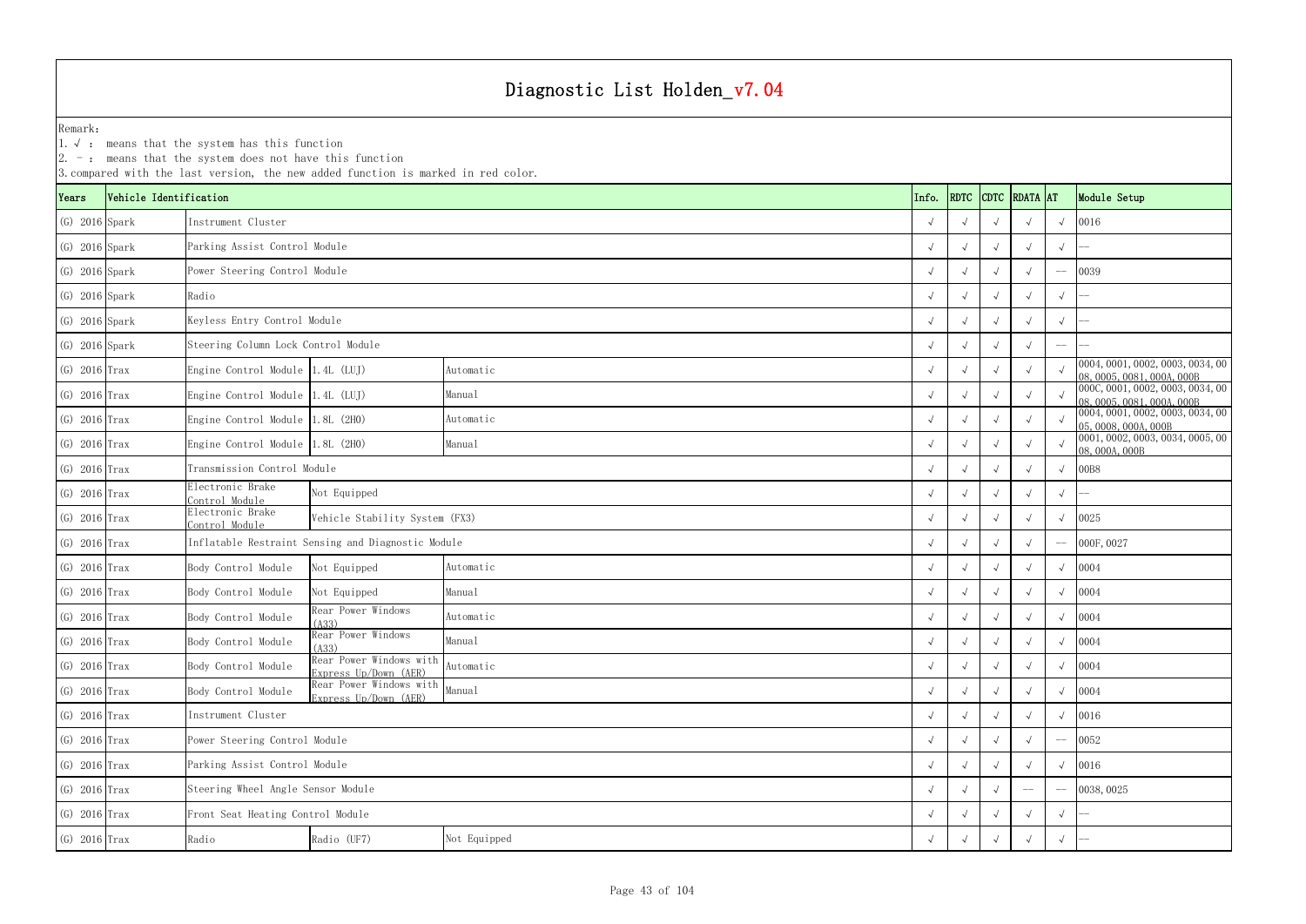YearsVehicle Identification **Info.** RDTC Remark:1.  $\sqrt{ }$ : means that the system has this function 2. -: means that the system does not have this function 3.compared with the last version, the new added function is marked in red color. (G) 2016 Spark √ √ √ √ √ 0016 (G) 2016 Spark √ √ √ √ √ -- Parking Assist Control Module (G) 2016 Spark √ √ √ √ -- 0039 Power Steering Control Module (G) 2016 Spark √ √ √ √ √ -- (G) 2016 Spark √ √ √ √ √ -- Keyless Entry Control Module (G) 2016 Spark √ √ √ √ -- -- Steering Column Lock Control Module (G) 2016 Trax Engine Control Module 1.4L (LUJ) Automatic Automatic  $\begin{array}{c|c} \begin{array}{cc} \sqrt{\phantom{a}} & \sqrt{\phantom{a}} & \sqrt{\phantom{a}} & \sqrt{\phantom{a}} & \sqrt{\phantom{a}} & \sqrt{\phantom{a}} & \sqrt{\phantom{a}} & \sqrt{\phantom{a}} & \sqrt{\phantom{a}} & \sqrt{\phantom{a}} & \sqrt{\phantom{a}} & \sqrt{\phantom{a}} & \sqrt{\phantom{a}} & \sqrt{\phantom{a}} & \sqrt{\phantom{a}} & \sqrt$ (G) 2016 Trax Engine Control Module 1.4L (LUJ) <sup>√</sup> √√√√ 000C,0001,0002,0003,0034,00 08,0005,0081,000A,000B (G) 2016 Trax Engine Control Module 1.8L (2H0) Automatic Automatic (G) 2016 Trax √ √ √ √ 0004,0001,0002,0003,0034,00 √ √ √ ∞ 05,0008,0004,000B (G) 2016 Trax Engine Control Module 1.8L (2H0) Manual Manual Manual (2H) √ √ √ √ ∞ 0001,0002,0003,0034,0005,00 √ √ √ ∞ 0001,0002,0003,0034,0005,00 √ √ ∞ 08,000A,000B (G) 2016 Trax √ √ √ √ √ 00B8 Transmission Control Module (G) 2016 Trax Electronic Brake Control Module <sup>√</sup> <sup>√</sup> <sup>√</sup> <sup>√</sup> <sup>√</sup> -- (G) 2016 Trax Electronic Brake Control Module <sup>√</sup> <sup>√</sup> <sup>√</sup> <sup>√</sup> <sup>√</sup> <sup>0025</sup> Vehicle Stability System (FX3) (G) 2016 Trax √ √ √ √ -- 000F,0027 Inflatable Restraint Sensing and Diagnostic Module (G) 2016 Trax Body Control Module Not Equipped Automatic  $\sqrt{2}$ (G) 2016 Trax Body Control Module Not Equipped Manual  $\sqrt{2}$ (G) 2016 Trax Body Control Module  $\begin{array}{|l|c|c|c|c|}\n\hline\n\text{R} & \text{R} & \text{R} & \text{R} & \text{R} & \text{R} & \text{R} & \text{R} & \text{R} & \text{R} & \text{R} & \text{R} & \text{R} & \text{R} & \text{R} & \text{R} & \text{R} & \text{R} & \text{R} & \text{R} & \text{R} & \text{R} & \text{R} & \text{R} & \text{R} & \text{R} & \text{R} & \text$ (G) 2016 Trax Body Control Module Rear Power Windows (A33) <sup>√</sup> <sup>√</sup> <sup>√</sup> <sup>√</sup> <sup>√</sup> <sup>0004</sup> (G) 2016 Trax Body Control Module Rear Power Windows with Automatic  $\begin{array}{c|c} \begin{array}{c} \sqrt{\phantom{a}} \\ \sqrt{\phantom{a}} \\ \end{array} \end{array}$   $\begin{array}{c} \begin{array}{c} \sqrt{\phantom{a}} \\ \end{array} \end{array}$   $\begin{array}{c} \begin{array}{c} \sqrt{\phantom{a}} \\ \end{array} \end{array}$   $\begin{array}{c} \begin{array}{c} \sqrt{\phantom{a}} \\ \end{array} \end{array}$ (G) 2016 Trax Body Control Module Rear Power Windows with Manual  $\angle$  √ √ √ √ √ √ √ 0004 (G) 2016 Trax √ √ √ √ √ 0016 (G) 2016 Trax √ √ √ √ -- 0052 Power Steering Control Module (G) 2016 Trax √ √ √ √ √ 0016 Parking Assist Control Module (G) 2016 Trax √ √ √ -- -- 0038,0025 Steering Wheel Angle Sensor Module (G) 2016 Trax √ √ √ √ √ -- Front Seat Heating Control Module (G) 2016 Trax Radio Radio (UF7) √ √ √ √ √ -- Manual Automatic Instrument ClusterRadioInstrument Cluster Automatic Manual Automatic Manual Automatic Not Equipped Manual Automatic Manual Not Equipped

| <b>DTC</b>   | RDATA AT     |                          | Module Setup                                               |
|--------------|--------------|--------------------------|------------------------------------------------------------|
| $\sqrt{ }$   | $\sqrt{}$    | $\sqrt{}$                | 0016                                                       |
| $\sqrt{ }$   | $\sqrt{}$    | $\sqrt{ }$               |                                                            |
| $\sqrt{ }$   | $\sqrt{}$    | i.                       | 0039                                                       |
| $\sqrt{ }$   | $\checkmark$ | $\sqrt{ }$               |                                                            |
| $\sqrt{ }$   | $\sqrt{ }$   | $\sqrt{ }$               |                                                            |
| $\sqrt{ }$   | $\sqrt{}$    | $\overline{\phantom{0}}$ |                                                            |
| $\sqrt{ }$   | $\sqrt{ }$   | $\sqrt{ }$               | 0004, 0001, 0002, 0003, 0034, 00<br>08,0005,0081,000A,000B |
| $\sqrt{ }$   | $\sqrt{ }$   | $\sqrt{ }$               | 000C, 0001, 0002, 0003, 0034, 00<br>08,0005,0081,000A,000B |
| $\sqrt{ }$   | $\sqrt{}$    | $\sqrt{ }$               | 0004, 0001, 0002, 0003, 0034, 00<br>05, 0008, 000A, 000B   |
| $\sqrt{ }$   | $\sqrt{}$    | $\sqrt{ }$               | 0001, 0002, 0003, 0034, 0005, 00<br>08,000A,000B           |
| $\sqrt{ }$   | $\sqrt{}$    | $\sqrt{ }$               | 00B8                                                       |
| $\sqrt{ }$   | $\sqrt{}$    | $\sqrt{ }$               |                                                            |
| $\sqrt{ }$   | $\sqrt{}$    | $\sqrt{ }$               | 0025                                                       |
| $\sqrt{ }$   | $\sqrt{}$    | $-$                      | 000F, 0027                                                 |
| $\sqrt{ }$   | $\sqrt{ }$   | $\sqrt{ }$               | 0004                                                       |
| $\sqrt{ }$   | $\sqrt{ }$   | $\sqrt{ }$               | 0004                                                       |
| $\sqrt{ }$   | $\sqrt{}$    | $\sqrt{ }$               | 0004                                                       |
| $\sqrt{ }$   | $\sqrt{}$    | $\sqrt{}$                | 0004                                                       |
| $\sqrt{}$    | $\checkmark$ | $\checkmark$             | 0004                                                       |
| $\sqrt{ }$   | $\sqrt{}$    | $\sqrt{}$                | 0004                                                       |
| $\sqrt{ }$   | $\checkmark$ | $\sqrt{}$                | 0016                                                       |
| $\checkmark$ | $\checkmark$ |                          | 0052                                                       |
| $\checkmark$ | J            | $\sqrt{ }$               | 0016                                                       |
| $\sqrt{2}$   |              |                          | 0038,0025                                                  |
|              |              | $\checkmark$             |                                                            |
| $\sqrt{ }$   | $\sqrt{}$    | $\sqrt{}$                |                                                            |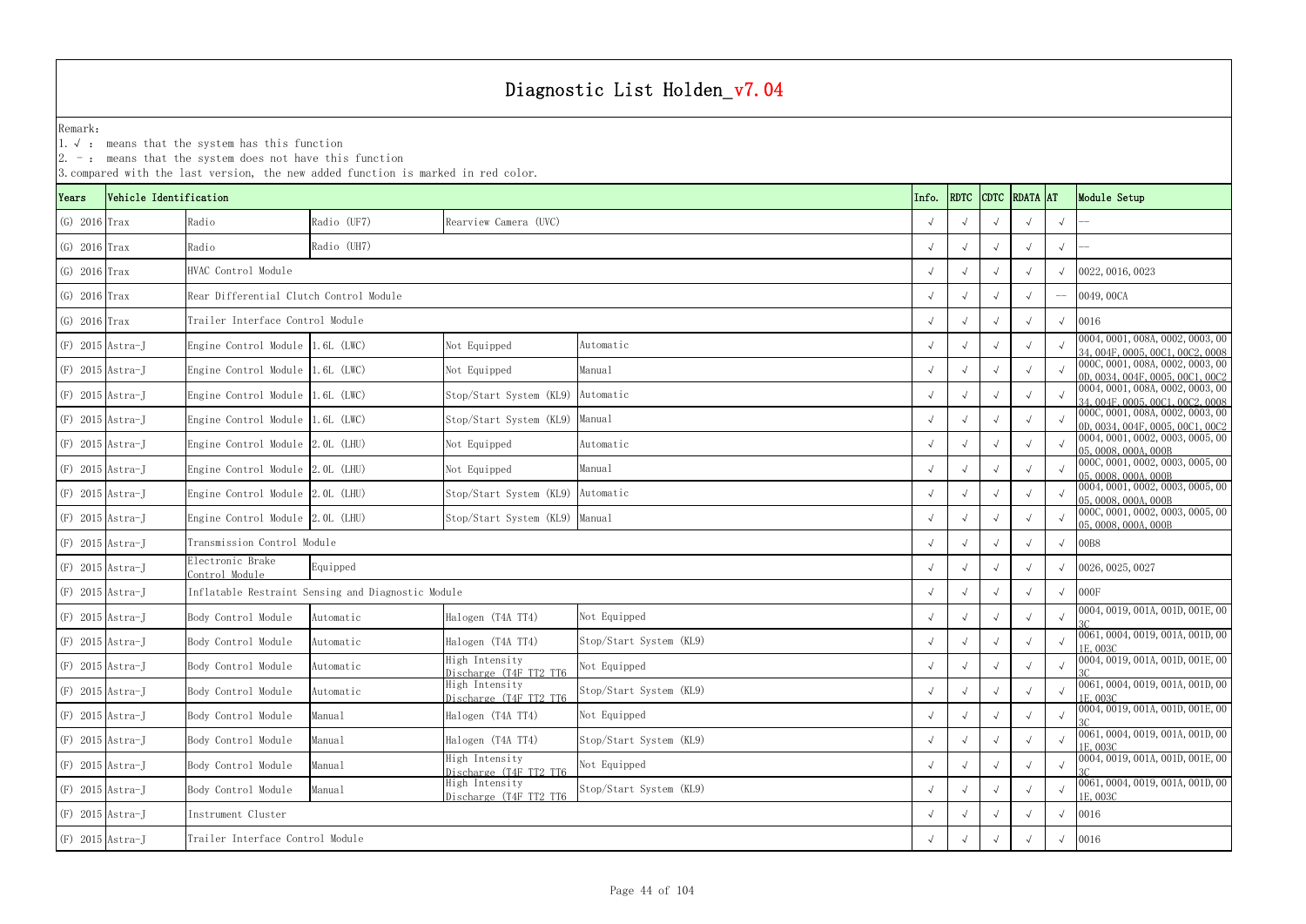|                    |                        | $\vert$ 2. $\bar{\ }$ : means that the system does not have this function | 3. compared with the last version, the new added function is marked in red color. |                                          |                         |            |             |            |               |            |                                                                      |
|--------------------|------------------------|---------------------------------------------------------------------------|-----------------------------------------------------------------------------------|------------------------------------------|-------------------------|------------|-------------|------------|---------------|------------|----------------------------------------------------------------------|
| Years              | Vehicle Identification |                                                                           |                                                                                   |                                          |                         | Info.      | <b>RDTC</b> |            | CDTC RDATA AT |            | Module Setup                                                         |
| $(G)$ 2016 Trax    |                        | Radio                                                                     | Radio (UF7)                                                                       | Rearview Camera (UVC)                    |                         |            |             |            |               |            |                                                                      |
| $(G)$ 2016 Trax    |                        | Radio                                                                     | Radio (UH7)                                                                       |                                          |                         |            |             |            | $\sqrt{ }$    | $\sqrt{ }$ |                                                                      |
| $(G)$ 2016 Trax    |                        | HVAC Control Module                                                       |                                                                                   |                                          |                         |            |             |            |               |            | 0022, 0016, 0023                                                     |
| $(G)$ 2016 Trax    |                        | Rear Differential Clutch Control Module                                   |                                                                                   |                                          |                         |            |             |            | $\sqrt{ }$    |            | 0049, 00CA                                                           |
| $(G)$ 2016 Trax    |                        | Trailer Interface Control Module                                          |                                                                                   |                                          |                         |            |             |            | $\sqrt{ }$    | $\sqrt{ }$ | 0016                                                                 |
| $(F)$ 2015 Astra-J |                        | Engine Control Module 1.6L (LWC)                                          |                                                                                   | Not Equipped                             | Automatic               |            |             |            | $\sqrt{ }$    |            | 0004, 0001, 008A, 0002, 0003, 00<br>34, 004F, 0005, 00C1, 00C2, 0008 |
| $(F)$ 2015 Astra-J |                        | Engine Control Module 1.6L (LWC)                                          |                                                                                   | Not Equipped                             | Manual                  |            |             |            |               |            | 000C, 0001, 008A, 0002, 0003, 00<br>0D, 0034, 004F, 0005, 00C1, 00C2 |
| $(F)$ 2015 Astra-J |                        | Engine Control Module 1.6L (LWC)                                          |                                                                                   | Stop/Start System (KL9)                  | Automatic               |            |             |            | $\sqrt{ }$    |            | 0004, 0001, 008A, 0002, 0003, 00<br>34, 004F, 0005, 00C1, 00C2, 0008 |
| $(F)$ 2015 Astra-J |                        | Engine Control Module 1.6L (LWC)                                          |                                                                                   | Stop/Start System (KL9)                  | Manual                  |            |             |            | $\sqrt{ }$    |            | 000C, 0001, 008A, 0002, 0003, 00<br>0D, 0034, 004F, 0005, 00C1, 00C2 |
| $(F)$ 2015 Astra-J |                        | Engine Control Module 2.0L (LHU)                                          |                                                                                   | Not Equipped                             | Automatic               |            |             |            | $\sqrt{ }$    |            | 0004, 0001, 0002, 0003, 0005, 00<br>05, 0008, 000A, 000B             |
|                    | $(F)$ 2015 Astra-J     | Engine Control Module 2.0L (LHU)                                          |                                                                                   | Not Equipped                             | Manual                  |            |             |            |               |            | 000C, 0001, 0002, 0003, 0005, 00<br>05,0008,000A,000B                |
|                    | $(F)$ 2015 Astra-J     | Engine Control Module 2.0L (LHU)                                          |                                                                                   | Stop/Start System (KL9) Automatic        |                         |            |             |            |               |            | 0004, 0001, 0002, 0003, 0005, 00<br>05,0008,000A,000B                |
| $(F)$ 2015 Astra-J |                        | Engine Control Module 2.0L (LHU)                                          |                                                                                   | Stop/Start System (KL9) Manual           |                         |            |             |            |               |            | 000C, 0001, 0002, 0003, 0005, 00<br>05, 0008, 000A, 000B             |
| $(F)$ 2015 Astra-J |                        | Transmission Control Module                                               |                                                                                   |                                          |                         |            |             |            |               | $\sqrt{ }$ | 00B8                                                                 |
| $(F)$ 2015 Astra-J |                        | Electronic Brake<br>Control Module                                        | Equipped                                                                          |                                          |                         |            |             |            |               |            | 0026, 0025, 0027                                                     |
| $(F)$ 2015 Astra-J |                        |                                                                           | Inflatable Restraint Sensing and Diagnostic Module                                |                                          |                         |            |             |            | $\sqrt{ }$    | $\sqrt{ }$ | 000F                                                                 |
| $(F)$ 2015 Astra-J |                        | Body Control Module                                                       | Automatic                                                                         | Halogen (T4A TT4)                        | Not Equipped            |            |             |            | $\sqrt{ }$    | $\sqrt{ }$ | 0004, 0019, 001A, 001D, 001E, 00                                     |
| $(F)$ 2015 Astra-J |                        | Body Control Module                                                       | Automatic                                                                         | Halogen (T4A TT4)                        | Stop/Start System (KL9) | $\sqrt{ }$ |             | $\sqrt{ }$ |               | $\sqrt{ }$ | 0061, 0004, 0019, 001A, 001D, 00<br>1E. 003C                         |
| $(F)$ 2015 Astra-J |                        | Body Control Module                                                       | Automatic                                                                         | High Intensity<br>Discharge (T4F TT2 TT6 | Not Equipped            | $\sqrt{ }$ |             |            |               | $\sqrt{ }$ | 0004, 0019, 001A, 001D, 001E, 00                                     |
| $(F)$ 2015 Astra-J |                        | Body Control Module                                                       | Automatic                                                                         | High Intensity<br>Discharge (T4F TT2 TT6 | Stop/Start System (KL9) | $\sqrt{ }$ |             |            | $\sqrt{ }$    | $\sqrt{ }$ | 0061, 0004, 0019, 001A, 001D, 00<br>1E, 003C                         |
| $(F)$ 2015 Astra-J |                        | Body Control Module                                                       | Manual                                                                            | Halogen (T4A TT4)                        | Not Equipped            | $\sqrt{ }$ |             |            | $\sqrt{ }$    | $\sqrt{ }$ | 0004, 0019, 001A, 001D, 001E, 00                                     |
| $(F)$ 2015 Astra-J |                        | Body Control Module                                                       | Manual                                                                            | Halogen (T4A TT4)                        | Stop/Start System (KL9) | $\sqrt{ }$ |             |            | $\sqrt{ }$    | $\sqrt{ }$ | 0061, 0004, 0019, 001A, 001D, 00<br>1E, 003C                         |
|                    | $(F)$ 2015 Astra-J     | Body Control Module                                                       | Manual                                                                            | High Intensity<br>Discharge (T4F TT2 TT6 | Not Equipped            |            |             |            |               | $\sqrt{ }$ | 0004, 0019, 001A, 001D, 001E, 00                                     |
|                    | $(F)$ 2015 Astra-J     | Body Control Module                                                       | Manual                                                                            | High Intensity<br>Discharge (T4F TT2 TT6 | Stop/Start System (KL9) | $\sqrt{ }$ |             |            |               |            | 0061, 0004, 0019, 001A, 001D, 00<br>1E, 003C                         |
|                    | $(F)$ 2015 Astra-J     | Instrument Cluster                                                        |                                                                                   |                                          |                         | $\sqrt{ }$ |             | $\sqrt{ }$ |               |            | 0016                                                                 |
|                    | $(F)$ 2015 Astra-J     | Trailer Interface Control Module                                          |                                                                                   |                                          |                         |            |             |            |               | $\sqrt{ }$ | 0016                                                                 |
|                    |                        |                                                                           |                                                                                   |                                          |                         |            |             |            |               |            |                                                                      |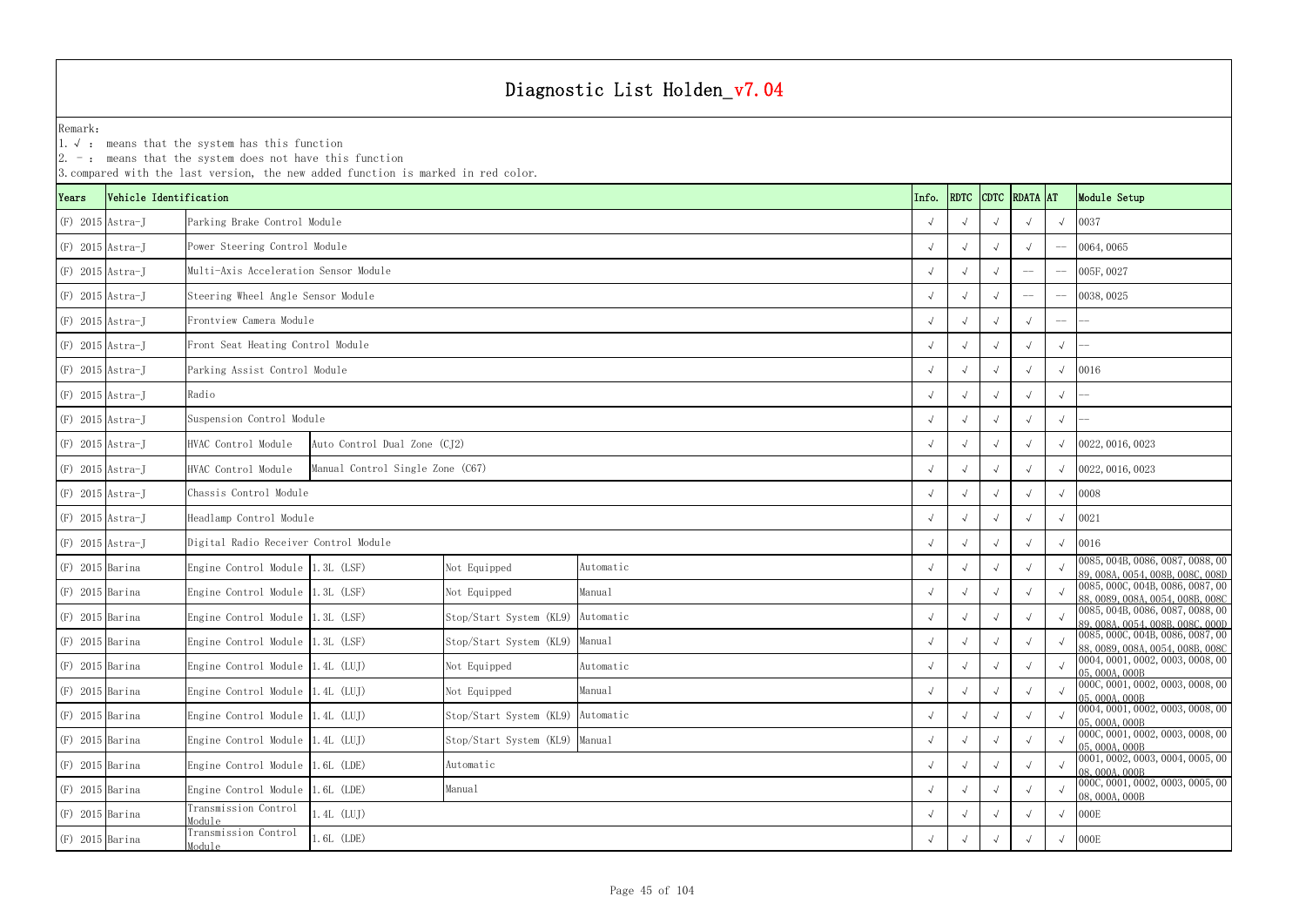YearsVehicle Identification **Info.** RDTC Remark:1.  $\sqrt{ }$ : means that the system has this function 2. -: means that the system does not have this function 3.compared with the last version, the new added function is marked in red color. (F) 2015 Astra-J √ √ √ √ √ 0037 Parking Brake Control Module (F) 2015 Astra-J √ √ √ √ -- 0064,0065 Power Steering Control Module (F) 2015 Astra-J √ √ √ -- -- 005F,0027 Multi-Axis Acceleration Sensor Module(F) 2015 Astra-J √ √ √ -- -- 0038,0025 Steering Wheel Angle Sensor Module (F) 2015 Astra-J √ √ √ √ -- -- Frontview Camera Module(F) 2015 Astra-J √ √ √ √ √ -- Front Seat Heating Control Module (F) 2015 Astra-J √ √ √ √ √ 0016 Parking Assist Control Module (F) 2015 Astra-J √ √ √ √ √ -- (F) 2015 Astra-J √ √ √ √ √ -- Suspension Control Module (F) 2015 Astra-J HVAC Control Module √ √ √ √ √ 0022,0016,0023 Auto Control Dual Zone (CJ2) (F) 2015 Astra-J HVAC Control Module √ √ √ √ √ 0022,0016,0023 Manual Control Single Zone (C67) (F) 2015 Astra-J √ √ √ √ √ 0008 Chassis Control Module (F) 2015 Astra-J √ √ √ √ √ 0021 Headlamp Control Module (F) 2015 Astra-J √ √ √ √ √ 0016 Digital Radio Receiver Control Module (F) 2015 Barina Engine Control Module 1.3L (LSF) Not Equipped Automatic √ √ √ √ √ ∞ 0085,004B,0086,0087,0088,00 ∿ ∞ 99,008A,0054,008B,008C,008D,008C,008D (F) 2015 Barina Engine Control Module 1.3L (LSF) Not Equipped Manual Manual √ √ √ √ √ ∞ 88,0089,008A,0054,0086,0087,00 √ √ ∞ 88,0089,008A,0054,008B,008C,004B,008B,0087,00 √ √ ∞ 88,0089,008A,0054,008B,008C,008C,008B,008C,0 (F) 2015 Barina Engine Control Module 1.3L (LSF) Stop/Start System (KL9) <sup>√</sup> √√√√ 0085,004B,0086,0087,0088,00 89,008A,0054,008B,008C,000D (F) 2015 Barina Engine Control Module 1.3L (LSF) Stop/Start System (KL9) Manual √ √ √ √ √ ∞ 88,0089,008A,0054,0086,0087,00 & 38,0089,008A,0054,008B,008C,004B,008B,0087,00 ⊗ → ∞ 88,0089,008A,0054,008B,008C,008E,008E,008C,0 (F) 2015 Barina Engine Control Module 1.4L (LUJ) Not Equipped Automatic √ √ √ √ √ 0004,0001,0002,0003,0008,00 ∧ 05,000A,000B (F) 2015 Barina Engine Control Module 1.4L (LUJ) Not Equipped Manual √ √ √ √ √ 000C,0001,0002,0003,0008,00 ∧008,000B (F) 2015 Barina Engine Control Module 1.4L (LUJ) Stop/Start System (KL9) Automatic √ √ √ √ √ 0004,0001,0002,0003,0008,00 → 05,000A,000B (F) 2015 Barina Engine Control Module 1.4L (LUJ) Stop/Start System (KL9) Manual √ √ √ √ ∞ 000C,0001,0002,0003,0008,00 ⊳ 05,000A,000B (F) 2015 Barina Engine Control Module 1.6L (LDE) Automatic Automatic √ √ √ √ √ 0001,0002,0003,0004,0005,00 √ √ √ √ ∞ 0001,0002,0003,0004,0005,00 √ √ ∞ 08,000A,000B (F) 2015 Barina Engine Control Module 1.6L (LDE) Manual Manual Manual (F) 2015 Barina → √ √ √ √ ∞ 000C,0001,0002,0003,0005,00 ∧ ∞ 08,000A,000B Radio Automatic Manual Automatic Manual Manual Automatic Manual Automatic Manual Automatic

(F) 2015 Barina Transmission Control Module

(F) 2015 Barina Transmission Control Module

|                                  | tem does not have this function<br>ersion, the new added function is marked in red color. |                                   |            |  |            |            |             |                 |             |                                                                      |
|----------------------------------|-------------------------------------------------------------------------------------------|-----------------------------------|------------|--|------------|------------|-------------|-----------------|-------------|----------------------------------------------------------------------|
| .on                              |                                                                                           |                                   |            |  | Info.      | RDTC       | <b>CDTC</b> | <b>RDATA</b> AT |             | Module Setup                                                         |
| ng Brake Control Module          |                                                                                           |                                   |            |  | $\sqrt{ }$ | $\sqrt{ }$ | $\sqrt{ }$  | $\sqrt{ }$      | $\sqrt{ }$  | 0037                                                                 |
| Steering Control Module          |                                                                                           |                                   |            |  | $\sqrt{ }$ |            |             | $\sqrt{ }$      | $--$        | 0064,0065                                                            |
| -Axis Acceleration Sensor Module |                                                                                           |                                   |            |  |            |            |             | $-\!-\!$        | $--$        | 005F, 0027                                                           |
| ing Wheel Angle Sensor Module    |                                                                                           |                                   |            |  |            |            | $\sqrt{ }$  | $-\!-\!$        | $-\! -$     | 0038, 0025                                                           |
| view Camera Module               |                                                                                           |                                   |            |  | $\sqrt{ }$ |            | $\sqrt{ }$  |                 | $-\!$ $\!-$ |                                                                      |
| Seat Heating Control Module      |                                                                                           |                                   |            |  | $\sqrt{ }$ | $\sqrt{ }$ | $\sqrt{ }$  | $\sqrt{ }$      | $\sqrt{ }$  |                                                                      |
| ng Assist Control Module         |                                                                                           |                                   |            |  |            |            | $\sqrt{ }$  |                 | $\sqrt{ }$  | 0016                                                                 |
|                                  |                                                                                           |                                   |            |  |            |            | $\sqrt{ }$  |                 | $\sqrt{ }$  |                                                                      |
| nsion Control Module             |                                                                                           |                                   | $\sqrt{ }$ |  | $\sqrt{ }$ | $\sqrt{ }$ | $\sqrt{ }$  |                 |             |                                                                      |
| Control Module                   | Auto Control Dual Zone (CJ2)                                                              |                                   |            |  |            | $\sqrt{ }$ | $\sqrt{ }$  | $\sqrt{ }$      | $\sqrt{ }$  | 0022, 0016, 0023                                                     |
| Control Module                   | Manual Control Single Zone (C67)                                                          |                                   |            |  |            |            |             | $\sqrt{ }$      | $\sqrt{ }$  | 0022, 0016, 0023                                                     |
| is Control Module                |                                                                                           |                                   |            |  |            |            |             |                 | $\sqrt{ }$  | 0008                                                                 |
| amp Control Module               |                                                                                           |                                   |            |  | $\sqrt{ }$ |            | $\sqrt{ }$  |                 | $\sqrt{ }$  | 0021                                                                 |
| al Radio Receiver Control Module |                                                                                           |                                   |            |  |            | $\sqrt{ }$ | $\sqrt{ }$  | $\sqrt{ }$      | $\sqrt{ }$  | 0016                                                                 |
| e Control Module 1.3L (LSF)      |                                                                                           | Not Equipped                      | Automatic  |  |            |            |             |                 | $\sqrt{ }$  | 0085, 004B, 0086, 0087, 0088, 00<br>89, 008A, 0054, 008B, 008C, 008D |
| e Control Module 1.3L (LSF)      |                                                                                           | Not Equipped                      | Manual     |  | $\sqrt{ }$ |            |             | $\sqrt{ }$      | $\sqrt{ }$  | 0085, 000C, 004B, 0086, 0087, 00<br>88, 0089, 008A, 0054, 008B, 008C |
| e Control Module 1.3L (LSF)      |                                                                                           | Stop/Start System (KL9) Automatic |            |  | $\sqrt{ }$ | $\sqrt{ }$ | $\sqrt{ }$  | $\sqrt{ }$      | $\sqrt{ }$  | 0085, 004B, 0086, 0087, 0088, 00<br>89, 008A, 0054, 008B, 008C, 000D |
| e Control Module 1.3L (LSF)      |                                                                                           | Stop/Start System (KL9) Manual    |            |  | $\sqrt{ }$ | $\sqrt{ }$ | $\sqrt{ }$  |                 | $\sqrt{ }$  | 0085, 000C, 004B, 0086, 0087, 00<br>88,0089,008A,0054,008B,008C      |
| e Control Module 1.4L (LUJ)      |                                                                                           | Not Equipped                      | Automatic  |  | $\sqrt{ }$ | $\sqrt{ }$ | $\sqrt{ }$  | $\sqrt{ }$      | $\sqrt{ }$  | 0004, 0001, 0002, 0003, 0008, 00<br>05,000A,000B                     |
| e Control Module 1.4L (LUJ)      |                                                                                           | Not Equipped                      | Manual     |  | $\sqrt{ }$ | $\sqrt{ }$ | $\sqrt{ }$  | $\sqrt{ }$      | $\sqrt{ }$  | 000C, 0001, 0002, 0003, 0008, 00<br>05, 000A, 000B                   |
| e Control Module 1.4L (LUJ)      |                                                                                           | Stop/Start System (KL9) Automatic |            |  | $\sqrt{ }$ | $\sqrt{ }$ | $\sqrt{ }$  | $\sqrt{ }$      | $\sqrt{ }$  | 0004, 0001, 0002, 0003, 0008, 00<br>05, 000A, 000B                   |
| e Control Module   1.4L (LUJ)    |                                                                                           | Stop/Start System (KL9) Manual    |            |  | $\sqrt{ }$ | $\sqrt{ }$ | $\sqrt{ }$  | $\sqrt{ }$      | $\sqrt{ }$  | 000C, 0001, 0002, 0003, 0008, 00<br>05,000A,000B                     |
| e Control Module 1.6L (LDE)      |                                                                                           | Automatic                         |            |  | $\sqrt{ }$ | $\sqrt{ }$ | $\sqrt{ }$  |                 |             | 0001, 0002, 0003, 0004, 0005, 00<br>08,000A,000B                     |
| e Control Module 1.6L (LDE)      |                                                                                           | Manual                            |            |  | $\sqrt{ }$ |            |             |                 | $\sqrt{ }$  | 000C, 0001, 0002, 0003, 0005, 00<br>08,000A,000B                     |
| mission Control                  | 1.4L (LUJ)                                                                                |                                   |            |  | $\sqrt{ }$ | $\sqrt{ }$ | $\sqrt{ }$  | $\sqrt{ }$      | $\sqrt{ }$  | 000E                                                                 |
| mission Control                  | 1.6L (LDE)                                                                                |                                   |            |  | $\sqrt{ }$ | $\sqrt{ }$ | $\sqrt{ }$  | $\sqrt{ }$      | $\sqrt{ }$  | 000E                                                                 |
|                                  |                                                                                           |                                   |            |  |            |            |             |                 |             |                                                                      |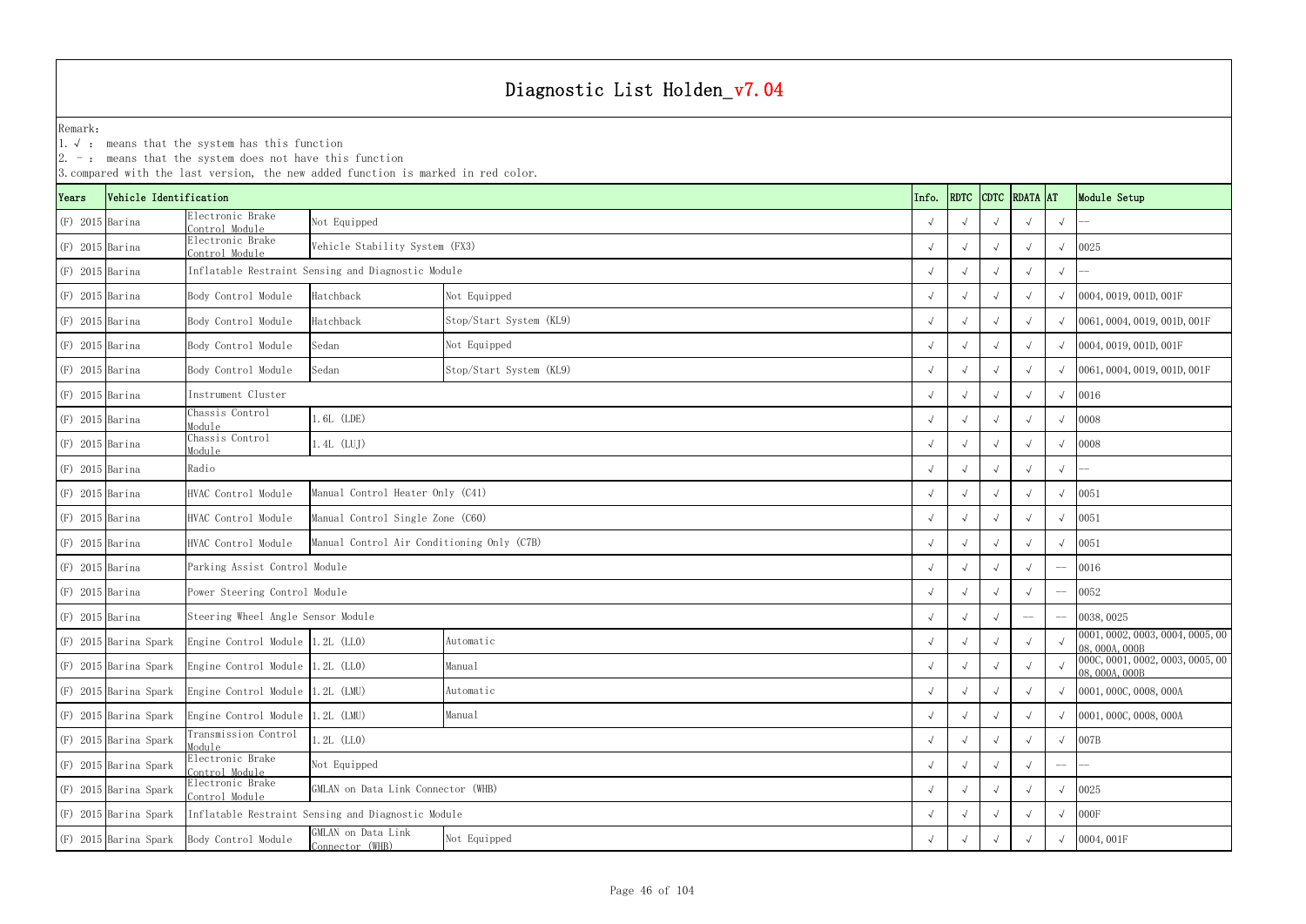|                   |                        | $2. -$ : means that the system does not have this function               | 3. compared with the last version, the new added function is marked in red color. |                         |  |            |            |            |               |             |                                                  |
|-------------------|------------------------|--------------------------------------------------------------------------|-----------------------------------------------------------------------------------|-------------------------|--|------------|------------|------------|---------------|-------------|--------------------------------------------------|
| Years             | Vehicle Identification |                                                                          |                                                                                   |                         |  | Info.      | RDTC       |            | CDTC RDATA AT |             | Module Setup                                     |
| $(F)$ 2015 Barina |                        | Electronic Brake<br>ontrol Module                                        | Not Equipped                                                                      |                         |  |            |            |            | $\sqrt{ }$    | $\sqrt{ }$  |                                                  |
| $(F)$ 2015 Barina |                        | Electronic Brake<br>Control Module                                       | Vehicle Stability System (FX3)                                                    |                         |  |            |            |            | $\sqrt{ }$    | $\sqrt{ }$  | 0025                                             |
| $(F)$ 2015 Barina |                        |                                                                          | Inflatable Restraint Sensing and Diagnostic Module                                |                         |  |            |            |            |               | $\sqrt{ }$  |                                                  |
| $(F)$ 2015 Barina |                        | Body Control Module                                                      | Hatchback                                                                         | Not Equipped            |  |            |            |            |               | $\sqrt{ }$  | 0004, 0019, 001D, 001F                           |
| $(F)$ 2015 Barina |                        | Body Control Module                                                      | Hatchback                                                                         | Stop/Start System (KL9) |  |            |            |            | $\sqrt{ }$    |             | 0061, 0004, 0019, 001D, 001F                     |
| $(F)$ 2015 Barina |                        | Body Control Module                                                      | Sedan                                                                             | Not Equipped            |  |            |            |            | $\sqrt{ }$    | $\sqrt{ }$  | 0004, 0019, 001D, 001F                           |
| $(F)$ 2015 Barina |                        | Body Control Module                                                      | Sedan                                                                             | Stop/Start System (KL9) |  |            |            |            |               |             | 0061, 0004, 0019, 001D, 001F                     |
| $(F)$ 2015 Barina |                        | Instrument Cluster                                                       |                                                                                   |                         |  |            |            |            | $\sqrt{ }$    | $\sqrt{ }$  | 0016                                             |
| $(F)$ 2015 Barina |                        | Chassis Control<br>Module                                                | $.6L$ (LDE)                                                                       |                         |  |            |            |            | $\sqrt{ }$    | $\sqrt{ }$  | 0008                                             |
| $(F)$ 2015 Barina |                        | Chassis Control<br>Module                                                | $1.4L$ (LUJ)                                                                      |                         |  |            |            |            | $\sqrt{ }$    | $\sqrt{ }$  | 0008                                             |
| $(F)$ 2015 Barina |                        | Radio                                                                    |                                                                                   |                         |  |            |            |            |               | $\sqrt{ }$  |                                                  |
| $(F)$ 2015 Barina |                        | HVAC Control Module                                                      | Manual Control Heater Only (C41)                                                  |                         |  |            |            |            |               | $\sqrt{ }$  | 0051                                             |
| $(F)$ 2015 Barina |                        | HVAC Control Module                                                      | Manual Control Single Zone (C60)                                                  |                         |  |            |            |            |               | $\sqrt{ }$  | 0051                                             |
| $(F)$ 2015 Barina |                        | HVAC Control Module                                                      | Manual Control Air Conditioning Only (C7B)                                        |                         |  | $\sqrt{ }$ |            |            | $\sqrt{ }$    | $\sqrt{ }$  | 0051                                             |
| $(F)$ 2015 Barina |                        | Parking Assist Control Module                                            |                                                                                   |                         |  |            |            |            |               |             | 0016                                             |
| $(F)$ 2015 Barina |                        | Power Steering Control Module                                            |                                                                                   |                         |  |            |            |            | $\sqrt{ }$    | $-\!$ $\!-$ | 0052                                             |
| $(F)$ 2015 Barina |                        | Steering Wheel Angle Sensor Module                                       |                                                                                   |                         |  |            |            |            | $-\!$ $\!-$   |             | 0038, 0025                                       |
|                   | (F) 2015 Barina Spark  | Engine Control Module 1.2L (LLO)                                         |                                                                                   | Automatic               |  | $\sqrt{ }$ | $\sqrt{ }$ |            | $\sqrt{ }$    | $\sqrt{ }$  | 0001, 0002, 0003, 0004, 0005, 00<br>08,000A,000B |
|                   | (F) 2015 Barina Spark  | Engine Control Module 1.2L (LLO)                                         |                                                                                   | Manual                  |  |            |            |            | $\sqrt{ }$    | $\sqrt{ }$  | 000C, 0001, 0002, 0003, 0005, 00<br>08,000A,000B |
|                   | (F) 2015 Barina Spark  | Engine Control Module 1.2L (LMU)                                         |                                                                                   | Automatic               |  | $\sqrt{ }$ |            |            | $\sqrt{ }$    |             | 0001, 000C, 0008, 000A                           |
|                   | (F) 2015 Barina Spark  | Engine Control Module 1.2L (LMU)                                         |                                                                                   | Manual                  |  | $\sqrt{ }$ | $\sqrt{ }$ | $\sqrt{ }$ | $\sqrt{ }$    | $\sqrt{ }$  | 0001, 000C, 0008, 000A                           |
|                   | (F) 2015 Barina Spark  | Transmission Control<br>Module                                           | $1.2L$ (LLO)                                                                      |                         |  |            |            |            |               | $\sqrt{ }$  | 007B                                             |
|                   | (F) 2015 Barina Spark  | Electronic Brake<br>Not Equipped<br>Control Module                       |                                                                                   |                         |  |            |            |            |               | $-\!-\!$    |                                                  |
|                   | (F) 2015 Barina Spark  | Electronic Brake<br>GMLAN on Data Link Connector (WHB)<br>Control Module |                                                                                   |                         |  |            |            |            |               | $\sqrt{ }$  | 0025                                             |
|                   | (F) 2015 Barina Spark  | Inflatable Restraint Sensing and Diagnostic Module                       |                                                                                   |                         |  |            |            |            | $\sqrt{ }$    | $\sqrt{ }$  | 000F                                             |
|                   | (F) 2015 Barina Spark  | Body Control Module                                                      | GMLAN on Data Link<br>Not Equipped<br>Connector (WHB)                             |                         |  |            |            |            |               |             | 0004,001F                                        |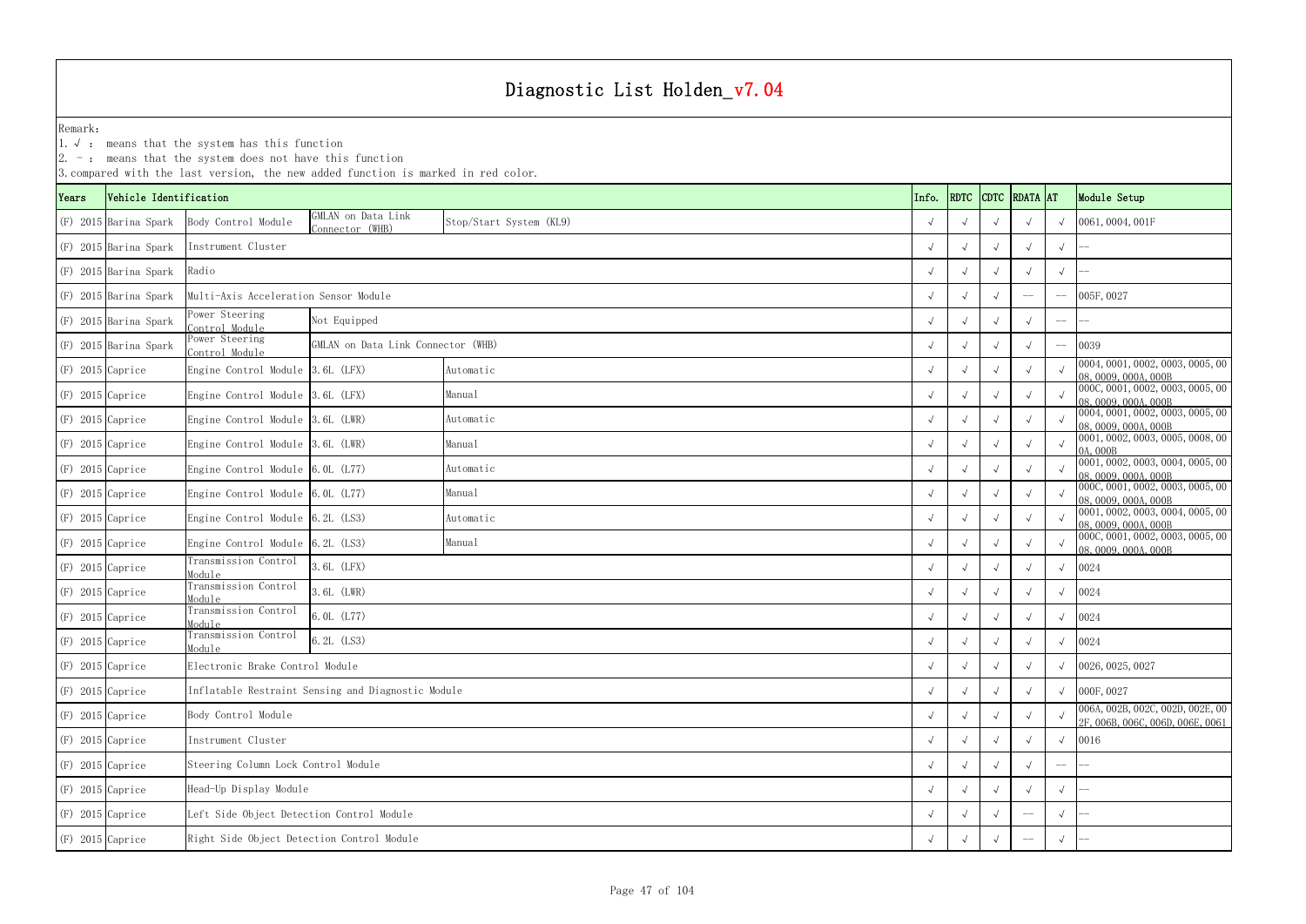YearsVehicle Identification **Info.** RDTC Remark:1.  $\sqrt{ }$ : means that the system has this function 2. -: means that the system does not have this function 3.compared with the last version, the new added function is marked in red color. (F) 2015 Barina Spark Body Control Module GMLAN on Data Link Stop/Start System (KL9) √ √ √ √ √ √ √ 0061,0004,001F (F) 2015 Barina Spark √ √ √ √ √ -- (F) 2015 Barina Spark √ √ √ √ √ -- (F) 2015 Barina Spark √ √ √ -- -- 005F,0027 Multi-Axis Acceleration Sensor Module  $(F)$  2015 Barina Spark  $\begin{array}{c} \text{Power Steering} \\ \text{Control Module} \end{array}$ ° Not Equipped Not Equipped and the set of the set of the set of the set of the set of the set of the set of the set of the set of the set of the set of the set of the set of the set of the set of the set of the set of th  $(F)$  2015 Barina Spark Power Steering  $\frac{1}{\sqrt{2}}$  GMLAN on Data Link Connector (WHB)  $\sqrt{2}$  (399) (F) 2015 Caprice Engine Control Module 3.6L (LFX) Automatic Automatic (F) 2015 Caprice (F) 2015 Caprice (F) 0004,0001,0002,0003,0005,00 (F) √ √ √ √ √ ∞ 0004,0001,0002,0003,0005,00 ∧ ∞ 08,0009,000 000 000,000 000 000,000 0 (F) 2015 Caprice Engine Control Module 3.6L (LFX) <sup>√</sup> √√√√ 000C,0001,0002,0003,0005,00 08,0009,000A,000B (F) 2015 Caprice Engine Control Module 3.6L (LWR) Automatic Automatic (F) 2015 Caprice (F) 2015 Caprice (F) 2009,0001,0002,0003,0005,00 (F) 2015 Caprice (F) 20004,0001,0002,0003,0005,00 (F) 2016,000 (F) 2016,000 (F) 2016, (F) 2015 Caprice Engine Control Module 3.6L (LWR) Manual Manual Manual (F) 2015 Caprice (F) 20001,0002,0003,0005,0008,000 0A,000B (F) 2015 Caprice Engine Control Module 6.0L (L77) Automatic Automatic (F) 2015 (Caprice Engine Control Module 6.0L (L77) Automatic (F) 2015, 000, 0001, 0002, 0003, 0004, 0005, 000, 0004, 0005, 00 Automatic (F) 2015, 000 0 (F) 2015 Caprice Engine Control Module 6.0L (L77) Manual Manual Manual (F) 2015 Caprice Engine Control Module 6.0L (L77) Manual Manual (F) 2015 O (F) 2015 Caprice Engine Control Module 6.2L (LS3) Automatic Automatic (F) 2015 Caprice (F) 2015 Caprice (F) 0001,0002,0003,0004,0005,00 (F) 2015 Caprice (F) 2016,0009,0004,0005,00 (F) 2016,0009,0004,000 08,0009,000 08,000 (F) 2015 Caprice Engine Control Module 6.2L (LS3) Manual Manual Manual (F) 2015 Caprice Engine Control Module 6.2L (LS3) Manual √ √ √ √ √ ∞ 000C,0001,0002,0003,0005,00 (F) 2015 Caprice Transmission Control Module $\frac{1}{2}$   $\frac{1}{2}$   $\frac{1}{2}$   $\frac{1}{2}$   $\frac{1}{2}$   $\frac{1}{2}$   $\frac{1}{2}$   $\frac{1}{2}$   $\frac{1}{2}$   $\frac{1}{2}$   $\frac{1}{2}$   $\frac{1}{2}$   $\frac{1}{2}$   $\frac{1}{2}$   $\frac{1}{2}$   $\frac{1}{2}$   $\frac{1}{2}$   $\frac{1}{2}$   $\frac{1}{2}$   $\frac{1}{2}$   $\frac{1}{2}$   $\frac{1}{2}$  (F) 2015 Caprice Transmission Control Module $\frac{1}{2}$   $\frac{1}{2}$   $\frac{1}{2}$   $\frac{1}{2}$   $\frac{1}{2}$   $\frac{1}{2}$   $\frac{1}{2}$   $\frac{1}{2}$   $\frac{1}{2}$   $\frac{1}{2}$   $\frac{1}{2}$   $\frac{1}{2}$   $\frac{1}{2}$   $\frac{1}{2}$   $\frac{1}{2}$   $\frac{1}{2}$   $\frac{1}{2}$   $\frac{1}{2}$   $\frac{1}{2}$   $\frac{1}{2}$   $\frac{1}{2}$   $\frac{1}{2}$  (F) 2015 Caprice Transmission Control Module $\frac{1}{2}$   $\frac{1}{2}$   $\frac{1}{2}$   $\frac{1}{2}$   $\frac{1}{2}$   $\frac{1}{2}$   $\frac{1}{2}$   $\frac{1}{2}$   $\frac{1}{2}$   $\frac{1}{2}$   $\frac{1}{2}$   $\frac{1}{2}$   $\frac{1}{2}$   $\frac{1}{2}$   $\frac{1}{2}$   $\frac{1}{2}$   $\frac{1}{2}$   $\frac{1}{2}$   $\frac{1}{2}$   $\frac{1}{2}$   $\frac{1}{2}$   $\frac{1}{2}$  (F) 2015 Caprice Transmission Control Module $\frac{1}{2}$  (6.2L (LS3)  $\frac{1}{2}$  (LS3) (F) 2015 Caprice √ √ √ √ √ 0026,0025,0027 Electronic Brake Control Module (F) 2015 Caprice √ √ √ √ √ 000F,0027 Inflatable Restraint Sensing and Diagnostic Module (F) 2015 Caprice βody Control Module βody Control Module (F) 2015 Caprice βody Control Module (F) 2015 Caprice βody Control Module (F) 2F, 006B, 002D, 002E, 006 CONDINER (F) 2015 Caprice √ √ √ √ √ 0016 (F) 2015 Caprice √ √ √ √ -- -- Steering Column Lock Control Module (F) 2015 Caprice √ √ √ √ √ -- Head-Up Display Module (F) 2015 Caprice √ √ √ -- √ -- Left Side Object Detection Control Module (F) 2015 Caprice √ √ √ -- √ -- Right Side Object Detection Control Module Manual Instrument ClusterRadioManual Automatic Body Control Module Instrument Cluster 6.2L (LS3) 6.0L (L77) 3.6L (LWR) 3.6L (LFX) Not Equipped Stop/Start System (KL9) Automatic Manual Automatic Manual Automatic

| DTC          | <b>RDATA</b> | <b>AT</b>      | Module Setup                                                                                 |
|--------------|--------------|----------------|----------------------------------------------------------------------------------------------|
| $\sqrt{ }$   | $\sqrt{}$    | $\sqrt{}$      | 0061,0004,001F                                                                               |
| $\sqrt{ }$   | $\sqrt{ }$   | $\sqrt{}$      |                                                                                              |
| $\sqrt{ }$   | $\sqrt{ }$   | $\sqrt{ }$     |                                                                                              |
| $\sqrt{ }$   |              |                | 005F, 0027                                                                                   |
| $\sqrt{ }$   | $\sqrt{ }$   |                |                                                                                              |
| $\sqrt{ }$   | $\sqrt{}$    | $\overline{a}$ | 0039                                                                                         |
| $\sqrt{ }$   | $\sqrt{ }$   | $\checkmark$   | 0004, 0001, 0002, 0003, 0005, 00<br>08, 0009, 000A, 000B<br>000C, 0001, 0002, 0003, 0005, 00 |
| $\sqrt{ }$   | $\sqrt{}$    | $\sqrt{ }$     | 08, 0009, 000A, 000B<br>0004, 0001, 0002, 0003, 0005, 00                                     |
| $\sqrt{ }$   | $\sqrt{}$    | $\sqrt{ }$     | 08, 0009, 000A, 000B                                                                         |
| $\sqrt{ }$   | $\sqrt{ }$   | $\sqrt{2}$     | 0001, 0002, 0003, 0005, 0008, 00<br>0A, 000B                                                 |
| $\sqrt{ }$   | $\sqrt{ }$   | $\sqrt{}$      | 0001, 0002, 0003, 0004, 0005, 00<br>08, 0009, 000A, 000B                                     |
| $\sqrt{ }$   | $\sqrt{ }$   | $\sqrt{2}$     | 000C, 0001, 0002, 0003, 0005, 00<br>08,0009,000A,000B                                        |
| $\sqrt{ }$   | $\sqrt{ }$   | $\sqrt{ }$     | 0001, 0002, 0003, 0004, 0005, 00<br>08,0009,000A,000B                                        |
| $\sqrt{ }$   | $\sqrt{}$    | $\sqrt{ }$     | 000C, 0001, 0002, 0003, 0005, 00<br>08,0009,000A,000B                                        |
| $\sqrt{ }$   | $\sqrt{}$    | $\sqrt{}$      | 0024                                                                                         |
| $\sqrt{ }$   | $\sqrt{}$    | $\sqrt{}$      | 0024                                                                                         |
| $\sqrt{ }$   | $\sqrt{ }$   | $\sqrt{}$      | 0024                                                                                         |
| $\sqrt{ }$   | $\sqrt{ }$   | $\sqrt{ }$     | 0024                                                                                         |
| $\sqrt{}$    | $\checkmark$ | $\sqrt{}$      | 0026, 0025, 0027                                                                             |
| $\sqrt{ }$   | $\checkmark$ | $\sqrt{}$      | 000F, 0027                                                                                   |
| $\sqrt{ }$   | $\sqrt{}$    | $\sqrt{}$      | 006A, 002B, 002C, 002D, 002E, 00<br>2F, 006B, 006C, 006D, 006E, 0061                         |
| $\sqrt{}$    | $\sqrt{}$    | $\sqrt{}$      | 0016                                                                                         |
| $\sqrt{}$    | $\sqrt{}$    |                |                                                                                              |
| $\sqrt{}$    | $\sqrt{}$    | $\sqrt{}$      |                                                                                              |
| $\checkmark$ |              | $\sqrt{}$      |                                                                                              |
| $\sqrt{}$    |              | $\sqrt{}$      |                                                                                              |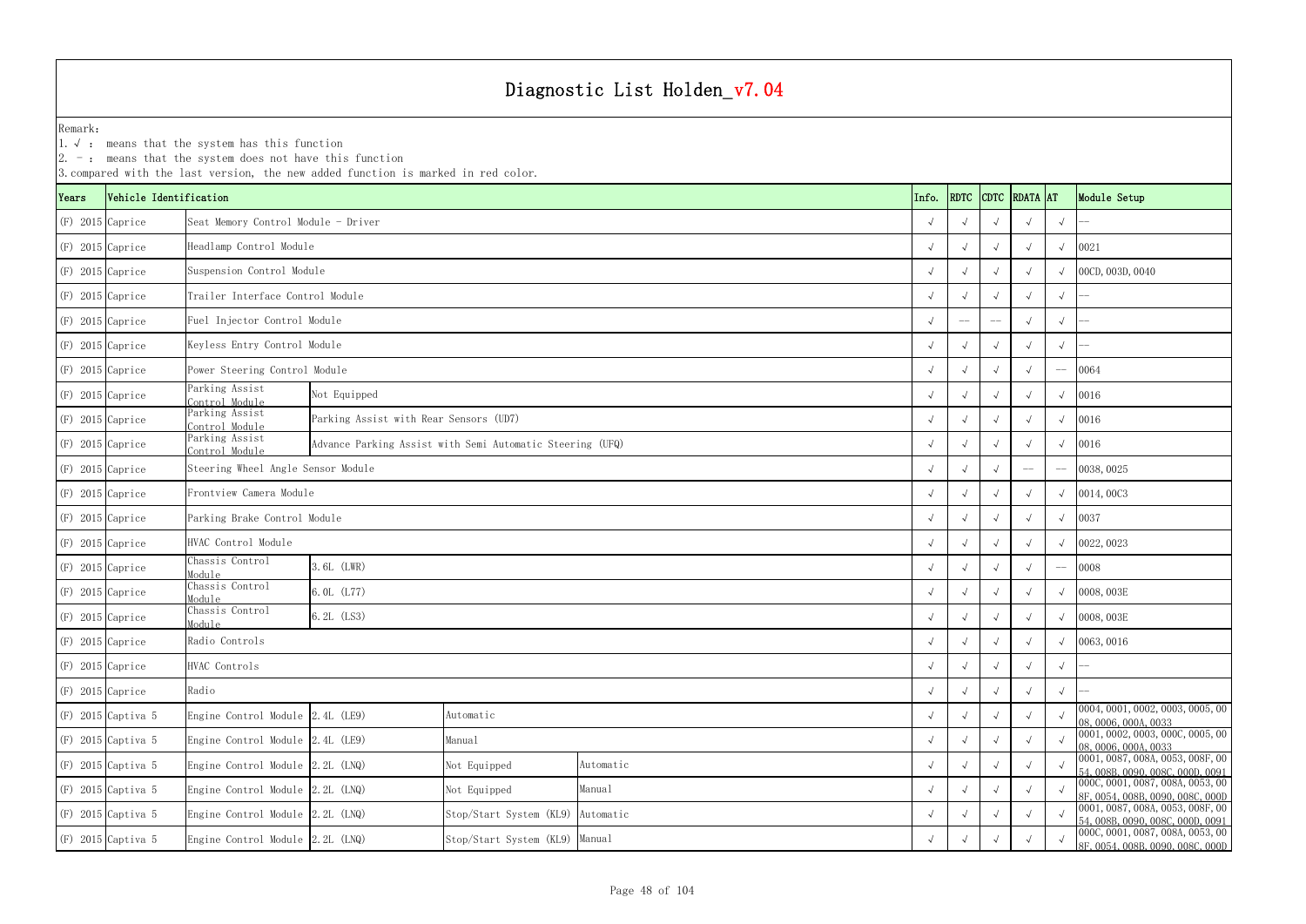1.√ : means that the system has this function

|                    | $ 2. -$ : means that the system does not have this function<br>3. compared with the last version, the new added function is marked in red color. |                                     |                                                                    |                                                           |           |            |             |  |               |            |                                                                                                |  |
|--------------------|--------------------------------------------------------------------------------------------------------------------------------------------------|-------------------------------------|--------------------------------------------------------------------|-----------------------------------------------------------|-----------|------------|-------------|--|---------------|------------|------------------------------------------------------------------------------------------------|--|
| Years              | Vehicle Identification                                                                                                                           |                                     |                                                                    |                                                           |           | Info.      | <b>RDTC</b> |  | CDTC RDATA AT |            | Module Setup                                                                                   |  |
| $(F)$ 2015 Caprice |                                                                                                                                                  | Seat Memory Control Module - Driver |                                                                    |                                                           |           |            |             |  |               | $\sqrt{ }$ |                                                                                                |  |
| $(F)$ 2015 Caprice |                                                                                                                                                  | Headlamp Control Module             |                                                                    |                                                           |           |            |             |  |               |            | 0021                                                                                           |  |
| $(F)$ 2015 Caprice |                                                                                                                                                  | Suspension Control Module           |                                                                    |                                                           |           |            |             |  |               |            | 00CD, 003D, 0040                                                                               |  |
| $(F)$ 2015 Caprice |                                                                                                                                                  | Trailer Interface Control Module    |                                                                    |                                                           |           |            |             |  |               | $\sqrt{ }$ |                                                                                                |  |
| $(F)$ 2015 Caprice |                                                                                                                                                  | Fuel Injector Control Module        |                                                                    |                                                           |           |            |             |  |               | $\sqrt{}$  |                                                                                                |  |
| $(F)$ 2015 Caprice |                                                                                                                                                  |                                     | Keyless Entry Control Module                                       |                                                           |           |            |             |  |               |            |                                                                                                |  |
| $(F)$ 2015 Caprice |                                                                                                                                                  |                                     | Power Steering Control Module                                      |                                                           |           |            |             |  |               |            | 0064                                                                                           |  |
| $(F)$ 2015 Caprice |                                                                                                                                                  | Parking Assist<br>Control Module    | Not Equipped                                                       |                                                           |           |            |             |  |               |            | 0016                                                                                           |  |
| $(F)$ 2015 Caprice |                                                                                                                                                  | Parking Assist<br>Control Module    | Parking Assist with Rear Sensors (UD7)                             |                                                           |           |            |             |  |               |            | 0016                                                                                           |  |
| $(F)$ 2015 Caprice |                                                                                                                                                  | Parking Assist<br>Control Module    |                                                                    | Advance Parking Assist with Semi Automatic Steering (UFQ) |           |            |             |  |               |            | 0016                                                                                           |  |
| $(F)$ 2015 Caprice |                                                                                                                                                  | Steering Wheel Angle Sensor Module  |                                                                    |                                                           |           |            |             |  | $-\! -$       |            | 0038, 0025                                                                                     |  |
| $(F)$ 2015 Caprice |                                                                                                                                                  | Frontview Camera Module             |                                                                    |                                                           |           |            |             |  |               |            | 0014,00C3                                                                                      |  |
| $(F)$ 2015 Caprice |                                                                                                                                                  | Parking Brake Control Module        |                                                                    |                                                           |           |            |             |  |               |            | 0037                                                                                           |  |
| $(F)$ 2015 Caprice |                                                                                                                                                  | HVAC Control Module                 |                                                                    |                                                           |           |            |             |  |               |            | 0022, 0023                                                                                     |  |
| $(F)$ 2015 Caprice |                                                                                                                                                  | Chassis Control<br>Module           | 3.6L (LWR)                                                         |                                                           |           |            |             |  |               |            | 0008                                                                                           |  |
| $(F)$ 2015 Caprice |                                                                                                                                                  | Chassis Control<br>Module           | 6.0L (L77)                                                         |                                                           |           |            |             |  |               |            | 0008, 003E                                                                                     |  |
| $(F)$ 2015 Caprice |                                                                                                                                                  | Chassis Control<br>Module           | $6.2L$ (LS3)                                                       |                                                           |           |            |             |  |               |            | 0008, 003E                                                                                     |  |
| $(F)$ 2015 Caprice |                                                                                                                                                  | Radio Controls                      |                                                                    |                                                           |           | $\sqrt{ }$ |             |  |               |            | $\sqrt{0063,0016}$                                                                             |  |
| $(F)$ 2015 Caprice |                                                                                                                                                  | HVAC Controls                       |                                                                    |                                                           |           |            | $\sim$      |  |               | $\sqrt{ }$ |                                                                                                |  |
| $(F)$ 2015 Caprice |                                                                                                                                                  | Radio                               |                                                                    |                                                           |           |            |             |  |               | $\sqrt{ }$ |                                                                                                |  |
|                    | $(F)$ 2015 Captiva 5                                                                                                                             | Engine Control Module 2.4L (LE9)    |                                                                    | Automatic                                                 |           |            |             |  |               |            | 0004, 0001, 0002, 0003, 0005, 00<br>08, 0006, 000A, 0033                                       |  |
|                    | $(F)$ 2015 Captiva 5                                                                                                                             |                                     | Manual<br>Engine Control Module 2.4L (LE9)                         |                                                           |           |            |             |  |               |            | 0001, 0002, 0003, 000C, 0005, 00<br>08,0006,000A,0033                                          |  |
|                    | $(F)$ 2015 Captiva 5                                                                                                                             |                                     | Engine Control Module 2.2L (LNQ)<br>Not Equipped<br>Automatic      |                                                           |           |            |             |  |               |            | 0001, 0087, 008A, 0053, 008F, 00<br>54, 008B, 0090, 008C, 000D, 0091                           |  |
|                    | $(F)$ 2015 Captiva 5                                                                                                                             | Engine Control Module $2.2L$ (LNQ)  |                                                                    | Not Equipped                                              | Manual    |            |             |  |               |            | 0000, 0001, 0087, 0084, 0053, 00<br>8F, 0054, 008B, 0090, 008C, 000D                           |  |
|                    | $(F)$ 2015 Captiva 5                                                                                                                             | Engine Control Module 2.2L (LNQ)    |                                                                    | Stop/Start System (KL9)                                   | Automatic |            |             |  |               |            | 0001, 0087, 008A, 0053, 008F, 00                                                               |  |
|                    | $(F)$ 2015 Captiva 5                                                                                                                             |                                     | Engine Control Module 2.2L (LNQ)<br>Stop/Start System (KL9) Manual |                                                           |           |            |             |  |               |            | 54,008B,0090,008C,000D,0091<br>000C,0001,0087,008A,0053,00<br>8F, 0054, 008B, 0090, 008C, 000D |  |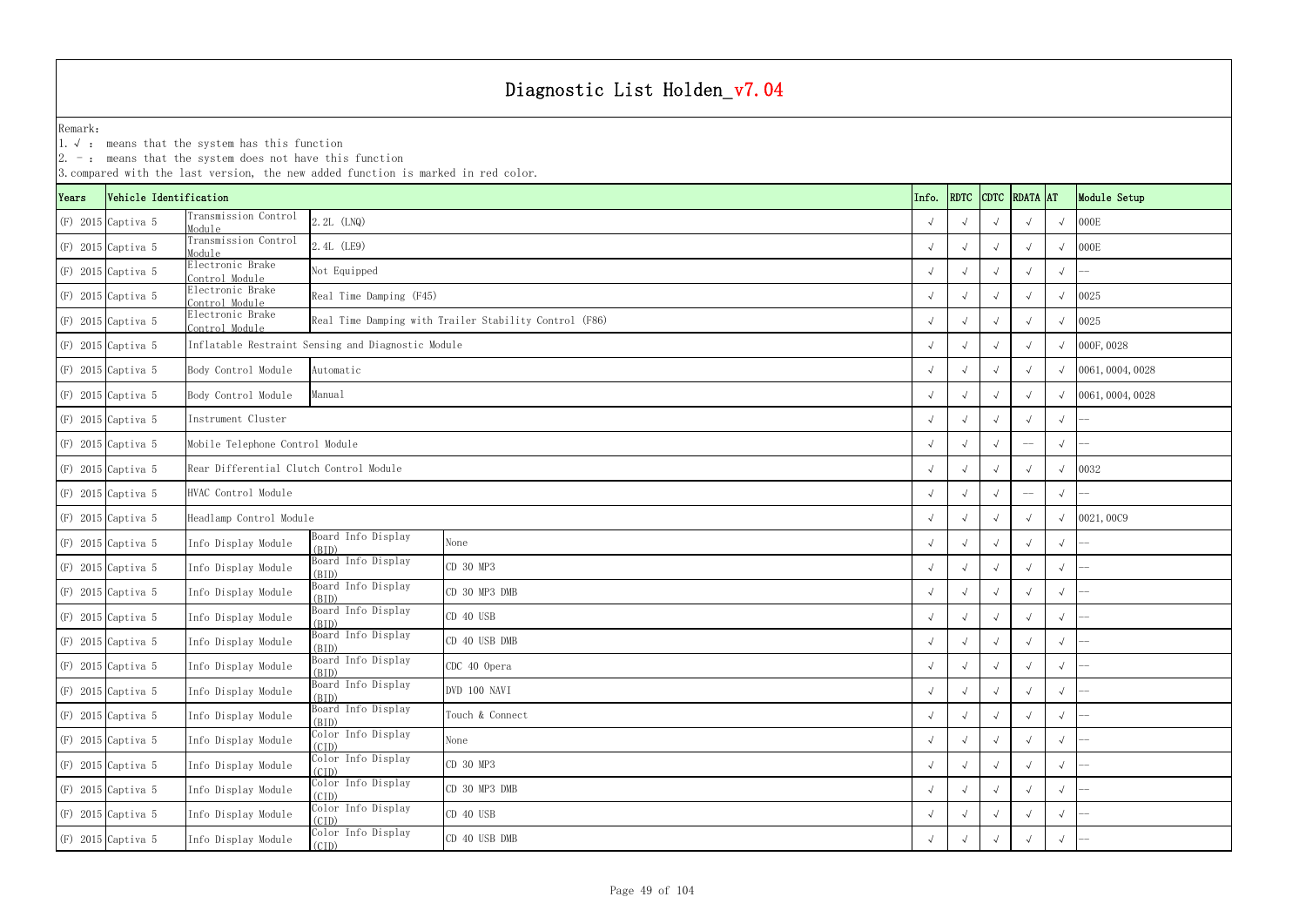|       |                        | $ 2. -$ : means that the system does not have this function | 3. compared with the last version, the new added function is marked in red color. |                 |  |            |            |            |               |            |                         |
|-------|------------------------|-------------------------------------------------------------|-----------------------------------------------------------------------------------|-----------------|--|------------|------------|------------|---------------|------------|-------------------------|
| Years | Vehicle Identification |                                                             |                                                                                   |                 |  | Info.      | RDTC       |            | CDTC RDATA AT |            | Module Setup            |
|       | (F) 2015 Captiva 5     | Transmission Control<br>Module                              | 2.2L (LNQ)                                                                        |                 |  |            |            |            |               | $\sqrt{ }$ | 000E                    |
|       | $(F)$ 2015 Captiva 5   | Transmission Control<br>Module                              | 2.4L (LE9)                                                                        |                 |  |            |            |            |               | $\sqrt{ }$ | 000E                    |
|       | (F) 2015 Captiva 5     | Electronic Brake<br>Control Module                          | Not Equipped                                                                      |                 |  |            |            |            |               | $\sqrt{ }$ |                         |
|       | (F) 2015 Captiva 5     | Electronic Brake<br>Control Module                          | Real Time Damping (F45)                                                           |                 |  |            |            |            |               | $\sqrt{ }$ | 0025                    |
|       | (F) 2015 Captiva 5     | Electronic Brake<br>Control Module                          | Real Time Damping with Trailer Stability Control (F86)                            |                 |  |            |            |            |               | $\sqrt{ }$ | 0025                    |
|       | $(F)$ 2015 Captiva 5   |                                                             | Inflatable Restraint Sensing and Diagnostic Module                                |                 |  |            |            |            |               |            | $\sqrt{000F, 0028}$     |
|       | (F) 2015 Captiva 5     | Body Control Module                                         | Automatic                                                                         |                 |  |            |            |            |               |            | $\sqrt{0061,0004,0028}$ |
|       | $(F)$ 2015 Captiva 5   | Body Control Module                                         | Manual                                                                            |                 |  |            |            |            |               | $\sqrt{ }$ | 0061, 0004, 0028        |
|       | (F) 2015 Captiva 5     | Instrument Cluster                                          |                                                                                   |                 |  |            |            |            |               | $\sqrt{ }$ |                         |
|       | $(F)$ 2015 Captiva 5   | Mobile Telephone Control Module                             |                                                                                   |                 |  |            |            |            | $-\!$ $-$     | $\sqrt{ }$ |                         |
|       | (F) 2015 Captiva 5     | Rear Differential Clutch Control Module                     |                                                                                   |                 |  |            |            |            |               | $\sqrt{ }$ | 0032                    |
|       | $(F)$ 2015 Captiva 5   | HVAC Control Module                                         |                                                                                   |                 |  |            |            |            | $-\!$ $\!-$   | $\sqrt{ }$ |                         |
|       | (F) 2015 Captiva 5     | Headlamp Control Module                                     |                                                                                   |                 |  |            |            |            |               | $\sqrt{ }$ | 0021,0009               |
|       | $(F)$ 2015 Captiva 5   | Info Display Module                                         | Board Info Display<br>(BID)                                                       | None            |  |            |            |            |               | $\sqrt{ }$ |                         |
|       | (F) 2015 Captiva 5     | Info Display Module                                         | Board Info Display<br>(BID)                                                       | CD 30 MP3       |  |            |            |            |               | $\sqrt{ }$ |                         |
|       | $(F)$ 2015 Captiva 5   | Info Display Module                                         | Board Info Display<br>(BID)                                                       | CD 30 MP3 DMB   |  |            |            |            |               | $\sqrt{ }$ |                         |
|       | $(F)$ 2015 Captiva 5   | Info Display Module                                         | Board Info Display<br>(BID)                                                       | CD 40 USB       |  | $\sqrt{ }$ |            |            |               | $\sqrt{ }$ |                         |
|       | $(F)$ 2015 Captiva 5   | Info Display Module                                         | Board Info Display<br>(BID)                                                       | CD 40 USB DMB   |  | $\sqrt{ }$ | $\sqrt{ }$ | $\sqrt{ }$ | $\sqrt{ }$    | $\sqrt{ }$ |                         |
|       | (F) 2015 Captiva 5     | Info Display Module                                         | Board Info Display<br>(BID)                                                       | CDC 40 Opera    |  | $\sqrt{ }$ |            |            |               | $\sqrt{ }$ |                         |
|       | $(F)$ 2015 Captiva 5   | Info Display Module                                         | Board Info Display<br>(BID)                                                       | DVD 100 NAVI    |  |            |            |            |               | $\sqrt{ }$ |                         |
|       | $(F)$ 2015 Captiva 5   | Info Display Module                                         | Board Info Display<br>(BID)                                                       | Touch & Connect |  | $\sqrt{ }$ |            |            |               | $\sqrt{ }$ |                         |
|       | $(F)$ 2015 Captiva 5   | Info Display Module                                         | Color Info Display<br>(CID)                                                       | None            |  | $\sqrt{ }$ | $\sqrt{ }$ | $\sqrt{ }$ |               | $\sqrt{ }$ |                         |
|       | (F) 2015 Captiva 5     | Info Display Module                                         | Color Info Display<br>(CID)                                                       | CD 30 MP3       |  | $\sqrt{ }$ |            |            |               | $\sqrt{ }$ |                         |
|       | $(F)$ 2015 Captiva 5   | Info Display Module                                         | Color Info Display<br>(CID)                                                       | CD 30 MP3 DMB   |  |            |            |            |               | $\sqrt{ }$ |                         |
|       | (F) 2015 Captiva 5     | Info Display Module                                         | Color Info Display<br>(CID)                                                       | CD 40 USB       |  | $\sqrt{ }$ |            |            |               | $\sqrt{ }$ |                         |
|       | (F) 2015 Captiva 5     | Info Display Module                                         | Color Info Display<br>(CID)                                                       | CD 40 USB DMB   |  | $\sqrt{ }$ | $\sqrt{ }$ | $\sqrt{ }$ | $\sqrt{ }$    | $\sqrt{ }$ |                         |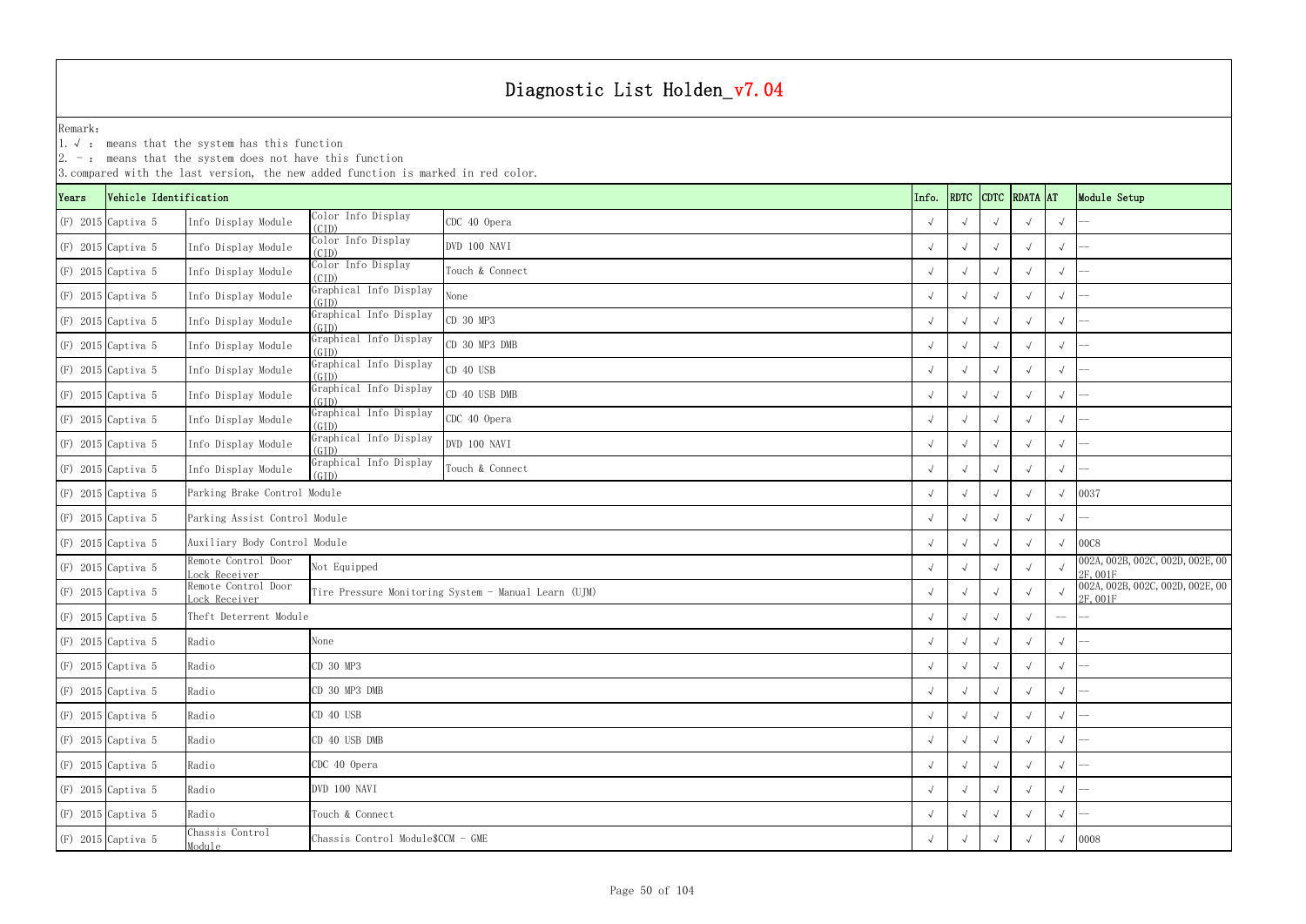|       |                        | $ 2.$ -: means that the system does not have this function | 3. compared with the last version, the new added function is marked in red color. |                 |  |  |            |            |            |               |            |                                              |
|-------|------------------------|------------------------------------------------------------|-----------------------------------------------------------------------------------|-----------------|--|--|------------|------------|------------|---------------|------------|----------------------------------------------|
| Years | Vehicle Identification |                                                            |                                                                                   |                 |  |  | Info.      | RDTC       |            | CDTC RDATA AT |            | Module Setup                                 |
|       | $(F)$ 2015 Captiva 5   | Info Display Module                                        | Color Info Display<br>(CID)                                                       | CDC 40 Opera    |  |  |            |            |            |               | $\sqrt{ }$ |                                              |
|       | $(F)$ 2015 Captiva 5   | Info Display Module                                        | Color Info Display<br>(CID)                                                       | DVD 100 NAVI    |  |  |            |            |            |               | $\sqrt{ }$ |                                              |
|       | $(F)$ 2015 Captiva 5   | Info Display Module                                        | Color Info Display<br>(CID)                                                       | Touch & Connect |  |  |            |            |            |               | $\sqrt{ }$ |                                              |
|       | $(F)$ 2015 Captiva 5   | Info Display Module                                        | Graphical Info Display<br>(GID)                                                   | None            |  |  |            |            |            |               | $\sqrt{}$  |                                              |
|       | $(F)$ 2015 Captiva 5   | Info Display Module                                        | Graphical Info Display<br>(GID)                                                   | CD 30 MP3       |  |  |            | $\sqrt{ }$ |            |               | $\sqrt{ }$ |                                              |
|       | $(F)$ 2015 Captiva 5   | Info Display Module                                        | Graphical Info Display<br>(GID)                                                   | CD 30 MP3 DMB   |  |  |            |            |            |               | $\sqrt{ }$ |                                              |
|       | $(F)$ 2015 Captiva 5   | Info Display Module                                        | Graphical Info Display<br>CD 40 USB<br>(GID)                                      |                 |  |  |            |            |            |               | $\sqrt{ }$ |                                              |
|       | $(F)$ 2015 Captiva 5   | Info Display Module                                        | Graphical Info Display<br>CD 40 USB DMB<br>(GID)                                  |                 |  |  |            |            |            |               | $\sqrt{ }$ |                                              |
|       | $(F)$ 2015 Captiva 5   | Info Display Module                                        | Graphical Info Display<br>(GID)                                                   | CDC 40 Opera    |  |  |            |            |            |               | $\sqrt{ }$ |                                              |
|       | $(F)$ 2015 Captiva 5   | Info Display Module                                        | Graphical Info Display<br>(GID)                                                   | DVD 100 NAVI    |  |  |            |            |            |               | $\sqrt{ }$ |                                              |
|       | $(F)$ 2015 Captiva 5   | Info Display Module                                        | Graphical Info Display<br>(GID)                                                   | Touch & Connect |  |  |            |            |            |               | $\sqrt{ }$ |                                              |
|       | $(F)$ 2015 Captiva 5   | Parking Brake Control Module                               |                                                                                   |                 |  |  |            |            |            |               |            | 0037                                         |
|       | $(F)$ 2015 Captiva 5   | Parking Assist Control Module                              |                                                                                   |                 |  |  |            |            |            |               |            |                                              |
|       | $(F)$ 2015 Captiva 5   | Auxiliary Body Control Module                              |                                                                                   |                 |  |  |            |            |            |               |            | 00C8                                         |
|       | $(F)$ 2015 Captiva 5   | Remote Control Door<br>ock Receiver                        | Not Equipped                                                                      |                 |  |  |            |            |            |               |            | 002A, 002B, 002C, 002D, 002E, 00<br>2F, 001F |
|       | $(F)$ 2015 Captiva 5   | Remote Control Door<br>ock Receiver                        | Tire Pressure Monitoring System - Manual Learn (UJM)                              |                 |  |  |            |            |            |               |            | 002A, 002B, 002C, 002D, 002E, 00<br>2F, 001F |
|       | $(F)$ 2015 Captiva 5   | Theft Deterrent Module                                     |                                                                                   |                 |  |  |            |            |            |               | $-\!-\!$   |                                              |
|       | $(F)$ 2015 Captiva 5   | Radio                                                      | None                                                                              |                 |  |  | $\sqrt{ }$ | $\sqrt{ }$ | $\sqrt{ }$ | $\sqrt{ }$    | $\sqrt{ }$ |                                              |
|       | (F) 2015 Captiva 5     | Radio                                                      | CD 30 MP3                                                                         |                 |  |  |            |            |            |               | $\sqrt{ }$ |                                              |
|       | $(F)$ 2015 Captiva 5   | Radio                                                      | CD 30 MP3 DMB                                                                     |                 |  |  |            | $\sqrt{ }$ |            |               | $\sqrt{ }$ |                                              |
|       | $(F)$ 2015 Captiva 5   | Radio                                                      | CD 40 USB                                                                         |                 |  |  |            |            |            | $\sqrt{ }$    | $\sqrt{ }$ |                                              |
|       | $(F)$ 2015 Captiva 5   | Radio                                                      | CD 40 USB DMB                                                                     |                 |  |  |            |            |            |               | $\sqrt{ }$ |                                              |
|       | (F) 2015 Captiva 5     | Radio                                                      | CDC 40 Opera                                                                      |                 |  |  |            |            |            |               | $\sqrt{ }$ |                                              |
|       | $(F)$ 2015 Captiva 5   | Radio                                                      | DVD 100 NAVI                                                                      |                 |  |  |            |            |            |               | $\sqrt{}$  |                                              |
|       | $(F)$ 2015 Captiva 5   | Radio                                                      | Touch & Connect                                                                   |                 |  |  |            |            |            |               | $\sqrt{ }$ |                                              |
|       | $(F)$ 2015 Captiva 5   | Chassis Control<br>Module                                  | Chassis Control Module\$CCM - GME                                                 |                 |  |  |            |            |            |               |            | 0008                                         |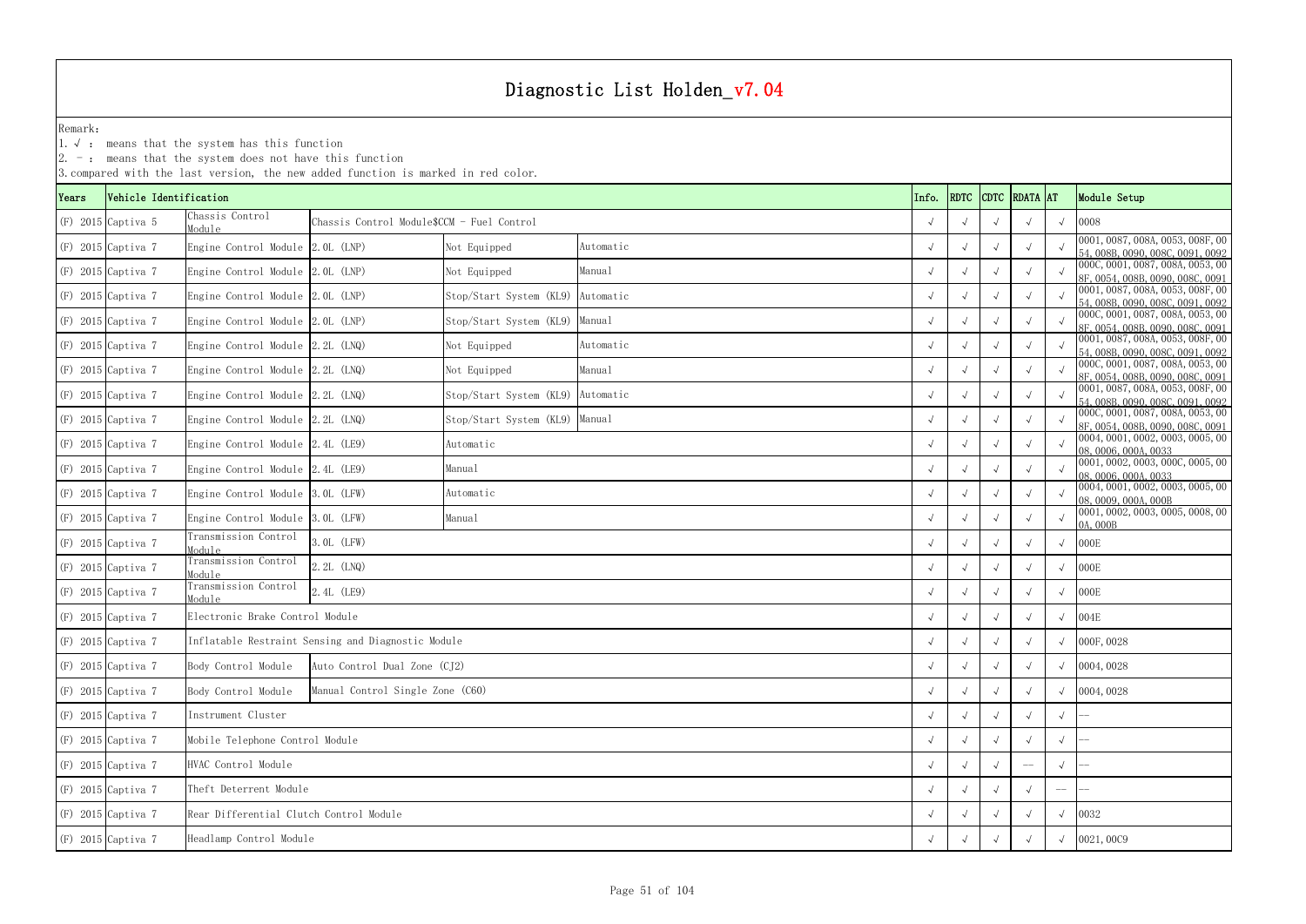1.√ : means that the system has this function

|       |                        |                                         | 3. compared with the last version, the new added function is marked in red color. |                                      |           |            |                    |            |  |             |                                                                      |
|-------|------------------------|-----------------------------------------|-----------------------------------------------------------------------------------|--------------------------------------|-----------|------------|--------------------|------------|--|-------------|----------------------------------------------------------------------|
| Years | Vehicle Identification |                                         |                                                                                   |                                      |           | Info.      | RDTC CDTC RDATA AT |            |  |             | Module Setup                                                         |
|       | $(F)$ 2015 Captiva 5   | Chassis Control<br>Module               | Chassis Control Module\$CCM - Fuel Control                                        |                                      |           | $\sqrt{ }$ |                    |            |  |             | 0008                                                                 |
|       | (F) 2015 Captiva 7     | Engine Control Module 2.0L (LNP)        |                                                                                   | Not Equipped                         | Automatic |            |                    |            |  |             | 0001, 0087, 008A, 0053, 008F, 00<br>54, 008B, 0090, 008C, 0091, 0092 |
|       | $(F)$ 2015 Captiva 7   | Engine Control Module 2.0L (LNP)        |                                                                                   | Not Equipped                         | Manual    | $\sqrt{ }$ |                    |            |  |             | 000C, 0001, 0087, 008A, 0053, 00<br>8F, 0054, 008B, 0090, 008C, 0091 |
|       | $(F)$ 2015 Captiva 7   | Engine Control Module 2.0L (LNP)        |                                                                                   | Stop/Start System (KL9)              | Automatic |            |                    |            |  |             | 0001, 0087, 008A, 0053, 008F, 00<br>54, 008B, 0090, 008C, 0091, 0092 |
|       | $(F)$ 2015 Captiva 7   | Engine Control Module 2.0L (LNP)        |                                                                                   | Stop/Start System (KL9)              | Manual    | $\sqrt{ }$ |                    |            |  |             | 000C, 0001, 0087, 008A, 0053, 00<br>8F, 0054, 008B, 0090, 008C, 0091 |
|       | $(F)$ 2015 Captiva 7   | Engine Control Module 2.2L (LNQ)        |                                                                                   | Not Equipped                         | Automatic |            |                    |            |  |             | 0001, 0087, 008A, 0053, 008F, 00<br>54, 008B, 0090, 008C, 0091, 0092 |
|       | $(F)$ 2015 Captiva 7   | Engine Control Module 2.2L (LNQ)        |                                                                                   | Manual<br>Not Equipped               |           |            |                    |            |  |             | 000C, 0001, 0087, 008A, 0053, 00<br>8F, 0054, 008B, 0090, 008C, 0091 |
|       | $(F)$ 2015 Captiva 7   | Engine Control Module 2.2L (LNQ)        |                                                                                   | Stop/Start System (KL9)<br>Automatic |           |            |                    |            |  |             | 0001, 0087, 008A, 0053, 008F, 00<br>54, 008B, 0090, 008C, 0091, 0092 |
|       | $(F)$ 2015 Captiva 7   | Engine Control Module 2.2L (LNQ)        |                                                                                   | Stop/Start System (KL9) Manual       |           | $\sqrt{ }$ |                    |            |  |             | 000C, 0001, 0087, 008A, 0053, 00<br>8F, 0054, 008B, 0090, 008C, 0091 |
|       | (F) 2015 Captiva 7     | Engine Control Module 2.4L (LE9)        |                                                                                   | Automatic                            |           |            |                    |            |  |             | 0004, 0001, 0002, 0003, 0005, 00<br>08,0006,000A,0033                |
|       | $(F)$ 2015 Captiva 7   | Engine Control Module 2.4L (LE9)        |                                                                                   | Manual                               |           | $\sqrt{ }$ |                    |            |  |             | 0001, 0002, 0003, 000C, 0005, 00<br>08,0006,000A,0033                |
|       | $(F)$ 2015 Captiva 7   | Engine Control Module 3.0L (LFW)        |                                                                                   | Automatic                            |           |            |                    |            |  |             | 0004, 0001, 0002, 0003, 0005, 00<br>08, 0009, 000A, 000B             |
|       | $(F)$ 2015 Captiva 7   | Engine Control Module 3.0L (LFW)        |                                                                                   | Manual                               |           | $\sqrt{ }$ |                    |            |  |             | 0001, 0002, 0003, 0005, 0008, 00<br>0A, 000B                         |
|       | $(F)$ 2015 Captiva 7   | Transmission Control<br>Module          | 3. OL (LFW)                                                                       |                                      |           |            |                    |            |  |             | 000E                                                                 |
|       | $(F)$ 2015 Captiva 7   | Transmission Control<br>Module          | 2.2L (LNQ)                                                                        |                                      |           |            |                    |            |  | $\sqrt{ }$  | 000E                                                                 |
|       | $(F)$ 2015 Captiva 7   | Transmission Control<br>Module          | 2.4L (LE9)                                                                        |                                      |           |            |                    |            |  |             | 000E                                                                 |
|       | $(F)$ 2015 Captiva 7   | Electronic Brake Control Module         |                                                                                   |                                      |           |            |                    |            |  |             | 004E                                                                 |
|       | $(F)$ 2015 Captiva 7   |                                         | Inflatable Restraint Sensing and Diagnostic Module                                |                                      |           |            |                    |            |  |             | 000F, 0028                                                           |
|       | $(F)$ 2015 Captiva 7   | Body Control Module                     | Auto Control Dual Zone (CJ2)                                                      |                                      |           | $\sqrt{ }$ |                    | $\sqrt{ }$ |  |             | 0004, 0028                                                           |
|       | $(F)$ 2015 Captiva 7   | Body Control Module                     | Manual Control Single Zone (C60)                                                  |                                      |           |            |                    |            |  |             | 0004, 0028                                                           |
|       | $(F)$ 2015 Captiva 7   | Instrument Cluster                      |                                                                                   |                                      |           |            |                    |            |  | $\sqrt{ }$  |                                                                      |
|       | (F) 2015 Captiva 7     |                                         | Mobile Telephone Control Module                                                   |                                      |           |            |                    |            |  | $\sqrt{ }$  |                                                                      |
|       | $(F)$ 2015 Captiva 7   | HVAC Control Module                     |                                                                                   |                                      |           |            |                    |            |  | $\sqrt{ }$  |                                                                      |
|       | $(F)$ 2015 Captiva 7   | Theft Deterrent Module                  |                                                                                   |                                      |           |            |                    |            |  | $-\!$ $\!-$ |                                                                      |
|       | $(F)$ 2015 Captiva 7   | Rear Differential Clutch Control Module |                                                                                   |                                      |           | $\sqrt{ }$ |                    |            |  |             | 0032                                                                 |
|       | (F) 2015 Captiva 7     | Headlamp Control Module                 |                                                                                   |                                      |           |            |                    |            |  | 0021,0009   |                                                                      |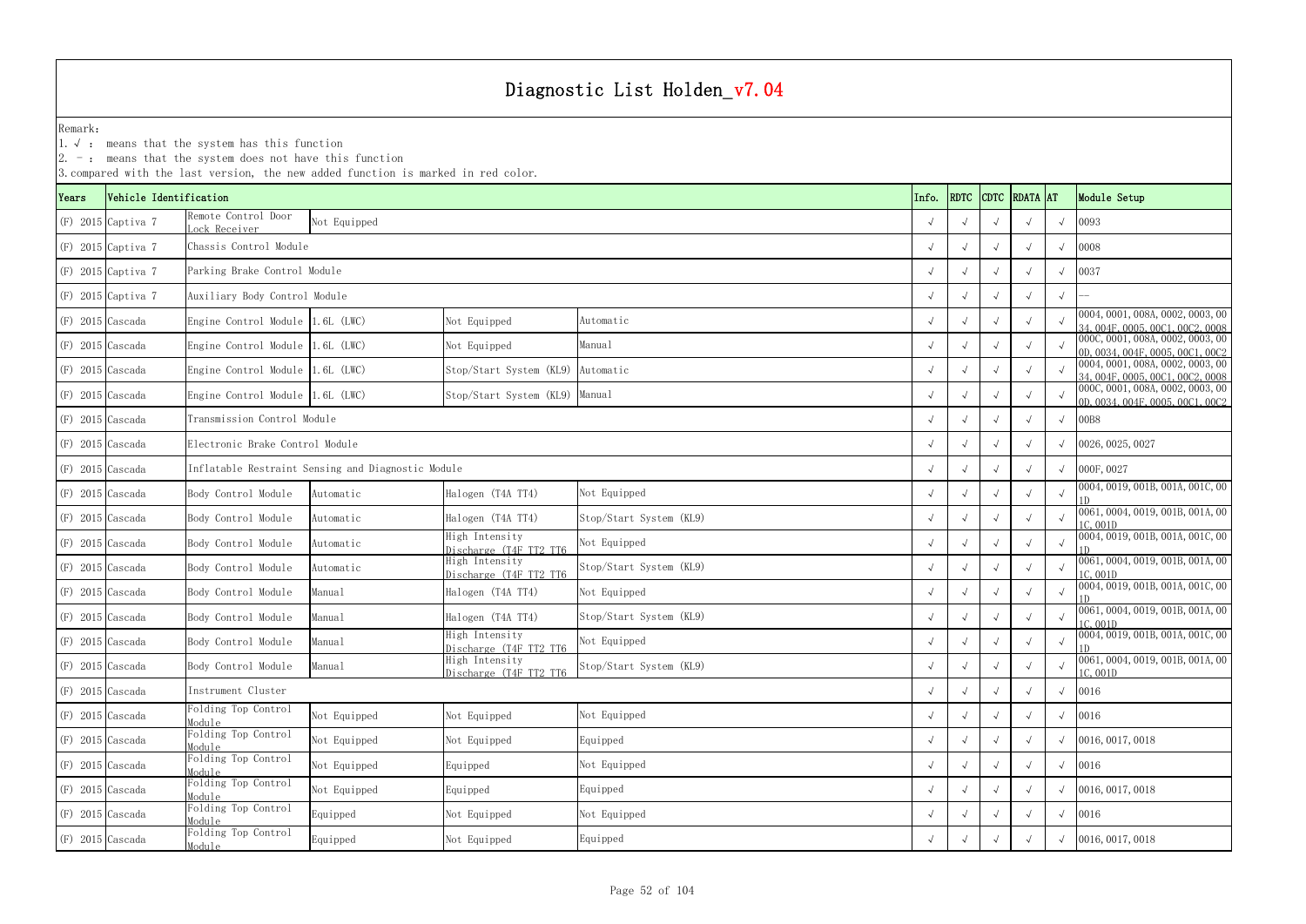|                    |                        | 3. compared with the last version, the new added function is marked in red color. |                                                    |                                          |                         |            |                           |            |                                                                      |
|--------------------|------------------------|-----------------------------------------------------------------------------------|----------------------------------------------------|------------------------------------------|-------------------------|------------|---------------------------|------------|----------------------------------------------------------------------|
| Years              | Vehicle Identification |                                                                                   |                                                    |                                          |                         | Info.      | <b>RDTC CDTC RDATA AT</b> |            | Module Setup                                                         |
|                    | $(F)$ 2015 Captiva 7   | Remote Control Door<br>ock Receiver                                               | Not Equipped                                       |                                          |                         |            |                           |            | 0093                                                                 |
|                    | $(F)$ 2015 Captiva 7   | Chassis Control Module                                                            |                                                    |                                          |                         |            |                           |            | 0008                                                                 |
|                    | $(F)$ 2015 Captiva 7   | Parking Brake Control Module                                                      |                                                    |                                          |                         |            |                           |            | 0037                                                                 |
|                    | $(F)$ 2015 Captiva 7   | Auxiliary Body Control Module                                                     |                                                    |                                          |                         |            |                           |            |                                                                      |
| $(F)$ 2015 Cascada |                        | Engine Control Module 1.6L (LWC)                                                  |                                                    | Not Equipped                             | Automatic               |            |                           |            | 0004, 0001, 008A, 0002, 0003, 00<br>34, 004F, 0005, 00C1, 00C2, 0008 |
| $(F)$ 2015 Cascada |                        | Engine Control Module 1.6L (LWC)                                                  |                                                    | Not Equipped                             | Manual                  |            |                           |            | 000C, 0001, 008A, 0002, 0003, 00<br>0D, 0034, 004F, 0005, 00C1, 00C2 |
| $(F)$ 2015 Cascada |                        | Engine Control Module 1.6L (LWC)                                                  |                                                    | Stop/Start System (KL9)                  | Automatic               |            |                           |            | 0004, 0001, 008A, 0002, 0003, 00<br>34, 004F, 0005, 00C1, 00C2, 0008 |
| $(F)$ 2015 Cascada |                        | Engine Control Module 1.6L (LWC)                                                  |                                                    | Stop/Start System (KL9)                  | Manual                  |            |                           |            | 000C, 0001, 008A, 0002, 0003, 00<br>0D, 0034, 004F, 0005, 00C1, 00C2 |
| $(F)$ 2015 Cascada |                        | Transmission Control Module                                                       |                                                    |                                          |                         |            |                           | $\sqrt{ }$ | 00B8                                                                 |
| $(F)$ 2015 Cascada |                        | Electronic Brake Control Module                                                   |                                                    |                                          |                         |            |                           |            | 0026, 0025, 0027                                                     |
| $(F)$ 2015 Cascada |                        |                                                                                   | Inflatable Restraint Sensing and Diagnostic Module |                                          |                         |            |                           |            | 000F, 0027                                                           |
| $(F)$ 2015 Cascada |                        | Body Control Module                                                               | Automatic                                          | Halogen (T4A TT4)                        | Not Equipped            |            |                           |            | 0004, 0019, 001B, 001A, 001C, 00                                     |
| $(F)$ 2015 Cascada |                        | Body Control Module                                                               | Automatic                                          | Halogen (T4A TT4)                        | Stop/Start System (KL9) |            |                           |            | 0061, 0004, 0019, 001B, 001A, 00<br>1C, 001D                         |
| $(F)$ 2015 Cascada |                        | Body Control Module                                                               | Automatic                                          | High Intensity<br>Discharge (T4F TT2 TT6 | Not Equipped            |            |                           |            | 0004, 0019, 001B, 001A, 001C, 00                                     |
| $(F)$ 2015 Cascada |                        | Body Control Module                                                               | Automatic                                          | High Intensity<br>Discharge (T4F TT2 TT6 | Stop/Start System (KL9) |            |                           |            | 0061, 0004, 0019, 001B, 001A, 00<br>1C.001D                          |
| $(F)$ 2015 Cascada |                        | Body Control Module                                                               | Manual                                             | Halogen (T4A TT4)                        | Not Equipped            | $\sqrt{ }$ |                           |            | 0004, 0019, 001B, 001A, 001C, 00                                     |
| $(F)$ 2015 Cascada |                        | Body Control Module                                                               | Manual                                             | Halogen (T4A TT4)                        | Stop/Start System (KL9) |            |                           |            | 0061, 0004, 0019, 001B, 001A, 00<br>1C, 001D                         |
| $(F)$ 2015 Cascada |                        | Body Control Module                                                               | Manual                                             | High Intensity<br>Discharge (T4F TT2 TT6 | Not Equipped            | $\sqrt{ }$ |                           |            | 0004, 0019, 001B, 001A, 001C, 00<br>1 <sub>D</sub>                   |
| $(F)$ 2015 Cascada |                        | Body Control Module                                                               | Manual                                             | High Intensity<br>Discharge (T4F TT2 TT6 | Stop/Start System (KL9) | $\sqrt{ }$ |                           |            | 0061, 0004, 0019, 001B, 001A, 00<br>1C, 001D                         |
| $(F)$ 2015 Cascada |                        | Instrument Cluster                                                                |                                                    |                                          |                         | $\sqrt{ }$ |                           |            | 0016                                                                 |
| $(F)$ 2015 Cascada |                        | Folding Top Control<br>Module                                                     | Not Equipped                                       | Not Equipped                             | Not Equipped            | $\sqrt{ }$ |                           |            | 0016                                                                 |
| $(F)$ 2015 Cascada |                        | Folding Top Control<br>Module                                                     | Not Equipped                                       | Not Equipped                             | Equipped                | $\sqrt{ }$ |                           |            | 0016, 0017, 0018                                                     |
| $(F)$ 2015 Cascada |                        | Folding Top Control<br>Module                                                     | Not Equipped                                       | Equipped                                 | Not Equipped            |            |                           |            | 0016                                                                 |
| $(F)$ 2015 Cascada |                        | Folding Top Control<br>Module                                                     | Not Equipped                                       | Equipped                                 | Equipped                | $\sqrt{ }$ |                           |            | 0016, 0017, 0018                                                     |
| $(F)$ 2015 Cascada |                        | Folding Top Control<br>Module                                                     | Equipped                                           | Not Equipped                             | Not Equipped            | $\sqrt{ }$ |                           | $\sqrt{ }$ | 0016                                                                 |
|                    | $(F)$ 2015 Cascada     | Folding Top Control<br>Module                                                     | Equipped                                           | Not Equipped                             | Equipped                |            |                           | $\sqrt{ }$ | 0016, 0017, 0018                                                     |
|                    |                        |                                                                                   |                                                    |                                          |                         |            |                           |            |                                                                      |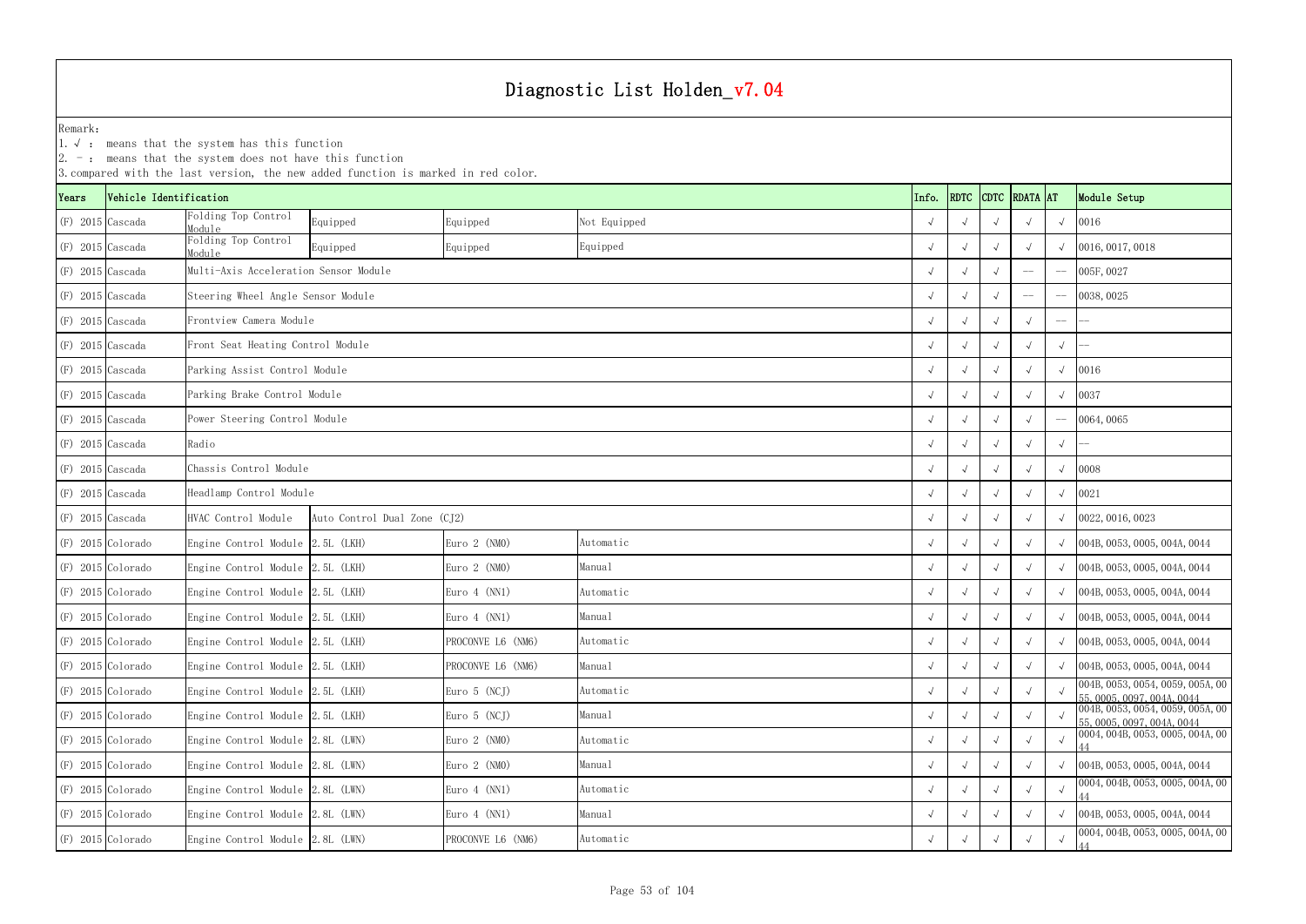|       |                        | $ 2.$ -: means that the system does not have this function | 3. compared with the last version, the new added function is marked in red color. |                   |              |            |             |               |            |                                                                |
|-------|------------------------|------------------------------------------------------------|-----------------------------------------------------------------------------------|-------------------|--------------|------------|-------------|---------------|------------|----------------------------------------------------------------|
| Years | Vehicle Identification |                                                            |                                                                                   |                   |              | Info.      | <b>RDTC</b> | CDTC RDATA AT |            | Module Setup                                                   |
|       | $(F)$ 2015 Cascada     | Folding Top Control<br>Module                              | Equipped                                                                          | Equipped          | Not Equipped |            |             |               | $\sqrt{ }$ | 0016                                                           |
|       | $(F)$ 2015 Cascada     | Folding Top Control<br>Module                              | Equipped                                                                          | Equipped          | Equipped     |            |             |               | $\sqrt{ }$ | 0016, 0017, 0018                                               |
|       | $(F)$ 2015 Cascada     | Multi-Axis Acceleration Sensor Module                      |                                                                                   |                   |              |            |             | $-\!$ $-$     | $-\! -$    | 005F, 0027                                                     |
|       | $(F)$ 2015 Cascada     | Steering Wheel Angle Sensor Module                         |                                                                                   |                   |              |            |             |               |            | 0038, 0025                                                     |
|       | $(F)$ 2015 Cascada     | Frontview Camera Module                                    |                                                                                   |                   |              |            |             |               |            |                                                                |
|       | $(F)$ 2015 Cascada     | Front Seat Heating Control Module                          |                                                                                   |                   |              |            |             |               | $\sqrt{ }$ |                                                                |
|       | $(F)$ 2015 Cascada     | Parking Assist Control Module                              |                                                                                   |                   |              |            |             |               | $\sqrt{ }$ | 0016                                                           |
|       | $(F)$ 2015 Cascada     | Parking Brake Control Module                               |                                                                                   |                   |              |            |             |               | $\sqrt{ }$ | 0037                                                           |
|       | $(F)$ 2015 Cascada     | Power Steering Control Module                              |                                                                                   |                   |              |            |             |               | $-\!-\!$   | 0064,0065                                                      |
|       | $(F)$ 2015 Cascada     | Radio                                                      |                                                                                   |                   |              |            |             |               | $\sqrt{ }$ |                                                                |
|       | $(F)$ 2015 Cascada     | Chassis Control Module                                     |                                                                                   |                   |              |            |             |               | $\sqrt{ }$ | 0008                                                           |
|       | $(F)$ 2015 Cascada     | Headlamp Control Module                                    |                                                                                   |                   |              |            |             |               | $\sqrt{ }$ | 0021                                                           |
|       | $(F)$ 2015 Cascada     | HVAC Control Module                                        | Auto Control Dual Zone (CJ2)                                                      |                   |              |            |             |               | $\sqrt{ }$ | 0022, 0016, 0023                                               |
|       | $(F)$ 2015 Colorado    | Engine Control Module 2.5L (LKH)                           |                                                                                   | Euro $2$ (NMO)    | Automatic    |            |             |               |            | $\sqrt{004B, 0053, 0005, 004A, 0044}$                          |
|       | $(F)$ 2015 Colorado    | Engine Control Module 2.5L (LKH)                           |                                                                                   | Euro $2$ (NMO)    | Manual       |            |             |               |            | $\sqrt{004B}$ , 0053, 0005, 004A, 0044                         |
|       | $(F)$ 2015 Colorado    | Engine Control Module 2.5L (LKH)                           |                                                                                   | Euro $4$ (NN1)    | Automatic    |            |             |               | $\sqrt{ }$ | 004B, 0053, 0005, 004A, 0044                                   |
|       | $(F)$ 2015 Colorado    | Engine Control Module 2.5L (LKH)                           |                                                                                   | Euro $4$ (NN1)    | Manual       |            |             |               | $\sqrt{ }$ | 004B, 0053, 0005, 004A, 0044                                   |
|       | (F) 2015 Colorado      | Engine Control Module 2.5L (LKH)                           |                                                                                   | PROCONVE L6 (NM6) | Automatic    | $\sqrt{ }$ | $\sqrt{ }$  |               | $\sqrt{ }$ | 004B, 0053, 0005, 004A, 0044                                   |
|       | $(F)$ 2015 Colorado    | Engine Control Module 2.5L (LKH)                           |                                                                                   | PROCONVE L6 (NM6) | Manual       | $\sqrt{ }$ |             |               |            | 004B, 0053, 0005, 004A, 0044                                   |
|       | $(F)$ 2015 Colorado    | Engine Control Module 2.5L (LKH)                           |                                                                                   | Euro $5$ (NCJ)    | Automatic    |            |             |               | $\sqrt{ }$ | 004B, 0053, 0054, 0059, 005A, 00<br>55, 0005, 0097, 004A, 0044 |
|       | $(F)$ 2015 Colorado    | Engine Control Module 2.5L (LKH)                           |                                                                                   | Euro $5$ (NCJ)    | Manual       | $\sqrt{ }$ |             |               |            | 004B, 0053, 0054, 0059, 005A, 00<br>55, 0005, 0097, 004A, 0044 |
|       | $(F)$ 2015 Colorado    | Engine Control Module 2.8L (LWN)                           |                                                                                   | Euro $2$ (NMO)    | Automatic    | $\sqrt{ }$ | $\sqrt{ }$  | $\sqrt{ }$    | $\sqrt{ }$ | 0004, 004B, 0053, 0005, 004A, 00                               |
|       | $(F)$ 2015 Colorado    | Engine Control Module 2.8L (LWN)                           |                                                                                   | Euro $2$ (NMO)    | Manual       | $\sqrt{ }$ |             |               |            | $\sqrt{004B, 0053, 0005, 004A, 0044}$                          |
|       | $(F)$ 2015 Colorado    | Engine Control Module 2.8L (LWN)                           |                                                                                   | Euro 4 (NN1)      | Automatic    |            |             |               | $\sqrt{ }$ | 0004, 004B, 0053, 0005, 004A, 00                               |
|       | $(F)$ 2015 Colorado    | Engine Control Module 2.8L (LWN)                           |                                                                                   | Euro $4$ (NN1)    | Manual       | $\sqrt{ }$ |             |               |            | $\sqrt{004B}$ , 0053, 0005, 004A, 0044                         |
|       | $(F)$ 2015 Colorado    | Engine Control Module 2.8L (LWN)                           |                                                                                   | PROCONVE L6 (NM6) | Automatic    | $\sqrt{ }$ |             |               |            | 0004, 004B, 0053, 0005, 004A, 00                               |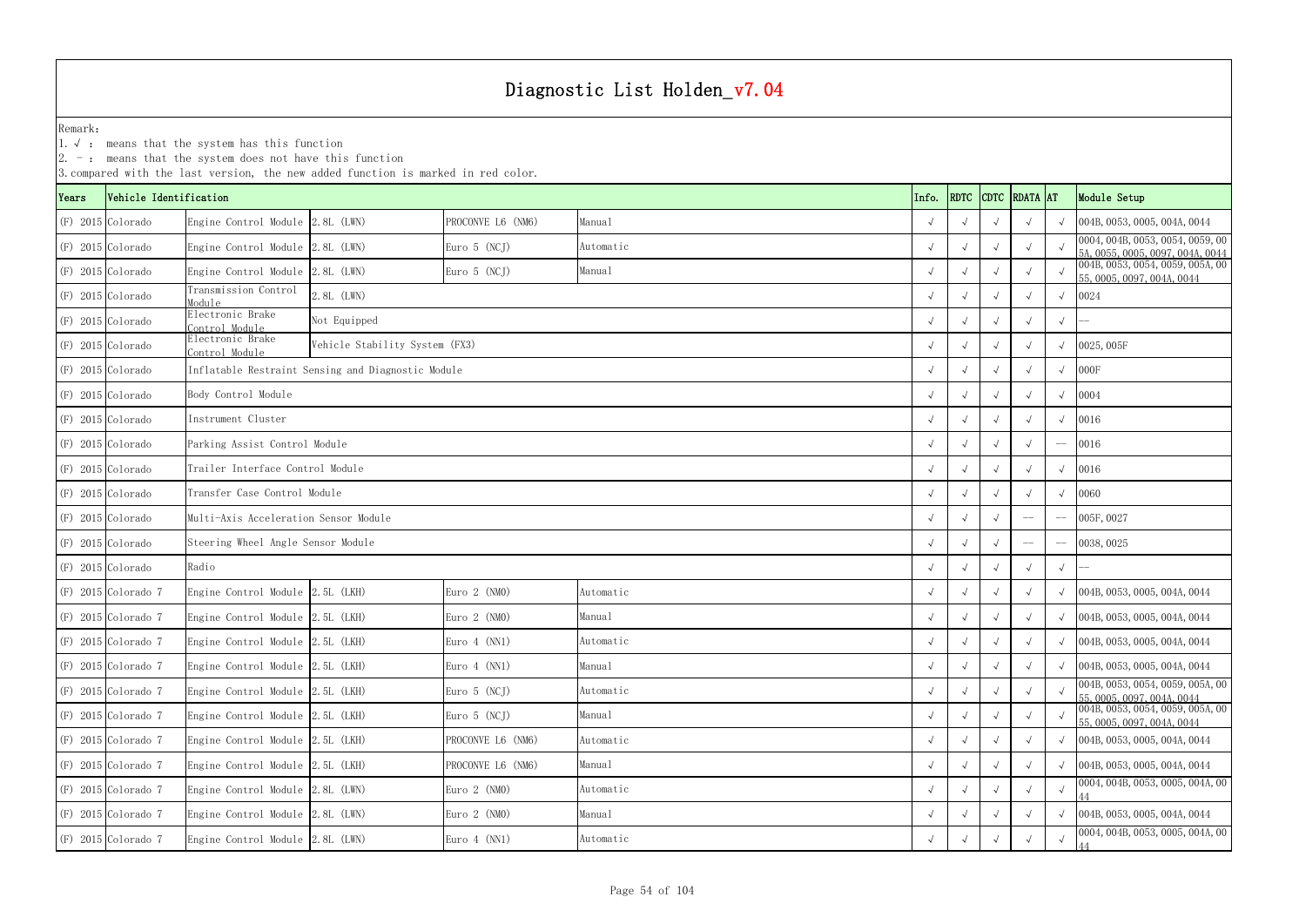1.√ : means that the system has this function

|       | 3. compared with the last version, the new added function is marked in red color. |                                       |                                                    |                   |           |       |            |             |             |                 |            |                                                                                              |  |
|-------|-----------------------------------------------------------------------------------|---------------------------------------|----------------------------------------------------|-------------------|-----------|-------|------------|-------------|-------------|-----------------|------------|----------------------------------------------------------------------------------------------|--|
| Years | Vehicle Identification                                                            |                                       |                                                    |                   |           | Info. |            | <b>RDTC</b> | <b>CDTC</b> | <b>RDATA</b> AT |            | Module Setup                                                                                 |  |
|       | (F) 2015 Colorado                                                                 | Engine Control Module 2.8L (LWN)      |                                                    | PROCONVE L6 (NM6) | Manual    |       |            |             |             |                 |            | 004B, 0053, 0005, 004A, 0044                                                                 |  |
|       | (F) 2015 Colorado                                                                 | Engine Control Module 2.8L (LWN)      |                                                    | Euro $5$ (NCJ)    | Automatic |       |            |             |             |                 |            | 0004, 004B, 0053, 0054, 0059, 00<br>5A, 0055, 0005, 0097, 004A, 0044                         |  |
|       | $(F)$ 2015 Colorado                                                               | Engine Control Module 2.8L (LWN)      |                                                    | Euro 5 (NCJ)      | Manual    |       |            |             |             |                 |            | 004B, 0053, 0054, 0059, 005A, 00<br>55, 0005, 0097, 004A, 0044                               |  |
|       | $(F)$ 2015 Colorado                                                               | Transmission Control<br>Module        | 2.8L (LWN)                                         |                   |           |       |            |             |             |                 |            | 0024                                                                                         |  |
|       | $(F)$ 2015 Colorado                                                               | Electronic Brake<br>Control Module    | Not Equipped                                       |                   |           |       |            |             |             |                 | $\sqrt{ }$ |                                                                                              |  |
|       | $(F)$ 2015 Colorado                                                               | Electronic Brake<br>Control Module    | Vehicle Stability System (FX3)                     |                   |           |       |            |             |             |                 |            | 0025, 005F                                                                                   |  |
|       | $(F)$ 2015 Colorado                                                               |                                       | Inflatable Restraint Sensing and Diagnostic Module |                   |           |       |            |             |             |                 |            | 000F                                                                                         |  |
|       | $(F)$ 2015 Colorado                                                               | Body Control Module                   |                                                    |                   |           |       |            |             |             |                 |            | 0004                                                                                         |  |
|       | $(F)$ 2015 Colorado                                                               | Instrument Cluster                    |                                                    |                   |           |       |            |             |             |                 | 0016       |                                                                                              |  |
|       | (F) 2015 Colorado                                                                 | Parking Assist Control Module         |                                                    |                   |           |       |            |             |             |                 |            | 0016                                                                                         |  |
|       | (F) 2015 Colorado                                                                 | Trailer Interface Control Module      |                                                    |                   |           |       |            |             |             |                 |            | 0016                                                                                         |  |
|       | (F) 2015 Colorado                                                                 | Transfer Case Control Module          |                                                    |                   |           |       |            |             |             |                 |            | 0060                                                                                         |  |
|       | $(F)$ 2015 Colorado                                                               | Multi-Axis Acceleration Sensor Module |                                                    |                   |           |       |            |             |             |                 |            | 005F, 0027                                                                                   |  |
|       | $(F)$ 2015 Colorado                                                               | Steering Wheel Angle Sensor Module    |                                                    |                   |           |       |            |             |             | $-\!-\!$        |            | 0038, 0025                                                                                   |  |
|       | $(F)$ 2015 Colorado                                                               | Radio                                 |                                                    |                   |           |       |            |             |             |                 | $\sqrt{ }$ |                                                                                              |  |
|       | $(F)$ 2015 Colorado 7                                                             | Engine Control Module 2.5L (LKH)      |                                                    | Euro $2$ (NMO)    | Automatic |       |            |             |             |                 |            | 004B, 0053, 0005, 004A, 0044                                                                 |  |
|       | $(F)$ 2015 Colorado 7                                                             | Engine Control Module 2.5L (LKH)      |                                                    | Euro $2$ (NMO)    | Manual    |       |            |             |             |                 |            | 004B, 0053, 0005, 004A, 0044                                                                 |  |
|       | $(F)$ 2015 Colorado 7                                                             | Engine Control Module 2.5L (LKH)      |                                                    | Euro $4$ (NN1)    | Automatic |       |            |             |             |                 |            | 004B, 0053, 0005, 004A, 0044                                                                 |  |
|       | $(F)$ 2015 Colorado 7                                                             | Engine Control Module 2.5L (LKH)      |                                                    | Euro 4 (NN1)      | Manual    |       | $\sqrt{ }$ |             |             |                 |            | 004B, 0053, 0005, 004A, 0044                                                                 |  |
|       | $(F)$ 2015 Colorado 7                                                             | Engine Control Module 2.5L (LKH)      |                                                    | Euro $5$ (NCJ)    | Automatic |       |            |             |             |                 |            | 004B, 0053, 0054, 0059, 005A, 00                                                             |  |
|       | $(F)$ 2015 Colorado 7                                                             | Engine Control Module 2.5L (LKH)      |                                                    | Euro 5 (NCJ)      | Manual    |       | $\sqrt{ }$ |             |             |                 |            | 55, 0005, 0097, 004A, 0044<br>004B, 0053, 0054, 0059, 005A, 00<br>55, 0005, 0097, 004A, 0044 |  |
|       | $(F)$ 2015 Colorado 7                                                             | Engine Control Module 2.5L (LKH)      |                                                    | PROCONVE L6 (NM6) | Automatic |       | $\sqrt{ }$ | $\sqrt{ }$  |             | $\sqrt{ }$      |            | 004B, 0053, 0005, 004A, 0044                                                                 |  |
|       | $(F)$ 2015 Colorado 7                                                             | Engine Control Module 2.5L (LKH)      |                                                    | PROCONVE L6 (NM6) | Manual    |       |            |             |             |                 |            | 004B, 0053, 0005, 004A, 0044                                                                 |  |
|       | $(F)$ 2015 Colorado 7                                                             | Engine Control Module 2.8L (LWN)      |                                                    | Euro $2$ (NMO)    | Automatic |       |            |             |             |                 |            | 0004, 004B, 0053, 0005, 004A, 00                                                             |  |
|       | $(F)$ 2015 Colorado 7                                                             | Engine Control Module 2.8L (LWN)      |                                                    | Euro $2$ (NMO)    | Manual    |       |            |             |             |                 |            | 004B, 0053, 0005, 004A, 0044                                                                 |  |
|       | $(F)$ 2015 Colorado 7                                                             | Engine Control Module 2.8L (LWN)      |                                                    | Euro 4 (NN1)      | Automatic |       |            |             |             |                 |            | 0004, 004B, 0053, 0005, 004A, 00                                                             |  |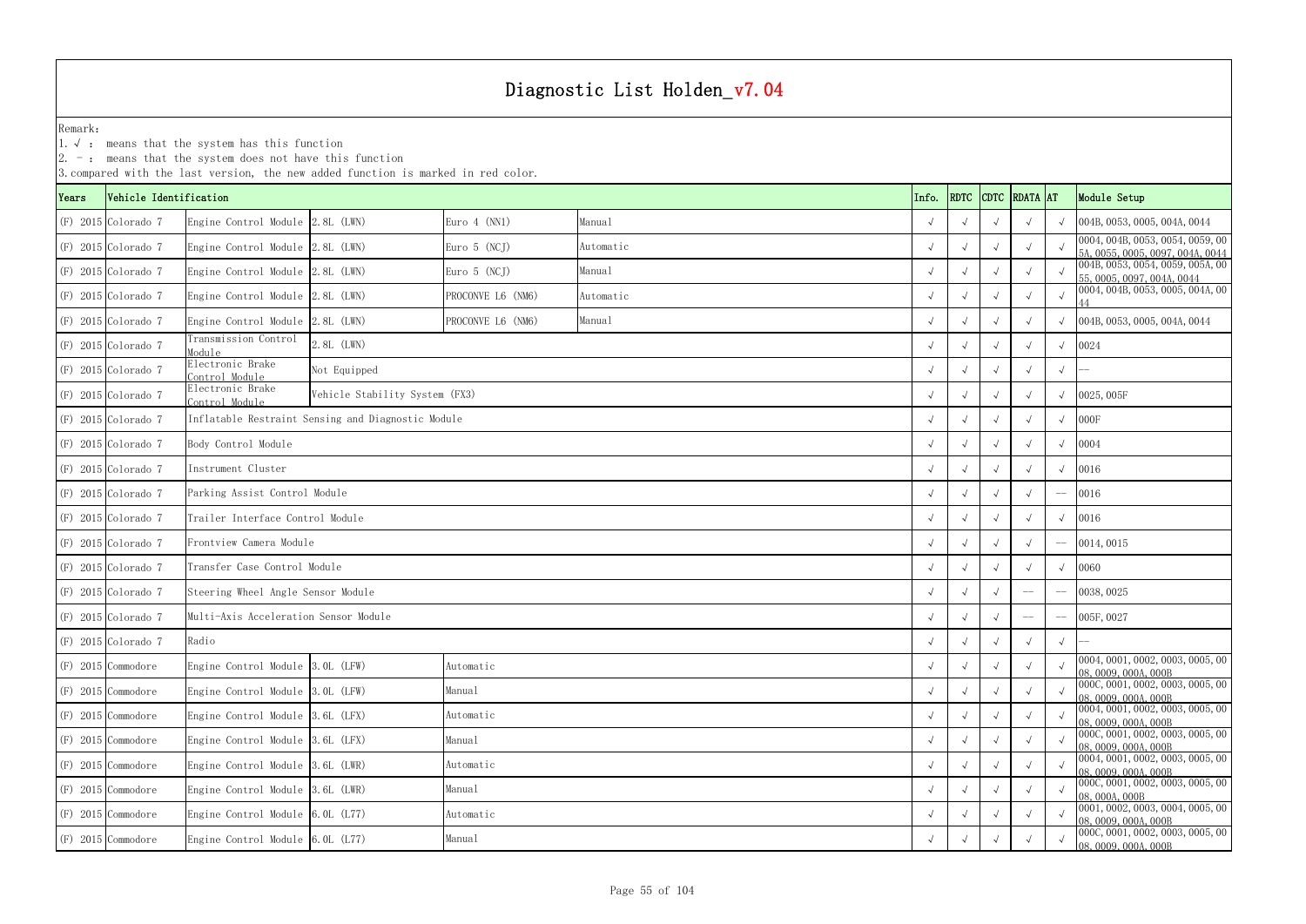1.√ : means that the system has this function

|       | 3. compared with the last version, the new added function is marked in red color. |                                       |                                                    |                   |           |            |            |             |                 |            |                                                                      |  |  |
|-------|-----------------------------------------------------------------------------------|---------------------------------------|----------------------------------------------------|-------------------|-----------|------------|------------|-------------|-----------------|------------|----------------------------------------------------------------------|--|--|
| Years | Vehicle Identification                                                            |                                       |                                                    |                   |           | Info.      | RDTC       | <b>CDTC</b> | <b>RDATA</b> AT |            | Module Setup                                                         |  |  |
|       | $(F)$ 2015 Colorado 7                                                             | Engine Control Module 2.8L (LWN)      |                                                    | Euro $4$ (NN1)    | Manual    |            |            |             |                 |            | 004B, 0053, 0005, 004A, 0044                                         |  |  |
|       | $(F)$ 2015 Colorado 7                                                             | Engine Control Module 2.8L (LWN)      |                                                    | Euro 5 (NCJ)      | Automatic |            |            |             |                 |            | 0004, 004B, 0053, 0054, 0059, 00<br>5A. 0055, 0005, 0097, 004A, 0044 |  |  |
|       | $(F)$ 2015 Colorado 7                                                             | Engine Control Module 2.8L (LWN)      |                                                    | Euro 5 (NCJ)      | Manual    |            |            |             |                 |            | 004B, 0053, 0054, 0059, 005A, 00<br>55, 0005, 0097, 004A, 0044       |  |  |
|       | $(F)$ 2015 Colorado 7                                                             | Engine Control Module 2.8L (LWN)      |                                                    | PROCONVE L6 (NM6) | Automatic |            |            |             |                 |            | 0004, 004B, 0053, 0005, 004A, 00                                     |  |  |
|       | (F) 2015 Colorado 7                                                               | Engine Control Module 2.8L (LWN)      |                                                    | PROCONVE L6 (NM6) | Manual    |            |            |             |                 |            | 004B, 0053, 0005, 004A, 0044                                         |  |  |
|       | $(F)$ 2015 Colorado 7                                                             | Transmission Control<br>Module        | 2.8L (LWN)                                         |                   |           |            |            |             |                 |            | 0024                                                                 |  |  |
|       | $(F)$ 2015 Colorado 7                                                             | Electronic Brake<br>Control Module    | Not Equipped                                       |                   |           |            |            |             |                 | $\sqrt{ }$ |                                                                      |  |  |
|       | $(F)$ 2015 Colorado 7                                                             | Electronic Brake<br>Control Module    | Vehicle Stability System (FX3)                     |                   |           |            |            |             |                 |            | 0025,005F                                                            |  |  |
|       | $(F)$ 2015 Colorado 7                                                             |                                       | Inflatable Restraint Sensing and Diagnostic Module |                   |           |            |            |             | $\sqrt{ }$      | 000F       |                                                                      |  |  |
|       | $(F)$ 2015 Colorado 7                                                             | Body Control Module                   |                                                    |                   |           |            |            |             |                 | 0004       |                                                                      |  |  |
|       | $(F)$ 2015 Colorado 7                                                             | Instrument Cluster                    |                                                    |                   |           |            |            |             |                 |            | 0016                                                                 |  |  |
|       | $(F)$ 2015 Colorado 7                                                             | Parking Assist Control Module         |                                                    |                   |           |            |            |             |                 |            | 0016                                                                 |  |  |
|       | $(F)$ 2015 Colorado 7                                                             | Trailer Interface Control Module      |                                                    |                   |           |            |            |             |                 |            | 0016                                                                 |  |  |
|       | $(F)$ 2015 Colorado 7                                                             | Frontview Camera Module               |                                                    |                   |           |            |            |             |                 |            | 0014,0015                                                            |  |  |
|       | $(F)$ 2015 Colorado 7                                                             | Transfer Case Control Module          |                                                    |                   |           |            |            |             |                 |            | 0060                                                                 |  |  |
|       | $(F)$ 2015 Colorado 7                                                             | Steering Wheel Angle Sensor Module    |                                                    |                   |           |            |            |             |                 |            | 0038, 0025                                                           |  |  |
|       | $(F)$ 2015 Colorado 7                                                             | Multi-Axis Acceleration Sensor Module |                                                    |                   |           |            |            |             |                 |            | 005F, 0027                                                           |  |  |
|       | $(F)$ 2015 Colorado 7                                                             | Radio                                 |                                                    |                   |           |            |            |             |                 | $\sqrt{ }$ |                                                                      |  |  |
|       | $(F)$ 2015 Commodore                                                              | Engine Control Module 3.0L (LFW)      |                                                    | Automatic         |           |            | $\sqrt{ }$ | $\sqrt{ }$  |                 |            | [0004, 0001, 0002, 0003, 0005, 00]<br>08, 0009, 000A, 000B           |  |  |
|       | $(F)$ 2015 Commodore                                                              | Engine Control Module 3.0L (LFW)      |                                                    | Manual            |           |            |            |             |                 |            | 0000, 0001, 0002, 0003, 0005, 00<br>08, 0009, 000A, 000B             |  |  |
|       | $(F)$ 2015 Commodore                                                              | Engine Control Module $3.6L$ (LFX)    |                                                    | Automatic         |           | $\sqrt{ }$ |            |             |                 |            | 0004, 0001, 0002, 0003, 0005, 00<br>08, 0009, 000A, 000B             |  |  |
|       | $(F)$ 2015 Commodore                                                              | Engine Control Module 3.6L (LFX)      |                                                    | Manual            |           | $\sqrt{ }$ |            |             |                 |            | 000C, 0001, 0002, 0003, 0005, 00<br>08, 0009, 000A, 000B             |  |  |
|       | $(F)$ 2015 Commodore                                                              | Engine Control Module 3.6L (LWR)      |                                                    | Automatic         |           |            |            |             |                 |            | 0004, 0001, 0002, 0003, 0005, 00<br>08, 0009, 000A, 000B             |  |  |
|       | $(F)$ 2015 Commodore                                                              | Engine Control Module 3.6L (LWR)      |                                                    | Manual            |           |            |            |             |                 |            | 0000, 0001, 0002, 0003, 0005, 00<br>08, 000A, 000B                   |  |  |
|       | $(F)$ 2015 Commodore                                                              | Engine Control Module 6.0L (L77)      |                                                    | Automatic         |           |            |            |             |                 |            | 0001, 0002, 0003, 0004, 0005, 00<br>08, 0009, 000A, 000B             |  |  |
|       | $(F)$ 2015 Commodore                                                              | Engine Control Module 6.0L (L77)      |                                                    | Manual            |           |            |            |             |                 |            | 0000, 0001, 0002, 0003, 0005, 00<br>08, 0009, 000A, 000B             |  |  |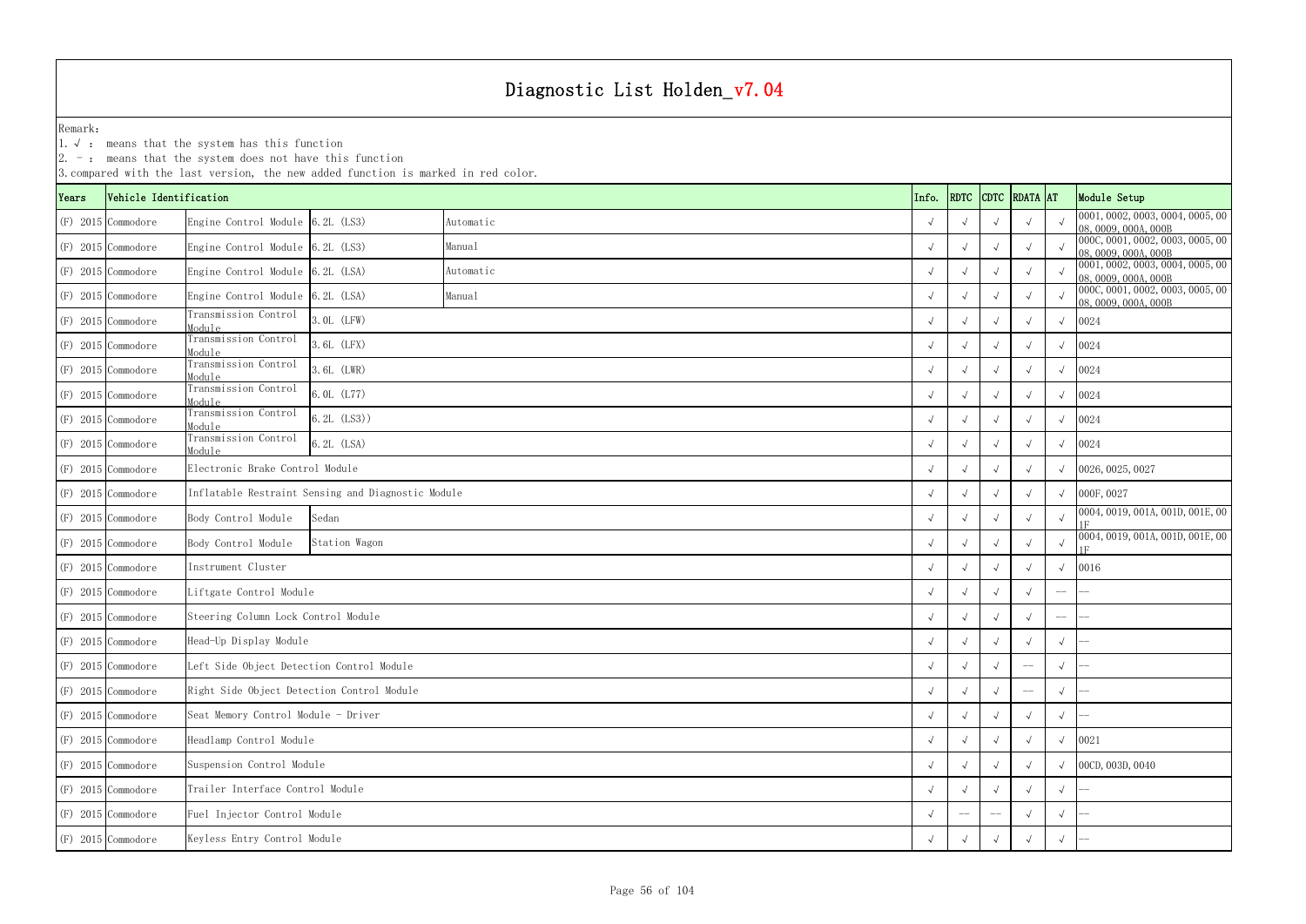1.√ : means that the system has this function

|       | 3. compared with the last version, the new added function is marked in red color. |                                            |                                                    |           |  |            |             |             |                 |            |                                                          |  |  |
|-------|-----------------------------------------------------------------------------------|--------------------------------------------|----------------------------------------------------|-----------|--|------------|-------------|-------------|-----------------|------------|----------------------------------------------------------|--|--|
| Years | Vehicle Identification                                                            |                                            |                                                    |           |  | Info.      | <b>RDTC</b> | <b>CDTC</b> | <b>RDATA</b> AT |            | Module Setup                                             |  |  |
|       | $(F)$ 2015 Commodore                                                              | Engine Control Module 6.2L (LS3)           |                                                    | Automatic |  |            |             |             |                 |            | 0001, 0002, 0003, 0004, 0005, 00<br>08,0009,000A,000B    |  |  |
|       | $(F)$ 2015 Commodore                                                              | Engine Control Module 6.2L (LS3)           |                                                    | Manual    |  |            |             |             |                 |            | 000C, 0001, 0002, 0003, 0005, 00<br>08,0009,000A,000B    |  |  |
|       | $(F)$ 2015 Commodore                                                              | Engine Control Module 6.2L (LSA)           |                                                    | Automatic |  |            |             |             |                 |            | 0001, 0002, 0003, 0004, 0005, 00<br>08,0009,000A,000B    |  |  |
|       | $(F)$ 2015 Commodore                                                              | Engine Control Module 6.2L (LSA)           |                                                    | Manual    |  |            |             |             |                 |            | 000C, 0001, 0002, 0003, 0005, 00<br>08, 0009, 000A, 000B |  |  |
|       | $(F)$ 2015 Commodore                                                              | Transmission Control<br>Module             | 3.0L (LFW)                                         |           |  |            |             |             |                 |            | 0024                                                     |  |  |
|       | $(F)$ 2015 Commodore                                                              | Transmission Control<br>Module             | 3.6L (LFX)                                         |           |  |            |             |             |                 |            | 0024                                                     |  |  |
|       | $(F)$ 2015 Commodore                                                              | Transmission Control<br>Module             | 3.6L (LWR)                                         |           |  |            |             |             | 0024            |            |                                                          |  |  |
|       | $(F)$ 2015 Commodore                                                              | Transmission Control<br>Module             | 6.0L $(L77)$                                       |           |  |            |             |             |                 | 0024       |                                                          |  |  |
|       | $(F)$ 2015 Commodore                                                              | Transmission Control<br>Module             | 6.2L (LS3))                                        |           |  |            |             |             |                 |            | 0024                                                     |  |  |
|       | $(F)$ 2015 Commodore                                                              | Transmission Control<br>Module             | 6.2L (LSA)                                         |           |  |            |             |             |                 |            | 0024                                                     |  |  |
|       | $(F)$ 2015 Commodore                                                              | Electronic Brake Control Module            |                                                    |           |  |            |             |             |                 |            | 0026, 0025, 0027                                         |  |  |
|       | $(F)$ 2015 Commodore                                                              |                                            | Inflatable Restraint Sensing and Diagnostic Module |           |  |            |             |             |                 |            | 000F, 0027                                               |  |  |
|       | $(F)$ 2015 Commodore                                                              | Body Control Module                        | Sedan                                              |           |  |            |             |             |                 |            | 0004, 0019, 001A, 001D, 001E, 00                         |  |  |
|       | $(F)$ 2015 Commodore                                                              | Body Control Module                        | Station Wagon                                      |           |  |            |             |             |                 |            | 0004, 0019, 001A, 001D, 001E, 00                         |  |  |
|       | $(F)$ 2015 Commodore                                                              | Instrument Cluster                         |                                                    |           |  |            |             |             |                 |            | 0016                                                     |  |  |
|       | $(F)$ 2015 Commodore                                                              | Liftgate Control Module                    |                                                    |           |  |            |             |             |                 |            |                                                          |  |  |
|       | $(F)$ 2015 Commodore                                                              | Steering Column Lock Control Module        |                                                    |           |  |            |             |             |                 |            |                                                          |  |  |
|       | $(F)$ 2015 Commodore                                                              | Head-Up Display Module                     |                                                    |           |  |            |             |             |                 |            |                                                          |  |  |
|       | $(F)$ 2015 Commodore                                                              | Left Side Object Detection Control Module  |                                                    |           |  | $\sqrt{ }$ | $\sqrt{ }$  |             | $-\!$ $\!-$     | $\sqrt{ }$ |                                                          |  |  |
|       | (F) 2015 Commodore                                                                | Right Side Object Detection Control Module |                                                    |           |  |            |             |             |                 | $\sqrt{ }$ |                                                          |  |  |
|       | (F) 2015 Commodore                                                                |                                            | Seat Memory Control Module - Driver                |           |  |            |             |             |                 |            |                                                          |  |  |
|       | (F) 2015 Commodore                                                                | Headlamp Control Module                    |                                                    |           |  |            |             |             |                 |            | 0021                                                     |  |  |
|       | $(F)$ 2015 Commodore                                                              | Suspension Control Module                  |                                                    |           |  |            |             |             |                 |            | 00CD, 003D, 0040                                         |  |  |
|       | (F) 2015 Commodore                                                                | Trailer Interface Control Module           |                                                    |           |  |            |             |             |                 | $\sqrt{ }$ |                                                          |  |  |
|       | $(F)$ 2015 Commodore                                                              | Fuel Injector Control Module               |                                                    |           |  |            | $-\!$ $\!-$ |             |                 | $\sqrt{ }$ |                                                          |  |  |
|       | $(F)$ 2015 Commodore                                                              | Keyless Entry Control Module               |                                                    |           |  |            |             |             |                 | $\sqrt{ }$ |                                                          |  |  |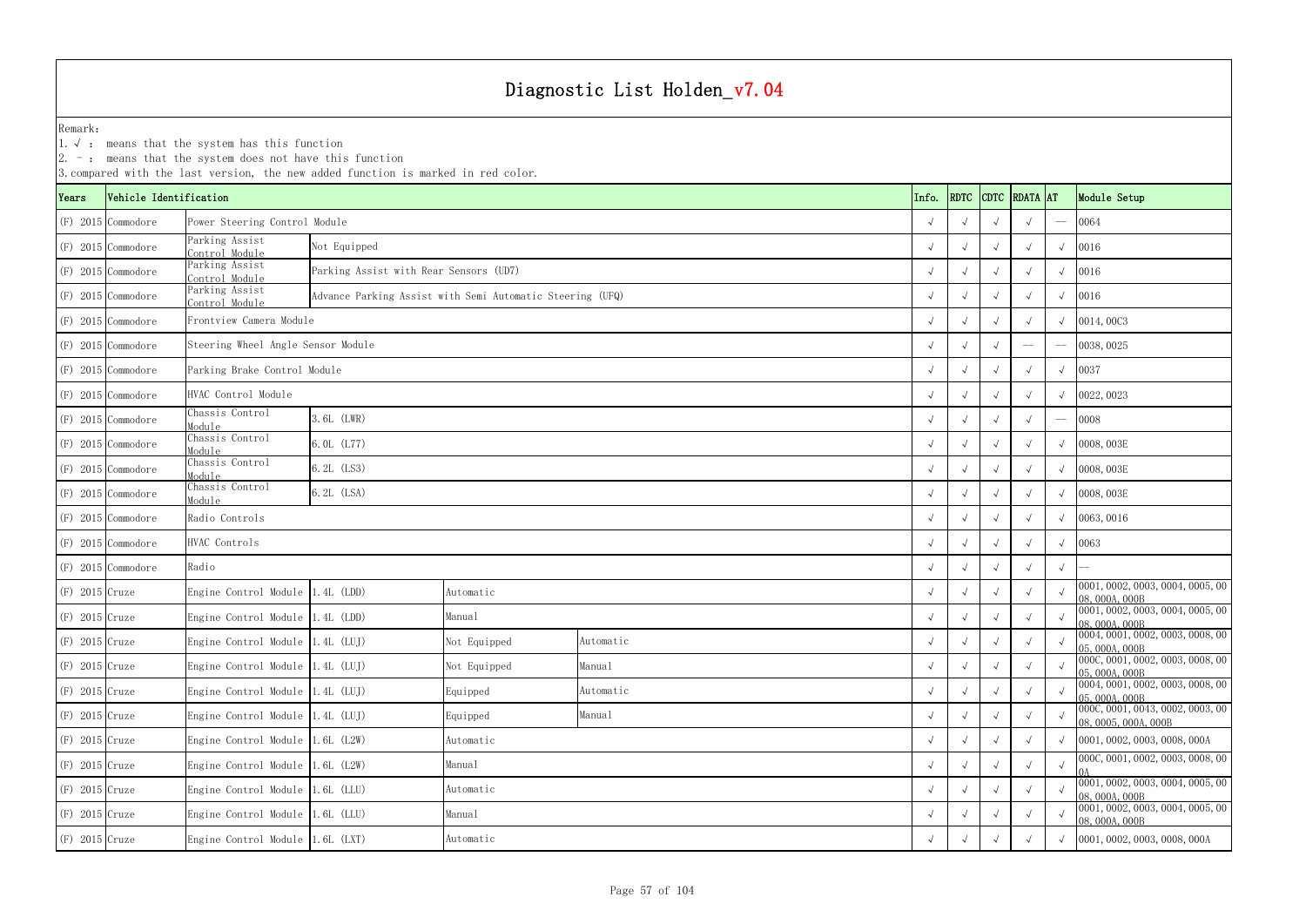|                  |                        | $ 2.$ -: means that the system does not have this function | 3. compared with the last version, the new added function is marked in red color. |              |           |                   |            |            |               |            |              |                                                          |
|------------------|------------------------|------------------------------------------------------------|-----------------------------------------------------------------------------------|--------------|-----------|-------------------|------------|------------|---------------|------------|--------------|----------------------------------------------------------|
| Years            | Vehicle Identification |                                                            |                                                                                   |              |           | Info.             | RDTC       |            | CDTC RDATA AT |            | Module Setup |                                                          |
|                  | $(F)$ 2015 Commodore   | Power Steering Control Module                              |                                                                                   |              |           |                   |            |            |               |            | $-\!$ $\!-$  | 0064                                                     |
|                  | $(F)$ 2015 Commodore   | Parking Assist<br>Control Module                           | Not Equipped                                                                      |              |           |                   |            |            |               |            | $\sqrt{ }$   | 0016                                                     |
|                  | $(F)$ 2015 Commodore   | Parking Assist<br>Control Module                           | Parking Assist with Rear Sensors (UD7)                                            |              |           |                   |            |            |               |            |              | 0016                                                     |
|                  | $(F)$ 2015 Commodore   | Parking Assist<br>Control Module                           | Advance Parking Assist with Semi Automatic Steering (UFQ)                         |              |           |                   |            |            |               |            | $\sqrt{ }$   | 0016                                                     |
|                  | $(F)$ 2015 Commodore   | Frontview Camera Module                                    |                                                                                   |              |           |                   |            |            |               |            |              | $\sqrt{0014,0003}$                                       |
|                  | $(F)$ 2015 Commodore   | Steering Wheel Angle Sensor Module                         |                                                                                   |              |           | $\qquad \qquad -$ | $-\! -$    | 0038, 0025 |               |            |              |                                                          |
|                  | $(F)$ 2015 Commodore   | Parking Brake Control Module                               |                                                                                   |              |           |                   |            |            |               |            | $\sqrt{ }$   | 0037                                                     |
|                  | $(F)$ 2015 Commodore   | HVAC Control Module                                        |                                                                                   |              |           |                   |            |            |               |            |              | $\sqrt{0022,0023}$                                       |
|                  | $(F)$ 2015 Commodore   | Chassis Control<br>Module                                  | 3.6L (LWR)                                                                        |              |           |                   |            |            |               |            |              | 0008                                                     |
|                  | $(F)$ 2015 Commodore   | Chassis Control<br>Module                                  | 6.0L (L77)                                                                        |              |           |                   |            |            |               |            |              | $\sqrt{0008,003E}$                                       |
|                  | $(F)$ 2015 Commodore   | Chassis Control<br>Module                                  | 6.2L (LS3)                                                                        |              |           |                   |            |            |               |            | $\sqrt{ }$   | 0008, 003E                                               |
|                  | $(F)$ 2015 Commodore   | Chassis Control<br>Module                                  | 6.2L (LSA)                                                                        |              |           |                   |            |            |               |            |              | $\sqrt{0008,003E}$                                       |
|                  | $(F)$ 2015 Commodore   | Radio Controls                                             |                                                                                   |              |           |                   |            |            |               |            |              | $\sqrt{0063,0016}$                                       |
|                  | (F) 2015 Commodore     | HVAC Controls                                              |                                                                                   |              |           |                   |            |            |               |            |              | $\sqrt{0063}$                                            |
|                  | $(F)$ 2015 Commodore   | Radio                                                      |                                                                                   |              |           |                   |            |            |               |            | $\sqrt{ }$   |                                                          |
| $(F)$ 2015 Cruze |                        | Engine Control Module 1.4L (LDD)                           |                                                                                   | Automatic    |           |                   |            |            |               |            | $\sqrt{ }$   | 0001, 0002, 0003, 0004, 0005, 00<br>08,000A,000B         |
| $(F)$ 2015 Cruze |                        | Engine Control Module 1.4L (LDD)                           |                                                                                   | Manual       |           |                   |            |            |               |            | $\sqrt{ }$   | 0001, 0002, 0003, 0004, 0005, 00<br>08, 000A, 000B       |
| $(F)$ 2015 Cruze |                        | Engine Control Module 1.4L (LUJ)                           |                                                                                   | Not Equipped | Automatic |                   | $\sqrt{ }$ | $\sqrt{ }$ |               | $\sqrt{ }$ |              | 0004, 0001, 0002, 0003, 0008, 00<br>05,000A,000B         |
| $(F)$ 2015 Cruze |                        | Engine Control Module 1.4L (LUJ)                           |                                                                                   | Not Equipped | Manual    |                   | $\sqrt{ }$ |            |               |            | $\sqrt{ }$   | 000C, 0001, 0002, 0003, 0008, 00<br>05, 000A, 000B       |
| $(F)$ 2015 Cruze |                        | Engine Control Module 1.4L (LUJ)                           |                                                                                   | Equipped     | Automatic |                   | $\sqrt{ }$ |            |               |            |              | 0004, 0001, 0002, 0003, 0008, 00<br>05,000A,000B         |
| $(F)$ 2015 Cruze |                        | Engine Control Module 1.4L (LUJ)                           |                                                                                   | Equipped     | Manual    |                   | $\sqrt{}$  | $\sqrt{ }$ |               |            |              | 000C, 0001, 0043, 0002, 0003, 00<br>08, 0005, 000A, 000B |
| $(F)$ 2015 Cruze |                        | Engine Control Module 1.6L (L2W)                           |                                                                                   | Automatic    |           |                   | $\sqrt{ }$ | $\sqrt{ }$ |               |            |              | $\sqrt{0001, 0002, 0003, 0008, 000A}$                    |
| $(F)$ 2015 Cruze |                        | Engine Control Module 1.6L (L2W)                           |                                                                                   | Manual       |           |                   |            |            |               |            | $\sqrt{ }$   | 000C, 0001, 0002, 0003, 0008, 00                         |
| $(F)$ 2015 Cruze |                        | Engine Control Module 1.6L (LLU)                           |                                                                                   | Automatic    |           |                   | $\sqrt{ }$ |            |               |            |              | 0001, 0002, 0003, 0004, 0005, 00<br>08, 000A, 000B       |
| $(F)$ 2015 Cruze |                        | Engine Control Module 1.6L (LLU)                           |                                                                                   | Manual       |           |                   | $\sqrt{ }$ |            |               |            |              | 0001, 0002, 0003, 0004, 0005, 00<br>08,000A,000B         |
| $(F)$ 2015 Cruze |                        | Engine Control Module 1.6L (LXT)                           |                                                                                   | Automatic    |           |                   | $\sqrt{ }$ | $\sqrt{ }$ | $\sqrt{ }$    | $\sqrt{ }$ |              | $\sqrt{0001, 0002, 0003, 0008, 000A}$                    |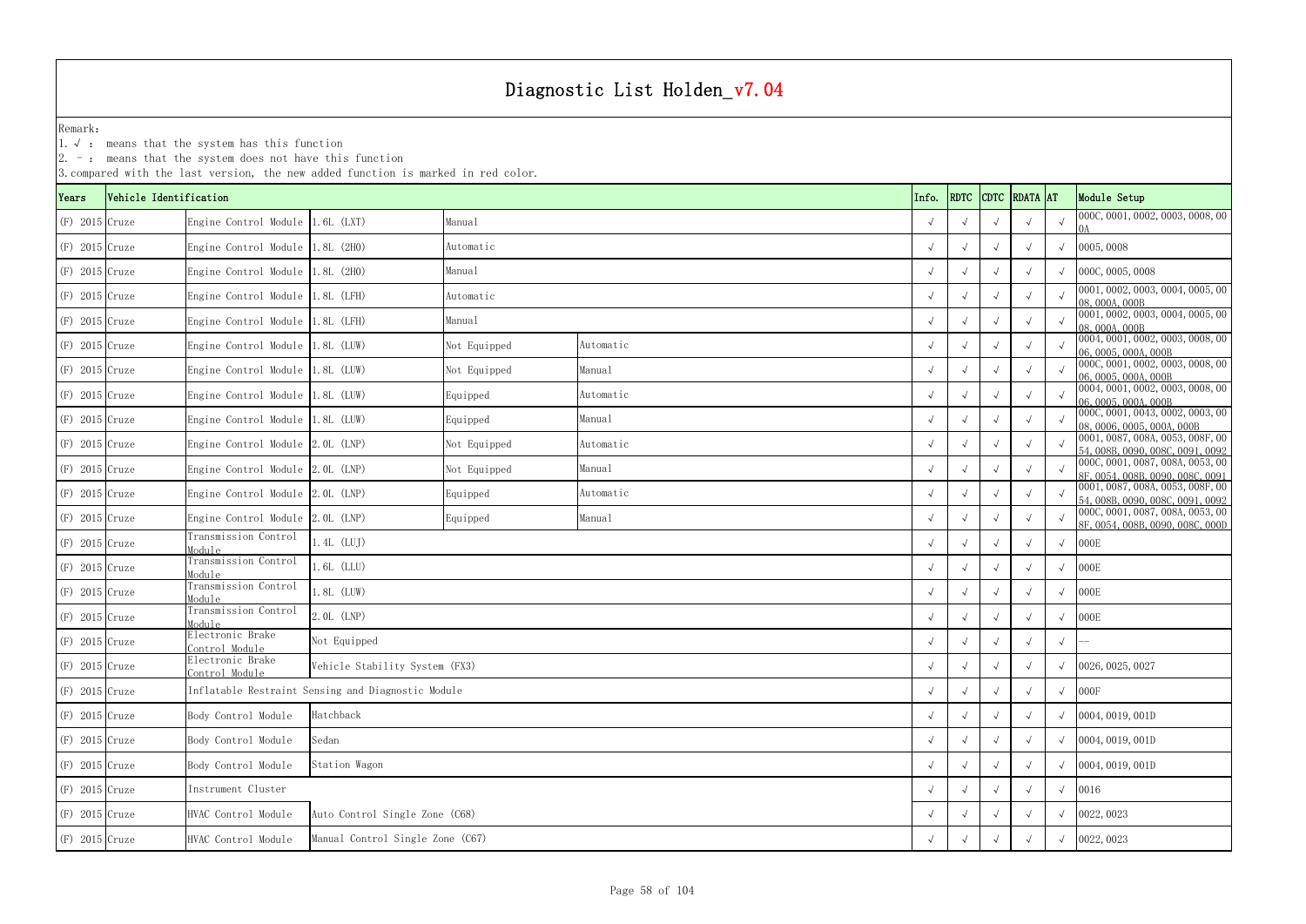1.√ : means that the system has this function

| RDTC CDTC RDATA AT<br>Info.<br>Module Setup<br>Vehicle Identification<br>Years<br>$(F)$ 2015 Cruze<br>Engine Control Module 1.6L (LXT)<br>Manual<br>$\sqrt{ }$<br>$(F)$ 2015 Cruze<br>Engine Control Module 1.8L (2H0)<br>0005,0008<br>Automatic<br>$\sqrt{ }$<br>$(F)$ 2015 Cruze<br>000C, 0005, 0008<br>Engine Control Module 1.8L (2H0)<br>Manual<br>$\sqrt{ }$<br>$(F)$ 2015 Cruze<br>Engine Control Module 1.8L (LFH)<br>Automatic<br>08.000A.000B<br>$(F)$ 2015 Cruze<br>Engine Control Module 1.8L (LFH)<br>Manual<br>$\sqrt{ }$<br>08,000A,000B<br>$(F)$ 2015 Cruze<br>Engine Control Module 1.8L (LUW)<br>Not Equipped<br>Automatic<br>$\sqrt{ }$<br>06, 0005, 000A, 000B<br>$(F)$ 2015 Cruze<br>Engine Control Module 1.8L (LUW)<br>Manual<br>Not Equipped<br>$\sqrt{ }$<br>06, 0005, 000A, 000B<br>$(F)$ 2015 Cruze<br>Engine Control Module 1.8L (LUW)<br>Equipped<br>Automatic<br>06, 0005, 000A, 000B<br>$(F)$ 2015 Cruze<br>Engine Control Module 1.8L (LUW)<br>Equipped<br>Manual<br>$\sqrt{ }$<br>$(F)$ 2015 Cruze<br>Engine Control Module 2.0L (LNP)<br>Not Equipped<br>Automatic<br>$\sqrt{ }$<br>$(F)$ 2015 Cruze<br>Engine Control Module 2.0L (LNP)<br>Not Equipped<br>Manual<br>$\sqrt{ }$<br>$(F)$ 2015 Cruze<br>Engine Control Module 2.0L (LNP)<br>Equipped<br>Automatic<br>$(F)$ 2015 Cruze<br>Engine Control Module 2.0L (LNP)<br>Manual<br>Equipped<br>$\sqrt{ }$<br>Transmission Control<br>$1.4L$ (LUJ)<br>000E<br>$(F)$ 2015 Cruze<br>Module<br>Transmission Control<br>$.6L$ (LLU)<br>000E<br>(F) 2015 Cruze<br>$\sqrt{ }$<br>$\sqrt{ }$<br>Module<br>Transmission Control<br>$.8L$ (LUW)<br>000E<br>$(F)$ 2015 Cruze<br>Module<br>Transmission Control<br>2.0L (LNP)<br>000E<br>$(F)$ 2015 Cruze<br>Module<br>Electronic Brake<br>Not Equipped<br>(F) 2015 Cruze<br>$\sqrt{ }$<br>Control Module<br>Electronic Brake<br>$(F)$ 2015 Cruze<br>Vehicle Stability System (FX3)<br>0026, 0025, 0027<br>$\sqrt{ }$<br>$\sqrt{ }$<br>Control Module<br>Inflatable Restraint Sensing and Diagnostic Module<br>(F) 2015 Cruze<br>000F<br>Hatchback<br>(F) 2015 Cruze<br>Body Control Module<br>0004, 0019, 001D<br>$\sqrt{ }$<br>$(F)$ 2015 Cruze<br>Sedan<br>Body Control Module<br>0004, 0019, 001D<br>$\sqrt{ }$<br>(F) 2015 Cruze<br>Station Wagon<br>0004, 0019, 001D<br>Body Control Module<br>$\sqrt{ }$<br>Instrument Cluster<br>(F) 2015 Cruze<br>0016<br>Auto Control Single Zone (C68)<br>$(F)$ 2015 Cruze<br>HVAC Control Module<br>0022, 0023<br>$\sqrt{ }$ |  | 3. compared with the last version, the new added function is marked in red color. |  |  |  |  |  |  |  |                                                                      |
|----------------------------------------------------------------------------------------------------------------------------------------------------------------------------------------------------------------------------------------------------------------------------------------------------------------------------------------------------------------------------------------------------------------------------------------------------------------------------------------------------------------------------------------------------------------------------------------------------------------------------------------------------------------------------------------------------------------------------------------------------------------------------------------------------------------------------------------------------------------------------------------------------------------------------------------------------------------------------------------------------------------------------------------------------------------------------------------------------------------------------------------------------------------------------------------------------------------------------------------------------------------------------------------------------------------------------------------------------------------------------------------------------------------------------------------------------------------------------------------------------------------------------------------------------------------------------------------------------------------------------------------------------------------------------------------------------------------------------------------------------------------------------------------------------------------------------------------------------------------------------------------------------------------------------------------------------------------------------------------------------------------------------------------------------------------------------------------------------------------------------------------------------------------------------------------------------------------------------------------------------------------------------------------------------------------------------------------------------------------------------------------------------------------------------------------------------------------------------------------------------|--|-----------------------------------------------------------------------------------|--|--|--|--|--|--|--|----------------------------------------------------------------------|
|                                                                                                                                                                                                                                                                                                                                                                                                                                                                                                                                                                                                                                                                                                                                                                                                                                                                                                                                                                                                                                                                                                                                                                                                                                                                                                                                                                                                                                                                                                                                                                                                                                                                                                                                                                                                                                                                                                                                                                                                                                                                                                                                                                                                                                                                                                                                                                                                                                                                                                    |  |                                                                                   |  |  |  |  |  |  |  |                                                                      |
|                                                                                                                                                                                                                                                                                                                                                                                                                                                                                                                                                                                                                                                                                                                                                                                                                                                                                                                                                                                                                                                                                                                                                                                                                                                                                                                                                                                                                                                                                                                                                                                                                                                                                                                                                                                                                                                                                                                                                                                                                                                                                                                                                                                                                                                                                                                                                                                                                                                                                                    |  |                                                                                   |  |  |  |  |  |  |  | 000C, 0001, 0002, 0003, 0008, 00                                     |
|                                                                                                                                                                                                                                                                                                                                                                                                                                                                                                                                                                                                                                                                                                                                                                                                                                                                                                                                                                                                                                                                                                                                                                                                                                                                                                                                                                                                                                                                                                                                                                                                                                                                                                                                                                                                                                                                                                                                                                                                                                                                                                                                                                                                                                                                                                                                                                                                                                                                                                    |  |                                                                                   |  |  |  |  |  |  |  |                                                                      |
|                                                                                                                                                                                                                                                                                                                                                                                                                                                                                                                                                                                                                                                                                                                                                                                                                                                                                                                                                                                                                                                                                                                                                                                                                                                                                                                                                                                                                                                                                                                                                                                                                                                                                                                                                                                                                                                                                                                                                                                                                                                                                                                                                                                                                                                                                                                                                                                                                                                                                                    |  |                                                                                   |  |  |  |  |  |  |  |                                                                      |
|                                                                                                                                                                                                                                                                                                                                                                                                                                                                                                                                                                                                                                                                                                                                                                                                                                                                                                                                                                                                                                                                                                                                                                                                                                                                                                                                                                                                                                                                                                                                                                                                                                                                                                                                                                                                                                                                                                                                                                                                                                                                                                                                                                                                                                                                                                                                                                                                                                                                                                    |  |                                                                                   |  |  |  |  |  |  |  | 0001, 0002, 0003, 0004, 0005, 00                                     |
|                                                                                                                                                                                                                                                                                                                                                                                                                                                                                                                                                                                                                                                                                                                                                                                                                                                                                                                                                                                                                                                                                                                                                                                                                                                                                                                                                                                                                                                                                                                                                                                                                                                                                                                                                                                                                                                                                                                                                                                                                                                                                                                                                                                                                                                                                                                                                                                                                                                                                                    |  |                                                                                   |  |  |  |  |  |  |  | 0001, 0002, 0003, 0004, 0005, 00                                     |
|                                                                                                                                                                                                                                                                                                                                                                                                                                                                                                                                                                                                                                                                                                                                                                                                                                                                                                                                                                                                                                                                                                                                                                                                                                                                                                                                                                                                                                                                                                                                                                                                                                                                                                                                                                                                                                                                                                                                                                                                                                                                                                                                                                                                                                                                                                                                                                                                                                                                                                    |  |                                                                                   |  |  |  |  |  |  |  | 0004, 0001, 0002, 0003, 0008, 00                                     |
|                                                                                                                                                                                                                                                                                                                                                                                                                                                                                                                                                                                                                                                                                                                                                                                                                                                                                                                                                                                                                                                                                                                                                                                                                                                                                                                                                                                                                                                                                                                                                                                                                                                                                                                                                                                                                                                                                                                                                                                                                                                                                                                                                                                                                                                                                                                                                                                                                                                                                                    |  |                                                                                   |  |  |  |  |  |  |  | 000C, 0001, 0002, 0003, 0008, 00                                     |
|                                                                                                                                                                                                                                                                                                                                                                                                                                                                                                                                                                                                                                                                                                                                                                                                                                                                                                                                                                                                                                                                                                                                                                                                                                                                                                                                                                                                                                                                                                                                                                                                                                                                                                                                                                                                                                                                                                                                                                                                                                                                                                                                                                                                                                                                                                                                                                                                                                                                                                    |  |                                                                                   |  |  |  |  |  |  |  | 0004, 0001, 0002, 0003, 0008, 00                                     |
|                                                                                                                                                                                                                                                                                                                                                                                                                                                                                                                                                                                                                                                                                                                                                                                                                                                                                                                                                                                                                                                                                                                                                                                                                                                                                                                                                                                                                                                                                                                                                                                                                                                                                                                                                                                                                                                                                                                                                                                                                                                                                                                                                                                                                                                                                                                                                                                                                                                                                                    |  |                                                                                   |  |  |  |  |  |  |  | 000C, 0001, 0043, 0002, 0003, 00<br>08, 0006, 0005, 000A, 000B       |
|                                                                                                                                                                                                                                                                                                                                                                                                                                                                                                                                                                                                                                                                                                                                                                                                                                                                                                                                                                                                                                                                                                                                                                                                                                                                                                                                                                                                                                                                                                                                                                                                                                                                                                                                                                                                                                                                                                                                                                                                                                                                                                                                                                                                                                                                                                                                                                                                                                                                                                    |  |                                                                                   |  |  |  |  |  |  |  | 0001, 0087, 008A, 0053, 008F, 00<br>54, 008B, 0090, 008C, 0091, 0092 |
|                                                                                                                                                                                                                                                                                                                                                                                                                                                                                                                                                                                                                                                                                                                                                                                                                                                                                                                                                                                                                                                                                                                                                                                                                                                                                                                                                                                                                                                                                                                                                                                                                                                                                                                                                                                                                                                                                                                                                                                                                                                                                                                                                                                                                                                                                                                                                                                                                                                                                                    |  |                                                                                   |  |  |  |  |  |  |  | 000C, 0001, 0087, 008A, 0053, 00<br>8F, 0054, 008B, 0090, 008C, 0091 |
|                                                                                                                                                                                                                                                                                                                                                                                                                                                                                                                                                                                                                                                                                                                                                                                                                                                                                                                                                                                                                                                                                                                                                                                                                                                                                                                                                                                                                                                                                                                                                                                                                                                                                                                                                                                                                                                                                                                                                                                                                                                                                                                                                                                                                                                                                                                                                                                                                                                                                                    |  |                                                                                   |  |  |  |  |  |  |  | 0001, 0087, 008A, 0053, 008F, 00<br>54,008B,0090,008C,0091,0092      |
|                                                                                                                                                                                                                                                                                                                                                                                                                                                                                                                                                                                                                                                                                                                                                                                                                                                                                                                                                                                                                                                                                                                                                                                                                                                                                                                                                                                                                                                                                                                                                                                                                                                                                                                                                                                                                                                                                                                                                                                                                                                                                                                                                                                                                                                                                                                                                                                                                                                                                                    |  |                                                                                   |  |  |  |  |  |  |  | 000C, 0001, 0087, 008A, 0053, 00<br>8F, 0054, 008B, 0090, 008C, 000D |
|                                                                                                                                                                                                                                                                                                                                                                                                                                                                                                                                                                                                                                                                                                                                                                                                                                                                                                                                                                                                                                                                                                                                                                                                                                                                                                                                                                                                                                                                                                                                                                                                                                                                                                                                                                                                                                                                                                                                                                                                                                                                                                                                                                                                                                                                                                                                                                                                                                                                                                    |  |                                                                                   |  |  |  |  |  |  |  |                                                                      |
|                                                                                                                                                                                                                                                                                                                                                                                                                                                                                                                                                                                                                                                                                                                                                                                                                                                                                                                                                                                                                                                                                                                                                                                                                                                                                                                                                                                                                                                                                                                                                                                                                                                                                                                                                                                                                                                                                                                                                                                                                                                                                                                                                                                                                                                                                                                                                                                                                                                                                                    |  |                                                                                   |  |  |  |  |  |  |  |                                                                      |
|                                                                                                                                                                                                                                                                                                                                                                                                                                                                                                                                                                                                                                                                                                                                                                                                                                                                                                                                                                                                                                                                                                                                                                                                                                                                                                                                                                                                                                                                                                                                                                                                                                                                                                                                                                                                                                                                                                                                                                                                                                                                                                                                                                                                                                                                                                                                                                                                                                                                                                    |  |                                                                                   |  |  |  |  |  |  |  |                                                                      |
|                                                                                                                                                                                                                                                                                                                                                                                                                                                                                                                                                                                                                                                                                                                                                                                                                                                                                                                                                                                                                                                                                                                                                                                                                                                                                                                                                                                                                                                                                                                                                                                                                                                                                                                                                                                                                                                                                                                                                                                                                                                                                                                                                                                                                                                                                                                                                                                                                                                                                                    |  |                                                                                   |  |  |  |  |  |  |  |                                                                      |
|                                                                                                                                                                                                                                                                                                                                                                                                                                                                                                                                                                                                                                                                                                                                                                                                                                                                                                                                                                                                                                                                                                                                                                                                                                                                                                                                                                                                                                                                                                                                                                                                                                                                                                                                                                                                                                                                                                                                                                                                                                                                                                                                                                                                                                                                                                                                                                                                                                                                                                    |  |                                                                                   |  |  |  |  |  |  |  |                                                                      |
|                                                                                                                                                                                                                                                                                                                                                                                                                                                                                                                                                                                                                                                                                                                                                                                                                                                                                                                                                                                                                                                                                                                                                                                                                                                                                                                                                                                                                                                                                                                                                                                                                                                                                                                                                                                                                                                                                                                                                                                                                                                                                                                                                                                                                                                                                                                                                                                                                                                                                                    |  |                                                                                   |  |  |  |  |  |  |  |                                                                      |
|                                                                                                                                                                                                                                                                                                                                                                                                                                                                                                                                                                                                                                                                                                                                                                                                                                                                                                                                                                                                                                                                                                                                                                                                                                                                                                                                                                                                                                                                                                                                                                                                                                                                                                                                                                                                                                                                                                                                                                                                                                                                                                                                                                                                                                                                                                                                                                                                                                                                                                    |  |                                                                                   |  |  |  |  |  |  |  |                                                                      |
|                                                                                                                                                                                                                                                                                                                                                                                                                                                                                                                                                                                                                                                                                                                                                                                                                                                                                                                                                                                                                                                                                                                                                                                                                                                                                                                                                                                                                                                                                                                                                                                                                                                                                                                                                                                                                                                                                                                                                                                                                                                                                                                                                                                                                                                                                                                                                                                                                                                                                                    |  |                                                                                   |  |  |  |  |  |  |  |                                                                      |
|                                                                                                                                                                                                                                                                                                                                                                                                                                                                                                                                                                                                                                                                                                                                                                                                                                                                                                                                                                                                                                                                                                                                                                                                                                                                                                                                                                                                                                                                                                                                                                                                                                                                                                                                                                                                                                                                                                                                                                                                                                                                                                                                                                                                                                                                                                                                                                                                                                                                                                    |  |                                                                                   |  |  |  |  |  |  |  |                                                                      |
|                                                                                                                                                                                                                                                                                                                                                                                                                                                                                                                                                                                                                                                                                                                                                                                                                                                                                                                                                                                                                                                                                                                                                                                                                                                                                                                                                                                                                                                                                                                                                                                                                                                                                                                                                                                                                                                                                                                                                                                                                                                                                                                                                                                                                                                                                                                                                                                                                                                                                                    |  |                                                                                   |  |  |  |  |  |  |  |                                                                      |
|                                                                                                                                                                                                                                                                                                                                                                                                                                                                                                                                                                                                                                                                                                                                                                                                                                                                                                                                                                                                                                                                                                                                                                                                                                                                                                                                                                                                                                                                                                                                                                                                                                                                                                                                                                                                                                                                                                                                                                                                                                                                                                                                                                                                                                                                                                                                                                                                                                                                                                    |  |                                                                                   |  |  |  |  |  |  |  |                                                                      |
|                                                                                                                                                                                                                                                                                                                                                                                                                                                                                                                                                                                                                                                                                                                                                                                                                                                                                                                                                                                                                                                                                                                                                                                                                                                                                                                                                                                                                                                                                                                                                                                                                                                                                                                                                                                                                                                                                                                                                                                                                                                                                                                                                                                                                                                                                                                                                                                                                                                                                                    |  |                                                                                   |  |  |  |  |  |  |  |                                                                      |
| Manual Control Single Zone (C67)<br>0022, 0023<br>$(F)$ 2015 Cruze<br>HVAC Control Module<br>$\sqrt{ }$<br>$\sqrt{ }$                                                                                                                                                                                                                                                                                                                                                                                                                                                                                                                                                                                                                                                                                                                                                                                                                                                                                                                                                                                                                                                                                                                                                                                                                                                                                                                                                                                                                                                                                                                                                                                                                                                                                                                                                                                                                                                                                                                                                                                                                                                                                                                                                                                                                                                                                                                                                                              |  |                                                                                   |  |  |  |  |  |  |  |                                                                      |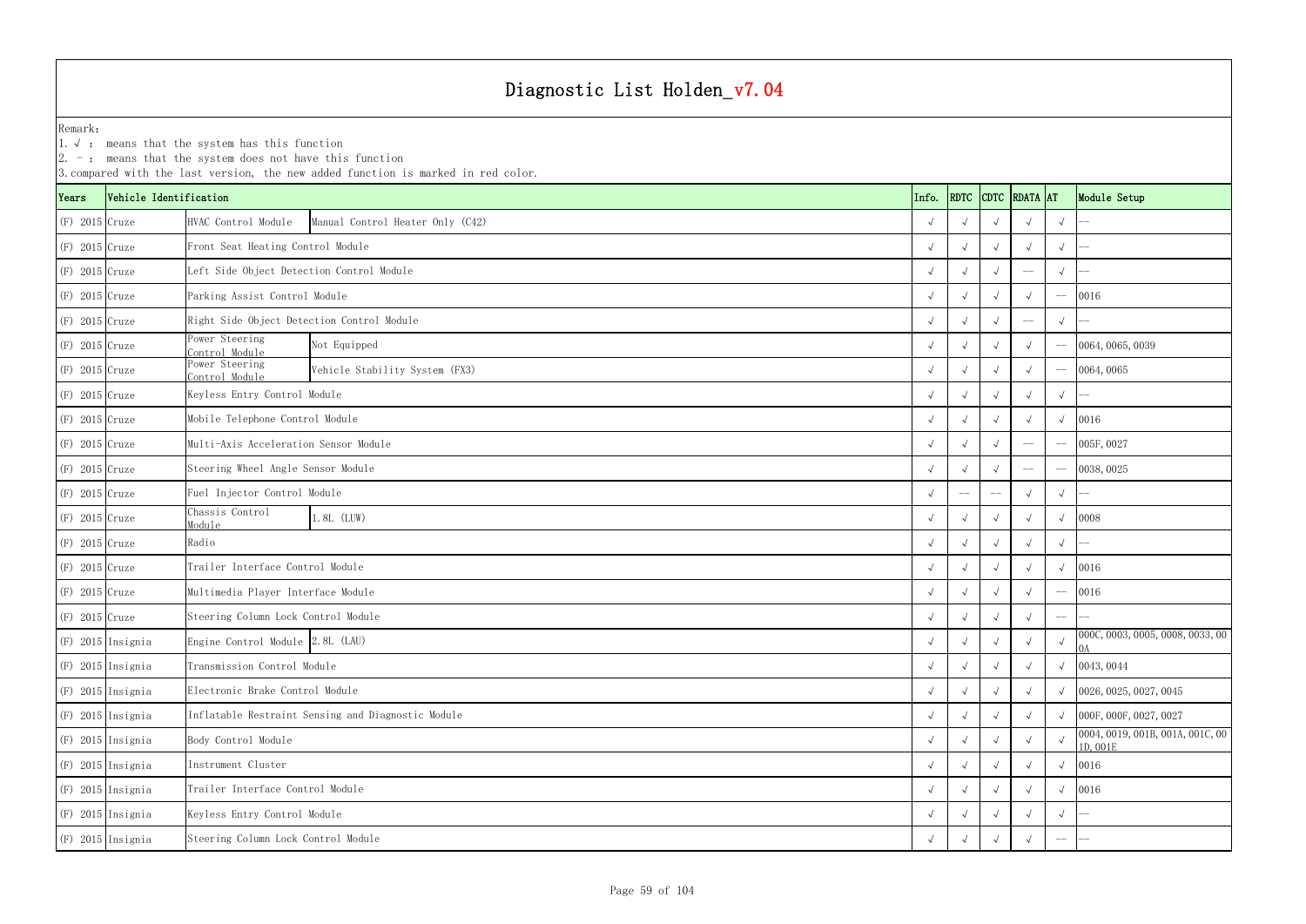|                  |                        | $ 2. -$ : means that the system does not have this function | 3. compared with the last version, the new added function is marked in red color. |            |            |             |                   |            |                                              |
|------------------|------------------------|-------------------------------------------------------------|-----------------------------------------------------------------------------------|------------|------------|-------------|-------------------|------------|----------------------------------------------|
| Years            | Vehicle Identification |                                                             |                                                                                   | Info.      | RDTC       | <b>CDTC</b> | <b>RDATA</b> AT   |            | Module Setup                                 |
| $(F)$ 2015 Cruze |                        | HVAC Control Module                                         | Manual Control Heater Only (C42)                                                  |            |            |             |                   | $\sqrt{ }$ |                                              |
| $(F)$ 2015 Cruze |                        | Front Seat Heating Control Module                           |                                                                                   |            |            |             |                   |            |                                              |
| $(F)$ 2015 Cruze |                        | Left Side Object Detection Control Module                   |                                                                                   |            |            |             |                   | $\sqrt{ }$ |                                              |
| $(F)$ 2015 Cruze |                        | Parking Assist Control Module                               |                                                                                   |            |            |             |                   |            | 0016                                         |
| $(F)$ 2015 Cruze |                        | Right Side Object Detection Control Module                  |                                                                                   |            |            |             |                   |            |                                              |
| $(F)$ 2015 Cruze |                        | Power Steering<br>Control Module                            | Not Equipped                                                                      |            |            |             |                   |            | 0064, 0065, 0039                             |
| $(F)$ 2015 Cruze |                        | Power Steering<br>Control Module                            | Vehicle Stability System (FX3)                                                    |            |            |             |                   |            | 0064,0065                                    |
| $(F)$ 2015 Cruze |                        | Keyless Entry Control Module                                |                                                                                   |            |            |             |                   |            |                                              |
| $(F)$ 2015 Cruze |                        | Mobile Telephone Control Module                             |                                                                                   |            |            |             |                   | $\sqrt{ }$ | 0016                                         |
| $(F)$ 2015 Cruze |                        | Multi-Axis Acceleration Sensor Module                       |                                                                                   |            |            |             | $\qquad \qquad -$ |            | 005F, 0027                                   |
| $(F)$ 2015 Cruze |                        | Steering Wheel Angle Sensor Module                          |                                                                                   |            |            |             |                   |            | 0038, 0025                                   |
| $(F)$ 2015 Cruze |                        | Fuel Injector Control Module                                |                                                                                   |            |            |             |                   |            |                                              |
| $(F)$ 2015 Cruze |                        | Chassis Control<br>Module                                   | 1.8L (LUW)                                                                        |            |            |             |                   |            | 0008                                         |
| $(F)$ 2015 Cruze |                        | Radio                                                       |                                                                                   |            |            |             |                   |            |                                              |
| $(F)$ 2015 Cruze |                        | Trailer Interface Control Module                            |                                                                                   |            |            |             |                   |            | 0016                                         |
| $(F)$ 2015 Cruze |                        | Multimedia Player Interface Module                          |                                                                                   |            |            |             |                   |            | 0016                                         |
| $(F)$ 2015 Cruze |                        | Steering Column Lock Control Module                         |                                                                                   |            |            |             |                   | $-\!-\!$   |                                              |
|                  | (F) 2015 Insignia      | Engine Control Module 2.8L (LAU)                            |                                                                                   | $\sqrt{ }$ | $\sqrt{ }$ | $\sqrt{ }$  | $\sqrt{ }$        | $\sqrt{ }$ | 000C, 0003, 0005, 0008, 0033, 00<br>0A       |
|                  | $(F)$ 2015 Insignia    | Transmission Control Module                                 |                                                                                   |            |            |             |                   | $\sqrt{ }$ | 0043, 0044                                   |
|                  | $(F)$ 2015 Insignia    | Electronic Brake Control Module                             |                                                                                   |            |            |             |                   |            | 0026, 0025, 0027, 0045                       |
|                  | $(F)$ 2015 Insignia    |                                                             | Inflatable Restraint Sensing and Diagnostic Module                                | $\sqrt{ }$ |            |             |                   |            | 000F, 000F, 0027, 0027                       |
|                  | $(F)$ 2015 Insignia    | Body Control Module                                         |                                                                                   | $\sqrt{ }$ |            |             |                   |            | 0004, 0019, 001B, 001A, 001C, 00<br>1D, 001E |
|                  | $(F)$ 2015 Insignia    | Instrument Cluster                                          |                                                                                   |            |            |             |                   |            | 0016                                         |
|                  | $(F)$ 2015 Insignia    | Trailer Interface Control Module                            |                                                                                   |            |            |             |                   |            | 0016                                         |
|                  | $(F)$ 2015 Insignia    | Keyless Entry Control Module                                |                                                                                   |            |            |             |                   | $\sqrt{ }$ |                                              |
|                  | $(F)$ 2015 Insignia    | Steering Column Lock Control Module                         |                                                                                   | $\sqrt{ }$ |            |             |                   |            |                                              |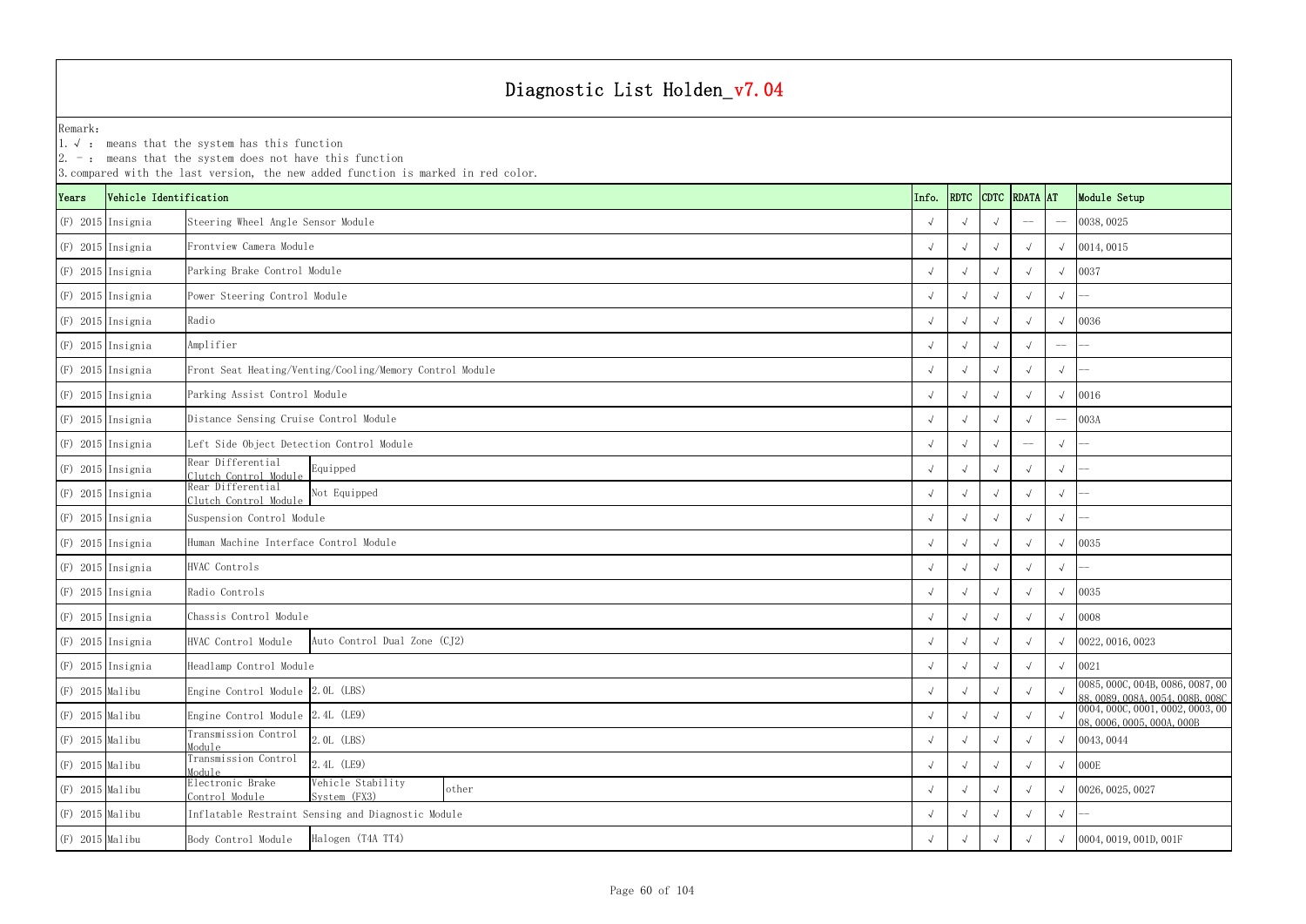| Remark:<br>$1. \vee$ : |                        | means that the system has this function<br>2. $-$ : means that the system does not have this function<br>3. compared with the last version, the new added function is marked in red color. |            |            |            |                    |                   |                                                                      |
|------------------------|------------------------|--------------------------------------------------------------------------------------------------------------------------------------------------------------------------------------------|------------|------------|------------|--------------------|-------------------|----------------------------------------------------------------------|
| Years                  | Vehicle Identification |                                                                                                                                                                                            | Info.      |            |            | RDTC CDTC RDATA AT |                   | Module Setup                                                         |
| (F) 2015 Insignia      |                        | Steering Wheel Angle Sensor Module                                                                                                                                                         |            |            |            | $-\!$ $\!-$        | $-\!-\!$          | 0038, 0025                                                           |
|                        | $(F)$ 2015 Insignia    | Frontview Camera Module                                                                                                                                                                    |            |            |            |                    |                   | 0014, 0015                                                           |
|                        | $(F)$ 2015 Insignia    | Parking Brake Control Module                                                                                                                                                               |            |            |            |                    | $\sqrt{ }$        | 0037                                                                 |
|                        | $(F)$ 2015 Insignia    | Power Steering Control Module                                                                                                                                                              |            |            |            |                    | $\sqrt{ }$        |                                                                      |
|                        | $(F)$ 2015 Insignia    | Radio                                                                                                                                                                                      |            |            |            |                    |                   | 0036                                                                 |
|                        | $(F)$ 2015 Insignia    | Amplifier                                                                                                                                                                                  |            |            |            |                    | $-\!-\!$          |                                                                      |
|                        | $(F)$ 2015 Insignia    | Front Seat Heating/Venting/Cooling/Memory Control Module                                                                                                                                   |            |            | $\sqrt{ }$ |                    | $\sqrt{ }$        |                                                                      |
|                        | $(F)$ 2015 Insignia    | Parking Assist Control Module                                                                                                                                                              |            |            |            |                    | $\sqrt{ }$        | 0016                                                                 |
| $(F)$ 2015 Insignia    |                        | Distance Sensing Cruise Control Module                                                                                                                                                     |            |            |            |                    | $\qquad \qquad -$ | 003A                                                                 |
| $(F)$ 2015 Insignia    |                        | Left Side Object Detection Control Module                                                                                                                                                  |            |            |            |                    | $\sqrt{ }$        |                                                                      |
|                        | $(F)$ 2015 Insignia    | Rear Differential<br>Equipped<br>Clutch Control Module                                                                                                                                     |            |            |            |                    | $\sqrt{ }$        |                                                                      |
|                        | $(F)$ 2015 Insignia    | Rear Differential<br>Not Equipped<br>Clutch Control Module                                                                                                                                 |            |            | $\sqrt{ }$ |                    | $\sqrt{ }$        |                                                                      |
|                        | $(F)$ 2015 Insignia    | Suspension Control Module                                                                                                                                                                  |            |            |            |                    | $\sqrt{ }$        |                                                                      |
| (F) 2015 Insignia      |                        | Human Machine Interface Control Module                                                                                                                                                     |            |            |            |                    |                   | 0035                                                                 |
|                        | $(F)$ 2015 Insignia    | HVAC Controls                                                                                                                                                                              |            |            |            |                    | $\sqrt{ }$        |                                                                      |
|                        | $(F)$ 2015 Insignia    | Radio Controls                                                                                                                                                                             |            |            | $\sqrt{ }$ |                    |                   | 0035                                                                 |
| (F) 2015 Insignia      |                        | Chassis Control Module                                                                                                                                                                     |            | $\sqrt{ }$ | $\sqrt{ }$ |                    | $\sqrt{ }$        | 0008                                                                 |
|                        | $(F)$ 2015 Insignia    | Auto Control Dual Zone (CJ2)<br>HVAC Control Module                                                                                                                                        |            |            |            |                    |                   | 0022, 0016, 0023                                                     |
| $(F)$ 2015 Insignia    |                        | Headlamp Control Module                                                                                                                                                                    | $\sqrt{ }$ |            |            |                    | $\sqrt{ }$        | 0021                                                                 |
| $(F)$ 2015 Malibu      |                        | Engine Control Module 2.0L (LBS)                                                                                                                                                           |            |            |            |                    |                   | 0085, 000C, 004B, 0086, 0087, 00<br>88, 0089, 008A, 0054, 008B, 008C |
| $(F)$ 2015 Malibu      |                        | Engine Control Module 2.4L (LE9)                                                                                                                                                           |            |            |            |                    |                   | 0004, 000C, 0001, 0002, 0003, 00<br>08,0006,0005,000A,000B           |
| $(F)$ 2015 Malibu      |                        | Transmission Control<br>2.0L (LBS)<br>Module                                                                                                                                               |            |            |            |                    |                   | 0043, 0044                                                           |
| $(F)$ 2015 Malibu      |                        | Transmission Control<br>2.4L (LE9)<br>Module                                                                                                                                               | $\sqrt{ }$ |            |            |                    | $\sqrt{ }$        | 000E                                                                 |
| $(F)$ 2015 Malibu      |                        | Electronic Brake<br>Vehicle Stability<br>other<br>Control Module<br>System (FX3)                                                                                                           |            |            | $\sqrt{ }$ | $\sqrt{ }$         |                   | 0026, 0025, 0027                                                     |
| $(F)$ 2015 Malibu      |                        | Inflatable Restraint Sensing and Diagnostic Module                                                                                                                                         |            |            |            |                    | $\sqrt{ }$        |                                                                      |
| $(F)$ 2015 Malibu      |                        | Halogen (T4A TT4)<br>Body Control Module                                                                                                                                                   |            |            |            |                    |                   | 0004, 0019, 001D, 001F                                               |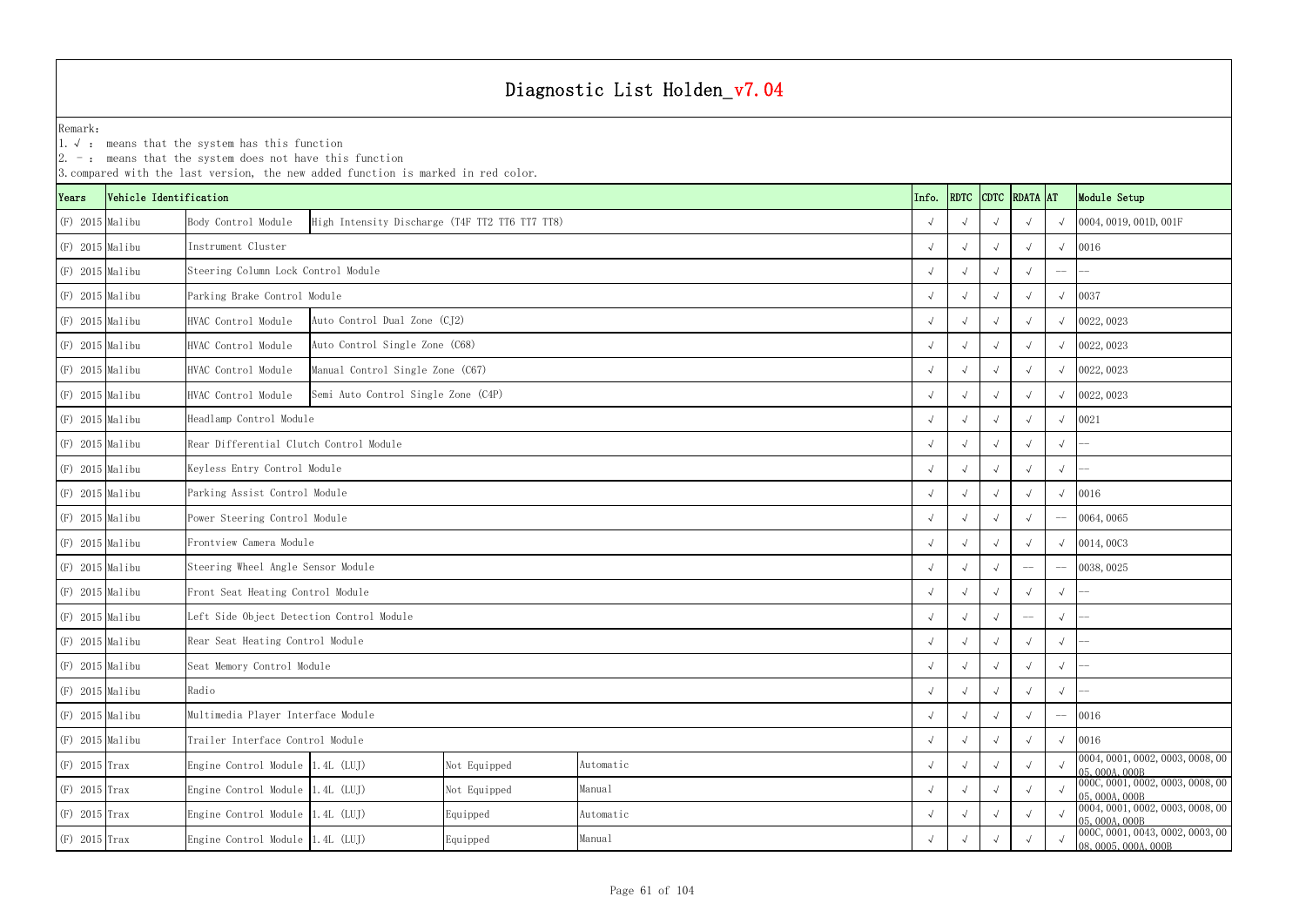|                   |                        | $ 2. -$ : means that the system does not have this function | 3. compared with the last version, the new added function is marked in red color. |              |           |      |            |               |                                                          |              |            |                                                  |
|-------------------|------------------------|-------------------------------------------------------------|-----------------------------------------------------------------------------------|--------------|-----------|------|------------|---------------|----------------------------------------------------------|--------------|------------|--------------------------------------------------|
| Years             | Vehicle Identification |                                                             |                                                                                   |              | Info.     | RDTC |            | CDTC RDATA AT |                                                          | Module Setup |            |                                                  |
| $(F)$ 2015 Malibu |                        | Body Control Module                                         | High Intensity Discharge (T4F TT2 TT6 TT7 TT8)                                    |              |           |      |            |               |                                                          |              |            | 0004, 0019, 001D, 001F                           |
| $(F)$ 2015 Malibu |                        | Instrument Cluster                                          |                                                                                   |              |           |      |            |               |                                                          |              | $\sqrt{ }$ | 0016                                             |
| $(F)$ 2015 Malibu |                        | Steering Column Lock Control Module                         |                                                                                   |              |           |      |            |               |                                                          |              | $-\!-\!$   |                                                  |
| $(F)$ 2015 Malibu |                        | Parking Brake Control Module                                |                                                                                   |              |           |      |            |               |                                                          |              |            | 0037                                             |
| $(F)$ 2015 Malibu |                        | HVAC Control Module                                         | Auto Control Dual Zone (CJ2)                                                      |              |           |      |            |               |                                                          |              |            | 0022, 0023                                       |
| $(F)$ 2015 Malibu |                        | HVAC Control Module                                         | Auto Control Single Zone (C68)                                                    |              |           |      |            | $\sqrt{ }$    |                                                          |              |            | 0022, 0023                                       |
| $(F)$ 2015 Malibu |                        | HVAC Control Module                                         | Manual Control Single Zone (C67)                                                  |              |           |      |            |               |                                                          |              | $\sqrt{ }$ | 0022, 0023                                       |
| $(F)$ 2015 Malibu |                        | HVAC Control Module                                         | Semi Auto Control Single Zone (C4P)                                               |              |           |      |            |               |                                                          |              |            | 0022, 0023                                       |
| $(F)$ 2015 Malibu |                        | Headlamp Control Module                                     |                                                                                   |              |           |      |            |               |                                                          |              |            | 0021                                             |
| $(F)$ 2015 Malibu |                        |                                                             | Rear Differential Clutch Control Module                                           |              |           |      |            |               |                                                          |              |            |                                                  |
| $(F)$ 2015 Malibu |                        | Keyless Entry Control Module                                |                                                                                   |              |           |      |            |               |                                                          | $\sqrt{ }$   | $\sqrt{ }$ |                                                  |
| $(F)$ 2015 Malibu |                        | Parking Assist Control Module                               |                                                                                   |              |           |      |            |               |                                                          |              |            | 0016                                             |
| (F) 2015 Malibu   |                        | Power Steering Control Module                               |                                                                                   |              |           |      |            |               |                                                          |              |            | 0064,0065                                        |
| $(F)$ 2015 Malibu |                        | Frontview Camera Module                                     |                                                                                   |              |           |      |            |               |                                                          |              | $\sqrt{ }$ | 0014,0003                                        |
| $(F)$ 2015 Malibu |                        | Steering Wheel Angle Sensor Module                          |                                                                                   |              |           |      |            |               |                                                          | $-\!$ –      | $-\!-\!$   | 0038, 0025                                       |
| (F) 2015 Malibu   |                        | Front Seat Heating Control Module                           |                                                                                   |              |           |      |            |               |                                                          |              | $\sqrt{ }$ |                                                  |
| $(F)$ 2015 Malibu |                        | Left Side Object Detection Control Module                   |                                                                                   |              |           |      |            |               |                                                          |              | $\sqrt{ }$ |                                                  |
| (F) 2015 Malibu   |                        | Rear Seat Heating Control Module                            |                                                                                   |              |           |      | $\sqrt{ }$ | $\sqrt{ }$    | $\sqrt{ }$                                               | $\sqrt{ }$   | $\sqrt{ }$ |                                                  |
| $(F)$ 2015 Malibu |                        | Seat Memory Control Module                                  |                                                                                   |              |           |      |            | $\sqrt{ }$    |                                                          |              | $\sqrt{ }$ |                                                  |
| (F) 2015 Malibu   |                        | Radio                                                       |                                                                                   |              |           |      |            |               |                                                          |              | $\sqrt{ }$ |                                                  |
| $(F)$ 2015 Malibu |                        | Multimedia Player Interface Module                          |                                                                                   |              |           |      |            |               |                                                          |              | $-\!-\!$   | 0016                                             |
| (F) 2015 Malibu   |                        | Trailer Interface Control Module                            |                                                                                   |              |           |      |            |               |                                                          |              | $\sqrt{ }$ | 0016                                             |
| $(F)$ 2015 Trax   |                        | Engine Control Module 1.4L (LUJ)                            |                                                                                   | Not Equipped | Automatic |      |            | $\sqrt{ }$    |                                                          |              |            | 0004, 0001, 0002, 0003, 0008, 00<br>05,000A,000B |
| $(F)$ 2015 Trax   |                        | Engine Control Module 1.4L (LUJ)                            |                                                                                   | Not Equipped | Manual    |      |            |               |                                                          |              |            | 000C, 0001, 0002, 0003, 0008, 00<br>05,000A,000B |
| $(F)$ 2015 Trax   |                        | Engine Control Module 1.4L (LUJ)                            |                                                                                   | Equipped     | Automatic |      |            |               |                                                          |              |            | 0004, 0001, 0002, 0003, 0008, 00<br>05,000A,000B |
| $(F)$ 2015 Trax   |                        | Engine Control Module 1.4L (LUJ)                            |                                                                                   |              |           |      |            |               | 000C, 0001, 0043, 0002, 0003, 00<br>08, 0005, 000A, 000B |              |            |                                                  |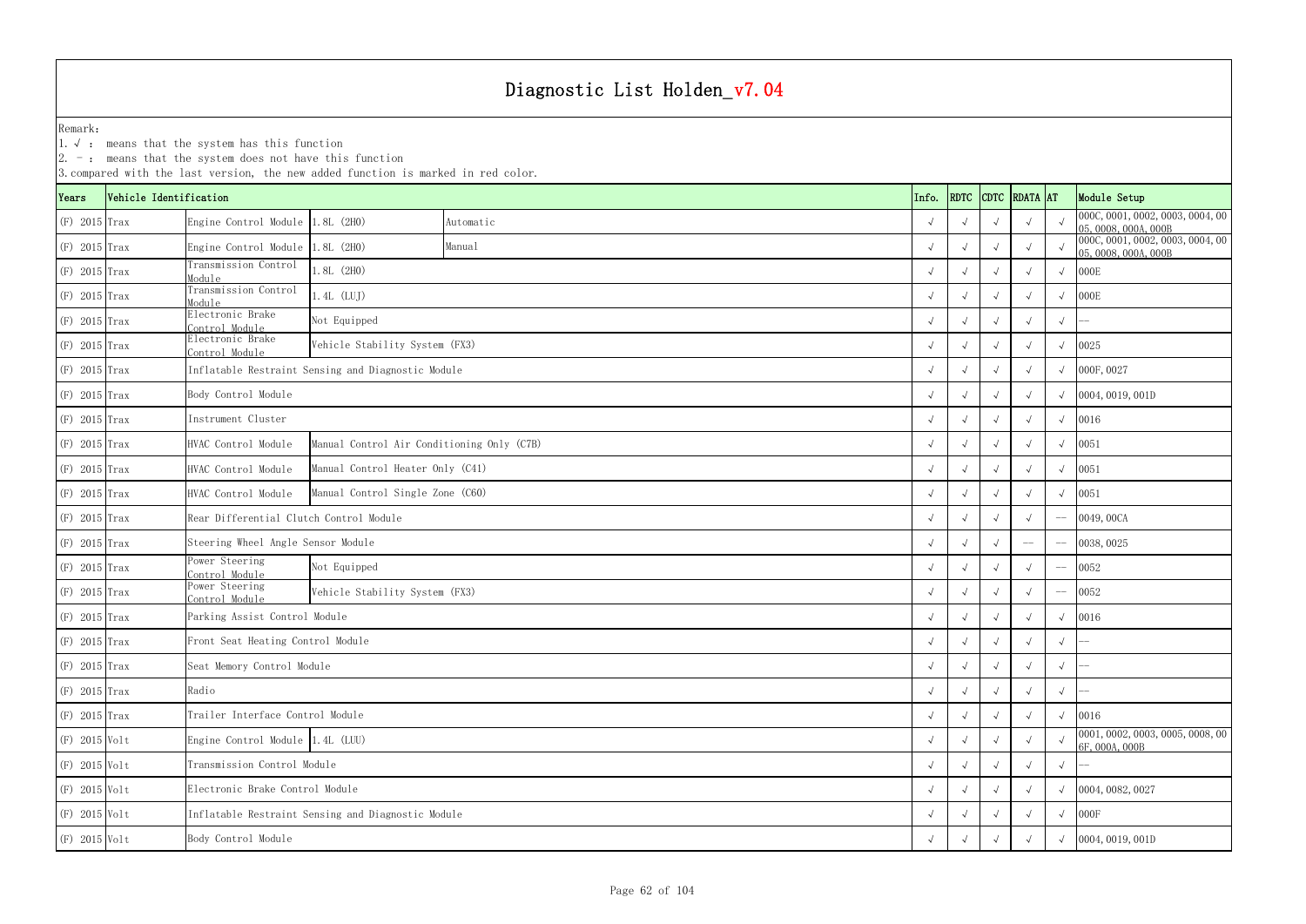1.√ : means that the system has this function

|                 | 3. compared with the last version, the new added function is marked in red color. |                                         |                                                    |           |  |            |             |             |            |                  |                                                          |  |
|-----------------|-----------------------------------------------------------------------------------|-----------------------------------------|----------------------------------------------------|-----------|--|------------|-------------|-------------|------------|------------------|----------------------------------------------------------|--|
| Years           | Vehicle Identification                                                            |                                         |                                                    |           |  | Info.      | <b>RDTC</b> | <b>CDTC</b> | RDATA AT   |                  | Module Setup                                             |  |
| $(F)$ 2015 Trax |                                                                                   | Engine Control Module 1.8L (2H0)        |                                                    | Automatic |  |            |             |             |            |                  | 000C, 0001, 0002, 0003, 0004, 00<br>05,0008,000A,000B    |  |
| $(F)$ 2015 Trax |                                                                                   | Engine Control Module 1.8L (2H0)        |                                                    | Manual    |  | $\sqrt{ }$ |             |             |            |                  | 000C, 0001, 0002, 0003, 0004, 00<br>05, 0008, 000A, 000B |  |
| $(F)$ 2015 Trax |                                                                                   | Transmission Control<br>Module          | $1.8L$ (2HO)                                       |           |  | $\sqrt{ }$ |             |             |            |                  | 000E                                                     |  |
| $(F)$ 2015 Trax |                                                                                   | Transmission Control<br>Module          | $.4L$ (LUJ)                                        |           |  |            |             |             |            |                  | 000E                                                     |  |
| $(F)$ 2015 Trax |                                                                                   | Electronic Brake<br>Control Module      | Not Equipped                                       |           |  |            |             |             |            | $\sqrt{ }$       |                                                          |  |
| (F) 2015 Trax   |                                                                                   | Electronic Brake<br>Control Module      | Vehicle Stability System (FX3)                     |           |  |            |             |             |            | 0025             |                                                          |  |
| $(F)$ 2015 Trax |                                                                                   |                                         | Inflatable Restraint Sensing and Diagnostic Module |           |  |            |             |             | 000F, 0027 |                  |                                                          |  |
| (F) 2015 Trax   |                                                                                   | Body Control Module                     |                                                    |           |  |            |             |             |            | 0004, 0019, 001D |                                                          |  |
| $(F)$ 2015 Trax |                                                                                   | Instrument Cluster                      |                                                    |           |  |            |             |             |            |                  | 0016                                                     |  |
| $(F)$ 2015 Trax |                                                                                   | HVAC Control Module                     | Manual Control Air Conditioning Only (C7B)         |           |  | $\sqrt{ }$ |             |             |            |                  | 0051                                                     |  |
| $(F)$ 2015 Trax |                                                                                   | HVAC Control Module                     | Manual Control Heater Only (C41)                   |           |  | $\sqrt{ }$ |             |             |            |                  | 0051                                                     |  |
| $(F)$ 2015 Trax |                                                                                   | HVAC Control Module                     | Manual Control Single Zone (C60)                   |           |  |            |             |             |            |                  | 0051                                                     |  |
| $(F)$ 2015 Trax |                                                                                   | Rear Differential Clutch Control Module |                                                    |           |  |            |             |             |            |                  | 0049, 00CA                                               |  |
| $(F)$ 2015 Trax |                                                                                   | Steering Wheel Angle Sensor Module      |                                                    |           |  |            |             |             |            |                  | 0038, 0025                                               |  |
| $(F)$ 2015 Trax |                                                                                   | Power Steering<br>Control Module        | Not Equipped                                       |           |  |            |             |             |            |                  | 0052                                                     |  |
| $(F)$ 2015 Trax |                                                                                   | Power Steering<br>Control Module        | Vehicle Stability System (FX3)                     |           |  |            |             |             |            |                  | 0052                                                     |  |
| $(F)$ 2015 Trax |                                                                                   | Parking Assist Control Module           |                                                    |           |  |            |             |             |            |                  | 0016                                                     |  |
| $(F)$ 2015 Trax |                                                                                   | Front Seat Heating Control Module       |                                                    |           |  |            |             |             |            |                  |                                                          |  |
| (F) 2015 Trax   |                                                                                   | Seat Memory Control Module              |                                                    |           |  | $\sqrt{ }$ | $\sqrt{ }$  | $\sqrt{ }$  | $\sqrt{ }$ | $\sqrt{ }$       |                                                          |  |
| (F) 2015 Trax   |                                                                                   | Radio                                   |                                                    |           |  |            |             |             |            | $\sqrt{ }$       |                                                          |  |
| $(F)$ 2015 Trax |                                                                                   | Trailer Interface Control Module        | $\sqrt{ }$                                         |           |  |            |             | 0016        |            |                  |                                                          |  |
| (F) 2015 Volt   |                                                                                   |                                         | Engine Control Module 1.4L (LUU)                   |           |  |            |             |             |            |                  | 0001, 0002, 0003, 0005, 0008, 00<br>6F, 000A, 000B       |  |
| $(F)$ 2015 Volt |                                                                                   |                                         | Transmission Control Module                        |           |  |            |             |             |            |                  |                                                          |  |
| $(F)$ 2015 Volt |                                                                                   | Electronic Brake Control Module         |                                                    |           |  |            |             |             |            |                  | 0004, 0082, 0027                                         |  |
| $(F)$ 2015 Volt |                                                                                   |                                         | Inflatable Restraint Sensing and Diagnostic Module |           |  |            |             |             |            |                  | 000F                                                     |  |
| (F) 2015 Volt   |                                                                                   | Body Control Module                     |                                                    |           |  | $\sqrt{ }$ |             |             |            |                  | 0004, 0019, 001D                                         |  |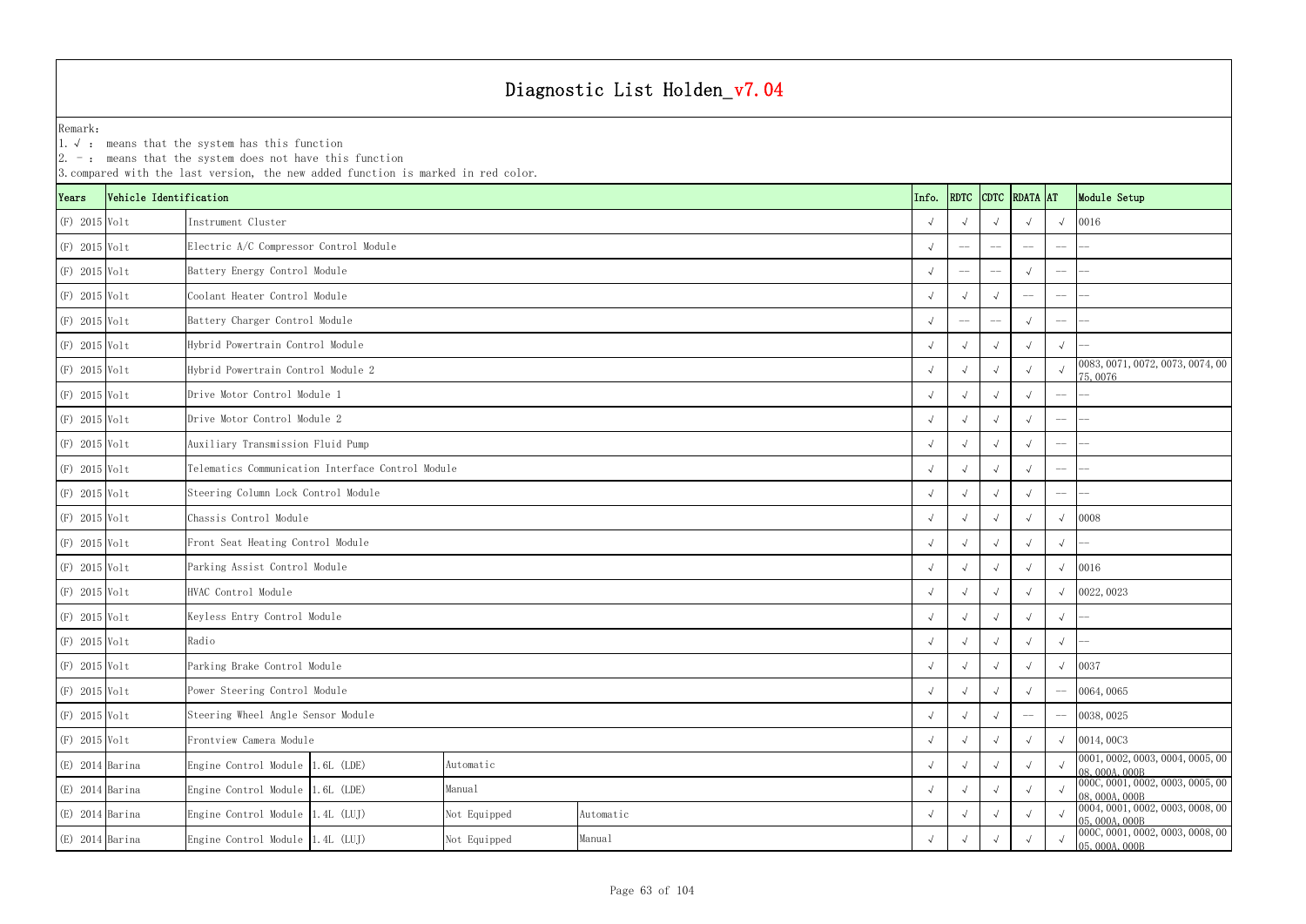|                   |                        | $\mathsf{Z}$ . $\mathsf{Z}$ : means that the system does not have this function<br>3. compared with the last version, the new added function is marked in red color. |                                    |              |           |  |                    |            |              |                                                |             |                                                  |
|-------------------|------------------------|----------------------------------------------------------------------------------------------------------------------------------------------------------------------|------------------------------------|--------------|-----------|--|--------------------|------------|--------------|------------------------------------------------|-------------|--------------------------------------------------|
| Years             | Vehicle Identification |                                                                                                                                                                      |                                    | Info.        |           |  | RDTC CDTC RDATA AT |            | Module Setup |                                                |             |                                                  |
| $(F)$ 2015 Volt   |                        | Instrument Cluster                                                                                                                                                   |                                    |              |           |  |                    |            |              |                                                | $\sqrt{ }$  | 0016                                             |
| $(F)$ 2015 Volt   |                        | Electric A/C Compressor Control Module                                                                                                                               |                                    |              |           |  |                    |            |              |                                                | $-\!$ –     |                                                  |
| (F) 2015 Volt     |                        | Battery Energy Control Module                                                                                                                                        |                                    |              |           |  |                    |            |              |                                                | $-\!$ –     |                                                  |
| $(F)$ 2015 Volt   |                        | Coolant Heater Control Module                                                                                                                                        |                                    |              |           |  |                    |            |              |                                                | $-\!$ $\!-$ |                                                  |
| $(F)$ 2015 Volt   |                        | Battery Charger Control Module                                                                                                                                       |                                    |              |           |  |                    |            |              |                                                | $-\!$ $\!-$ |                                                  |
| $(F)$ 2015 Volt   |                        | Hybrid Powertrain Control Module                                                                                                                                     |                                    |              |           |  |                    |            |              |                                                | $\sqrt{ }$  |                                                  |
| $(F)$ 2015 Volt   |                        | Hybrid Powertrain Control Module 2                                                                                                                                   |                                    |              |           |  |                    |            |              |                                                |             | 0083, 0071, 0072, 0073, 0074, 00<br>75,0076      |
| $(F)$ 2015 Volt   |                        | Drive Motor Control Module 1                                                                                                                                         |                                    |              |           |  |                    |            |              | $\sqrt{ }$                                     | $-\!$ –     |                                                  |
| $(F)$ 2015 Volt   |                        |                                                                                                                                                                      | Drive Motor Control Module 2       |              |           |  |                    |            |              |                                                | $-\! -$     |                                                  |
| $(F)$ 2015 Volt   |                        |                                                                                                                                                                      | Auxiliary Transmission Fluid Pump  |              |           |  |                    |            |              |                                                | $--$        |                                                  |
| (F) 2015 Volt     |                        | Telematics Communication Interface Control Module                                                                                                                    |                                    |              |           |  |                    |            |              |                                                | $-\!$ –     |                                                  |
| $(F)$ 2015 Volt   |                        | Steering Column Lock Control Module                                                                                                                                  |                                    |              |           |  |                    |            |              |                                                | $-\!$ –     |                                                  |
| $(F)$ 2015 Volt   |                        | Chassis Control Module                                                                                                                                               |                                    |              |           |  |                    | $\sqrt{ }$ |              |                                                | $\sqrt{ }$  | 0008                                             |
| (F) 2015 Volt     |                        | Front Seat Heating Control Module                                                                                                                                    |                                    |              |           |  |                    |            |              |                                                | $\sqrt{ }$  |                                                  |
| $(F)$ 2015 Volt   |                        | Parking Assist Control Module                                                                                                                                        |                                    |              |           |  |                    |            |              |                                                |             | 0016                                             |
| $(F)$ 2015 Volt   |                        | HVAC Control Module                                                                                                                                                  |                                    |              |           |  |                    |            |              |                                                |             | 0022, 0023                                       |
| (F) 2015 Volt     |                        | Keyless Entry Control Module                                                                                                                                         |                                    |              |           |  |                    |            |              | $\sqrt{ }$                                     | $\sqrt{ }$  |                                                  |
| (F) 2015 Volt     |                        | Radio                                                                                                                                                                |                                    |              |           |  |                    | $\sqrt{ }$ | $\sqrt{ }$   | $\sqrt{ }$                                     | $\sqrt{ }$  |                                                  |
| $(F)$ 2015 Volt   |                        | Parking Brake Control Module                                                                                                                                         |                                    |              |           |  |                    | $\sqrt{ }$ |              |                                                |             | 0037                                             |
| $(F)$ 2015 Volt   |                        | Power Steering Control Module                                                                                                                                        |                                    |              |           |  |                    |            |              | $\sqrt{ }$                                     | $-\!$ $\!-$ | 0064,0065                                        |
| $(F)$ 2015 Volt   |                        |                                                                                                                                                                      | Steering Wheel Angle Sensor Module |              |           |  |                    |            |              | $\hspace{0.1mm}-\hspace{0.1mm}-\hspace{0.1mm}$ | $-\!$ $\!-$ | 0038, 0025                                       |
| $(F)$ 2015 Volt   |                        | Frontview Camera Module                                                                                                                                              |                                    |              |           |  |                    |            | $\sqrt{ }$   | $\sqrt{ }$                                     | $\sqrt{ }$  | 0014,0003                                        |
| $(E)$ 2014 Barina |                        | Engine Control Module 1.6L (LDE)                                                                                                                                     |                                    | Automatic    |           |  |                    |            |              |                                                |             | 0001, 0002, 0003, 0004, 0005, 00<br>08,000A,000B |
| $(E)$ 2014 Barina |                        | Engine Control Module 1.6L (LDE)                                                                                                                                     |                                    | Manual       |           |  |                    | $\sqrt{ }$ | $\sqrt{ }$   | $\sqrt{ }$                                     |             | 000C, 0001, 0002, 0003, 0005, 00<br>08,000A,000B |
| $(E)$ 2014 Barina |                        | Engine Control Module 1.4L (LUJ)                                                                                                                                     |                                    | Not Equipped | Automatic |  |                    | $\sqrt{ }$ | $\sqrt{ }$   | $\sqrt{ }$                                     |             | 0004, 0001, 0002, 0003, 0008, 00<br>05,000A,000B |
| $(E)$ 2014 Barina |                        | Manual<br>Engine Control Module 1.4L (LUJ)<br>Not Equipped                                                                                                           |                                    |              |           |  |                    |            |              | $\sqrt{ }$                                     |             | 000C, 0001, 0002, 0003, 0008, 00<br>05,000A,000B |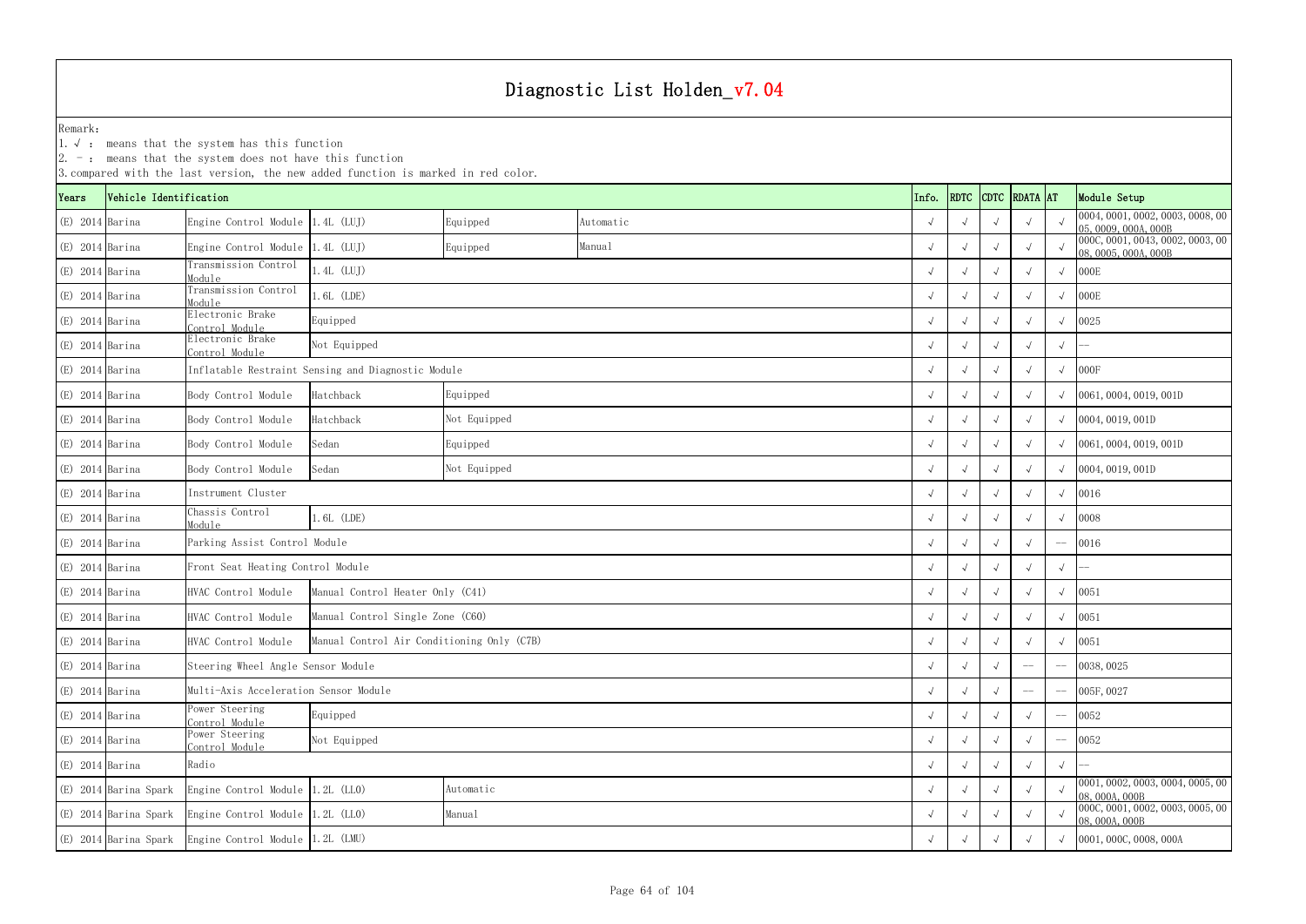1.√ : means that the system has this function

|                   | . Incans that the system does not have this rancer<br>3. compared with the last version, the new added function is marked in red color.<br>RDTC CDTC RDATA AT |                                       |                                                    |              |           |       |            |            |  |          |              |                                                          |
|-------------------|---------------------------------------------------------------------------------------------------------------------------------------------------------------|---------------------------------------|----------------------------------------------------|--------------|-----------|-------|------------|------------|--|----------|--------------|----------------------------------------------------------|
| Years             | Vehicle Identification                                                                                                                                        |                                       |                                                    |              |           | Info. |            |            |  |          | Module Setup |                                                          |
| $(E)$ 2014 Barina |                                                                                                                                                               | Engine Control Module 1.4L (LUJ)      |                                                    | Equipped     | Automatic |       |            |            |  |          |              | 0004, 0001, 0002, 0003, 0008, 00<br>05,0009,000A,000B    |
| $(E)$ 2014 Barina |                                                                                                                                                               | Engine Control Module 1.4L (LUJ)      |                                                    | Equipped     | Manual    |       |            |            |  |          |              | 000C, 0001, 0043, 0002, 0003, 00<br>08, 0005, 000A, 000B |
| $(E)$ 2014 Barina |                                                                                                                                                               | Transmission Control<br>Module        | $1.4L$ (LUJ)                                       |              |           |       |            | $\sqrt{ }$ |  |          |              | 000E                                                     |
| $(E)$ 2014 Barina |                                                                                                                                                               | Transmission Control<br>Module        | $.6L$ (LDE)                                        |              |           |       |            |            |  |          |              | 000E                                                     |
| $(E)$ 2014 Barina |                                                                                                                                                               | Electronic Brake<br>ontrol Module     | Equipped                                           |              |           |       |            |            |  |          |              | 0025                                                     |
| $(E)$ 2014 Barina |                                                                                                                                                               | Electronic Brake<br>Control Module    | Not Equipped                                       |              |           |       |            |            |  |          | $\sqrt{ }$   |                                                          |
| $(E)$ 2014 Barina |                                                                                                                                                               |                                       | Inflatable Restraint Sensing and Diagnostic Module |              |           |       |            |            |  |          |              | 000F                                                     |
| $(E)$ 2014 Barina |                                                                                                                                                               | Body Control Module                   | Hatchback                                          | Equipped     |           |       |            |            |  |          |              | 0061, 0004, 0019, 001D                                   |
| $(E)$ 2014 Barina |                                                                                                                                                               | Body Control Module                   | Hatchback                                          | Not Equipped |           |       |            |            |  |          |              | 0004, 0019, 001D                                         |
| $(E)$ 2014 Barina |                                                                                                                                                               | Body Control Module                   | Sedan                                              | Equipped     |           |       |            |            |  |          |              | 0061, 0004, 0019, 001D                                   |
| $(E)$ 2014 Barina |                                                                                                                                                               | Body Control Module                   | Sedan                                              | Not Equipped |           |       |            |            |  |          |              | 0004, 0019, 001D                                         |
| $(E)$ 2014 Barina |                                                                                                                                                               | Instrument Cluster                    |                                                    |              |           |       |            |            |  |          |              | 0016                                                     |
| $(E)$ 2014 Barina |                                                                                                                                                               | Chassis Control<br>Module             | $.6L$ (LDE)                                        |              |           |       |            |            |  |          |              | 0008                                                     |
| $(E)$ 2014 Barina |                                                                                                                                                               | Parking Assist Control Module         |                                                    |              |           |       |            |            |  |          |              | 0016                                                     |
| $(E)$ 2014 Barina |                                                                                                                                                               | Front Seat Heating Control Module     |                                                    |              |           |       |            |            |  |          | $\sqrt{ }$   |                                                          |
| $(E)$ 2014 Barina |                                                                                                                                                               | HVAC Control Module                   | Manual Control Heater Only (C41)                   |              |           |       |            |            |  |          | $\sqrt{ }$   | 0051                                                     |
| $(E)$ 2014 Barina |                                                                                                                                                               | HVAC Control Module                   | Manual Control Single Zone (C60)                   |              |           |       |            |            |  |          |              | 0051                                                     |
| $(E)$ 2014 Barina |                                                                                                                                                               | HVAC Control Module                   | Manual Control Air Conditioning Only (C7B)         |              |           |       |            |            |  |          |              | 0051                                                     |
| $(E)$ 2014 Barina |                                                                                                                                                               | Steering Wheel Angle Sensor Module    |                                                    |              |           |       | $\sqrt{ }$ | $\sqrt{ }$ |  | $-\!-\!$ |              | 0038, 0025                                               |
| $(E)$ 2014 Barina |                                                                                                                                                               | Multi-Axis Acceleration Sensor Module |                                                    |              |           |       |            |            |  | $-\! -$  |              | 005F, 0027                                               |
| $(E)$ 2014 Barina |                                                                                                                                                               | Ower Steering<br>ontrol Module        | Equipped                                           |              |           |       |            |            |  |          |              | 0052                                                     |
| $(E)$ 2014 Barina |                                                                                                                                                               | ower Steering<br>Control Module       | Not Equipped                                       |              |           |       |            |            |  |          |              | 0052                                                     |
| $(E)$ 2014 Barina |                                                                                                                                                               | Radio                                 |                                                    |              |           |       |            |            |  |          | $\sqrt{ }$   |                                                          |
|                   | (E) 2014 Barina Spark                                                                                                                                         | Engine Control Module 1.2L (LLO)      |                                                    | Automatic    |           |       |            |            |  |          |              | 0001, 0002, 0003, 0004, 0005, 00<br>08,000A,000B         |
|                   | (E) 2014 Barina Spark                                                                                                                                         | Engine Control Module 1.2L (LLO)      |                                                    | Manual       |           |       |            |            |  |          |              | 000C, 0001, 0002, 0003, 0005, 00<br>08, 000A, 000B       |
|                   | (E) 2014 Barina Spark                                                                                                                                         |                                       | Engine Control Module 1.2L (LMU)                   |              |           |       |            |            |  |          |              | 0001, 000C, 0008, 000A                                   |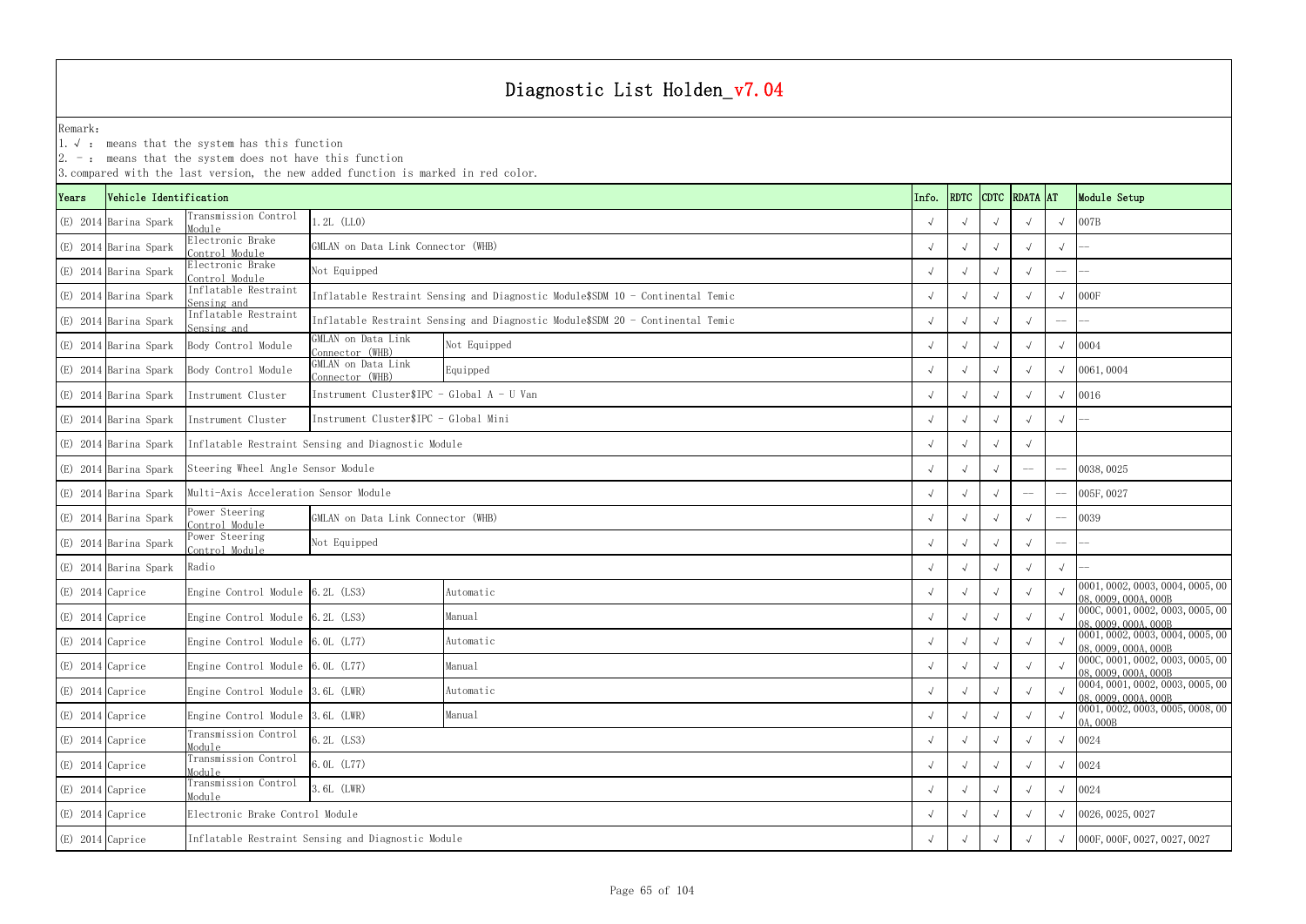1.√ : means that the system has this function

|                    | $\vert 2.$ -: means that the system does not have this function<br>3. compared with the last version, the new added function is marked in red color. |                                       |                                                    |                                                                                |       |             |  |               |             |              |                                                            |  |
|--------------------|------------------------------------------------------------------------------------------------------------------------------------------------------|---------------------------------------|----------------------------------------------------|--------------------------------------------------------------------------------|-------|-------------|--|---------------|-------------|--------------|------------------------------------------------------------|--|
| Years              | Vehicle Identification                                                                                                                               |                                       |                                                    |                                                                                | Info. | <b>RDTC</b> |  | CDTC RDATA AT |             | Module Setup |                                                            |  |
|                    | (E) 2014 Barina Spark                                                                                                                                | Transmission Control<br>Module        | $.2L$ (LLO)                                        |                                                                                |       |             |  |               |             |              | 007B                                                       |  |
|                    | (E) 2014 Barina Spark                                                                                                                                | Electronic Brake<br>Control Module    | GMLAN on Data Link Connector (WHB)                 |                                                                                |       |             |  |               |             | $\sqrt{ }$   |                                                            |  |
|                    | (E) 2014 Barina Spark                                                                                                                                | Electronic Brake<br>Control Module    | Not Equipped                                       |                                                                                |       |             |  |               |             |              |                                                            |  |
|                    | (E) 2014 Barina Spark                                                                                                                                | Inflatable Restraint<br>Sensing and   |                                                    | Inflatable Restraint Sensing and Diagnostic Module\$SDM 10 - Continental Temic |       |             |  |               |             |              | 000F                                                       |  |
|                    | (E) 2014 Barina Spark                                                                                                                                | Inflatable Restraint<br>Sensing and   |                                                    | Inflatable Restraint Sensing and Diagnostic Module\$SDM 20 - Continental Temic |       |             |  |               |             |              |                                                            |  |
|                    | (E) 2014 Barina Spark                                                                                                                                | Body Control Module                   | GMLAN on Data Link<br>Connector (WHB)              | Not Equipped                                                                   |       |             |  |               |             |              | 0004                                                       |  |
|                    | (E) 2014 Barina Spark                                                                                                                                | Body Control Module                   | GMLAN on Data Link<br>Connector (WHB)              | Equipped                                                                       |       |             |  |               |             |              | 0061,0004                                                  |  |
|                    | (E) 2014 Barina Spark                                                                                                                                | Instrument Cluster                    | Instrument Cluster\$IPC - Global $A - U$ Van       |                                                                                |       |             |  |               |             |              | 0016                                                       |  |
|                    | (E) 2014 Barina Spark                                                                                                                                | Instrument Cluster                    | Instrument Cluster\$IPC - Global Mini              |                                                                                |       |             |  |               |             |              |                                                            |  |
|                    | (E) 2014 Barina Spark                                                                                                                                |                                       | Inflatable Restraint Sensing and Diagnostic Module |                                                                                |       |             |  |               |             |              |                                                            |  |
|                    | (E) 2014 Barina Spark                                                                                                                                | Steering Wheel Angle Sensor Module    |                                                    |                                                                                |       |             |  |               | $-\!$ $\!-$ |              | 0038, 0025                                                 |  |
|                    | (E) 2014 Barina Spark                                                                                                                                | Multi-Axis Acceleration Sensor Module |                                                    |                                                                                |       |             |  |               | $-\! -$     |              | 005F, 0027                                                 |  |
|                    | (E) 2014 Barina Spark                                                                                                                                | Power Steering<br>Control Module      | GMLAN on Data Link Connector (WHB)                 |                                                                                |       |             |  |               |             |              | 0039                                                       |  |
|                    | (E) 2014 Barina Spark                                                                                                                                | Power Steering<br>Control Module      | Not Equipped                                       |                                                                                |       |             |  |               |             |              |                                                            |  |
|                    | (E) 2014 Barina Spark                                                                                                                                | Radio                                 |                                                    |                                                                                |       |             |  |               |             |              |                                                            |  |
| (E) 2014 Caprice   |                                                                                                                                                      | Engine Control Module 6.2L (LS3)      |                                                    | Automatic                                                                      |       |             |  |               |             |              | [0001, 0002, 0003, 0004, 0005, 00]<br>08, 0009, 000A, 000B |  |
| (E) 2014 Caprice   |                                                                                                                                                      | Engine Control Module 6.2L (LS3)      |                                                    | Manual                                                                         |       |             |  |               |             |              | 0000, 0001, 0002, 0003, 0005, 00<br>08, 0009, 000A, 000B   |  |
| $(E)$ 2014 Caprice |                                                                                                                                                      | Engine Control Module 6.0L (L77)      |                                                    | Automatic                                                                      |       |             |  |               |             |              | 0001, 0002, 0003, 0004, 0005, 00<br>08, 0009, 000A, 000B   |  |
| $(E)$ 2014 Caprice |                                                                                                                                                      | Engine Control Module 6.0L (L77)      |                                                    | Manual                                                                         |       |             |  |               |             |              | 000C, 0001, 0002, 0003, 0005, 00<br>08,0009,000A,000B      |  |
| (E) 2014 Caprice   |                                                                                                                                                      | Engine Control Module 3.6L (LWR)      |                                                    | Automatic                                                                      |       |             |  |               |             |              | 0004, 0001, 0002, 0003, 0005, 00<br>08, 0009, 000A, 000B   |  |
| (E) 2014 Caprice   |                                                                                                                                                      | Engine Control Module 3.6L (LWR)      |                                                    | Manual                                                                         |       |             |  |               |             |              | 0001, 0002, 0003, 0005, 0008, 00<br>0A, 000B               |  |
| (E) 2014 Caprice   |                                                                                                                                                      | Transmission Control<br>Module        |                                                    |                                                                                |       |             |  |               | 0024        |              |                                                            |  |
| (E) 2014 Caprice   |                                                                                                                                                      | Transmission Control<br>Module        |                                                    |                                                                                |       |             |  |               | 0024        |              |                                                            |  |
| $(E)$ 2014 Caprice |                                                                                                                                                      | Transmission Control<br>Module        |                                                    |                                                                                |       |             |  |               | 0024        |              |                                                            |  |
| (E) 2014 Caprice   |                                                                                                                                                      | Electronic Brake Control Module       |                                                    |                                                                                |       |             |  |               |             |              | 0026, 0025, 0027                                           |  |
| (E) 2014 Caprice   |                                                                                                                                                      |                                       | Inflatable Restraint Sensing and Diagnostic Module |                                                                                |       |             |  |               |             |              | 000F, 000F, 0027, 0027, 0027                               |  |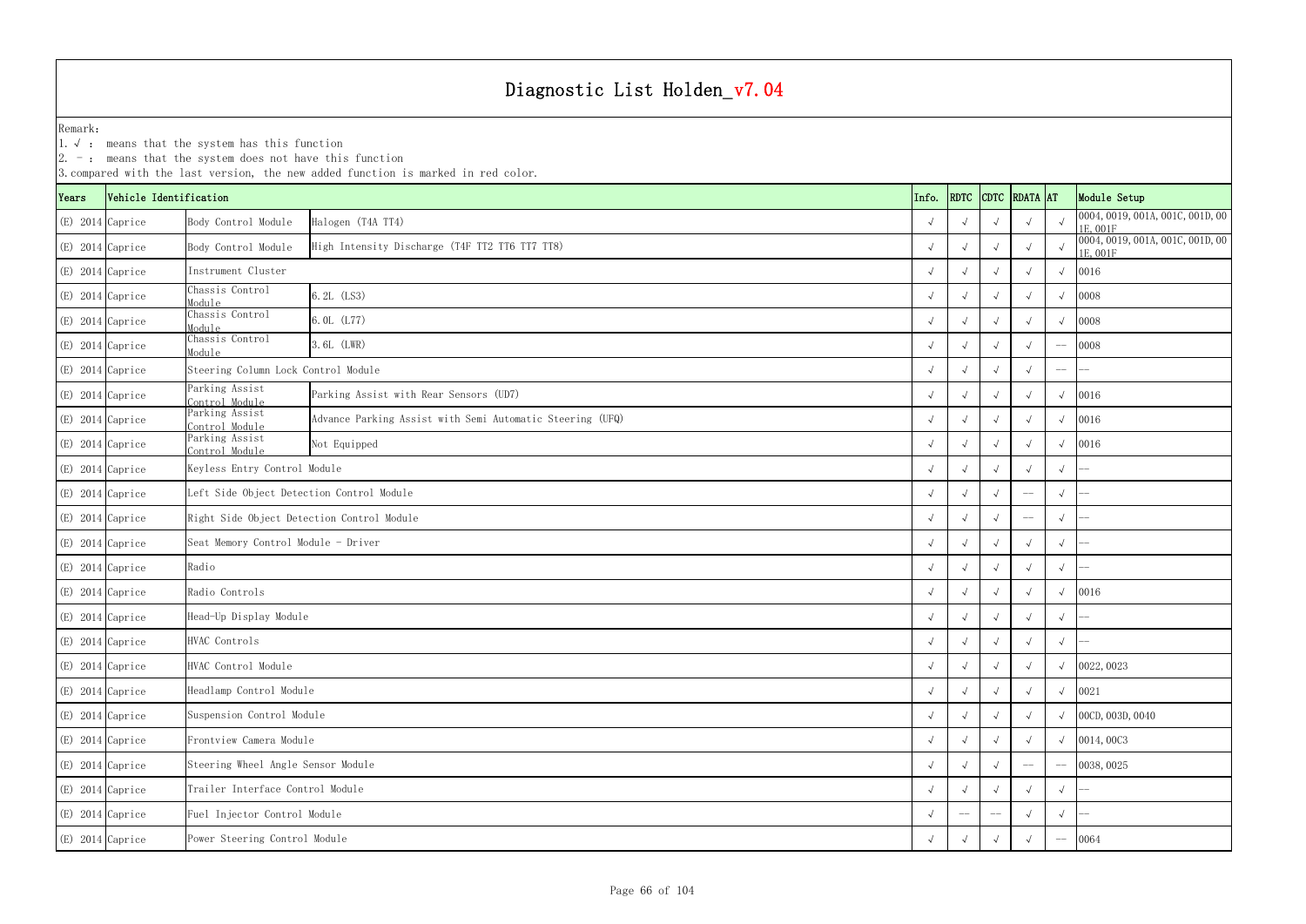1.√ : means that the system has this function

| RDATA AT<br>RDTC<br><b>CDTC</b><br>Vehicle Identification<br>Info.<br>Years<br>Halogen (T4A TT4)<br>(E) 2014 Caprice<br>Body Control Module<br>(E) 2014 Caprice<br>Body Control Module<br>High Intensity Discharge (T4F TT2 TT6 TT7 TT8)<br>Instrument Cluster<br>(E) 2014 Caprice<br>Chassis Control<br>6.2L (LS3)<br>(E) 2014 Caprice<br>Module<br>Chassis Control<br>6.0L (L77)<br>(E) 2014 Caprice<br>Module | Module Setup<br>1E, 001F<br>1E, 001F | 0004, 0019, 001A, 001C, 001D, 00 |
|------------------------------------------------------------------------------------------------------------------------------------------------------------------------------------------------------------------------------------------------------------------------------------------------------------------------------------------------------------------------------------------------------------------|--------------------------------------|----------------------------------|
|                                                                                                                                                                                                                                                                                                                                                                                                                  |                                      |                                  |
|                                                                                                                                                                                                                                                                                                                                                                                                                  |                                      |                                  |
|                                                                                                                                                                                                                                                                                                                                                                                                                  |                                      | 0004, 0019, 001A, 001C, 001D, 00 |
|                                                                                                                                                                                                                                                                                                                                                                                                                  | 0016<br>$\sqrt{ }$                   |                                  |
|                                                                                                                                                                                                                                                                                                                                                                                                                  | 0008                                 |                                  |
|                                                                                                                                                                                                                                                                                                                                                                                                                  | 0008                                 |                                  |
| Chassis Control<br>3.6L (LWR)<br>$(E)$ 2014 Caprice<br>Module                                                                                                                                                                                                                                                                                                                                                    | 0008                                 |                                  |
| $(E)$ 2014 Caprice<br>Steering Column Lock Control Module                                                                                                                                                                                                                                                                                                                                                        |                                      |                                  |
| Parking Assist<br>$(E)$ 2014 Caprice<br>Parking Assist with Rear Sensors (UD7)<br>Control Module                                                                                                                                                                                                                                                                                                                 | 0016                                 |                                  |
| Parking Assist<br>$(E)$ 2014 Caprice<br>Advance Parking Assist with Semi Automatic Steering (UFQ)<br>Control Module                                                                                                                                                                                                                                                                                              | 0016                                 |                                  |
| Parking Assist<br>(E) 2014 Caprice<br>Not Equipped<br>Control Module                                                                                                                                                                                                                                                                                                                                             | 0016                                 |                                  |
| $(E)$ 2014 Caprice<br>Keyless Entry Control Module<br>$\sqrt{ }$                                                                                                                                                                                                                                                                                                                                                 | $\sqrt{ }$                           |                                  |
| (E) 2014 Caprice<br>Left Side Object Detection Control Module<br>$\sqrt{ }$<br>$\sqrt{ }$<br>$-\!-\!$                                                                                                                                                                                                                                                                                                            | $\sqrt{ }$                           |                                  |
| Right Side Object Detection Control Module<br>(E) 2014 Caprice<br>$-\!$ $\!-$                                                                                                                                                                                                                                                                                                                                    | $\sqrt{ }$                           |                                  |
| Seat Memory Control Module - Driver<br>(E) 2014 Caprice                                                                                                                                                                                                                                                                                                                                                          | $\sqrt{ }$                           |                                  |
| Radio<br>$(E)$ 2014 Caprice                                                                                                                                                                                                                                                                                                                                                                                      |                                      |                                  |
| (E) 2014 Caprice<br>Radio Controls                                                                                                                                                                                                                                                                                                                                                                               | 0016                                 |                                  |
| Head-Up Display Module<br>(E) 2014 Caprice                                                                                                                                                                                                                                                                                                                                                                       | $\sqrt{ }$                           |                                  |
| HVAC Controls<br>$(E)$ 2014 Caprice                                                                                                                                                                                                                                                                                                                                                                              |                                      |                                  |
| $(E)$ 2014 Caprice<br>HVAC Control Module<br>$\sqrt{ }$                                                                                                                                                                                                                                                                                                                                                          | 0022, 0023<br>$\sqrt{ }$             |                                  |
| Headlamp Control Module<br>$(E)$ 2014 Caprice<br>$\sqrt{ }$                                                                                                                                                                                                                                                                                                                                                      | 0021                                 |                                  |
| Suspension Control Module<br>(E) 2014 Caprice<br>$\sqrt{ }$                                                                                                                                                                                                                                                                                                                                                      | 00CD, 003D, 0040                     |                                  |
| Frontview Camera Module<br>$(E)$ 2014 Caprice<br>$\sqrt{ }$                                                                                                                                                                                                                                                                                                                                                      | 0014,00C3                            |                                  |
| Steering Wheel Angle Sensor Module<br>$(E)$ 2014 Caprice<br>$\sqrt{ }$                                                                                                                                                                                                                                                                                                                                           | 0038, 0025                           |                                  |
| Trailer Interface Control Module<br>(E) 2014 Caprice<br>$\sqrt{ }$<br>$\sqrt{ }$                                                                                                                                                                                                                                                                                                                                 | $\sqrt{ }$                           |                                  |
| Fuel Injector Control Module<br>(E) 2014 Caprice                                                                                                                                                                                                                                                                                                                                                                 | $\sqrt{ }$                           |                                  |
| Power Steering Control Module<br>(E) 2014 Caprice<br>$\sqrt{ }$                                                                                                                                                                                                                                                                                                                                                  | 0064                                 |                                  |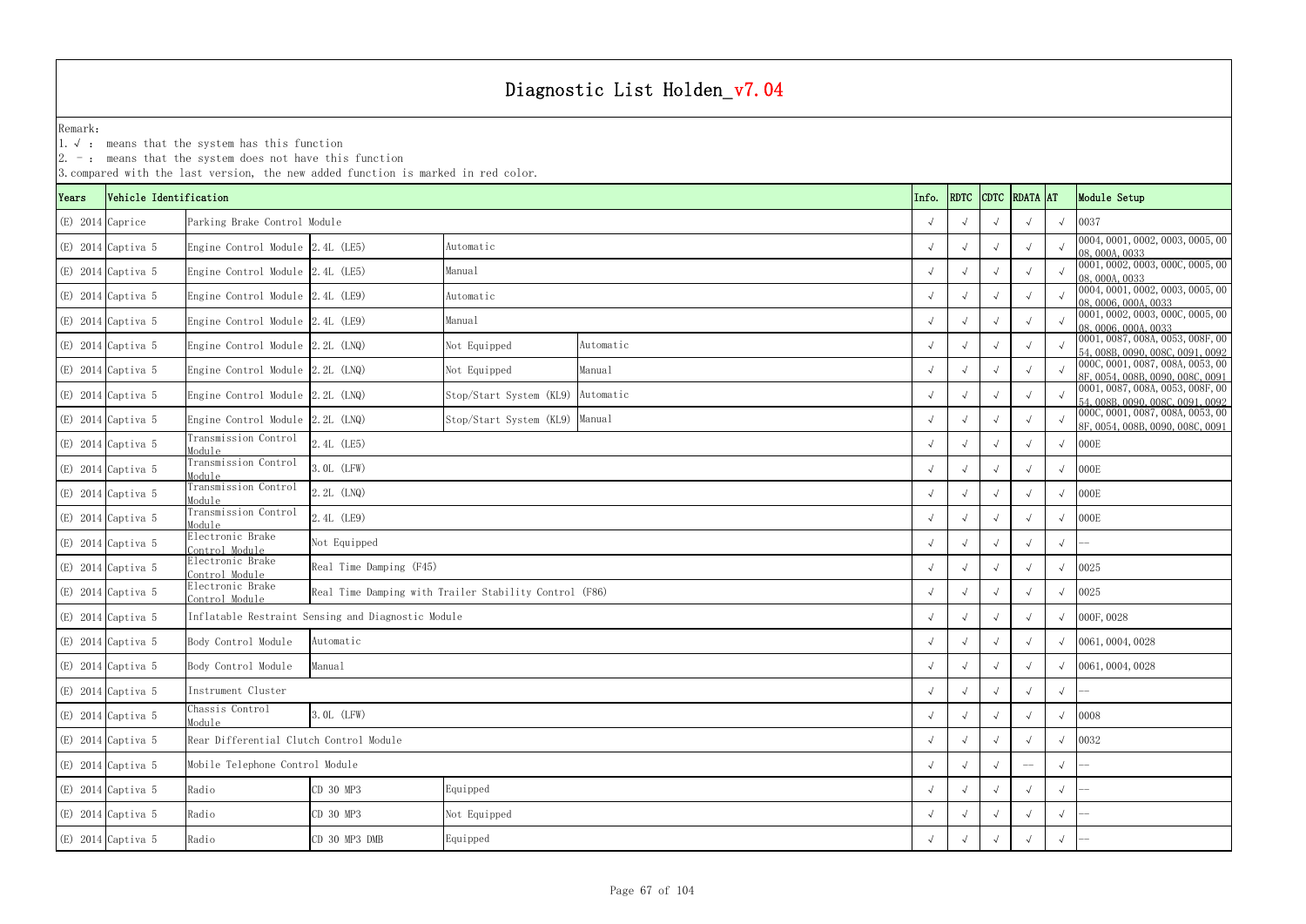1.√ : means that the system has this function

|                    |                        |                                         | 3. compared with the last version, the new added function is marked in red color. |                                                        |           |            |      |            |               |            |                                                                      |
|--------------------|------------------------|-----------------------------------------|-----------------------------------------------------------------------------------|--------------------------------------------------------|-----------|------------|------|------------|---------------|------------|----------------------------------------------------------------------|
| Years              | Vehicle Identification |                                         |                                                                                   |                                                        |           | Info.      | RDTC |            | CDTC RDATA AT |            | Module Setup                                                         |
| $(E)$ 2014 Caprice |                        | Parking Brake Control Module            |                                                                                   |                                                        |           | $\sqrt{ }$ |      |            |               | $\sqrt{ }$ | 0037                                                                 |
|                    | $(E)$ 2014 Captiva 5   | Engine Control Module 2.4L (LE5)        |                                                                                   | Automatic                                              |           |            |      |            | $\sqrt{ }$    |            | 0004, 0001, 0002, 0003, 0005, 00<br>08,000A,0033                     |
|                    | $(E)$ 2014 Captiva 5   | Engine Control Module 2.4L (LE5)        |                                                                                   | Manual                                                 |           | $\sqrt{ }$ |      |            | $\sqrt{ }$    |            | 0001, 0002, 0003, 000C, 0005, 00<br>08,000A,0033                     |
|                    | $(E)$ 2014 Captiva 5   | Engine Control Module 2.4L (LE9)        |                                                                                   | Automatic                                              |           |            |      |            | $\sqrt{ }$    | $\sqrt{ }$ | 0004, 0001, 0002, 0003, 0005, 00<br>08,0006,000A,0033                |
|                    | $(E)$ 2014 Captiva 5   | Engine Control Module 2.4L (LE9)        |                                                                                   | Manual                                                 |           | $\sqrt{ }$ |      |            | $\sqrt{ }$    |            | 0001, 0002, 0003, 000C, 0005, 00<br>08,0006,000A,0033                |
|                    | $(E)$ 2014 Captiva 5   | Engine Control Module 2.2L (LNQ)        |                                                                                   | Not Equipped                                           | Automatic |            |      |            | $\sqrt{ }$    |            | 0001, 0087, 008A, 0053, 008F, 00<br>54, 008B, 0090, 008C, 0091, 0092 |
|                    | $(E)$ 2014 Captiva 5   | Engine Control Module 2.2L (LNQ)        |                                                                                   | Not Equipped                                           | Manual    | $\sqrt{ }$ |      |            | $\sqrt{ }$    |            | 000C, 0001, 0087, 008A, 0053, 00<br>8F, 0054, 008B, 0090, 008C, 0091 |
|                    | $(E)$ 2014 Captiva 5   | Engine Control Module 2.2L (LNQ)        |                                                                                   | Stop/Start System (KL9)                                | Automatic |            |      |            |               |            | 0001, 0087, 008A, 0053, 008F, 00<br>54, 008B, 0090, 008C, 0091, 0092 |
|                    | $(E)$ 2014 Captiva 5   | Engine Control Module $2.2L$ (LNQ)      |                                                                                   | Stop/Start System (KL9) Manual                         |           |            |      |            |               |            | 000C, 0001, 0087, 008A, 0053, 00<br>8F, 0054, 008B, 0090, 008C, 0091 |
|                    | $(E)$ 2014 Captiva 5   | Transmission Control<br>Module          | 2.4L (LE5)                                                                        |                                                        |           |            |      |            |               | $\sqrt{ }$ | 000E                                                                 |
|                    | $(E)$ 2014 Captiva 5   | Transmission Control<br>Module          | 3. OL (LFW)                                                                       |                                                        |           | $\sqrt{ }$ |      |            | $\sqrt{ }$    | $\sqrt{ }$ | 000E                                                                 |
|                    | $(E)$ 2014 Captiva 5   | Transmission Control<br>Module          | $2.2L$ (LNQ)                                                                      |                                                        |           |            |      |            |               | $\sqrt{ }$ | 000E                                                                 |
|                    | $(E)$ 2014 Captiva 5   | Transmission Control<br>Module          | 2.4L (LE9)                                                                        |                                                        |           | $\sqrt{ }$ |      |            |               | $\sqrt{ }$ | 000E                                                                 |
|                    | $(E)$ 2014 Captiva 5   | Electronic Brake<br>Control Module      | Not Equipped                                                                      |                                                        |           |            |      |            | $\sqrt{ }$    | $\sqrt{ }$ |                                                                      |
|                    | $(E)$ 2014 Captiva 5   | Electronic Brake<br>Control Module      | Real Time Damping (F45)                                                           |                                                        |           | $\sqrt{ }$ |      |            | $\sqrt{ }$    | $\sqrt{ }$ | 0025                                                                 |
|                    | $(E)$ 2014 Captiva 5   | Electronic Brake<br>Control Module      |                                                                                   | Real Time Damping with Trailer Stability Control (F86) |           |            |      |            |               | $\sqrt{ }$ | 0025                                                                 |
|                    | $(E)$ 2014 Captiva 5   |                                         | Inflatable Restraint Sensing and Diagnostic Module                                |                                                        |           |            |      |            |               |            | 000F, 0028                                                           |
|                    | $(E)$ 2014 Captiva 5   | Body Control Module                     | Automatic                                                                         |                                                        |           |            |      |            | $\sqrt{ }$    |            | 0061, 0004, 0028                                                     |
|                    | $(E)$ 2014 Captiva 5   | Body Control Module                     | Manual                                                                            |                                                        |           | $\sqrt{ }$ |      |            | $\sqrt{ }$    |            | 0061, 0004, 0028                                                     |
|                    | $(E)$ 2014 Captiva 5   | Instrument Cluster                      |                                                                                   |                                                        |           |            |      |            |               | $\sqrt{ }$ |                                                                      |
|                    | $(E)$ 2014 Captiva 5   | Chassis Control<br>Module               | 3. OL (LFW)                                                                       |                                                        |           | $\sqrt{ }$ |      |            |               |            | 0008                                                                 |
|                    | $(E)$ 2014 Captiva 5   | Rear Differential Clutch Control Module |                                                                                   |                                                        |           |            |      |            | $\sqrt{ }$    | $\sqrt{ }$ | 0032                                                                 |
|                    | $(E)$ 2014 Captiva 5   | Mobile Telephone Control Module         |                                                                                   |                                                        |           |            |      |            | $--$          | $\sqrt{ }$ |                                                                      |
|                    | $(E)$ 2014 Captiva 5   | Radio                                   | CD 30 MP3<br>Equipped                                                             |                                                        |           |            |      |            | $\sqrt{ }$    | $\sqrt{ }$ |                                                                      |
|                    | $(E)$ 2014 Captiva 5   | Radio                                   | Not Equipped<br>CD 30 MP3                                                         |                                                        |           |            |      |            |               | $\sqrt{ }$ |                                                                      |
|                    | (E) 2014 Captiva 5     | Radio                                   | CD 30 MP3 DMB<br>Equipped                                                         |                                                        |           |            |      | $\sqrt{ }$ | $\sqrt{ }$    | $\sqrt{ }$ |                                                                      |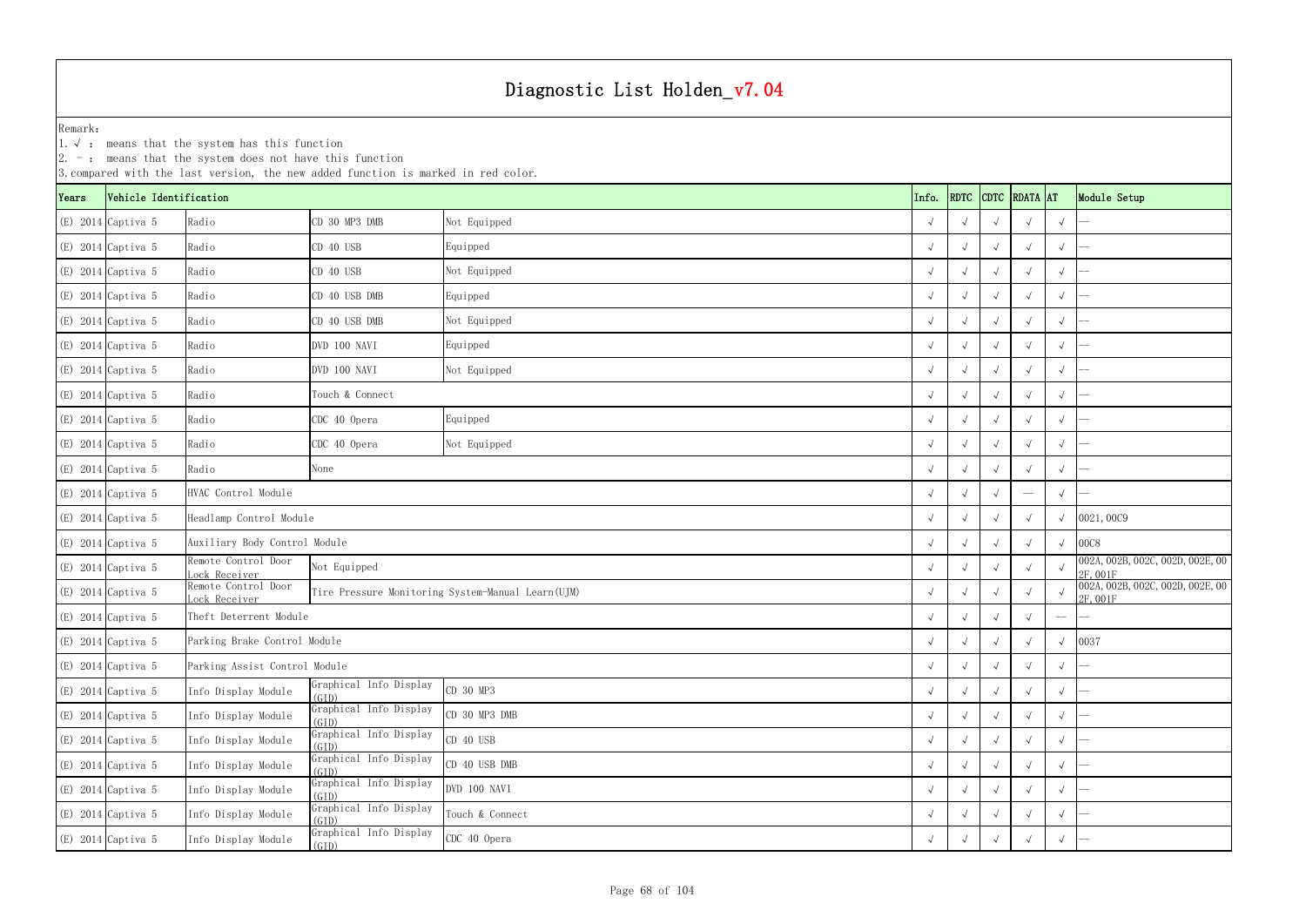|       | $ 2. -$ : means that the system does not have this function<br>3. compared with the last version, the new added function is marked in red color. |                                                                         |                                 |                                                   |  |            |            |            |               |            |                                              |
|-------|--------------------------------------------------------------------------------------------------------------------------------------------------|-------------------------------------------------------------------------|---------------------------------|---------------------------------------------------|--|------------|------------|------------|---------------|------------|----------------------------------------------|
| Years | Vehicle Identification                                                                                                                           |                                                                         |                                 |                                                   |  | Info.      | RDTC       |            | CDTC RDATA AT |            | Module Setup                                 |
|       | $(E)$ 2014 Captiva 5                                                                                                                             | Radio                                                                   | CD 30 MP3 DMB                   | Not Equipped                                      |  |            |            |            |               | $\sqrt{ }$ |                                              |
|       | $(E)$ 2014 Captiva 5                                                                                                                             | Radio                                                                   | CD 40 USB                       | Equipped                                          |  |            |            |            |               | $\sqrt{ }$ |                                              |
|       | $(E)$ 2014 Captiva 5                                                                                                                             | Radio                                                                   | CD 40 USB                       | Not Equipped                                      |  |            |            |            |               | $\sqrt{ }$ |                                              |
|       | $(E)$ 2014 Captiva 5                                                                                                                             | Radio                                                                   | CD 40 USB DMB                   | Equipped                                          |  |            |            |            |               | $\sqrt{}$  |                                              |
|       | $(E)$ 2014 Captiva 5                                                                                                                             | Radio                                                                   | CD 40 USB DMB                   | Not Equipped                                      |  |            | $\sqrt{ }$ |            |               | $\sqrt{ }$ |                                              |
|       | (E) 2014 Captiva 5                                                                                                                               | Radio                                                                   | DVD 100 NAVI                    | Equipped                                          |  |            |            |            |               | $\sqrt{ }$ |                                              |
|       | $(E)$ 2014 Captiva 5                                                                                                                             | Radio                                                                   | DVD 100 NAVI                    | Not Equipped                                      |  |            |            |            |               | $\sqrt{ }$ |                                              |
|       | $(E)$ 2014 Captiva 5                                                                                                                             | Radio                                                                   | Touch & Connect                 |                                                   |  |            |            |            |               |            |                                              |
|       | $(E)$ 2014 Captiva 5                                                                                                                             | Radio                                                                   | CDC 40 Opera<br>Equipped        |                                                   |  |            |            |            |               | $\sqrt{ }$ |                                              |
|       | $(E)$ 2014 Captiva 5                                                                                                                             | Radio                                                                   | CDC 40 Opera<br>Not Equipped    |                                                   |  |            |            |            |               | $\sqrt{ }$ |                                              |
|       | $(E)$ 2014 Captiva 5                                                                                                                             | Radio                                                                   | None                            |                                                   |  |            |            |            |               | $\sqrt{ }$ |                                              |
|       | $(E)$ 2014 Captiva 5                                                                                                                             | HVAC Control Module                                                     |                                 |                                                   |  |            |            |            |               | $\sqrt{ }$ |                                              |
|       | (E) 2014 Captiva 5                                                                                                                               | Headlamp Control Module                                                 |                                 |                                                   |  |            |            |            |               |            | 0021,0009                                    |
|       | $(E)$ 2014 Captiva 5                                                                                                                             | Auxiliary Body Control Module                                           |                                 |                                                   |  |            |            |            |               | $\sqrt{ }$ | 00C8                                         |
|       | $(E)$ 2014 Captiva 5                                                                                                                             | Remote Control Door<br>ock Receiver                                     | Not Equipped                    |                                                   |  |            |            |            |               |            | 002A, 002B, 002C, 002D, 002E, 00<br>2F, 001F |
|       | $(E)$ 2014 Captiva 5                                                                                                                             | Remote Control Door<br>ock Receiver                                     |                                 | Tire Pressure Monitoring System-Manual Learn(UJM) |  |            |            |            |               |            | 002A, 002B, 002C, 002D, 002E, 00<br>2F, 001F |
|       | $(E)$ 2014 Captiva 5                                                                                                                             | Theft Deterrent Module                                                  |                                 |                                                   |  |            |            |            |               | $-\!-\!$   |                                              |
|       | $(E)$ 2014 Captiva 5                                                                                                                             | Parking Brake Control Module                                            |                                 |                                                   |  | $\sqrt{ }$ | $\sqrt{ }$ | $\sqrt{ }$ |               | $\sqrt{ }$ | 0037                                         |
|       | $(E)$ 2014 Captiva 5                                                                                                                             | Parking Assist Control Module                                           |                                 |                                                   |  |            |            |            |               | $\sqrt{ }$ |                                              |
|       | $(E)$ 2014 Captiva 5                                                                                                                             | Info Display Module                                                     | Graphical Info Display<br>(GID) | CD 30 MP3                                         |  |            | $\sim$     |            |               | $\sqrt{}$  |                                              |
|       | $(E)$ 2014 Captiva 5                                                                                                                             | Info Display Module                                                     | Graphical Info Display<br>(GID) | CD 30 MP3 DMB                                     |  | $\sqrt{ }$ | $\sqrt{ }$ |            | $\sqrt{ }$    | $\sqrt{ }$ |                                              |
|       | $(E)$ 2014 Captiva 5                                                                                                                             | Graphical Info Display<br>CD 40 USB<br>Info Display Module<br>(GID)     |                                 |                                                   |  |            |            |            |               | $\sqrt{ }$ |                                              |
|       | $(E)$ 2014 Captiva 5                                                                                                                             | Graphical Info Display<br>CD 40 USB DMB<br>Info Display Module<br>(GID) |                                 |                                                   |  |            |            |            |               | $\sqrt{ }$ |                                              |
|       | $(E)$ 2014 Captiva 5                                                                                                                             | Info Display Module                                                     | Graphical Info Display<br>(GID) | DVD 100 NAVI                                      |  |            |            |            |               | $\sqrt{}$  |                                              |
|       | $(E)$ 2014 Captiva 5                                                                                                                             | Info Display Module                                                     | Graphical Info Display<br>(GID) | Touch & Connect                                   |  |            |            |            |               | $\sqrt{ }$ |                                              |
|       | $(E)$ 2014 Captiva 5                                                                                                                             | Info Display Module                                                     | Graphical Info Display<br>(GID) | CDC 40 Opera                                      |  |            |            |            |               | $\sqrt{}$  |                                              |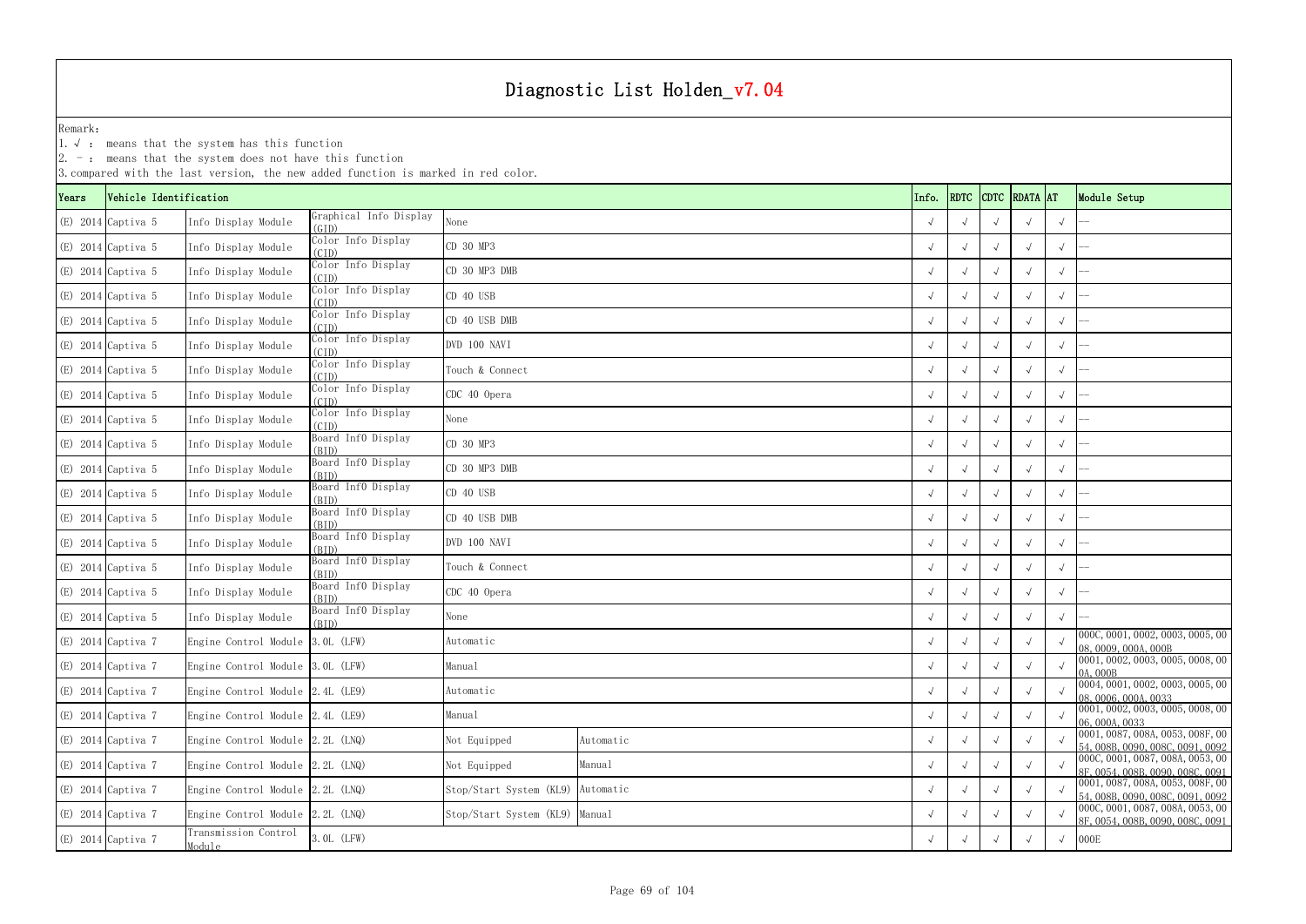1.√ : means that the system has this function

| . Incans that the system abos not have this ranc<br>3. compared with the last version, the new added function is marked in red color.<br>RDTC CDTC RDATA AT |                        |                                    |                                 |                                      |  |            |  |  |              |            |                                                                      |  |
|-------------------------------------------------------------------------------------------------------------------------------------------------------------|------------------------|------------------------------------|---------------------------------|--------------------------------------|--|------------|--|--|--------------|------------|----------------------------------------------------------------------|--|
| Years                                                                                                                                                       | Vehicle Identification |                                    |                                 | Info.                                |  |            |  |  | Module Setup |            |                                                                      |  |
|                                                                                                                                                             | $(E)$ 2014 Captiva 5   | Info Display Module                | Graphical Info Display<br>(GID) | None                                 |  |            |  |  |              | $\sqrt{ }$ |                                                                      |  |
|                                                                                                                                                             | $(E)$ 2014 Captiva 5   | Info Display Module                | Color Info Display<br>(CID)     | CD 30 MP3                            |  |            |  |  |              | $\sqrt{ }$ |                                                                      |  |
|                                                                                                                                                             | $(E)$ 2014 Captiva 5   | Info Display Module                | Color Info Display<br>(CID)     | CD 30 MP3 DMB                        |  |            |  |  |              | $\sqrt{ }$ |                                                                      |  |
|                                                                                                                                                             | $(E)$ 2014 Captiva 5   | Info Display Module                | Color Info Display<br>(CID)     | CD 40 USB                            |  |            |  |  |              | $\sqrt{ }$ |                                                                      |  |
|                                                                                                                                                             | $(E)$ 2014 Captiva 5   | Info Display Module                | Color Info Display<br>(CID)     | CD 40 USB DMB                        |  |            |  |  |              | $\sqrt{ }$ |                                                                      |  |
|                                                                                                                                                             | $(E)$ 2014 Captiva 5   | Info Display Module                | Color Info Display<br>(CID)     | DVD 100 NAVI                         |  |            |  |  |              | $\sqrt{ }$ |                                                                      |  |
|                                                                                                                                                             | $(E)$ 2014 Captiva 5   | Info Display Module                | Color Info Display<br>(CID)     | Touch & Connect                      |  |            |  |  |              | $\sqrt{ }$ |                                                                      |  |
|                                                                                                                                                             | $(E)$ 2014 Captiva 5   | Info Display Module                | Color Info Display<br>(CID)     | CDC 40 Opera                         |  |            |  |  |              | $\sqrt{ }$ |                                                                      |  |
|                                                                                                                                                             | $(E)$ 2014 Captiva 5   | Info Display Module                | Color Info Display<br>(CID)     | None                                 |  |            |  |  |              | $\sqrt{ }$ |                                                                      |  |
|                                                                                                                                                             | $(E)$ 2014 Captiva 5   | Info Display Module                | Board Inf0 Display<br>(BID)     | CD 30 MP3                            |  |            |  |  |              | $\sqrt{ }$ |                                                                      |  |
|                                                                                                                                                             | $(E)$ 2014 Captiva 5   | Info Display Module                | Board Inf0 Display<br>(BID)     | CD 30 MP3 DMB                        |  |            |  |  |              | $\sqrt{ }$ |                                                                      |  |
|                                                                                                                                                             | $(E)$ 2014 Captiva 5   | Info Display Module                | Board Inf0 Display<br>(BID)     | CD 40 USB                            |  |            |  |  |              | $\sqrt{ }$ |                                                                      |  |
|                                                                                                                                                             | $(E)$ 2014 Captiva 5   | Info Display Module                | Board Inf0 Display<br>(BID)     | CD 40 USB DMB                        |  |            |  |  |              | $\sqrt{ }$ |                                                                      |  |
|                                                                                                                                                             | $(E)$ 2014 Captiva 5   | Info Display Module                | Board InfO Display<br>(BID)     | DVD 100 NAVI                         |  |            |  |  |              | $\sqrt{ }$ |                                                                      |  |
|                                                                                                                                                             | $(E)$ 2014 Captiva 5   | Info Display Module                | Board Inf0 Display<br>(BID)     | Touch & Connect                      |  |            |  |  |              | $\sqrt{ }$ |                                                                      |  |
|                                                                                                                                                             | $(E)$ 2014 Captiva 5   | Info Display Module                | Board Info Display<br>(BID)     | CDC 40 Opera                         |  |            |  |  |              | $\sqrt{ }$ |                                                                      |  |
|                                                                                                                                                             | $(E)$ 2014 Captiva 5   | Info Display Module                | Board InfO Display<br>(BID)     | None                                 |  |            |  |  |              | $\sqrt{ }$ |                                                                      |  |
|                                                                                                                                                             | $(E)$ 2014 Captiva 7   | Engine Control Module 3.0L (LFW)   |                                 | Automatic                            |  | $\sqrt{ }$ |  |  |              |            | 000C, 0001, 0002, 0003, 0005, 00<br>08,0009,000A,000B                |  |
|                                                                                                                                                             | $(E)$ 2014 Captiva 7   | Engine Control Module 3.0L (LFW)   |                                 | Manual                               |  | $\sqrt{ }$ |  |  |              |            | 0001, 0002, 0003, 0005, 0008, 00<br>0A, 000B                         |  |
|                                                                                                                                                             | $(E)$ 2014 Captiva 7   | Engine Control Module 2.4L (LE9)   |                                 | Automatic                            |  |            |  |  |              |            | 0004, 0001, 0002, 0003, 0005, 00<br>08,0006,000A,0033                |  |
|                                                                                                                                                             | $(E)$ 2014 Captiva 7   | Engine Control Module 2.4L (LE9)   |                                 | Manual                               |  |            |  |  |              |            | 0001, 0002, 0003, 0005, 0008, 00<br>06,000A,0033                     |  |
|                                                                                                                                                             | $(E)$ 2014 Captiva 7   | Engine Control Module 2.2L (LNQ)   |                                 | Not Equipped<br>Automatic            |  |            |  |  |              |            | 0001, 0087, 008A, 0053, 008F, 00<br>54,008B,0090,008C,0091,0092      |  |
|                                                                                                                                                             | $(E)$ 2014 Captiva 7   | Engine Control Module 2.2L (LNQ)   |                                 | Manual<br>Not Equipped               |  | $\sqrt{ }$ |  |  |              |            | 000C, 0001, 0087, 008A, 0053, 00<br>8F, 0054, 008B, 0090, 008C, 0091 |  |
|                                                                                                                                                             | $(E)$ 2014 Captiva 7   | Engine Control Module 2.2L (LNQ)   |                                 | Stop/Start System (KL9)<br>Automatic |  | $\sqrt{ }$ |  |  |              |            | 0001, 0087, 008A, 0053, 008F, 00<br>54, 008B, 0090, 008C, 0091, 0092 |  |
|                                                                                                                                                             | $(E)$ 2014 Captiva 7   | Engine Control Module $2.2L$ (LNQ) |                                 | Manual<br>Stop/Start System (KL9)    |  |            |  |  |              |            | 000C, 0001, 0087, 008A, 0053, 00<br>8F, 0054, 008B, 0090, 008C, 0091 |  |
|                                                                                                                                                             | $(E)$ 2014 Captiva 7   | Transmission Control<br>Module     | 3. OL (LFW)                     |                                      |  |            |  |  |              | $\sqrt{ }$ | 000E                                                                 |  |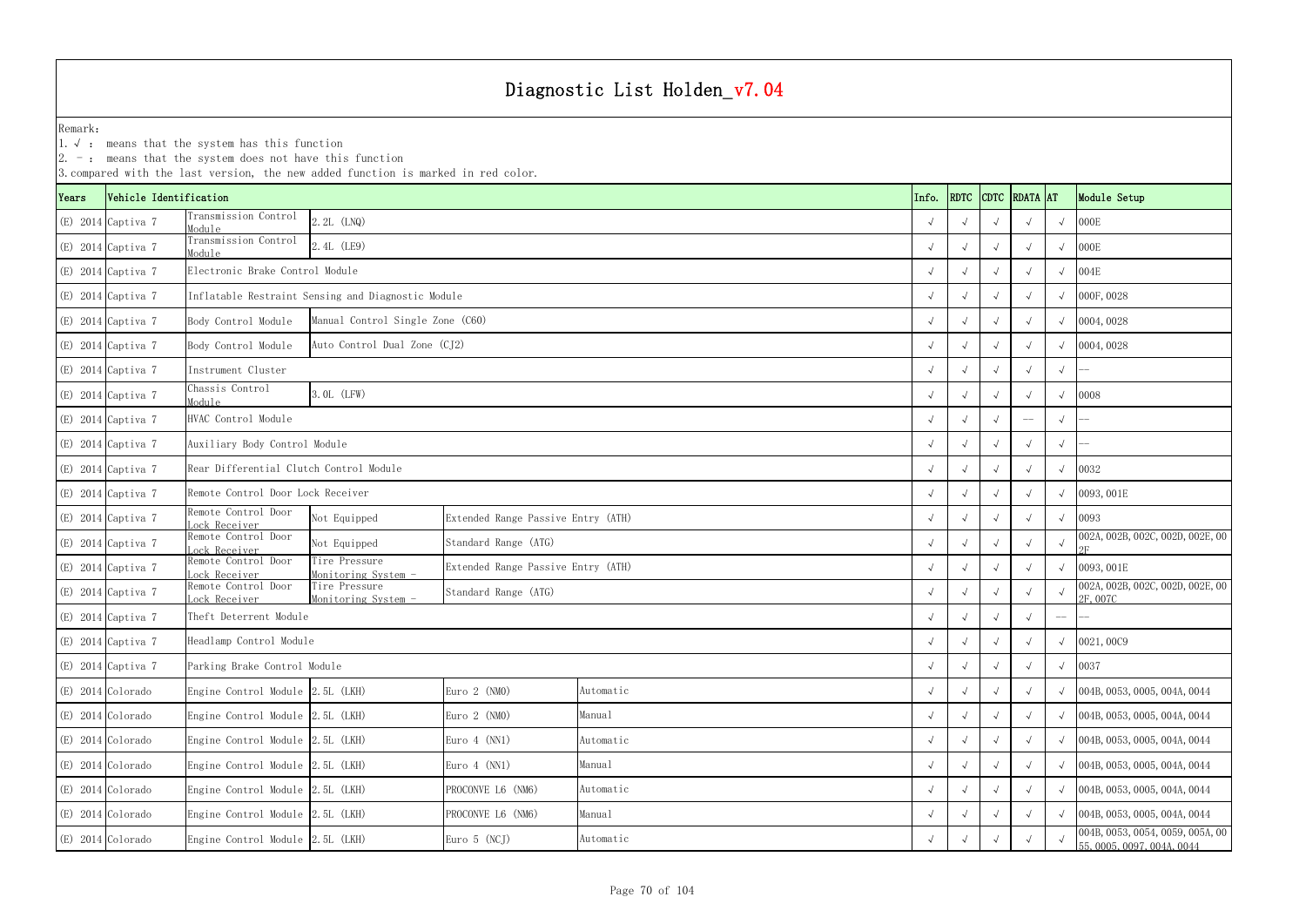|       |                        | $ 2. -$ : means that the system does not have this function | 3. compared with the last version, the new added function is marked in red color. |                                    |           |            |               |                                                                |              |            |                                             |
|-------|------------------------|-------------------------------------------------------------|-----------------------------------------------------------------------------------|------------------------------------|-----------|------------|---------------|----------------------------------------------------------------|--------------|------------|---------------------------------------------|
| Years | Vehicle Identification |                                                             |                                                                                   | Info.                              | RDTC      |            | CDTC RDATA AT |                                                                | Module Setup |            |                                             |
|       | $(E)$ 2014 Captiva 7   | Transmission Control<br>Module                              | 2.2L (LNQ)                                                                        |                                    |           |            |               |                                                                |              | $\sqrt{ }$ | 000E                                        |
|       | $(E)$ 2014 Captiva 7   | Transmission Control<br>Module                              | 2.4L (LE9)                                                                        |                                    |           |            |               |                                                                |              | $\sqrt{ }$ | 000E                                        |
|       | (E) 2014 Captiva 7     | Electronic Brake Control Module                             |                                                                                   |                                    |           |            |               |                                                                |              | $\sqrt{ }$ | 004E                                        |
|       | (E) 2014 Captiva 7     |                                                             | Inflatable Restraint Sensing and Diagnostic Module                                |                                    |           |            |               |                                                                |              | $\sqrt{ }$ | 000F, 0028                                  |
|       | $(E)$ 2014 Captiva 7   | Body Control Module                                         | Manual Control Single Zone (C60)                                                  |                                    |           |            |               |                                                                |              |            | $\sqrt{0004,0028}$                          |
|       | (E) 2014 Captiva 7     | Body Control Module                                         | Auto Control Dual Zone (CJ2)                                                      |                                    |           | $\sqrt{ }$ |               |                                                                |              |            | $\sqrt{0004,0028}$                          |
|       | (E) 2014 Captiva 7     | Instrument Cluster                                          |                                                                                   |                                    |           |            |               |                                                                |              | $\sqrt{ }$ |                                             |
|       | (E) 2014 Captiva 7     | Chassis Control<br>Module                                   | 3. OL (LFW)                                                                       |                                    |           |            |               |                                                                |              | $\sqrt{ }$ | 0008                                        |
|       | $(E)$ 2014 Captiva 7   | HVAC Control Module                                         |                                                                                   |                                    |           | $-\!$ –    | $\sqrt{ }$    |                                                                |              |            |                                             |
|       | $(E)$ 2014 Captiva 7   |                                                             | Auxiliary Body Control Module                                                     |                                    |           |            |               |                                                                |              |            |                                             |
|       | (E) 2014 Captiva 7     | Rear Differential Clutch Control Module                     |                                                                                   |                                    |           |            |               |                                                                |              | $\sqrt{ }$ | 0032                                        |
|       | (E) 2014 Captiva 7     | Remote Control Door Lock Receiver                           |                                                                                   |                                    |           |            |               |                                                                |              |            | 0093,001E                                   |
|       | (E) 2014 Captiva 7     | Remote Control Door<br>ock Receiver                         | Not Equipped                                                                      | Extended Range Passive Entry (ATH) |           |            |               |                                                                |              | $\sqrt{ }$ | 0093                                        |
|       | (E) 2014 Captiva 7     | Remote Control Door<br>Lock Receiver                        | Not Equipped                                                                      | Standard Range (ATG)               |           |            |               |                                                                |              | $\sqrt{ }$ | 002A, 002B, 002C, 002D, 002E, 00            |
|       | (E) 2014 Captiva 7     | Remote Control Door<br>Lock Receiver                        | Tire Pressure<br>Monitoring System -                                              | Extended Range Passive Entry (ATH) |           |            |               |                                                                |              | $\sqrt{ }$ | 0093,001E                                   |
|       | $(E)$ 2014 Captiva 7   | Remote Control Door<br>Lock Receiver                        | Tire Pressure<br>Monitoring System -                                              | Standard Range (ATG)               |           |            |               |                                                                |              |            | 002A, 002B, 002C, 002D, 002E, 00<br>2F,007C |
|       | (E) 2014 Captiva 7     | Theft Deterrent Module                                      |                                                                                   |                                    |           |            |               |                                                                |              | $--$       |                                             |
|       | $(E)$ 2014 Captiva 7   | Headlamp Control Module                                     |                                                                                   |                                    |           | $\sqrt{ }$ | $\sqrt{ }$    |                                                                |              |            | $\sqrt{0021,0009}$                          |
|       | (E) 2014 Captiva 7     | Parking Brake Control Module                                |                                                                                   |                                    |           | $\sqrt{ }$ |               |                                                                |              | $\sqrt{ }$ | 0037                                        |
|       | (E) 2014 Colorado      | Engine Control Module 2.5L (LKH)                            |                                                                                   | Euro $2$ (NMO)                     | Automatic | $\sqrt{ }$ |               |                                                                |              | $\sqrt{ }$ | 004B, 0053, 0005, 004A, 0044                |
|       | (E) 2014 Colorado      | Engine Control Module 2.5L (LKH)                            |                                                                                   | Euro $2$ (NMO)                     | Manual    | $\sqrt{ }$ |               |                                                                |              |            | $\sqrt{004B, 0053, 0005, 004A, 0044}$       |
|       | (E) 2014 Colorado      | Engine Control Module 2.5L (LKH)                            | Euro $4$ (NN1)<br>Automatic                                                       |                                    |           |            |               |                                                                |              |            | $\sqrt{004B, 0053, 0005, 004A, 0044}$       |
|       | (E) 2014 Colorado      |                                                             | Engine Control Module 2.5L (LKH)<br>Euro $4$ (NN1)<br>Manual                      |                                    |           |            |               |                                                                |              |            | 004B, 0053, 0005, 004A, 0044                |
|       | (E) 2014 Colorado      | Engine Control Module 2.5L (LKH)                            |                                                                                   | PROCONVE L6 (NM6)<br>Automatic     |           |            |               |                                                                |              |            | 004B, 0053, 0005, 004A, 0044                |
|       | (E) 2014 Colorado      | Engine Control Module 2.5L (LKH)                            |                                                                                   | Manual<br>PROCONVE L6 (NM6)        |           |            |               |                                                                |              |            | $\sqrt{004B, 0053, 0005, 004A, 0044}$       |
|       | (E) 2014 Colorado      | Engine Control Module 2.5L (LKH)                            | $\sqrt{ }$                                                                        |                                    |           |            |               | 004B, 0053, 0054, 0059, 005A, 00<br>55, 0005, 0097, 004A, 0044 |              |            |                                             |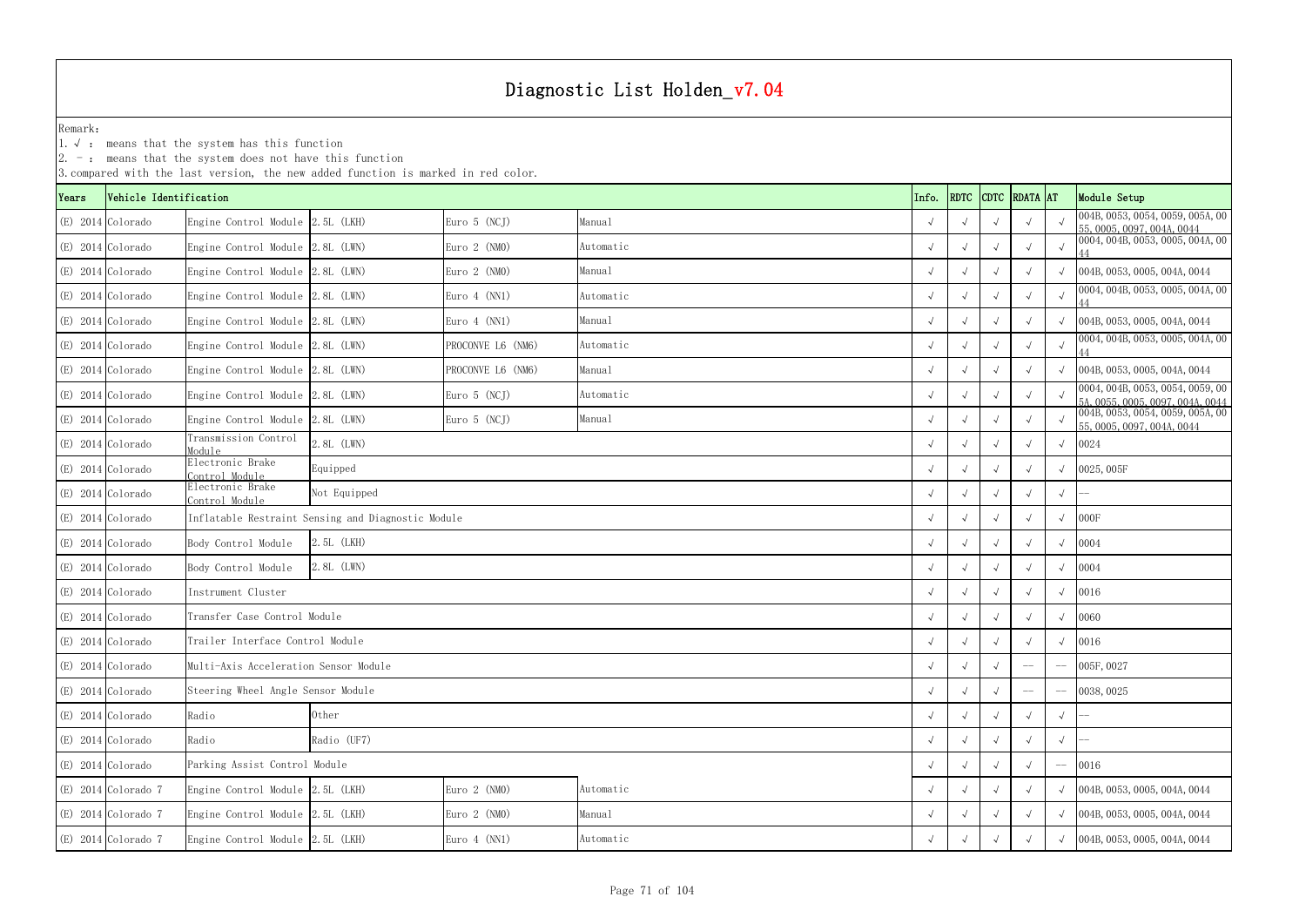1.√ : means that the system has this function

| 3. compared with the last version, the new added function is marked in red color. |                        |                                       |                                                    |                             |           |            |      |            |               |            |                                                                      |
|-----------------------------------------------------------------------------------|------------------------|---------------------------------------|----------------------------------------------------|-----------------------------|-----------|------------|------|------------|---------------|------------|----------------------------------------------------------------------|
| Years                                                                             | Vehicle Identification |                                       |                                                    |                             |           | Info.      | RDTC |            | CDTC RDATA AT |            | Module Setup                                                         |
|                                                                                   | (E) 2014 Colorado      | Engine Control Module 2.5L (LKH)      |                                                    | Euro $5$ (NCJ)              | Manual    | $\sqrt{ }$ |      |            | $\sqrt{ }$    |            | 004B, 0053, 0054, 0059, 005A, 00<br>55, 0005, 0097, 004A, 0044       |
|                                                                                   | (E) 2014 Colorado      | Engine Control Module 2.8L (LWN)      |                                                    | Euro $2$ (NMO)              | Automatic |            |      |            |               | $\sqrt{ }$ | 0004, 004B, 0053, 0005, 004A, 00                                     |
|                                                                                   | $(E)$ 2014 Colorado    | Engine Control Module 2.8L (LWN)      |                                                    | Euro $2$ (NMO)              | Manual    | $\sqrt{ }$ |      |            |               | $\sqrt{ }$ | 004B, 0053, 0005, 004A, 0044                                         |
|                                                                                   | (E) 2014 Colorado      | Engine Control Module 2.8L (LWN)      |                                                    | Euro $4$ (NN1)              | Automatic |            |      |            | $\sqrt{ }$    | $\sqrt{ }$ | 0004, 004B, 0053, 0005, 004A, 00                                     |
|                                                                                   | $(E)$ 2014 Colorado    | Engine Control Module 2.8L (LWN)      |                                                    | Euro $4$ (NN1)              | Manual    | $\sqrt{ }$ |      |            | $\sqrt{ }$    | $\sqrt{ }$ | 004B, 0053, 0005, 004A, 0044                                         |
|                                                                                   | (E) 2014 Colorado      | Engine Control Module 2.8L (LWN)      |                                                    | PROCONVE L6 (NM6)           | Automatic |            |      |            |               | $\sqrt{ }$ | 0004, 004B, 0053, 0005, 004A, 00                                     |
|                                                                                   | (E) 2014 Colorado      | Engine Control Module 2.8L (LWN)      |                                                    | PROCONVE L6 (NM6)           | Manual    | $\sqrt{ }$ |      |            |               |            | 004B, 0053, 0005, 004A, 0044                                         |
|                                                                                   | (E) 2014 Colorado      | Engine Control Module 2.8L (LWN)      |                                                    | Euro 5 (NCJ)                | Automatic |            |      |            | $\sqrt{ }$    |            | 0004, 004B, 0053, 0054, 0059, 00<br>5A, 0055, 0005, 0097, 004A, 0044 |
|                                                                                   | (E) 2014 Colorado      | Engine Control Module 2.8L (LWN)      |                                                    | Euro 5 (NCJ)                | Manual    | $\sqrt{ }$ |      |            | $\sqrt{ }$    |            | 004B, 0053, 0054, 0059, 005A, 00<br>55,0005,0097,004A,0044           |
|                                                                                   | (E) 2014 Colorado      | Transmission Control<br>Module        | 2.8L (LWN)                                         |                             |           |            |      |            |               |            | 0024                                                                 |
|                                                                                   | (E) 2014 Colorado      | Electronic Brake<br>Control Module    | Equipped                                           |                             |           |            |      |            |               | $\sqrt{ }$ | 0025,005F                                                            |
|                                                                                   | (E) 2014 Colorado      | Electronic Brake<br>Control Module    | Not Equipped                                       |                             |           |            |      | $\sqrt{ }$ | $\sqrt{ }$    | $\sqrt{ }$ |                                                                      |
|                                                                                   | $(E)$ 2014 Colorado    |                                       | Inflatable Restraint Sensing and Diagnostic Module |                             |           |            |      |            | $\sqrt{ }$    | $\sqrt{ }$ | 000F                                                                 |
|                                                                                   | (E) 2014 Colorado      | Body Control Module                   | 2.5L (LKH)                                         |                             |           |            |      |            |               | $\sqrt{ }$ | 0004                                                                 |
|                                                                                   | (E) 2014 Colorado      | Body Control Module                   | 2.8L (LWN)                                         |                             |           | $\sim$     |      |            |               |            | 0004                                                                 |
|                                                                                   | (E) 2014 Colorado      | Instrument Cluster                    |                                                    |                             |           |            |      |            |               | $\sqrt{ }$ | 0016                                                                 |
|                                                                                   | (E) 2014 Colorado      | Transfer Case Control Module          |                                                    |                             |           | $\sqrt{ }$ |      |            |               | $\sqrt{ }$ | 0060                                                                 |
|                                                                                   | (E) 2014 Colorado      | Trailer Interface Control Module      |                                                    |                             |           |            |      |            |               | $\sqrt{ }$ | 0016                                                                 |
|                                                                                   | (E) 2014 Colorado      | Multi-Axis Acceleration Sensor Module |                                                    |                             |           | $\sqrt{ }$ |      |            | $-\!-\!$      |            | 005F, 0027                                                           |
|                                                                                   | (E) 2014 Colorado      | Steering Wheel Angle Sensor Module    |                                                    |                             |           | $\sqrt{ }$ |      |            | $--$          |            | 0038, 0025                                                           |
|                                                                                   | (E) 2014 Colorado      | Radio                                 | Other                                              |                             |           | $\sqrt{ }$ |      |            | $\sqrt{ }$    | $\sqrt{ }$ |                                                                      |
|                                                                                   | (E) 2014 Colorado      | Radio                                 | Radio (UF7)                                        |                             |           |            |      |            |               | $\sqrt{ }$ |                                                                      |
|                                                                                   | (E) 2014 Colorado      | Parking Assist Control Module         |                                                    |                             |           |            |      |            |               |            | 0016                                                                 |
|                                                                                   | $(E)$ 2014 Colorado 7  | Engine Control Module 2.5L (LKH)      |                                                    | Euro $2$ (NMO)              | Automatic | $\sqrt{ }$ |      | $\sqrt{ }$ | $\sqrt{ }$    | $\sqrt{ }$ | 004B, 0053, 0005, 004A, 0044                                         |
|                                                                                   | $(E)$ 2014 Colorado 7  | Engine Control Module 2.5L (LKH)      |                                                    | Euro 2 (NMO)                | Manual    | $\sqrt{ }$ |      |            | $\sqrt{ }$    |            | 004B, 0053, 0005, 004A, 0044                                         |
|                                                                                   | $(E)$ 2014 Colorado 7  | Engine Control Module 2.5L (LKH)      |                                                    | Euro $4$ (NN1)<br>Automatic |           |            |      |            |               | $\sqrt{ }$ | 004B, 0053, 0005, 004A, 0044                                         |
|                                                                                   |                        |                                       |                                                    |                             |           |            |      |            |               |            |                                                                      |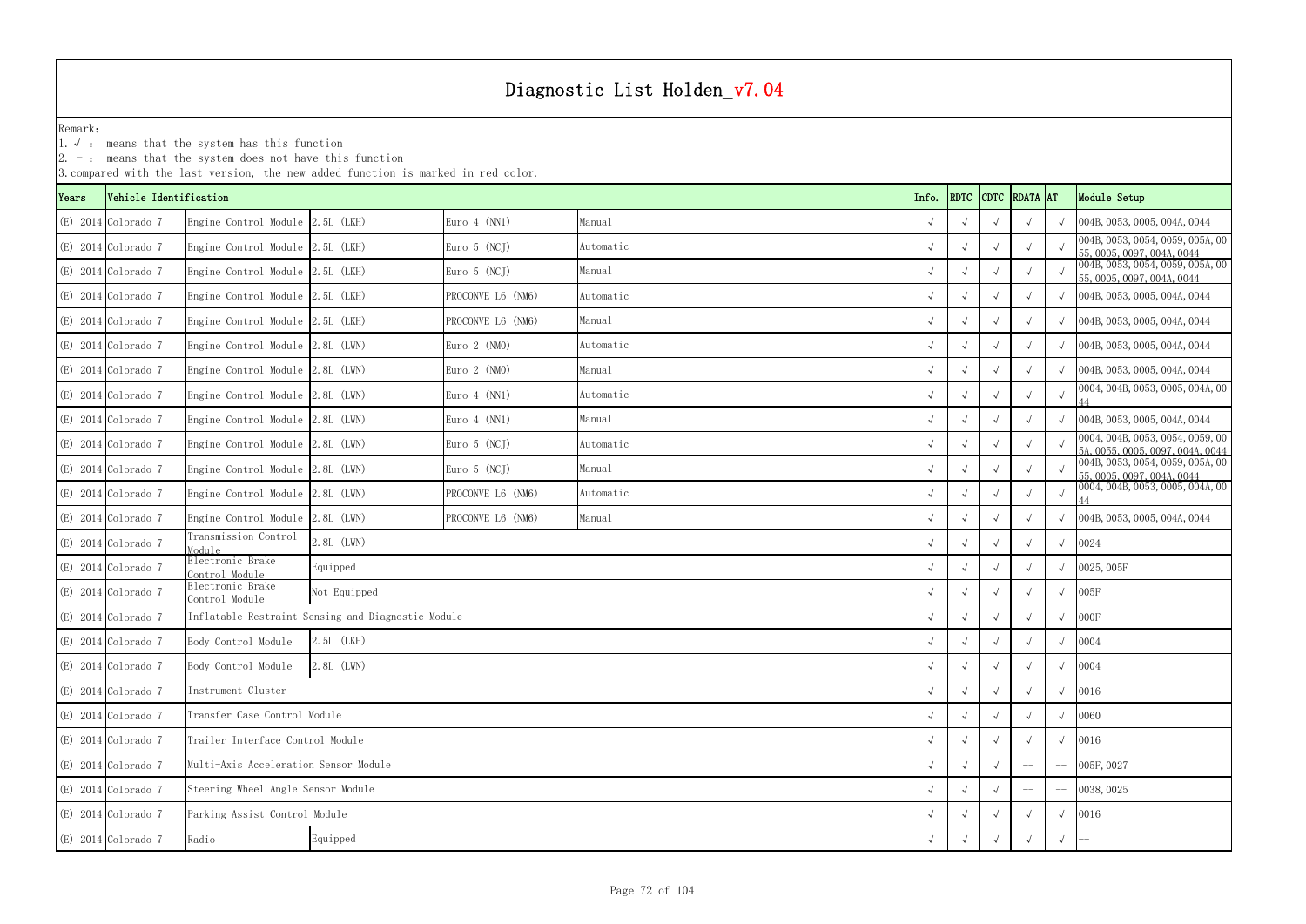1.√ : means that the system has this function

|       | 3. compared with the last version, the new added function is marked in red color. |                                       |                                                    |                   |            |            |                          |            |               |                              |                                                                      |  |
|-------|-----------------------------------------------------------------------------------|---------------------------------------|----------------------------------------------------|-------------------|------------|------------|--------------------------|------------|---------------|------------------------------|----------------------------------------------------------------------|--|
| Years | Vehicle Identification                                                            |                                       |                                                    |                   |            | Info.      | RDTC                     |            | CDTC RDATA AT |                              | Module Setup                                                         |  |
|       | $(E)$ 2014 Colorado 7                                                             | Engine Control Module 2.5L (LKH)      |                                                    | Euro $4$ (NN1)    | Manual     | $\sqrt{ }$ |                          |            | $\sqrt{ }$    | $\sqrt{ }$                   | 004B, 0053, 0005, 004A, 0044                                         |  |
|       | $(E)$ 2014 Colorado 7                                                             | Engine Control Module 2.5L (LKH)      |                                                    | Euro 5 (NCJ)      | Automatic  |            |                          |            | $\sqrt{ }$    | $\sqrt{ }$                   | 004B, 0053, 0054, 0059, 005A, 00<br>55, 0005, 0097, 004A, 0044       |  |
|       | $(E)$ 2014 Colorado 7                                                             | Engine Control Module 2.5L (LKH)      |                                                    | Euro $5$ (NCJ)    | Manual     | $\sqrt{ }$ |                          |            | $\sqrt{ }$    |                              | 004B, 0053, 0054, 0059, 005A, 00<br>55, 0005, 0097, 004A, 0044       |  |
|       | $(E)$ 2014 Colorado 7                                                             | Engine Control Module 2.5L (LKH)      |                                                    | PROCONVE L6 (NM6) | Automatic  |            |                          | $\sqrt{ }$ | $\sqrt{ }$    |                              | 004B, 0053, 0005, 004A, 0044                                         |  |
|       | $(E)$ 2014 Colorado 7                                                             | Engine Control Module 2.5L (LKH)      |                                                    | PROCONVE L6 (NM6) | Manual     | $\sqrt{ }$ |                          |            | $\sqrt{ }$    | $\sqrt{ }$                   | 004B, 0053, 0005, 004A, 0044                                         |  |
|       | $(E)$ 2014 Colorado 7                                                             | Engine Control Module 2.8L (LWN)      |                                                    | Euro $2$ (NMO)    | Automatic  |            |                          |            |               |                              | 004B, 0053, 0005, 004A, 0044                                         |  |
|       | $(E)$ 2014 Colorado 7                                                             | Engine Control Module 2.8L (LWN)      |                                                    | Euro $2$ (NMO)    | Manual     | $\sqrt{ }$ |                          |            | $\sqrt{ }$    |                              | 004B, 0053, 0005, 004A, 0044                                         |  |
|       | $(E)$ 2014 Colorado 7                                                             | Engine Control Module 2.8L (LWN)      |                                                    | Euro $4$ (NN1)    | Automatic  | $\sqrt{ }$ |                          |            | $\sqrt{ }$    |                              | 0004, 004B, 0053, 0005, 004A, 00                                     |  |
|       | $(E)$ 2014 Colorado 7                                                             | Engine Control Module 2.8L (LWN)      |                                                    | Euro $4$ (NN1)    | $\sqrt{ }$ |            |                          | $\sqrt{ }$ | $\sqrt{ }$    | 004B, 0053, 0005, 004A, 0044 |                                                                      |  |
|       | $(E)$ 2014 Colorado 7                                                             | Engine Control Module 2.8L (LWN)      |                                                    | Euro 5 (NCJ)      | Automatic  |            |                          |            | $\sqrt{ }$    | $\sqrt{ }$                   | 0004, 004B, 0053, 0054, 0059, 00<br>5A, 0055, 0005, 0097, 004A, 0044 |  |
|       | $(E)$ 2014 Colorado 7                                                             | Engine Control Module 2.8L (LWN)      |                                                    | Euro $5$ (NCJ)    | Manual     | $\sqrt{ }$ |                          |            | $\sqrt{ }$    |                              | 004B, 0053, 0054, 0059, 005A, 00<br>55, 0005, 0097, 004A, 0044       |  |
|       | $(E)$ 2014 Colorado 7                                                             | Engine Control Module 2.8L (LWN)      |                                                    | PROCONVE L6 (NM6) | Automatic  | $\sqrt{ }$ |                          |            | $\sqrt{ }$    | $\sqrt{ }$                   | 0004, 004B, 0053, 0005, 004A, 00                                     |  |
|       | $(E)$ 2014 Colorado 7                                                             | Engine Control Module 2.8L (LWN)      |                                                    | PROCONVE L6 (NM6) | Manual     | $\sqrt{ }$ | $\sqrt{ }$               | $\sqrt{ }$ | $\sqrt{ }$    | $\sqrt{ }$                   | 004B, 0053, 0005, 004A, 0044                                         |  |
|       | $(E)$ 2014 Colorado 7                                                             | Transmission Control<br>Module        | 2.8L (LWN)                                         |                   |            |            |                          |            |               | $\sqrt{ }$                   | 0024                                                                 |  |
|       | $(E)$ 2014 Colorado 7                                                             | Clectronic Brake<br>Control Module    | Equipped                                           |                   |            | $\sqrt{ }$ |                          |            |               | $\sqrt{ }$                   | 0025,005F                                                            |  |
|       | $(E)$ 2014 Colorado 7                                                             | Electronic Brake<br>Control Module    | Not Equipped                                       |                   |            |            |                          |            | $\sqrt{ }$    | $\sqrt{ }$                   | 005F                                                                 |  |
|       | $(E)$ 2014 Colorado 7                                                             |                                       | Inflatable Restraint Sensing and Diagnostic Module |                   |            | $\sqrt{ }$ |                          |            | $\sqrt{ }$    | $\sqrt{ }$                   | $000F$                                                               |  |
|       | $(E)$ 2014 Colorado 7                                                             | Body Control Module                   | 2.5L (LKH)                                         |                   |            |            |                          |            |               | $\sqrt{ }$                   | 0004                                                                 |  |
|       | (E) 2014 Colorado 7                                                               | Body Control Module                   | 2.8L (LWN)                                         |                   |            | $\sqrt{ }$ |                          |            |               | $\sqrt{ }$                   | 0004                                                                 |  |
|       | (E) 2014 Colorado 7                                                               | Instrument Cluster                    |                                                    |                   |            | $\sqrt{ }$ |                          |            | $\sqrt{ }$    | $\sqrt{ }$                   | 0016                                                                 |  |
|       | $(E)$ 2014 Colorado 7                                                             | Transfer Case Control Module          |                                                    |                   |            | $\sqrt{ }$ | $\sqrt{ }$               |            | $\sqrt{ }$    | $\sqrt{ }$                   | 0060                                                                 |  |
|       | $(E)$ 2014 Colorado 7                                                             |                                       | Trailer Interface Control Module                   |                   |            |            |                          |            |               | $\sqrt{ }$                   | 0016                                                                 |  |
|       | $(E)$ 2014 Colorado 7                                                             | Multi-Axis Acceleration Sensor Module |                                                    |                   |            |            |                          |            | $-\!$ $\!-$   | $-\!$                        | 005F, 0027                                                           |  |
|       | $(E)$ 2014 Colorado 7                                                             | Steering Wheel Angle Sensor Module    |                                                    |                   |            |            | $\sqrt{ }$<br>$\sqrt{ }$ |            | $--$          |                              | 0038, 0025                                                           |  |
|       | $(E)$ 2014 Colorado 7                                                             | Parking Assist Control Module         |                                                    |                   |            |            | $\sqrt{ }$               |            | $\sqrt{ }$    | $\sqrt{ }$                   | 0016                                                                 |  |
|       | $(E)$ 2014 Colorado 7                                                             | Radio                                 | Equipped                                           |                   |            |            |                          |            |               | $\sqrt{ }$                   |                                                                      |  |
|       |                                                                                   |                                       |                                                    |                   |            |            |                          |            |               |                              |                                                                      |  |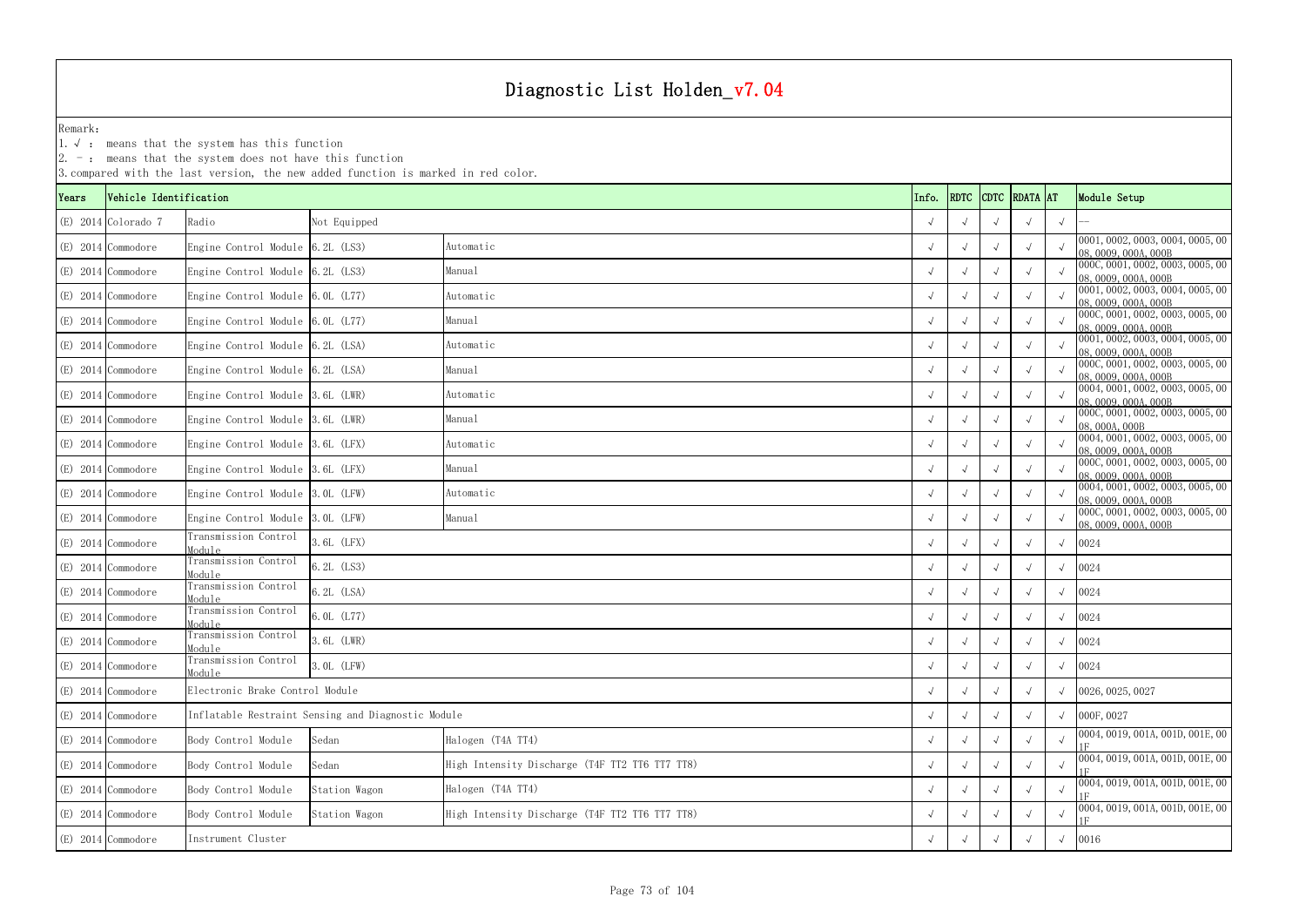1.√ : means that the system has this function

|       |                        |                                    | 3. compared with the last version, the new added function is marked in red color. |                                                |            |                    |  |            |            |                                                          |
|-------|------------------------|------------------------------------|-----------------------------------------------------------------------------------|------------------------------------------------|------------|--------------------|--|------------|------------|----------------------------------------------------------|
| Years | Vehicle Identification |                                    |                                                                                   |                                                | Info.      | RDTC CDTC RDATA AT |  |            |            | Module Setup                                             |
|       | $(E)$ 2014 Colorado 7  | Radio                              | Not Equipped                                                                      |                                                | $\sqrt{ }$ |                    |  |            | $\sqrt{ }$ |                                                          |
|       | (E) 2014 Commodore     | Engine Control Module 6.2L (LS3)   |                                                                                   | Automatic                                      |            |                    |  | $\sqrt{ }$ |            | 0001, 0002, 0003, 0004, 0005, 00<br>08, 0009, 000A, 000B |
|       | $(E)$ 2014 Commodore   | Engine Control Module 6.2L (LS3)   |                                                                                   | Manual                                         | $\sqrt{ }$ |                    |  | $\sqrt{ }$ |            | 000C, 0001, 0002, 0003, 0005, 00<br>08, 0009, 000A, 000B |
|       | (E) 2014 Commodore     | Engine Control Module 6.0L (L77)   |                                                                                   | Automatic                                      |            |                    |  |            |            | 0001, 0002, 0003, 0004, 0005, 00<br>08, 0009, 000A, 000B |
|       | (E) 2014 Commodore     | Engine Control Module $6.0L$ (L77) |                                                                                   | Manual                                         | $\sqrt{ }$ |                    |  | $\sqrt{ }$ |            | 000C, 0001, 0002, 0003, 0005, 00<br>08, 0009, 000A, 000B |
|       | $(E)$ 2014 Commodore   | Engine Control Module 6.2L (LSA)   |                                                                                   | Automatic                                      |            |                    |  | $\sqrt{ }$ |            | 0001, 0002, 0003, 0004, 0005, 00<br>08, 0009, 000A, 000B |
|       | (E) 2014 Commodore     | Engine Control Module 6.2L (LSA)   |                                                                                   | Manual                                         |            |                    |  | $\sqrt{ }$ |            | 000C, 0001, 0002, 0003, 0005, 00<br>08, 0009, 000A, 000B |
|       | $(E)$ 2014 Commodore   | Engine Control Module 3.6L (LWR)   |                                                                                   | Automatic                                      |            |                    |  |            |            | 0004, 0001, 0002, 0003, 0005, 00<br>08,0009,000A,000B    |
|       | (E) 2014 Commodore     | Engine Control Module 3.6L (LWR)   |                                                                                   | Manual                                         | $\sqrt{ }$ |                    |  |            |            | 000C, 0001, 0002, 0003, 0005, 00<br>08,000A,000B         |
|       | (E) 2014 Commodore     | Engine Control Module 3.6L (LFX)   |                                                                                   | Automatic                                      |            |                    |  | $\sqrt{ }$ |            | 0004, 0001, 0002, 0003, 0005, 00<br>08, 0009, 000A, 000B |
|       | $(E)$ 2014 Commodore   | Engine Control Module 3.6L (LFX)   |                                                                                   | Manual                                         | $\sqrt{ }$ |                    |  | $\sqrt{ }$ |            | 000C, 0001, 0002, 0003, 0005, 00<br>08, 0009, 000A, 000B |
|       | (E) 2014 Commodore     | Engine Control Module 3.0L (LFW)   |                                                                                   | Automatic                                      |            |                    |  |            |            | 0004, 0001, 0002, 0003, 0005, 00<br>08, 0009, 000A, 000B |
|       | (E) 2014 Commodore     | Engine Control Module 3.0L (LFW)   |                                                                                   | Manual                                         | $\sqrt{ }$ |                    |  |            |            | 000C, 0001, 0002, 0003, 0005, 00<br>08,0009,000A,000B    |
|       | $(E)$ 2014 Commodore   | Transmission Control<br>Module     | 3.6L (LFX)                                                                        |                                                |            |                    |  |            | $\sqrt{ }$ | 0024                                                     |
|       | $(E)$ 2014 Commodore   | Transmission Control<br>Module     | 6.2L (LS3)                                                                        |                                                | $\sqrt{ }$ |                    |  | $\sqrt{ }$ | $\sqrt{ }$ | 0024                                                     |
|       | $(E)$ 2014 Commodore   | Transmission Control<br>Module     | 6.2L (LSA)                                                                        |                                                |            |                    |  |            | $\sqrt{ }$ | 0024                                                     |
|       | $(E)$ 2014 Commodore   | Transmission Control<br>Module     | 6.0L (L77)                                                                        |                                                |            |                    |  |            |            | 0024                                                     |
|       | (E) 2014 Commodore     | Transmission Control<br>Module     | 3.6L (LWR)                                                                        |                                                |            |                    |  |            | $\sqrt{ }$ | 0024                                                     |
|       | (E) 2014 Commodore     | Transmission Control<br>Module     | 3.0L (LFW)                                                                        |                                                | $\sqrt{ }$ |                    |  | $\sqrt{ }$ | $\sqrt{ }$ | 0024                                                     |
|       | (E) 2014 Commodore     | Electronic Brake Control Module    |                                                                                   |                                                |            |                    |  |            |            | 0026, 0025, 0027                                         |
|       | (E) 2014 Commodore     |                                    | Inflatable Restraint Sensing and Diagnostic Module                                |                                                | $\sim$     |                    |  |            | $\sqrt{ }$ | 000F, 0027                                               |
|       | (E) 2014 Commodore     | Body Control Module                | Sedan                                                                             | Halogen (T4A TT4)                              |            |                    |  | $\sqrt{ }$ |            | 0004, 0019, 001A, 001D, 001E, 00                         |
|       | (E) 2014 Commodore     | Body Control Module                | Sedan                                                                             | High Intensity Discharge (T4F TT2 TT6 TT7 TT8) | $\sqrt{ }$ |                    |  | $\sqrt{ }$ | $\sqrt{ }$ | 0004, 0019, 001A, 001D, 001E, 00                         |
|       | (E) 2014 Commodore     | Body Control Module                | Station Wagon                                                                     | Halogen (T4A TT4)                              |            |                    |  |            | $\sqrt{ }$ | 0004, 0019, 001A, 001D, 001E, 00                         |
|       | (E) 2014 Commodore     | Body Control Module                | Station Wagon                                                                     | High Intensity Discharge (T4F TT2 TT6 TT7 TT8) | $\sim$     |                    |  |            |            | 0004, 0019, 001A, 001D, 001E, 00                         |
|       | (E) 2014 Commodore     | Instrument Cluster                 |                                                                                   |                                                |            |                    |  | $\sqrt{ }$ | $\sqrt{ }$ | 0016                                                     |
|       |                        |                                    |                                                                                   |                                                |            |                    |  |            |            |                                                          |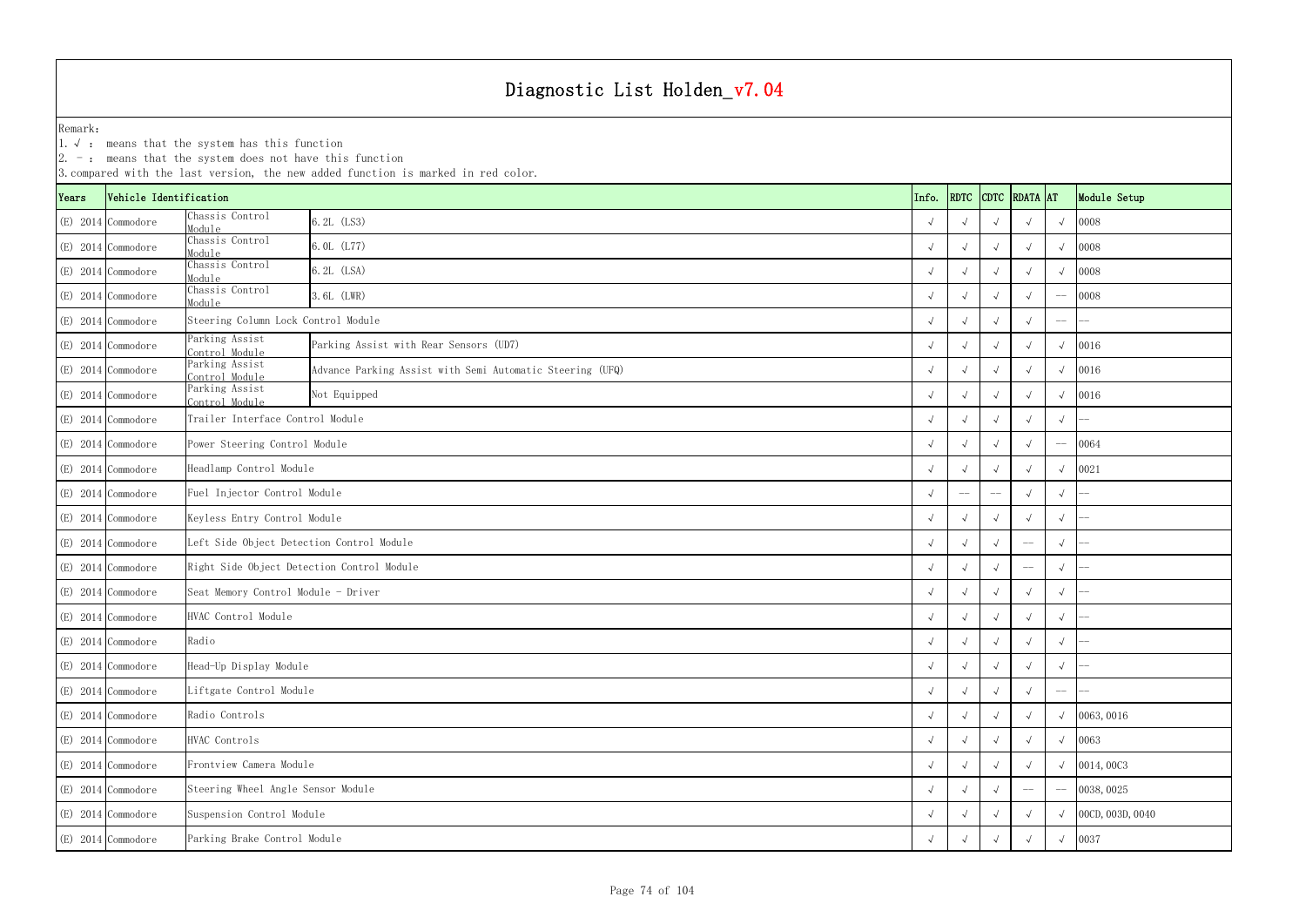|       |                        | $ 2. -$ : means that the system does not have this function | 3. compared with the last version, the new added function is marked in red color. |                    |            |            |               |             |                  |
|-------|------------------------|-------------------------------------------------------------|-----------------------------------------------------------------------------------|--------------------|------------|------------|---------------|-------------|------------------|
| Years | Vehicle Identification |                                                             |                                                                                   | Info.              | RDTC       |            | CDTC RDATA AT |             | Module Setup     |
|       | (E) 2014 Commodore     | Chassis Control<br>Module                                   | 6.2L (LS3)                                                                        |                    |            |            |               |             | 0008             |
|       | (E) 2014 Commodore     | Chassis Control<br>Module                                   | 6.0L (L77)                                                                        |                    |            |            |               |             | 0008             |
|       | $(E)$ 2014 Commodore   | Chassis Control<br>Module                                   | 6.2L (LSA)                                                                        |                    |            |            |               |             | 0008             |
|       | $(E)$ 2014 Commodore   | Chassis Control<br>Module                                   | 3.6L (LWR)                                                                        |                    |            |            |               | $-\!-\!$    | 0008             |
|       | (E) 2014 Commodore     | Steering Column Lock Control Module                         |                                                                                   |                    | $\sim$     |            |               | $-\!-\!$    |                  |
|       | (E) 2014 Commodore     | Parking Assist<br>Control Module                            | Parking Assist with Rear Sensors (UD7)                                            |                    |            |            |               |             | 0016             |
|       | $(E)$ 2014 Commodore   | Parking Assist<br>Control Module                            | Advance Parking Assist with Semi Automatic Steering (UFQ)                         |                    |            |            |               |             | 0016             |
|       | $(E)$ 2014 Commodore   | Parking Assist<br>Control Module                            | Not Equipped                                                                      |                    |            |            |               | $\sqrt{ }$  | 0016             |
|       | (E) 2014 Commodore     | Trailer Interface Control Module                            |                                                                                   |                    | $\sqrt{ }$ |            |               | $\sqrt{ }$  |                  |
|       | (E) 2014 Commodore     | Power Steering Control Module                               |                                                                                   |                    |            |            |               | $-\!$ $\!-$ | 0064             |
|       | (E) 2014 Commodore     | Headlamp Control Module                                     |                                                                                   |                    |            |            |               |             | 0021             |
|       | $(E)$ 2014 Commodore   | Fuel Injector Control Module                                |                                                                                   |                    | $-$        | --         |               | $\sqrt{ }$  |                  |
|       | (E) 2014 Commodore     | Keyless Entry Control Module                                |                                                                                   |                    | $\sqrt{ }$ |            |               | $\sqrt{ }$  |                  |
|       | (E) 2014 Commodore     | Left Side Object Detection Control Module                   |                                                                                   |                    |            |            | $-\!$ $\!-$   | $\sqrt{ }$  |                  |
|       | (E) 2014 Commodore     | Right Side Object Detection Control Module                  |                                                                                   |                    |            |            | $-\!-\!$      | $\sqrt{ }$  |                  |
|       | $(E)$ 2014 Commodore   | Seat Memory Control Module - Driver                         |                                                                                   |                    |            |            |               | $\sqrt{ }$  |                  |
|       | $(E)$ 2014 Commodore   | HVAC Control Module                                         |                                                                                   |                    |            |            |               | $\sqrt{ }$  |                  |
|       | (E) 2014 Commodore     | Radio                                                       |                                                                                   | $\sqrt{ }$         | $\sqrt{ }$ | $\sqrt{ }$ | $\sqrt{ }$    | $\sqrt{ }$  |                  |
|       | (E) 2014 Commodore     | Head-Up Display Module                                      |                                                                                   |                    |            |            |               | $\sqrt{ }$  |                  |
|       | $(E)$ 2014 Commodore   | Liftgate Control Module                                     |                                                                                   |                    |            |            |               | $-\! -$     |                  |
|       | (E) 2014 Commodore     | Radio Controls                                              |                                                                                   |                    |            |            |               |             | 0063, 0016       |
|       | (E) 2014 Commodore     | HVAC Controls                                               | $\sqrt{ }$                                                                        | $\rightsquigarrow$ |            |            | $\sqrt{ }$    | 0063        |                  |
|       | (E) 2014 Commodore     | Frontview Camera Module                                     |                                                                                   |                    |            |            |               |             | 0014,0003        |
|       | (E) 2014 Commodore     | Steering Wheel Angle Sensor Module                          |                                                                                   |                    |            |            | $-\! -$       |             | 0038, 0025       |
|       | (E) 2014 Commodore     |                                                             | Suspension Control Module                                                         |                    |            |            |               |             | 00CD, 003D, 0040 |
|       | (E) 2014 Commodore     | Parking Brake Control Module                                |                                                                                   |                    |            |            |               | $\sqrt{ }$  | 0037             |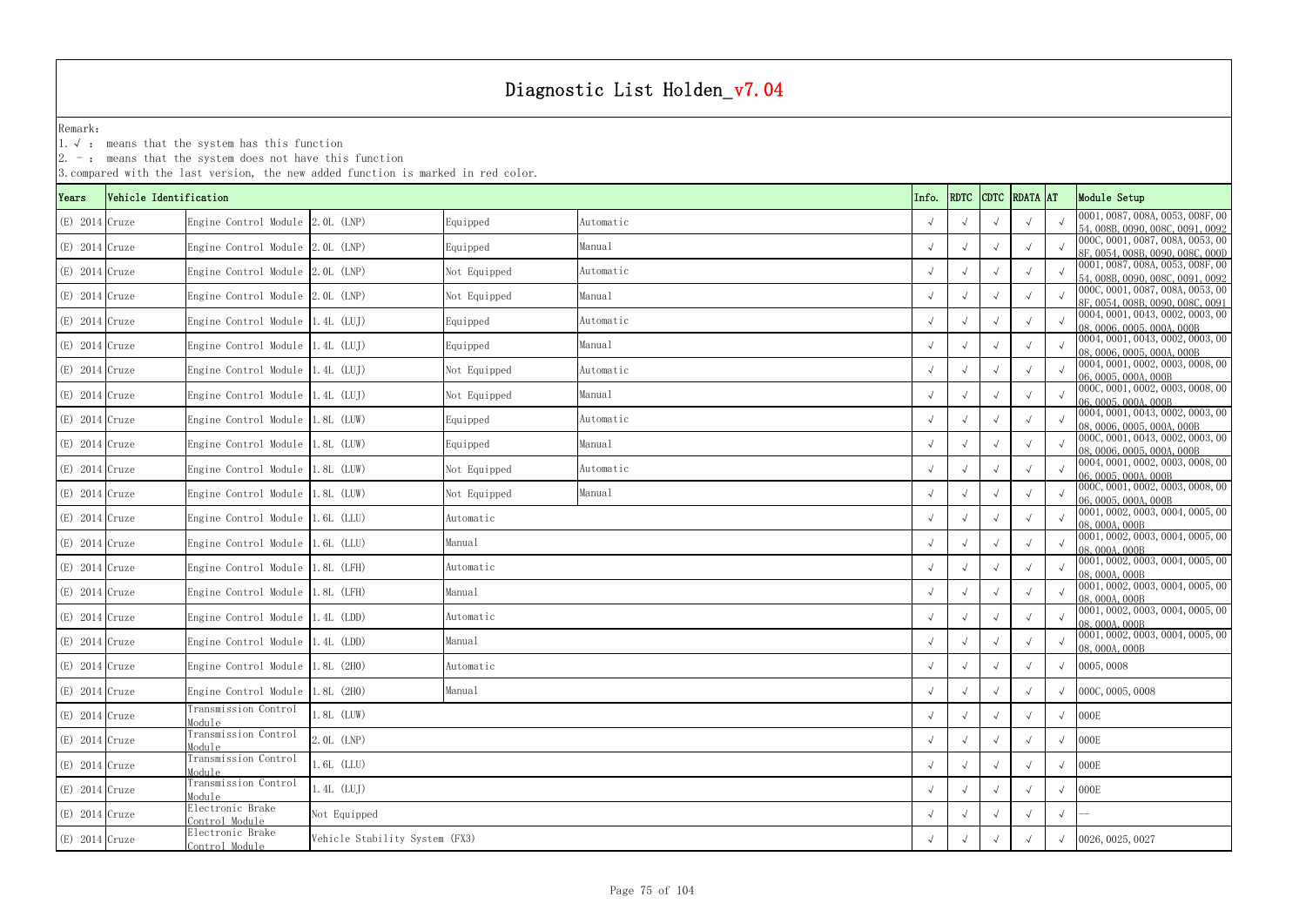1.√ : means that the system has this function

|                  |                        |                                    | 3. compared with the last version, the new added function is marked in red color. |              |           |            |                    |            |            |                                                                      |
|------------------|------------------------|------------------------------------|-----------------------------------------------------------------------------------|--------------|-----------|------------|--------------------|------------|------------|----------------------------------------------------------------------|
| Years            | Vehicle Identification |                                    |                                                                                   |              |           | Info.      | RDTC CDTC RDATA AT |            |            | Module Setup                                                         |
| $(E)$ 2014 Cruze |                        | Engine Control Module 2.0L (LNP)   |                                                                                   | Equipped     | Automatic | $\sqrt{ }$ |                    |            |            | 0001, 0087, 008A, 0053, 008F, 00<br>54, 008B, 0090, 008C, 0091, 0092 |
| $(E)$ 2014 Cruze |                        | Engine Control Module 2.0L (LNP)   |                                                                                   | Equipped     | Manual    | $\sqrt{ }$ |                    |            |            | 000C, 0001, 0087, 008A, 0053, 00                                     |
|                  |                        |                                    |                                                                                   |              |           |            |                    |            |            | 8F. 0054, 008B, 0090, 008C, 000D<br>0001, 0087, 008A, 0053, 008F, 00 |
| $(E)$ 2014 Cruze |                        | Engine Control Module 2.0L (LNP)   |                                                                                   | Not Equipped | Automatic | $\sqrt{ }$ |                    |            |            | 54, 008B, 0090, 008C, 0091, 0092                                     |
| $(E)$ 2014 Cruze |                        | Engine Control Module 2.0L (LNP)   |                                                                                   | Not Equipped | Manual    |            |                    |            |            | 000C, 0001, 0087, 008A, 0053, 00<br>8F, 0054, 008B, 0090, 008C, 0091 |
| $(E)$ 2014 Cruze |                        | Engine Control Module 1.4L (LUJ)   |                                                                                   | Equipped     | Automatic |            |                    |            |            | 0004, 0001, 0043, 0002, 0003, 00<br>08, 0006, 0005, 000A, 000B       |
| $(E)$ 2014 Cruze |                        | Engine Control Module 1.4L (LUJ)   |                                                                                   | Equipped     | Manual    |            |                    |            |            | 0004, 0001, 0043, 0002, 0003, 00<br>08, 0006, 0005, 000A, 000B       |
| $(E)$ 2014 Cruze |                        | Engine Control Module 1.4L (LUJ)   |                                                                                   | Not Equipped | Automatic |            |                    |            |            | 0004, 0001, 0002, 0003, 0008, 00                                     |
| $(E)$ 2014 Cruze |                        | Engine Control Module 1.4L (LUJ)   |                                                                                   | Not Equipped | Manual    |            |                    |            |            | 06, 0005, 000A, 000B<br>000C, 0001, 0002, 0003, 0008, 00             |
| $(E)$ 2014 Cruze |                        | Engine Control Module   1.8L (LUW) |                                                                                   | Equipped     | Automatic | $\sqrt{ }$ |                    |            |            | 06, 0005, 000A, 000B<br>0004, 0001, 0043, 0002, 0003, 00             |
|                  |                        |                                    |                                                                                   |              |           |            |                    |            |            | 08, 0006, 0005, 000A, 000B<br>000C, 0001, 0043, 0002, 0003, 00       |
| $(E)$ 2014 Cruze |                        | Engine Control Module   1.8L (LUW) |                                                                                   | Equipped     | Manual    |            |                    |            |            | 08, 0006, 0005, 000A, 000B                                           |
| $(E)$ 2014 Cruze |                        | Engine Control Module 1.8L (LUW)   |                                                                                   | Not Equipped | Automatic | $\sqrt{ }$ |                    |            |            | 0004, 0001, 0002, 0003, 0008, 00<br>06, 0005, 000A, 000B             |
| $(E)$ 2014 Cruze |                        | Engine Control Module 1.8L (LUW)   |                                                                                   | Not Equipped | Manual    | $\sqrt{ }$ |                    |            |            | 000C, 0001, 0002, 0003, 0008, 00<br>06, 0005, 000A, 000B             |
| (E) 2014 Cruze   |                        | Engine Control Module 1.6L (LLU)   |                                                                                   | Automatic    |           | $\sqrt{ }$ |                    |            |            | 0001, 0002, 0003, 0004, 0005, 00<br>08,000A,000B                     |
| $(E)$ 2014 Cruze |                        | Engine Control Module 1.6L (LLU)   |                                                                                   | Manual       |           |            |                    |            |            | 0001, 0002, 0003, 0004, 0005, 00<br>08, 000A, 000B                   |
| $(E)$ 2014 Cruze |                        | Engine Control Module 1.8L (LFH)   |                                                                                   | Automatic    |           |            |                    |            |            | 0001, 0002, 0003, 0004, 0005, 00                                     |
| $(E)$ 2014 Cruze |                        | Engine Control Module 1.8L (LFH)   |                                                                                   | Manual       |           | $\sqrt{ }$ |                    |            |            | 08, 000A, 000B<br>0001, 0002, 0003, 0004, 0005, 00                   |
| $(E)$ 2014 Cruze |                        |                                    |                                                                                   | Automatic    |           | $\sqrt{ }$ |                    |            |            | 08, 000A, 000B<br>0001, 0002, 0003, 0004, 0005, 00                   |
|                  |                        | Engine Control Module 1.4L (LDD)   |                                                                                   |              |           |            |                    |            |            | 08,000A,000B<br>0001, 0002, 0003, 0004, 0005, 00                     |
| $(E)$ 2014 Cruze |                        | Engine Control Module 1.4L (LDD)   |                                                                                   | Manual       |           | $\sqrt{ }$ |                    |            |            | 08,000A,000B                                                         |
| $(E)$ 2014 Cruze |                        | Engine Control Module 1.8L (2H0)   |                                                                                   | Automatic    |           | $\sqrt{ }$ |                    | $\sqrt{ }$ |            | 0005,0008                                                            |
| $(E)$ 2014 Cruze |                        | Engine Control Module 1.8L (2H0)   |                                                                                   | Manual       |           | $\sqrt{ }$ |                    |            |            | 000C, 0005, 0008                                                     |
| $(E)$ 2014 Cruze |                        | Transmission Control<br>Module     | 1.8L (LUW)                                                                        |              |           | $\sqrt{ }$ |                    |            |            | 000E                                                                 |
| $(E)$ 2014 Cruze |                        | Transmission Control<br>Module     | 2.0L (LNP)                                                                        |              |           | $\sqrt{ }$ |                    |            |            | 000E                                                                 |
| $(E)$ 2014 Cruze |                        | Transmission Control<br>Module     | $.6L$ (LLU)                                                                       |              |           | $\sqrt{ }$ |                    |            |            | 000E                                                                 |
| $(E)$ 2014 Cruze |                        | Transmission Control               | $.4L$ (LUJ)                                                                       |              |           | $\sqrt{ }$ |                    |            | $\sqrt{ }$ | 000E                                                                 |
| $(E)$ 2014 Cruze |                        | Module<br>Electronic Brake         | Not Equipped                                                                      |              |           | $\sqrt{ }$ |                    |            | $\sqrt{ }$ |                                                                      |
| $(E)$ 2014 Cruze |                        | Control Module<br>Electronic Brake | Vehicle Stability System (FX3)                                                    |              |           | $\sqrt{ }$ |                    |            | $\sqrt{ }$ | 0026, 0025, 0027                                                     |
|                  |                        | Control Module                     |                                                                                   |              |           |            |                    |            |            |                                                                      |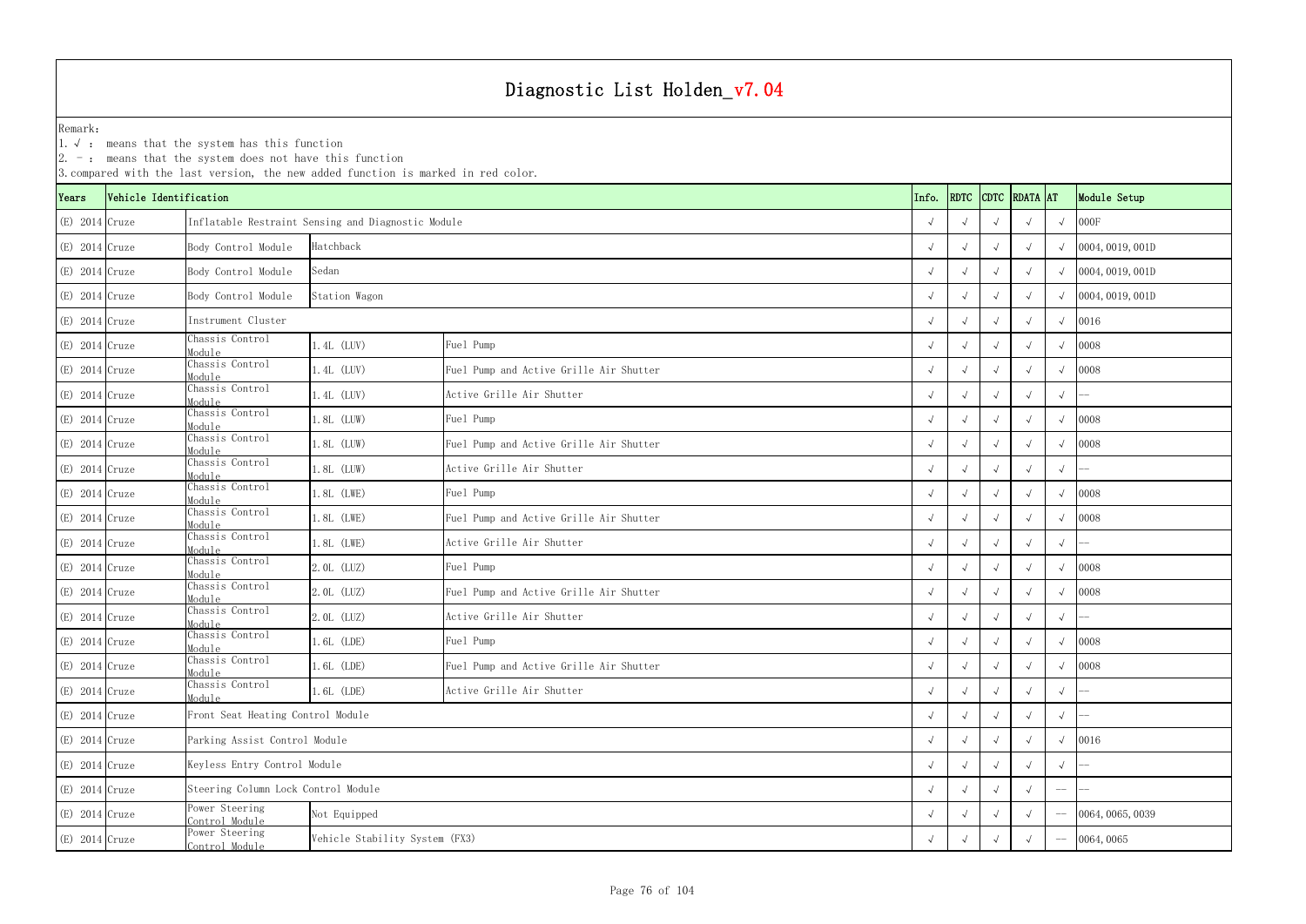|                  |                        | $\vert$ 2. $\bar{\ }$ : means that the system does not have this function | 3. compared with the last version, the new added function is marked in red color. |                                         |  |            |             |  |               |                   |                  |
|------------------|------------------------|---------------------------------------------------------------------------|-----------------------------------------------------------------------------------|-----------------------------------------|--|------------|-------------|--|---------------|-------------------|------------------|
| Years            | Vehicle Identification |                                                                           |                                                                                   |                                         |  | Info.      | <b>RDTC</b> |  | CDTC RDATA AT |                   | Module Setup     |
| $(E)$ 2014 Cruze |                        |                                                                           | Inflatable Restraint Sensing and Diagnostic Module                                |                                         |  |            |             |  |               |                   | 000F             |
| $(E)$ 2014 Cruze |                        | Body Control Module                                                       | Hatchback                                                                         |                                         |  |            |             |  |               |                   | 0004, 0019, 001D |
| $(E)$ 2014 Cruze |                        | Body Control Module                                                       | Sedan                                                                             |                                         |  |            |             |  |               |                   | 0004, 0019, 001D |
| $(E)$ 2014 Cruze |                        | Body Control Module                                                       | Station Wagon                                                                     |                                         |  |            |             |  |               |                   | 0004, 0019, 001D |
| $(E)$ 2014 Cruze |                        | Instrument Cluster                                                        |                                                                                   |                                         |  |            |             |  |               |                   | 0016             |
| $(E)$ 2014 Cruze |                        | Chassis Control<br>Module                                                 | 1.4L (LUV)                                                                        | Fuel Pump                               |  |            |             |  |               |                   | 0008             |
| $(E)$ 2014 Cruze |                        | Chassis Control<br>Module                                                 | 1.4L (LUV)                                                                        | Fuel Pump and Active Grille Air Shutter |  |            |             |  |               |                   | 0008             |
| $(E)$ 2014 Cruze |                        | Chassis Control<br>Module                                                 | 1.4L (LUV)                                                                        | Active Grille Air Shutter               |  |            |             |  |               | $\sqrt{ }$        |                  |
| $(E)$ 2014 Cruze |                        | Chassis Control<br>Module                                                 | 1.8L (LUW)                                                                        | Fuel Pump                               |  |            |             |  |               |                   | 0008             |
| $(E)$ 2014 Cruze |                        | Chassis Control<br>Module                                                 | 1.8L (LUW)                                                                        | Fuel Pump and Active Grille Air Shutter |  |            |             |  |               |                   | 0008             |
| $(E)$ 2014 Cruze |                        | Chassis Control<br>Module                                                 | 1.8L (LUW)                                                                        | Active Grille Air Shutter               |  |            |             |  |               |                   |                  |
| $(E)$ 2014 Cruze |                        | Chassis Control<br>Module                                                 | 1.8L (LWE)                                                                        | Fuel Pump                               |  |            |             |  |               |                   | 0008             |
| $(E)$ 2014 Cruze |                        | Chassis Control<br>Module                                                 | 1.8L (LWE)                                                                        | Fuel Pump and Active Grille Air Shutter |  |            |             |  |               |                   | 0008             |
| $(E)$ 2014 Cruze |                        | Chassis Control<br>Module                                                 | 1.8L (LWE)                                                                        | Active Grille Air Shutter               |  |            |             |  |               | $\sqrt{ }$        |                  |
| $(E)$ 2014 Cruze |                        | Chassis Control<br>Module                                                 | 2.0L (LUZ)                                                                        | Fuel Pump                               |  |            |             |  |               |                   | 0008             |
| $(E)$ 2014 Cruze |                        | Chassis Control<br>Module                                                 | 2.0L (LUZ)                                                                        | Fuel Pump and Active Grille Air Shutter |  |            |             |  |               | $\sqrt{ }$        | 0008             |
| $(E)$ 2014 Cruze |                        | Chassis Control<br>Module                                                 | 2.0L (LUZ)                                                                        | Active Grille Air Shutter               |  |            |             |  |               | $\sqrt{ }$        |                  |
| $(E)$ 2014 Cruze |                        | Chassis Control<br>Module                                                 | 1.6L (LDE)                                                                        | Fuel Pump                               |  | $\sqrt{ }$ | $\sqrt{ }$  |  |               | $\sqrt{ }$        | 0008             |
| $(E)$ 2014 Cruze |                        | Chassis Control<br>Module                                                 | $.6L$ (LDE)                                                                       | Fuel Pump and Active Grille Air Shutter |  |            |             |  |               |                   | 0008             |
| $(E)$ 2014 Cruze |                        | Chassis Control<br>Module                                                 | 1.6L (LDE)                                                                        | Active Grille Air Shutter               |  |            |             |  |               | $\sqrt{ }$        |                  |
| $(E)$ 2014 Cruze |                        | Front Seat Heating Control Module                                         |                                                                                   |                                         |  |            |             |  |               | $\sqrt{ }$        |                  |
| $(E)$ 2014 Cruze |                        | Parking Assist Control Module                                             |                                                                                   |                                         |  |            |             |  |               |                   | 0016             |
| $(E)$ 2014 Cruze |                        | Keyless Entry Control Module                                              |                                                                                   |                                         |  |            |             |  |               |                   |                  |
| $(E)$ 2014 Cruze |                        | Steering Column Lock Control Module                                       |                                                                                   |                                         |  |            |             |  |               | $\qquad \qquad -$ |                  |
| $(E)$ 2014 Cruze |                        | Power Steering<br>Not Equipped<br>Control Module                          |                                                                                   |                                         |  |            |             |  |               |                   | 0064, 0065, 0039 |
| $(E)$ 2014 Cruze |                        | Power Steering<br>Vehicle Stability System (FX3)<br>Control Module        |                                                                                   |                                         |  |            |             |  | 0064,0065     |                   |                  |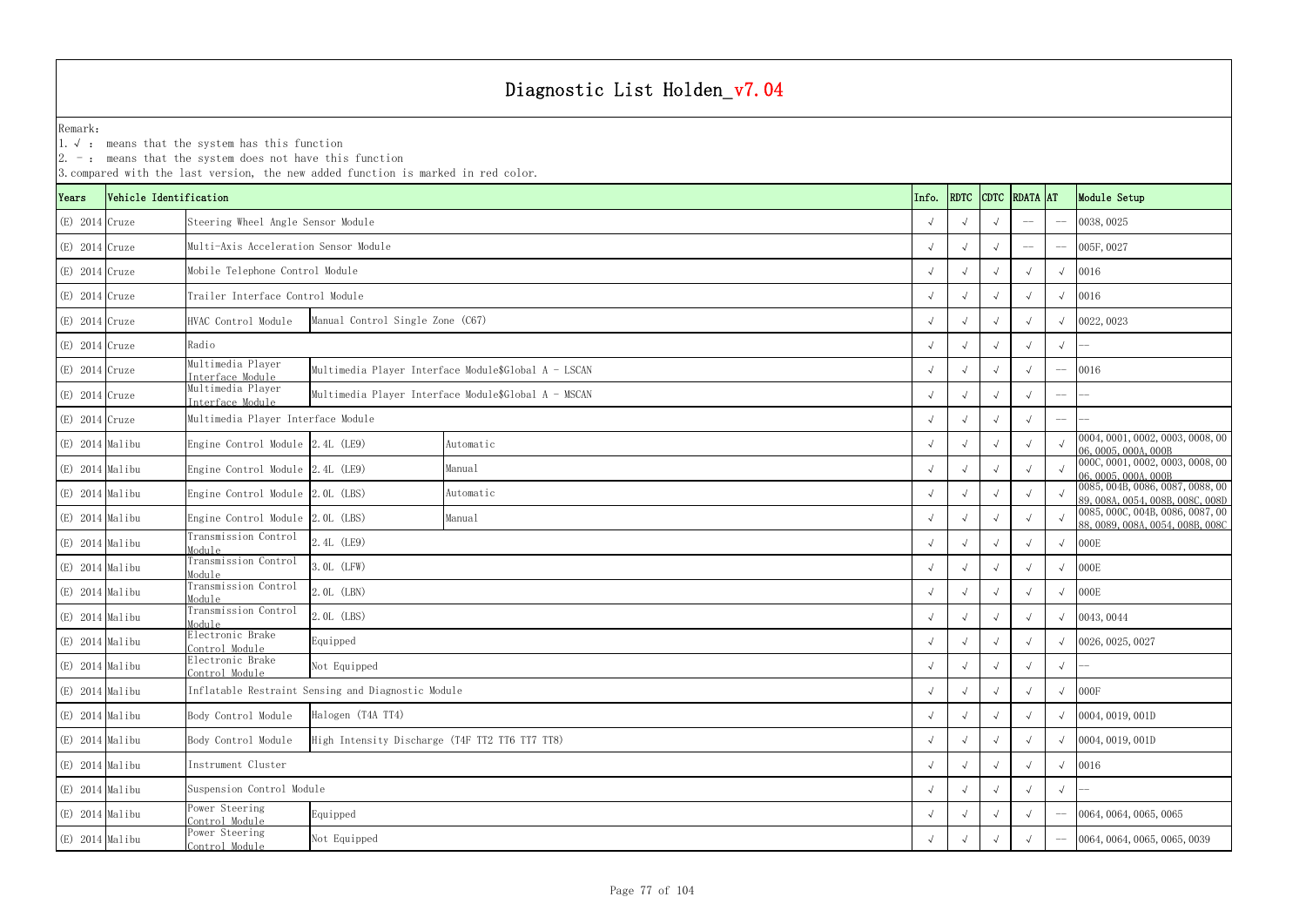YearsVehicle Identification **Info.** RDTC Remark:1.  $\sqrt{ }$ : means that the system has this function 2. -: means that the system does not have this function 3.compared with the last version, the new added function is marked in red color. (E) 2014 Cruze √ √ √ -- -- 0038,0025 Steering Wheel Angle Sensor Module (E) 2014|Cruze Multi-Axis Acceleration Sensor Module (E) 2014|Cruze Module (E) 2014|Cruze Multi-Axis Acceleration Sensor Module (E) 2014 Cruze √ √ √ √ √ 0016 Mobile Telephone Control Module (E) 2014 Cruze √ √ √ √ √ 0016 Trailer Interface Control Module(E) 2014 Cruze HVAC Control Module √ √ √ √ √ 0022,0023 Manual Control Single Zone (C67) (E) 2014 Cruze √ √ √ √ √ -- (E) 2014 Cruze Multimedia Player<br>Interface Module <sup>√</sup> <sup>√</sup> <sup>√</sup> <sup>√</sup> -- <sup>0016</sup> Multimedia Player Interface Module\$Global A - LSCAN (E) 2014 Cruze Multimedia Player<br>Interface Module <sup>√</sup> <sup>√</sup> <sup>√</sup> <sup>√</sup> -- -- Multimedia Player Interface Module\$Global A - MSCAN (E) 2014 Cruze √ √ √ √ -- -- Multimedia Player Interface Module (E) 2014 Malibu Engine Control Module 2.4L (LE9) <sup>√</sup> √√√√ 0004,0001,0002,0003,0008,00 06,0005,000A,000B (E) 2014 Malibu Engine Control Module 2.4L (LE9) Manual Manual Manual (E) 2014 Manual √ √ √ √ ∞ 000C,0001,0002,0003,0008,00 ∧ √ √ √ ∞ 000C,0001,0002,0003,0008,00 ∧ 06,0005,000 06,0005,000 06,000 06,000 06,000 06,000 06,00 (E) 2014 Malibu Engine Control Module 2.0L (LBS) Automatic Automatic (Automatic V √ √ √ √ 0085,004B,0086,0087,0088,00<br>Automatic (B) √ √ √ √ √ 0085,004B,0086,0087,0088,008C,008D (E) 2014 Malibu Engine Control Module 2.0L (LBS) Manual Manual Manual Manual (2.0L (LBS) Manual Manual (2.0L (LBS) Manual (2.0L (LBS) Manual (2.0L (LBS) Manual (2.0L (LBS) Manual (2.0L (LBS) Manual (2.0L (LBS) Manual (2.0 (E) 2014 Malibu Transmission Control Module $\frac{1}{2}$   $\frac{1}{2}$   $\frac{1}{2}$   $\frac{1}{2}$   $\frac{1}{2}$   $\frac{1}{2}$   $\frac{1}{2}$   $\frac{1}{2}$   $\frac{1}{2}$   $\frac{1}{2}$   $\frac{1}{2}$   $\frac{1}{2}$   $\frac{1}{2}$   $\frac{1}{2}$   $\frac{1}{2}$   $\frac{1}{2}$   $\frac{1}{2}$   $\frac{1}{2}$   $\frac{1}{2}$   $\frac{1}{2}$   $\frac{1}{2}$   $\frac{1}{2}$  (E) 2014 Malibu Transmission Control Module $\frac{1}{2}$   $\frac{1}{2}$   $\frac{1}{2}$   $\frac{1}{2}$   $\frac{1}{2}$   $\frac{1}{2}$   $\frac{1}{2}$   $\frac{1}{2}$   $\frac{1}{2}$   $\frac{1}{2}$   $\frac{1}{2}$   $\frac{1}{2}$   $\frac{1}{2}$   $\frac{1}{2}$   $\frac{1}{2}$   $\frac{1}{2}$   $\frac{1}{2}$   $\frac{1}{2}$   $\frac{1}{2}$   $\frac{1}{2}$   $\frac{1}{2}$   $\frac{1}{2}$  (E) 2014 Malibu Transmission Control Module $\frac{1}{2}$  (LER)  $\frac{1}{2}$ . OL (LER)  $\frac{1}{2}$  (LER) (E) 2014 Malibu Transmission Control Module $\frac{1}{2}$  (LBS)  $\frac{1}{2}$ . OL (LBS)  $\frac{1}{2}$  (LBS)  $\frac{1}{2}$  (LBS)  $\frac{1}{2}$  (D043, 0044 (E) 2014 Malibu Electronic Brake<br>
Control Module  $\frac{1}{2}$   $\frac{1}{2}$   $\frac{1}{2}$   $\frac{1}{2}$   $\frac{1}{2}$   $\frac{1}{2}$   $\frac{1}{2}$   $\frac{1}{2}$   $\frac{1}{2}$   $\frac{1}{2}$   $\frac{1}{2}$   $\frac{1}{2}$   $\frac{1}{2}$   $\frac{1}{2}$   $\frac{1}{2}$   $\frac{1}{2}$   $\frac{1}{2}$   $\frac{1}{2}$   $\frac{1}{2}$   $\frac{1}{2}$   $\frac{1}{2}$   $\frac{1}{2}$  (E) 2014 Malibu Electronic Brake<br>
Control Module <sup>√</sup> <sup>√</sup> <sup>√</sup> <sup>√</sup> <sup>√</sup> -- (E) 2014 Malibu √ √ √ √ √ 000F Inflatable Restraint Sensing and Diagnostic Module (E) 2014 Malibu Body Control Module √ √ √ √ √ 0004,0019,001D (E) 2014 Malibu Body Control Module √ √ √ √ √ 0004,0019,001D High Intensity Discharge (T4F TT2 TT6 TT7 TT8) (E) 2014 Malibu √ √ √ √ √ 0016 (E) 2014 Malibu √ √ √ √ √ -- Suspension Control Module (E) 2014 Malibu Power Steering<br>
Control Module <sup>√</sup> <sup>√</sup> <sup>√</sup> <sup>√</sup> -- 0064,0064,0065,0065 (E) 2014 Malibu Power Steering<br>
Control Module  $\frac{8}{9}$  Not Equipped Not Equipped 2.0065, 0039 Mot Equipped 2.0065, 0065, 0039 Mot Equipped 2.0065, 0065, 0039 Manual Manual Automatic Not Equipped Equipped 2.0L (LBS) 2.0L (LBN) 3.0L (LFW) 2.4L (LE9) Radio Instrument Cluster Not Equipped Equipped Halogen (T4A TT4) Automatic

| <b>DTC</b>   | <b>RDATA</b> | <b>AT</b>                | Module Setup                                                                                        |
|--------------|--------------|--------------------------|-----------------------------------------------------------------------------------------------------|
| $\sqrt{ }$   |              |                          | 0038,0025                                                                                           |
| $\sqrt{ }$   |              | $-$                      | 005F, 0027                                                                                          |
| $\sqrt{ }$   | $\sqrt{ }$   | $\sqrt{ }$               | 0016                                                                                                |
| $\sqrt{ }$   | $\sqrt{}$    | $\sqrt{ }$               | 0016                                                                                                |
| $\sqrt{ }$   | $\sqrt{}$    | $\sqrt{ }$               | 0022, 0023                                                                                          |
| $\sqrt{ }$   | $\sqrt{}$    | $\sqrt{ }$               |                                                                                                     |
| $\sqrt{ }$   | $\sqrt{ }$   |                          | 0016                                                                                                |
| $\sqrt{ }$   | $\sqrt{ }$   | $\overline{\phantom{a}}$ |                                                                                                     |
| $\sqrt{ }$   | $\sqrt{}$    |                          |                                                                                                     |
| $\sqrt{ }$   | $\sqrt{}$    | $\sqrt{ }$               | 0004, 0001, 0002, 0003, 0008, 00<br>06,0005,000A,000B                                               |
| $\sqrt{ }$   | $\sqrt{}$    | $\sqrt{ }$               | 000C, 0001, 0002, 0003, 0008, 00<br>06,0005,000A,000B                                               |
| $\checkmark$ | $\sqrt{}$    | $\sqrt{ }$               | 0085, 004B, 0086, 0087, 0088, 00                                                                    |
| $\sqrt{ }$   | $\checkmark$ | $\sqrt{ }$               | 89, 008A, 0054, 008B, 008C, 008D<br>0085, 000C, 004B, 0086, 0087, 00<br>88,0089,008A,0054,008B,008C |
| $\sqrt{ }$   | $\sqrt{ }$   | $\sqrt{}$                | 000E                                                                                                |
| $\sqrt{ }$   | $\sqrt{}$    | $\sqrt{ }$               | 000E                                                                                                |
| $\sqrt{ }$   | $\sqrt{ }$   | $\sqrt{ }$               | 000E                                                                                                |
| $\sqrt{ }$   | $\sqrt{}$    | $\sqrt{ }$               | 0043, 0044                                                                                          |
| $\sqrt{}$    | $\sqrt{}$    | $\sqrt{ }$               | 0026, 0025, 0027                                                                                    |
| $\sqrt{}$    | $\sqrt{}$    | $\sqrt{}$                |                                                                                                     |
| $\sqrt{}$    | $\sqrt{}$    | $\sqrt{}$                | 000F                                                                                                |
| $\sqrt{}$    | $\sqrt{}$    | $\sqrt{}$                | 0004, 0019, 001D                                                                                    |
| $\sqrt{ }$   | $\sqrt{}$    | $\sqrt{}$                | 0004, 0019, 001D                                                                                    |
| $\sqrt{}$    | $\sqrt{}$    | $\sqrt{}$                | 0016                                                                                                |
| $\sqrt{}$    | √            | $\sqrt{}$                |                                                                                                     |
| $\sqrt{}$    | $\checkmark$ |                          | 0064, 0064, 0065, 0065                                                                              |
| $\sqrt{}$    | $\sqrt{}$    |                          | 0064, 0064, 0065, 0065, 0039                                                                        |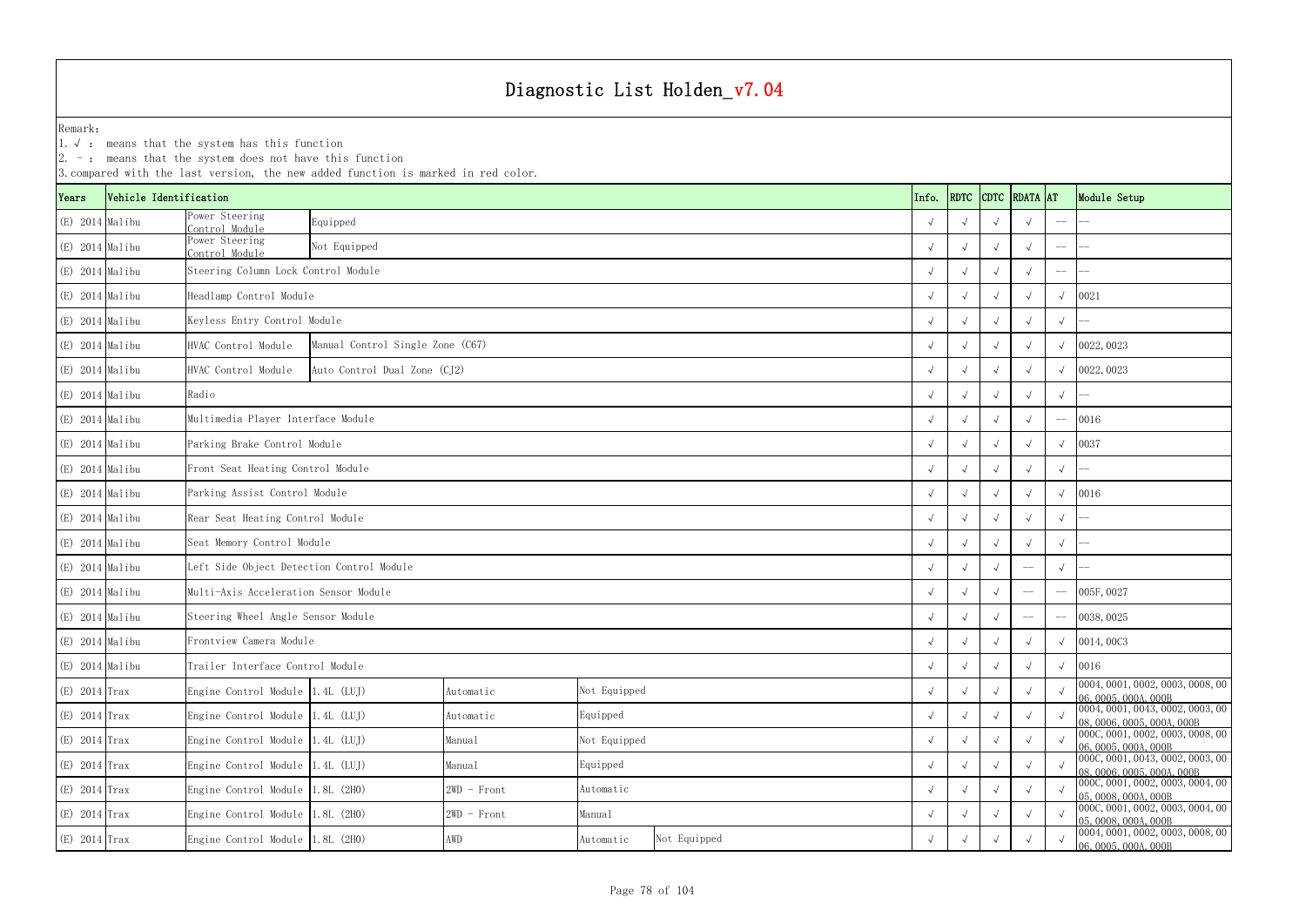|                   |                        | $ 2. -$ : means that the system does not have this function          | 3. compared with the last version, the new added function is marked in red color. |               |              |      |             |            |            |              |             |                                                                |
|-------------------|------------------------|----------------------------------------------------------------------|-----------------------------------------------------------------------------------|---------------|--------------|------|-------------|------------|------------|--------------|-------------|----------------------------------------------------------------|
| Years             | Vehicle Identification |                                                                      |                                                                                   |               | Info.        | RDTC | <b>CDTC</b> | RDATA AT   |            | Module Setup |             |                                                                |
| $(E)$ 2014 Malibu |                        | Ower Steering<br>Control Module                                      | Equipped                                                                          |               |              |      |             |            |            |              |             |                                                                |
| $(E)$ 2014 Malibu |                        | Power Steering<br>Control Module                                     | Not Equipped                                                                      |               |              |      |             |            |            |              |             |                                                                |
| $(E)$ 2014 Malibu |                        | Steering Column Lock Control Module                                  |                                                                                   |               |              |      |             |            |            |              | $-\!$ $\!-$ |                                                                |
| $(E)$ 2014 Malibu |                        | Headlamp Control Module                                              |                                                                                   |               |              |      |             |            |            |              |             | 0021                                                           |
| $(E)$ 2014 Malibu |                        |                                                                      | Keyless Entry Control Module                                                      |               |              |      |             |            |            |              |             |                                                                |
| $(E)$ 2014 Malibu |                        | HVAC Control Module                                                  | Manual Control Single Zone (C67)                                                  |               |              |      |             | $\sim$     |            |              |             | 0022, 0023                                                     |
| $(E)$ 2014 Malibu |                        | HVAC Control Module                                                  | Auto Control Dual Zone (CJ2)                                                      |               |              |      |             |            |            |              |             | 0022, 0023                                                     |
| $(E)$ 2014 Malibu |                        | Radio                                                                |                                                                                   |               |              |      |             |            |            |              |             |                                                                |
| $(E)$ 2014 Malibu |                        | Multimedia Player Interface Module                                   |                                                                                   |               |              |      |             |            |            |              |             | 0016                                                           |
| $(E)$ 2014 Malibu |                        | Parking Brake Control Module                                         |                                                                                   |               |              |      |             |            |            |              |             | 0037                                                           |
| $(E)$ 2014 Malibu |                        | Front Seat Heating Control Module                                    |                                                                                   |               |              |      |             |            |            |              | $\sqrt{ }$  |                                                                |
| (E) 2014 Malibu   |                        | Parking Assist Control Module                                        |                                                                                   |               |              |      |             |            |            |              |             | 0016                                                           |
| $(E)$ 2014 Malibu |                        | Rear Seat Heating Control Module                                     |                                                                                   |               |              |      |             |            |            |              | $\sqrt{}$   |                                                                |
| $(E)$ 2014 Malibu |                        | Seat Memory Control Module                                           |                                                                                   |               |              |      |             |            |            |              |             |                                                                |
| $(E)$ 2014 Malibu |                        | Left Side Object Detection Control Module                            |                                                                                   |               |              |      |             |            |            | $--$         | $\sqrt{ }$  |                                                                |
| $(E)$ 2014 Malibu |                        | Multi-Axis Acceleration Sensor Module                                |                                                                                   |               |              |      |             |            |            | --           |             | 005F, 0027                                                     |
| $(E)$ 2014 Malibu |                        | Steering Wheel Angle Sensor Module                                   |                                                                                   |               |              |      |             |            |            |              |             | 0038, 0025                                                     |
| (E) 2014 Malibu   |                        | Frontview Camera Module                                              |                                                                                   |               |              |      | $\sqrt{ }$  | $\sqrt{ }$ | $\sqrt{ }$ | $\sqrt{ }$   | $\sqrt{ }$  | 0014,00C3                                                      |
| $(E)$ 2014 Malibu |                        | Trailer Interface Control Module                                     |                                                                                   |               |              |      |             |            |            |              | $\sqrt{ }$  | 0016                                                           |
| $(E)$ 2014 Trax   |                        | Engine Control Module 1.4L (LUJ)                                     |                                                                                   | Automatic     | Not Equipped |      |             |            |            |              |             | 0004, 0001, 0002, 0003, 0008, 00<br>06, 0005, 000A, 000B       |
| $(E)$ 2014 Trax   |                        |                                                                      | Engine Control Module 1.4L (LUJ)<br>Equipped<br>Automatic                         |               |              |      |             |            |            |              |             | 0004, 0001, 0043, 0002, 0003, 00<br>08, 0006, 0005, 000A, 000B |
| $(E)$ 2014 Trax   |                        |                                                                      | Not Equipped<br>Engine Control Module 1.4L (LUJ)<br>Manual                        |               |              |      |             |            |            |              |             | 000C, 0001, 0002, 0003, 0008, 00<br>06, 0005, 000A, 000B       |
| $(E)$ 2014 Trax   |                        | Equipped<br>Engine Control Module 1.4L (LUJ)<br>Manual               |                                                                                   |               |              |      |             |            |            |              |             | 000C, 0001, 0043, 0002, 0003, 00<br>08, 0006, 0005, 000A, 000B |
| $(E)$ 2014 Trax   |                        | Engine Control Module 1.8L (2H0)                                     |                                                                                   | $2WD$ - Front | Automatic    |      |             |            |            |              |             | 0000, 0001, 0002, 0003, 0004, 00<br>05,0008,000A,000B          |
| $(E)$ 2014 Trax   |                        | Engine Control Module 1.8L (2H0)                                     |                                                                                   | $2WD$ - Front | Manual       |      |             |            |            |              |             | 0000, 0001, 0002, 0003, 0004, 00<br>05, 0008, 000A, 000B       |
| $(E)$ 2014 Trax   |                        | Not Equipped<br>Engine Control Module 1.8L (2H0)<br>AWD<br>Automatic |                                                                                   |               |              |      |             |            |            |              |             | 0004, 0001, 0002, 0003, 0008, 00<br>06, 0005, 000A, 000B       |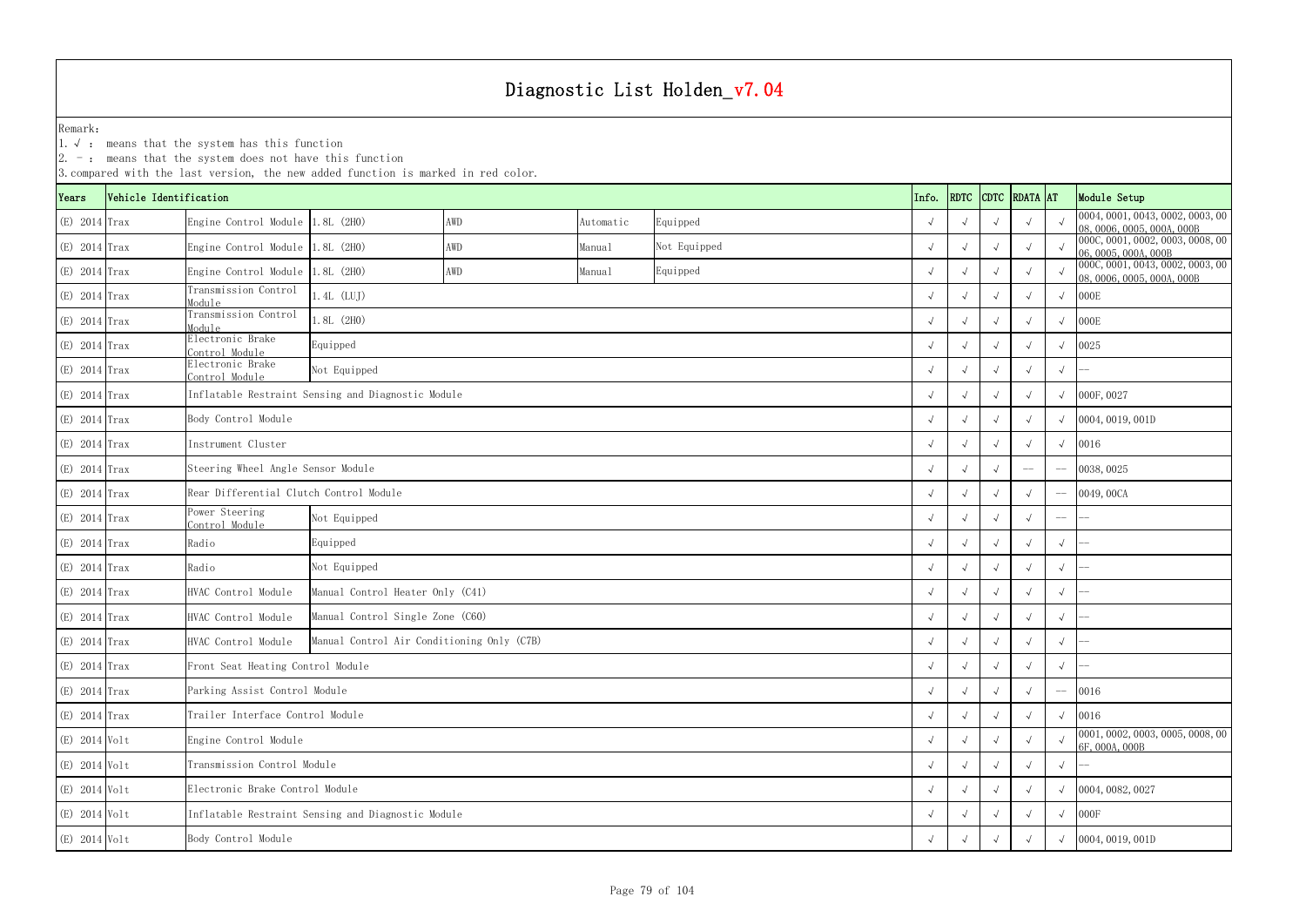1.√ : means that the system has this function

|                 |                        |                                         | 3. compared with the last version, the new added function is marked in red color. |     |           |              |            |            |  |               |             |                                                                |
|-----------------|------------------------|-----------------------------------------|-----------------------------------------------------------------------------------|-----|-----------|--------------|------------|------------|--|---------------|-------------|----------------------------------------------------------------|
| Years           | Vehicle Identification |                                         |                                                                                   |     |           |              | Info.      | RDTC       |  | CDTC RDATA AT |             | Module Setup                                                   |
| $(E)$ 2014 Trax |                        | Engine Control Module 1.8L (2H0)        |                                                                                   | AWD | Automatic | Equipped     | $\sqrt{ }$ |            |  |               |             | 0004, 0001, 0043, 0002, 0003, 00<br>08, 0006, 0005, 000A, 000B |
| (E) 2014 Trax   |                        | Engine Control Module 1.8L (2H0)        |                                                                                   | AWD | Manual    | Not Equipped | $\sqrt{ }$ |            |  |               |             | 000C, 0001, 0002, 0003, 0008, 00<br>06, 0005, 000A, 000B       |
| $(E)$ 2014 Trax |                        | Engine Control Module 1.8L (2H0)        |                                                                                   | AWD | Manual    | Equipped     |            | $\sqrt{ }$ |  |               |             | 000C, 0001, 0043, 0002, 0003, 00<br>08, 0006, 0005, 000A, 000B |
| (E) 2014 Trax   |                        | Transmission Control<br>Module          | $1.4L$ (LUJ)                                                                      |     |           |              |            | $\sqrt{ }$ |  |               |             | $\sqrt{000E}$                                                  |
| $(E)$ 2014 Trax |                        | Transmission Control<br>Module          | .8L(2H0)                                                                          |     |           |              |            |            |  |               |             | 000E                                                           |
| $(E)$ 2014 Trax |                        | Electronic Brake<br>Control Module      | Equipped                                                                          |     |           |              |            |            |  |               |             | 0025                                                           |
| $(E)$ 2014 Trax |                        | Electronic Brake<br>Control Module      | Not Equipped                                                                      |     |           |              |            |            |  |               |             |                                                                |
| $(E)$ 2014 Trax |                        |                                         | Inflatable Restraint Sensing and Diagnostic Module                                |     |           |              |            |            |  |               |             | $\sqrt{000F, 0027}$                                            |
| $(E)$ 2014 Trax |                        | Body Control Module                     |                                                                                   |     |           |              |            |            |  |               |             | 0004, 0019, 001D                                               |
| (E) 2014 Trax   |                        | Instrument Cluster                      |                                                                                   |     |           |              | $\sqrt{ }$ |            |  |               | $\sqrt{ }$  | 0016                                                           |
| $(E)$ 2014 Trax |                        | Steering Wheel Angle Sensor Module      |                                                                                   |     |           |              |            | $\sqrt{ }$ |  |               |             | 0038, 0025                                                     |
| (E) 2014 Trax   |                        | Rear Differential Clutch Control Module |                                                                                   |     |           |              |            | $\sqrt{ }$ |  |               |             | 0049, 00CA                                                     |
| $(E)$ 2014 Trax |                        | Power Steering<br>Control Module        | Not Equipped                                                                      |     |           |              |            |            |  |               | $--$        |                                                                |
| $(E)$ 2014 Trax |                        | Radio                                   | Equipped                                                                          |     |           |              |            |            |  |               | $\sqrt{ }$  |                                                                |
| $(E)$ 2014 Trax |                        | Radio                                   | Not Equipped                                                                      |     |           |              |            |            |  |               | $\sqrt{ }$  |                                                                |
| $(E)$ 2014 Trax |                        | HVAC Control Module                     | Manual Control Heater Only (C41)                                                  |     |           |              |            | $\sqrt{ }$ |  |               | $\sqrt{ }$  |                                                                |
| $(E)$ 2014 Trax |                        | HVAC Control Module                     | Manual Control Single Zone (C60)                                                  |     |           |              | $\sqrt{ }$ |            |  |               | $\sqrt{ }$  |                                                                |
| (E) 2014 Trax   |                        | HVAC Control Module                     | Manual Control Air Conditioning Only (C7B)                                        |     |           |              |            |            |  |               | $\sqrt{ }$  |                                                                |
| (E) 2014 Trax   |                        | Front Seat Heating Control Module       |                                                                                   |     |           |              |            | $\sqrt{ }$ |  |               | $\sqrt{ }$  |                                                                |
| $(E)$ 2014 Trax |                        | Parking Assist Control Module           |                                                                                   |     |           |              |            | $\sqrt{ }$ |  |               | $-\!$ $\!-$ | 0016                                                           |
| $(E)$ 2014 Trax |                        | Trailer Interface Control Module        |                                                                                   |     |           |              |            |            |  |               | $\sqrt{ }$  | 0016                                                           |
| (E) 2014 Volt   |                        | Engine Control Module                   |                                                                                   |     |           |              |            |            |  |               |             | 0001, 0002, 0003, 0005, 0008, 00<br>6F, 000A, 000B             |
| (E) 2014 Volt   |                        | Transmission Control Module             |                                                                                   |     |           |              |            |            |  |               | $\sqrt{ }$  |                                                                |
| (E) 2014 Volt   |                        | Electronic Brake Control Module         |                                                                                   |     |           |              |            | $\sqrt{ }$ |  |               | $\sqrt{2}$  | 0004, 0082, 0027                                               |
| (E) 2014 Volt   |                        |                                         | Inflatable Restraint Sensing and Diagnostic Module                                |     |           |              |            |            |  |               | $\sqrt{ }$  | 000F                                                           |
| (E) 2014 Volt   |                        | Body Control Module                     |                                                                                   |     |           |              |            |            |  |               |             | 0004, 0019, 001D                                               |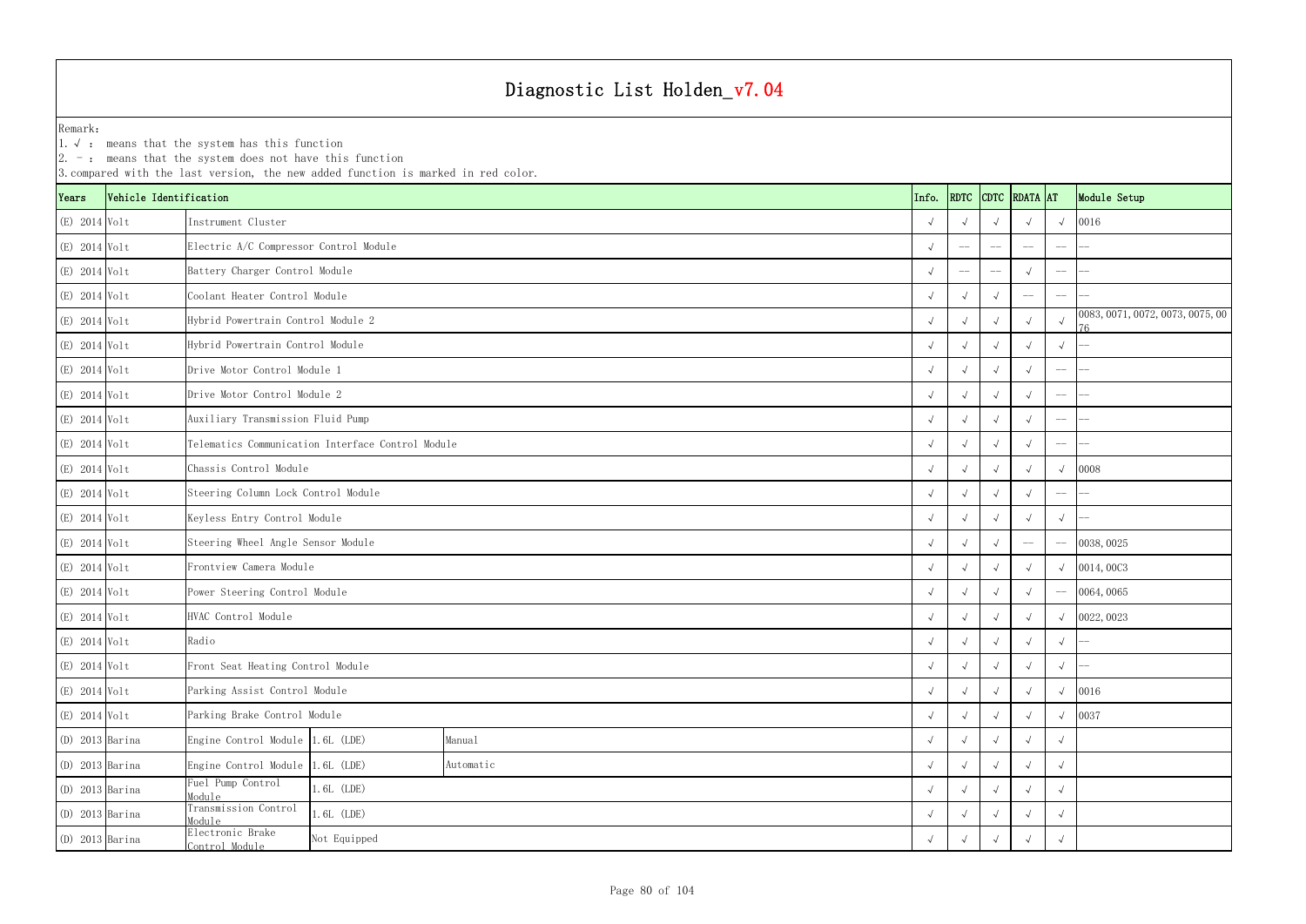|                   |                        | $ 2. -$ : means that the system does not have this function<br>3. compared with the last version, the new added function is marked in red color. |           |  |            |            |            |                                                |                                    |                                         |
|-------------------|------------------------|--------------------------------------------------------------------------------------------------------------------------------------------------|-----------|--|------------|------------|------------|------------------------------------------------|------------------------------------|-----------------------------------------|
| Years             | Vehicle Identification |                                                                                                                                                  |           |  | Info.      |            |            | RDTC CDTC RDATA AT                             |                                    | Module Setup                            |
| (E) 2014 Volt     |                        | Instrument Cluster                                                                                                                               |           |  |            |            |            |                                                | $\sqrt{ }$                         | 0016                                    |
| (E) 2014 Volt     |                        | Electric A/C Compressor Control Module                                                                                                           |           |  |            | $-\!-\!$   |            |                                                | $-\!-\!$                           |                                         |
| (E) 2014 Volt     |                        | Battery Charger Control Module                                                                                                                   |           |  |            |            |            |                                                | $-\!-\!$                           |                                         |
| (E) 2014 Volt     |                        | Coolant Heater Control Module                                                                                                                    |           |  |            |            |            |                                                | $-\!$ $\!-$                        |                                         |
| (E) 2014 Volt     |                        | Hybrid Powertrain Control Module 2                                                                                                               |           |  |            | $\sqrt{ }$ |            |                                                |                                    | 0083, 0071, 0072, 0073, 0075, 00<br>76. |
| (E) 2014 Volt     |                        | Hybrid Powertrain Control Module                                                                                                                 |           |  |            |            |            |                                                | $\sqrt{ }$                         |                                         |
| (E) 2014 Volt     |                        | Drive Motor Control Module 1                                                                                                                     |           |  |            |            |            |                                                | $-\!-\!$                           |                                         |
| (E) 2014 Volt     |                        | Drive Motor Control Module 2                                                                                                                     |           |  |            |            |            |                                                | $-\!$ $\!-$                        |                                         |
| (E) 2014 Volt     |                        | Auxiliary Transmission Fluid Pump                                                                                                                |           |  |            | $\sqrt{ }$ | $\sqrt{ }$ |                                                | $-\!-\!$                           |                                         |
| (E) 2014 Volt     |                        | Telematics Communication Interface Control Module                                                                                                |           |  |            |            |            |                                                | $\hspace{0.05cm}--\hspace{0.05cm}$ |                                         |
| (E) 2014 Volt     |                        | Chassis Control Module                                                                                                                           |           |  |            |            |            |                                                |                                    | 0008                                    |
| (E) 2014 Volt     |                        | Steering Column Lock Control Module                                                                                                              |           |  |            |            |            |                                                | $-\!$ $\!-$                        |                                         |
| (E) 2014 Volt     |                        | Keyless Entry Control Module                                                                                                                     |           |  |            |            |            |                                                | $\sqrt{ }$                         |                                         |
| $(E)$ 2014 Volt   |                        | Steering Wheel Angle Sensor Module                                                                                                               |           |  |            |            |            | $\hspace{0.1mm}-\hspace{0.1mm}-\hspace{0.1mm}$ | $-\!$ –                            | 0038, 0025                              |
| (E) 2014 Volt     |                        | Frontview Camera Module                                                                                                                          |           |  |            |            |            |                                                | $\sqrt{ }$                         | 0014,0003                               |
| (E) 2014 Volt     |                        | Power Steering Control Module                                                                                                                    |           |  |            |            |            |                                                | $-\!-\!$                           | 0064,0065                               |
| (E) 2014 Volt     |                        | HVAC Control Module                                                                                                                              |           |  |            |            |            |                                                | $\sqrt{ }$                         | 0022, 0023                              |
| (E) 2014 Volt     |                        | Radio                                                                                                                                            |           |  | $\sqrt{ }$ | $\sqrt{ }$ | $\sqrt{ }$ | $\sqrt{ }$                                     | $\sqrt{ }$                         |                                         |
| (E) 2014 Volt     |                        | Front Seat Heating Control Module                                                                                                                |           |  |            |            |            |                                                | $\sqrt{ }$                         |                                         |
| $(E)$ 2014 Volt   |                        | Parking Assist Control Module                                                                                                                    |           |  |            |            |            |                                                | $\sqrt{ }$                         | 0016                                    |
| $(E)$ 2014 Volt   |                        | Parking Brake Control Module                                                                                                                     |           |  | $\sqrt{ }$ | $\sqrt{ }$ | $\sqrt{ }$ |                                                | $\sqrt{ }$                         | 0037                                    |
| $(D)$ 2013 Barina |                        | Engine Control Module 1.6L (LDE)                                                                                                                 | Manual    |  |            | $\sqrt{ }$ | $\sqrt{ }$ |                                                | $\sqrt{ }$                         |                                         |
| $(D)$ 2013 Barina |                        | Engine Control Module 1.6L (LDE)                                                                                                                 | Automatic |  |            |            |            |                                                | $\sqrt{ }$                         |                                         |
| $(D)$ 2013 Barina |                        | Fuel Pump Control<br>1.6L (LDE)<br>Module                                                                                                        |           |  |            |            |            |                                                | $\sqrt{ }$                         |                                         |
| $(D)$ 2013 Barina |                        | Transmission Control<br>1.6L (LDE)<br>Module                                                                                                     |           |  |            |            |            |                                                | $\sqrt{ }$                         |                                         |
| $(D)$ 2013 Barina |                        | Electronic Brake<br>Not Equipped<br>Control Module                                                                                               |           |  |            |            | $\sim$     |                                                | $\sqrt{ }$                         |                                         |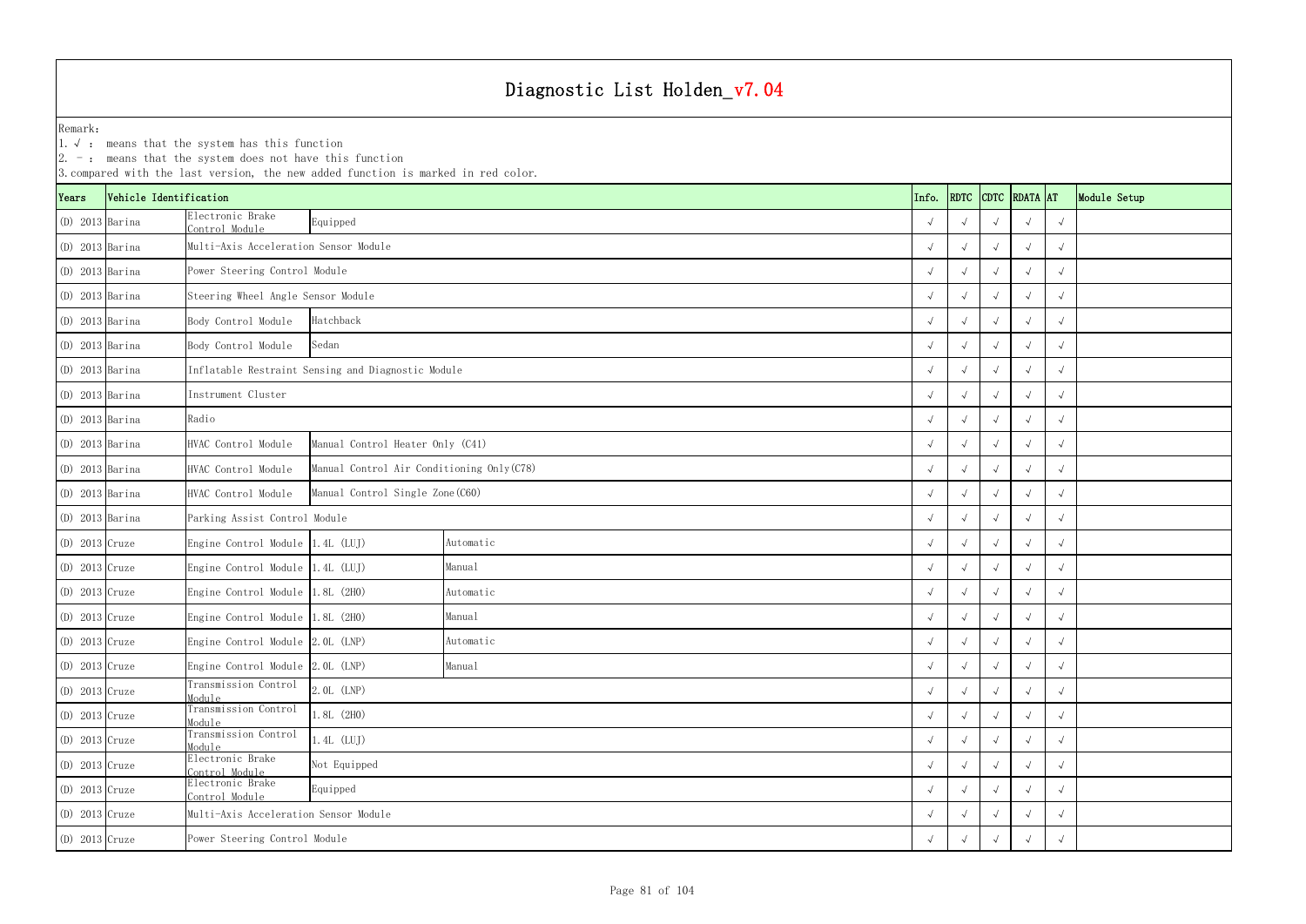1.√ : means that the system has this function

|                   |                        | $ 2. -$ : means that the system does not have this function | 3. compared with the last version, the new added function is marked in red color. |           |  |       |            |            |                    |            |              |
|-------------------|------------------------|-------------------------------------------------------------|-----------------------------------------------------------------------------------|-----------|--|-------|------------|------------|--------------------|------------|--------------|
| Years             | Vehicle Identification |                                                             |                                                                                   |           |  | Info. |            |            | RDTC CDTC RDATA AT |            | Module Setup |
| $(D)$ 2013 Barina |                        | Electronic Brake<br>Control Module                          | Equipped                                                                          |           |  |       |            |            |                    | $\sqrt{ }$ |              |
| $(D)$ 2013 Barina |                        | Multi-Axis Acceleration Sensor Module                       |                                                                                   |           |  |       |            |            |                    | $\sqrt{ }$ |              |
| $(D)$ 2013 Barina |                        | Power Steering Control Module                               |                                                                                   |           |  |       |            |            | $\sqrt{ }$         | $\sqrt{ }$ |              |
| $(D)$ 2013 Barina |                        | Steering Wheel Angle Sensor Module                          |                                                                                   |           |  |       |            |            |                    | $\sqrt{ }$ |              |
| $(D)$ 2013 Barina |                        | Body Control Module                                         | Hatchback                                                                         |           |  |       |            |            |                    | $\sqrt{ }$ |              |
| $(D)$ 2013 Barina |                        | Body Control Module                                         | Sedan                                                                             |           |  |       |            |            |                    | $\sqrt{ }$ |              |
| $(D)$ 2013 Barina |                        |                                                             | Inflatable Restraint Sensing and Diagnostic Module                                |           |  |       | $\sqrt{ }$ |            | $\sqrt{ }$         | $\sqrt{ }$ |              |
| $(D)$ 2013 Barina |                        | Instrument Cluster                                          |                                                                                   |           |  |       | $\sqrt{ }$ |            |                    | $\sqrt{ }$ |              |
| $(D)$ 2013 Barina |                        | Radio                                                       |                                                                                   |           |  |       |            |            |                    | $\sqrt{ }$ |              |
| $(D)$ 2013 Barina |                        | HVAC Control Module                                         | Manual Control Heater Only (C41)                                                  |           |  |       | $\sqrt{ }$ |            |                    | $\sqrt{ }$ |              |
| $(D)$ 2013 Barina |                        | HVAC Control Module                                         | Manual Control Air Conditioning Only (C78)                                        |           |  |       |            |            | $\sqrt{ }$         | $\sqrt{ }$ |              |
| $(D)$ 2013 Barina |                        | HVAC Control Module                                         | Manual Control Single Zone (C60)                                                  |           |  |       |            |            |                    | $\sqrt{ }$ |              |
| $(D)$ 2013 Barina |                        |                                                             | Parking Assist Control Module                                                     |           |  |       |            |            |                    | $\sqrt{ }$ |              |
| $(D)$ 2013 Cruze  |                        | Engine Control Module 1.4L (LUJ)                            |                                                                                   | Automatic |  |       |            |            |                    | $\sqrt{ }$ |              |
| $(D)$ 2013 Cruze  |                        | Engine Control Module 1.4L (LUJ)                            |                                                                                   | Manual    |  |       | $\sqrt{ }$ |            | $\sqrt{ }$         | $\sqrt{ }$ |              |
| $(D)$ 2013 Cruze  |                        | Engine Control Module 1.8L (2H0)                            |                                                                                   | Automatic |  |       |            |            |                    | $\sqrt{ }$ |              |
| $(D)$ 2013 Cruze  |                        | Engine Control Module 1.8L (2H0)                            |                                                                                   | Manual    |  |       |            |            |                    | $\sqrt{ }$ |              |
| $(D)$ 2013 Cruze  |                        | Engine Control Module 2.0L (LNP)                            |                                                                                   | Automatic |  |       | $\sqrt{ }$ | $\sqrt{ }$ | $\sqrt{ }$         | $\sqrt{ }$ |              |
| (D) 2013 Cruze    |                        | Engine Control Module 2.0L (LNP)                            |                                                                                   | Manual    |  |       | $\sqrt{ }$ | $\sqrt{ }$ | $\sqrt{ }$         | $\sqrt{ }$ |              |
| $(D)$ 2013 Cruze  |                        | Transmission Control<br>Module                              | 2.0L (LNP)                                                                        |           |  |       | $\sqrt{ }$ | $\sqrt{ }$ | $\sqrt{ }$         | $\sqrt{ }$ |              |
| $(D)$ 2013 Cruze  |                        | Transmission Control<br>Module                              | $1.8L$ (2HO)                                                                      |           |  |       | $\sqrt{ }$ | $\sqrt{ }$ | $\sqrt{ }$         | $\sqrt{ }$ |              |
| $(D)$ 2013 Cruze  |                        | Transmission Control<br>Module                              | $1.4L$ (LUJ)                                                                      |           |  |       | $\sqrt{ }$ | $\sqrt{ }$ | $\sqrt{ }$         | $\sqrt{ }$ |              |
| $(D)$ 2013 Cruze  |                        | Electronic Brake<br>Control Module                          | Not Equipped                                                                      |           |  |       | $\sqrt{ }$ | $\sqrt{ }$ | $\sqrt{ }$         | $\sqrt{ }$ |              |
| $(D)$ 2013 Cruze  |                        | Electronic Brake<br>Control Module                          | Equipped                                                                          |           |  |       | $\sqrt{ }$ | $\sqrt{ }$ | $\rightsquigarrow$ | $\sqrt{ }$ |              |
| $(D)$ 2013 Cruze  |                        | Multi-Axis Acceleration Sensor Module                       |                                                                                   |           |  |       |            |            |                    | $\sqrt{ }$ |              |
| $(D)$ 2013 Cruze  |                        | Power Steering Control Module                               |                                                                                   |           |  |       |            |            |                    | $\sqrt{ }$ |              |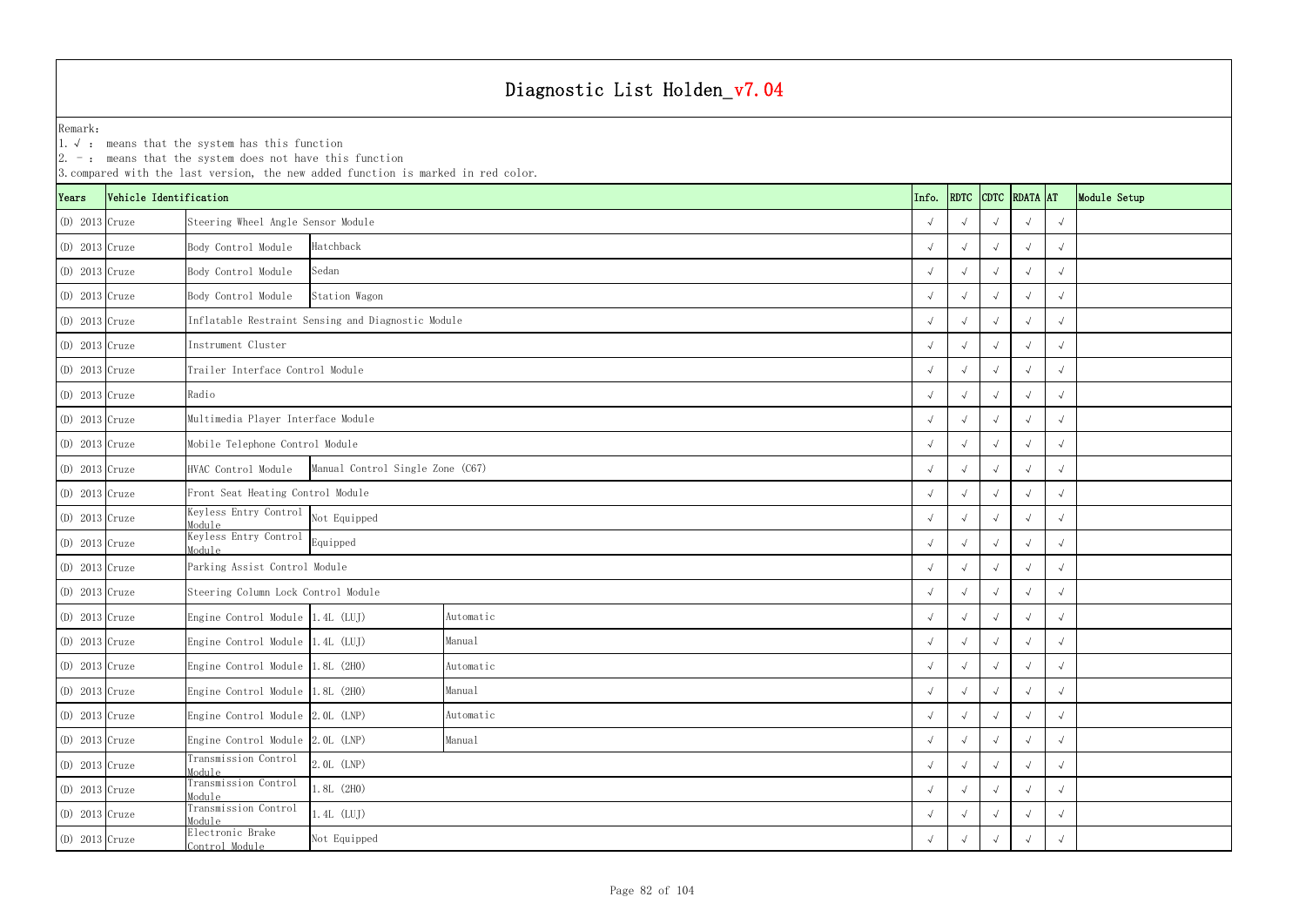1.√ : means that the system has this function

|                  |                        | $ 2. -$ : means that the system does not have this function | 3. compared with the last version, the new added function is marked in red color. |           |  |       |            |            |                    |            |              |
|------------------|------------------------|-------------------------------------------------------------|-----------------------------------------------------------------------------------|-----------|--|-------|------------|------------|--------------------|------------|--------------|
| Years            | Vehicle Identification |                                                             |                                                                                   |           |  | Info. |            |            | RDTC CDTC RDATA AT |            | Module Setup |
| $(D)$ 2013 Cruze |                        | Steering Wheel Angle Sensor Module                          |                                                                                   |           |  |       |            |            |                    | $\sqrt{ }$ |              |
| $(D)$ 2013 Cruze |                        | Body Control Module                                         | Hatchback                                                                         |           |  |       | $\sqrt{ }$ |            | $\sqrt{ }$         | $\sqrt{ }$ |              |
| $(D)$ 2013 Cruze |                        | Body Control Module                                         | Sedan                                                                             |           |  |       |            |            | $\sqrt{ }$         | $\sqrt{ }$ |              |
| $(D)$ 2013 Cruze |                        | Body Control Module                                         | Station Wagon                                                                     |           |  |       |            |            |                    | $\sqrt{ }$ |              |
| $(D)$ 2013 Cruze |                        |                                                             | Inflatable Restraint Sensing and Diagnostic Module                                |           |  |       |            |            |                    | $\sqrt{ }$ |              |
| $(D)$ 2013 Cruze |                        | Instrument Cluster                                          |                                                                                   |           |  |       |            |            |                    | $\sqrt{ }$ |              |
| $(D)$ 2013 Cruze |                        | Trailer Interface Control Module                            |                                                                                   |           |  |       | $\sqrt{ }$ |            | $\sqrt{ }$         | $\sqrt{ }$ |              |
| $(D)$ 2013 Cruze |                        | Radio                                                       |                                                                                   |           |  |       | $\sqrt{ }$ |            |                    | $\sqrt{ }$ |              |
| $(D)$ 2013 Cruze |                        | Multimedia Player Interface Module                          |                                                                                   |           |  |       | $\sqrt{ }$ |            | $\sim$             | $\sqrt{ }$ |              |
| $(D)$ 2013 Cruze |                        | Mobile Telephone Control Module                             |                                                                                   |           |  |       | $\sqrt{ }$ | $\sqrt{ }$ | $\sqrt{ }$         | $\sqrt{ }$ |              |
| $(D)$ 2013 Cruze |                        | HVAC Control Module                                         | Manual Control Single Zone (C67)                                                  |           |  |       | $\sqrt{ }$ |            | $\sqrt{ }$         | $\sqrt{ }$ |              |
| $(D)$ 2013 Cruze |                        | Front Seat Heating Control Module                           |                                                                                   |           |  |       |            |            | $\sim$             | $\sqrt{ }$ |              |
| $(D)$ 2013 Cruze |                        | Keyless Entry Control<br>Module                             | Not Equipped                                                                      |           |  |       |            |            | $\sim$             | $\sqrt{ }$ |              |
| $(D)$ 2013 Cruze |                        | Keyless Entry Control<br>Module                             | Equipped                                                                          |           |  |       |            |            |                    | $\sqrt{ }$ |              |
| $(D)$ 2013 Cruze |                        | Parking Assist Control Module                               |                                                                                   |           |  |       | $\sqrt{ }$ |            | $\sqrt{ }$         | $\sqrt{ }$ |              |
| $(D)$ 2013 Cruze |                        | Steering Column Lock Control Module                         |                                                                                   |           |  |       |            |            |                    | $\sqrt{ }$ |              |
| $(D)$ 2013 Cruze |                        | Engine Control Module 1.4L (LUJ)                            |                                                                                   | Automatic |  |       |            |            |                    | $\sqrt{ }$ |              |
| $(D)$ 2013 Cruze |                        | Engine Control Module 1.4L (LUJ)                            |                                                                                   | Manual    |  |       | $\sqrt{ }$ | $\sqrt{ }$ | $\sqrt{ }$         | $\sqrt{ }$ |              |
| $(D)$ 2013 Cruze |                        | Engine Control Module 1.8L (2H0)                            |                                                                                   | Automatic |  |       | $\sqrt{ }$ | $\sqrt{ }$ | $\sqrt{ }$         | $\sqrt{ }$ |              |
| $(D)$ 2013 Cruze |                        | Engine Control Module 1.8L (2H0)                            |                                                                                   | Manual    |  |       | $\sqrt{ }$ | $\sqrt{ }$ | $\sqrt{ }$         | $\sqrt{ }$ |              |
| $(D)$ 2013 Cruze |                        | Engine Control Module 2.0L (LNP)                            |                                                                                   | Automatic |  |       | $\sqrt{ }$ | $\sqrt{ }$ | $\sqrt{ }$         | $\sqrt{ }$ |              |
| $(D)$ 2013 Cruze |                        | Engine Control Module 2.0L (LNP)                            |                                                                                   | Manual    |  |       | $\sqrt{ }$ | $\sqrt{ }$ | $\sqrt{ }$         | $\sqrt{ }$ |              |
| $(D)$ 2013 Cruze |                        | Transmission Control<br>Module                              | 2. OL (LNP)                                                                       |           |  |       | $\sqrt{ }$ | $\sqrt{ }$ | $\sqrt{ }$         | $\sqrt{ }$ |              |
| $(D)$ 2013 Cruze |                        | Transmission Control<br>Module                              | $1.8L$ (2H0)                                                                      |           |  |       | $\sqrt{ }$ | $\sqrt{ }$ | $\sqrt{ }$         | $\sqrt{ }$ |              |
| $(D)$ 2013 Cruze |                        | Transmission Control<br>$1.4L$ (LUJ)<br>Module              |                                                                                   |           |  |       |            |            |                    | $\sqrt{ }$ |              |
| $(D)$ 2013 Cruze |                        | Electronic Brake<br>Control Module                          | Not Equipped                                                                      |           |  |       |            |            |                    | $\sqrt{ }$ |              |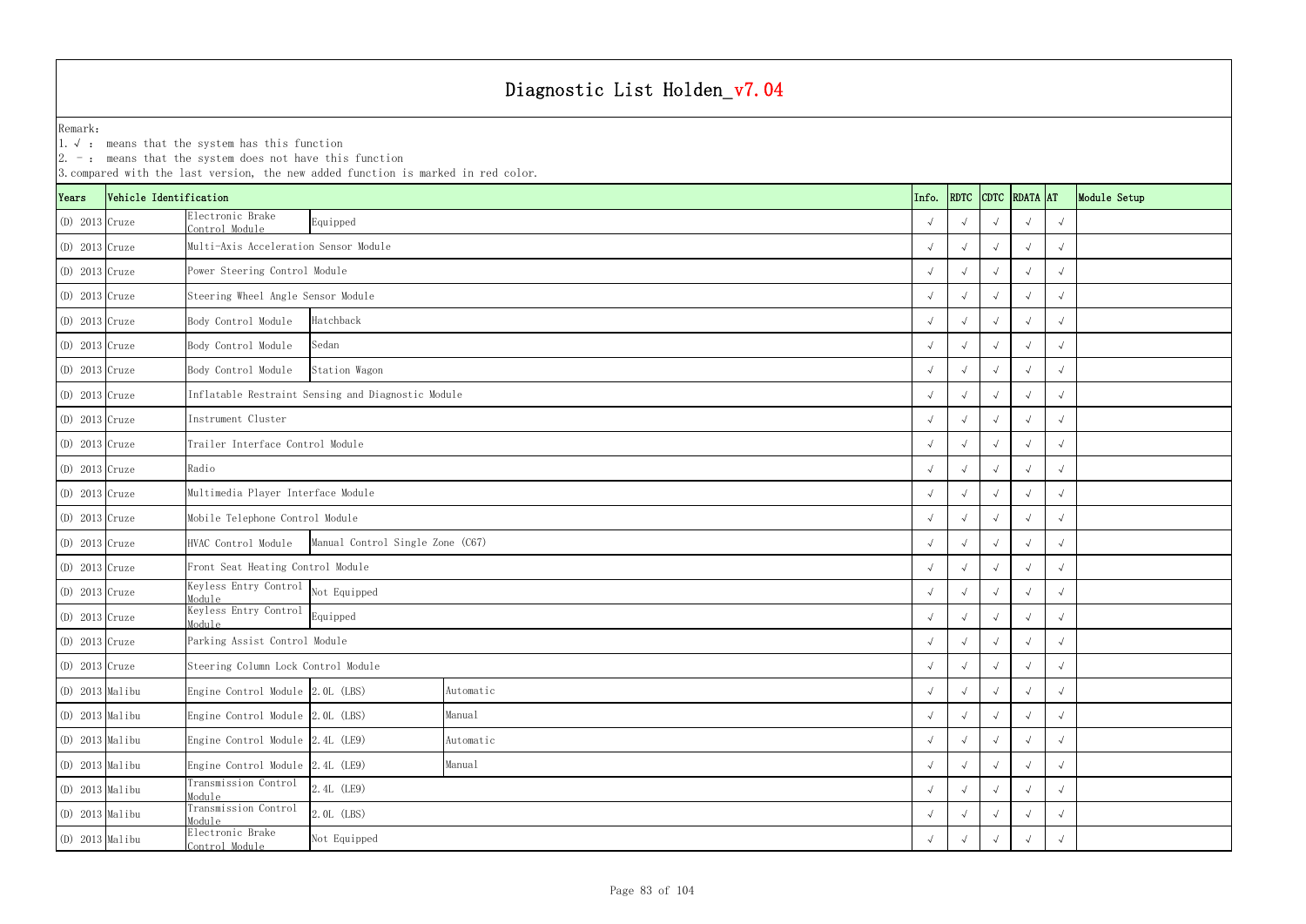1.√ : means that the system has this function

|                   |                        | $ 2. -$ : means that the system does not have this function | 3. compared with the last version, the new added function is marked in red color. |           |  |       |            |            |                    |            |              |
|-------------------|------------------------|-------------------------------------------------------------|-----------------------------------------------------------------------------------|-----------|--|-------|------------|------------|--------------------|------------|--------------|
| Years             | Vehicle Identification |                                                             |                                                                                   |           |  | Info. |            |            | RDTC CDTC RDATA AT |            | Module Setup |
| $(D)$ 2013 Cruze  |                        | Electronic Brake<br>Control Module                          | Equipped                                                                          |           |  |       |            |            |                    | $\sqrt{ }$ |              |
| $(D)$ 2013 Cruze  |                        | Multi-Axis Acceleration Sensor Module                       |                                                                                   |           |  |       | $\sqrt{ }$ |            |                    | $\sqrt{ }$ |              |
| $(D)$ 2013 Cruze  |                        | Power Steering Control Module                               |                                                                                   |           |  |       |            |            | $\sqrt{ }$         | $\sqrt{ }$ |              |
| $(D)$ 2013 Cruze  |                        | Steering Wheel Angle Sensor Module                          |                                                                                   |           |  |       |            |            |                    | $\sqrt{ }$ |              |
| $(D)$ 2013 Cruze  |                        | Body Control Module                                         | Hatchback                                                                         |           |  |       |            |            |                    | $\sqrt{ }$ |              |
| $(D)$ 2013 Cruze  |                        | Body Control Module                                         | Sedan                                                                             |           |  |       |            |            |                    | $\sqrt{ }$ |              |
| $(D)$ 2013 Cruze  |                        | Body Control Module                                         | Station Wagon                                                                     |           |  |       | $\sqrt{ }$ |            | $\sqrt{ }$         | $\sqrt{ }$ |              |
| $(D)$ 2013 Cruze  |                        |                                                             | Inflatable Restraint Sensing and Diagnostic Module                                |           |  |       | $\sqrt{ }$ |            |                    | $\sqrt{ }$ |              |
| $(D)$ 2013 Cruze  |                        | Instrument Cluster                                          |                                                                                   |           |  |       | $\sqrt{ }$ |            | $\sim$             | $\sqrt{ }$ |              |
| $(D)$ 2013 Cruze  |                        | Trailer Interface Control Module                            |                                                                                   |           |  |       | $\sqrt{ }$ | $\sqrt{ }$ | $\sim$             | $\sqrt{ }$ |              |
| $(D)$ 2013 Cruze  |                        | Radio                                                       |                                                                                   |           |  |       | $\sqrt{ }$ |            | $\sqrt{ }$         | $\sqrt{ }$ |              |
| $(D)$ 2013 Cruze  |                        | Multimedia Player Interface Module                          |                                                                                   |           |  |       |            |            |                    | $\sqrt{ }$ |              |
| $(D)$ 2013 Cruze  |                        | Mobile Telephone Control Module                             |                                                                                   |           |  |       |            |            | $\sim$             | $\sqrt{ }$ |              |
| $(D)$ 2013 Cruze  |                        | HVAC Control Module                                         | Manual Control Single Zone (C67)                                                  |           |  |       |            |            |                    | $\sqrt{ }$ |              |
| $(D)$ 2013 Cruze  |                        | Front Seat Heating Control Module                           |                                                                                   |           |  |       | $\sqrt{ }$ |            | $\sqrt{ }$         | $\sqrt{ }$ |              |
| $(D)$ 2013 Cruze  |                        | Keyless Entry Control<br>Module                             | Not Equipped                                                                      |           |  |       |            |            |                    | $\sqrt{ }$ |              |
| $(D)$ 2013 Cruze  |                        | Keyless Entry Control<br>Module                             | Equipped                                                                          |           |  |       |            |            |                    | $\sqrt{ }$ |              |
| $(D)$ 2013 Cruze  |                        | Parking Assist Control Module                               |                                                                                   |           |  |       | $\sqrt{ }$ | $\sqrt{ }$ | $\sqrt{ }$         | $\sqrt{ }$ |              |
| $(D)$ 2013 Cruze  |                        | Steering Column Lock Control Module                         |                                                                                   |           |  |       | $\sqrt{ }$ | $\sqrt{ }$ | $\sqrt{ }$         | $\sqrt{ }$ |              |
| $(D)$ 2013 Malibu |                        | Engine Control Module 2.0L (LBS)                            |                                                                                   | Automatic |  |       | $\sqrt{ }$ | $\sqrt{ }$ | $\sqrt{ }$         | $\sqrt{ }$ |              |
| (D) 2013 Malibu   |                        | Engine Control Module 2.0L (LBS)                            |                                                                                   | Manual    |  |       | $\sqrt{ }$ | $\sqrt{ }$ | $\sqrt{ }$         | $\sqrt{ }$ |              |
| $(D)$ 2013 Malibu |                        | Engine Control Module 2.4L (LE9)                            |                                                                                   | Automatic |  |       | $\sqrt{ }$ | $\sqrt{ }$ | $\sqrt{ }$         | $\sqrt{ }$ |              |
| $(D)$ 2013 Malibu |                        | Engine Control Module 2.4L (LE9)                            |                                                                                   | Manual    |  |       | $\sqrt{ }$ | $\sqrt{ }$ | $\sqrt{ }$         | $\sqrt{ }$ |              |
| (D) 2013 Malibu   |                        | Transmission Control<br>Module                              | 2. 4L (LE9)                                                                       |           |  |       | $\sqrt{ }$ | $\sqrt{ }$ | $\rightsquigarrow$ | $\sqrt{ }$ |              |
| (D) 2013 Malibu   |                        | Transmission Control<br>2.0L (LBS)<br>Module                |                                                                                   |           |  |       |            |            |                    | $\sqrt{ }$ |              |
| $(D)$ 2013 Malibu |                        | Electronic Brake<br>Not Equipped<br>Control Module          |                                                                                   |           |  |       |            |            |                    | $\sqrt{ }$ |              |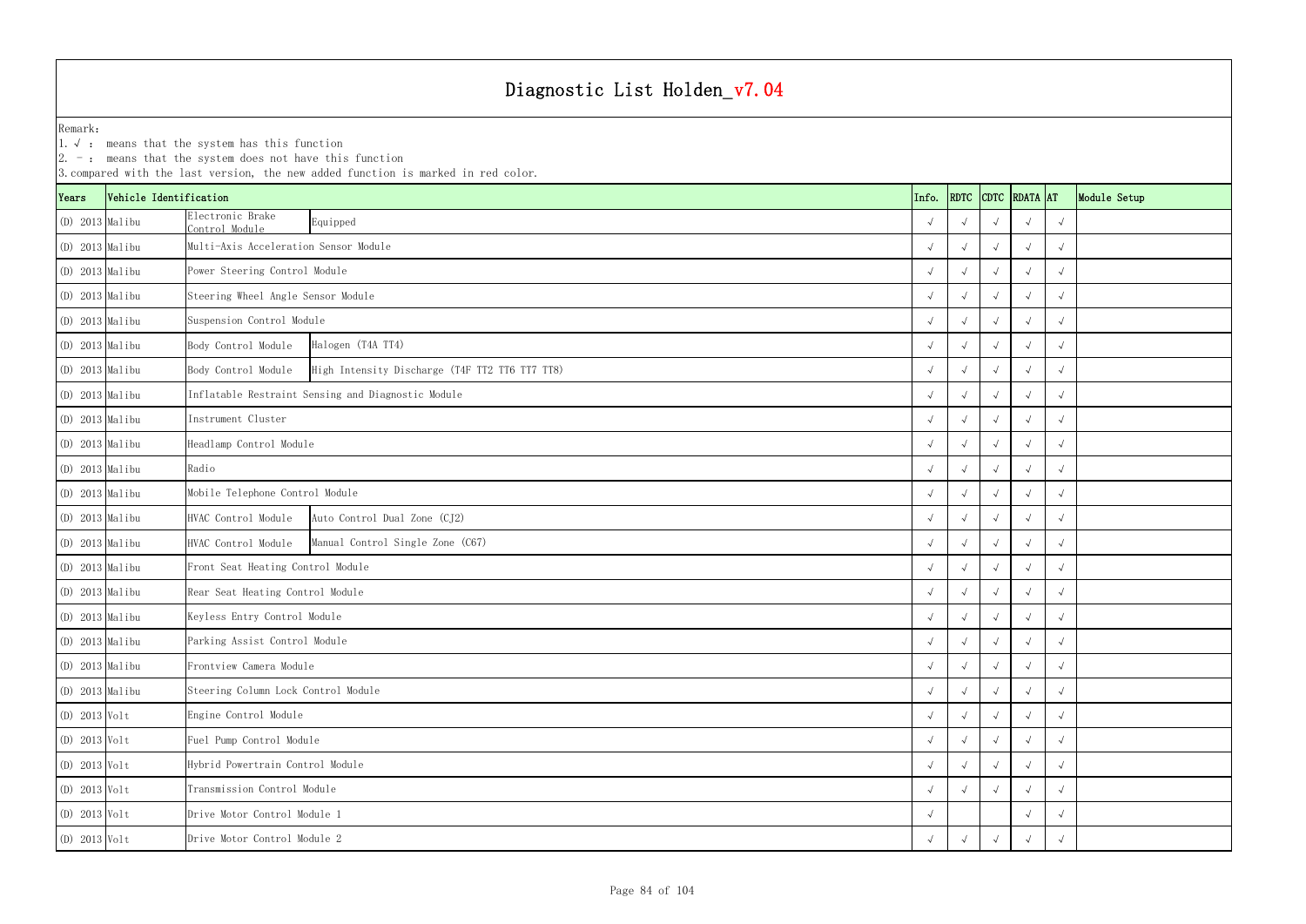1.√ : means that the system has this function

|                   |                        | $ 2. -$ : means that the system does not have this function | 3. compared with the last version, the new added function is marked in red color. |            |            |            |                    |            |              |
|-------------------|------------------------|-------------------------------------------------------------|-----------------------------------------------------------------------------------|------------|------------|------------|--------------------|------------|--------------|
| Years             | Vehicle Identification |                                                             |                                                                                   | Info.      |            |            | RDTC CDTC RDATA AT |            | Module Setup |
| (D) 2013 Malibu   |                        | Electronic Brake<br>Control Module                          | Equipped                                                                          |            |            |            |                    | $\sqrt{ }$ |              |
| $(D)$ 2013 Malibu |                        | Multi-Axis Acceleration Sensor Module                       |                                                                                   |            |            |            |                    | $\sqrt{ }$ |              |
| $(D)$ 2013 Malibu |                        | Power Steering Control Module                               |                                                                                   |            |            |            | $\sqrt{ }$         | $\sqrt{ }$ |              |
| (D) 2013 Malibu   |                        | Steering Wheel Angle Sensor Module                          |                                                                                   |            |            |            |                    | $\sqrt{ }$ |              |
| (D) 2013 Malibu   |                        | Suspension Control Module                                   |                                                                                   |            |            |            |                    | $\sqrt{ }$ |              |
| $(D)$ 2013 Malibu |                        | Body Control Module                                         | Halogen (T4A TT4)                                                                 |            |            |            |                    | $\sqrt{ }$ |              |
| $(D)$ 2013 Malibu |                        | Body Control Module                                         | High Intensity Discharge (T4F TT2 TT6 TT7 TT8)                                    |            | $\sqrt{ }$ |            |                    | $\sqrt{ }$ |              |
| (D) 2013 Malibu   |                        |                                                             | Inflatable Restraint Sensing and Diagnostic Module                                |            |            |            |                    | $\sqrt{ }$ |              |
| (D) 2013 Malibu   |                        | Instrument Cluster                                          |                                                                                   |            |            |            |                    | $\sqrt{ }$ |              |
| (D) 2013 Malibu   |                        | Headlamp Control Module                                     |                                                                                   |            | $\sqrt{ }$ |            |                    | $\sqrt{ }$ |              |
| (D) 2013 Malibu   |                        | Radio                                                       |                                                                                   |            | $\sqrt{ }$ |            | $\sqrt{ }$         | $\sqrt{ }$ |              |
| $(D)$ 2013 Malibu |                        | Mobile Telephone Control Module                             |                                                                                   |            |            |            |                    | $\sqrt{ }$ |              |
| (D) 2013 Malibu   |                        | HVAC Control Module                                         | Auto Control Dual Zone (CJ2)                                                      |            |            |            |                    | $\sqrt{ }$ |              |
| (D) 2013 Malibu   |                        | HVAC Control Module                                         | Manual Control Single Zone (C67)                                                  |            |            |            |                    | $\sqrt{ }$ |              |
| (D) 2013 Malibu   |                        | Front Seat Heating Control Module                           |                                                                                   |            | $\sqrt{ }$ |            |                    | $\sqrt{ }$ |              |
| $(D)$ 2013 Malibu |                        | Rear Seat Heating Control Module                            |                                                                                   |            |            |            |                    | $\sqrt{ }$ |              |
| (D) 2013 Malibu   |                        | Keyless Entry Control Module                                |                                                                                   |            |            |            |                    | $\sqrt{ }$ |              |
| (D) 2013 Malibu   |                        | Parking Assist Control Module                               |                                                                                   | $\sqrt{ }$ | $\sqrt{ }$ | $\sqrt{ }$ | $\sqrt{ }$         | $\sqrt{ }$ |              |
| (D) 2013 Malibu   |                        | Frontview Camera Module                                     |                                                                                   |            | $\sqrt{ }$ |            |                    | $\sqrt{ }$ |              |
| (D) 2013 Malibu   |                        | Steering Column Lock Control Module                         |                                                                                   |            | $\sqrt{ }$ |            |                    | $\sqrt{ }$ |              |
| $(D)$ 2013 Volt   |                        | Engine Control Module                                       |                                                                                   |            | $\sqrt{ }$ |            |                    | $\sqrt{ }$ |              |
| $(D)$ 2013 Volt   |                        | Fuel Pump Control Module                                    |                                                                                   |            | $\sqrt{ }$ |            | $\sqrt{ }$         | $\sqrt{ }$ |              |
| $(D)$ 2013 Volt   |                        | Hybrid Powertrain Control Module                            |                                                                                   |            | $\sqrt{ }$ |            | $\sqrt{ }$         | $\sqrt{ }$ |              |
| $(D)$ 2013 Volt   |                        | Transmission Control Module                                 |                                                                                   |            |            |            |                    | $\sqrt{ }$ |              |
| $(D)$ 2013 Volt   |                        | Drive Motor Control Module 1                                |                                                                                   |            |            |            |                    | $\sqrt{ }$ |              |
| $(D)$ 2013 Volt   |                        | Drive Motor Control Module 2                                |                                                                                   |            |            |            |                    | $\sqrt{ }$ |              |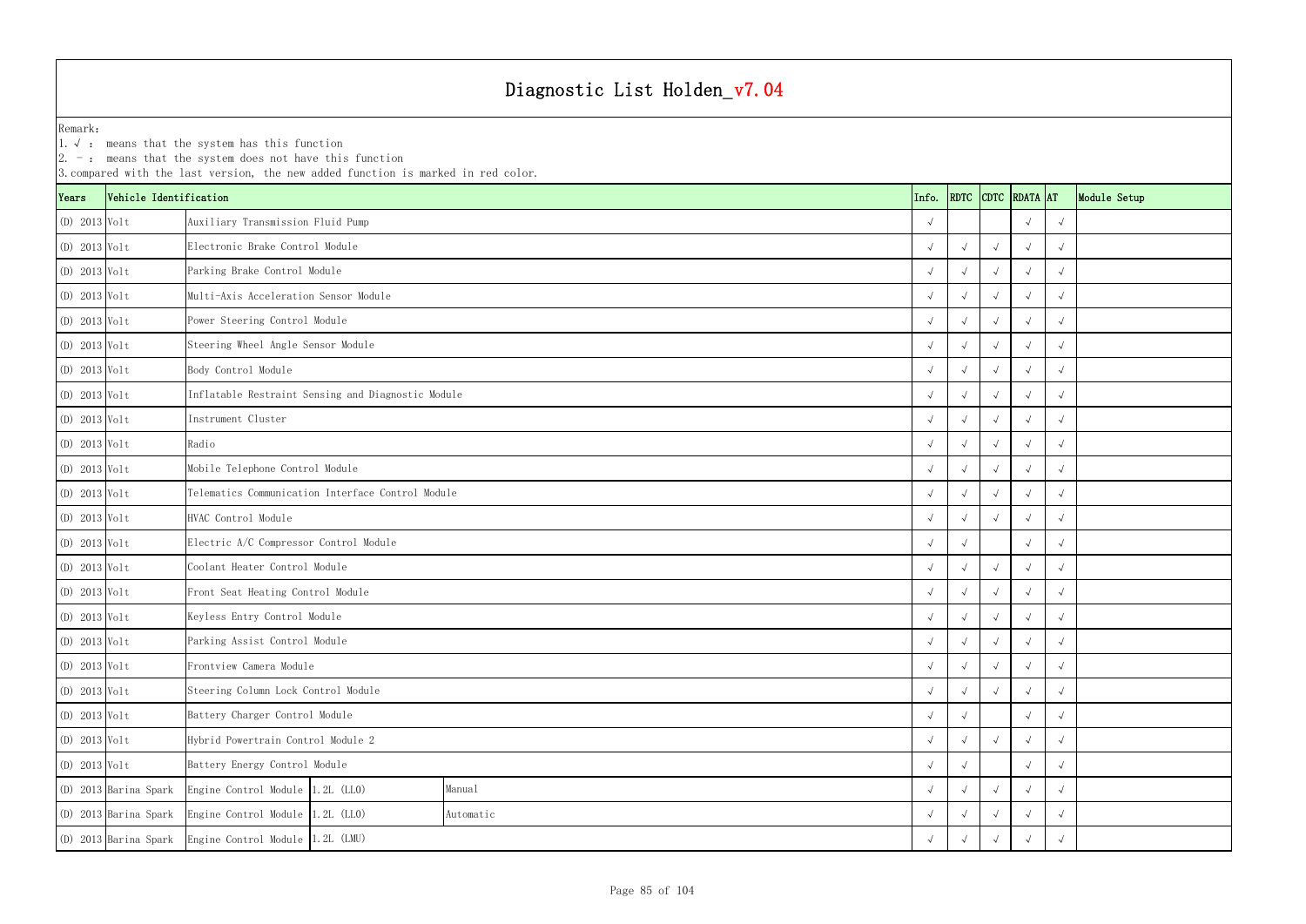1.√ : means that the system has this function

|                 | $ 2. -$ : means that the system does not have this function<br>3. compared with the last version, the new added function is marked in red color.<br>CDTC RDATA AT |                                                    |            |            |            |            |            |            |              |  |  |  |  |  |
|-----------------|-------------------------------------------------------------------------------------------------------------------------------------------------------------------|----------------------------------------------------|------------|------------|------------|------------|------------|------------|--------------|--|--|--|--|--|
| Years           | Vehicle Identification                                                                                                                                            |                                                    |            | Info.      | RDTC       |            |            |            | Module Setup |  |  |  |  |  |
| (D) 2013 Volt   |                                                                                                                                                                   | Auxiliary Transmission Fluid Pump                  |            |            |            |            | $\sqrt{ }$ |            |              |  |  |  |  |  |
| $(D)$ 2013 Volt |                                                                                                                                                                   | Electronic Brake Control Module                    |            |            | $\sqrt{ }$ | $\sqrt{ }$ |            |            |              |  |  |  |  |  |
| $(D)$ 2013 Volt |                                                                                                                                                                   | Parking Brake Control Module                       |            |            |            |            |            |            |              |  |  |  |  |  |
| $(D)$ 2013 Volt |                                                                                                                                                                   | Multi-Axis Acceleration Sensor Module              |            |            |            |            |            |            |              |  |  |  |  |  |
| $(D)$ 2013 Volt |                                                                                                                                                                   | Power Steering Control Module                      |            |            |            |            |            |            |              |  |  |  |  |  |
| $(D)$ 2013 Volt |                                                                                                                                                                   | Steering Wheel Angle Sensor Module                 |            | $\sqrt{ }$ |            |            |            |            |              |  |  |  |  |  |
| (D) 2013 Volt   |                                                                                                                                                                   | Body Control Module                                |            |            | $\sqrt{ }$ |            |            |            |              |  |  |  |  |  |
| (D) 2013 Volt   |                                                                                                                                                                   | Inflatable Restraint Sensing and Diagnostic Module |            |            |            |            |            |            |              |  |  |  |  |  |
| (D) 2013 Volt   |                                                                                                                                                                   | Instrument Cluster                                 |            |            |            |            |            |            |              |  |  |  |  |  |
| $(D)$ 2013 Volt |                                                                                                                                                                   | Radio                                              |            |            | $\sqrt{ }$ |            |            |            |              |  |  |  |  |  |
| $(D)$ 2013 Volt |                                                                                                                                                                   | Mobile Telephone Control Module                    |            |            | $\sqrt{ }$ |            |            |            |              |  |  |  |  |  |
| $(D)$ 2013 Volt |                                                                                                                                                                   | Telematics Communication Interface Control Module  |            |            |            |            |            |            |              |  |  |  |  |  |
| (D) 2013 Volt   |                                                                                                                                                                   | HVAC Control Module                                |            |            |            |            |            |            |              |  |  |  |  |  |
| $(D)$ 2013 Volt |                                                                                                                                                                   | Electric A/C Compressor Control Module             |            |            | $\sqrt{ }$ |            |            |            |              |  |  |  |  |  |
| $(D)$ 2013 Volt |                                                                                                                                                                   | Coolant Heater Control Module                      |            |            | $\sqrt{ }$ |            |            |            |              |  |  |  |  |  |
| $(D)$ 2013 Volt |                                                                                                                                                                   | Front Seat Heating Control Module                  |            |            |            |            |            |            |              |  |  |  |  |  |
| (D) 2013 Volt   |                                                                                                                                                                   | Keyless Entry Control Module                       |            |            |            |            |            |            |              |  |  |  |  |  |
| $(D)$ 2013 Volt |                                                                                                                                                                   | Parking Assist Control Module                      |            | $\sqrt{ }$ | $\sqrt{ }$ | $\sqrt{ }$ | $\sqrt{ }$ | $\sqrt{ }$ |              |  |  |  |  |  |
| $(D)$ 2013 Volt |                                                                                                                                                                   | Frontview Camera Module                            |            |            | $\sqrt{ }$ |            |            |            |              |  |  |  |  |  |
| $(D)$ 2013 Volt |                                                                                                                                                                   | Steering Column Lock Control Module                |            |            | $\sqrt{ }$ |            |            | $\sqrt{ }$ |              |  |  |  |  |  |
| $(D)$ 2013 Volt |                                                                                                                                                                   | Battery Charger Control Module                     | $\sqrt{ }$ | $\sqrt{ }$ |            |            |            |            |              |  |  |  |  |  |
| $(D)$ 2013 Volt |                                                                                                                                                                   | Hybrid Powertrain Control Module 2                 | $\sqrt{ }$ | $\sqrt{ }$ |            | $\sqrt{ }$ | $\sqrt{ }$ |            |              |  |  |  |  |  |
| $(D)$ 2013 Volt |                                                                                                                                                                   | Battery Energy Control Module                      |            |            |            |            |            |            |              |  |  |  |  |  |
|                 | (D) 2013 Barina Spark                                                                                                                                             | Engine Control Module $1.2L$ (LLO)                 | Manual     |            |            |            |            | $\sqrt{ }$ |              |  |  |  |  |  |
|                 | (D) 2013 Barina Spark                                                                                                                                             | Engine Control Module 1.2L (LLO)                   | Automatic  |            |            |            |            |            |              |  |  |  |  |  |
|                 | (D) 2013 Barina Spark                                                                                                                                             | Engine Control Module 1.2L (LMU)                   |            | $\sqrt{ }$ | $\sqrt{ }$ |            |            |            |              |  |  |  |  |  |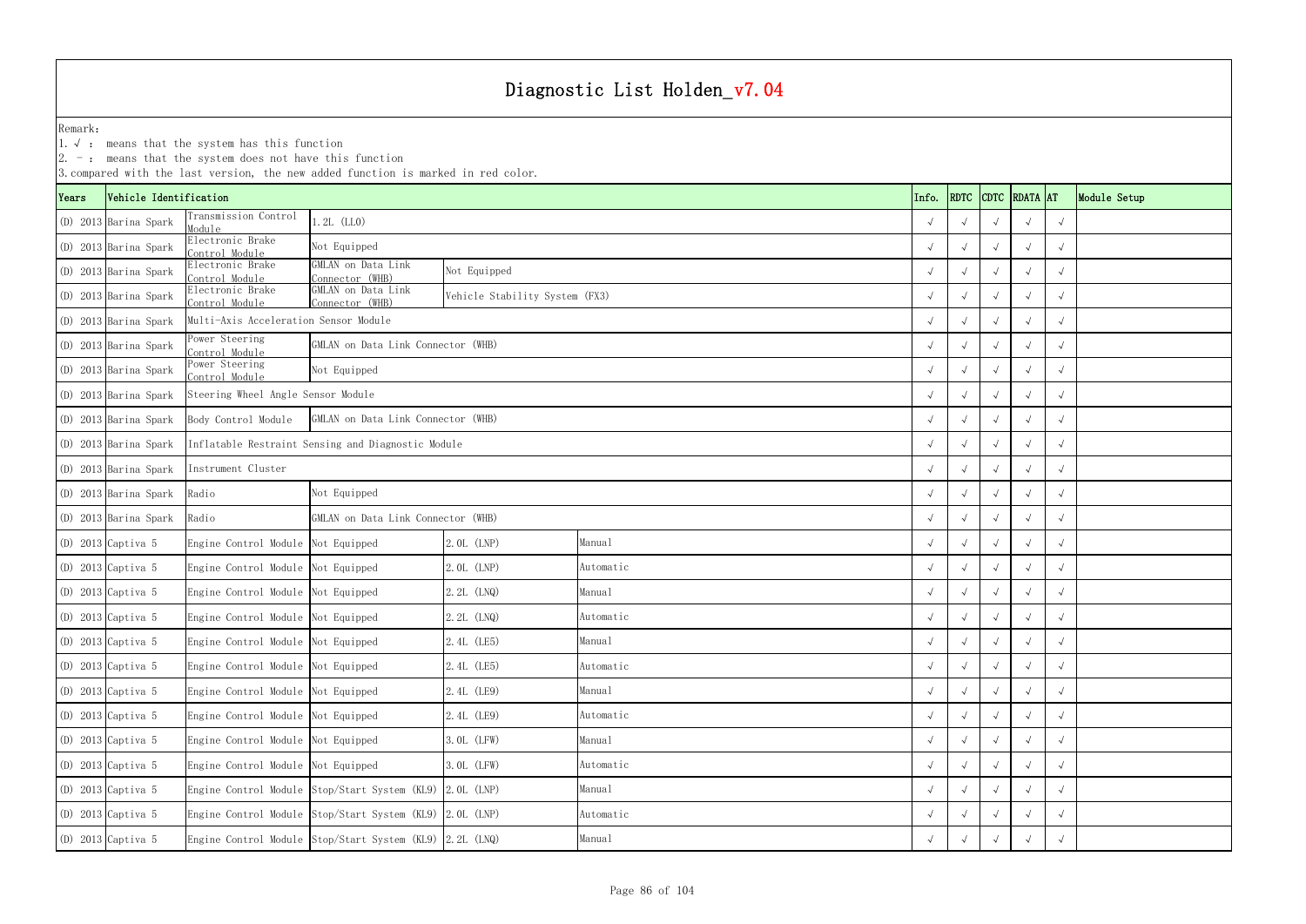YearsRemark: 1.√ : means that the system has this function (D) 2013 Barina Spark Transmission Control Module(D) 2013 Barina Spark Electronic Brake Control Module(D) 2013 Barina Spark Electronic Brake Control Module(D) 2013 Barina Spark Electronic Brake Control Module(D) 2013  $\beta$ arina Spark  $\begin{bmatrix} \text{Power Steering} \ \text{Control Module} \end{bmatrix}$ (D) 2013  $\beta$ arina Spark  $\begin{bmatrix} \text{Power Steering} \ \text{Control Module} \end{bmatrix}$ Instrument Cluster1.2L (LL0)

|       |                        | 2. $-$ : means that the system does not have this function | 3. compared with the last version, the new added function is marked in red color. |                                |           |            |                    |  |              |  |
|-------|------------------------|------------------------------------------------------------|-----------------------------------------------------------------------------------|--------------------------------|-----------|------------|--------------------|--|--------------|--|
| Years | Vehicle Identification |                                                            |                                                                                   |                                | Info.     |            | RDTC CDTC RDATA AT |  | Module Setup |  |
|       | (D) 2013 Barina Spark  | Transmission Control<br>Module                             | $1.2L$ (LLO)                                                                      |                                |           | $\sqrt{ }$ |                    |  | $\sqrt{ }$   |  |
|       | (D) 2013 Barina Spark  | Electronic Brake<br>Control Module                         | Not Equipped                                                                      |                                |           | $\sqrt{ }$ |                    |  | $\sqrt{ }$   |  |
|       | (D) 2013 Barina Spark  | Electronic Brake<br>Control Module                         | GMLAN on Data Link<br>Connector (WHB)                                             | Not Equipped                   |           |            |                    |  | $\sqrt{ }$   |  |
|       | (D) 2013 Barina Spark  | Electronic Brake<br>Control Module                         | GMLAN on Data Link<br>Connector (WHB)                                             | Vehicle Stability System (FX3) |           | $\sqrt{ }$ |                    |  | $\sqrt{ }$   |  |
|       | (D) 2013 Barina Spark  | Multi-Axis Acceleration Sensor Module                      |                                                                                   |                                |           |            |                    |  |              |  |
|       | (D) 2013 Barina Spark  | Power Steering<br>Control Module                           | GMLAN on Data Link Connector (WHB)                                                |                                |           | $\sqrt{ }$ |                    |  |              |  |
|       | (D) 2013 Barina Spark  | Power Steering<br>Control Module                           | Not Equipped                                                                      |                                |           | $\sqrt{ }$ |                    |  |              |  |
|       | (D) 2013 Barina Spark  | Steering Wheel Angle Sensor Module                         |                                                                                   |                                |           | $\sqrt{ }$ |                    |  | $\sqrt{ }$   |  |
|       | (D) 2013 Barina Spark  | Body Control Module                                        | GMLAN on Data Link Connector (WHB)                                                |                                |           | $\sqrt{ }$ |                    |  | $\sqrt{ }$   |  |
|       | (D) 2013 Barina Spark  |                                                            | Inflatable Restraint Sensing and Diagnostic Module                                |                                |           | $\sqrt{ }$ |                    |  | $\sqrt{ }$   |  |
|       | (D) 2013 Barina Spark  | Instrument Cluster                                         |                                                                                   |                                |           |            |                    |  | $\sqrt{ }$   |  |
|       | (D) 2013 Barina Spark  | Radio                                                      | Not Equipped                                                                      |                                |           | $\sqrt{ }$ |                    |  | $\sqrt{ }$   |  |
|       | (D) 2013 Barina Spark  | Radio                                                      | GMLAN on Data Link Connector (WHB)                                                |                                |           |            |                    |  | $\sqrt{ }$   |  |
|       | (D) 2013 Captiva 5     | Engine Control Module Not Equipped                         |                                                                                   | 2.0L (LNP)                     | Manual    | $\sqrt{ }$ |                    |  |              |  |
|       | $(D)$ 2013 Captiva 5   | Engine Control Module Not Equipped                         |                                                                                   | 2.0L (LNP)                     | Automatic |            |                    |  |              |  |
|       | $(D)$ 2013 Captiva 5   | Engine Control Module Not Equipped                         |                                                                                   | 2.2L (LNQ)                     | Manual    | $\sqrt{ }$ |                    |  | $\sqrt{ }$   |  |
|       | (D) 2013 Captiva 5     | Engine Control Module Not Equipped                         |                                                                                   | 2.2L (LNQ)                     | Automatic |            |                    |  | $\sqrt{ }$   |  |
|       | $(D)$ 2013 Captiva 5   | Engine Control Module Not Equipped                         |                                                                                   | 2.4L (LE5)                     | Manual    | $\sqrt{ }$ |                    |  | $\sqrt{ }$   |  |
|       | (D) 2013 Captiva 5     | Engine Control Module Not Equipped                         |                                                                                   | 2.4L (LE5)                     | Automatic | $\sqrt{ }$ |                    |  | $\sqrt{ }$   |  |
|       | (D) 2013 Captiva 5     | Engine Control Module Not Equipped                         |                                                                                   | 2.4L (LE9)                     | Manual    | $\sqrt{ }$ |                    |  | $\sqrt{ }$   |  |
|       | (D) 2013 Captiva 5     | Engine Control Module Not Equipped                         |                                                                                   | 2.4L (LE9)                     | Automatic | $\sqrt{ }$ |                    |  | $\sqrt{ }$   |  |
|       | (D) 2013 Captiva 5     | Engine Control Module Not Equipped                         |                                                                                   | 3.0L (LFW)                     | Manual    | $\sqrt{ }$ |                    |  | $\sqrt{ }$   |  |
|       | $(D)$ 2013 Captiva 5   | Engine Control Module Not Equipped                         |                                                                                   | 3.0L (LFW)                     | Automatic | $\sqrt{ }$ |                    |  | $\sqrt{ }$   |  |
|       | (D) 2013 Captiva 5     |                                                            | Engine Control Module Stop/Start System (KL9) 2.0L (LNP)                          |                                | Manual    | $\sqrt{ }$ |                    |  | $\sqrt{ }$   |  |
|       | (D) 2013 Captiva 5     |                                                            | Engine Control Module Stop/Start System (KL9) 2.0L (LNP)                          |                                | Automatic | $\sqrt{ }$ |                    |  | $\sqrt{ }$   |  |
|       | (D) 2013 Captiva 5     |                                                            | Engine Control Module Stop/Start System (KL9) 2.2L (LNQ)                          |                                | Manual    | $\sqrt{ }$ |                    |  | $\sqrt{ }$   |  |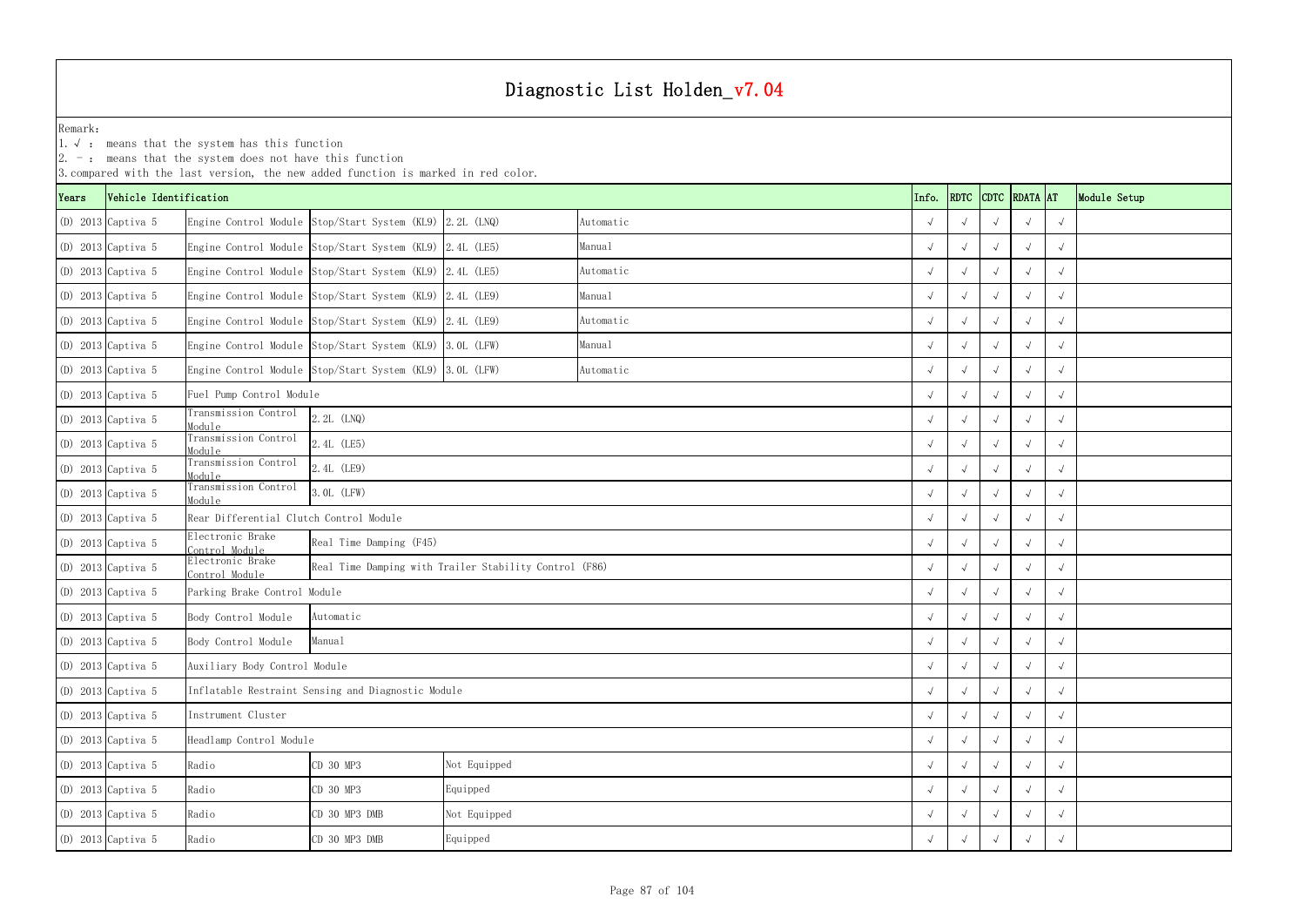1.√ : means that the system has this function

|       |                        | $ 2. -$ : means that the system does not have this function | 3. compared with the last version, the new added function is marked in red color. |              |           |            |            |            |                    |            |              |
|-------|------------------------|-------------------------------------------------------------|-----------------------------------------------------------------------------------|--------------|-----------|------------|------------|------------|--------------------|------------|--------------|
| Years | Vehicle Identification |                                                             |                                                                                   |              |           | Info.      |            |            | RDTC CDTC RDATA AT |            | Module Setup |
|       | $(D)$ 2013 Captiva 5   |                                                             | Engine Control Module Stop/Start System (KL9) 2.2L (LNQ)                          |              | Automatic |            |            |            |                    | $\sqrt{ }$ |              |
|       | $(D)$ 2013 Captiva 5   |                                                             | Engine Control Module Stop/Start System (KL9) 2.4L (LE5)                          |              | Manual    |            |            |            |                    | $\sqrt{ }$ |              |
|       | $(D)$ 2013 Captiva 5   |                                                             | Engine Control Module Stop/Start System (KL9) 2.4L (LE5)                          |              | Automatic |            |            |            | $\sqrt{ }$         | $\sqrt{ }$ |              |
|       | $(D)$ 2013 Captiva 5   |                                                             | Engine Control Module Stop/Start System (KL9) 2.4L (LE9)                          |              | Manual    |            |            |            |                    | $\sqrt{ }$ |              |
|       | $(D)$ 2013 Captiva 5   |                                                             | Engine Control Module Stop/Start System (KL9) 2.4L (LE9)                          |              | Automatic |            |            |            |                    | $\sqrt{ }$ |              |
|       | $(D)$ 2013 Captiva 5   |                                                             | Engine Control Module Stop/Start System (KL9) 3.0L (LFW)                          |              | Manual    |            |            |            |                    | $\sqrt{ }$ |              |
|       | $(D)$ 2013 Captiva 5   |                                                             | Engine Control Module Stop/Start System (KL9) 3.0L (LFW)                          |              | Automatic |            | $\sqrt{ }$ |            | $\sqrt{ }$         | $\sqrt{ }$ |              |
|       | $(D)$ 2013 Captiva 5   | Fuel Pump Control Module                                    |                                                                                   |              |           | $\sqrt{ }$ |            |            | $\sqrt{ }$         |            |              |
|       | $(D)$ 2013 Captiva 5   | Transmission Control<br>Module                              | 2.2L (LNQ)                                                                        |              |           |            |            |            | $\sim$             | $\sqrt{ }$ |              |
|       | $(D)$ 2013 Captiva 5   | Transmission Control<br>Module                              | 2.4L (LE5)                                                                        |              |           |            | $\sqrt{ }$ |            |                    | $\sqrt{ }$ |              |
|       | $(D)$ 2013 Captiva 5   | Transmission Control<br>Module                              | 2.4L (LE9)                                                                        |              |           |            |            |            | $\sqrt{ }$         | $\sqrt{ }$ |              |
|       | $(D)$ 2013 Captiva 5   | Transmission Control<br>Module                              | $0L$ (LFW)                                                                        |              |           |            |            |            |                    | $\sqrt{ }$ |              |
|       | $(D)$ 2013 Captiva 5   | Rear Differential Clutch Control Module                     |                                                                                   |              |           |            |            |            | $\sim$             | $\sqrt{ }$ |              |
|       | $(D)$ 2013 Captiva 5   | Electronic Brake<br>Control Module                          | Real Time Damping (F45)                                                           |              |           |            |            |            |                    | $\sqrt{ }$ |              |
|       | $(D)$ 2013 Captiva 5   | Electronic Brake<br>Control Module                          | Real Time Damping with Trailer Stability Control (F86)                            |              |           |            | $\sqrt{ }$ |            | $\sqrt{ }$         | $\sqrt{ }$ |              |
|       | $(D)$ 2013 Captiva 5   | Parking Brake Control Module                                |                                                                                   |              |           |            | $\sqrt{ }$ |            |                    | $\sqrt{ }$ |              |
|       | $(D)$ 2013 Captiva 5   | Body Control Module                                         | Automatic                                                                         |              |           |            |            |            |                    | $\sqrt{ }$ |              |
|       | (D) 2013 Captiva 5     | Body Control Module                                         | Manual                                                                            |              |           |            | $\sqrt{ }$ | $\sqrt{ }$ | $\sqrt{ }$         | $\sqrt{ }$ |              |
|       | $(D)$ 2013 Captiva 5   | Auxiliary Body Control Module                               |                                                                                   |              |           |            | $\sqrt{ }$ | $\sqrt{ }$ | $\sim$             | $\sqrt{ }$ |              |
|       | $(D)$ 2013 Captiva 5   |                                                             | Inflatable Restraint Sensing and Diagnostic Module                                |              |           |            |            |            |                    | $\sqrt{ }$ |              |
|       | $(D)$ 2013 Captiva 5   | Instrument Cluster                                          |                                                                                   |              |           |            |            |            | $\sim$             | $\sqrt{ }$ |              |
|       | $(D)$ 2013 Captiva 5   | Headlamp Control Module                                     |                                                                                   |              |           |            |            |            | $\rightsquigarrow$ | $\sqrt{ }$ |              |
|       | $(D)$ 2013 Captiva 5   | Radio                                                       | Not Equipped<br>CD 30 MP3                                                         |              |           |            |            |            | $\sqrt{ }$         | $\sqrt{ }$ |              |
|       | $(D)$ 2013 Captiva 5   | Radio                                                       | CD 30 MP3                                                                         | Equipped     |           |            |            |            |                    | $\sqrt{ }$ |              |
|       | $(D)$ 2013 Captiva 5   | Radio                                                       | CD 30 MP3 DMB                                                                     | Not Equipped |           |            |            |            |                    | $\sqrt{ }$ |              |
|       | $(D)$ 2013 Captiva 5   | Radio                                                       | Equipped<br>CD 30 MP3 DMB                                                         |              |           |            |            |            | $\sqrt{ }$         |            |              |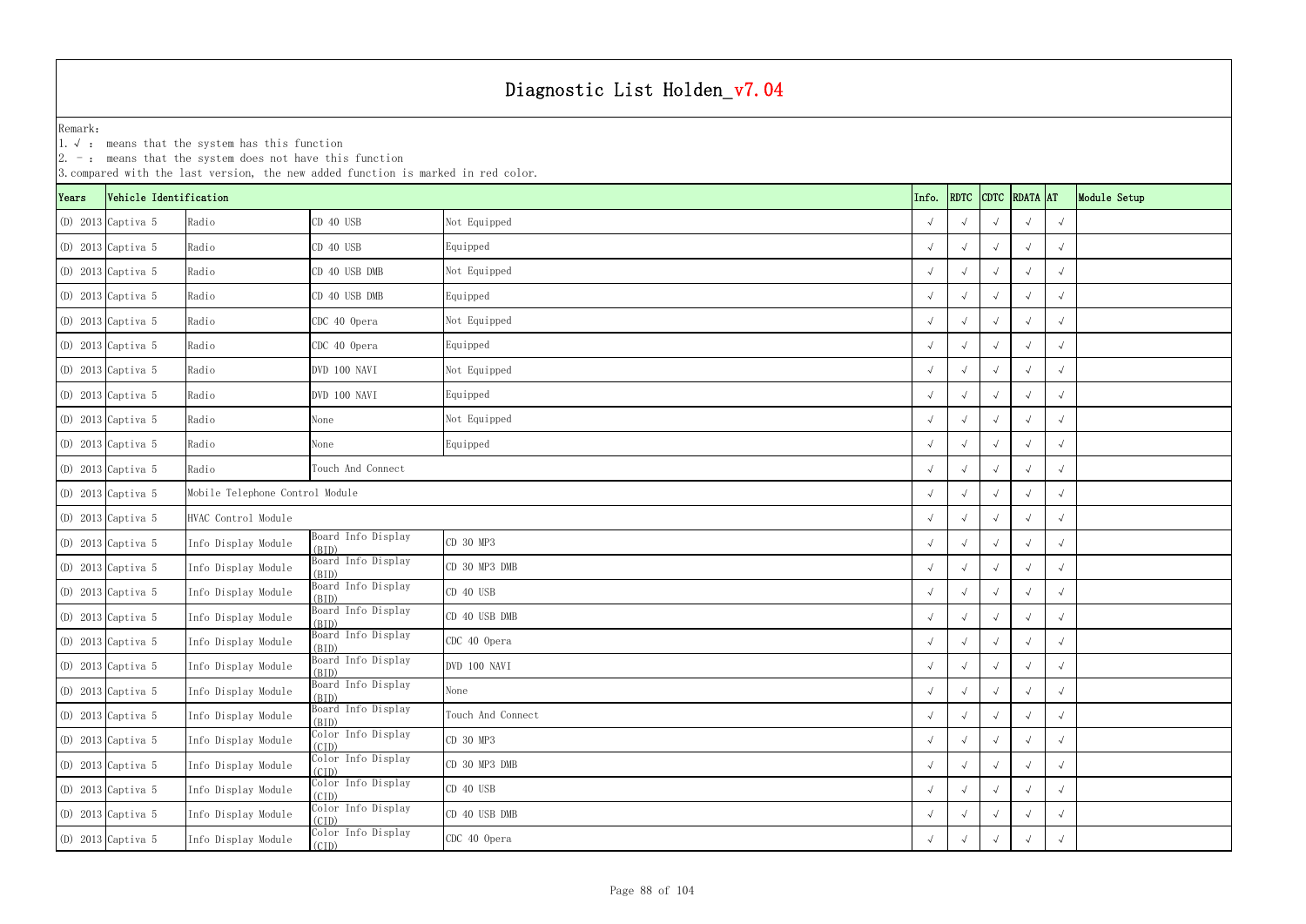1.√ : means that the system has this function

|       |                        | $ 2. -$ : means that the system does not have this function | 3. compared with the last version, the new added function is marked in red color. |                   |  |            |                    |                    |              |  |
|-------|------------------------|-------------------------------------------------------------|-----------------------------------------------------------------------------------|-------------------|--|------------|--------------------|--------------------|--------------|--|
| Years | Vehicle Identification |                                                             |                                                                                   | Info.             |  |            | RDTC CDTC RDATA AT |                    | Module Setup |  |
|       | $(D)$ 2013 Captiva 5   | Radio                                                       | CD 40 USB                                                                         | Not Equipped      |  |            |                    |                    | $\sqrt{ }$   |  |
|       | $(D)$ 2013 Captiva 5   | Radio                                                       | CD 40 USB                                                                         | Equipped          |  |            |                    |                    | $\sqrt{ }$   |  |
|       | $(D)$ 2013 Captiva 5   | Radio                                                       | CD 40 USB DMB                                                                     | Not Equipped      |  |            |                    | $\sqrt{ }$         | $\sqrt{ }$   |  |
|       | $(D)$ 2013 Captiva 5   | Radio                                                       | CD 40 USB DMB                                                                     | Equipped          |  |            |                    |                    | $\sqrt{ }$   |  |
|       | $(D)$ 2013 Captiva 5   | Radio                                                       | CDC 40 Opera                                                                      | Not Equipped      |  |            |                    |                    | $\sqrt{ }$   |  |
|       | $(D)$ 2013 Captiva 5   | Radio                                                       | CDC 40 Opera                                                                      | Equipped          |  |            |                    |                    | $\sqrt{ }$   |  |
|       | $(D)$ 2013 Captiva 5   | Radio                                                       | DVD 100 NAVI                                                                      | Not Equipped      |  | $\sqrt{ }$ |                    | $\sqrt{ }$         | $\sqrt{ }$   |  |
|       | $(D)$ 2013 Captiva 5   | Radio                                                       | DVD 100 NAVI                                                                      | Equipped          |  | $\sqrt{ }$ |                    |                    | $\sqrt{ }$   |  |
|       | $(D)$ 2013 Captiva 5   | Radio                                                       | None                                                                              | Not Equipped      |  |            |                    |                    | $\sqrt{ }$   |  |
|       | $(D)$ 2013 Captiva 5   | Radio                                                       | None                                                                              | Equipped          |  | $\sqrt{ }$ |                    | $\sim$             | $\sqrt{ }$   |  |
|       | $(D)$ 2013 Captiva 5   | Radio                                                       | Touch And Connect                                                                 |                   |  |            |                    | $\sqrt{ }$         | $\sqrt{ }$   |  |
|       | $(D)$ 2013 Captiva 5   | Mobile Telephone Control Module                             |                                                                                   |                   |  |            |                    | $\sim$             | $\sqrt{ }$   |  |
|       | $(D)$ 2013 Captiva 5   | HVAC Control Module                                         |                                                                                   |                   |  |            |                    | $\sim$             | $\sqrt{ }$   |  |
|       | $(D)$ 2013 Captiva 5   | Info Display Module                                         | Board Info Display<br>(BID)                                                       | CD 30 MP3         |  |            |                    |                    | $\sqrt{ }$   |  |
|       | $(D)$ 2013 Captiva 5   | Info Display Module                                         | Board Info Display<br>(BID)                                                       | CD 30 MP3 DMB     |  | $\sqrt{ }$ |                    | $\sqrt{ }$         | $\sqrt{ }$   |  |
|       | $(D)$ 2013 Captiva 5   | Info Display Module                                         | Board Info Display<br>(BID)                                                       | CD 40 USB         |  |            |                    |                    | $\sqrt{ }$   |  |
|       | $(D)$ 2013 Captiva 5   | Info Display Module                                         | Board Info Display<br>(BID)                                                       | CD 40 USB DMB     |  |            |                    |                    | $\sqrt{ }$   |  |
|       | (D) 2013 Captiva 5     | Info Display Module                                         | Board Info Display<br>(BID)                                                       | CDC 40 Opera      |  | $\sqrt{ }$ | $\sqrt{ }$         | $\sqrt{ }$         | $\sqrt{ }$   |  |
|       | $(D)$ 2013 Captiva 5   | Info Display Module                                         | Board Info Display<br>(BID)                                                       | DVD 100 NAVI      |  | $\sqrt{ }$ | $\sqrt{ }$         | $\rightsquigarrow$ | $\sqrt{ }$   |  |
|       | $(D)$ 2013 Captiva 5   | Info Display Module                                         | Board Info Display<br>(BID)                                                       | None              |  | $\sqrt{ }$ |                    |                    | $\sqrt{ }$   |  |
|       | $(D)$ 2013 Captiva 5   | Info Display Module                                         | Board Info Display<br>(BID)                                                       | Touch And Connect |  | $\sqrt{ }$ |                    | $\sim$             | $\sqrt{ }$   |  |
|       | $(D)$ 2013 Captiva 5   | Info Display Module                                         | Color Info Display<br>(CID)                                                       | CD 30 MP3         |  | $\sqrt{ }$ | $\sqrt{ }$         | $\sqrt{ }$         | $\sqrt{ }$   |  |
|       | $(D)$ 2013 Captiva 5   | Info Display Module                                         | Color Info Display<br>(CID)                                                       | CD 30 MP3 DMB     |  | $\sqrt{ }$ | $\sqrt{ }$         | $\sqrt{ }$         | $\sqrt{ }$   |  |
|       | $(D)$ 2013 Captiva 5   | Info Display Module                                         | Color Info Display<br>(CID)                                                       | CD 40 USB         |  | $\sqrt{ }$ |                    |                    | $\sqrt{ }$   |  |
|       | $(D)$ 2013 Captiva 5   | Info Display Module                                         | Color Info Display<br>(CID)                                                       | CD 40 USB DMB     |  | $\sqrt{ }$ |                    |                    | $\sqrt{ }$   |  |
|       | (D) 2013 Captiva 5     | Info Display Module                                         | Color Info Display<br>(CID)                                                       | CDC 40 Opera      |  | $\sqrt{ }$ | $\sqrt{ }$         |                    | $\sqrt{ }$   |  |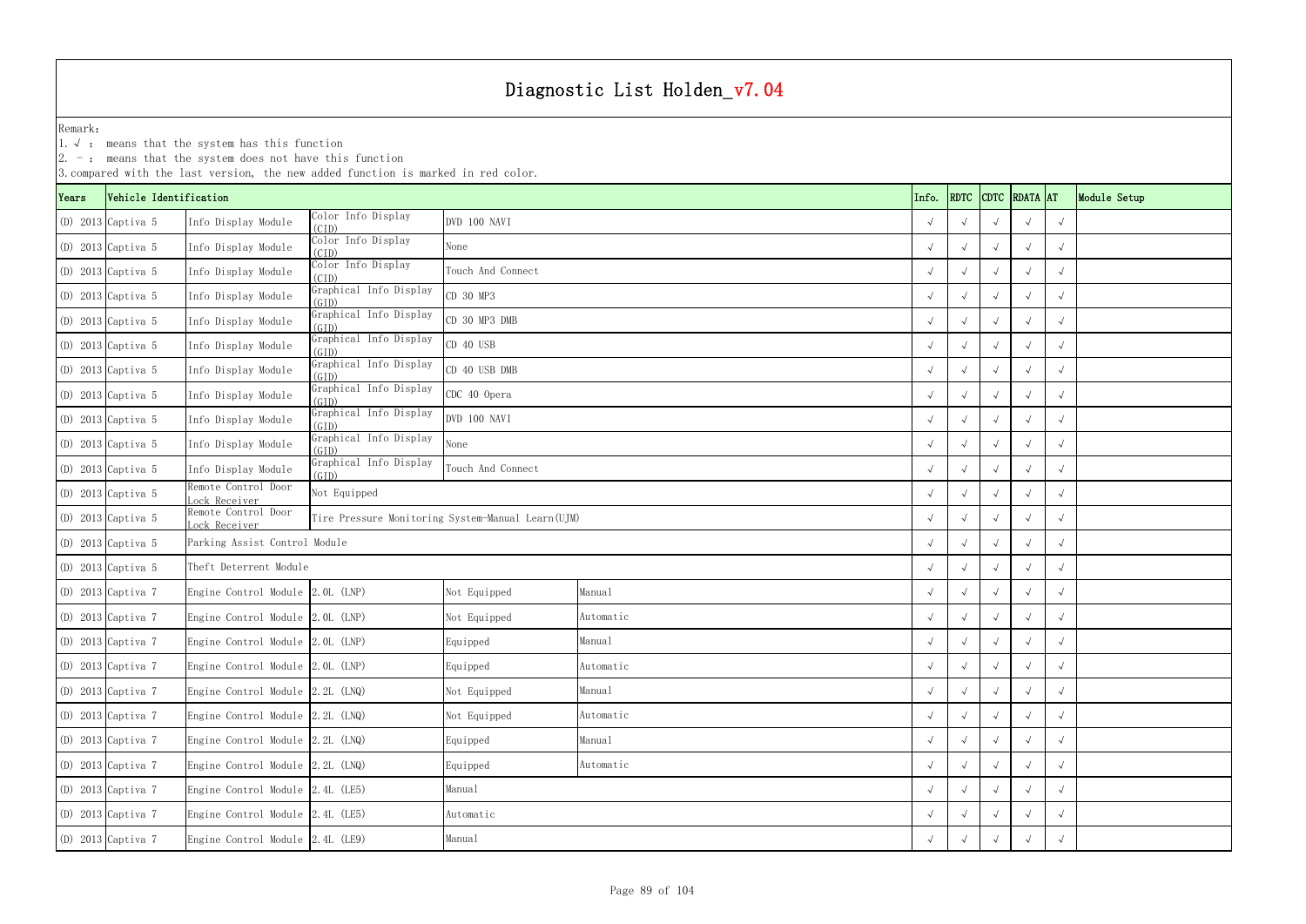1.√ : means that the system has this function

|       | $ 2.$ -: means that the system does not have this function<br>3. compared with the last version, the new added function is marked in red color.<br>RDTC CDTC RDATA AT<br>Vehicle Identification |                                      |                                            |                                                   |           |  |            |  |            |              |  |  |  |  |
|-------|-------------------------------------------------------------------------------------------------------------------------------------------------------------------------------------------------|--------------------------------------|--------------------------------------------|---------------------------------------------------|-----------|--|------------|--|------------|--------------|--|--|--|--|
| Years |                                                                                                                                                                                                 |                                      |                                            |                                                   | Info.     |  |            |  |            | Module Setup |  |  |  |  |
|       | (D) 2013 Captiva 5                                                                                                                                                                              | Info Display Module                  | Color Info Display<br>(CID)                | DVD 100 NAVI                                      |           |  |            |  |            | $\sqrt{ }$   |  |  |  |  |
|       | $(D)$ 2013 Captiva 5                                                                                                                                                                            | Info Display Module                  | Color Info Display<br>(CID)                | None                                              |           |  |            |  |            | $\sqrt{ }$   |  |  |  |  |
|       | $(D)$ 2013 Captiva 5                                                                                                                                                                            | Info Display Module                  | Color Info Display<br>(CID)                | Touch And Connect                                 |           |  |            |  |            | $\sqrt{ }$   |  |  |  |  |
|       | (D) 2013 Captiva 5                                                                                                                                                                              | Info Display Module                  | Graphical Info Display<br>(GID)            | CD 30 MP3                                         |           |  |            |  |            | $\sqrt{ }$   |  |  |  |  |
|       | $(D)$ 2013 Captiva 5                                                                                                                                                                            | Info Display Module                  | Graphical Info Display<br>(GID)            | CD 30 MP3 DMB                                     |           |  |            |  |            | $\sqrt{ }$   |  |  |  |  |
|       | $(D)$ 2013 Captiva 5                                                                                                                                                                            | Info Display Module                  | Graphical Info Display<br>(GID)            | CD 40 USB                                         |           |  |            |  |            |              |  |  |  |  |
|       | $(D)$ 2013 Captiva 5                                                                                                                                                                            | Info Display Module                  | Graphical Info Display<br>(GID)            | CD 40 USB DMB                                     |           |  | $\sqrt{ }$ |  |            | $\sqrt{ }$   |  |  |  |  |
|       | (D) 2013 Captiva 5                                                                                                                                                                              | Info Display Module                  | Graphical Info Display<br>(GID)            | CDC 40 Opera                                      |           |  |            |  |            | $\sqrt{ }$   |  |  |  |  |
|       | (D) 2013 Captiva 5                                                                                                                                                                              | Info Display Module                  | Graphical Info Display<br>(GID)            | DVD 100 NAVI                                      |           |  |            |  |            | $\sqrt{ }$   |  |  |  |  |
|       | $(D)$ 2013 Captiva 5                                                                                                                                                                            | Info Display Module                  | Graphical Info Display<br>(GID)            | None                                              |           |  |            |  |            | $\sqrt{ }$   |  |  |  |  |
|       | $(D)$ 2013 Captiva 5                                                                                                                                                                            | Info Display Module                  | Graphical Info Display<br>(GID)            | Touch And Connect                                 |           |  |            |  | $\sim$     | $\sqrt{ }$   |  |  |  |  |
|       | $(D)$ 2013 Captiva 5                                                                                                                                                                            | Remote Control Door<br>Lock Receiver | Not Equipped                               |                                                   |           |  |            |  |            | $\sqrt{ }$   |  |  |  |  |
|       | $(D)$ 2013 Captiva 5                                                                                                                                                                            | Remote Control Door<br>ock Receiver  |                                            | Tire Pressure Monitoring System-Manual Learn(UJM) |           |  |            |  |            | $\sqrt{ }$   |  |  |  |  |
|       | $(D)$ 2013 Captiva 5                                                                                                                                                                            | Parking Assist Control Module        |                                            |                                                   |           |  |            |  |            | $\sqrt{ }$   |  |  |  |  |
|       | $(D)$ 2013 Captiva 5                                                                                                                                                                            | Theft Deterrent Module               |                                            |                                                   |           |  | $\sqrt{ }$ |  |            | $\sqrt{ }$   |  |  |  |  |
|       | (D) 2013 Captiva 7                                                                                                                                                                              | Engine Control Module 2.0L (LNP)     |                                            | Not Equipped                                      | Manual    |  |            |  |            | $\sqrt{ }$   |  |  |  |  |
|       | $(D)$ 2013 Captiva 7                                                                                                                                                                            | Engine Control Module 2.0L (LNP)     |                                            | Not Equipped                                      | Automatic |  |            |  |            | $\sqrt{ }$   |  |  |  |  |
|       | (D) 2013 Captiva 7                                                                                                                                                                              | Engine Control Module 2.0L (LNP)     |                                            | Equipped                                          | Manual    |  | $\sqrt{ }$ |  |            | $\sqrt{ }$   |  |  |  |  |
|       | (D) 2013 Captiva 7                                                                                                                                                                              | Engine Control Module 2.0L (LNP)     |                                            | Equipped                                          | Automatic |  | $\sqrt{ }$ |  | $\sqrt{ }$ | $\sqrt{ }$   |  |  |  |  |
|       | $(D)$ 2013 Captiva 7                                                                                                                                                                            | Engine Control Module 2.2L (LNQ)     |                                            | Not Equipped                                      | Manual    |  | $\sqrt{ }$ |  |            | $\sqrt{ }$   |  |  |  |  |
|       | (D) 2013 Captiva 7                                                                                                                                                                              | Engine Control Module 2.2L (LNQ)     |                                            | Not Equipped                                      | Automatic |  | $\sqrt{ }$ |  |            | $\sqrt{ }$   |  |  |  |  |
|       | (D) 2013 Captiva 7                                                                                                                                                                              | Engine Control Module 2.2L (LNQ)     |                                            | Equipped                                          | Manual    |  | $\sqrt{ }$ |  |            | $\sqrt{ }$   |  |  |  |  |
|       | (D) 2013 Captiva 7                                                                                                                                                                              | Engine Control Module 2.2L (LNQ)     |                                            | Equipped                                          | Automatic |  | $\sqrt{ }$ |  | $\sqrt{ }$ | $\sqrt{ }$   |  |  |  |  |
|       | (D) 2013 Captiva 7                                                                                                                                                                              | Engine Control Module 2.4L (LE5)     |                                            | Manual                                            |           |  |            |  |            | $\sqrt{ }$   |  |  |  |  |
|       | $(D)$ 2013 Captiva 7                                                                                                                                                                            | Engine Control Module 2.4L (LE5)     |                                            | Automatic                                         |           |  |            |  |            | $\sqrt{ }$   |  |  |  |  |
|       | (D) 2013 Captiva 7                                                                                                                                                                              |                                      | Engine Control Module 2.4L (LE9)<br>Manual |                                                   |           |  |            |  |            | $\sqrt{ }$   |  |  |  |  |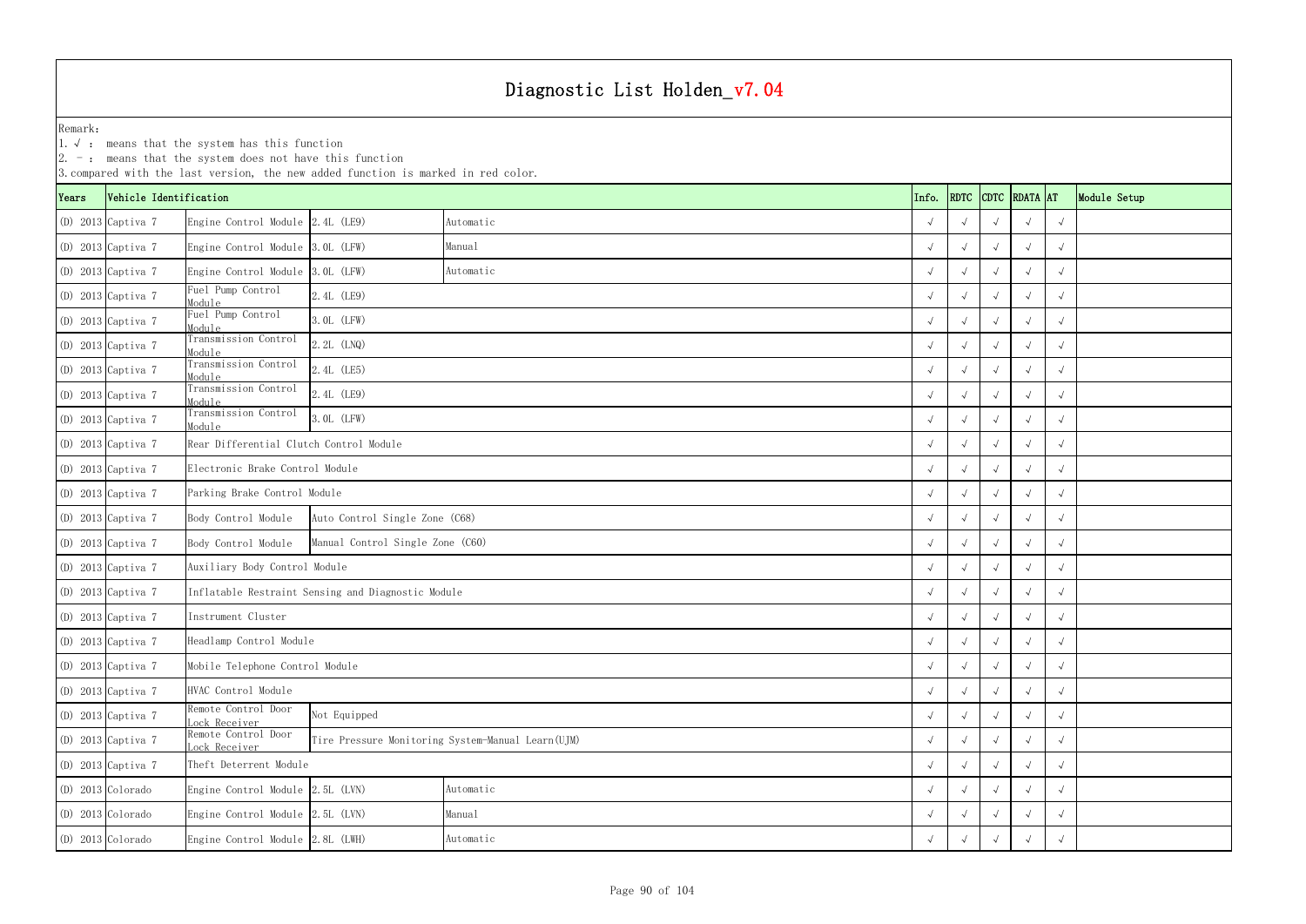1.√ : means that the system has this function

|       | $ 2. -$ : means that the system does not have this function<br>3. compared with the last version, the new added function is marked in red color.<br>RDTC CDTC RDATA AT<br>Vehicle Identification |                                             |                                                    |           |  |       |            |            |            |            |              |  |  |  |
|-------|--------------------------------------------------------------------------------------------------------------------------------------------------------------------------------------------------|---------------------------------------------|----------------------------------------------------|-----------|--|-------|------------|------------|------------|------------|--------------|--|--|--|
| Years |                                                                                                                                                                                                  |                                             |                                                    |           |  | Info. |            |            |            |            | Module Setup |  |  |  |
|       | $(D)$ 2013 Captiva 7                                                                                                                                                                             | Engine Control Module 2.4L (LE9)            |                                                    | Automatic |  |       |            |            |            | $\sqrt{ }$ |              |  |  |  |
|       | $(D)$ 2013 Captiva 7                                                                                                                                                                             | Engine Control Module 3.0L (LFW)            |                                                    | Manual    |  |       |            |            |            | $\sqrt{ }$ |              |  |  |  |
|       | $(D)$ 2013 Captiva 7                                                                                                                                                                             | Engine Control Module 3.0L (LFW)            |                                                    | Automatic |  |       |            |            | $\sqrt{ }$ | $\sqrt{ }$ |              |  |  |  |
|       | (D) 2013 Captiva 7                                                                                                                                                                               | Fuel Pump Control<br>Module                 | 2.4L (LE9)                                         |           |  |       |            |            |            | $\sqrt{ }$ |              |  |  |  |
|       | (D) 2013 Captiva 7                                                                                                                                                                               | Fuel Pump Control<br>Module                 | 3. OL (LFW)                                        |           |  |       |            |            |            | $\sqrt{ }$ |              |  |  |  |
|       | (D) 2013 Captiva 7                                                                                                                                                                               | Transmission Control<br>Module              | 2.2L (LNQ)                                         |           |  |       |            |            |            | $\sqrt{ }$ |              |  |  |  |
|       | (D) 2013 Captiva 7                                                                                                                                                                               | Transmission Control<br>Module              | 2.4L (LE5)                                         |           |  |       | $\sqrt{ }$ |            | $\sqrt{ }$ | $\sqrt{ }$ |              |  |  |  |
|       | (D) 2013 Captiva 7                                                                                                                                                                               | Transmission Control<br>Module              | 2.4L (LE9)                                         |           |  |       | $\sqrt{ }$ |            |            | $\sqrt{ }$ |              |  |  |  |
|       | $(D)$ 2013 Captiva 7                                                                                                                                                                             | Transmission Control<br>Module              | $3.0L$ (LFW)                                       |           |  |       |            |            | $\sim$     | $\sqrt{ }$ |              |  |  |  |
|       | (D) 2013 Captiva 7                                                                                                                                                                               | Rear Differential Clutch Control Module     |                                                    |           |  |       | $\sqrt{ }$ |            |            | $\sqrt{ }$ |              |  |  |  |
|       | $(D)$ 2013 Captiva 7                                                                                                                                                                             | Electronic Brake Control Module             |                                                    |           |  |       | $\sqrt{ }$ |            | $\sqrt{ }$ | $\sqrt{ }$ |              |  |  |  |
|       | $(D)$ 2013 Captiva 7                                                                                                                                                                             | Parking Brake Control Module                |                                                    |           |  |       |            |            | $\sim$     | $\sqrt{ }$ |              |  |  |  |
|       | (D) 2013 Captiva 7                                                                                                                                                                               | Body Control Module                         | Auto Control Single Zone (C68)                     |           |  |       |            |            | $\sim$     | $\sqrt{ }$ |              |  |  |  |
|       | (D) 2013 Captiva 7                                                                                                                                                                               | Body Control Module                         | Manual Control Single Zone (C60)                   |           |  |       |            |            |            | $\sqrt{ }$ |              |  |  |  |
|       | (D) 2013 Captiva 7                                                                                                                                                                               | Auxiliary Body Control Module               |                                                    |           |  |       | $\sqrt{ }$ |            | $\sqrt{ }$ | $\sqrt{ }$ |              |  |  |  |
|       | (D) 2013 Captiva 7                                                                                                                                                                               |                                             | Inflatable Restraint Sensing and Diagnostic Module |           |  |       | $\sqrt{ }$ |            |            | $\sqrt{ }$ |              |  |  |  |
|       | $(D)$ 2013 Captiva 7                                                                                                                                                                             | Instrument Cluster                          |                                                    |           |  |       |            |            |            | $\sqrt{ }$ |              |  |  |  |
|       | (D) 2013 Captiva 7                                                                                                                                                                               | Headlamp Control Module                     |                                                    |           |  |       | $\sqrt{ }$ | $\sqrt{ }$ | $\sqrt{ }$ | $\sqrt{ }$ |              |  |  |  |
|       | (D) 2013 Captiva 7                                                                                                                                                                               | Mobile Telephone Control Module             |                                                    |           |  |       | $\sqrt{ }$ | $\sqrt{ }$ | $\sqrt{ }$ | $\sqrt{ }$ |              |  |  |  |
|       | (D) 2013 Captiva 7                                                                                                                                                                               | HVAC Control Module                         |                                                    |           |  |       | $\sqrt{ }$ | $\sqrt{ }$ | $\sim$     | $\sqrt{ }$ |              |  |  |  |
|       | (D) 2013 Captiva 7                                                                                                                                                                               | Remote Control Door<br>oc <u>k Receiver</u> | Not Equipped                                       |           |  |       |            |            | $\sqrt{ }$ | $\sqrt{ }$ |              |  |  |  |
|       | $(D)$ 2013 Captiva 7                                                                                                                                                                             | Remote Control Door<br>ock Receiver         | Tire Pressure Monitoring System-Manual Learn (UJM) |           |  |       |            |            | $\sqrt{ }$ | $\sqrt{ }$ |              |  |  |  |
|       | (D) 2013 Captiva 7                                                                                                                                                                               | Theft Deterrent Module                      |                                                    |           |  |       |            |            | $\sqrt{ }$ | $\sqrt{ }$ |              |  |  |  |
|       | $(D)$ 2013 Colorado                                                                                                                                                                              | Engine Control Module 2.5L (LVN)            |                                                    | Automatic |  |       | $\sqrt{ }$ |            |            | $\sqrt{ }$ |              |  |  |  |
|       | (D) 2013 Colorado                                                                                                                                                                                | Engine Control Module 2.5L (LVN)            |                                                    | Manual    |  |       |            |            |            | $\sqrt{ }$ |              |  |  |  |
|       | (D) 2013 Colorado                                                                                                                                                                                | Engine Control Module 2.8L (LWH)            |                                                    |           |  |       |            |            | $\sqrt{ }$ |            |              |  |  |  |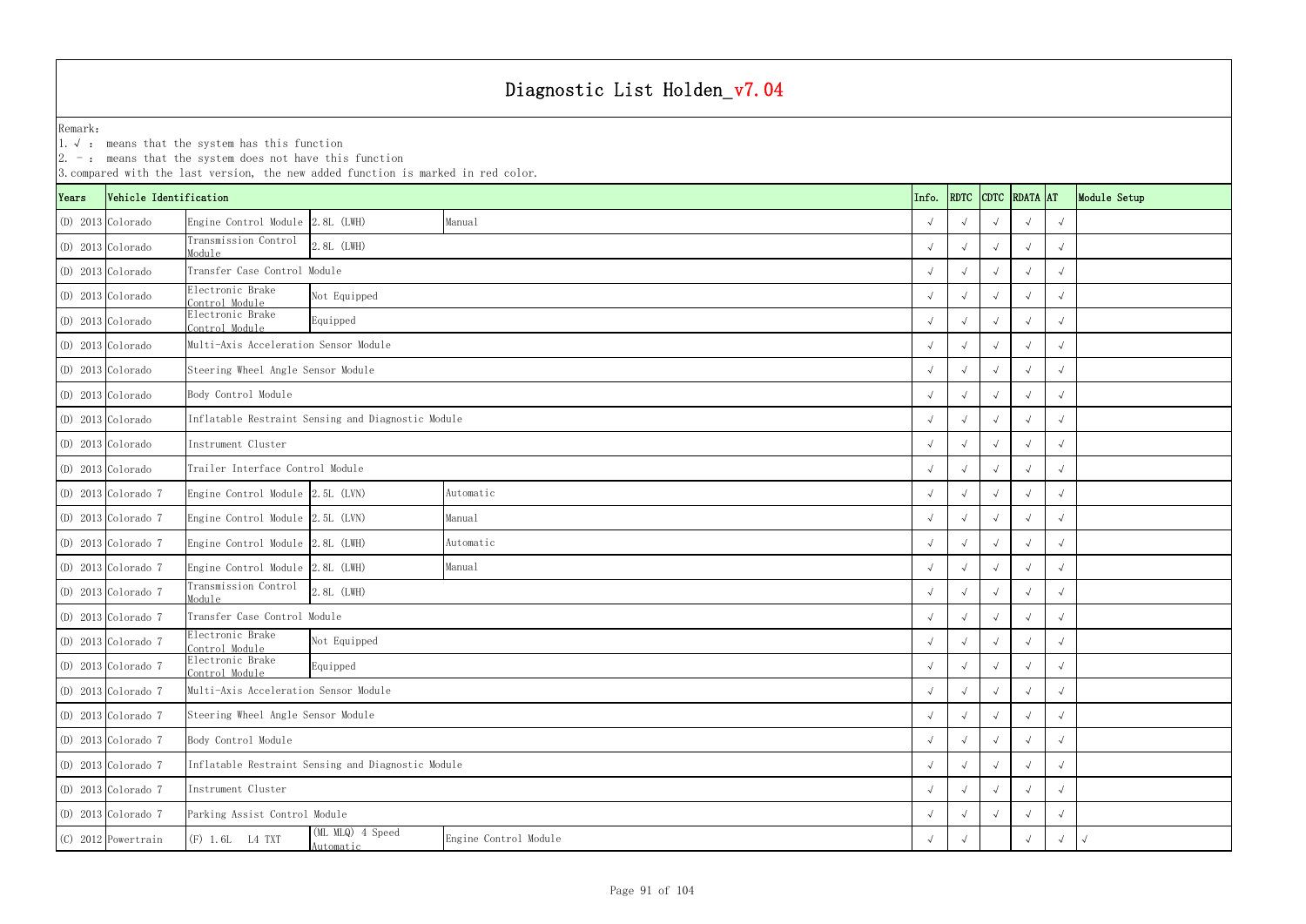1.√ : means that the system has this function

|                     | $ 2. -$ : means that the system does not have this function<br>3. compared with the last version, the new added function is marked in red color.<br>CDTC RDATA AT |                                       |                                                    |                       |       |            |            |            |            |              |  |  |  |  |
|---------------------|-------------------------------------------------------------------------------------------------------------------------------------------------------------------|---------------------------------------|----------------------------------------------------|-----------------------|-------|------------|------------|------------|------------|--------------|--|--|--|--|
| Years               | Vehicle Identification                                                                                                                                            |                                       |                                                    |                       | Info. | RDTC       |            |            |            | Module Setup |  |  |  |  |
|                     | (D) 2013 Colorado                                                                                                                                                 | Engine Control Module 2.8L (LWH)      |                                                    | Manual                |       |            |            |            |            |              |  |  |  |  |
| (D) 2013 Colorado   |                                                                                                                                                                   | Transmission Control<br>Module        | 2.8L (LWH)                                         |                       |       |            |            |            |            |              |  |  |  |  |
| (D) 2013 Colorado   |                                                                                                                                                                   | Transfer Case Control Module          |                                                    |                       |       |            |            |            |            |              |  |  |  |  |
|                     | (D) 2013 Colorado                                                                                                                                                 | Electronic Brake<br>Control Module    | Not Equipped                                       |                       |       |            |            |            |            |              |  |  |  |  |
|                     | (D) 2013 Colorado                                                                                                                                                 | Electronic Brake<br>Control Module    | Equipped                                           |                       |       |            |            |            |            |              |  |  |  |  |
| (D) 2013 Colorado   |                                                                                                                                                                   | Multi-Axis Acceleration Sensor Module |                                                    |                       |       |            |            |            |            |              |  |  |  |  |
| (D) 2013 Colorado   |                                                                                                                                                                   |                                       | Steering Wheel Angle Sensor Module                 |                       |       |            |            |            |            |              |  |  |  |  |
| (D) 2013 Colorado   |                                                                                                                                                                   | Body Control Module                   |                                                    |                       |       |            |            |            |            |              |  |  |  |  |
|                     | $(D)$ 2013 Colorado                                                                                                                                               |                                       | Inflatable Restraint Sensing and Diagnostic Module |                       |       |            |            |            |            |              |  |  |  |  |
|                     | $(D)$ 2013 Colorado                                                                                                                                               | Instrument Cluster                    |                                                    |                       |       |            |            |            |            |              |  |  |  |  |
| $(D)$ 2013 Colorado |                                                                                                                                                                   | Trailer Interface Control Module      |                                                    |                       |       |            |            |            |            |              |  |  |  |  |
|                     | $(D)$ 2013 Colorado 7                                                                                                                                             | Engine Control Module 2.5L (LVN)      |                                                    | Automatic             |       |            |            |            |            |              |  |  |  |  |
|                     | (D) 2013 Colorado 7                                                                                                                                               | Engine Control Module 2.5L (LVN)      |                                                    | Manual                |       |            |            |            |            |              |  |  |  |  |
|                     | $(D)$ 2013 Colorado 7                                                                                                                                             | Engine Control Module 2.8L (LWH)      |                                                    | Automatic             |       |            |            |            |            |              |  |  |  |  |
|                     | (D) 2013 Colorado 7                                                                                                                                               | Engine Control Module 2.8L (LWH)      |                                                    | Manual                |       |            |            |            |            |              |  |  |  |  |
|                     | $(D)$ 2013 Colorado 7                                                                                                                                             | Transmission Control<br>Module        | $2.8L$ (LWH)                                       |                       |       |            |            |            |            |              |  |  |  |  |
|                     | $(D)$ 2013 Colorado 7                                                                                                                                             | Transfer Case Control Module          |                                                    |                       |       |            |            |            |            |              |  |  |  |  |
|                     | $(D)$ 2013 Colorado 7                                                                                                                                             | Electronic Brake<br>Control Module    | Not Equipped                                       |                       |       | $\sqrt{ }$ | $\sqrt{ }$ | $\sqrt{ }$ | $\sqrt{ }$ | $\sqrt{ }$   |  |  |  |  |
|                     | $(D)$ 2013 Colorado 7                                                                                                                                             | Electronic Brake<br>Control Module    | Equipped                                           |                       |       |            | $\sqrt{ }$ |            |            |              |  |  |  |  |
|                     | $(D)$ 2013 Colorado 7                                                                                                                                             | Multi-Axis Acceleration Sensor Module |                                                    |                       |       |            |            |            |            |              |  |  |  |  |
|                     | $(D)$ 2013 Colorado 7                                                                                                                                             |                                       | Steering Wheel Angle Sensor Module                 |                       |       |            |            |            |            |              |  |  |  |  |
|                     | $(D)$ 2013 Colorado 7                                                                                                                                             | Body Control Module                   |                                                    |                       |       |            |            |            |            | $\sqrt{ }$   |  |  |  |  |
|                     | $(D)$ 2013 Colorado 7                                                                                                                                             |                                       | Inflatable Restraint Sensing and Diagnostic Module |                       |       |            |            |            |            |              |  |  |  |  |
|                     | (D) 2013 Colorado 7                                                                                                                                               | Instrument Cluster                    |                                                    |                       |       |            |            |            |            |              |  |  |  |  |
|                     | $(D)$ 2013 Colorado 7                                                                                                                                             | Parking Assist Control Module         |                                                    |                       |       |            |            |            |            |              |  |  |  |  |
|                     | $(C)$ 2012 Powertrain                                                                                                                                             | (F) 1.6L L4 TXT                       | (ML MLQ) 4 Speed<br>Automatic                      | Engine Control Module |       |            |            |            | $\sqrt{ }$ |              |  |  |  |  |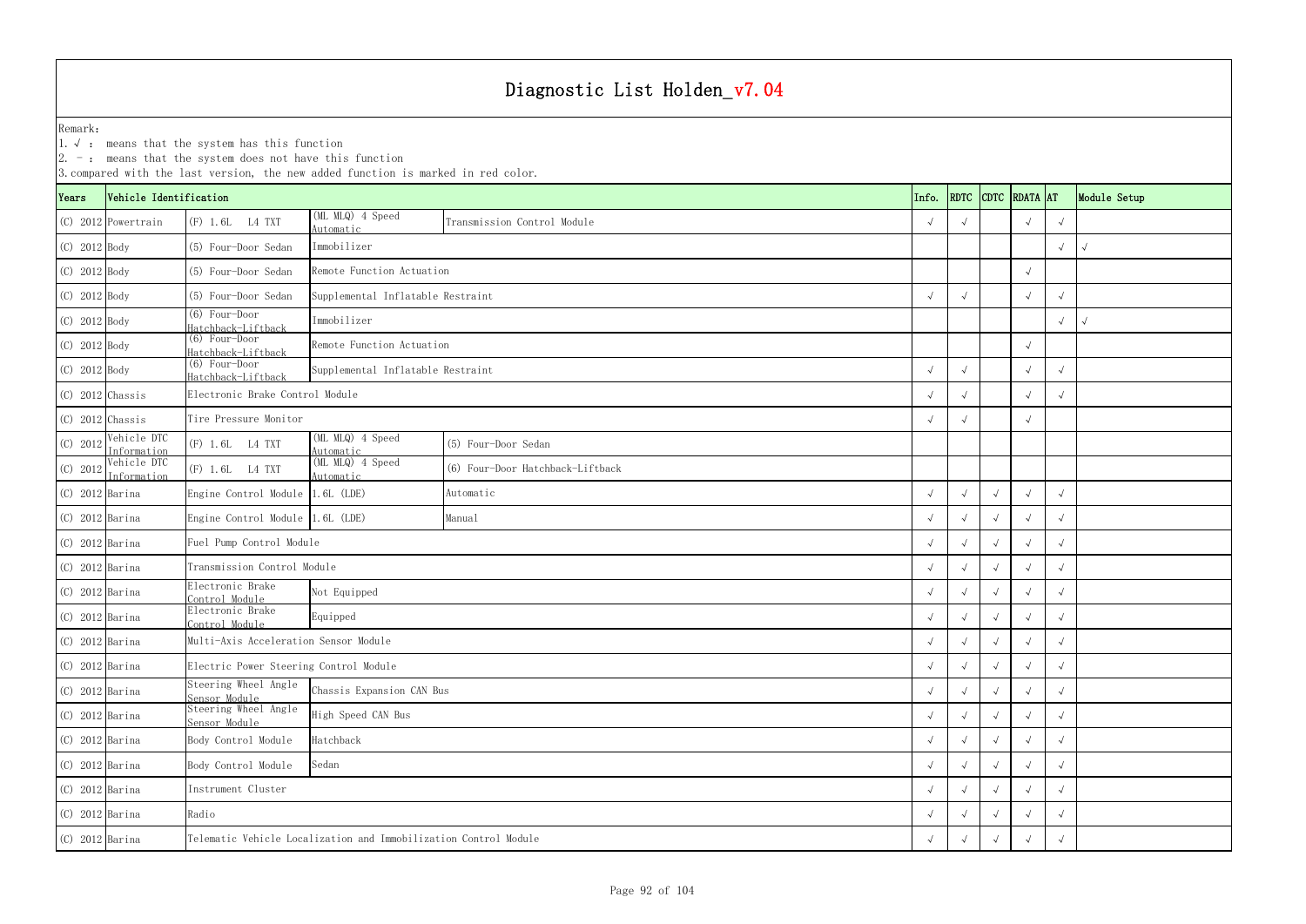2. - : means that the system does not have this function

|                    | $ 2.$ -: means that the system does not have this function<br>3. compared with the last version, the new added function is marked in red color.<br>CDTC RDATA AT<br>Vehicle Identification |                                        |                                                                  |                                  |       |            |            |            |            |              |  |  |  |
|--------------------|--------------------------------------------------------------------------------------------------------------------------------------------------------------------------------------------|----------------------------------------|------------------------------------------------------------------|----------------------------------|-------|------------|------------|------------|------------|--------------|--|--|--|
| Years              |                                                                                                                                                                                            |                                        |                                                                  |                                  | Info. | RDTC       |            |            |            | Module Setup |  |  |  |
|                    | $(C)$ 2012 Powertrain                                                                                                                                                                      | (F) 1.6L L4 TXT                        | (ML MLQ) 4 Speed<br>Automatic                                    | Transmission Control Module      |       |            |            |            | $\sqrt{ }$ |              |  |  |  |
| (C) 2012 Body      |                                                                                                                                                                                            | (5) Four-Door Sedan                    | Immobilizer                                                      |                                  |       |            |            |            |            | $\sqrt{ }$   |  |  |  |
| $(C)$ 2012 Body    |                                                                                                                                                                                            | (5) Four-Door Sedan                    | Remote Function Actuation                                        |                                  |       |            |            |            |            |              |  |  |  |
| $(C)$ 2012 Body    |                                                                                                                                                                                            | (5) Four-Door Sedan                    | Supplemental Inflatable Restraint                                |                                  |       |            |            |            |            |              |  |  |  |
| $(C)$ 2012 Body    |                                                                                                                                                                                            | $(6)$ Four-Door<br>Hatchback-Liftback  | Immobilizer                                                      |                                  |       |            |            |            |            |              |  |  |  |
| $(C)$ 2012 Body    |                                                                                                                                                                                            | $(6)$ Four-Door<br>Hatchback-Liftback  | Remote Function Actuation                                        |                                  |       |            |            |            |            |              |  |  |  |
| $(C)$ 2012 Body    |                                                                                                                                                                                            | $(6)$ Four-Door<br>Hatchback-Liftback  | Supplemental Inflatable Restraint                                |                                  |       |            |            |            |            |              |  |  |  |
| $(C)$ 2012 Chassis |                                                                                                                                                                                            | Electronic Brake Control Module        |                                                                  |                                  |       |            |            |            | $\sqrt{ }$ |              |  |  |  |
| $(C)$ 2012 Chassis |                                                                                                                                                                                            | Tire Pressure Monitor                  |                                                                  |                                  |       |            |            |            | $\sqrt{ }$ |              |  |  |  |
| (C) 2012           | Vehicle DTC<br>Information                                                                                                                                                                 | (F) 1.6L L4 TXT                        | $(ML MLQ)$ 4 Speed<br>Automatic                                  | (5) Four-Door Sedan              |       |            |            |            |            |              |  |  |  |
| (C) 2012           | Vehicle DTC<br>Information                                                                                                                                                                 | (F) 1.6L L4 TXT                        | (ML MLQ) 4 Speed<br>Automatic                                    | (6) Four-Door Hatchback-Liftback |       |            |            |            |            |              |  |  |  |
| $(C)$ 2012 Barina  |                                                                                                                                                                                            | Engine Control Module 1.6L (LDE)       |                                                                  | Automatic                        |       |            |            |            |            |              |  |  |  |
| $(C)$ 2012 Barina  |                                                                                                                                                                                            | Engine Control Module 1.6L (LDE)       |                                                                  | Manual                           |       |            |            |            |            |              |  |  |  |
| $(C)$ 2012 Barina  |                                                                                                                                                                                            | Fuel Pump Control Module               |                                                                  |                                  |       |            | $\sqrt{ }$ |            |            |              |  |  |  |
| $(C)$ 2012 Barina  |                                                                                                                                                                                            | Transmission Control Module            |                                                                  |                                  |       |            |            |            |            |              |  |  |  |
| $(C)$ 2012 Barina  |                                                                                                                                                                                            | Electronic Brake<br>Control Module     | Not Equipped                                                     |                                  |       |            |            |            |            |              |  |  |  |
| $(C)$ 2012 Barina  |                                                                                                                                                                                            | Electronic Brake<br>Control Module     | Equipped                                                         |                                  |       |            |            |            |            | $\sqrt{ }$   |  |  |  |
| $(C)$ 2012 Barina  |                                                                                                                                                                                            | Multi-Axis Acceleration Sensor Module  |                                                                  |                                  |       | $\sqrt{ }$ | $\sqrt{ }$ | $\sqrt{ }$ | $\sqrt{ }$ | $\sqrt{ }$   |  |  |  |
| $(C)$ 2012 Barina  |                                                                                                                                                                                            | Electric Power Steering Control Module |                                                                  |                                  |       | $\sqrt{ }$ |            |            |            |              |  |  |  |
| $(C)$ 2012 Barina  |                                                                                                                                                                                            | Steering Wheel Angle<br>Sensor Module  | Chassis Expansion CAN Bus                                        |                                  |       |            |            |            |            | $\sqrt{ }$   |  |  |  |
| $(C)$ 2012 Barina  |                                                                                                                                                                                            | Sensor Module                          | Steering Wheel Angle<br>High Speed CAN Bus                       |                                  |       |            |            |            |            | $\sqrt{ }$   |  |  |  |
| $(C)$ 2012 Barina  |                                                                                                                                                                                            | Body Control Module                    | Hatchback                                                        |                                  |       |            |            |            |            | $\sqrt{ }$   |  |  |  |
| $(C)$ 2012 Barina  |                                                                                                                                                                                            | Body Control Module<br>Sedan           |                                                                  |                                  |       |            |            |            |            |              |  |  |  |
| $(C)$ 2012 Barina  |                                                                                                                                                                                            | Instrument Cluster                     |                                                                  |                                  |       |            |            |            |            |              |  |  |  |
| $(C)$ 2012 Barina  |                                                                                                                                                                                            | Radio                                  |                                                                  |                                  |       |            |            |            |            |              |  |  |  |
| $(C)$ 2012 Barina  |                                                                                                                                                                                            |                                        | Telematic Vehicle Localization and Immobilization Control Module |                                  |       |            |            |            |            |              |  |  |  |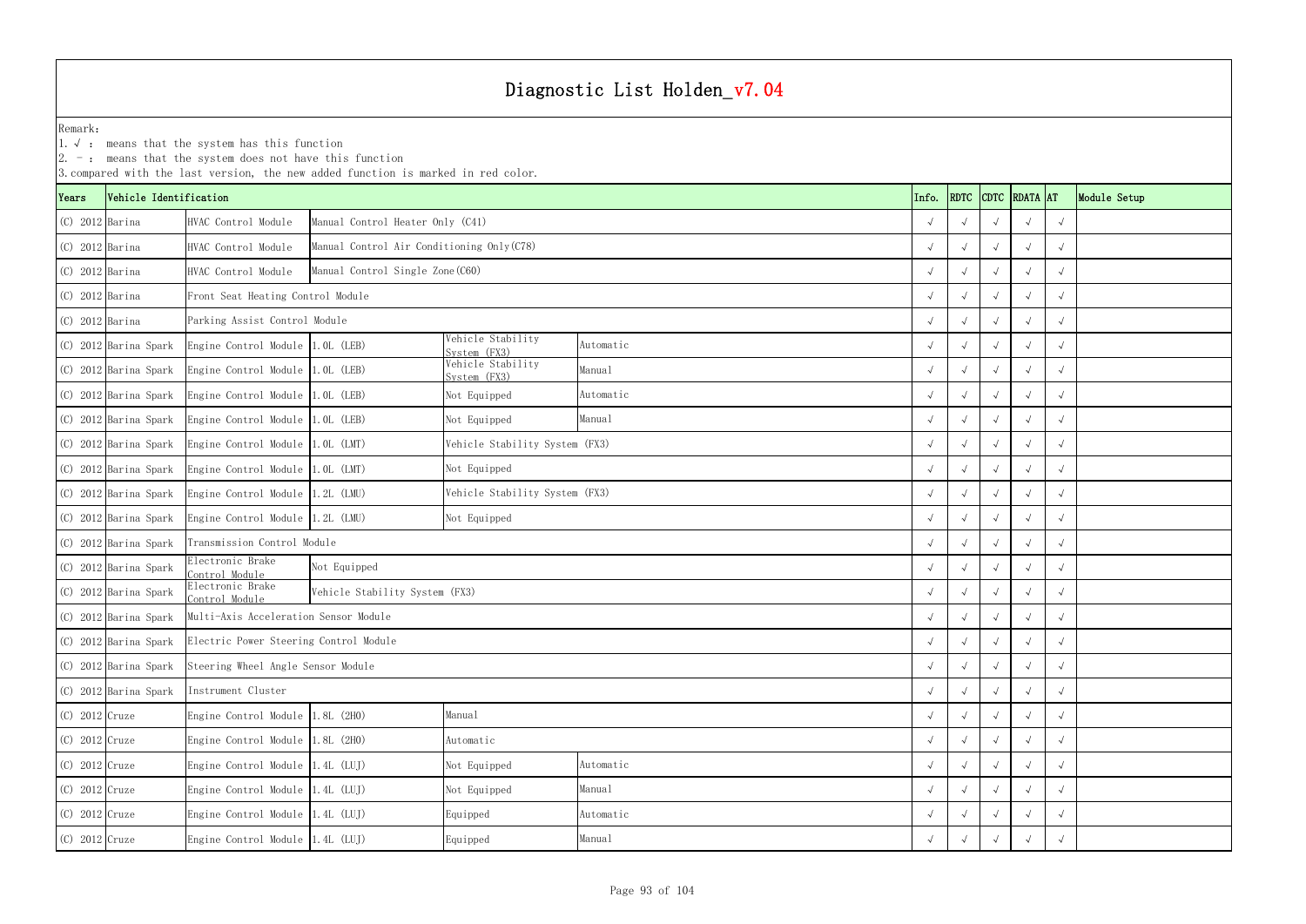1.√ : means that the system has this function

|                    | $ 2.$ -: means that the system does not have this function<br>3. compared with the last version, the new added function is marked in red color.<br>RDTC CDTC RDATA AT |                                                              |                                            |                                   |            |            |            |            |            |            |              |  |  |  |
|--------------------|-----------------------------------------------------------------------------------------------------------------------------------------------------------------------|--------------------------------------------------------------|--------------------------------------------|-----------------------------------|------------|------------|------------|------------|------------|------------|--------------|--|--|--|
| Years              | Vehicle Identification                                                                                                                                                |                                                              |                                            |                                   |            | Info.      |            |            |            |            | Module Setup |  |  |  |
| $(C)$ 2012 Barina  |                                                                                                                                                                       | HVAC Control Module                                          | Manual Control Heater Only (C41)           |                                   |            |            |            |            |            |            |              |  |  |  |
| $(C)$ 2012 Barina  |                                                                                                                                                                       | HVAC Control Module                                          | Manual Control Air Conditioning Only (C78) |                                   |            |            |            |            |            | $\sqrt{ }$ |              |  |  |  |
| $(C)$ 2012 Barina  |                                                                                                                                                                       | HVAC Control Module                                          | Manual Control Single Zone (C60)           |                                   |            |            |            |            |            | $\sqrt{ }$ |              |  |  |  |
| $(C)$ 2012 Barina  |                                                                                                                                                                       | Front Seat Heating Control Module                            |                                            |                                   |            |            |            |            |            | $\sqrt{ }$ |              |  |  |  |
| $(C)$ 2012 Barina  |                                                                                                                                                                       | Parking Assist Control Module                                |                                            |                                   |            |            |            |            |            | $\sqrt{ }$ |              |  |  |  |
|                    | (C) 2012 Barina Spark                                                                                                                                                 | Engine Control Module 1.0L (LEB)                             |                                            | Vehicle Stability<br>System (FX3) | Automatic  |            |            |            |            |            |              |  |  |  |
|                    | (C) 2012 Barina Spark                                                                                                                                                 | Engine Control Module 1.0L (LEB)                             |                                            | Vehicle Stability<br>System (FX3) | Manual     |            |            |            |            | $\sqrt{ }$ |              |  |  |  |
|                    | (C) 2012 Barina Spark                                                                                                                                                 | Engine Control Module 1.0L (LEB)                             |                                            | Not Equipped                      | Automatic  |            |            |            |            | $\sqrt{ }$ |              |  |  |  |
|                    | (C) 2012 Barina Spark                                                                                                                                                 | Engine Control Module 1.0L (LEB)                             |                                            | Not Equipped                      | Manual     |            |            |            |            | $\sqrt{ }$ |              |  |  |  |
|                    | (C) 2012 Barina Spark                                                                                                                                                 | Engine Control Module 1.0L (LMT)                             |                                            | Vehicle Stability System (FX3)    |            |            |            |            |            | $\sqrt{ }$ |              |  |  |  |
|                    | (C) 2012 Barina Spark                                                                                                                                                 | Engine Control Module 1.0L (LMT)                             |                                            | Not Equipped                      |            |            |            | $\sqrt{ }$ |            | $\sqrt{ }$ |              |  |  |  |
|                    | (C) 2012 Barina Spark                                                                                                                                                 | Engine Control Module 1.2L (LMU)                             |                                            | Vehicle Stability System (FX3)    |            |            |            |            |            | $\sqrt{ }$ |              |  |  |  |
|                    | (C) 2012 Barina Spark                                                                                                                                                 | Engine Control Module 1.2L (LMU)                             |                                            | Not Equipped                      |            |            |            |            |            | $\sqrt{ }$ |              |  |  |  |
|                    | (C) 2012 Barina Spark                                                                                                                                                 | Transmission Control Module                                  |                                            |                                   |            |            |            |            |            |            |              |  |  |  |
|                    | (C) 2012 Barina Spark                                                                                                                                                 | Electronic Brake<br>Control Module                           | Not Equipped                               |                                   |            |            |            |            |            | $\sqrt{ }$ |              |  |  |  |
|                    | (C) 2012 Barina Spark                                                                                                                                                 | Electronic Brake<br>Control Module                           | Vehicle Stability System (FX3)             |                                   |            |            |            |            |            | $\sqrt{ }$ |              |  |  |  |
|                    | (C) 2012 Barina Spark                                                                                                                                                 | Multi-Axis Acceleration Sensor Module                        |                                            |                                   |            |            |            |            |            | $\sqrt{ }$ |              |  |  |  |
|                    |                                                                                                                                                                       | (C) 2012 Barina Spark Electric Power Steering Control Module |                                            |                                   |            |            | $\sqrt{ }$ | $\sqrt{ }$ |            | $\sqrt{ }$ |              |  |  |  |
|                    | (C) 2012 Barina Spark                                                                                                                                                 | Steering Wheel Angle Sensor Module                           |                                            |                                   |            | $\sqrt{ }$ |            | $\sqrt{ }$ | $\sqrt{ }$ | $\sqrt{ }$ |              |  |  |  |
|                    | (C) 2012 Barina Spark                                                                                                                                                 | Instrument Cluster                                           |                                            |                                   |            |            |            |            |            | $\sqrt{ }$ |              |  |  |  |
| (C) 2012 Cruze     |                                                                                                                                                                       | Engine Control Module $1.8L$ (2H0)                           |                                            | Manual                            |            |            |            |            |            | $\sqrt{ }$ |              |  |  |  |
| $(C)$ 2012 Cruze   |                                                                                                                                                                       | Engine Control Module $1.8L$ (2H0)                           |                                            | Automatic                         |            |            |            |            |            | $\sqrt{ }$ |              |  |  |  |
| (C) 2012 Cruze     |                                                                                                                                                                       | Engine Control Module 1.4L (LUJ)                             |                                            | Not Equipped                      | Automatic  |            | $\sqrt{ }$ | $\sqrt{ }$ | $\sqrt{ }$ | $\sqrt{ }$ |              |  |  |  |
| (C) 2012 Cruze     |                                                                                                                                                                       | Engine Control Module 1.4L (LUJ)                             |                                            | Not Equipped                      | Manual     |            |            |            |            | $\sqrt{ }$ |              |  |  |  |
| $(C)$ 2012 Cruze   |                                                                                                                                                                       | Engine Control Module 1.4L (LUJ)                             |                                            | Automatic<br>Equipped             |            |            |            |            |            | $\sqrt{ }$ |              |  |  |  |
| $(C)$ 2012 $Cruze$ |                                                                                                                                                                       | Engine Control Module 1.4L (LUJ)                             |                                            | Manual                            | $\sqrt{ }$ |            |            |            | $\sqrt{ }$ |            |              |  |  |  |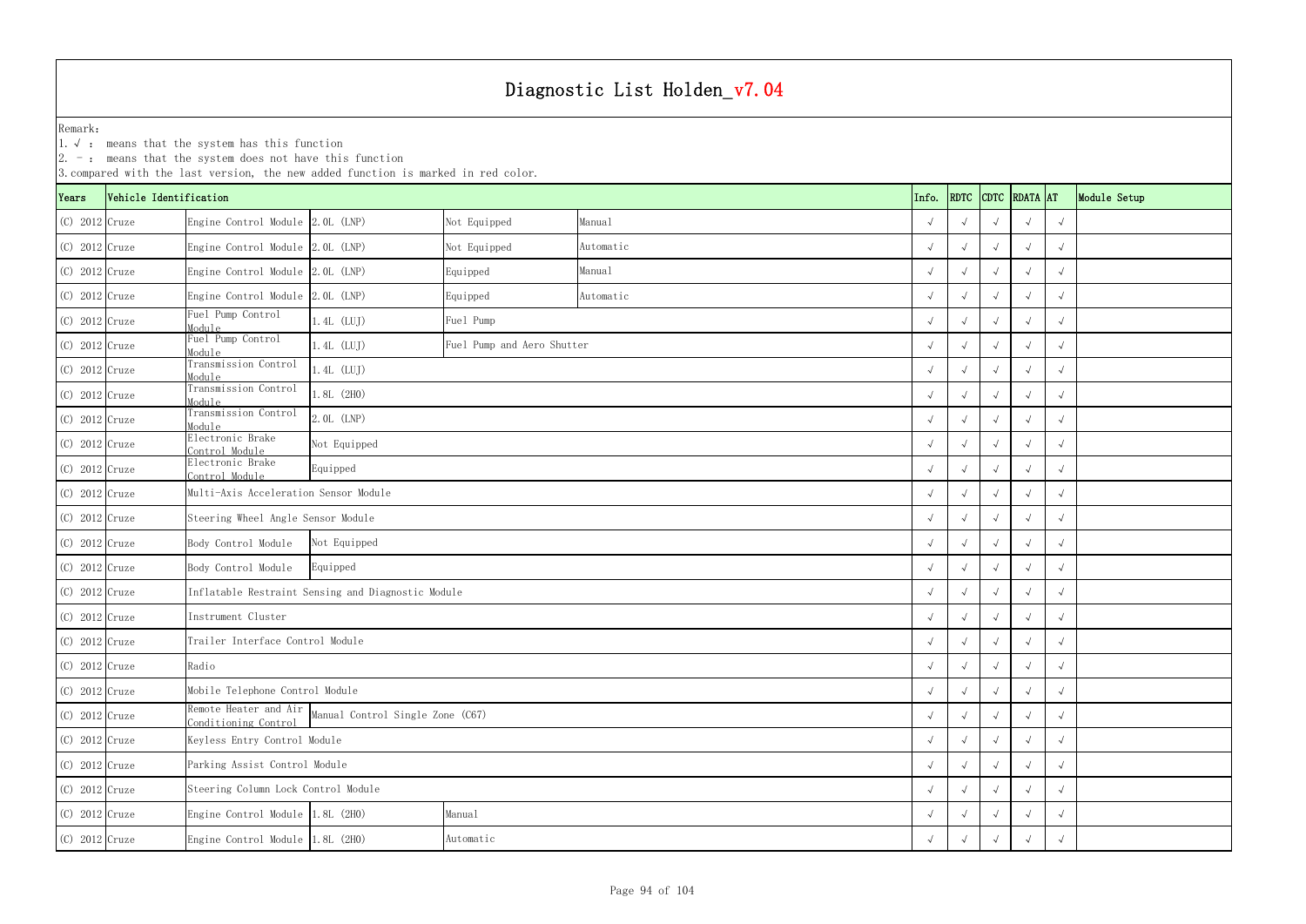|                    | $ 2. -$ : means that the system does not have this function<br>3. compared with the last version, the new added function is marked in red color.<br>Vehicle Identification<br>RDTC CDTC RDATA AT |                                                                                |                                                    |              |           |  |            |            |            |              |            |  |  |  |
|--------------------|--------------------------------------------------------------------------------------------------------------------------------------------------------------------------------------------------|--------------------------------------------------------------------------------|----------------------------------------------------|--------------|-----------|--|------------|------------|------------|--------------|------------|--|--|--|
| Years              |                                                                                                                                                                                                  |                                                                                |                                                    |              | Info.     |  |            |            |            | Module Setup |            |  |  |  |
| $(C)$ 2012 $Cruze$ |                                                                                                                                                                                                  | Engine Control Module 2.0L (LNP)                                               |                                                    | Not Equipped | Manual    |  |            |            |            |              | $\sqrt{ }$ |  |  |  |
| $(C)$ 2012 Cruze   |                                                                                                                                                                                                  | Engine Control Module 2.0L (LNP)                                               |                                                    | Not Equipped | Automatic |  |            |            |            | √            | $\sqrt{ }$ |  |  |  |
| $(C)$ 2012 Cruze   |                                                                                                                                                                                                  | Engine Control Module 2.0L (LNP)                                               |                                                    | Equipped     | Manual    |  |            |            |            | $\sqrt{ }$   | $\sqrt{ }$ |  |  |  |
| $(C)$ 2012 $Cruze$ |                                                                                                                                                                                                  | Engine Control Module 2.0L (LNP)                                               |                                                    | Equipped     | Automatic |  |            |            |            |              | $\sqrt{ }$ |  |  |  |
| $(C)$ 2012 $Cruze$ |                                                                                                                                                                                                  | Fuel Pump Control<br>Module                                                    | $1.4L$ (LUJ)<br>Fuel Pump                          |              |           |  |            |            |            |              | $\sqrt{ }$ |  |  |  |
| $(C)$ 2012 Cruze   |                                                                                                                                                                                                  | Fuel Pump Control<br>Module                                                    | $1.4L$ (LUJ)<br>Fuel Pump and Aero Shutter         |              |           |  |            |            |            |              | $\sqrt{ }$ |  |  |  |
| $(C)$ 2012 Cruze   |                                                                                                                                                                                                  | Transmission Control<br>Module                                                 | $1.4L$ (LUJ)                                       |              |           |  |            |            |            | $\sqrt{ }$   | $\sqrt{ }$ |  |  |  |
| $(C)$ 2012 $Cruze$ |                                                                                                                                                                                                  | Transmission Control<br>Module                                                 | .8L(2H0)                                           |              |           |  |            |            |            |              | $\sqrt{ }$ |  |  |  |
| $(C)$ 2012 $Cruze$ |                                                                                                                                                                                                  | Transmission Control<br>Module                                                 | 2.0L (LNP)                                         |              |           |  |            |            |            |              | $\sqrt{ }$ |  |  |  |
| $(C)$ 2012 $Cruze$ |                                                                                                                                                                                                  | Electronic Brake<br>Control Module                                             | Not Equipped                                       |              |           |  |            | $\sqrt{ }$ |            |              | $\sqrt{ }$ |  |  |  |
| $(C)$ 2012 Cruze   |                                                                                                                                                                                                  | Electronic Brake<br>Control Module                                             | Equipped                                           |              |           |  |            |            |            | $\sqrt{ }$   | $\sqrt{ }$ |  |  |  |
| $(C)$ 2012 Cruze   |                                                                                                                                                                                                  | Multi-Axis Acceleration Sensor Module                                          |                                                    |              |           |  |            |            |            |              | $\sqrt{ }$ |  |  |  |
| $(C)$ 2012 Cruze   |                                                                                                                                                                                                  | Steering Wheel Angle Sensor Module                                             |                                                    |              |           |  |            |            |            |              | $\sqrt{ }$ |  |  |  |
| $(C)$ 2012 Cruze   |                                                                                                                                                                                                  | Body Control Module                                                            | Not Equipped                                       |              |           |  |            |            |            |              | $\sqrt{ }$ |  |  |  |
| $(C)$ 2012 Cruze   |                                                                                                                                                                                                  | Body Control Module                                                            | Equipped                                           |              |           |  |            | $\sqrt{ }$ |            |              | $\sqrt{ }$ |  |  |  |
| $(C)$ 2012 $Cruze$ |                                                                                                                                                                                                  |                                                                                | Inflatable Restraint Sensing and Diagnostic Module |              |           |  |            | $\sqrt{ }$ |            |              | $\sqrt{ }$ |  |  |  |
| $(C)$ 2012 $Cruze$ |                                                                                                                                                                                                  | Instrument Cluster                                                             |                                                    |              |           |  |            |            |            |              | $\sqrt{ }$ |  |  |  |
| $(C)$ 2012 Cruze   |                                                                                                                                                                                                  | Trailer Interface Control Module                                               |                                                    |              |           |  | $\sqrt{ }$ | $\sqrt{ }$ | $\sqrt{ }$ | $\sqrt{ }$   | $\sqrt{ }$ |  |  |  |
| $(C)$ 2012 Cruze   |                                                                                                                                                                                                  | Radio                                                                          |                                                    |              |           |  |            | $\sqrt{ }$ |            | $\sim$       | $\sqrt{ }$ |  |  |  |
| $(C)$ 2012 $Cruze$ |                                                                                                                                                                                                  | Mobile Telephone Control Module                                                |                                                    |              |           |  |            | $\sqrt{ }$ |            |              | $\sqrt{ }$ |  |  |  |
| $(C)$ 2012 $Cruze$ |                                                                                                                                                                                                  | Remote Heater and Air Manual Control Single Zone (C67)<br>Conditioning Control |                                                    |              |           |  |            |            |            | $\sim$       | $\sqrt{ }$ |  |  |  |
| $(C)$ 2012 Cruze   |                                                                                                                                                                                                  | Keyless Entry Control Module                                                   |                                                    |              |           |  |            |            |            | $\sqrt{ }$   | $\sqrt{ }$ |  |  |  |
| $(C)$ 2012 Cruze   |                                                                                                                                                                                                  | Parking Assist Control Module                                                  |                                                    |              |           |  |            | $\sqrt{ }$ | $\sqrt{ }$ | $\sqrt{ }$   | $\sqrt{ }$ |  |  |  |
| $(C)$ 2012 $Cruze$ |                                                                                                                                                                                                  | Steering Column Lock Control Module                                            |                                                    |              |           |  |            | $\sqrt{ }$ |            |              | $\sqrt{ }$ |  |  |  |
| $(C)$ 2012 $Cruze$ |                                                                                                                                                                                                  | Engine Control Module 1.8L (2H0)                                               |                                                    | Manual       |           |  |            |            |            |              | $\sqrt{ }$ |  |  |  |
| $(C)$ 2012 $Cruze$ |                                                                                                                                                                                                  |                                                                                | Engine Control Module 1.8L (2H0)<br>Automatic      |              |           |  |            |            |            |              | $\sqrt{ }$ |  |  |  |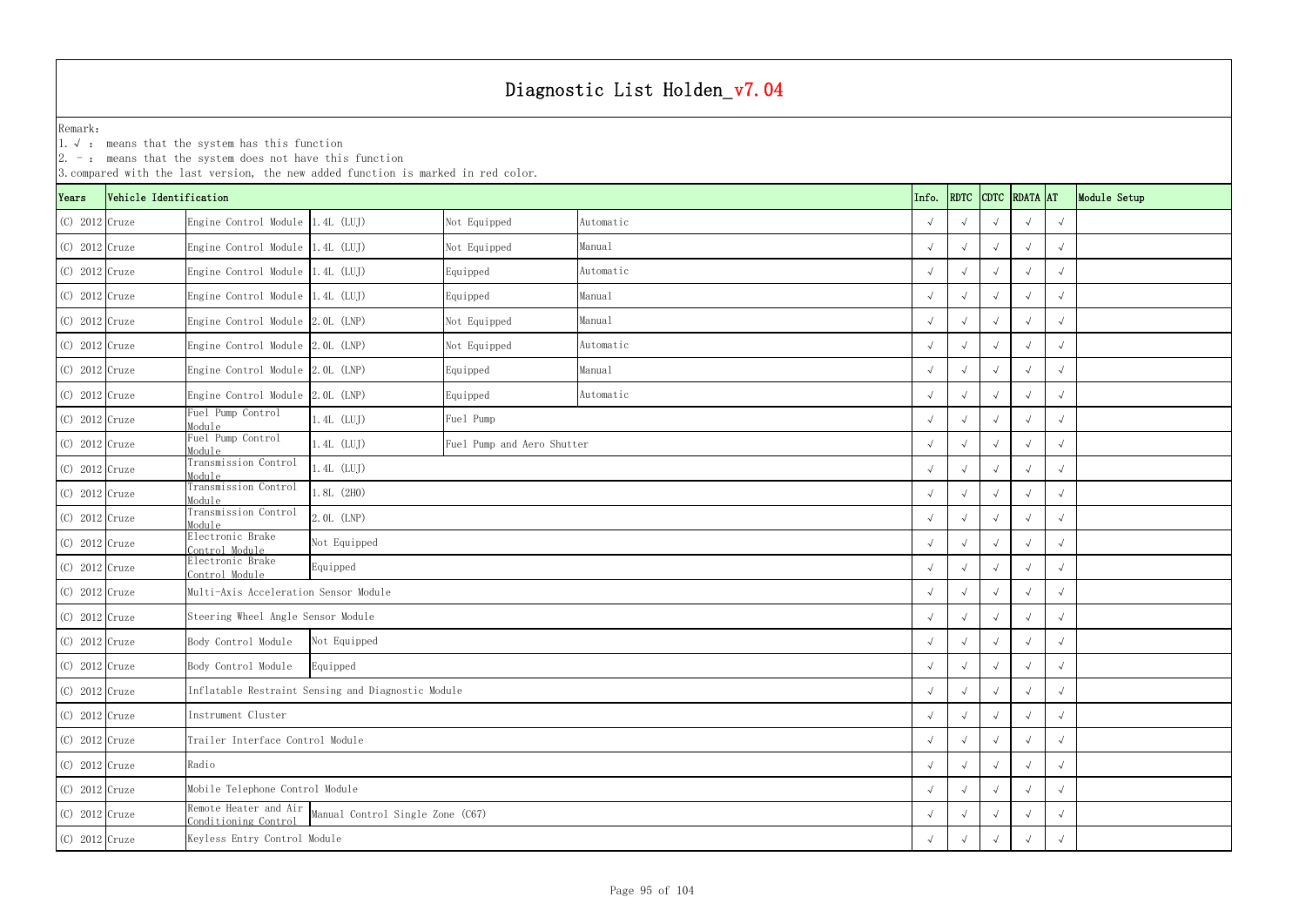1.√ : means that the system has this function

|                    |                        | $ 2. -$ : means that the system does not have this function | 3. compared with the last version, the new added function is marked in red color. |                            |           |  |                    |            |              |            |            |  |
|--------------------|------------------------|-------------------------------------------------------------|-----------------------------------------------------------------------------------|----------------------------|-----------|--|--------------------|------------|--------------|------------|------------|--|
| Years              | Vehicle Identification |                                                             |                                                                                   | Info.                      |           |  | RDTC CDTC RDATA AT |            | Module Setup |            |            |  |
| $(C)$ 2012 $Cruze$ |                        | Engine Control Module 1.4L (LUJ)                            |                                                                                   | Not Equipped               | Automatic |  |                    |            |              |            | $\sqrt{ }$ |  |
| $(C)$ 2012 Cruze   |                        | Engine Control Module 1.4L (LUJ)                            |                                                                                   | Not Equipped               | Manual    |  |                    |            |              |            | $\sqrt{ }$ |  |
| $(C)$ 2012 Cruze   |                        | Engine Control Module 1.4L (LUJ)                            |                                                                                   | Equipped                   | Automatic |  |                    |            |              | $\sqrt{ }$ | $\sqrt{ }$ |  |
| $(C)$ 2012 $Cruze$ |                        | Engine Control Module 1.4L (LUJ)                            |                                                                                   | Equipped                   | Manual    |  |                    |            |              |            | $\sqrt{ }$ |  |
| $(C)$ 2012 Cruze   |                        | Engine Control Module 2.0L (LNP)                            |                                                                                   | Not Equipped               | Manual    |  |                    |            |              |            | $\sqrt{ }$ |  |
| $(C)$ 2012 Cruze   |                        | Engine Control Module 2.0L (LNP)                            |                                                                                   | Not Equipped               | Automatic |  |                    |            |              |            | $\sqrt{ }$ |  |
| $(C)$ 2012 Cruze   |                        | Engine Control Module 2.0L (LNP)                            |                                                                                   | Equipped                   | Manual    |  |                    | $\sqrt{ }$ |              | $\sqrt{ }$ | $\sqrt{ }$ |  |
| $(C)$ 2012 $Cruze$ |                        | Engine Control Module 2.0L (LNP)                            |                                                                                   | Equipped                   | Automatic |  |                    | $\sqrt{ }$ |              |            | $\sqrt{ }$ |  |
| $(C)$ 2012 $Cruze$ |                        | Fuel Pump Control<br>Module                                 | $1.4L$ (LUJ)<br>Fuel Pump                                                         |                            |           |  |                    |            |              |            | $\sqrt{ }$ |  |
| $(C)$ 2012 Cruze   |                        | Fuel Pump Control<br>Module                                 | $1.4L$ (LUJ)                                                                      | Fuel Pump and Aero Shutter |           |  |                    | $\sqrt{ }$ |              |            | $\sqrt{ }$ |  |
| $(C)$ 2012 Cruze   |                        | Transmission Control<br>Module                              | $1.4L$ (LUJ)                                                                      |                            |           |  |                    |            |              | $\sqrt{ }$ | $\sqrt{ }$ |  |
| $(C)$ 2012 Cruze   |                        | Transmission Control<br>Module                              | .8L(2H0)                                                                          |                            |           |  |                    |            |              | $\sqrt{ }$ | $\sqrt{ }$ |  |
| $(C)$ 2012 Cruze   |                        | Transmission Control<br>Module                              | 2.0L (LNP)                                                                        |                            |           |  |                    |            |              | $\sim$     | $\sqrt{ }$ |  |
| $(C)$ 2012 Cruze   |                        | Electronic Brake<br>Control Module                          | Not Equipped                                                                      |                            |           |  |                    |            |              |            | $\sqrt{ }$ |  |
| $(C)$ 2012 Cruze   |                        | Electronic Brake<br>Control Module                          | Equipped                                                                          |                            |           |  |                    | $\sqrt{ }$ |              | $\sqrt{ }$ | $\sqrt{ }$ |  |
| $(C)$ 2012 $Cruze$ |                        | Multi-Axis Acceleration Sensor Module                       |                                                                                   |                            |           |  |                    | $\sqrt{ }$ |              |            | $\sqrt{ }$ |  |
| $(C)$ 2012 $Cruze$ |                        | Steering Wheel Angle Sensor Module                          |                                                                                   |                            |           |  |                    |            |              |            | $\sqrt{ }$ |  |
| $(C)$ 2012 Cruze   |                        | Body Control Module Not Equipped                            |                                                                                   |                            |           |  | $\sqrt{ }$         | $\sqrt{ }$ | $\sqrt{ }$   | $\sqrt{ }$ | $\sqrt{ }$ |  |
| $(C)$ 2012 $Cruze$ |                        | Body Control Module                                         | Equipped                                                                          |                            |           |  |                    | $\sqrt{ }$ |              |            | $\sqrt{ }$ |  |
| $(C)$ 2012 $Cruze$ |                        |                                                             | Inflatable Restraint Sensing and Diagnostic Module                                |                            |           |  |                    |            |              |            | $\sqrt{ }$ |  |
| $(C)$ 2012 Cruze   |                        | Instrument Cluster                                          |                                                                                   |                            |           |  |                    |            |              |            | $\sqrt{ }$ |  |
| $(C)$ 2012 Cruze   |                        |                                                             | Trailer Interface Control Module                                                  |                            |           |  |                    |            |              | $\sqrt{ }$ | $\sqrt{ }$ |  |
| $(C)$ 2012 Cruze   |                        | Radio                                                       |                                                                                   |                            |           |  |                    |            |              | $\sqrt{ }$ | $\sqrt{ }$ |  |
| $(C)$ 2012 $Cruze$ |                        |                                                             | Mobile Telephone Control Module                                                   |                            |           |  |                    |            |              |            | $\sqrt{ }$ |  |
| $(C)$ 2012 Cruze   |                        | Conditioning Control                                        | Remote Heater and Air Manual Control Single Zone (C67)                            |                            |           |  |                    |            |              |            | $\sqrt{ }$ |  |
| $(C)$ 2012 Cruze   |                        | Keyless Entry Control Module                                |                                                                                   |                            |           |  |                    | $\sqrt{ }$ |              |            |            |  |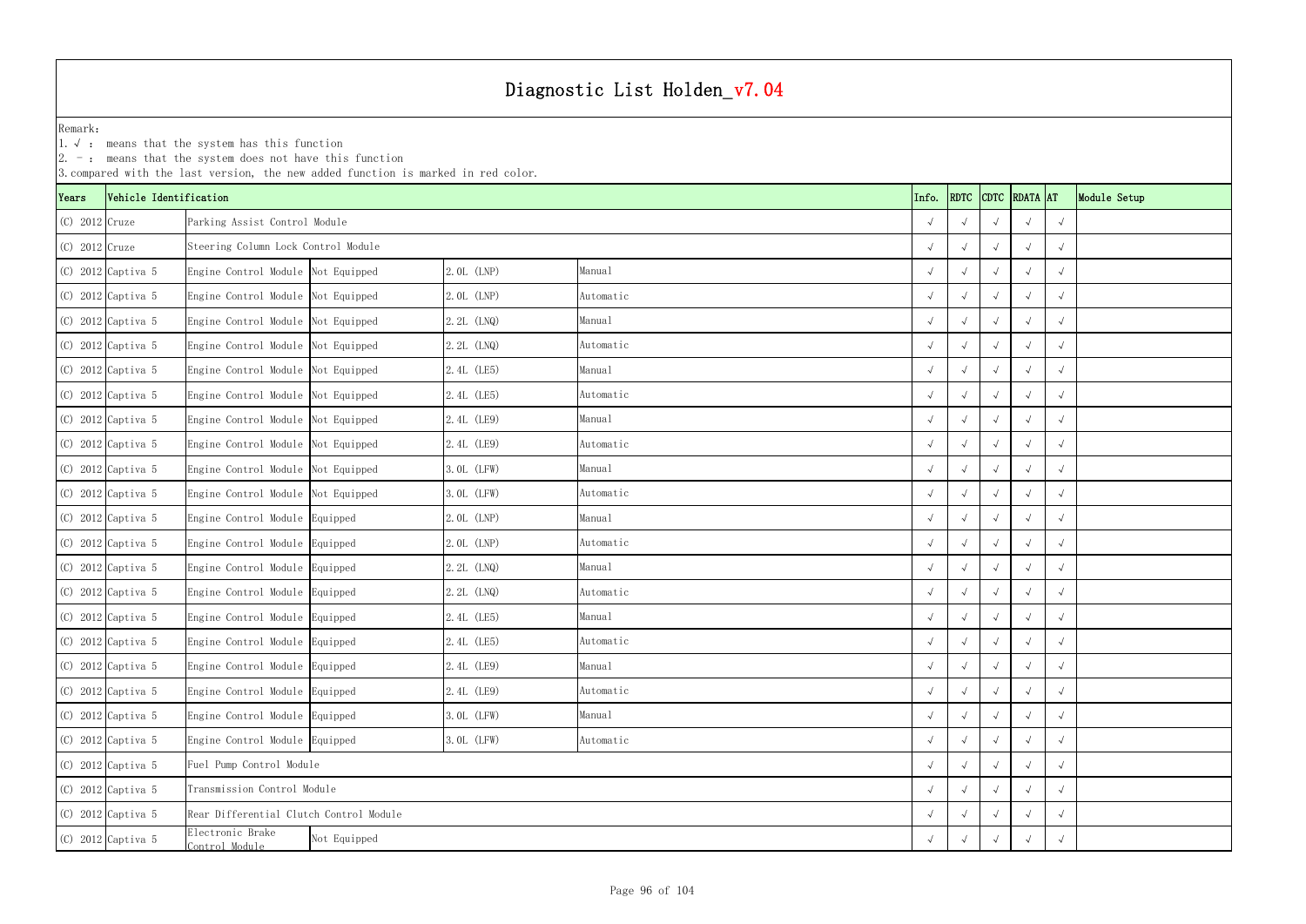1.√ : means that the system has this function

|                  | $ 2. -$ : means that the system does not have this function<br>3. compared with the last version, the new added function is marked in red color.<br>RDTC CDTC RDATA AT |                                         |                             |             |           |  |            |  |            |              |  |  |  |
|------------------|------------------------------------------------------------------------------------------------------------------------------------------------------------------------|-----------------------------------------|-----------------------------|-------------|-----------|--|------------|--|------------|--------------|--|--|--|
| Years            | Vehicle Identification                                                                                                                                                 |                                         |                             |             | Info.     |  |            |  |            | Module Setup |  |  |  |
| $(C)$ 2012 Cruze |                                                                                                                                                                        | Parking Assist Control Module           |                             |             |           |  |            |  |            | $\sqrt{ }$   |  |  |  |
| $(C)$ 2012 Cruze |                                                                                                                                                                        | Steering Column Lock Control Module     |                             |             |           |  |            |  |            | $\sqrt{ }$   |  |  |  |
|                  | $(C)$ 2012 Captiva 5                                                                                                                                                   | Engine Control Module Not Equipped      |                             | 2.0L (LNP)  | Manual    |  |            |  | $\sqrt{ }$ | $\sqrt{ }$   |  |  |  |
|                  | $(C)$ 2012 Captiva 5                                                                                                                                                   | Engine Control Module Not Equipped      |                             | 2.0L (LNP)  | Automatic |  |            |  |            | $\sqrt{ }$   |  |  |  |
|                  | $(C)$ 2012 Captiva 5                                                                                                                                                   | Engine Control Module Not Equipped      |                             | 2.2L (LNQ)  | Manual    |  |            |  |            | $\sqrt{ }$   |  |  |  |
|                  | $(C)$ 2012 Captiva 5                                                                                                                                                   | Engine Control Module Not Equipped      |                             | 2.2L (LNQ)  | Automatic |  |            |  |            | $\sqrt{ }$   |  |  |  |
|                  | $(C)$ 2012 Captiva 5                                                                                                                                                   | Engine Control Module Not Equipped      |                             | 2.4L (LE5)  | Manual    |  | $\sqrt{ }$ |  | $\sim$     | $\sqrt{ }$   |  |  |  |
|                  | (C) 2012 Captiva 5                                                                                                                                                     | Engine Control Module Not Equipped      |                             | 2.4L (LE5)  | Automatic |  |            |  |            | $\sqrt{ }$   |  |  |  |
|                  | $(C)$ 2012 Captiva 5                                                                                                                                                   | Engine Control Module Not Equipped      |                             | 2.4L (LE9)  | Manual    |  |            |  |            | $\sqrt{ }$   |  |  |  |
|                  | (C) 2012 Captiva 5                                                                                                                                                     | Engine Control Module Not Equipped      |                             | 2.4L (LE9)  | Automatic |  |            |  |            | $\sqrt{ }$   |  |  |  |
|                  | $(C)$ 2012 Captiva 5                                                                                                                                                   | Engine Control Module Not Equipped      |                             | 3.0L (LFW)  | Manual    |  |            |  | $\sqrt{ }$ | $\sqrt{ }$   |  |  |  |
|                  | (C) 2012 Captiva 5                                                                                                                                                     | Engine Control Module Not Equipped      |                             | 3.0L (LFW)  | Automatic |  |            |  |            | $\sqrt{ }$   |  |  |  |
|                  | $(C)$ 2012 Captiva 5                                                                                                                                                   | Engine Control Module Equipped          |                             | 2.0L (LNP)  | Manual    |  |            |  |            | $\sqrt{ }$   |  |  |  |
|                  | $(C)$ 2012 Captiva 5                                                                                                                                                   | Engine Control Module Equipped          |                             | 2.0L (LNP)  | Automatic |  |            |  |            | $\sqrt{ }$   |  |  |  |
|                  | $(C)$ 2012 Captiva 5                                                                                                                                                   | Engine Control Module Equipped          |                             | 2.2L (LNQ)  | Manual    |  | $\sqrt{ }$ |  | $\sqrt{ }$ | $\sqrt{ }$   |  |  |  |
|                  | $(C)$ 2012 Captiva 5                                                                                                                                                   | Engine Control Module Equipped          |                             | 2.2L (LNQ)  | Automatic |  |            |  |            | $\sqrt{ }$   |  |  |  |
|                  | $(C)$ 2012 Captiva 5                                                                                                                                                   | Engine Control Module Equipped          |                             | 2.4L (LE5)  | Manual    |  |            |  |            | $\sqrt{ }$   |  |  |  |
|                  | (C) 2012 Captiva 5                                                                                                                                                     | Engine Control Module Equipped          |                             | 2.4L (LE5)  | Automatic |  | $\sqrt{ }$ |  |            | $\sqrt{ }$   |  |  |  |
|                  | $(C)$ 2012 Captiva 5                                                                                                                                                   | Engine Control Module Equipped          |                             | 2.4L (LE9)  | Manua1    |  | $\sqrt{ }$ |  | $\sim$     | $\sqrt{ }$   |  |  |  |
|                  | (C) 2012 Captiva 5                                                                                                                                                     | Engine Control Module Equipped          |                             | 2.4L (LE9)  | Automatic |  | $\sqrt{ }$ |  |            | $\sqrt{ }$   |  |  |  |
|                  | (C) 2012 Captiva 5                                                                                                                                                     | Engine Control Module Equipped          |                             | 3. OL (LFW) | Manual    |  | $\sqrt{ }$ |  |            | $\sqrt{ }$   |  |  |  |
|                  | (C) 2012 Captiva 5                                                                                                                                                     | Engine Control Module Equipped          |                             | 3. OL (LFW) | Automatic |  | $\sqrt{ }$ |  |            | $\sqrt{ }$   |  |  |  |
|                  | (C) 2012 Captiva 5                                                                                                                                                     |                                         | Fuel Pump Control Module    |             |           |  |            |  | $\sqrt{ }$ | $\sqrt{ }$   |  |  |  |
|                  | (C) 2012 Captiva 5                                                                                                                                                     |                                         | Transmission Control Module |             |           |  |            |  |            | $\sqrt{ }$   |  |  |  |
|                  | $(C)$ 2012 Captiva 5                                                                                                                                                   | Rear Differential Clutch Control Module |                             |             |           |  |            |  |            | $\sqrt{ }$   |  |  |  |
|                  | (C) 2012 Captiva 5                                                                                                                                                     | Electronic Brake<br>Control Module      | Not Equipped                |             |           |  |            |  | $\sqrt{ }$ |              |  |  |  |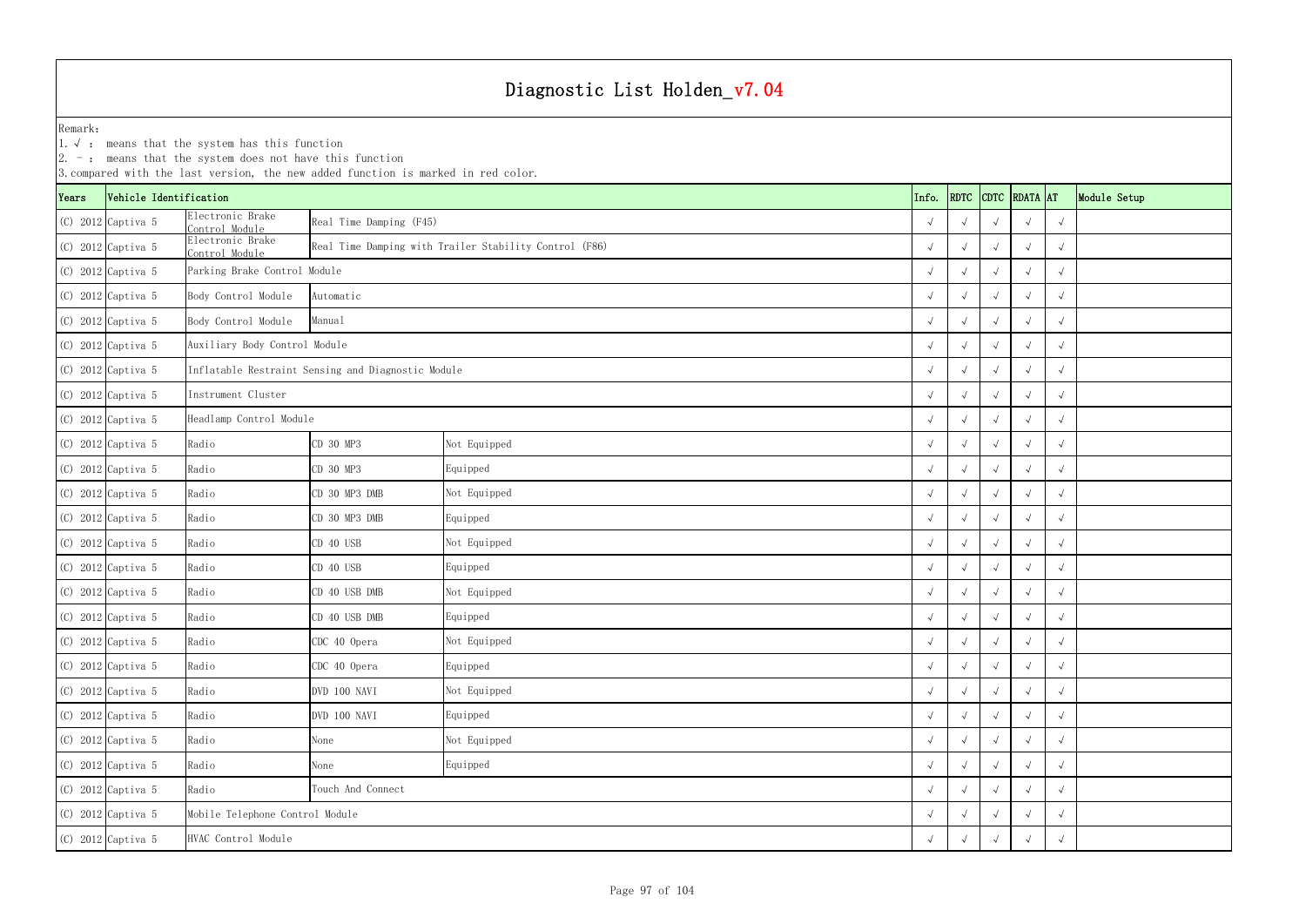YearsVehicle Identification **Info.** RDTC Remark:1.√ : means that the system has this function 2. -: means that the system does not have this function 3.compared with the last version, the new added function is marked in red color. (C) 2012 Captiva 5 Electronic Brake Control Moduleαπε βeal Time Damping (F45)<br>e and time Damping (F45) (C) 2012 Captiva 5 Electronic Brake Control Module <sup>√</sup> √√√√ Real Time Damping with Trailer Stability Control (F86) (C) 2012 Captiva 5 √ √√√√ Parking Brake Control Module (C) 2012 Captiva 5 Body Control Module √ √√√√ (C) 2012 Captiva 5 Body Control Module √ √√√√ (C) 2012 Captiva 5 √ √√√√ Auxiliary Body Control Module (C) 2012 Captiva 5 √ √√√√ Inflatable Restraint Sensing and Diagnostic Module (C) 2012 Captiva 5 √ √√√√ (C) 2012 Captiva 5 √ √√√√ Headlamp Control Module (C) 2012 Captiva 5 Radio CD 30 MP3 √ √√√√ (C) 2012 Captiva 5 Radio CD 30 MP3 √ √√√√ (C) 2012 Captiva 5 Radio CD 30 MP3 DMB √ √√√√ (C) 2012 Captiva 5 Radio CD 30 MP3 DMB √ √√√√ (C) 2012 Captiva 5 Radio CD 40 USB √ √√√√ (C) 2012 Captiva 5 Radio CD 40 USB √ √√√√ (C) 2012 Captiva 5 Radio CD 40 USB DMB √ √√√√ (C) 2012 Captiva 5 Radio CD 40 USB DMB √ √√√√ (C) 2012 Captiva 5 Radio CDC 40 Opera √ √√√√ (C) 2012 Captiva 5 Radio CDC 40 Opera √ √√√√ (C) 2012 Captiva 5 Radio DVD 100 NAVI √ √√√√ (C) 2012 Captiva 5 Radio DVD 100 NAVI √ √√√√ (C) 2012 Captiva 5 Radio None √ √√√√ (C) 2012 Captiva 5 Radio None √ √√√√ (C) 2012 Captiva 5 Radio √ √√√√ (C) 2012 Captiva 5 √ √√√√ Mobile Telephone Control Module ManualAutomaticNot Equipped Real Time Damping (F45) Instrument Cluster Equipped Not Equipped Equipped Not Equipped Equipped Not Equipped Equipped Not Equipped Equipped Not Equipped Equipped Not Equipped Equipped Touch And Connect

|      | 2. $-$ : means that the system does not have this function<br>3. compared with the last version, the new added function is marked in red color. |                                    |                                                    |                                                        |  |            |            |            |               |            |              |
|------|-------------------------------------------------------------------------------------------------------------------------------------------------|------------------------------------|----------------------------------------------------|--------------------------------------------------------|--|------------|------------|------------|---------------|------------|--------------|
| ears | Vehicle Identification                                                                                                                          |                                    |                                                    |                                                        |  | Info.      | RDTC       |            | CDTC RDATA AT |            | Module Setup |
|      | (C) 2012 Captiva 5                                                                                                                              | Electronic Brake<br>Control Module | Real Time Damping (F45)                            |                                                        |  |            |            |            |               |            |              |
|      | (C) 2012 Captiva 5                                                                                                                              | Electronic Brake<br>Control Module |                                                    | Real Time Damping with Trailer Stability Control (F86) |  |            |            |            |               |            |              |
|      | (C) 2012 Captiva 5                                                                                                                              | Parking Brake Control Module       |                                                    |                                                        |  |            |            |            |               |            |              |
|      | (C) 2012 Captiva 5                                                                                                                              | Body Control Module                | Automatic                                          |                                                        |  |            |            |            |               |            |              |
|      | (C) 2012 Captiva 5                                                                                                                              | Body Control Module                | Manual                                             |                                                        |  |            |            |            |               |            |              |
|      | (C) 2012 Captiva 5                                                                                                                              | Auxiliary Body Control Module      |                                                    |                                                        |  | $\sqrt{ }$ |            |            |               |            |              |
|      | (C) 2012 Captiva 5                                                                                                                              |                                    | Inflatable Restraint Sensing and Diagnostic Module |                                                        |  | $\sqrt{ }$ |            |            |               |            |              |
|      | (C) 2012 Captiva 5                                                                                                                              | Instrument Cluster                 |                                                    |                                                        |  |            |            |            |               | $\sqrt{ }$ |              |
|      | (C) 2012 Captiva 5                                                                                                                              | Headlamp Control Module            |                                                    |                                                        |  |            |            |            |               |            |              |
|      | (C) 2012 Captiva 5                                                                                                                              | Radio                              | CD 30 MP3                                          | Not Equipped                                           |  |            |            |            |               | $\sqrt{ }$ |              |
|      | (C) 2012 Captiva 5                                                                                                                              | Radio                              | CD 30 MP3                                          | Equipped                                               |  |            |            |            |               | $\sqrt{ }$ |              |
|      | (C) 2012 Captiva 5                                                                                                                              | Radio                              | CD 30 MP3 DMB                                      | Not Equipped                                           |  |            |            |            |               | $\sqrt{ }$ |              |
|      | (C) 2012 Captiva 5                                                                                                                              | Radio                              | CD 30 MP3 DMB                                      | Equipped                                               |  |            |            |            |               |            |              |
|      | (C) 2012 Captiva 5                                                                                                                              | Radio                              | CD 40 USB                                          | Not Equipped                                           |  | $\sqrt{ }$ |            |            |               |            |              |
|      | (C) 2012 Captiva 5                                                                                                                              | Radio                              | CD 40 USB                                          | Equipped                                               |  |            |            |            |               |            |              |
|      | (C) 2012 Captiva 5                                                                                                                              | Radio                              | CD 40 USB DMB                                      | Not Equipped                                           |  | $\sqrt{ }$ |            |            |               | $\sqrt{ }$ |              |
|      | (C) 2012 Captiva 5                                                                                                                              | Radio                              | CD 40 USB DMB                                      | Equipped                                               |  |            |            |            |               | $\sqrt{ }$ |              |
|      | (C) 2012 Captiva 5                                                                                                                              | Radio                              | CDC 40 Opera                                       | Not Equipped                                           |  | $\sqrt{ }$ | $\sqrt{ }$ | $\sqrt{ }$ | $\sqrt{ }$    | $\sqrt{ }$ |              |
|      | (C) 2012 Captiva 5                                                                                                                              | Radio                              | CDC 40 Opera                                       | Equipped                                               |  | $\sqrt{ }$ | $\sqrt{ }$ | $\sqrt{ }$ |               |            |              |
|      | (C) 2012 Captiva 5                                                                                                                              | Radio                              | DVD 100 NAVI                                       | Not Equipped                                           |  | $\sqrt{ }$ |            |            |               | $\sqrt{ }$ |              |
|      | (C) 2012 Captiva 5                                                                                                                              | Radio                              | DVD 100 NAVI                                       | Equipped                                               |  | $\sqrt{ }$ |            |            | $\sqrt{ }$    | $\sqrt{ }$ |              |
|      | (C) 2012 Captiva 5                                                                                                                              | Radio                              | None                                               | Not Equipped                                           |  | $\sqrt{ }$ | $\sqrt{ }$ |            | $\sqrt{ }$    | $\sqrt{ }$ |              |
|      | (C) 2012 Captiva 5                                                                                                                              | Radio                              | None                                               | Equipped                                               |  | $\sqrt{ }$ | $\sqrt{ }$ |            | $\sqrt{ }$    | $\sqrt{ }$ |              |
|      | (C) 2012 Captiva 5                                                                                                                              | Radio                              | Touch And Connect                                  |                                                        |  | $\sqrt{ }$ |            |            |               | $\sqrt{ }$ |              |
|      | (C) 2012 Captiva 5                                                                                                                              | Mobile Telephone Control Module    |                                                    |                                                        |  |            |            |            |               |            |              |
|      | (C) 2012 Captiva 5                                                                                                                              | HVAC Control Module<br>$\sqrt{ }$  |                                                    |                                                        |  |            |            |            |               | $\sqrt{ }$ |              |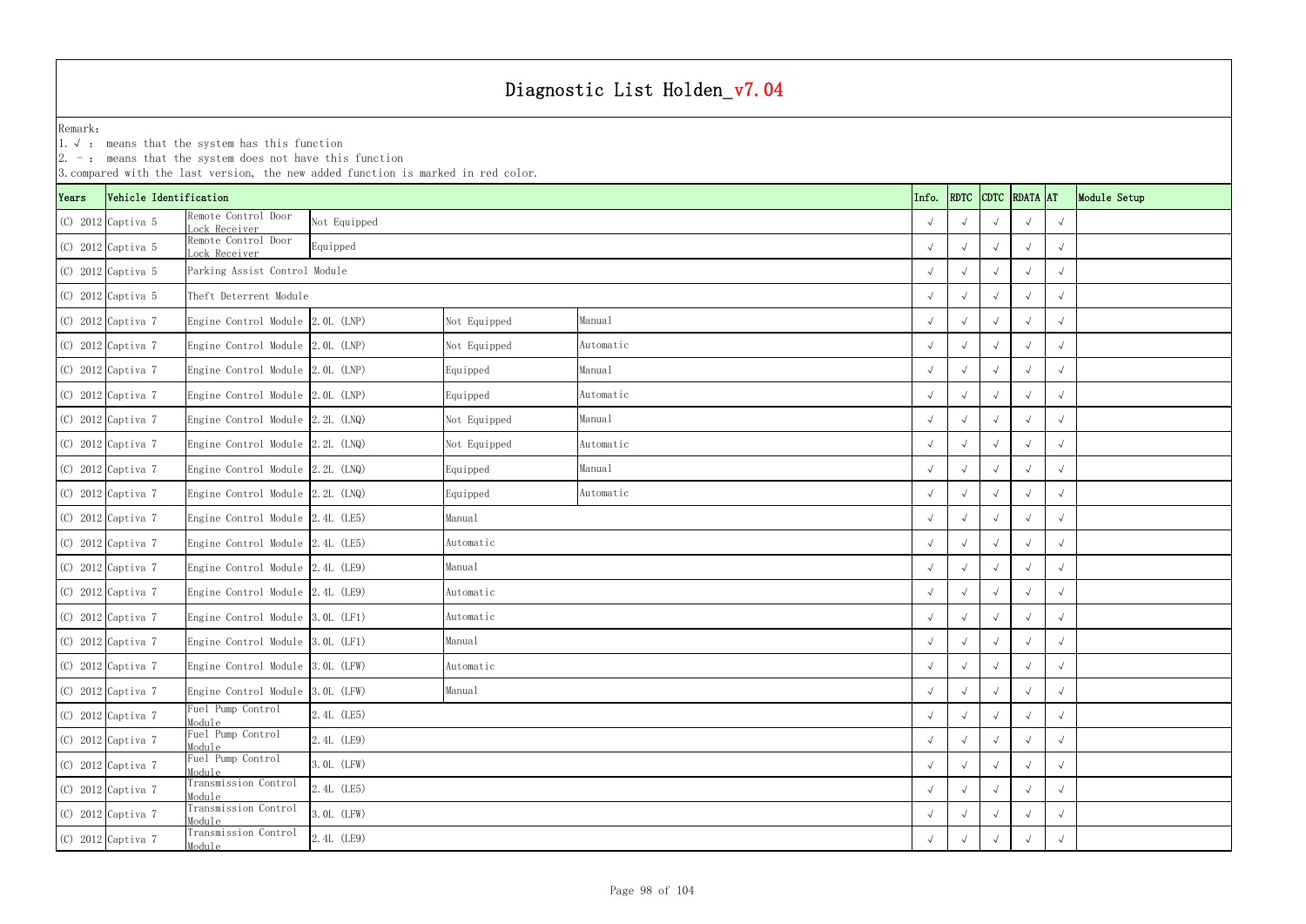1.√ : means that the system has this function

|       | $ 2. -$ : means that the system does not have this function<br>3. compared with the last version, the new added function is marked in red color. |                                     |              |              |           |  |            |            |            |                    |            |              |
|-------|--------------------------------------------------------------------------------------------------------------------------------------------------|-------------------------------------|--------------|--------------|-----------|--|------------|------------|------------|--------------------|------------|--------------|
| Years | Vehicle Identification                                                                                                                           |                                     |              |              |           |  | Info.      |            |            | RDTC CDTC RDATA AT |            | Module Setup |
|       | $(C)$ 2012 Captiva 5                                                                                                                             | Remote Control Door<br>ock Receiver | Not Equipped |              |           |  |            |            |            |                    | $\sqrt{ }$ |              |
|       | $(C)$ 2012 Captiva 5                                                                                                                             | Remote Control Door<br>ock Receiver | Equipped     |              |           |  |            |            |            |                    | $\sqrt{ }$ |              |
|       | $(C)$ 2012 Captiva 5                                                                                                                             | Parking Assist Control Module       |              |              |           |  |            |            |            | $\sqrt{ }$         | $\sqrt{ }$ |              |
|       | $(C)$ 2012 Captiva 5                                                                                                                             | Theft Deterrent Module              |              |              |           |  |            |            |            |                    | $\sqrt{ }$ |              |
|       | $(C)$ 2012 Captiva 7                                                                                                                             | Engine Control Module 2.0L (LNP)    |              | Not Equipped | Manual    |  |            |            |            |                    | $\sqrt{ }$ |              |
|       | (C) 2012 Captiva 7                                                                                                                               | Engine Control Module 2.0L (LNP)    |              | Not Equipped | Automatic |  |            | $\sqrt{ }$ |            |                    | $\sqrt{ }$ |              |
|       | $(C)$ 2012 Captiva 7                                                                                                                             | Engine Control Module 2.0L (LNP)    |              | Equipped     | Manual    |  |            | $\sqrt{ }$ | $\sqrt{ }$ | $\sqrt{ }$         | $\sqrt{ }$ |              |
|       | $(C)$ 2012 Captiva 7                                                                                                                             | Engine Control Module 2.0L (LNP)    |              | Equipped     | Automatic |  |            | $\sqrt{ }$ |            |                    | $\sqrt{ }$ |              |
|       | $(C)$ 2012 Captiva 7                                                                                                                             | Engine Control Module 2.2L (LNQ)    |              | Not Equipped | Manual    |  |            | $\sqrt{ }$ |            | $\sim$             | $\sqrt{ }$ |              |
|       | $(C)$ 2012 Captiva 7                                                                                                                             | Engine Control Module 2.2L (LNQ)    |              | Not Equipped | Automatic |  |            | $\sqrt{ }$ |            | $\sqrt{ }$         | $\sqrt{ }$ |              |
|       | $(C)$ 2012 Captiva 7                                                                                                                             | Engine Control Module $2.2L$ (LNQ)  |              | Equipped     | Manual    |  |            | $\sim$     |            | $\sqrt{ }$         | $\sqrt{ }$ |              |
|       | $(C)$ 2012 Captiva 7                                                                                                                             | Engine Control Module 2.2L (LNQ)    |              | Equipped     | Automatic |  |            |            |            | $\sqrt{ }$         | $\sqrt{ }$ |              |
|       | $(C)$ 2012 Captiva 7                                                                                                                             | Engine Control Module 2.4L (LE5)    |              | Manual       |           |  |            |            |            | $\sqrt{ }$         | $\sqrt{ }$ |              |
|       | $(C)$ 2012 Captiva 7                                                                                                                             | Engine Control Module 2.4L (LE5)    |              | Automatic    |           |  |            |            |            |                    | $\sqrt{ }$ |              |
|       | $(C)$ 2012 Captiva 7                                                                                                                             | Engine Control Module 2.4L (LE9)    |              | Manual       |           |  |            | $\sqrt{ }$ |            | $\sqrt{ }$         | $\sqrt{ }$ |              |
|       | (C) 2012 Captiva 7                                                                                                                               | Engine Control Module 2.4L (LE9)    |              | Automatic    |           |  |            |            |            |                    | $\sqrt{ }$ |              |
|       | $(C)$ 2012 Captiva 7                                                                                                                             | Engine Control Module 3.0L (LF1)    |              | Automatic    |           |  |            |            |            |                    | $\sqrt{ }$ |              |
|       | (C) 2012 Captiva 7                                                                                                                               | Engine Control Module 3.0L (LF1)    |              | Manual       |           |  |            | $\sqrt{ }$ | $\sqrt{ }$ |                    | $\sqrt{ }$ |              |
|       | $(C)$ 2012 Captiva 7                                                                                                                             | Engine Control Module 3.0L (LFW)    |              | Automatic    |           |  |            | $\sqrt{ }$ | $\sqrt{ }$ | $\sqrt{ }$         | $\sqrt{ }$ |              |
|       | (C) 2012 Captiva 7                                                                                                                               | Engine Control Module 3.0L (LFW)    |              | Manual       |           |  |            | $\sqrt{ }$ | $\sqrt{ }$ | $\sqrt{ }$         | $\sqrt{ }$ |              |
|       | $(C)$ 2012 Captiva 7                                                                                                                             | Fuel Pump Control<br>Module         | 2.4L (LE5)   |              |           |  | $\sqrt{ }$ |            | $\sqrt{ }$ | $\sqrt{ }$         |            |              |
|       | $(C)$ 2012 Captiva 7                                                                                                                             | Fuel Pump Control<br>Module         | 2. 4L (LE9)  |              |           |  | $\sqrt{ }$ | $\sqrt{ }$ | $\sqrt{ }$ | $\sqrt{ }$         |            |              |
|       | $(C)$ 2012 Captiva 7                                                                                                                             | Fuel Pump Control<br>Module         | 3. OL (LFW)  |              |           |  | $\sqrt{ }$ | $\sqrt{ }$ | $\sqrt{ }$ | $\sqrt{ }$         |            |              |
|       | $(C)$ 2012 Captiva 7                                                                                                                             | Transmission Control<br>Module      | 2.4L (LE5)   |              |           |  |            | $\sqrt{ }$ | $\sqrt{ }$ |                    | $\sqrt{ }$ |              |
|       | $(C)$ 2012 Captiva 7                                                                                                                             | Transmission Control<br>Module      | 3. OL (LFW)  |              |           |  |            |            |            |                    | $\sqrt{ }$ |              |
|       | (C) 2012 Captiva 7                                                                                                                               | Transmission Control<br>Module      | 2.4L (LE9)   |              |           |  |            |            |            |                    | $\sqrt{ }$ |              |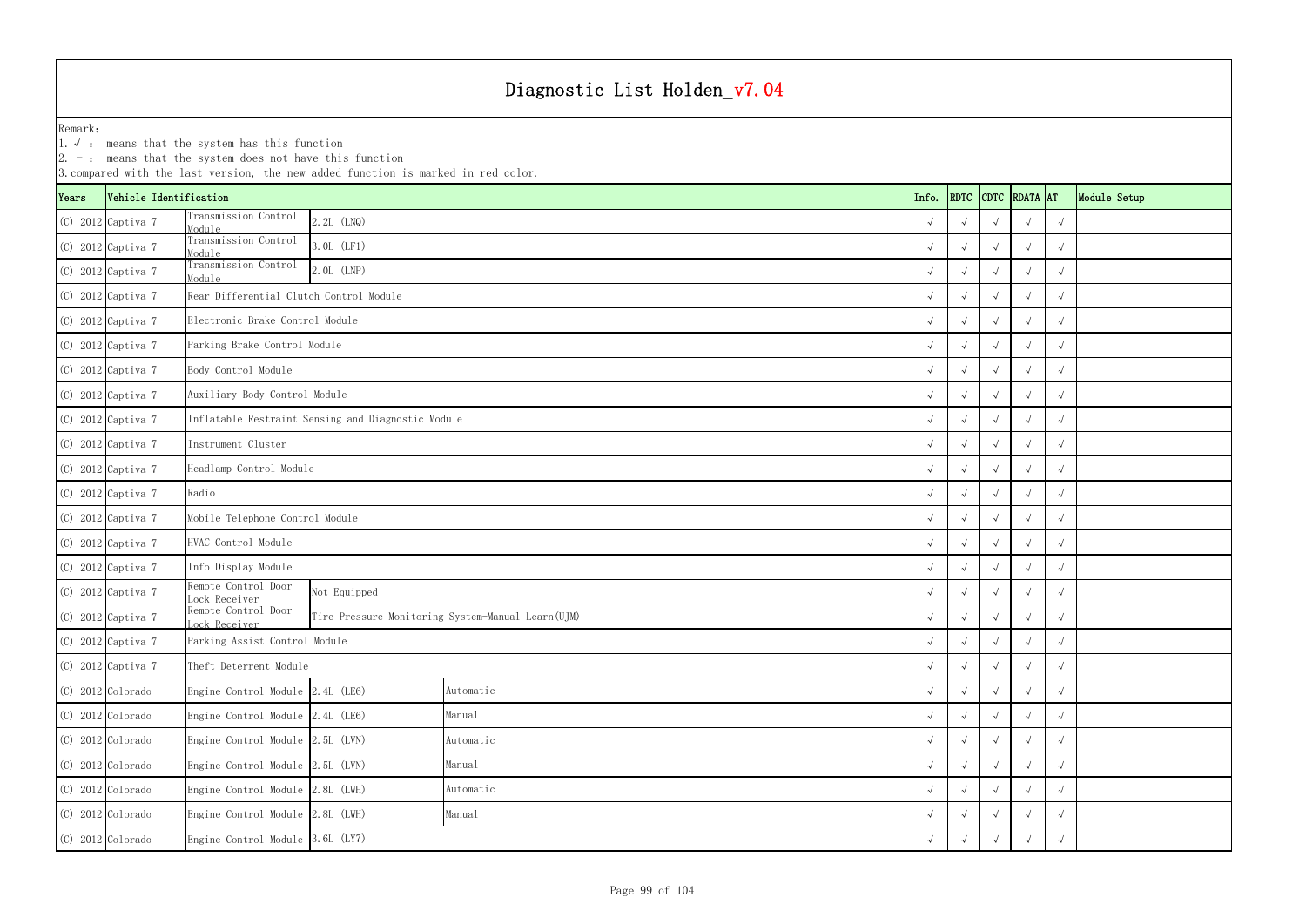|                               | $ 2. -$ : means that the system does not have this function<br>3. compared with the last version, the new added function is marked in red color. |                                         |                                                    |                                                   |  |       |            |            |                    |            |              |
|-------------------------------|--------------------------------------------------------------------------------------------------------------------------------------------------|-----------------------------------------|----------------------------------------------------|---------------------------------------------------|--|-------|------------|------------|--------------------|------------|--------------|
| Years                         | Vehicle Identification                                                                                                                           |                                         |                                                    |                                                   |  | Info. |            |            | RDTC CDTC RDATA AT |            | Module Setup |
|                               | $(C)$ 2012 Captiva 7                                                                                                                             | Transmission Control<br>Module          | 2.2L (LNQ)                                         |                                                   |  |       |            |            |                    | $\sqrt{ }$ |              |
|                               | (C) 2012 Captiva 7                                                                                                                               | Transmission Control<br>Module          | 3.0L (LF1)                                         |                                                   |  |       |            |            |                    | $\sqrt{ }$ |              |
|                               | $(C)$ 2012 Captiva 7                                                                                                                             | Transmission Control<br>Module          | 2.0L (LNP)                                         |                                                   |  |       |            |            | $\sqrt{ }$         | $\sqrt{ }$ |              |
|                               | (C) 2012 Captiva 7                                                                                                                               | Rear Differential Clutch Control Module |                                                    |                                                   |  |       |            |            |                    | $\sqrt{ }$ |              |
|                               | (C) 2012 Captiva 7                                                                                                                               | Electronic Brake Control Module         |                                                    |                                                   |  |       |            |            |                    | $\sqrt{ }$ |              |
|                               | (C) 2012 Captiva 7                                                                                                                               | Parking Brake Control Module            |                                                    |                                                   |  |       |            |            |                    | $\sqrt{ }$ |              |
|                               | $(C)$ 2012 Captiva 7                                                                                                                             | Body Control Module                     |                                                    |                                                   |  |       | $\sqrt{ }$ |            | $\sqrt{ }$         | $\sqrt{ }$ |              |
|                               | (C) 2012 Captiva 7                                                                                                                               | Auxiliary Body Control Module           |                                                    |                                                   |  |       | $\sqrt{ }$ |            |                    | $\sqrt{ }$ |              |
|                               | $(C)$ 2012 Captiva 7                                                                                                                             |                                         | Inflatable Restraint Sensing and Diagnostic Module |                                                   |  |       | $\sqrt{ }$ |            | $\sim$             | $\sqrt{ }$ |              |
|                               | $(C)$ 2012 Captiva 7                                                                                                                             | Instrument Cluster                      |                                                    |                                                   |  |       | $\sqrt{ }$ | $\sqrt{ }$ |                    | $\sqrt{ }$ |              |
|                               | $(C)$ 2012 Captiva 7                                                                                                                             |                                         | Headlamp Control Module                            |                                                   |  |       |            |            | $\sqrt{ }$         | $\sqrt{ }$ |              |
|                               | (C) 2012 Captiva 7                                                                                                                               | Radio                                   |                                                    |                                                   |  |       |            |            |                    | $\sqrt{ }$ |              |
|                               | (C) 2012 Captiva 7                                                                                                                               | Mobile Telephone Control Module         |                                                    |                                                   |  |       |            |            | $\sim$             | $\sqrt{ }$ |              |
|                               | (C) 2012 Captiva 7                                                                                                                               | HVAC Control Module                     |                                                    |                                                   |  |       |            |            |                    | $\sqrt{ }$ |              |
|                               | $(C)$ 2012 Captiva 7                                                                                                                             | Info Display Module                     |                                                    |                                                   |  |       | $\sqrt{ }$ |            | $\sqrt{ }$         | $\sqrt{ }$ |              |
|                               | (C) 2012 Captiva 7                                                                                                                               | Remote Control Door<br>ock Receiver     | Not Equipped                                       |                                                   |  |       | $\sqrt{ }$ |            |                    | $\sqrt{ }$ |              |
|                               | $(C)$ 2012 Captiva 7                                                                                                                             | Remote Control Door<br>ock Receiver     |                                                    | Tire Pressure Monitoring System-Manual Learn(UJM) |  |       |            |            |                    | $\sqrt{ }$ |              |
| (C) 2012 Captiva 7            |                                                                                                                                                  | Parking Assist Control Module           |                                                    |                                                   |  |       | $\sqrt{ }$ | $\sqrt{ }$ | $\sqrt{ }$         | $\sqrt{ }$ |              |
|                               | $(C)$ 2012 Captiva 7                                                                                                                             | Theft Deterrent Module                  |                                                    |                                                   |  |       | $\sqrt{ }$ | $\sqrt{ }$ | $\sqrt{ }$         | $\sqrt{ }$ |              |
| $(C)$ 2012 $Colorado$         |                                                                                                                                                  | Engine Control Module 2.4L (LE6)        |                                                    | Automatic                                         |  |       | $\sqrt{ }$ |            | $\sqrt{ }$         | $\sqrt{ }$ |              |
| $(C)$ 2012 $\lfloor$ Colorado |                                                                                                                                                  | Engine Control Module 2.4L (LE6)        |                                                    | Manual                                            |  |       | $\sqrt{ }$ |            | $\sqrt{ }$         | $\sqrt{ }$ |              |
| $(C)$ 2012 $\sim$ Colorado    |                                                                                                                                                  | Engine Control Module $2.5L$ (LVN)      |                                                    | Automatic                                         |  |       | $\sqrt{ }$ | $\sqrt{ }$ | $\sqrt{ }$         | $\sqrt{ }$ |              |
| $(C)$ 2012 $Colorado$         |                                                                                                                                                  | Engine Control Module 2.5L (LVN)        |                                                    | Manual                                            |  |       | $\sqrt{ }$ | $\sqrt{ }$ | $\sqrt{ }$         | $\sqrt{ }$ |              |
| $(C)$ 2012 $Colorado$         |                                                                                                                                                  | Engine Control Module 2.8L (LWH)        |                                                    | Automatic                                         |  |       |            |            |                    | $\sqrt{ }$ |              |
| (C) 2012 Colorado             |                                                                                                                                                  | Engine Control Module 2.8L (LWH)        |                                                    | Manual                                            |  |       |            |            |                    | $\sqrt{ }$ |              |
|                               | (C) 2012 Colorado                                                                                                                                | Engine Control Module 3.6L (LY7)        |                                                    |                                                   |  |       |            |            |                    | $\sqrt{ }$ |              |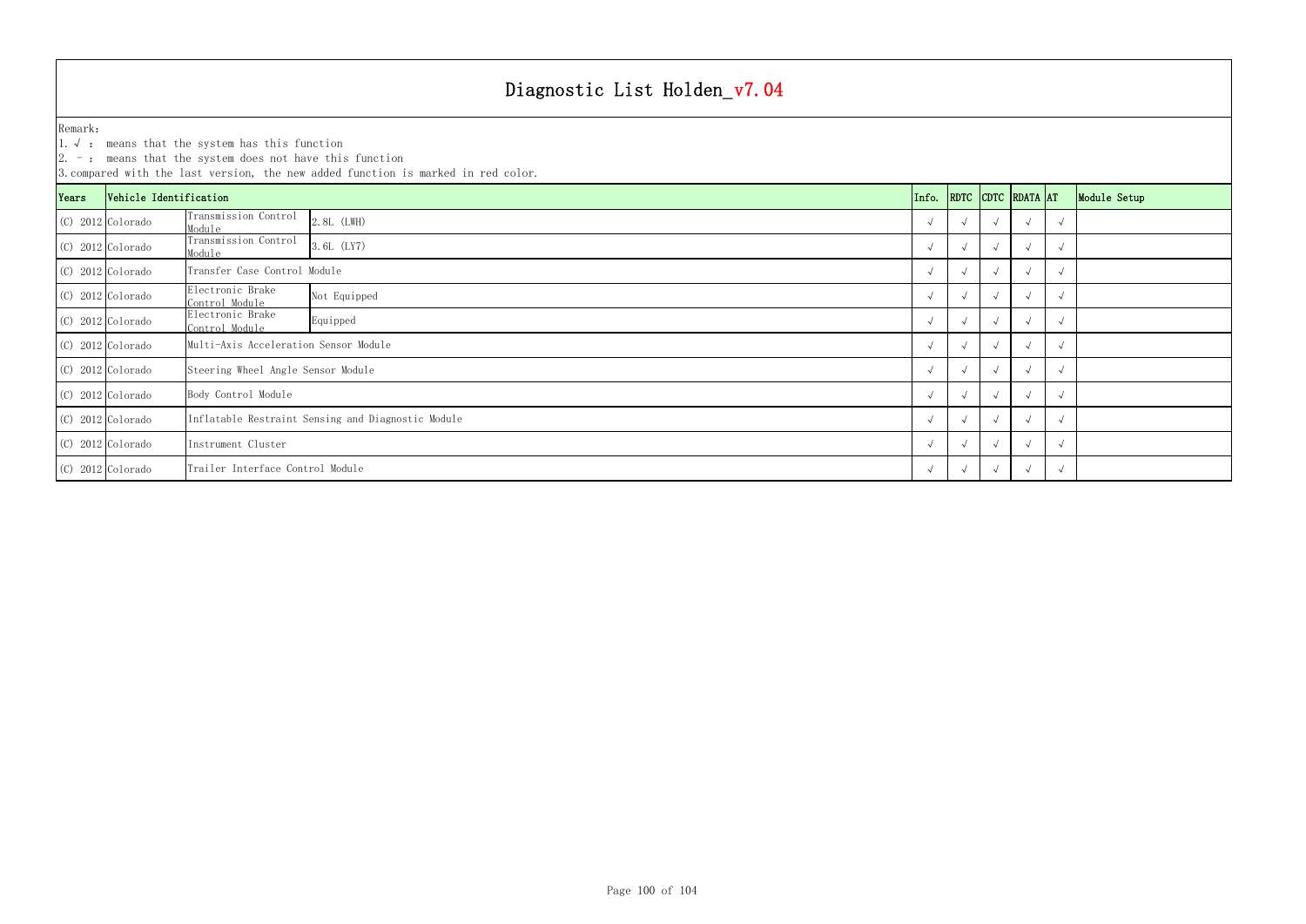1.√ : means that the system has this function

|       | 3. compared with the last version, the new added function is marked in red color. |                                                    |                                    |            |  |  |                    |            |              |
|-------|-----------------------------------------------------------------------------------|----------------------------------------------------|------------------------------------|------------|--|--|--------------------|------------|--------------|
| Years | Vehicle Identification                                                            |                                                    |                                    | Info.      |  |  | RDTC CDTC RDATA AT |            | Module Setup |
|       | $(C)$ 2012 Colorado                                                               | Transmission Control<br>Module                     | 2.8L (LWH)                         |            |  |  |                    | ่√         |              |
|       | (C) 2012 Colorado                                                                 | Transmission Control<br>Module                     | 3.6L (LY7)                         |            |  |  |                    | $\sim$     |              |
|       | $(C)$ 2012 Colorado                                                               | Transfer Case Control Module                       |                                    |            |  |  |                    | $\sqrt{ }$ |              |
|       | $(C)$ 2012 Colorado                                                               | Electronic Brake<br>Control Module                 | Not Equipped                       | $\sim$     |  |  |                    | $\sqrt{ }$ |              |
|       | $(C)$ 2012 Colorado                                                               | Electronic Brake<br>Control Module                 | Equipped                           | $\sqrt{ }$ |  |  |                    | $\sqrt{ }$ |              |
|       | $(C)$ 2012 Colorado                                                               | Multi-Axis Acceleration Sensor Module              |                                    |            |  |  |                    | $\sqrt{ }$ |              |
|       | $(C)$ 2012 Colorado                                                               |                                                    | Steering Wheel Angle Sensor Module |            |  |  |                    | $\sqrt{ }$ |              |
|       | $(C)$ 2012 Colorado                                                               | Body Control Module                                |                                    |            |  |  | $\sqrt{ }$         | $\sqrt{ }$ |              |
|       | $(C)$ 2012 Colorado                                                               | Inflatable Restraint Sensing and Diagnostic Module |                                    |            |  |  |                    | $\sqrt{ }$ |              |
|       | $(C)$ 2012 Colorado                                                               | Instrument Cluster                                 |                                    |            |  |  |                    | $\sqrt{ }$ |              |
|       | (C) 2012 Colorado                                                                 | Trailer Interface Control Module<br>$\sqrt{ }$     |                                    |            |  |  |                    | $\sqrt{ }$ |              |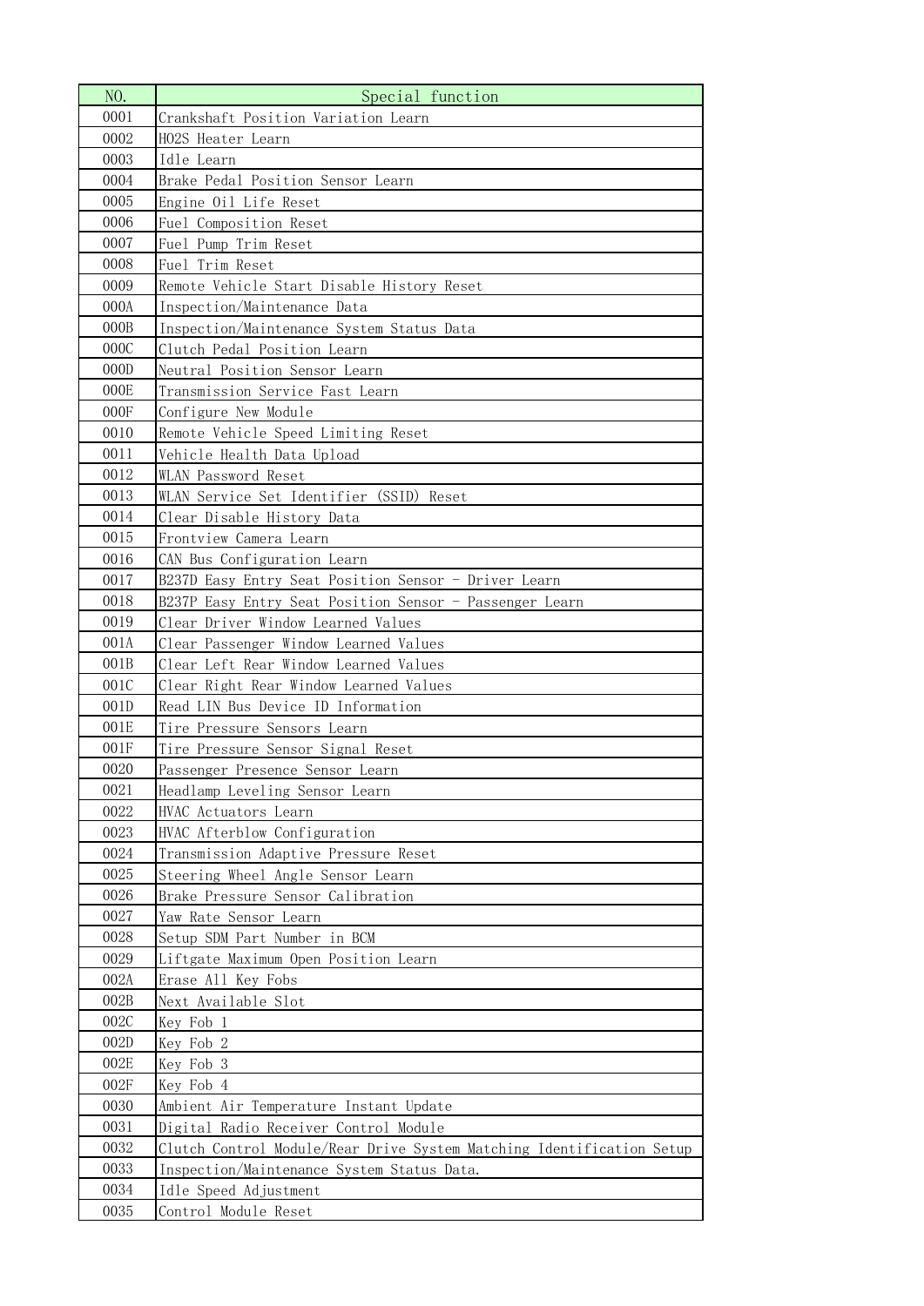| NO.              | Special function                                                      |
|------------------|-----------------------------------------------------------------------|
| 0001             | Crankshaft Position Variation Learn                                   |
| 0002             | HO2S Heater Learn                                                     |
| 0003             | Idle Learn                                                            |
| 0004             | Brake Pedal Position Sensor Learn                                     |
| 0005             | Engine Oil Life Reset                                                 |
| 0006             | Fuel Composition Reset                                                |
| 0007             | Fuel Pump Trim Reset                                                  |
| 0008             | Fuel Trim Reset                                                       |
| 0009             | Remote Vehicle Start Disable History Reset                            |
| 000A             | Inspection/Maintenance Data                                           |
| 000B             | Inspection/Maintenance System Status Data                             |
| 000C             | Clutch Pedal Position Learn                                           |
| 000D             | Neutral Position Sensor Learn                                         |
| 000E             | Transmission Service Fast Learn                                       |
| 000F             | Configure New Module                                                  |
| 0010             | Remote Vehicle Speed Limiting Reset                                   |
| 0011             | Vehicle Health Data Upload                                            |
| 0012             | WLAN Password Reset                                                   |
| 0013             | WLAN Service Set Identifier (SSID) Reset                              |
| 0014             | Clear Disable History Data                                            |
| 0015             | Frontview Camera Learn                                                |
| 0016             | CAN Bus Configuration Learn                                           |
| 0017             | B237D Easy Entry Seat Position Sensor - Driver Learn                  |
| 0018             | B237P Easy Entry Seat Position Sensor - Passenger Learn               |
| 0019             | Clear Driver Window Learned Values                                    |
| 001A             | Clear Passenger Window Learned Values                                 |
| 001B             | Clear Left Rear Window Learned Values                                 |
| 001C             | Clear Right Rear Window Learned Values                                |
| 001 <sub>D</sub> | Read LIN Bus Device ID Information                                    |
| 001E             | Tire Pressure Sensors Learn                                           |
| 001F             | Tire Pressure Sensor Signal Reset                                     |
| 0020             | Passenger Presence Sensor Learn                                       |
| 0021             | Headlamp Leveling Sensor Learn                                        |
| 0022             | HVAC Actuators Learn                                                  |
| 0023             | HVAC Afterblow Configuration                                          |
| 0024             | Transmission Adaptive Pressure Reset                                  |
| 0025             | Steering Wheel Angle Sensor Learn                                     |
| 0026             | Brake Pressure Sensor Calibration                                     |
| 0027             | Yaw Rate Sensor Learn                                                 |
| 0028             | Setup SDM Part Number in BCM                                          |
| 0029             | Liftgate Maximum Open Position Learn                                  |
| 002A             | Erase All Key Fobs                                                    |
| 002B             | Next Available Slot                                                   |
| 002C             | Key Fob 1                                                             |
| 002D             | Key Fob 2                                                             |
| 002E             | Key Fob 3                                                             |
| 002F             | Key Fob 4                                                             |
| 0030             | Ambient Air Temperature Instant Update                                |
| 0031             | Digital Radio Receiver Control Module                                 |
| 0032             | Clutch Control Module/Rear Drive System Matching Identification Setup |
| 0033             | Inspection/Maintenance System Status Data.                            |
| 0034             | Idle Speed Adjustment                                                 |
| 0035             | Control Module Reset                                                  |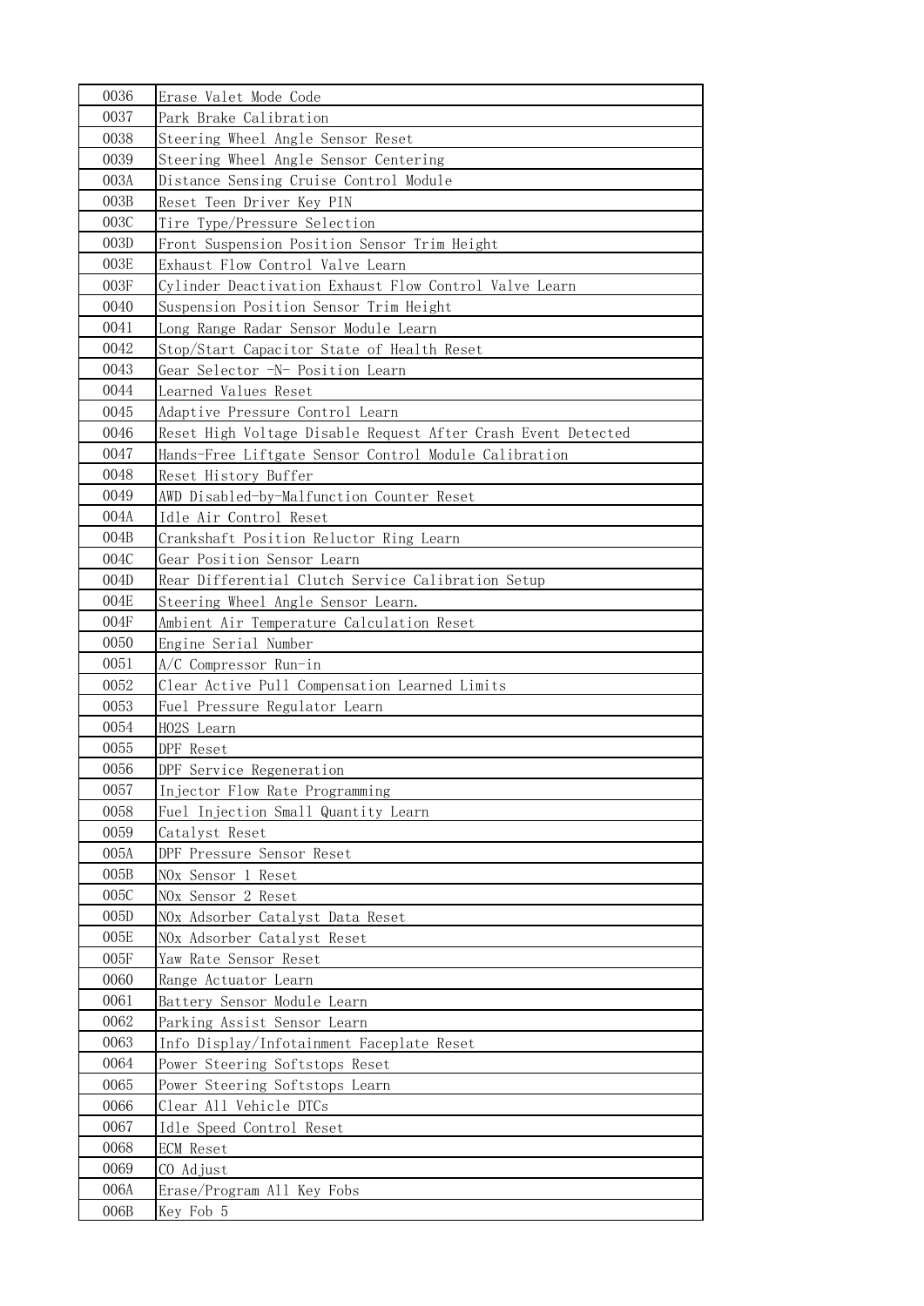| 0036 | Erase Valet Mode Code                                         |
|------|---------------------------------------------------------------|
| 0037 | Park Brake Calibration                                        |
| 0038 | Steering Wheel Angle Sensor Reset                             |
| 0039 | Steering Wheel Angle Sensor Centering                         |
| 003A | Distance Sensing Cruise Control Module                        |
| 003B | Reset Teen Driver Key PIN                                     |
| 003C | Tire Type/Pressure Selection                                  |
| 003D | Front Suspension Position Sensor Trim Height                  |
| 003E | Exhaust Flow Control Valve Learn                              |
| 003F | Cylinder Deactivation Exhaust Flow Control Valve Learn        |
| 0040 | Suspension Position Sensor Trim Height                        |
| 0041 | Long Range Radar Sensor Module Learn                          |
| 0042 | Stop/Start Capacitor State of Health Reset                    |
| 0043 | Gear Selector -N- Position Learn                              |
| 0044 | Learned Values Reset                                          |
| 0045 | Adaptive Pressure Control Learn                               |
| 0046 | Reset High Voltage Disable Request After Crash Event Detected |
| 0047 | Hands-Free Liftgate Sensor Control Module Calibration         |
| 0048 | Reset History Buffer                                          |
| 0049 | AWD Disabled-by-Malfunction Counter Reset                     |
| 004A | Idle Air Control Reset                                        |
| 004B | Crankshaft Position Reluctor Ring Learn                       |
| 004C | Gear Position Sensor Learn                                    |
| 004D | Rear Differential Clutch Service Calibration Setup            |
| 004E | Steering Wheel Angle Sensor Learn.                            |
| 004F | Ambient Air Temperature Calculation Reset                     |
| 0050 | Engine Serial Number                                          |
| 0051 | A/C Compressor Run-in                                         |
| 0052 | Clear Active Pull Compensation Learned Limits                 |
| 0053 | Fuel Pressure Regulator Learn                                 |
| 0054 | HO2S Learn                                                    |
| 0055 | DPF Reset                                                     |
| 0056 | DPF Service Regeneration                                      |
| 0057 | Injector Flow Rate Programming                                |
| 0058 | Fuel Injection Small Quantity Learn                           |
| 0059 | Catalyst Reset                                                |
| 005A | DPF Pressure Sensor Reset                                     |
| 005B | NOx Sensor 1 Reset                                            |
| 005C | NOx Sensor 2 Reset                                            |
| 005D | NOx Adsorber Catalyst Data Reset                              |
| 005E | NOx Adsorber Catalyst Reset                                   |
| 005F | Yaw Rate Sensor Reset                                         |
| 0060 | Range Actuator Learn                                          |
| 0061 | Battery Sensor Module Learn                                   |
| 0062 | Parking Assist Sensor Learn                                   |
| 0063 | Info Display/Infotainment Faceplate Reset                     |
| 0064 | Power Steering Softstops Reset                                |
| 0065 | Power Steering Softstops Learn                                |
| 0066 | Clear All Vehicle DTCs                                        |
| 0067 | Idle Speed Control Reset                                      |
| 0068 | <b>ECM</b> Reset                                              |
| 0069 | CO Adjust                                                     |
| 006A | Erase/Program All Key Fobs                                    |
| 006B | Key Fob 5                                                     |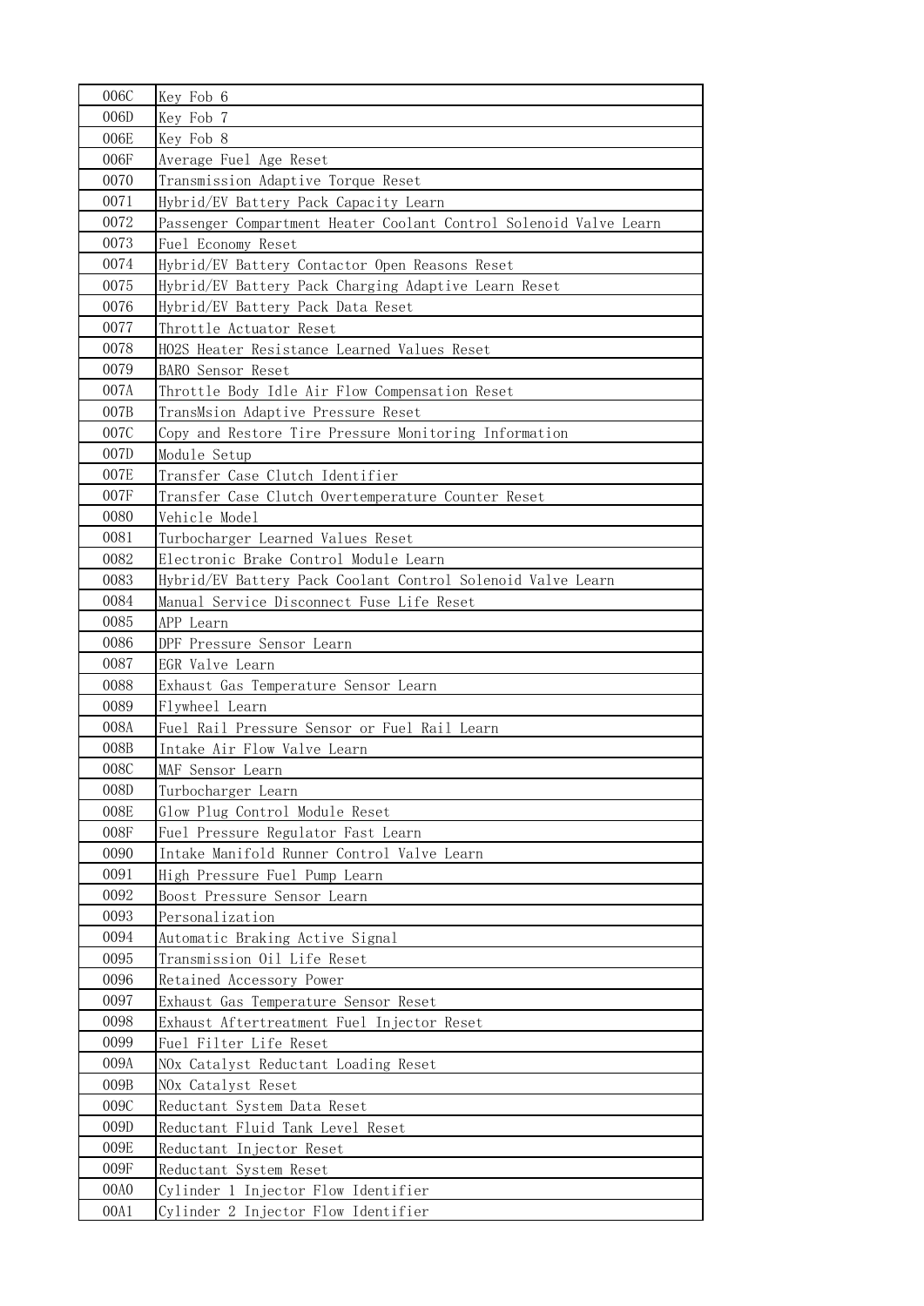| 006C         | Key Fob 6                                                         |
|--------------|-------------------------------------------------------------------|
| 006D         | Key Fob 7                                                         |
| 006E         | Key Fob 8                                                         |
| 006F         | Average Fuel Age Reset                                            |
| 0070         | Transmission Adaptive Torque Reset                                |
| 0071         | Hybrid/EV Battery Pack Capacity Learn                             |
| 0072         | Passenger Compartment Heater Coolant Control Solenoid Valve Learn |
| 0073         | Fuel Economy Reset                                                |
| 0074         | Hybrid/EV Battery Contactor Open Reasons Reset                    |
| 0075         | Hybrid/EV Battery Pack Charging Adaptive Learn Reset              |
| 0076         | Hybrid/EV Battery Pack Data Reset                                 |
| 0077         | Throttle Actuator Reset                                           |
| 0078         | HO2S Heater Resistance Learned Values Reset                       |
| 0079         | BARO Sensor Reset                                                 |
| 007A         | Throttle Body Idle Air Flow Compensation Reset                    |
| 007B         | TransMsion Adaptive Pressure Reset                                |
| 007C         | Copy and Restore Tire Pressure Monitoring Information             |
| 007D         | Module Setup                                                      |
| 007E         | Transfer Case Clutch Identifier                                   |
| 007F         | Transfer Case Clutch Overtemperature Counter Reset                |
| 0080         | Vehicle Model                                                     |
| 0081         | Turbocharger Learned Values Reset                                 |
| 0082         | Electronic Brake Control Module Learn                             |
| 0083         | Hybrid/EV Battery Pack Coolant Control Solenoid Valve Learn       |
| 0084         | Manual Service Disconnect Fuse Life Reset                         |
| 0085         | APP Learn                                                         |
| 0086         | DPF Pressure Sensor Learn                                         |
| 0087<br>0088 | EGR Valve Learn                                                   |
| 0089         | Exhaust Gas Temperature Sensor Learn<br>Flywheel Learn            |
| 008A         | Fuel Rail Pressure Sensor or Fuel Rail Learn                      |
| 008B         | Intake Air Flow Valve Learn                                       |
| 008C         | MAF Sensor Learn                                                  |
| 008D         | Turbocharger Learn                                                |
| 008E         | Glow Plug Control Module Reset                                    |
| 008F         | Fuel Pressure Regulator Fast Learn                                |
| 0090         | Intake Manifold Runner Control Valve Learn                        |
| 0091         | High Pressure Fuel Pump Learn                                     |
| 0092         | Boost Pressure Sensor Learn                                       |
| 0093         | Personalization                                                   |
| 0094         | Automatic Braking Active Signal                                   |
| 0095         | Transmission Oil Life Reset                                       |
| 0096         | Retained Accessory Power                                          |
| 0097         | Exhaust Gas Temperature Sensor Reset                              |
| 0098         | Exhaust Aftertreatment Fuel Injector Reset                        |
| 0099         | Fuel Filter Life Reset                                            |
| 009A         | NOx Catalyst Reductant Loading Reset                              |
| 009B         | NOx Catalyst Reset                                                |
| 009C         | Reductant System Data Reset                                       |
| 009D         | Reductant Fluid Tank Level Reset                                  |
| 009E         | Reductant Injector Reset                                          |
| 009F         | Reductant System Reset                                            |
| 00A0         | Cylinder 1 Injector Flow Identifier                               |
| 00A1         | Cylinder 2 Injector Flow Identifier                               |